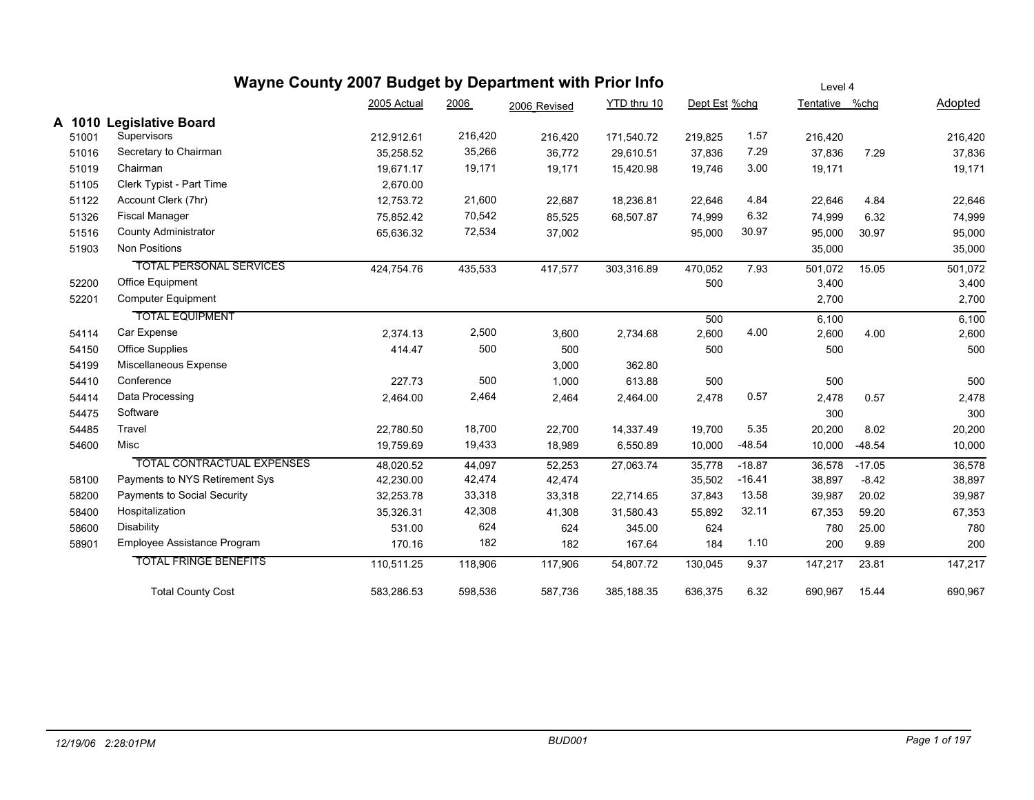|           |                                   | Wayne County 2007 Budget by Department with Prior Info |         |              |             |               |          | Level 4        |          |         |  |  |
|-----------|-----------------------------------|--------------------------------------------------------|---------|--------------|-------------|---------------|----------|----------------|----------|---------|--|--|
|           |                                   | 2005 Actual                                            | 2006    | 2006 Revised | YTD thru 10 | Dept Est %chg |          | Tentative %chg |          | Adopted |  |  |
| 1010<br>A | <b>Legislative Board</b>          |                                                        |         |              |             |               |          |                |          |         |  |  |
| 51001     | Supervisors                       | 212,912.61                                             | 216,420 | 216,420      | 171,540.72  | 219,825       | 1.57     | 216,420        |          | 216,420 |  |  |
| 51016     | Secretary to Chairman             | 35,258.52                                              | 35,266  | 36,772       | 29,610.51   | 37,836        | 7.29     | 37,836         | 7.29     | 37,836  |  |  |
| 51019     | Chairman                          | 19.671.17                                              | 19,171  | 19,171       | 15,420.98   | 19,746        | 3.00     | 19,171         |          | 19,171  |  |  |
| 51105     | Clerk Typist - Part Time          | 2,670.00                                               |         |              |             |               |          |                |          |         |  |  |
| 51122     | Account Clerk (7hr)               | 12,753.72                                              | 21,600  | 22,687       | 18,236.81   | 22,646        | 4.84     | 22,646         | 4.84     | 22,646  |  |  |
| 51326     | <b>Fiscal Manager</b>             | 75,852.42                                              | 70,542  | 85,525       | 68,507.87   | 74,999        | 6.32     | 74,999         | 6.32     | 74,999  |  |  |
| 51516     | <b>County Administrator</b>       | 65,636.32                                              | 72,534  | 37,002       |             | 95,000        | 30.97    | 95,000         | 30.97    | 95,000  |  |  |
| 51903     | <b>Non Positions</b>              |                                                        |         |              |             |               |          | 35,000         |          | 35,000  |  |  |
|           | <b>TOTAL PERSONAL SERVICES</b>    | 424,754.76                                             | 435,533 | 417,577      | 303,316.89  | 470,052       | 7.93     | 501,072        | 15.05    | 501,072 |  |  |
| 52200     | Office Equipment                  |                                                        |         |              |             | 500           |          | 3,400          |          | 3,400   |  |  |
| 52201     | Computer Equipment                |                                                        |         |              |             |               |          | 2,700          |          | 2,700   |  |  |
|           | <b>TOTAL EQUIPMENT</b>            |                                                        |         |              |             | 500           |          | 6,100          |          | 6,100   |  |  |
| 54114     | Car Expense                       | 2,374.13                                               | 2,500   | 3,600        | 2,734.68    | 2,600         | 4.00     | 2,600          | 4.00     | 2,600   |  |  |
| 54150     | <b>Office Supplies</b>            | 414.47                                                 | 500     | 500          |             | 500           |          | 500            |          | 500     |  |  |
| 54199     | Miscellaneous Expense             |                                                        |         | 3,000        | 362.80      |               |          |                |          |         |  |  |
| 54410     | Conference                        | 227.73                                                 | 500     | 1,000        | 613.88      | 500           |          | 500            |          | 500     |  |  |
| 54414     | Data Processing                   | 2,464.00                                               | 2,464   | 2,464        | 2,464.00    | 2,478         | 0.57     | 2,478          | 0.57     | 2,478   |  |  |
| 54475     | Software                          |                                                        |         |              |             |               |          | 300            |          | 300     |  |  |
| 54485     | Travel                            | 22,780.50                                              | 18,700  | 22,700       | 14,337.49   | 19,700        | 5.35     | 20,200         | 8.02     | 20,200  |  |  |
| 54600     | Misc                              | 19,759.69                                              | 19,433  | 18,989       | 6,550.89    | 10,000        | $-48.54$ | 10,000         | $-48.54$ | 10,000  |  |  |
|           | <b>TOTAL CONTRACTUAL EXPENSES</b> | 48,020.52                                              | 44,097  | 52,253       | 27,063.74   | 35,778        | $-18.87$ | 36,578         | $-17.05$ | 36,578  |  |  |
| 58100     | Payments to NYS Retirement Sys    | 42,230.00                                              | 42,474  | 42,474       |             | 35,502        | $-16.41$ | 38,897         | $-8.42$  | 38,897  |  |  |
| 58200     | Payments to Social Security       | 32,253.78                                              | 33,318  | 33,318       | 22,714.65   | 37,843        | 13.58    | 39,987         | 20.02    | 39,987  |  |  |
| 58400     | Hospitalization                   | 35,326.31                                              | 42,308  | 41,308       | 31,580.43   | 55,892        | 32.11    | 67,353         | 59.20    | 67,353  |  |  |
| 58600     | <b>Disability</b>                 | 531.00                                                 | 624     | 624          | 345.00      | 624           |          | 780            | 25.00    | 780     |  |  |
| 58901     | Employee Assistance Program       | 170.16                                                 | 182     | 182          | 167.64      | 184           | 1.10     | 200            | 9.89     | 200     |  |  |
|           | <b>TOTAL FRINGE BENEFITS</b>      | 110,511.25                                             | 118,906 | 117,906      | 54,807.72   | 130,045       | 9.37     | 147,217        | 23.81    | 147,217 |  |  |
|           | <b>Total County Cost</b>          | 583,286.53                                             | 598,536 | 587,736      | 385,188.35  | 636,375       | 6.32     | 690.967        | 15.44    | 690,967 |  |  |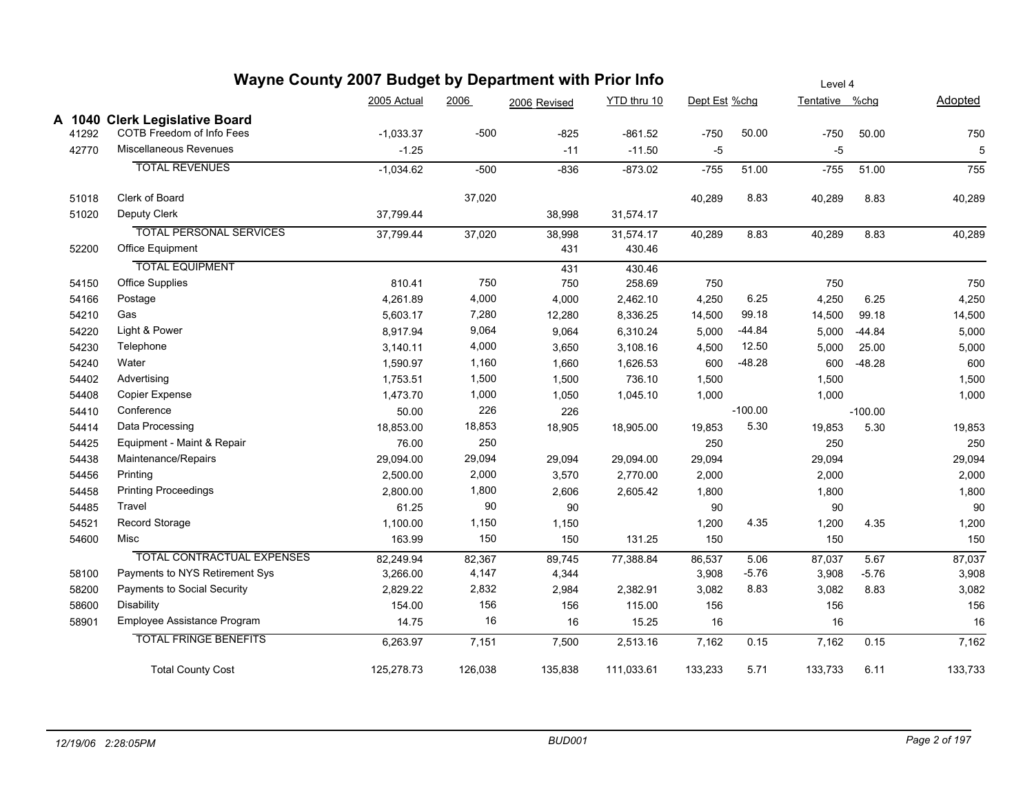|       | Wayne County 2007 Budget by Department with Prior Info |             |         | Level 4      |             |               |           |                |           |         |
|-------|--------------------------------------------------------|-------------|---------|--------------|-------------|---------------|-----------|----------------|-----------|---------|
|       |                                                        | 2005 Actual | 2006    | 2006 Revised | YTD thru 10 | Dept Est %chg |           | Tentative %chg |           | Adopted |
|       | A 1040 Clerk Legislative Board                         |             |         |              |             |               |           |                |           |         |
| 41292 | COTB Freedom of Info Fees                              | $-1,033.37$ | $-500$  | $-825$       | $-861.52$   | $-750$        | 50.00     | $-750$         | 50.00     | 750     |
| 42770 | Miscellaneous Revenues                                 | $-1.25$     |         | $-11$        | $-11.50$    | -5            |           | $-5$           |           | 5       |
|       | <b>TOTAL REVENUES</b>                                  | $-1,034.62$ | $-500$  | $-836$       | $-873.02$   | $-755$        | 51.00     | $-755$         | 51.00     | 755     |
| 51018 | Clerk of Board                                         |             | 37,020  |              |             | 40,289        | 8.83      | 40,289         | 8.83      | 40,289  |
| 51020 | Deputy Clerk                                           | 37,799.44   |         | 38,998       | 31,574.17   |               |           |                |           |         |
|       | <b>TOTAL PERSONAL SERVICES</b>                         | 37,799.44   | 37,020  | 38,998       | 31,574.17   | 40,289        | 8.83      | 40,289         | 8.83      | 40,289  |
| 52200 | Office Equipment                                       |             |         | 431          | 430.46      |               |           |                |           |         |
|       | <b>TOTAL EQUIPMENT</b>                                 |             |         | 431          | 430.46      |               |           |                |           |         |
| 54150 | Office Supplies                                        | 810.41      | 750     | 750          | 258.69      | 750           |           | 750            |           | 750     |
| 54166 | Postage                                                | 4,261.89    | 4,000   | 4,000        | 2,462.10    | 4,250         | 6.25      | 4,250          | 6.25      | 4,250   |
| 54210 | Gas                                                    | 5,603.17    | 7,280   | 12,280       | 8,336.25    | 14,500        | 99.18     | 14,500         | 99.18     | 14,500  |
| 54220 | Light & Power                                          | 8,917.94    | 9,064   | 9,064        | 6,310.24    | 5,000         | $-44.84$  | 5,000          | $-44.84$  | 5,000   |
| 54230 | Telephone                                              | 3,140.11    | 4,000   | 3,650        | 3,108.16    | 4,500         | 12.50     | 5,000          | 25.00     | 5,000   |
| 54240 | Water                                                  | 1,590.97    | 1,160   | 1,660        | 1,626.53    | 600           | $-48.28$  | 600            | $-48.28$  | 600     |
| 54402 | Advertising                                            | 1,753.51    | 1,500   | 1,500        | 736.10      | 1,500         |           | 1,500          |           | 1,500   |
| 54408 | Copier Expense                                         | 1,473.70    | 1,000   | 1,050        | 1,045.10    | 1,000         |           | 1,000          |           | 1,000   |
| 54410 | Conference                                             | 50.00       | 226     | 226          |             |               | $-100.00$ |                | $-100.00$ |         |
| 54414 | Data Processing                                        | 18,853.00   | 18,853  | 18,905       | 18,905.00   | 19,853        | 5.30      | 19,853         | 5.30      | 19,853  |
| 54425 | Equipment - Maint & Repair                             | 76.00       | 250     |              |             | 250           |           | 250            |           | 250     |
| 54438 | Maintenance/Repairs                                    | 29,094.00   | 29,094  | 29,094       | 29,094.00   | 29,094        |           | 29,094         |           | 29,094  |
| 54456 | Printing                                               | 2,500.00    | 2,000   | 3,570        | 2,770.00    | 2,000         |           | 2,000          |           | 2,000   |
| 54458 | <b>Printing Proceedings</b>                            | 2,800.00    | 1,800   | 2,606        | 2,605.42    | 1,800         |           | 1,800          |           | 1,800   |
| 54485 | Travel                                                 | 61.25       | 90      | 90           |             | 90            |           | 90             |           | 90      |
| 54521 | Record Storage                                         | 1,100.00    | 1,150   | 1,150        |             | 1,200         | 4.35      | 1,200          | 4.35      | 1,200   |
| 54600 | Misc                                                   | 163.99      | 150     | 150          | 131.25      | 150           |           | 150            |           | 150     |
|       | TOTAL CONTRACTUAL EXPENSES                             | 82,249.94   | 82,367  | 89,745       | 77,388.84   | 86,537        | 5.06      | 87,037         | 5.67      | 87,037  |
| 58100 | Payments to NYS Retirement Sys                         | 3,266.00    | 4,147   | 4,344        |             | 3,908         | $-5.76$   | 3,908          | $-5.76$   | 3,908   |
| 58200 | Payments to Social Security                            | 2,829.22    | 2,832   | 2,984        | 2,382.91    | 3,082         | 8.83      | 3,082          | 8.83      | 3,082   |
| 58600 | <b>Disability</b>                                      | 154.00      | 156     | 156          | 115.00      | 156           |           | 156            |           | 156     |
| 58901 | Employee Assistance Program                            | 14.75       | 16      | 16           | 15.25       | 16            |           | 16             |           | 16      |
|       | <b>TOTAL FRINGE BENEFITS</b>                           | 6,263.97    | 7,151   | 7,500        | 2,513.16    | 7,162         | 0.15      | 7,162          | 0.15      | 7,162   |
|       | <b>Total County Cost</b>                               | 125,278.73  | 126,038 | 135,838      | 111,033.61  | 133,233       | 5.71      | 133,733        | 6.11      | 133,733 |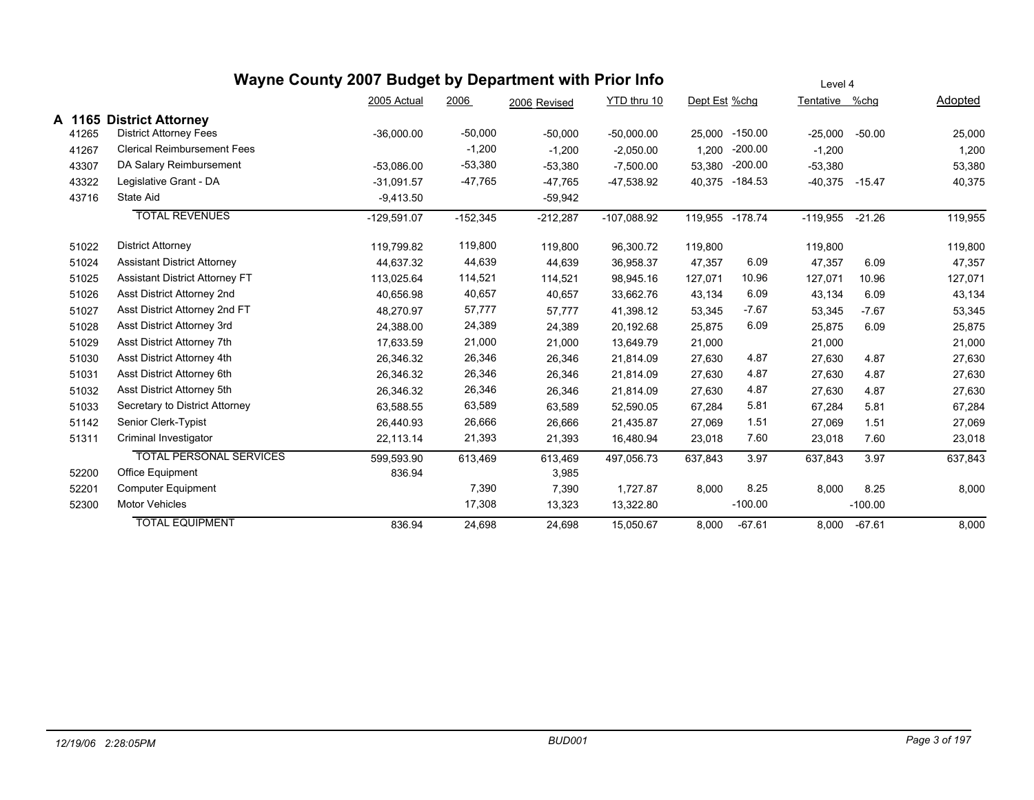|       |                                       | Wayne County 2007 Budget by Department with Prior Info |            |              |               | Level 4       |           |                |           |                |
|-------|---------------------------------------|--------------------------------------------------------|------------|--------------|---------------|---------------|-----------|----------------|-----------|----------------|
|       |                                       | 2005 Actual                                            | 2006       | 2006 Revised | YTD thru 10   | Dept Est %chg |           | Tentative %chg |           | <b>Adopted</b> |
|       | A 1165 District Attorney              |                                                        |            |              |               |               |           |                |           |                |
| 41265 | <b>District Attorney Fees</b>         | $-36,000.00$                                           | $-50,000$  | $-50,000$    | $-50,000.00$  | 25,000        | $-150.00$ | $-25,000$      | $-50.00$  | 25,000         |
| 41267 | <b>Clerical Reimbursement Fees</b>    |                                                        | $-1,200$   | $-1,200$     | $-2,050.00$   | 1,200         | $-200.00$ | $-1,200$       |           | 1,200          |
| 43307 | DA Salary Reimbursement               | $-53,086.00$                                           | $-53,380$  | $-53,380$    | $-7,500.00$   | 53,380        | $-200.00$ | $-53,380$      |           | 53,380         |
| 43322 | Legislative Grant - DA                | $-31.091.57$                                           | $-47,765$  | $-47,765$    | -47,538.92    | 40,375        | $-184.53$ | $-40,375$      | $-15.47$  | 40,375         |
| 43716 | State Aid                             | $-9,413.50$                                            |            | $-59,942$    |               |               |           |                |           |                |
|       | <b>TOTAL REVENUES</b>                 | $-129,591.07$                                          | $-152,345$ | $-212,287$   | $-107,088.92$ | 119,955       | $-178.74$ | $-119,955$     | $-21.26$  | 119,955        |
| 51022 | <b>District Attorney</b>              | 119,799.82                                             | 119,800    | 119,800      | 96,300.72     | 119,800       |           | 119,800        |           | 119,800        |
| 51024 | <b>Assistant District Attorney</b>    | 44,637.32                                              | 44,639     | 44,639       | 36,958.37     | 47,357        | 6.09      | 47,357         | 6.09      | 47,357         |
| 51025 | <b>Assistant District Attorney FT</b> | 113,025.64                                             | 114,521    | 114,521      | 98,945.16     | 127,071       | 10.96     | 127,071        | 10.96     | 127,071        |
| 51026 | Asst District Attorney 2nd            | 40,656.98                                              | 40,657     | 40,657       | 33,662.76     | 43,134        | 6.09      | 43,134         | 6.09      | 43,134         |
| 51027 | Asst District Attorney 2nd FT         | 48,270.97                                              | 57,777     | 57,777       | 41,398.12     | 53,345        | $-7.67$   | 53,345         | $-7.67$   | 53,345         |
| 51028 | Asst District Attorney 3rd            | 24,388.00                                              | 24,389     | 24,389       | 20,192.68     | 25,875        | 6.09      | 25,875         | 6.09      | 25,875         |
| 51029 | Asst District Attorney 7th            | 17,633.59                                              | 21,000     | 21,000       | 13,649.79     | 21,000        |           | 21,000         |           | 21,000         |
| 51030 | Asst District Attorney 4th            | 26,346.32                                              | 26,346     | 26,346       | 21,814.09     | 27,630        | 4.87      | 27,630         | 4.87      | 27,630         |
| 51031 | Asst District Attorney 6th            | 26,346.32                                              | 26,346     | 26,346       | 21,814.09     | 27,630        | 4.87      | 27,630         | 4.87      | 27,630         |
| 51032 | Asst District Attorney 5th            | 26,346.32                                              | 26,346     | 26,346       | 21,814.09     | 27,630        | 4.87      | 27,630         | 4.87      | 27,630         |
| 51033 | Secretary to District Attorney        | 63,588.55                                              | 63,589     | 63,589       | 52,590.05     | 67,284        | 5.81      | 67,284         | 5.81      | 67,284         |
| 51142 | Senior Clerk-Typist                   | 26,440.93                                              | 26,666     | 26,666       | 21,435.87     | 27,069        | 1.51      | 27,069         | 1.51      | 27,069         |
| 51311 | Criminal Investigator                 | 22,113.14                                              | 21,393     | 21,393       | 16,480.94     | 23,018        | 7.60      | 23,018         | 7.60      | 23,018         |
|       | <b>TOTAL PERSONAL SERVICES</b>        | 599,593.90                                             | 613,469    | 613,469      | 497,056.73    | 637,843       | 3.97      | 637,843        | 3.97      | 637,843        |
| 52200 | Office Equipment                      | 836.94                                                 |            | 3,985        |               |               |           |                |           |                |
| 52201 | <b>Computer Equipment</b>             |                                                        | 7,390      | 7,390        | 1,727.87      | 8,000         | 8.25      | 8,000          | 8.25      | 8,000          |
| 52300 | <b>Motor Vehicles</b>                 |                                                        | 17,308     | 13,323       | 13,322.80     |               | $-100.00$ |                | $-100.00$ |                |
|       | <b>TOTAL EQUIPMENT</b>                | 836.94                                                 | 24,698     | 24,698       | 15,050.67     | 8,000         | $-67.61$  | 8,000          | -67.61    | 8,000          |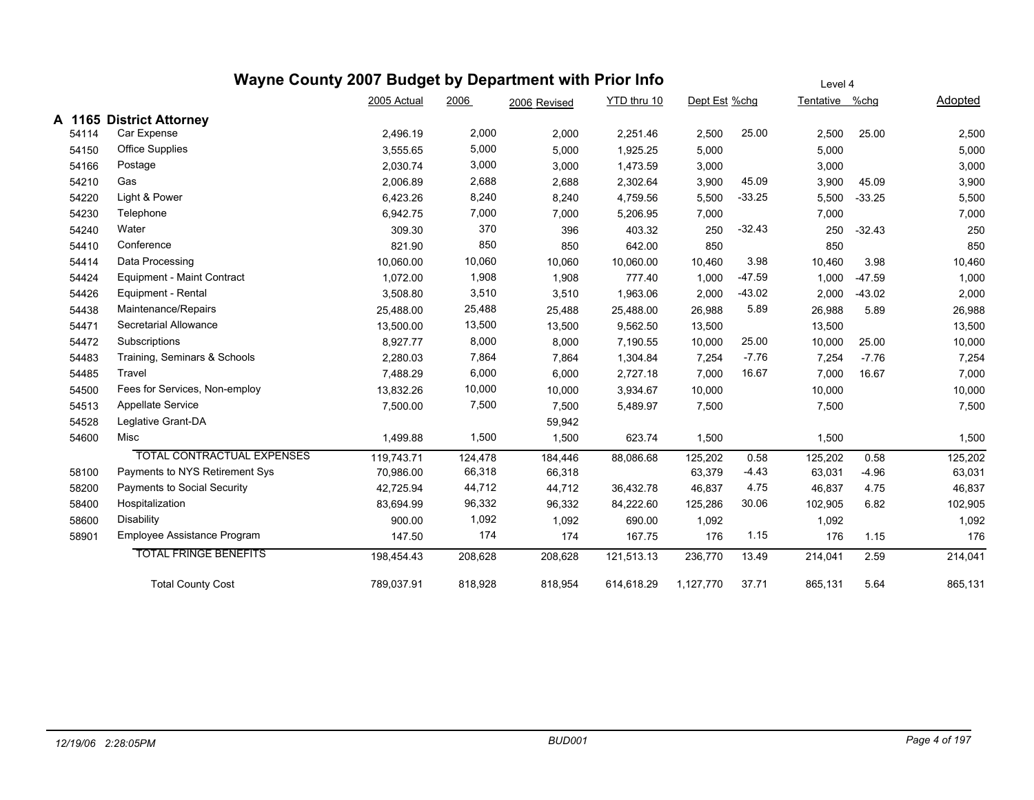|        | Wayne County 2007 Budget by Department with Prior Info |             |         | Level 4      |             |               |          |                |          |         |
|--------|--------------------------------------------------------|-------------|---------|--------------|-------------|---------------|----------|----------------|----------|---------|
|        |                                                        | 2005 Actual | 2006    | 2006 Revised | YTD thru 10 | Dept Est %chg |          | Tentative %chg |          | Adopted |
| A 1165 | <b>District Attorney</b>                               |             |         |              |             |               |          |                |          |         |
| 54114  | Car Expense                                            | 2,496.19    | 2,000   | 2,000        | 2,251.46    | 2,500         | 25.00    | 2,500          | 25.00    | 2,500   |
| 54150  | <b>Office Supplies</b>                                 | 3,555.65    | 5,000   | 5,000        | 1,925.25    | 5,000         |          | 5,000          |          | 5,000   |
| 54166  | Postage                                                | 2,030.74    | 3,000   | 3,000        | 1,473.59    | 3,000         |          | 3,000          |          | 3,000   |
| 54210  | Gas                                                    | 2,006.89    | 2,688   | 2,688        | 2,302.64    | 3,900         | 45.09    | 3,900          | 45.09    | 3,900   |
| 54220  | Light & Power                                          | 6,423.26    | 8,240   | 8,240        | 4,759.56    | 5,500         | $-33.25$ | 5,500          | $-33.25$ | 5,500   |
| 54230  | Telephone                                              | 6,942.75    | 7,000   | 7,000        | 5,206.95    | 7,000         |          | 7,000          |          | 7,000   |
| 54240  | Water                                                  | 309.30      | 370     | 396          | 403.32      | 250           | $-32.43$ | 250            | $-32.43$ | 250     |
| 54410  | Conference                                             | 821.90      | 850     | 850          | 642.00      | 850           |          | 850            |          | 850     |
| 54414  | Data Processing                                        | 10,060.00   | 10,060  | 10,060       | 10,060.00   | 10,460        | 3.98     | 10,460         | 3.98     | 10,460  |
| 54424  | Equipment - Maint Contract                             | 1,072.00    | 1,908   | 1,908        | 777.40      | 1,000         | $-47.59$ | 1,000          | $-47.59$ | 1,000   |
| 54426  | Equipment - Rental                                     | 3,508.80    | 3,510   | 3,510        | 1,963.06    | 2,000         | $-43.02$ | 2,000          | $-43.02$ | 2,000   |
| 54438  | Maintenance/Repairs                                    | 25,488.00   | 25,488  | 25,488       | 25,488.00   | 26,988        | 5.89     | 26,988         | 5.89     | 26,988  |
| 54471  | Secretarial Allowance                                  | 13,500.00   | 13,500  | 13,500       | 9,562.50    | 13,500        |          | 13,500         |          | 13,500  |
| 54472  | Subscriptions                                          | 8,927.77    | 8,000   | 8,000        | 7,190.55    | 10,000        | 25.00    | 10,000         | 25.00    | 10,000  |
| 54483  | Training, Seminars & Schools                           | 2,280.03    | 7,864   | 7,864        | 1,304.84    | 7,254         | $-7.76$  | 7,254          | $-7.76$  | 7,254   |
| 54485  | Travel                                                 | 7,488.29    | 6,000   | 6,000        | 2,727.18    | 7,000         | 16.67    | 7,000          | 16.67    | 7,000   |
| 54500  | Fees for Services, Non-employ                          | 13,832.26   | 10,000  | 10,000       | 3,934.67    | 10,000        |          | 10,000         |          | 10,000  |
| 54513  | Appellate Service                                      | 7,500.00    | 7,500   | 7,500        | 5,489.97    | 7,500         |          | 7,500          |          | 7,500   |
| 54528  | Leglative Grant-DA                                     |             |         | 59,942       |             |               |          |                |          |         |
| 54600  | Misc                                                   | 1,499.88    | 1,500   | 1,500        | 623.74      | 1,500         |          | 1,500          |          | 1,500   |
|        | <b>TOTAL CONTRACTUAL EXPENSES</b>                      | 119,743.71  | 124,478 | 184,446      | 88,086.68   | 125,202       | 0.58     | 125,202        | 0.58     | 125,202 |
| 58100  | Payments to NYS Retirement Sys                         | 70,986.00   | 66,318  | 66,318       |             | 63,379        | $-4.43$  | 63,031         | $-4.96$  | 63,031  |
| 58200  | Payments to Social Security                            | 42,725.94   | 44,712  | 44,712       | 36,432.78   | 46,837        | 4.75     | 46,837         | 4.75     | 46,837  |
| 58400  | Hospitalization                                        | 83,694.99   | 96,332  | 96,332       | 84,222.60   | 125,286       | 30.06    | 102,905        | 6.82     | 102,905 |
| 58600  | <b>Disability</b>                                      | 900.00      | 1,092   | 1,092        | 690.00      | 1,092         |          | 1,092          |          | 1,092   |
| 58901  | Employee Assistance Program                            | 147.50      | 174     | 174          | 167.75      | 176           | 1.15     | 176            | 1.15     | 176     |
|        | <b>TOTAL FRINGE BENEFITS</b>                           | 198,454.43  | 208,628 | 208,628      | 121,513.13  | 236,770       | 13.49    | 214,041        | 2.59     | 214,041 |
|        | <b>Total County Cost</b>                               | 789,037.91  | 818,928 | 818,954      | 614,618.29  | 1,127,770     | 37.71    | 865,131        | 5.64     | 865,131 |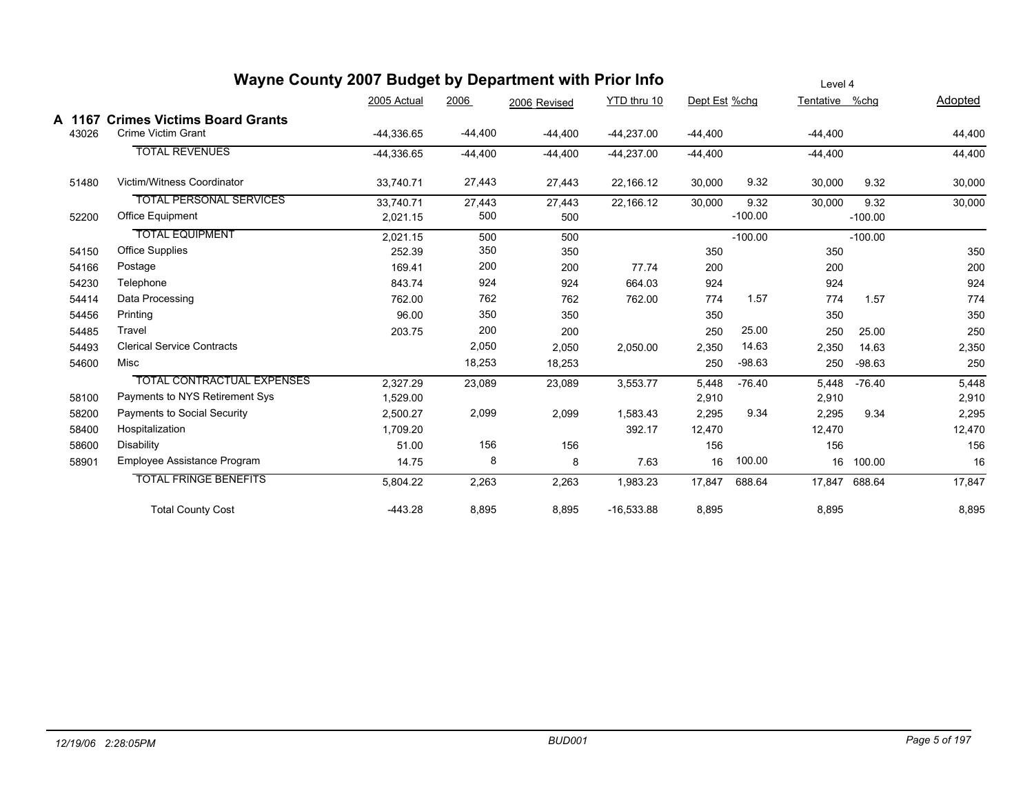|                 | wayne County 2007 Budget by Department with Prior info          |              |           |              |              |               |           | Level 4        |           |         |
|-----------------|-----------------------------------------------------------------|--------------|-----------|--------------|--------------|---------------|-----------|----------------|-----------|---------|
|                 |                                                                 | 2005 Actual  | 2006      | 2006 Revised | YTD thru 10  | Dept Est %chg |           | Tentative %chg |           | Adopted |
| A 1167<br>43026 | <b>Crimes Victims Board Grants</b><br><b>Crime Victim Grant</b> | $-44,336.65$ | $-44,400$ | $-44,400$    | $-44,237.00$ | $-44,400$     |           | $-44,400$      |           | 44,400  |
|                 | <b>TOTAL REVENUES</b>                                           | $-44.336.65$ | $-44,400$ | $-44,400$    | $-44,237.00$ | $-44,400$     |           | $-44.400$      |           | 44,400  |
| 51480           | Victim/Witness Coordinator                                      | 33,740.71    | 27,443    | 27,443       | 22,166.12    | 30,000        | 9.32      | 30,000         | 9.32      | 30,000  |
|                 | <b>TOTAL PERSONAL SERVICES</b>                                  | 33,740.71    | 27,443    | 27,443       | 22,166.12    | 30,000        | 9.32      | 30,000         | 9.32      | 30,000  |
| 52200           | <b>Office Equipment</b>                                         | 2,021.15     | 500       | 500          |              |               | $-100.00$ |                | $-100.00$ |         |
|                 | <b>TOTAL EQUIPMENT</b>                                          | 2,021.15     | 500       | 500          |              |               | $-100.00$ |                | $-100.00$ |         |
| 54150           | <b>Office Supplies</b>                                          | 252.39       | 350       | 350          |              | 350           |           | 350            |           | 350     |
| 54166           | Postage                                                         | 169.41       | 200       | 200          | 77.74        | 200           |           | 200            |           | 200     |
| 54230           | Telephone                                                       | 843.74       | 924       | 924          | 664.03       | 924           |           | 924            |           | 924     |
| 54414           | Data Processing                                                 | 762.00       | 762       | 762          | 762.00       | 774           | 1.57      | 774            | 1.57      | 774     |
| 54456           | Printing                                                        | 96.00        | 350       | 350          |              | 350           |           | 350            |           | 350     |
| 54485           | Travel                                                          | 203.75       | 200       | 200          |              | 250           | 25.00     | 250            | 25.00     | 250     |
| 54493           | <b>Clerical Service Contracts</b>                               |              | 2,050     | 2,050        | 2,050.00     | 2,350         | 14.63     | 2,350          | 14.63     | 2,350   |
| 54600           | Misc                                                            |              | 18,253    | 18,253       |              | 250           | $-98.63$  | 250            | $-98.63$  | 250     |
|                 | <b>TOTAL CONTRACTUAL EXPENSES</b>                               | 2,327.29     | 23,089    | 23,089       | 3,553.77     | 5,448         | $-76.40$  | 5,448          | $-76.40$  | 5,448   |
| 58100           | Payments to NYS Retirement Sys                                  | 1,529.00     |           |              |              | 2,910         |           | 2,910          |           | 2,910   |
| 58200           | Payments to Social Security                                     | 2,500.27     | 2,099     | 2,099        | 1,583.43     | 2,295         | 9.34      | 2,295          | 9.34      | 2,295   |
| 58400           | Hospitalization                                                 | 1,709.20     |           |              | 392.17       | 12,470        |           | 12,470         |           | 12,470  |
| 58600           | Disability                                                      | 51.00        | 156       | 156          |              | 156           |           | 156            |           | 156     |
| 58901           | Employee Assistance Program                                     | 14.75        | 8         | 8            | 7.63         | 16            | 100.00    | 16             | 100.00    | 16      |
|                 | <b>TOTAL FRINGE BENEFITS</b>                                    | 5,804.22     | 2,263     | 2,263        | 1,983.23     | 17,847        | 688.64    | 17.847         | 688.64    | 17,847  |
|                 | <b>Total County Cost</b>                                        | $-443.28$    | 8,895     | 8,895        | $-16,533.88$ | 8,895         |           | 8,895          |           | 8,895   |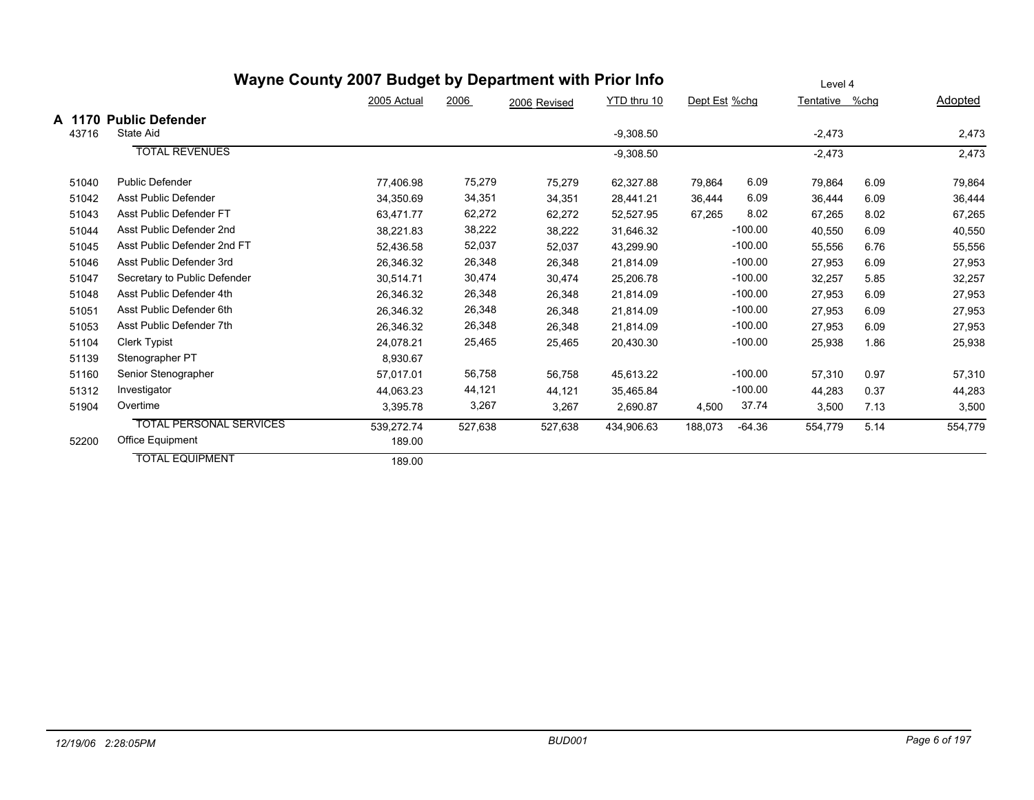|                 |                                     | Wayne County 2007 Budget by Department with Prior Info | Level 4 |              |             |               |           |                |      |                |
|-----------------|-------------------------------------|--------------------------------------------------------|---------|--------------|-------------|---------------|-----------|----------------|------|----------------|
|                 |                                     | 2005 Actual                                            | 2006    | 2006 Revised | YTD thru 10 | Dept Est %chg |           | Tentative %chg |      | <b>Adopted</b> |
| A 1170<br>43716 | <b>Public Defender</b><br>State Aid |                                                        |         |              | $-9,308.50$ |               |           | $-2,473$       |      | 2,473          |
|                 | <b>TOTAL REVENUES</b>               |                                                        |         |              | $-9,308.50$ |               |           | $-2,473$       |      | 2,473          |
| 51040           | <b>Public Defender</b>              | 77,406.98                                              | 75,279  | 75,279       | 62,327.88   | 79,864        | 6.09      | 79,864         | 6.09 | 79,864         |
| 51042           | Asst Public Defender                | 34,350.69                                              | 34,351  | 34,351       | 28,441.21   | 36,444        | 6.09      | 36,444         | 6.09 | 36,444         |
| 51043           | Asst Public Defender FT             | 63,471.77                                              | 62,272  | 62,272       | 52,527.95   | 67,265        | 8.02      | 67,265         | 8.02 | 67,265         |
| 51044           | Asst Public Defender 2nd            | 38.221.83                                              | 38,222  | 38,222       | 31,646.32   |               | $-100.00$ | 40,550         | 6.09 | 40,550         |
| 51045           | Asst Public Defender 2nd FT         | 52,436.58                                              | 52,037  | 52,037       | 43,299.90   |               | $-100.00$ | 55,556         | 6.76 | 55,556         |
| 51046           | Asst Public Defender 3rd            | 26,346.32                                              | 26,348  | 26,348       | 21,814.09   |               | $-100.00$ | 27,953         | 6.09 | 27,953         |
| 51047           | Secretary to Public Defender        | 30,514.71                                              | 30,474  | 30,474       | 25,206.78   |               | $-100.00$ | 32,257         | 5.85 | 32,257         |
| 51048           | Asst Public Defender 4th            | 26,346.32                                              | 26,348  | 26,348       | 21,814.09   |               | $-100.00$ | 27,953         | 6.09 | 27,953         |
| 51051           | Asst Public Defender 6th            | 26,346.32                                              | 26,348  | 26,348       | 21,814.09   |               | $-100.00$ | 27,953         | 6.09 | 27,953         |
| 51053           | Asst Public Defender 7th            | 26,346.32                                              | 26,348  | 26,348       | 21,814.09   |               | $-100.00$ | 27,953         | 6.09 | 27,953         |
| 51104           | <b>Clerk Typist</b>                 | 24,078.21                                              | 25,465  | 25,465       | 20,430.30   |               | $-100.00$ | 25,938         | 1.86 | 25,938         |
| 51139           | Stenographer PT                     | 8,930.67                                               |         |              |             |               |           |                |      |                |
| 51160           | Senior Stenographer                 | 57.017.01                                              | 56,758  | 56,758       | 45,613.22   |               | $-100.00$ | 57,310         | 0.97 | 57,310         |
| 51312           | Investigator                        | 44,063.23                                              | 44,121  | 44,121       | 35,465.84   |               | $-100.00$ | 44,283         | 0.37 | 44,283         |
| 51904           | Overtime                            | 3,395.78                                               | 3,267   | 3,267        | 2,690.87    | 4,500         | 37.74     | 3,500          | 7.13 | 3,500          |
|                 | <b>TOTAL PERSONAL SERVICES</b>      | 539,272.74                                             | 527,638 | 527,638      | 434,906.63  | 188,073       | $-64.36$  | 554,779        | 5.14 | 554,779        |
| 52200           | <b>Office Equipment</b>             | 189.00                                                 |         |              |             |               |           |                |      |                |
|                 | <b>TOTAL EQUIPMENT</b>              | 189.00                                                 |         |              |             |               |           |                |      |                |

#### *12/19/06 2:28:05PM BUD001 Page 6 of 197*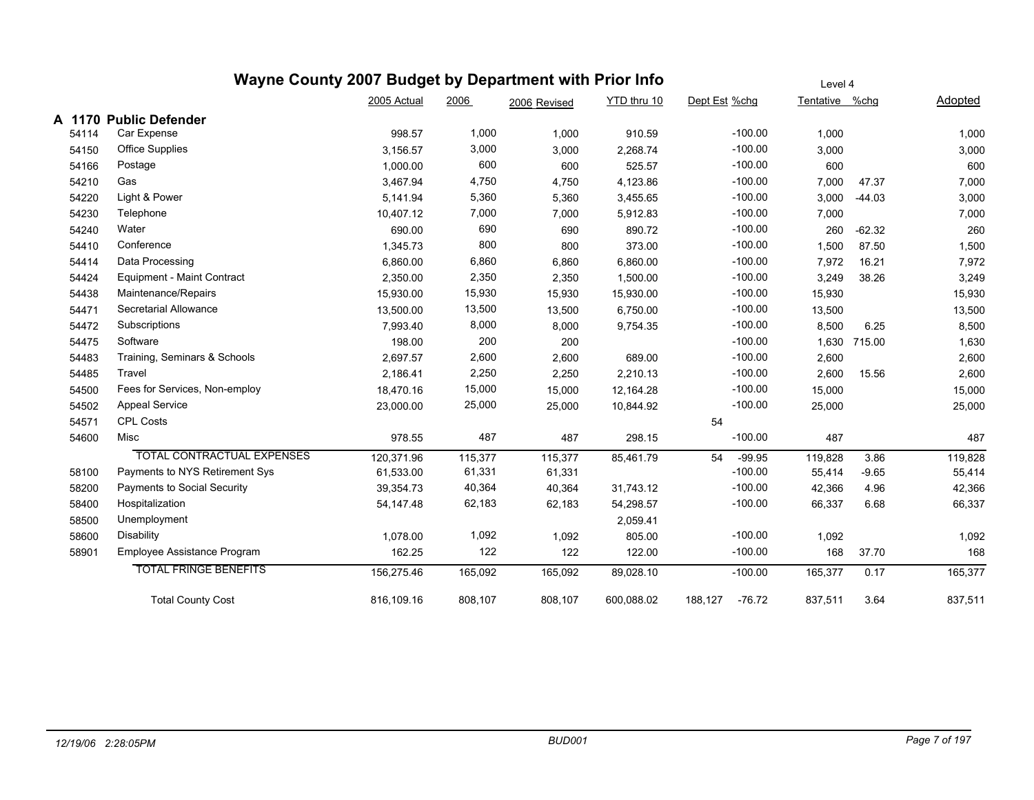|       | Wayne County 2007 Budget by Department with Prior Info |             |         |              | Level 4     |                     |                |              |         |
|-------|--------------------------------------------------------|-------------|---------|--------------|-------------|---------------------|----------------|--------------|---------|
|       |                                                        | 2005 Actual | 2006    | 2006 Revised | YTD thru 10 | Dept Est %chg       | Tentative %chg |              | Adopted |
|       | A 1170 Public Defender                                 |             |         |              |             |                     |                |              |         |
| 54114 | Car Expense                                            | 998.57      | 1,000   | 1,000        | 910.59      | $-100.00$           | 1,000          |              | 1,000   |
| 54150 | <b>Office Supplies</b>                                 | 3,156.57    | 3,000   | 3,000        | 2,268.74    | $-100.00$           | 3,000          |              | 3,000   |
| 54166 | Postage                                                | 1,000.00    | 600     | 600          | 525.57      | $-100.00$           | 600            |              | 600     |
| 54210 | Gas                                                    | 3,467.94    | 4,750   | 4,750        | 4,123.86    | $-100.00$           | 7,000          | 47.37        | 7,000   |
| 54220 | Light & Power                                          | 5,141.94    | 5,360   | 5,360        | 3,455.65    | $-100.00$           | 3,000          | $-44.03$     | 3,000   |
| 54230 | Telephone                                              | 10,407.12   | 7,000   | 7,000        | 5,912.83    | $-100.00$           | 7,000          |              | 7,000   |
| 54240 | Water                                                  | 690.00      | 690     | 690          | 890.72      | $-100.00$           | 260            | $-62.32$     | 260     |
| 54410 | Conference                                             | 1,345.73    | 800     | 800          | 373.00      | $-100.00$           | 1,500          | 87.50        | 1,500   |
| 54414 | Data Processing                                        | 6,860.00    | 6,860   | 6,860        | 6,860.00    | $-100.00$           | 7,972          | 16.21        | 7,972   |
| 54424 | Equipment - Maint Contract                             | 2,350.00    | 2,350   | 2,350        | 1,500.00    | $-100.00$           | 3,249          | 38.26        | 3,249   |
| 54438 | Maintenance/Repairs                                    | 15,930.00   | 15,930  | 15,930       | 15,930.00   | $-100.00$           | 15,930         |              | 15,930  |
| 54471 | Secretarial Allowance                                  | 13,500.00   | 13,500  | 13,500       | 6,750.00    | $-100.00$           | 13,500         |              | 13,500  |
| 54472 | Subscriptions                                          | 7,993.40    | 8,000   | 8,000        | 9,754.35    | $-100.00$           | 8,500          | 6.25         | 8,500   |
| 54475 | Software                                               | 198.00      | 200     | 200          |             | $-100.00$           |                | 1,630 715.00 | 1,630   |
| 54483 | Training, Seminars & Schools                           | 2,697.57    | 2,600   | 2,600        | 689.00      | $-100.00$           | 2,600          |              | 2,600   |
| 54485 | Travel                                                 | 2,186.41    | 2,250   | 2,250        | 2,210.13    | $-100.00$           | 2,600          | 15.56        | 2,600   |
| 54500 | Fees for Services, Non-employ                          | 18,470.16   | 15,000  | 15,000       | 12,164.28   | $-100.00$           | 15,000         |              | 15,000  |
| 54502 | <b>Appeal Service</b>                                  | 23,000.00   | 25,000  | 25,000       | 10,844.92   | $-100.00$           | 25,000         |              | 25,000  |
| 54571 | <b>CPL Costs</b>                                       |             |         |              |             | 54                  |                |              |         |
| 54600 | Misc                                                   | 978.55      | 487     | 487          | 298.15      | $-100.00$           | 487            |              | 487     |
|       | <b>TOTAL CONTRACTUAL EXPENSES</b>                      | 120,371.96  | 115,377 | 115,377      | 85,461.79   | $-99.95$<br>54      | 119,828        | 3.86         | 119,828 |
| 58100 | Payments to NYS Retirement Sys                         | 61,533.00   | 61,331  | 61,331       |             | $-100.00$           | 55,414         | $-9.65$      | 55,414  |
| 58200 | Payments to Social Security                            | 39,354.73   | 40,364  | 40,364       | 31,743.12   | $-100.00$           | 42,366         | 4.96         | 42,366  |
| 58400 | Hospitalization                                        | 54, 147. 48 | 62,183  | 62,183       | 54,298.57   | $-100.00$           | 66,337         | 6.68         | 66,337  |
| 58500 | Unemployment                                           |             |         |              | 2,059.41    |                     |                |              |         |
| 58600 | Disability                                             | 1,078.00    | 1,092   | 1,092        | 805.00      | $-100.00$           | 1,092          |              | 1,092   |
| 58901 | Employee Assistance Program                            | 162.25      | 122     | 122          | 122.00      | $-100.00$           | 168            | 37.70        | 168     |
|       | <b>TOTAL FRINGE BENEFITS</b>                           | 156,275.46  | 165,092 | 165,092      | 89,028.10   | $-100.00$           | 165,377        | 0.17         | 165,377 |
|       | <b>Total County Cost</b>                               | 816,109.16  | 808,107 | 808,107      | 600,088.02  | 188,127<br>$-76.72$ | 837,511        | 3.64         | 837,511 |
|       |                                                        |             |         |              |             |                     |                |              |         |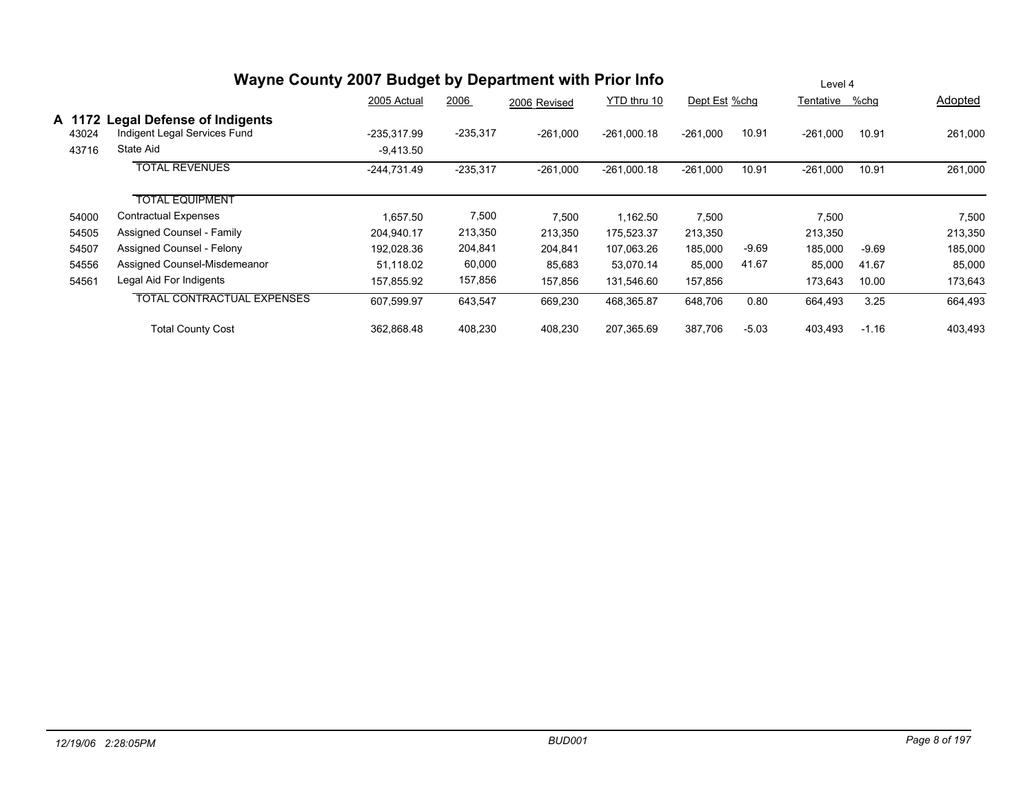|                          |                                                                                | Wayne County 2007 Budget by Department with Prior Info |            |              |               |               | Level 4 |                |         |         |  |
|--------------------------|--------------------------------------------------------------------------------|--------------------------------------------------------|------------|--------------|---------------|---------------|---------|----------------|---------|---------|--|
|                          |                                                                                | 2005 Actual                                            | 2006       | 2006 Revised | YTD thru 10   | Dept Est %chg |         | Tentative %chg |         | Adopted |  |
| A 1172<br>43024<br>43716 | <b>Legal Defense of Indigents</b><br>Indigent Legal Services Fund<br>State Aid | -235,317.99<br>$-9,413.50$                             | $-235,317$ | $-261,000$   | $-261,000.18$ | $-261,000$    | 10.91   | $-261,000$     | 10.91   | 261,000 |  |
|                          | <b>TOTAL REVENUES</b>                                                          | -244,731.49                                            | $-235,317$ | $-261,000$   | $-261,000.18$ | $-261,000$    | 10.91   | $-261,000$     | 10.91   | 261,000 |  |
|                          | <b>TOTAL EQUIPMENT</b>                                                         |                                                        |            |              |               |               |         |                |         |         |  |
| 54000                    | Contractual Expenses                                                           | 1,657.50                                               | 7,500      | 7,500        | 1,162.50      | 7,500         |         | 7,500          |         | 7,500   |  |
| 54505                    | Assigned Counsel - Family                                                      | 204,940.17                                             | 213,350    | 213,350      | 175,523.37    | 213,350       |         | 213,350        |         | 213,350 |  |
| 54507                    | Assigned Counsel - Felony                                                      | 192,028.36                                             | 204,841    | 204,841      | 107,063.26    | 185,000       | $-9.69$ | 185,000        | $-9.69$ | 185,000 |  |
| 54556                    | Assigned Counsel-Misdemeanor                                                   | 51,118.02                                              | 60,000     | 85,683       | 53,070.14     | 85,000        | 41.67   | 85,000         | 41.67   | 85,000  |  |
| 54561                    | Legal Aid For Indigents                                                        | 157,855.92                                             | 157,856    | 157,856      | 131,546.60    | 157,856       |         | 173,643        | 10.00   | 173,643 |  |
|                          | <b>TOTAL CONTRACTUAL EXPENSES</b>                                              | 607,599.97                                             | 643,547    | 669,230      | 468,365.87    | 648,706       | 0.80    | 664,493        | 3.25    | 664,493 |  |
|                          | <b>Total County Cost</b>                                                       | 362,868.48                                             | 408,230    | 408,230      | 207,365.69    | 387,706       | $-5.03$ | 403,493        | $-1.16$ | 403,493 |  |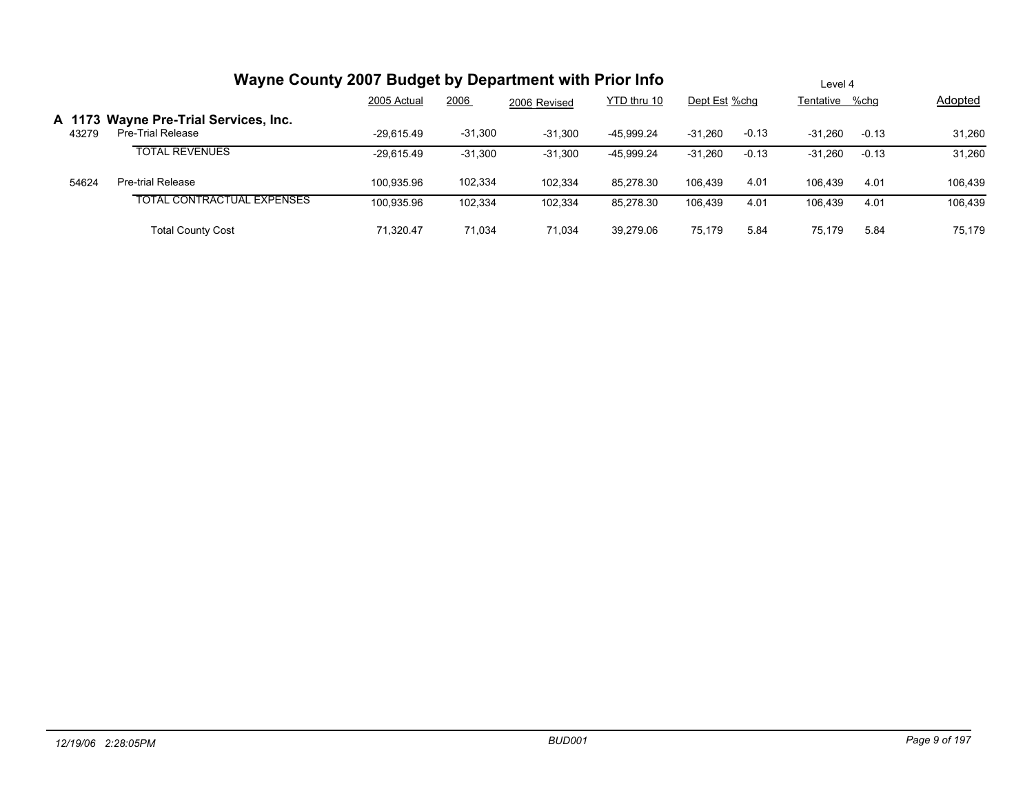|       | Wayne County 2007 Budget by Department with Prior Info     | Level 4      |           |              |             |               |         |                |         |                |
|-------|------------------------------------------------------------|--------------|-----------|--------------|-------------|---------------|---------|----------------|---------|----------------|
| 43279 |                                                            | 2005 Actual  | 2006      | 2006 Revised | YTD thru 10 | Dept Est %chg |         | Tentative %chg |         | <b>Adopted</b> |
|       | A 1173 Wayne Pre-Trial Services, Inc.<br>Pre-Trial Release | $-29.615.49$ | $-31,300$ | $-31,300$    | -45.999.24  | $-31,260$     | $-0.13$ | $-31.260$      | $-0.13$ | 31,260         |
|       | <b>TOTAL REVENUES</b>                                      | $-29.615.49$ | $-31,300$ | $-31,300$    | -45.999.24  | $-31,260$     | $-0.13$ | $-31.260$      | $-0.13$ | 31,260         |
| 54624 | Pre-trial Release                                          | 100.935.96   | 102,334   | 102.334      | 85.278.30   | 106.439       | 4.01    | 106.439        | 4.01    | 106.439        |
|       | <b>TOTAL CONTRACTUAL EXPENSES</b>                          | 100,935.96   | 102.334   | 102,334      | 85,278.30   | 106.439       | 4.01    | 106.439        | 4.01    | 106,439        |
|       | <b>Total County Cost</b>                                   | 71.320.47    | 71.034    | 71.034       | 39.279.06   | 75.179        | 5.84    | 75.179         | 5.84    | 75,179         |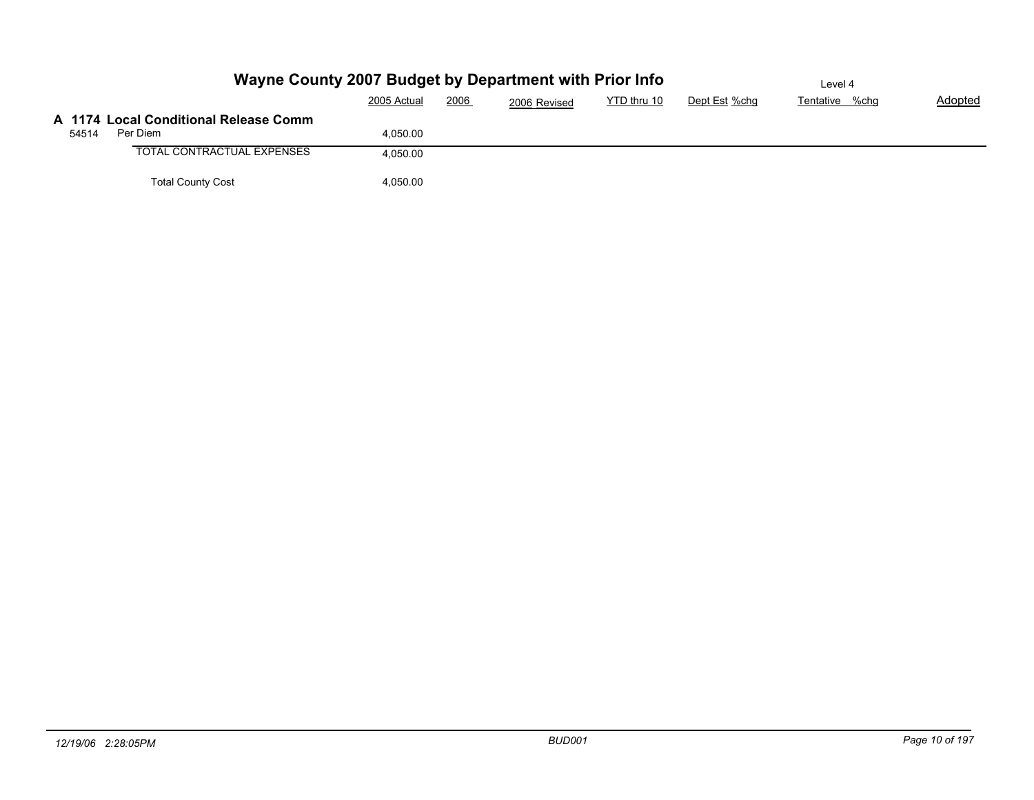|       | Wayne County 2007 Budget by Department with Prior Info |             |      |              |             |               | Level 4        |         |
|-------|--------------------------------------------------------|-------------|------|--------------|-------------|---------------|----------------|---------|
|       |                                                        | 2005 Actual | 2006 | 2006 Revised | YTD thru 10 | Dept Est %chg | Tentative %chg | Adopted |
|       | A 1174 Local Conditional Release Comm                  |             |      |              |             |               |                |         |
| 54514 | Per Diem                                               | 4.050.00    |      |              |             |               |                |         |
|       | TOTAL CONTRACTUAL EXPENSES                             | 4,050.00    |      |              |             |               |                |         |
|       | <b>Total County Cost</b>                               | 4,050.00    |      |              |             |               |                |         |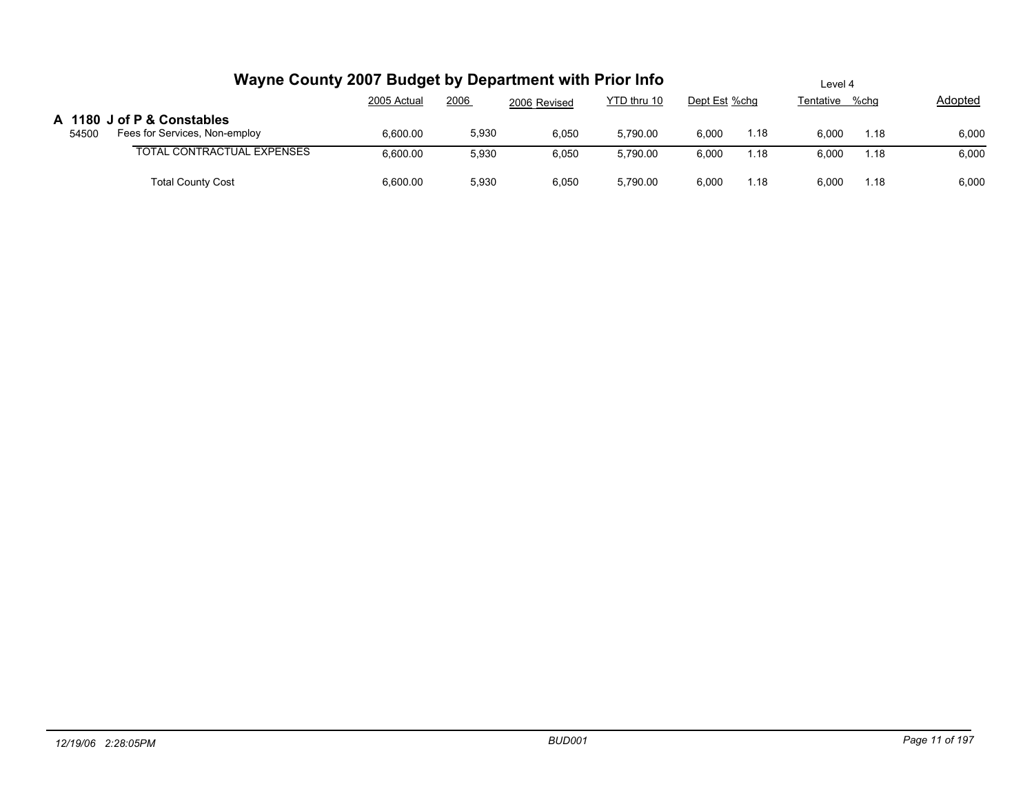|       | Wayne County 2007 Budget by Department with Prior Info      | Level 4     |       |              |             |               |      |           |      |         |
|-------|-------------------------------------------------------------|-------------|-------|--------------|-------------|---------------|------|-----------|------|---------|
|       |                                                             | 2005 Actual | 2006  | 2006 Revised | YTD thru 10 | Dept Est %chg |      | Tentative | %chq | Adopted |
| 54500 | A 1180 J of P & Constables<br>Fees for Services, Non-employ | 6,600.00    | 5,930 | 6,050        | 5,790.00    | 6,000         | 1.18 | 6,000     | 1.18 | 6,000   |
|       | <b>TOTAL CONTRACTUAL EXPENSES</b>                           | 6,600.00    | 5,930 | 6,050        | 5,790.00    | 6,000         | 1.18 | 6.000     | 1.18 | 6,000   |
|       | <b>Total County Cost</b>                                    | 6,600.00    | 5,930 | 6,050        | 5.790.00    | 6,000         | 1.18 | 6.000     | 1.18 | 6,000   |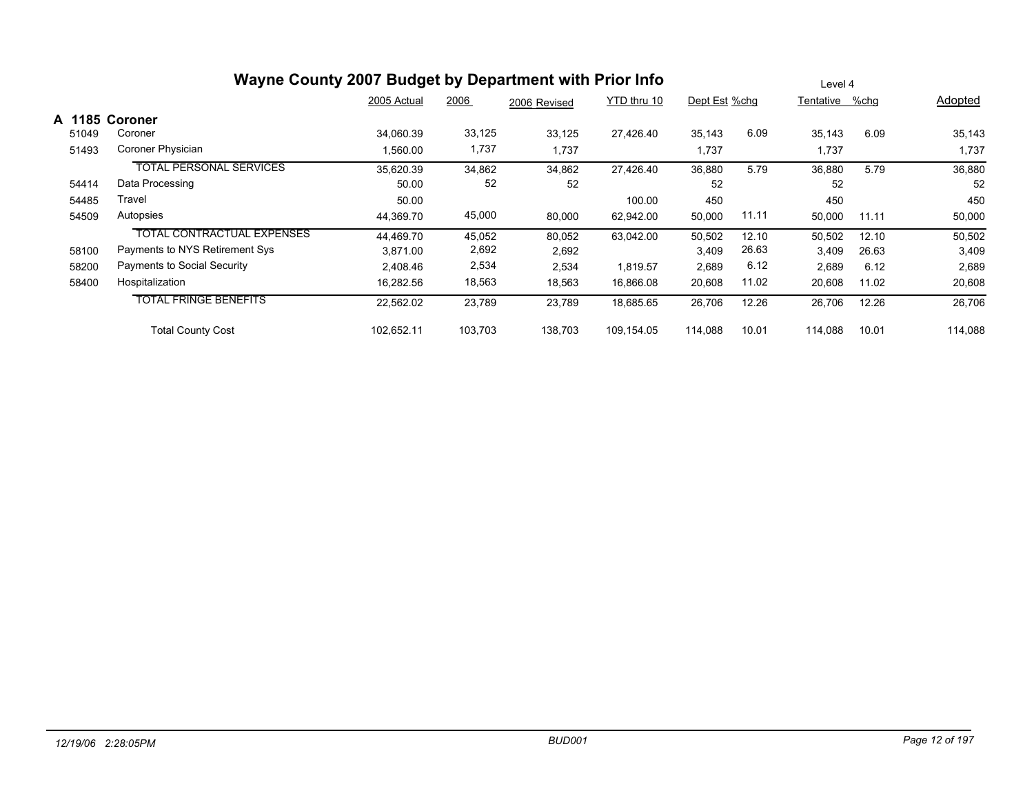|        | Wayne County 2007 Budget by Department with Prior Info |             |         |              |             | Level 4       |       |                |       |         |  |
|--------|--------------------------------------------------------|-------------|---------|--------------|-------------|---------------|-------|----------------|-------|---------|--|
|        |                                                        | 2005 Actual | 2006    | 2006 Revised | YTD thru 10 | Dept Est %chg |       | Tentative %chg |       | Adopted |  |
| A 1185 | Coroner                                                |             |         |              |             |               |       |                |       |         |  |
| 51049  | Coroner                                                | 34,060.39   | 33,125  | 33,125       | 27,426.40   | 35,143        | 6.09  | 35,143         | 6.09  | 35,143  |  |
| 51493  | Coroner Physician                                      | 1,560.00    | 1,737   | 1,737        |             | 1,737         |       | 1,737          |       | 1,737   |  |
|        | <b>TOTAL PERSONAL SERVICES</b>                         | 35,620.39   | 34,862  | 34,862       | 27,426.40   | 36,880        | 5.79  | 36,880         | 5.79  | 36,880  |  |
| 54414  | Data Processing                                        | 50.00       | 52      | 52           |             | 52            |       | 52             |       | 52      |  |
| 54485  | Travel                                                 | 50.00       |         |              | 100.00      | 450           |       | 450            |       | 450     |  |
| 54509  | Autopsies                                              | 44,369.70   | 45,000  | 80,000       | 62,942.00   | 50,000        | 11.11 | 50,000         | 11.11 | 50,000  |  |
|        | <b>TOTAL CONTRACTUAL EXPENSES</b>                      | 44,469.70   | 45,052  | 80,052       | 63,042.00   | 50,502        | 12.10 | 50,502         | 12.10 | 50,502  |  |
| 58100  | Payments to NYS Retirement Sys                         | 3,871.00    | 2,692   | 2,692        |             | 3,409         | 26.63 | 3,409          | 26.63 | 3,409   |  |
| 58200  | Payments to Social Security                            | 2,408.46    | 2,534   | 2,534        | 1,819.57    | 2,689         | 6.12  | 2,689          | 6.12  | 2,689   |  |
| 58400  | Hospitalization                                        | 16,282.56   | 18,563  | 18,563       | 16,866.08   | 20,608        | 11.02 | 20,608         | 11.02 | 20,608  |  |
|        | <b>TOTAL FRINGE BENEFITS</b>                           | 22,562.02   | 23,789  | 23,789       | 18,685.65   | 26,706        | 12.26 | 26,706         | 12.26 | 26,706  |  |
|        | <b>Total County Cost</b>                               | 102,652.11  | 103,703 | 138,703      | 109,154.05  | 114,088       | 10.01 | 114,088        | 10.01 | 114,088 |  |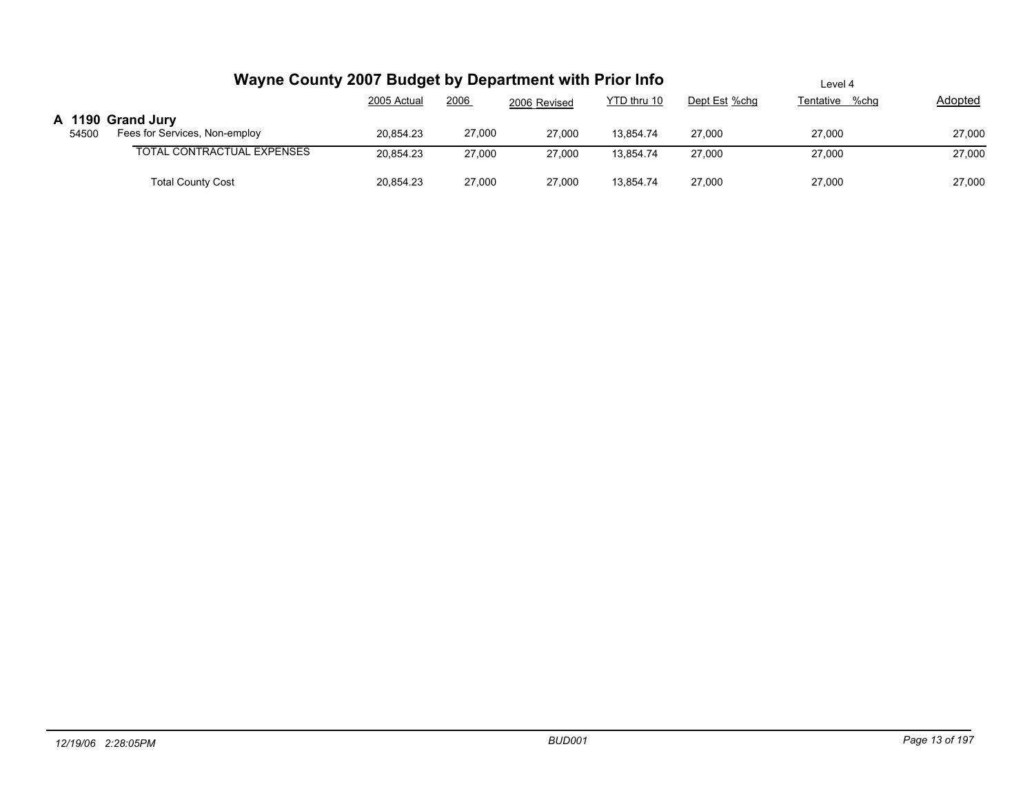|       | Wayne County 2007 Budget by Department with Prior Info |             |        |              |             | Level 4       |                |         |  |  |
|-------|--------------------------------------------------------|-------------|--------|--------------|-------------|---------------|----------------|---------|--|--|
|       |                                                        | 2005 Actual | 2006   | 2006 Revised | YTD thru 10 | Dept Est %chg | Tentative %chg | Adopted |  |  |
| 54500 | A 1190 Grand Jury<br>Fees for Services, Non-employ     | 20.854.23   | 27,000 | 27,000       | 13.854.74   | 27,000        | 27,000         | 27,000  |  |  |
|       | <b>TOTAL CONTRACTUAL EXPENSES</b>                      | 20,854.23   | 27,000 | 27,000       | 13.854.74   | 27,000        | 27,000         | 27,000  |  |  |
|       | <b>Total County Cost</b>                               | 20,854.23   | 27,000 | 27,000       | 13.854.74   | 27,000        | 27,000         | 27,000  |  |  |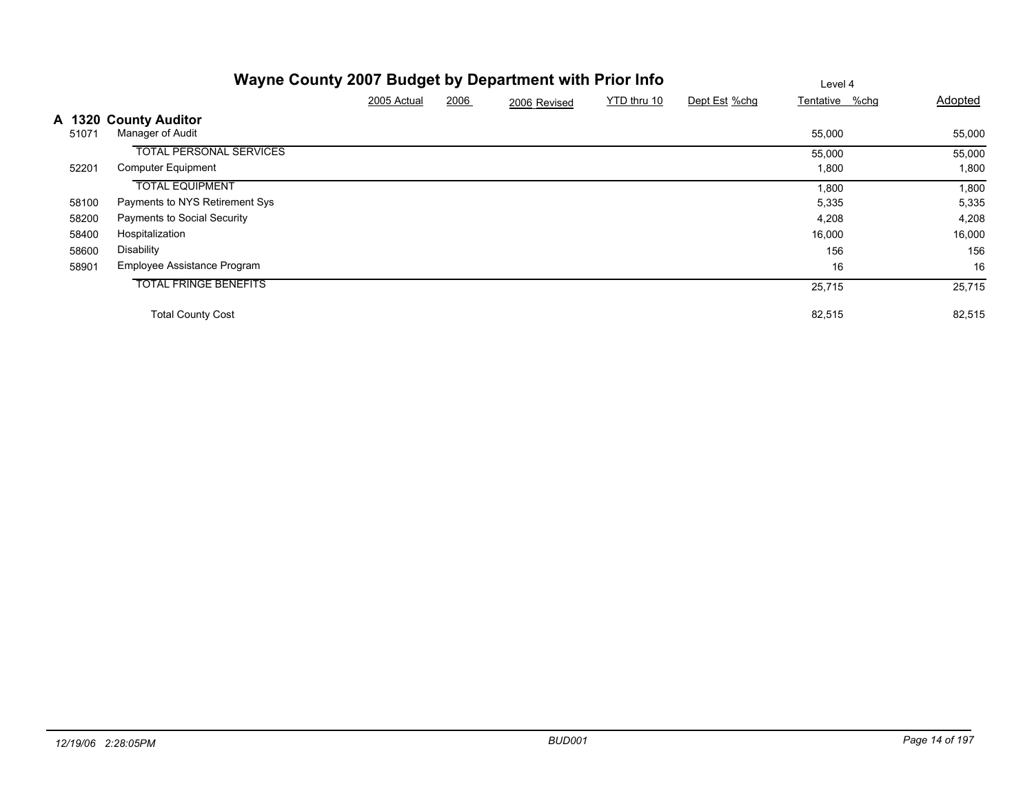|       | Wayne County 2007 Budget by Department with Prior Info | Level 4     |      |              |             |               |                |         |
|-------|--------------------------------------------------------|-------------|------|--------------|-------------|---------------|----------------|---------|
|       |                                                        | 2005 Actual | 2006 | 2006 Revised | YTD thru 10 | Dept Est %chg | Tentative %chg | Adopted |
| 51071 | A 1320 County Auditor<br>Manager of Audit              |             |      |              |             |               | 55,000         | 55,000  |
|       | <b>TOTAL PERSONAL SERVICES</b>                         |             |      |              |             |               | 55,000         | 55,000  |
| 52201 | <b>Computer Equipment</b>                              |             |      |              |             |               | 1,800          | 1,800   |
|       | <b>TOTAL EQUIPMENT</b>                                 |             |      |              |             |               | 1,800          | 1,800   |
| 58100 | Payments to NYS Retirement Sys                         |             |      |              |             |               | 5,335          | 5,335   |
| 58200 | Payments to Social Security                            |             |      |              |             |               | 4,208          | 4,208   |
| 58400 | Hospitalization                                        |             |      |              |             |               | 16,000         | 16,000  |
| 58600 | Disability                                             |             |      |              |             |               | 156            | 156     |
| 58901 | Employee Assistance Program                            |             |      |              |             |               | 16             | 16      |
|       | <b>TOTAL FRINGE BENEFITS</b>                           |             |      |              |             |               | 25,715         | 25,715  |
|       | <b>Total County Cost</b>                               |             |      |              |             |               | 82,515         | 82,515  |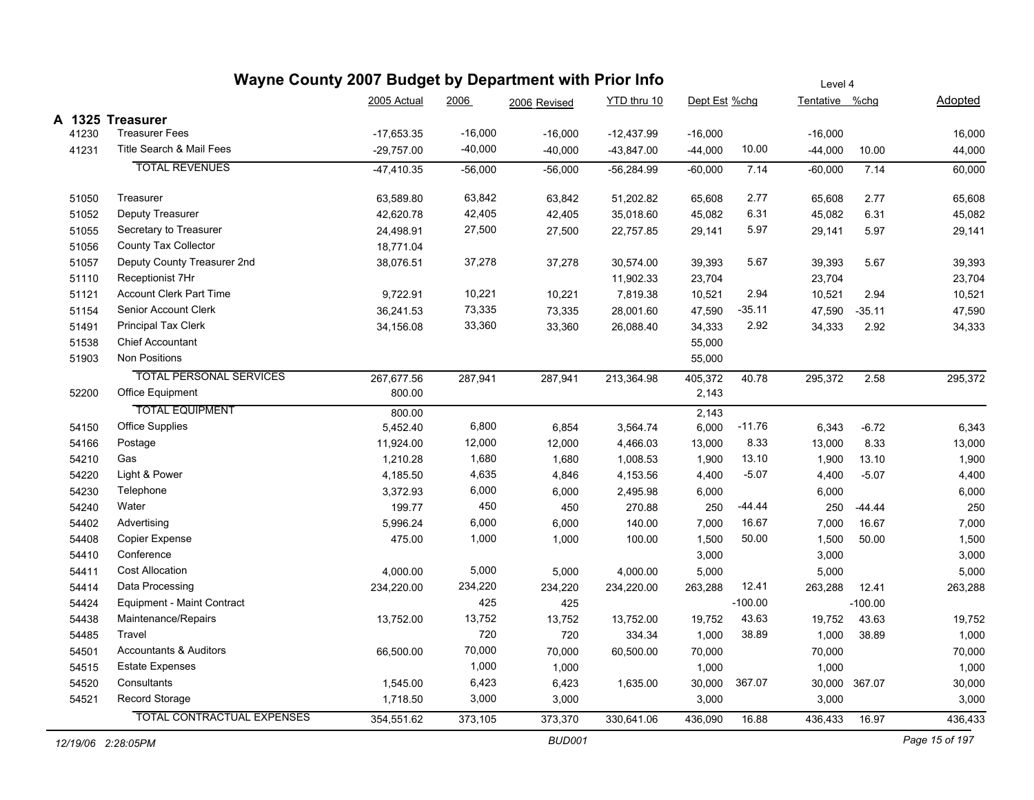|       |                                   | Wayne County 2007 Budget by Department with Prior Info |           |              |              |               |           |                | Level 4       |         |  |  |  |  |
|-------|-----------------------------------|--------------------------------------------------------|-----------|--------------|--------------|---------------|-----------|----------------|---------------|---------|--|--|--|--|
|       |                                   | 2005 Actual                                            | 2006      | 2006 Revised | YTD thru 10  | Dept Est %chg |           | Tentative %chg |               | Adopted |  |  |  |  |
|       | A 1325 Treasurer                  |                                                        |           |              |              |               |           |                |               |         |  |  |  |  |
| 41230 | <b>Treasurer Fees</b>             | $-17,653.35$                                           | $-16,000$ | $-16,000$    | $-12,437.99$ | $-16,000$     |           | $-16,000$      |               | 16,000  |  |  |  |  |
| 41231 | Title Search & Mail Fees          | $-29,757.00$                                           | $-40,000$ | $-40,000$    | $-43,847.00$ | -44,000       | 10.00     | $-44,000$      | 10.00         | 44,000  |  |  |  |  |
|       | <b>TOTAL REVENUES</b>             | -47,410.35                                             | $-56,000$ | $-56,000$    | $-56,284.99$ | $-60,000$     | 7.14      | $-60,000$      | 7.14          | 60,000  |  |  |  |  |
| 51050 | Treasurer                         | 63,589.80                                              | 63,842    | 63,842       | 51,202.82    | 65,608        | 2.77      | 65,608         | 2.77          | 65,608  |  |  |  |  |
| 51052 | Deputy Treasurer                  | 42,620.78                                              | 42,405    | 42,405       | 35,018.60    | 45,082        | 6.31      | 45,082         | 6.31          | 45,082  |  |  |  |  |
| 51055 | Secretary to Treasurer            | 24,498.91                                              | 27,500    | 27,500       | 22,757.85    | 29,141        | 5.97      | 29,141         | 5.97          | 29,141  |  |  |  |  |
| 51056 | County Tax Collector              | 18,771.04                                              |           |              |              |               |           |                |               |         |  |  |  |  |
| 51057 | Deputy County Treasurer 2nd       | 38,076.51                                              | 37,278    | 37,278       | 30,574.00    | 39,393        | 5.67      | 39,393         | 5.67          | 39,393  |  |  |  |  |
| 51110 | Receptionist 7Hr                  |                                                        |           |              | 11,902.33    | 23,704        |           | 23,704         |               | 23,704  |  |  |  |  |
| 51121 | <b>Account Clerk Part Time</b>    | 9,722.91                                               | 10,221    | 10,221       | 7,819.38     | 10,521        | 2.94      | 10,521         | 2.94          | 10,521  |  |  |  |  |
| 51154 | Senior Account Clerk              | 36,241.53                                              | 73,335    | 73,335       | 28,001.60    | 47,590        | $-35.11$  | 47,590         | $-35.11$      | 47,590  |  |  |  |  |
| 51491 | <b>Principal Tax Clerk</b>        | 34,156.08                                              | 33,360    | 33,360       | 26,088.40    | 34,333        | 2.92      | 34,333         | 2.92          | 34,333  |  |  |  |  |
| 51538 | <b>Chief Accountant</b>           |                                                        |           |              |              | 55,000        |           |                |               |         |  |  |  |  |
| 51903 | <b>Non Positions</b>              |                                                        |           |              |              | 55,000        |           |                |               |         |  |  |  |  |
|       | <b>TOTAL PERSONAL SERVICES</b>    | 267,677.56                                             | 287,941   | 287,941      | 213,364.98   | 405,372       | 40.78     | 295,372        | 2.58          | 295,372 |  |  |  |  |
| 52200 | Office Equipment                  | 800.00                                                 |           |              |              | 2,143         |           |                |               |         |  |  |  |  |
|       | <b>TOTAL EQUIPMENT</b>            | 800.00                                                 |           |              |              | 2,143         |           |                |               |         |  |  |  |  |
| 54150 | <b>Office Supplies</b>            | 5,452.40                                               | 6,800     | 6,854        | 3,564.74     | 6,000         | $-11.76$  | 6,343          | $-6.72$       | 6,343   |  |  |  |  |
| 54166 | Postage                           | 11,924.00                                              | 12,000    | 12,000       | 4,466.03     | 13,000        | 8.33      | 13,000         | 8.33          | 13,000  |  |  |  |  |
| 54210 | Gas                               | 1,210.28                                               | 1,680     | 1,680        | 1,008.53     | 1,900         | 13.10     | 1,900          | 13.10         | 1,900   |  |  |  |  |
| 54220 | Light & Power                     | 4,185.50                                               | 4,635     | 4,846        | 4,153.56     | 4,400         | $-5.07$   | 4,400          | $-5.07$       | 4,400   |  |  |  |  |
| 54230 | Telephone                         | 3,372.93                                               | 6,000     | 6,000        | 2,495.98     | 6,000         |           | 6,000          |               | 6,000   |  |  |  |  |
| 54240 | Water                             | 199.77                                                 | 450       | 450          | 270.88       | 250           | -44.44    | 250            | $-44.44$      | 250     |  |  |  |  |
| 54402 | Advertising                       | 5,996.24                                               | 6,000     | 6,000        | 140.00       | 7,000         | 16.67     | 7,000          | 16.67         | 7,000   |  |  |  |  |
| 54408 | Copier Expense                    | 475.00                                                 | 1,000     | 1,000        | 100.00       | 1,500         | 50.00     | 1,500          | 50.00         | 1,500   |  |  |  |  |
| 54410 | Conference                        |                                                        |           |              |              | 3,000         |           | 3,000          |               | 3,000   |  |  |  |  |
| 54411 | <b>Cost Allocation</b>            | 4,000.00                                               | 5,000     | 5,000        | 4,000.00     | 5,000         |           | 5,000          |               | 5,000   |  |  |  |  |
| 54414 | Data Processing                   | 234,220.00                                             | 234,220   | 234,220      | 234,220.00   | 263,288       | 12.41     | 263,288        | 12.41         | 263,288 |  |  |  |  |
| 54424 | Equipment - Maint Contract        |                                                        | 425       | 425          |              |               | $-100.00$ |                | $-100.00$     |         |  |  |  |  |
| 54438 | Maintenance/Repairs               | 13,752.00                                              | 13,752    | 13,752       | 13,752.00    | 19,752        | 43.63     | 19,752         | 43.63         | 19,752  |  |  |  |  |
| 54485 | Travel                            |                                                        | 720       | 720          | 334.34       | 1,000         | 38.89     | 1,000          | 38.89         | 1,000   |  |  |  |  |
| 54501 | <b>Accountants &amp; Auditors</b> | 66,500.00                                              | 70,000    | 70,000       | 60,500.00    | 70,000        |           | 70,000         |               | 70,000  |  |  |  |  |
| 54515 | <b>Estate Expenses</b>            |                                                        | 1,000     | 1,000        |              | 1,000         |           | 1,000          |               | 1,000   |  |  |  |  |
| 54520 | Consultants                       | 1,545.00                                               | 6,423     | 6,423        | 1,635.00     | 30,000        | 367.07    |                | 30,000 367.07 | 30,000  |  |  |  |  |
| 54521 | Record Storage                    | 1,718.50                                               | 3,000     | 3,000        |              | 3,000         |           | 3,000          |               | 3,000   |  |  |  |  |
|       | <b>TOTAL CONTRACTUAL EXPENSES</b> | 354,551.62                                             | 373,105   | 373,370      | 330,641.06   | 436,090       | 16.88     | 436,433        | 16.97         | 436,433 |  |  |  |  |
|       |                                   |                                                        |           |              |              |               |           |                |               |         |  |  |  |  |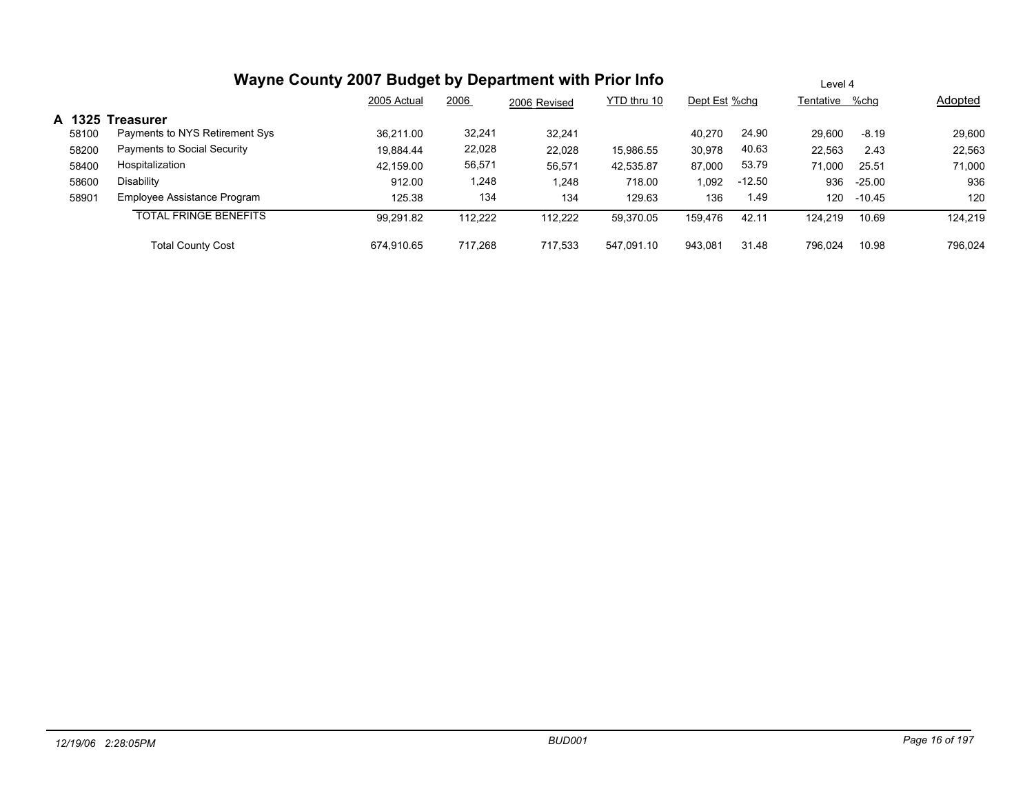|       | Wayne County 2007 Budget by Department with Prior Info | Level 4     |         |              |             |         |               |         |                |         |
|-------|--------------------------------------------------------|-------------|---------|--------------|-------------|---------|---------------|---------|----------------|---------|
|       |                                                        | 2005 Actual | 2006    | 2006 Revised | YTD thru 10 |         | Dept Est %chq |         | Tentative %chg | Adopted |
|       | A 1325 Treasurer                                       |             |         |              |             |         |               |         |                |         |
| 58100 | Payments to NYS Retirement Sys                         | 36.211.00   | 32,241  | 32.241       |             | 40.270  | 24.90         | 29.600  | $-8.19$        | 29,600  |
| 58200 | Payments to Social Security                            | 19.884.44   | 22,028  | 22,028       | 15,986.55   | 30,978  | 40.63         | 22,563  | 2.43           | 22,563  |
| 58400 | Hospitalization                                        | 42.159.00   | 56,571  | 56,571       | 42,535.87   | 87,000  | 53.79         | 71.000  | 25.51          | 71,000  |
| 58600 | Disability                                             | 912.00      | 1,248   | 1,248        | 718.00      | 1,092   | $-12.50$      | 936     | $-25.00$       | 936     |
| 58901 | Employee Assistance Program                            | 125.38      | 134     | 134          | 129.63      | 136     | 1.49          | 120     | -10.45         | 120     |
|       | <b>TOTAL FRINGE BENEFITS</b>                           | 99,291.82   | 112,222 | 112,222      | 59,370.05   | 159.476 | 42.11         | 124.219 | 10.69          | 124.219 |
|       | <b>Total County Cost</b>                               | 674.910.65  | 717.268 | 717.533      | 547.091.10  | 943.081 | 31.48         | 796.024 | 10.98          | 796.024 |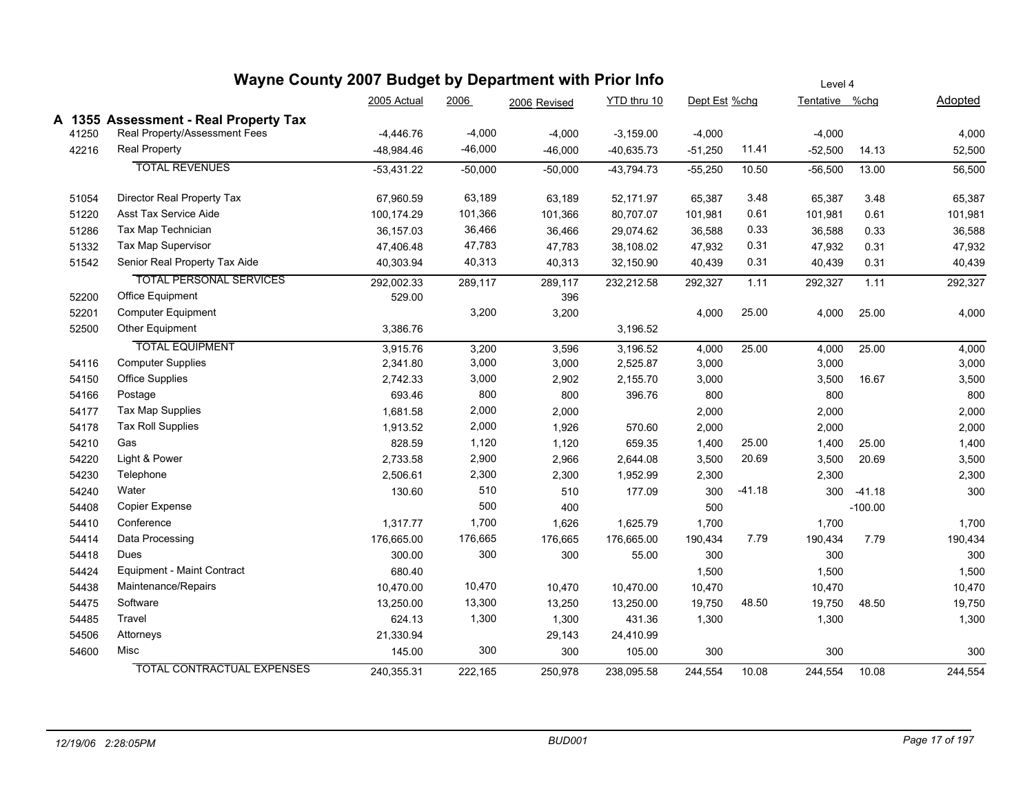| Wayne County 2007 Budget by Department with Prior Info |                                       |              |           |              |                              | Level 4   |                |           |           |         |  |
|--------------------------------------------------------|---------------------------------------|--------------|-----------|--------------|------------------------------|-----------|----------------|-----------|-----------|---------|--|
|                                                        |                                       | 2005 Actual  | 2006      | 2006 Revised | YTD thru 10<br>Dept Est %chg |           | Tentative %chg |           | Adopted   |         |  |
|                                                        | A 1355 Assessment - Real Property Tax |              |           |              |                              |           |                |           |           |         |  |
| 41250                                                  | Real Property/Assessment Fees         | $-4,446.76$  | $-4,000$  | $-4,000$     | $-3,159.00$                  | $-4,000$  |                | $-4,000$  |           | 4,000   |  |
| 42216                                                  | <b>Real Property</b>                  | -48,984.46   | $-46,000$ | $-46,000$    | $-40,635.73$                 | $-51,250$ | 11.41          | $-52,500$ | 14.13     | 52,500  |  |
|                                                        | <b>TOTAL REVENUES</b>                 | $-53,431.22$ | $-50,000$ | $-50,000$    | $-43,794.73$                 | $-55,250$ | 10.50          | $-56,500$ | 13.00     | 56,500  |  |
| 51054                                                  | Director Real Property Tax            | 67,960.59    | 63,189    | 63,189       | 52,171.97                    | 65,387    | 3.48           | 65,387    | 3.48      | 65,387  |  |
| 51220                                                  | Asst Tax Service Aide                 | 100,174.29   | 101,366   | 101,366      | 80,707.07                    | 101,981   | 0.61           | 101,981   | 0.61      | 101,981 |  |
| 51286                                                  | Tax Map Technician                    | 36,157.03    | 36,466    | 36,466       | 29,074.62                    | 36,588    | 0.33           | 36,588    | 0.33      | 36,588  |  |
| 51332                                                  | Tax Map Supervisor                    | 47,406.48    | 47,783    | 47,783       | 38,108.02                    | 47,932    | 0.31           | 47,932    | 0.31      | 47,932  |  |
| 51542                                                  | Senior Real Property Tax Aide         | 40,303.94    | 40,313    | 40,313       | 32,150.90                    | 40,439    | 0.31           | 40,439    | 0.31      | 40,439  |  |
|                                                        | <b>TOTAL PERSONAL SERVICES</b>        | 292,002.33   | 289,117   | 289,117      | 232,212.58                   | 292,327   | 1.11           | 292,327   | 1.11      | 292,327 |  |
| 52200                                                  | Office Equipment                      | 529.00       |           | 396          |                              |           |                |           |           |         |  |
| 52201                                                  | <b>Computer Equipment</b>             |              | 3,200     | 3,200        |                              | 4,000     | 25.00          | 4,000     | 25.00     | 4,000   |  |
| 52500                                                  | Other Equipment                       | 3,386.76     |           |              | 3,196.52                     |           |                |           |           |         |  |
|                                                        | <b>TOTAL EQUIPMENT</b>                | 3,915.76     | 3,200     | 3,596        | 3,196.52                     | 4,000     | 25.00          | 4,000     | 25.00     | 4,000   |  |
| 54116                                                  | <b>Computer Supplies</b>              | 2,341.80     | 3,000     | 3,000        | 2,525.87                     | 3,000     |                | 3,000     |           | 3,000   |  |
| 54150                                                  | Office Supplies                       | 2,742.33     | 3,000     | 2,902        | 2,155.70                     | 3,000     |                | 3,500     | 16.67     | 3,500   |  |
| 54166                                                  | Postage                               | 693.46       | 800       | 800          | 396.76                       | 800       |                | 800       |           | 800     |  |
| 54177                                                  | Tax Map Supplies                      | 1,681.58     | 2,000     | 2,000        |                              | 2,000     |                | 2,000     |           | 2,000   |  |
| 54178                                                  | <b>Tax Roll Supplies</b>              | 1,913.52     | 2,000     | 1,926        | 570.60                       | 2,000     |                | 2,000     |           | 2,000   |  |
| 54210                                                  | Gas                                   | 828.59       | 1,120     | 1,120        | 659.35                       | 1,400     | 25.00          | 1,400     | 25.00     | 1,400   |  |
| 54220                                                  | Light & Power                         | 2,733.58     | 2,900     | 2,966        | 2,644.08                     | 3,500     | 20.69          | 3,500     | 20.69     | 3,500   |  |
| 54230                                                  | Telephone                             | 2,506.61     | 2,300     | 2,300        | 1,952.99                     | 2,300     |                | 2,300     |           | 2,300   |  |
| 54240                                                  | Water                                 | 130.60       | 510       | 510          | 177.09                       | 300       | $-41.18$       | 300       | $-41.18$  | 300     |  |
| 54408                                                  | Copier Expense                        |              | 500       | 400          |                              | 500       |                |           | $-100.00$ |         |  |
| 54410                                                  | Conference                            | 1,317.77     | 1,700     | 1,626        | 1,625.79                     | 1,700     |                | 1,700     |           | 1,700   |  |
| 54414                                                  | Data Processing                       | 176,665.00   | 176,665   | 176,665      | 176,665.00                   | 190,434   | 7.79           | 190,434   | 7.79      | 190,434 |  |
| 54418                                                  | Dues                                  | 300.00       | 300       | 300          | 55.00                        | 300       |                | 300       |           | 300     |  |
| 54424                                                  | Equipment - Maint Contract            | 680.40       |           |              |                              | 1,500     |                | 1,500     |           | 1,500   |  |
| 54438                                                  | Maintenance/Repairs                   | 10,470.00    | 10,470    | 10,470       | 10,470.00                    | 10,470    |                | 10,470    |           | 10,470  |  |
| 54475                                                  | Software                              | 13,250.00    | 13,300    | 13,250       | 13,250.00                    | 19,750    | 48.50          | 19,750    | 48.50     | 19,750  |  |
| 54485                                                  | Travel                                | 624.13       | 1,300     | 1,300        | 431.36                       | 1,300     |                | 1,300     |           | 1,300   |  |
| 54506                                                  | Attorneys                             | 21,330.94    |           | 29,143       | 24,410.99                    |           |                |           |           |         |  |
| 54600                                                  | Misc                                  | 145.00       | 300       | 300          | 105.00                       | 300       |                | 300       |           | 300     |  |
|                                                        | <b>TOTAL CONTRACTUAL EXPENSES</b>     | 240,355.31   | 222.165   | 250,978      | 238,095.58                   | 244,554   | 10.08          | 244,554   | 10.08     | 244,554 |  |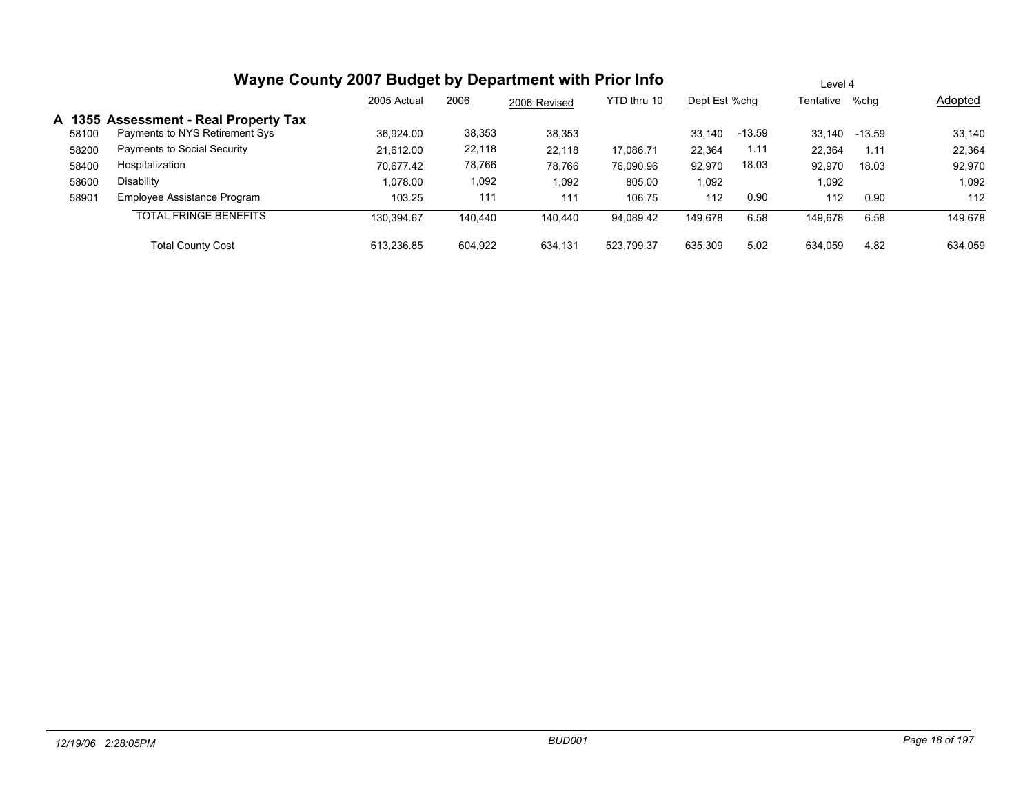|       | Wayne County 2007 Budget by Department with Prior Info | Level 4     |         |              |             |               |          |                |        |         |
|-------|--------------------------------------------------------|-------------|---------|--------------|-------------|---------------|----------|----------------|--------|---------|
|       |                                                        | 2005 Actual | 2006    | 2006 Revised | YTD thru 10 | Dept Est %chq |          | Tentative %chg |        | Adopted |
|       | A 1355 Assessment - Real Property Tax                  |             |         |              |             |               |          |                |        |         |
| 58100 | Payments to NYS Retirement Sys                         | 36,924.00   | 38,353  | 38,353       |             | 33.140        | $-13.59$ | 33.140         | -13.59 | 33,140  |
| 58200 | Payments to Social Security                            | 21.612.00   | 22,118  | 22.118       | 17,086.71   | 22,364        | 1.11     | 22,364         | 1.11   | 22,364  |
| 58400 | Hospitalization                                        | 70.677.42   | 78,766  | 78,766       | 76,090.96   | 92,970        | 18.03    | 92,970         | 18.03  | 92,970  |
| 58600 | Disability                                             | 1.078.00    | 1,092   | 1,092        | 805.00      | 1,092         |          | 1,092          |        | 1,092   |
| 58901 | Employee Assistance Program                            | 103.25      | 111     | 111          | 106.75      | 112           | 0.90     | 112            | 0.90   | 112     |
|       | <b>TOTAL FRINGE BENEFITS</b>                           | 130.394.67  | 140.440 | 140.440      | 94,089.42   | 149.678       | 6.58     | 149.678        | 6.58   | 149,678 |
|       | <b>Total County Cost</b>                               | 613.236.85  | 604.922 | 634.131      | 523,799.37  | 635,309       | 5.02     | 634.059        | 4.82   | 634.059 |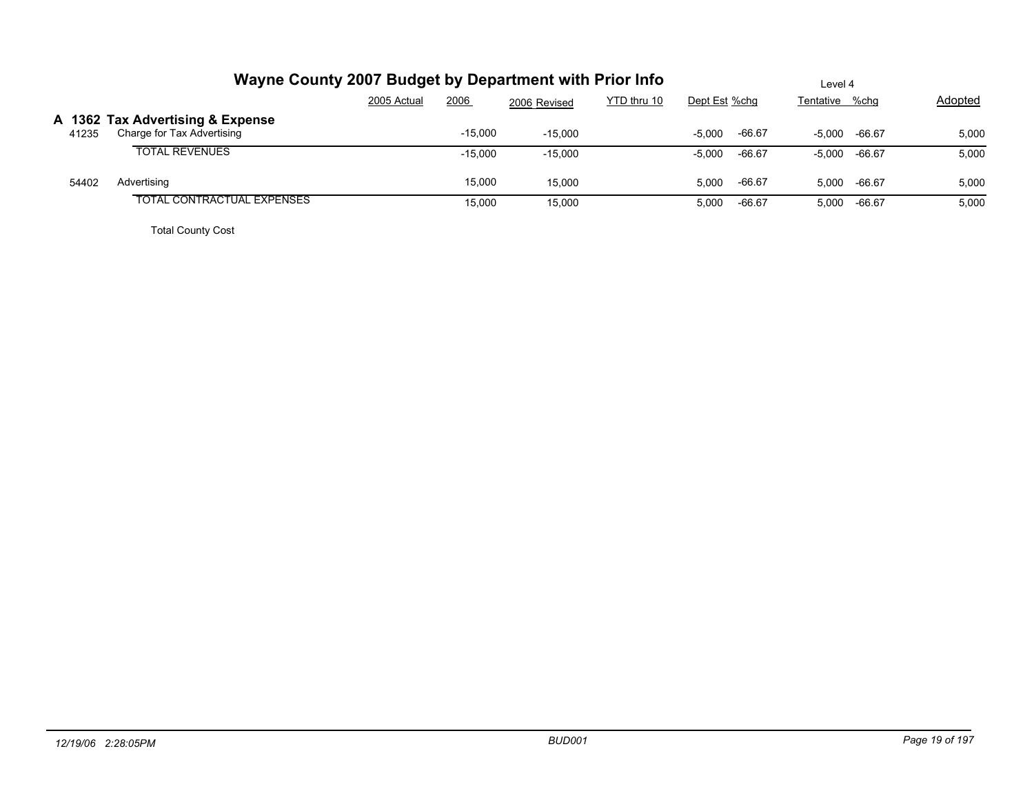|       | Wayne County 2007 Budget by Department with Prior Info         |             | Level 4   |              |             |               |          |                 |              |         |
|-------|----------------------------------------------------------------|-------------|-----------|--------------|-------------|---------------|----------|-----------------|--------------|---------|
|       |                                                                | 2005 Actual | 2006      | 2006 Revised | YTD thru 10 | Dept Est %chg |          | Tentative %chg  |              | Adopted |
| 41235 | A 1362 Tax Advertising & Expense<br>Charge for Tax Advertising |             | $-15,000$ | $-15.000$    |             | $-5.000$      | $-66.67$ | $-5.000 -66.67$ |              | 5,000   |
|       | <b>TOTAL REVENUES</b>                                          |             | $-15.000$ | $-15,000$    |             | $-5,000$      | -66.67   | $-5.000 -66.67$ |              | 5,000   |
| 54402 | Advertising                                                    |             | 15,000    | 15,000       |             | 5.000         | $-66.67$ |                 | 5.000 -66.67 | 5,000   |
|       | TOTAL CONTRACTUAL EXPENSES                                     |             | 15,000    | 15,000       |             | 5,000         | $-66.67$ | 5,000           | -66.67       | 5,000   |
|       |                                                                |             |           |              |             |               |          |                 |              |         |

Total County Cost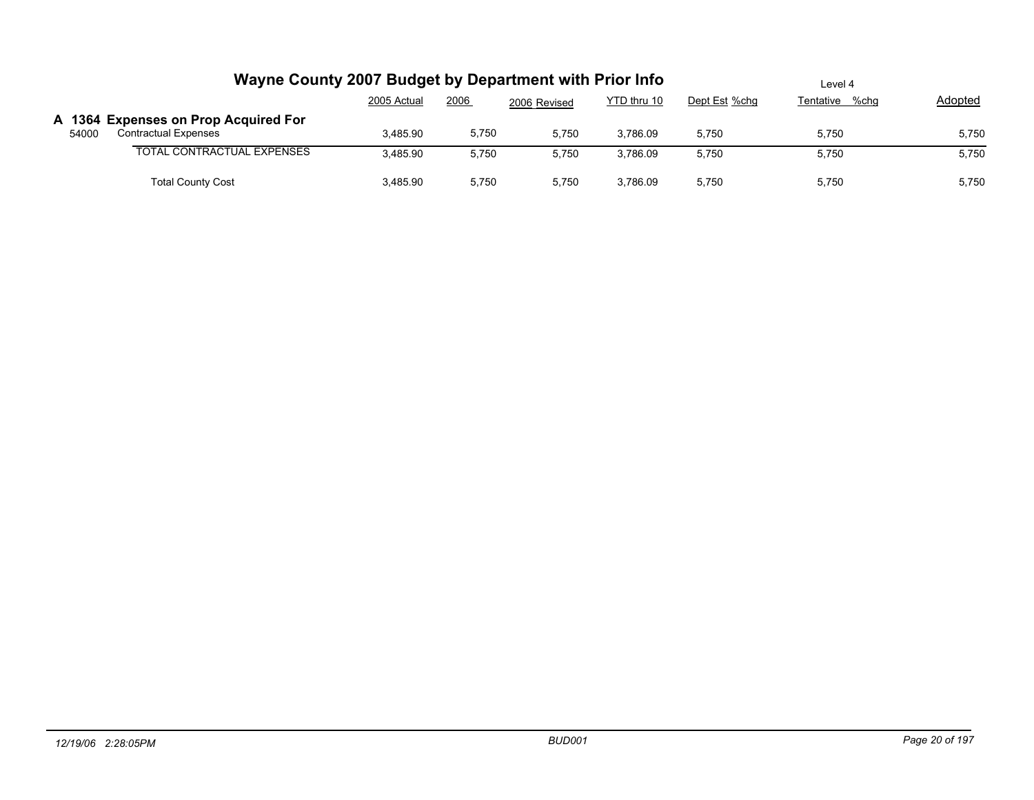|       | Wayne County 2007 Budget by Department with Prior Info              |             | Level 4 |              |             |               |                |                |
|-------|---------------------------------------------------------------------|-------------|---------|--------------|-------------|---------------|----------------|----------------|
|       |                                                                     | 2005 Actual | 2006    | 2006 Revised | YTD thru 10 | Dept Est %chg | Tentative %chg | <b>Adopted</b> |
| 54000 | A 1364 Expenses on Prop Acquired For<br><b>Contractual Expenses</b> | 3,485.90    | 5,750   | 5,750        | 3,786.09    | 5.750         | 5,750          | 5,750          |
|       | <b>TOTAL CONTRACTUAL EXPENSES</b>                                   | 3,485.90    | 5,750   | 5,750        | 3.786.09    | 5,750         | 5,750          | 5,750          |
|       | <b>Total County Cost</b>                                            | 3,485.90    | 5,750   | 5,750        | 3.786.09    | 5.750         | 5,750          | 5,750          |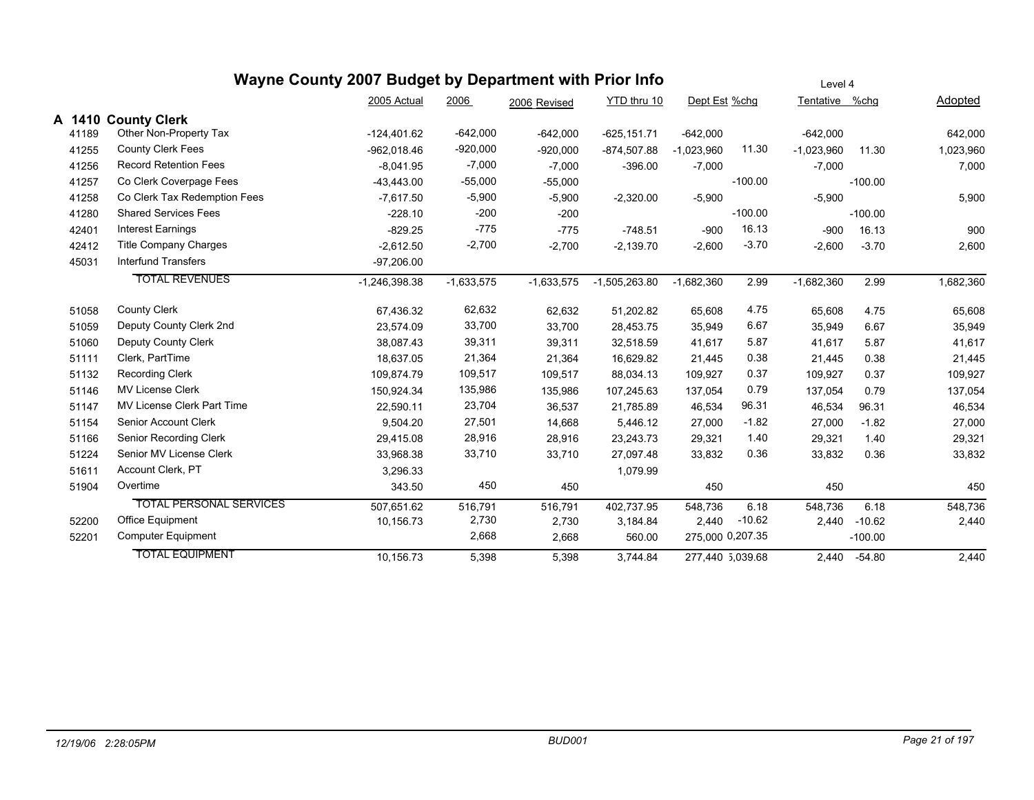|       |                                | Wayne County 2007 Budget by Department with Prior Info |              | Level 4      |                 |                  |           |                |           |           |
|-------|--------------------------------|--------------------------------------------------------|--------------|--------------|-----------------|------------------|-----------|----------------|-----------|-----------|
|       |                                | 2005 Actual                                            | 2006         | 2006 Revised | YTD thru 10     | Dept Est %chg    |           | Tentative %chg |           | Adopted   |
|       | A 1410 County Clerk            |                                                        |              |              |                 |                  |           |                |           |           |
| 41189 | Other Non-Property Tax         | $-124,401.62$                                          | $-642,000$   | $-642,000$   | $-625, 151.71$  | $-642,000$       |           | $-642,000$     |           | 642,000   |
| 41255 | <b>County Clerk Fees</b>       | $-962,018.46$                                          | $-920,000$   | $-920,000$   | $-874,507.88$   | $-1,023,960$     | 11.30     | $-1,023,960$   | 11.30     | 1,023,960 |
| 41256 | <b>Record Retention Fees</b>   | $-8.041.95$                                            | $-7,000$     | $-7,000$     | $-396.00$       | $-7,000$         |           | $-7,000$       |           | 7,000     |
| 41257 | Co Clerk Coverpage Fees        | $-43,443.00$                                           | $-55,000$    | $-55,000$    |                 |                  | $-100.00$ |                | $-100.00$ |           |
| 41258 | Co Clerk Tax Redemption Fees   | $-7.617.50$                                            | $-5,900$     | $-5,900$     | $-2,320.00$     | $-5,900$         |           | $-5,900$       |           | 5,900     |
| 41280 | <b>Shared Services Fees</b>    | $-228.10$                                              | $-200$       | $-200$       |                 |                  | $-100.00$ |                | $-100.00$ |           |
| 42401 | <b>Interest Earnings</b>       | $-829.25$                                              | $-775$       | $-775$       | $-748.51$       | $-900$           | 16.13     | $-900$         | 16.13     | 900       |
| 42412 | <b>Title Company Charges</b>   | $-2,612.50$                                            | $-2,700$     | $-2,700$     | $-2,139.70$     | $-2,600$         | $-3.70$   | $-2,600$       | $-3.70$   | 2,600     |
| 45031 | <b>Interfund Transfers</b>     | $-97,206.00$                                           |              |              |                 |                  |           |                |           |           |
|       | <b>TOTAL REVENUES</b>          | $-1,246,398.38$                                        | $-1,633,575$ | $-1,633,575$ | $-1,505,263.80$ | $-1,682,360$     | 2.99      | $-1,682,360$   | 2.99      | 1,682,360 |
| 51058 | <b>County Clerk</b>            | 67,436.32                                              | 62,632       | 62,632       | 51,202.82       | 65,608           | 4.75      | 65,608         | 4.75      | 65,608    |
| 51059 | Deputy County Clerk 2nd        | 23.574.09                                              | 33,700       | 33,700       | 28,453.75       | 35,949           | 6.67      | 35,949         | 6.67      | 35,949    |
| 51060 | Deputy County Clerk            | 38,087.43                                              | 39,311       | 39,311       | 32,518.59       | 41,617           | 5.87      | 41,617         | 5.87      | 41,617    |
| 51111 | Clerk, PartTime                | 18.637.05                                              | 21,364       | 21,364       | 16,629.82       | 21,445           | 0.38      | 21,445         | 0.38      | 21,445    |
| 51132 | <b>Recording Clerk</b>         | 109,874.79                                             | 109,517      | 109,517      | 88,034.13       | 109,927          | 0.37      | 109,927        | 0.37      | 109,927   |
| 51146 | <b>MV License Clerk</b>        | 150.924.34                                             | 135,986      | 135,986      | 107,245.63      | 137,054          | 0.79      | 137,054        | 0.79      | 137,054   |
| 51147 | MV License Clerk Part Time     | 22,590.11                                              | 23,704       | 36,537       | 21,785.89       | 46,534           | 96.31     | 46,534         | 96.31     | 46,534    |
| 51154 | Senior Account Clerk           | 9,504.20                                               | 27,501       | 14,668       | 5,446.12        | 27,000           | $-1.82$   | 27,000         | $-1.82$   | 27,000    |
| 51166 | Senior Recording Clerk         | 29.415.08                                              | 28,916       | 28,916       | 23,243.73       | 29,321           | 1.40      | 29,321         | 1.40      | 29,321    |
| 51224 | Senior MV License Clerk        | 33,968.38                                              | 33,710       | 33,710       | 27,097.48       | 33,832           | 0.36      | 33,832         | 0.36      | 33,832    |
| 51611 | Account Clerk, PT              | 3,296.33                                               |              |              | 1,079.99        |                  |           |                |           |           |
| 51904 | Overtime                       | 343.50                                                 | 450          | 450          |                 | 450              |           | 450            |           | 450       |
|       | <b>TOTAL PERSONAL SERVICES</b> | 507,651.62                                             | 516,791      | 516,791      | 402,737.95      | 548,736          | 6.18      | 548,736        | 6.18      | 548,736   |
| 52200 | Office Equipment               | 10,156.73                                              | 2,730        | 2,730        | 3,184.84        | 2,440            | $-10.62$  | 2,440          | $-10.62$  | 2,440     |
| 52201 | <b>Computer Equipment</b>      |                                                        | 2,668        | 2,668        | 560.00          | 275,000 0,207.35 |           |                | $-100.00$ |           |
|       | <b>TOTAL EQUIPMENT</b>         | 10,156.73                                              | 5,398        | 5,398        | 3,744.84        | 277,440 5,039.68 |           | 2,440          | $-54.80$  | 2,440     |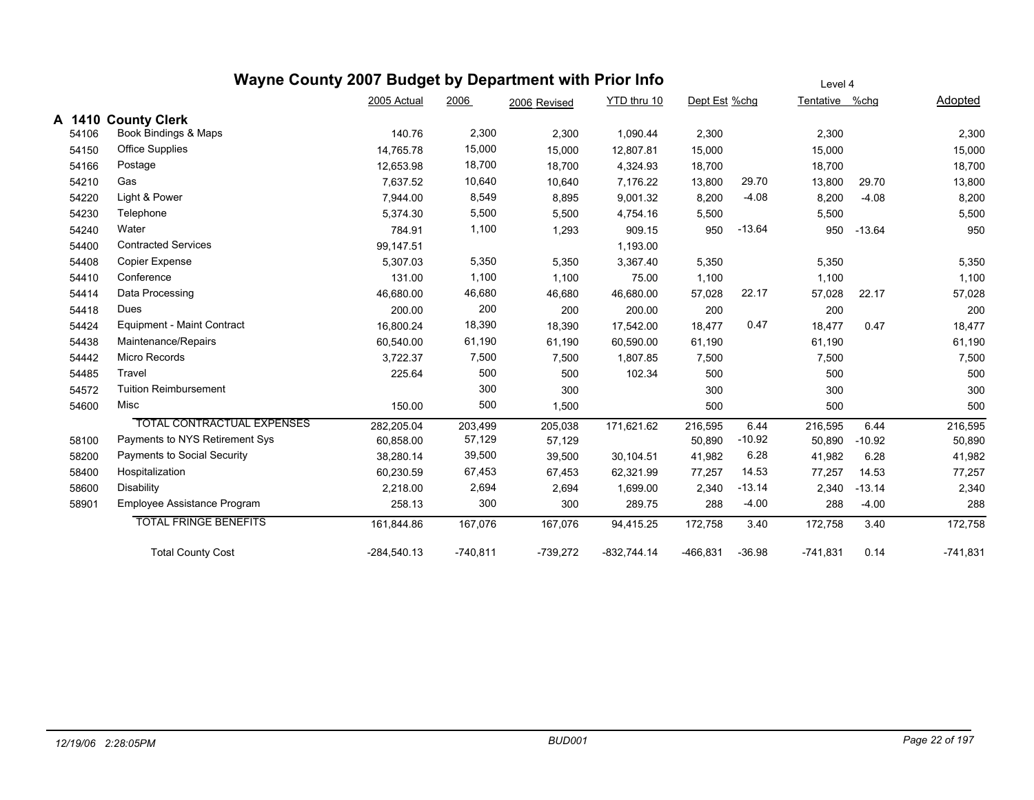#### **Wayne County 2007 Budget by Department with Prior Info** Dept Est %chg Tentative %chg Adopted Level 4 2005 Actual 2006 2006 Revised YTD thru 10 **A 1410 County Clerk** 54106 Book Bindings & Maps 140.76 2,300 1,090.44 2,300 2,300 2,300 54150 Office Supplies 14,765.78 15,000 12,807.81 15,000 15,000 15,000 54166 Postage 12,653.98 18,700 18,700 4,324.93 18,700 18,700 18,700 54210 Gas 7,637.52 10,640 10,640 7,176.22 13,800 29.70 13,800 29.70 13,800 54220 Light & Power 7,944.00 8,549 8,895 9,001.32 8,200 -4.08 8,200 -4.08 8,200 54230 Telephone 5,374.30 5,500 5,500 4,754.16 5,500 5,500 5,500 54240 Water 784.91 1,100 1,293 909.15 950 -13.64 950 -13.64 950 54400 Contracted Services 2008 147.51 1,193.00 54408 Copier Expense 5,307.03 5,350 5,350 3,367.40 5,350 5,350 5,350 54410 Conference 131.00 1,100 75.00 1,100 1,100 1,100 54414 Data Processing 46,680.00 46,680 46,680 46,680.00 57,028 22.17 57,028 22.17 57,028 54418 Dues 200.00 200 200 200.00 200 200 200 54424 Equipment - Maint Contract 16,800.24 18,390 18,390 17,542.00 18,477 0.47 18,477 0.47 18,477 54438 Maintenance/Repairs 60,540.00 61,190 61,190 60,590.00 61,190 61,190 61,190 54442 Micro Records 3,722.37 7,500 7,500 1,807.85 7,500 7,500 7,500 54485 Travel 225.64 500 500 102.34 500 500 500 54572 Tuition Reimbursement 300 300 300 300 300 54600 Misc 150.00 500 1,500 500 500 500 TOTAL CONTRACTUAL EXPENSES 282,205.04 203,499 205,038 171,621.62 216,595 6.44 216,595 6.44 216,595 58100 Payments to NYS Retirement Sys 60,858.00 57,129 57,129 50,890 -10.92 50,890 -10.92 50,890 58200 Payments to Social Security 38,280.14 39,500 39,500 30,104.51 41,982 6.28 41,982 6.28 41,982 58400 Hospitalization 60,230.59 67,453 67,453 62,321.99 77,257 14.53 77,257 14.53 77,257 58600 Disability 2,218.00 2,694 2,694 1,699.00 2,340 -13.14 2,340 -13.14 2,340 58901 Employee Assistance Program 258.13 300 300 289.75 288 -4.00 288 -4.00 288 TOTAL FRINGE BENEFITS 161,844.86 167,076 167,076 94,415.25 172,758 3.40 172,758 3.40 172,758

Total County Cost -284,540.13 -740,811 -739,272 -832,744.14 -466,831 -36.98 -741,831 0.14 -741,831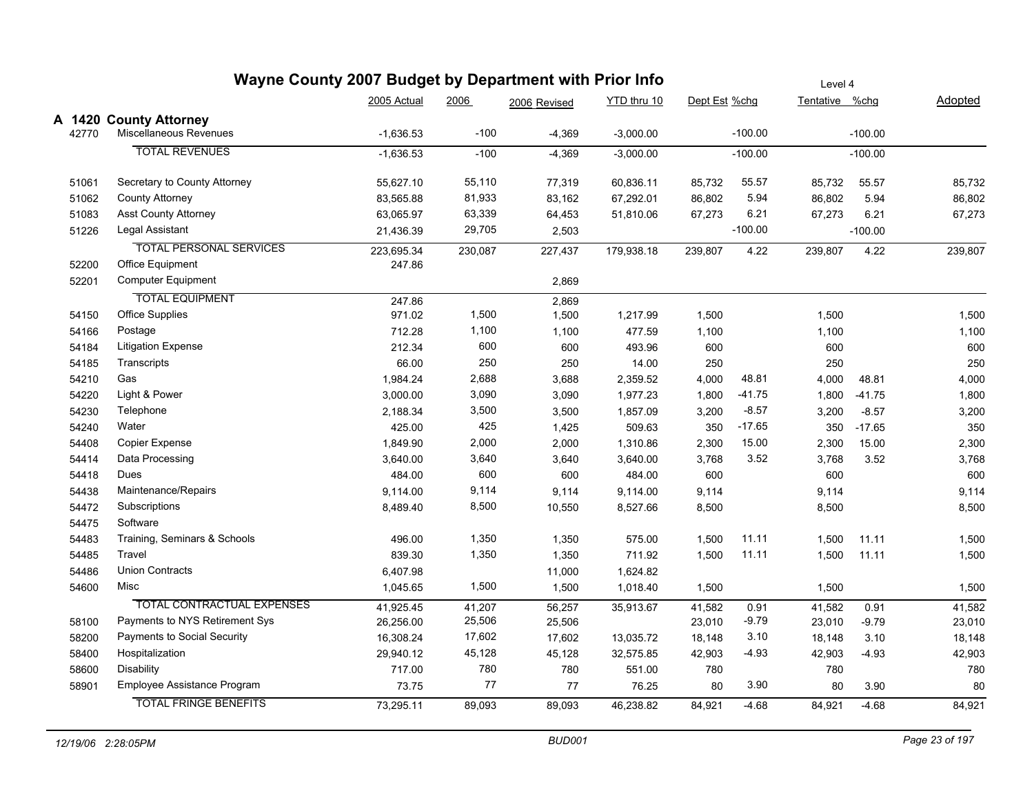| Wayne County 2007 Budget by Department with Prior Info |                                    |             |         |              |             |               | Level 4   |                |           |         |
|--------------------------------------------------------|------------------------------------|-------------|---------|--------------|-------------|---------------|-----------|----------------|-----------|---------|
|                                                        |                                    | 2005 Actual | 2006    | 2006 Revised | YTD thru 10 | Dept Est %chg |           | Tentative %chg |           | Adopted |
|                                                        | A 1420 County Attorney             |             |         |              |             |               |           |                |           |         |
| 42770                                                  | Miscellaneous Revenues             | $-1,636.53$ | $-100$  | $-4,369$     | $-3,000.00$ |               | $-100.00$ |                | $-100.00$ |         |
|                                                        | <b>TOTAL REVENUES</b>              | $-1,636.53$ | $-100$  | $-4,369$     | $-3,000.00$ |               | $-100.00$ |                | $-100.00$ |         |
| 51061                                                  | Secretary to County Attorney       | 55,627.10   | 55,110  | 77,319       | 60,836.11   | 85,732        | 55.57     | 85,732         | 55.57     | 85,732  |
| 51062                                                  | <b>County Attorney</b>             | 83,565.88   | 81,933  | 83,162       | 67,292.01   | 86,802        | 5.94      | 86,802         | 5.94      | 86,802  |
| 51083                                                  | <b>Asst County Attorney</b>        | 63,065.97   | 63,339  | 64,453       | 51,810.06   | 67,273        | 6.21      | 67,273         | 6.21      | 67,273  |
| 51226                                                  | Legal Assistant                    | 21,436.39   | 29,705  | 2,503        |             |               | $-100.00$ |                | $-100.00$ |         |
|                                                        | <b>TOTAL PERSONAL SERVICES</b>     | 223,695.34  | 230,087 | 227,437      | 179,938.18  | 239,807       | 4.22      | 239,807        | 4.22      | 239,807 |
| 52200                                                  | Office Equipment                   | 247.86      |         |              |             |               |           |                |           |         |
| 52201                                                  | <b>Computer Equipment</b>          |             |         | 2,869        |             |               |           |                |           |         |
|                                                        | <b>TOTAL EQUIPMENT</b>             | 247.86      |         | 2,869        |             |               |           |                |           |         |
| 54150                                                  | <b>Office Supplies</b>             | 971.02      | 1,500   | 1,500        | 1,217.99    | 1,500         |           | 1,500          |           | 1,500   |
| 54166                                                  | Postage                            | 712.28      | 1,100   | 1,100        | 477.59      | 1,100         |           | 1,100          |           | 1,100   |
| 54184                                                  | <b>Litigation Expense</b>          | 212.34      | 600     | 600          | 493.96      | 600           |           | 600            |           | 600     |
| 54185                                                  | Transcripts                        | 66.00       | 250     | 250          | 14.00       | 250           |           | 250            |           | 250     |
| 54210                                                  | Gas                                | 1,984.24    | 2,688   | 3,688        | 2,359.52    | 4,000         | 48.81     | 4,000          | 48.81     | 4,000   |
| 54220                                                  | Light & Power                      | 3,000.00    | 3,090   | 3,090        | 1,977.23    | 1,800         | $-41.75$  | 1,800          | $-41.75$  | 1,800   |
| 54230                                                  | Telephone                          | 2,188.34    | 3,500   | 3,500        | 1,857.09    | 3,200         | $-8.57$   | 3,200          | $-8.57$   | 3,200   |
| 54240                                                  | Water                              | 425.00      | 425     | 1,425        | 509.63      | 350           | $-17.65$  | 350            | $-17.65$  | 350     |
| 54408                                                  | <b>Copier Expense</b>              | 1,849.90    | 2,000   | 2,000        | 1,310.86    | 2,300         | 15.00     | 2,300          | 15.00     | 2,300   |
| 54414                                                  | Data Processing                    | 3,640.00    | 3,640   | 3,640        | 3,640.00    | 3,768         | 3.52      | 3,768          | 3.52      | 3,768   |
| 54418                                                  | Dues                               | 484.00      | 600     | 600          | 484.00      | 600           |           | 600            |           | 600     |
| 54438                                                  | Maintenance/Repairs                | 9,114.00    | 9,114   | 9,114        | 9,114.00    | 9,114         |           | 9,114          |           | 9,114   |
| 54472                                                  | Subscriptions                      | 8,489.40    | 8,500   | 10,550       | 8,527.66    | 8,500         |           | 8,500          |           | 8,500   |
| 54475                                                  | Software                           |             |         |              |             |               |           |                |           |         |
| 54483                                                  | Training, Seminars & Schools       | 496.00      | 1,350   | 1,350        | 575.00      | 1,500         | 11.11     | 1,500          | 11.11     | 1,500   |
| 54485                                                  | Travel                             | 839.30      | 1,350   | 1,350        | 711.92      | 1,500         | 11.11     | 1,500          | 11.11     | 1,500   |
| 54486                                                  | <b>Union Contracts</b>             | 6,407.98    |         | 11,000       | 1,624.82    |               |           |                |           |         |
| 54600                                                  | Misc                               | 1,045.65    | 1,500   | 1,500        | 1,018.40    | 1,500         |           | 1,500          |           | 1,500   |
|                                                        | <b>TOTAL CONTRACTUAL EXPENSES</b>  | 41,925.45   | 41,207  | 56,257       | 35,913.67   | 41,582        | 0.91      | 41,582         | 0.91      | 41,582  |
| 58100                                                  | Payments to NYS Retirement Sys     | 26,256.00   | 25,506  | 25,506       |             | 23,010        | -9.79     | 23,010         | $-9.79$   | 23,010  |
| 58200                                                  | <b>Payments to Social Security</b> | 16,308.24   | 17,602  | 17,602       | 13,035.72   | 18,148        | 3.10      | 18,148         | 3.10      | 18,148  |
| 58400                                                  | Hospitalization                    | 29,940.12   | 45,128  | 45,128       | 32,575.85   | 42,903        | $-4.93$   | 42,903         | $-4.93$   | 42,903  |
| 58600                                                  | Disability                         | 717.00      | 780     | 780          | 551.00      | 780           |           | 780            |           | 780     |
| 58901                                                  | Employee Assistance Program        | 73.75       | 77      | 77           | 76.25       | 80            | 3.90      | 80             | 3.90      | 80      |
|                                                        | <b>TOTAL FRINGE BENEFITS</b>       | 73,295.11   | 89,093  | 89,093       | 46,238.82   | 84,921        | $-4.68$   | 84,921         | $-4.68$   | 84,921  |
|                                                        |                                    |             |         |              |             |               |           |                |           |         |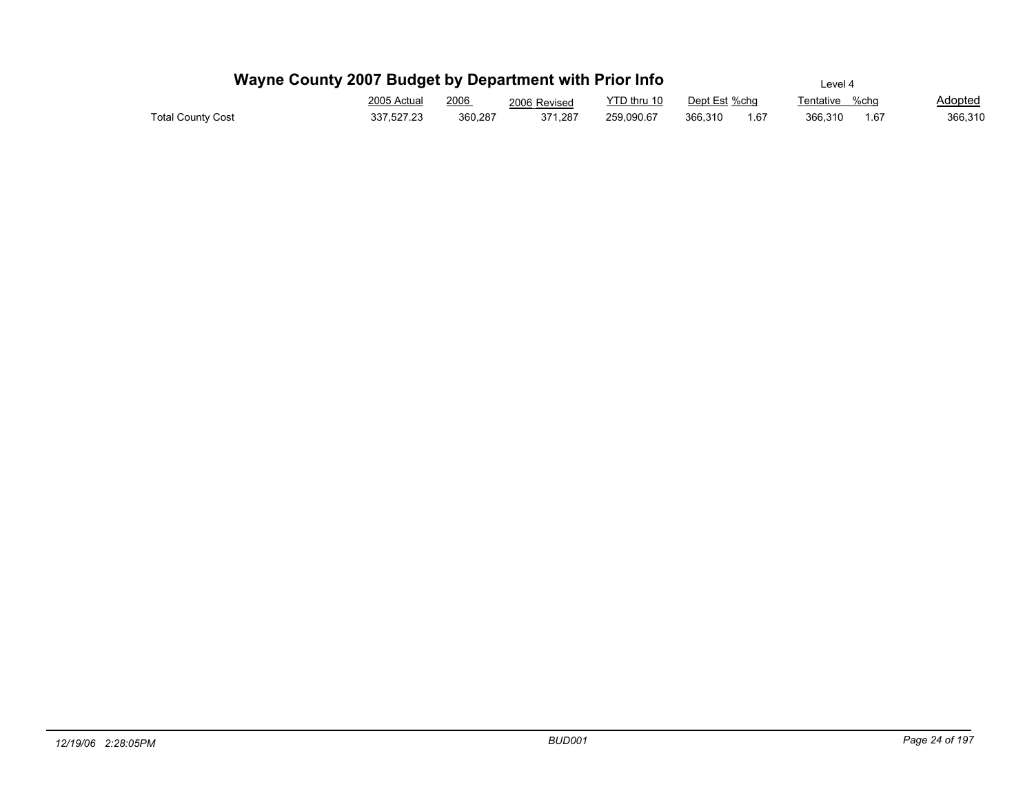| Wayne County 2007 Budget by Department with Prior Info |             |         |              |             |               |      | Level 4           |         |
|--------------------------------------------------------|-------------|---------|--------------|-------------|---------------|------|-------------------|---------|
|                                                        | 2005 Actual | 2006    | 2006 Revised | YTD thru 10 | Dept Est %chq |      | %cha<br>Tentative | Adopted |
| <b>Total County Cost</b>                               | 337.527.23  | 360.287 | 371.287      | 259.090.67  | 366.310       | 1.67 | 366.310<br>1.67   | 366,310 |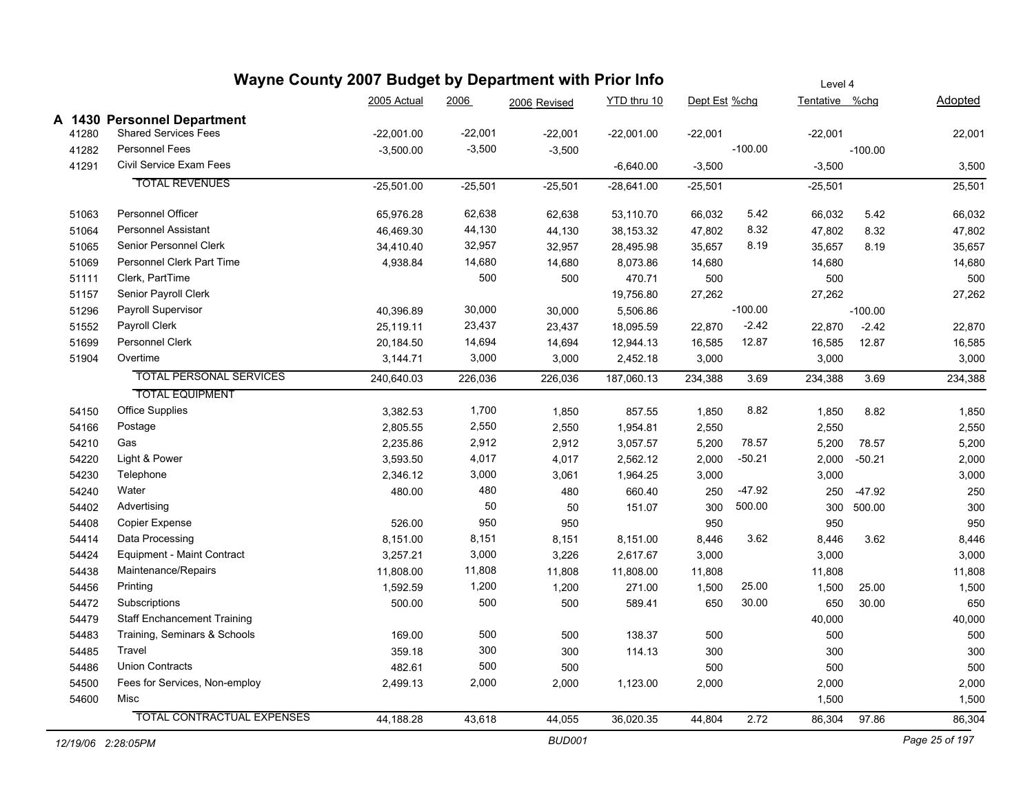| Wayne County 2007 Budget by Department with Prior Info |                                    |              |           |               |              |               |           | Level 4        |           |                |
|--------------------------------------------------------|------------------------------------|--------------|-----------|---------------|--------------|---------------|-----------|----------------|-----------|----------------|
|                                                        |                                    | 2005 Actual  | 2006      | 2006 Revised  | YTD thru 10  | Dept Est %chg |           | Tentative %chg |           | <b>Adopted</b> |
|                                                        | A 1430 Personnel Department        |              |           |               |              |               |           |                |           |                |
| 41280                                                  | <b>Shared Services Fees</b>        | $-22,001.00$ | $-22,001$ | $-22,001$     | $-22,001.00$ | $-22,001$     |           | $-22,001$      |           | 22,001         |
| 41282                                                  | <b>Personnel Fees</b>              | $-3,500.00$  | $-3,500$  | $-3,500$      |              |               | $-100.00$ |                | $-100.00$ |                |
| 41291                                                  | Civil Service Exam Fees            |              |           |               | $-6,640.00$  | $-3,500$      |           | $-3,500$       |           | 3,500          |
|                                                        | <b>TOTAL REVENUES</b>              | $-25,501.00$ | $-25,501$ | $-25,501$     | $-28,641.00$ | $-25,501$     |           | $-25,501$      |           | 25,501         |
| 51063                                                  | <b>Personnel Officer</b>           | 65,976.28    | 62,638    | 62,638        | 53,110.70    | 66,032        | 5.42      | 66,032         | 5.42      | 66,032         |
| 51064                                                  | <b>Personnel Assistant</b>         | 46,469.30    | 44,130    | 44,130        | 38,153.32    | 47,802        | 8.32      | 47,802         | 8.32      | 47,802         |
| 51065                                                  | Senior Personnel Clerk             | 34,410.40    | 32,957    | 32,957        | 28,495.98    | 35,657        | 8.19      | 35,657         | 8.19      | 35,657         |
| 51069                                                  | Personnel Clerk Part Time          | 4,938.84     | 14,680    | 14,680        | 8,073.86     | 14,680        |           | 14,680         |           | 14,680         |
| 51111                                                  | Clerk, PartTime                    |              | 500       | 500           | 470.71       | 500           |           | 500            |           | 500            |
| 51157                                                  | Senior Payroll Clerk               |              |           |               | 19,756.80    | 27,262        |           | 27,262         |           | 27,262         |
| 51296                                                  | Payroll Supervisor                 | 40,396.89    | 30,000    | 30,000        | 5,506.86     |               | $-100.00$ |                | $-100.00$ |                |
| 51552                                                  | Payroll Clerk                      | 25,119.11    | 23,437    | 23,437        | 18,095.59    | 22,870        | $-2.42$   | 22,870         | $-2.42$   | 22,870         |
| 51699                                                  | Personnel Clerk                    | 20,184.50    | 14,694    | 14,694        | 12,944.13    | 16,585        | 12.87     | 16,585         | 12.87     | 16,585         |
| 51904                                                  | Overtime                           | 3,144.71     | 3,000     | 3,000         | 2,452.18     | 3,000         |           | 3,000          |           | 3,000          |
|                                                        | <b>TOTAL PERSONAL SERVICES</b>     | 240,640.03   | 226,036   | 226,036       | 187,060.13   | 234,388       | 3.69      | 234,388        | 3.69      | 234,388        |
|                                                        | <b>TOTAL EQUIPMENT</b>             |              |           |               |              |               |           |                |           |                |
| 54150                                                  | <b>Office Supplies</b>             | 3,382.53     | 1,700     | 1,850         | 857.55       | 1,850         | 8.82      | 1,850          | 8.82      | 1,850          |
| 54166                                                  | Postage                            | 2,805.55     | 2,550     | 2,550         | 1,954.81     | 2,550         |           | 2,550          |           | 2,550          |
| 54210                                                  | Gas                                | 2,235.86     | 2,912     | 2,912         | 3,057.57     | 5,200         | 78.57     | 5,200          | 78.57     | 5,200          |
| 54220                                                  | Light & Power                      | 3,593.50     | 4,017     | 4,017         | 2,562.12     | 2,000         | $-50.21$  | 2,000          | $-50.21$  | 2,000          |
| 54230                                                  | Telephone                          | 2,346.12     | 3,000     | 3,061         | 1,964.25     | 3,000         |           | 3,000          |           | 3,000          |
| 54240                                                  | Water                              | 480.00       | 480       | 480           | 660.40       | 250           | $-47.92$  | 250            | $-47.92$  | 250            |
| 54402                                                  | Advertising                        |              | 50        | 50            | 151.07       | 300           | 500.00    | 300            | 500.00    | 300            |
| 54408                                                  | <b>Copier Expense</b>              | 526.00       | 950       | 950           |              | 950           |           | 950            |           | 950            |
| 54414                                                  | Data Processing                    | 8,151.00     | 8,151     | 8,151         | 8,151.00     | 8,446         | 3.62      | 8,446          | 3.62      | 8,446          |
| 54424                                                  | Equipment - Maint Contract         | 3,257.21     | 3,000     | 3,226         | 2,617.67     | 3,000         |           | 3,000          |           | 3,000          |
| 54438                                                  | Maintenance/Repairs                | 11,808.00    | 11,808    | 11,808        | 11,808.00    | 11,808        |           | 11,808         |           | 11,808         |
| 54456                                                  | Printing                           | 1,592.59     | 1,200     | 1,200         | 271.00       | 1,500         | 25.00     | 1,500          | 25.00     | 1,500          |
| 54472                                                  | Subscriptions                      | 500.00       | 500       | 500           | 589.41       | 650           | 30.00     | 650            | 30.00     | 650            |
| 54479                                                  | <b>Staff Enchancement Training</b> |              |           |               |              |               |           | 40,000         |           | 40,000         |
| 54483                                                  | Training, Seminars & Schools       | 169.00       | 500       | 500           | 138.37       | 500           |           | 500            |           | 500            |
| 54485                                                  | Travel                             | 359.18       | 300       | 300           | 114.13       | 300           |           | 300            |           | 300            |
| 54486                                                  | <b>Union Contracts</b>             | 482.61       | 500       | 500           |              | 500           |           | 500            |           | 500            |
| 54500                                                  | Fees for Services, Non-employ      | 2,499.13     | 2,000     | 2,000         | 1,123.00     | 2,000         |           | 2,000          |           | 2,000          |
| 54600                                                  | Misc                               |              |           |               |              |               |           | 1,500          |           | 1,500          |
|                                                        | <b>TOTAL CONTRACTUAL EXPENSES</b>  | 44,188.28    | 43,618    | 44,055        | 36,020.35    | 44,804        | 2.72      | 86,304         | 97.86     | 86,304         |
|                                                        | 12/19/06 2:28:05PM                 |              |           | <b>BUD001</b> |              |               |           |                |           | Page 25 of 197 |

 $\overline{\phantom{a}}$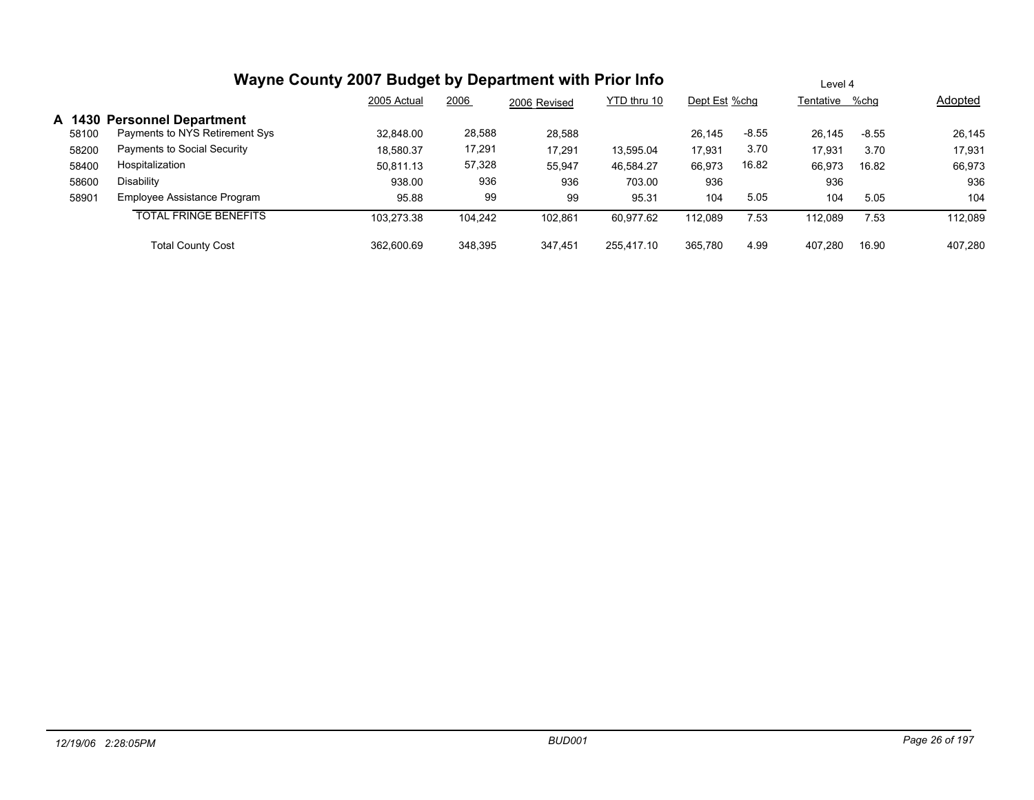|       |                                                               | 2005 Actual | 2006    | 2006 Revised | YTD thru 10 | Dept Est %chg |         | Tentative %chg |         | <b>Adopted</b> |
|-------|---------------------------------------------------------------|-------------|---------|--------------|-------------|---------------|---------|----------------|---------|----------------|
| 58100 | A 1430 Personnel Department<br>Payments to NYS Retirement Sys | 32.848.00   | 28,588  | 28,588       |             | 26.145        | $-8.55$ | 26.145         | $-8.55$ | 26,145         |
| 58200 | Payments to Social Security                                   | 18,580.37   | 17,291  | 17,291       | 13,595.04   | 17,931        | 3.70    | 17,931         | 3.70    | 17,931         |
| 58400 | Hospitalization                                               | 50.811.13   | 57,328  | 55,947       | 46.584.27   | 66,973        | 16.82   | 66,973         | 16.82   | 66,973         |
| 58600 | Disability                                                    | 938.00      | 936     | 936          | 703.00      | 936           |         | 936            |         | 936            |
| 58901 | Employee Assistance Program                                   | 95.88       | 99      | 99           | 95.31       | 104           | 5.05    | 104            | 5.05    | 104            |
|       | <b>TOTAL FRINGE BENEFITS</b>                                  | 103.273.38  | 104.242 | 102,861      | 60,977.62   | 112.089       | 7.53    | 112.089        | 7.53    | 112,089        |
|       | <b>Total County Cost</b>                                      | 362.600.69  | 348.395 | 347.451      | 255.417.10  | 365.780       | 4.99    | 407.280        | 16.90   | 407.280        |

Level 4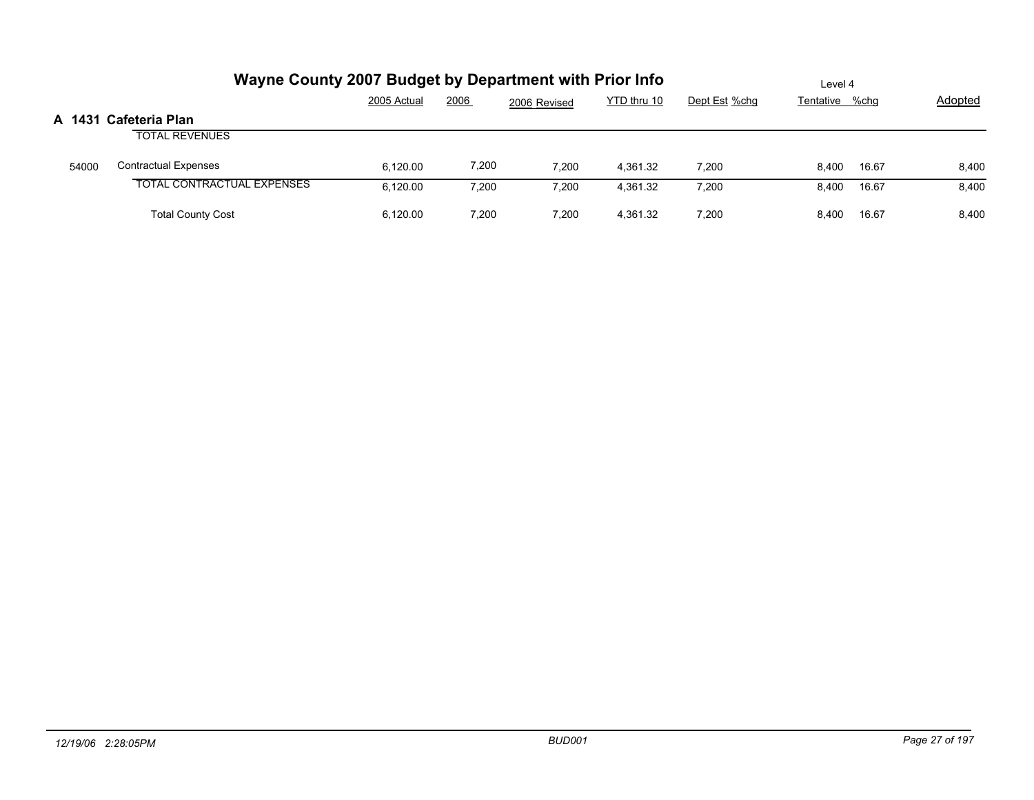|       | Wayne County 2007 Budget by Department with Prior Info | Level 4     |       |              |             |               |                |       |                |
|-------|--------------------------------------------------------|-------------|-------|--------------|-------------|---------------|----------------|-------|----------------|
|       |                                                        | 2005 Actual | 2006  | 2006 Revised | YTD thru 10 | Dept Est %chg | Tentative %chg |       | <b>Adopted</b> |
|       | A 1431 Cafeteria Plan                                  |             |       |              |             |               |                |       |                |
|       | <b>TOTAL REVENUES</b>                                  |             |       |              |             |               |                |       |                |
| 54000 | <b>Contractual Expenses</b>                            | 6.120.00    | 7,200 | 7.200        | 4.361.32    | 7.200         | 8.400          | 16.67 | 8,400          |
|       | <b>TOTAL CONTRACTUAL EXPENSES</b>                      | 6.120.00    | 7.200 | 7,200        | 4.361.32    | 7,200         | 8.400          | 16.67 | 8,400          |
|       | <b>Total County Cost</b>                               | 6.120.00    | 7.200 | 7,200        | 4.361.32    | 7,200         | 8.400          | 16.67 | 8,400          |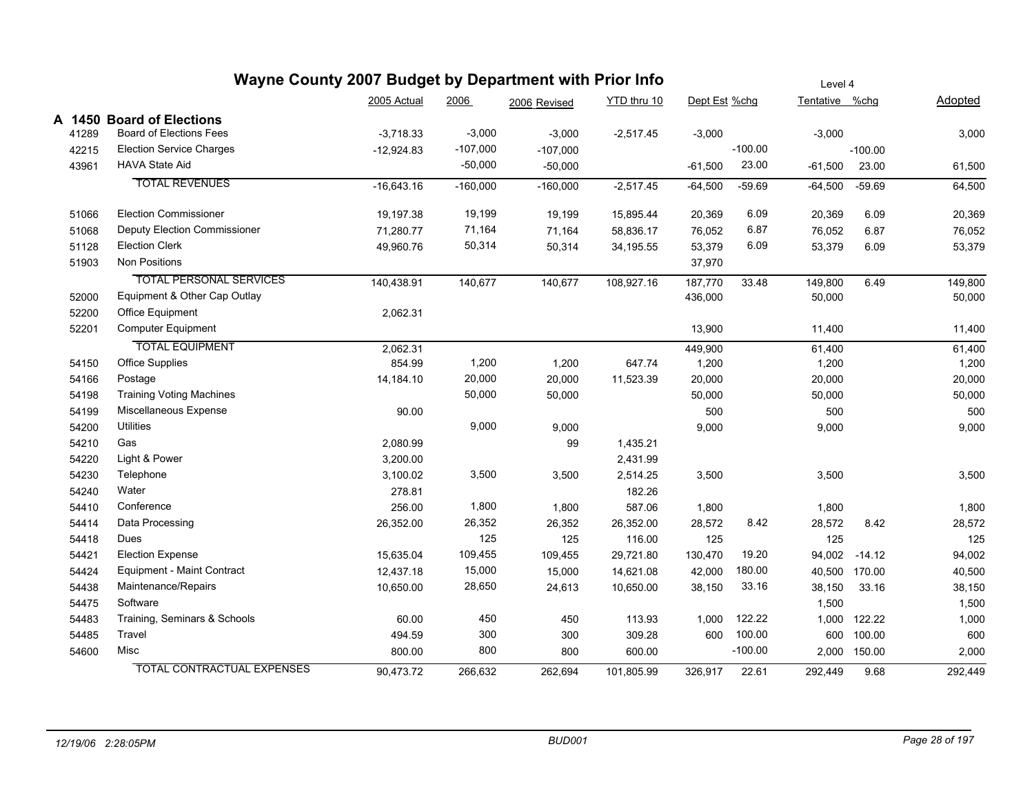|       | Wayne County 2007 Budget by Department with Prior Info |              | Level 4    |              |             |               |           |                |               |         |
|-------|--------------------------------------------------------|--------------|------------|--------------|-------------|---------------|-----------|----------------|---------------|---------|
|       |                                                        | 2005 Actual  | 2006       | 2006 Revised | YTD thru 10 | Dept Est %chg |           | Tentative %chg |               | Adopted |
|       | A 1450 Board of Elections                              |              |            |              |             |               |           |                |               |         |
| 41289 | <b>Board of Elections Fees</b>                         | $-3,718.33$  | $-3,000$   | $-3,000$     | $-2,517.45$ | $-3,000$      |           | $-3,000$       |               | 3,000   |
| 42215 | <b>Election Service Charges</b>                        | $-12.924.83$ | $-107,000$ | $-107,000$   |             |               | $-100.00$ |                | $-100.00$     |         |
| 43961 | <b>HAVA State Aid</b>                                  |              | $-50,000$  | $-50,000$    |             | $-61,500$     | 23.00     | $-61,500$      | 23.00         | 61,500  |
|       | <b>TOTAL REVENUES</b>                                  | $-16,643.16$ | $-160,000$ | $-160,000$   | $-2,517.45$ | $-64,500$     | $-59.69$  | $-64,500$      | $-59.69$      | 64,500  |
| 51066 | <b>Election Commissioner</b>                           | 19,197.38    | 19,199     | 19,199       | 15,895.44   | 20,369        | 6.09      | 20,369         | 6.09          | 20,369  |
| 51068 | <b>Deputy Election Commissioner</b>                    | 71,280.77    | 71,164     | 71,164       | 58,836.17   | 76,052        | 6.87      | 76,052         | 6.87          | 76,052  |
| 51128 | <b>Election Clerk</b>                                  | 49,960.76    | 50,314     | 50,314       | 34,195.55   | 53,379        | 6.09      | 53,379         | 6.09          | 53,379  |
| 51903 | Non Positions                                          |              |            |              |             | 37,970        |           |                |               |         |
|       | <b>TOTAL PERSONAL SERVICES</b>                         | 140,438.91   | 140,677    | 140,677      | 108,927.16  | 187,770       | 33.48     | 149,800        | 6.49          | 149,800 |
| 52000 | Equipment & Other Cap Outlay                           |              |            |              |             | 436,000       |           | 50,000         |               | 50,000  |
| 52200 | Office Equipment                                       | 2,062.31     |            |              |             |               |           |                |               |         |
| 52201 | <b>Computer Equipment</b>                              |              |            |              |             | 13,900        |           | 11,400         |               | 11,400  |
|       | <b>TOTAL EQUIPMENT</b>                                 | 2,062.31     |            |              |             | 449,900       |           | 61,400         |               | 61,400  |
| 54150 | <b>Office Supplies</b>                                 | 854.99       | 1,200      | 1,200        | 647.74      | 1,200         |           | 1,200          |               | 1,200   |
| 54166 | Postage                                                | 14,184.10    | 20,000     | 20,000       | 11,523.39   | 20,000        |           | 20,000         |               | 20,000  |
| 54198 | <b>Training Voting Machines</b>                        |              | 50,000     | 50,000       |             | 50,000        |           | 50,000         |               | 50,000  |
| 54199 | Miscellaneous Expense                                  | 90.00        |            |              |             | 500           |           | 500            |               | 500     |
| 54200 | <b>Utilities</b>                                       |              | 9,000      | 9,000        |             | 9,000         |           | 9,000          |               | 9,000   |
| 54210 | Gas                                                    | 2,080.99     |            | 99           | 1,435.21    |               |           |                |               |         |
| 54220 | Light & Power                                          | 3,200.00     |            |              | 2,431.99    |               |           |                |               |         |
| 54230 | Telephone                                              | 3,100.02     | 3,500      | 3,500        | 2,514.25    | 3,500         |           | 3,500          |               | 3,500   |
| 54240 | Water                                                  | 278.81       |            |              | 182.26      |               |           |                |               |         |
| 54410 | Conference                                             | 256.00       | 1,800      | 1,800        | 587.06      | 1,800         |           | 1,800          |               | 1,800   |
| 54414 | Data Processing                                        | 26,352.00    | 26,352     | 26,352       | 26,352.00   | 28,572        | 8.42      | 28,572         | 8.42          | 28,572  |
| 54418 | Dues                                                   |              | 125        | 125          | 116.00      | 125           |           | 125            |               | 125     |
| 54421 | <b>Election Expense</b>                                | 15,635.04    | 109,455    | 109,455      | 29,721.80   | 130,470       | 19.20     |                | 94,002 -14.12 | 94,002  |
| 54424 | Equipment - Maint Contract                             | 12,437.18    | 15,000     | 15,000       | 14,621.08   | 42,000        | 180.00    |                | 40,500 170.00 | 40,500  |
| 54438 | Maintenance/Repairs                                    | 10,650.00    | 28,650     | 24,613       | 10,650.00   | 38,150        | 33.16     | 38,150         | 33.16         | 38,150  |
| 54475 | Software                                               |              |            |              |             |               |           | 1,500          |               | 1,500   |
| 54483 | Training, Seminars & Schools                           | 60.00        | 450        | 450          | 113.93      | 1,000         | 122.22    | 1,000          | 122.22        | 1,000   |
| 54485 | Travel                                                 | 494.59       | 300        | 300          | 309.28      | 600           | 100.00    | 600            | 100.00        | 600     |
| 54600 | Misc                                                   | 800.00       | 800        | 800          | 600.00      |               | $-100.00$ | 2,000          | 150.00        | 2,000   |
|       | <b>TOTAL CONTRACTUAL EXPENSES</b>                      | 90,473.72    | 266,632    | 262,694      | 101,805.99  | 326,917       | 22.61     | 292,449        | 9.68          | 292.449 |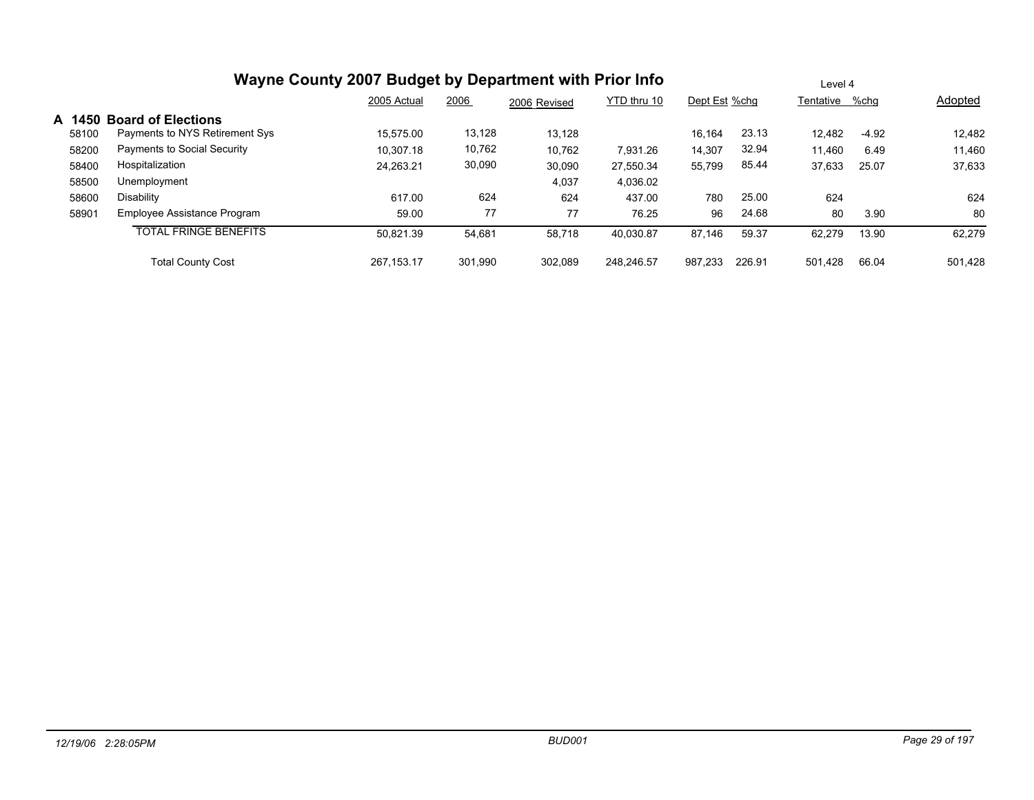| Wayne County 2007 Budget by Department with Prior Info | Level |
|--------------------------------------------------------|-------|
|--------------------------------------------------------|-------|

|       |                                | 2005 Actual | 2006    | 2006 Revised | YTD thru 10 | Dept Est %chg |        | Tentative | %chq    | Adopted |
|-------|--------------------------------|-------------|---------|--------------|-------------|---------------|--------|-----------|---------|---------|
|       | A 1450 Board of Elections      |             |         |              |             |               |        |           |         |         |
| 58100 | Payments to NYS Retirement Sys | 15.575.00   | 13,128  | 13,128       |             | 16,164        | 23.13  | 12.482    | $-4.92$ | 12,482  |
| 58200 | Payments to Social Security    | 10.307.18   | 10,762  | 10,762       | 7.931.26    | 14,307        | 32.94  | 11.460    | 6.49    | 11,460  |
| 58400 | Hospitalization                | 24,263.21   | 30,090  | 30,090       | 27,550.34   | 55,799        | 85.44  | 37,633    | 25.07   | 37,633  |
| 58500 | Unemployment                   |             |         | 4,037        | 4,036.02    |               |        |           |         |         |
| 58600 | Disability                     | 617.00      | 624     | 624          | 437.00      | 780           | 25.00  | 624       |         | 624     |
| 58901 | Employee Assistance Program    | 59.00       | 77      | 77           | 76.25       | 96            | 24.68  | 80        | 3.90    | 80      |
|       | <b>TOTAL FRINGE BENEFITS</b>   | 50.821.39   | 54,681  | 58,718       | 40,030.87   | 87,146        | 59.37  | 62.279    | 13.90   | 62,279  |
|       | <b>Total County Cost</b>       | 267.153.17  | 301.990 | 302.089      | 248,246.57  | 987.233       | 226.91 | 501.428   | 66.04   | 501.428 |

Level 4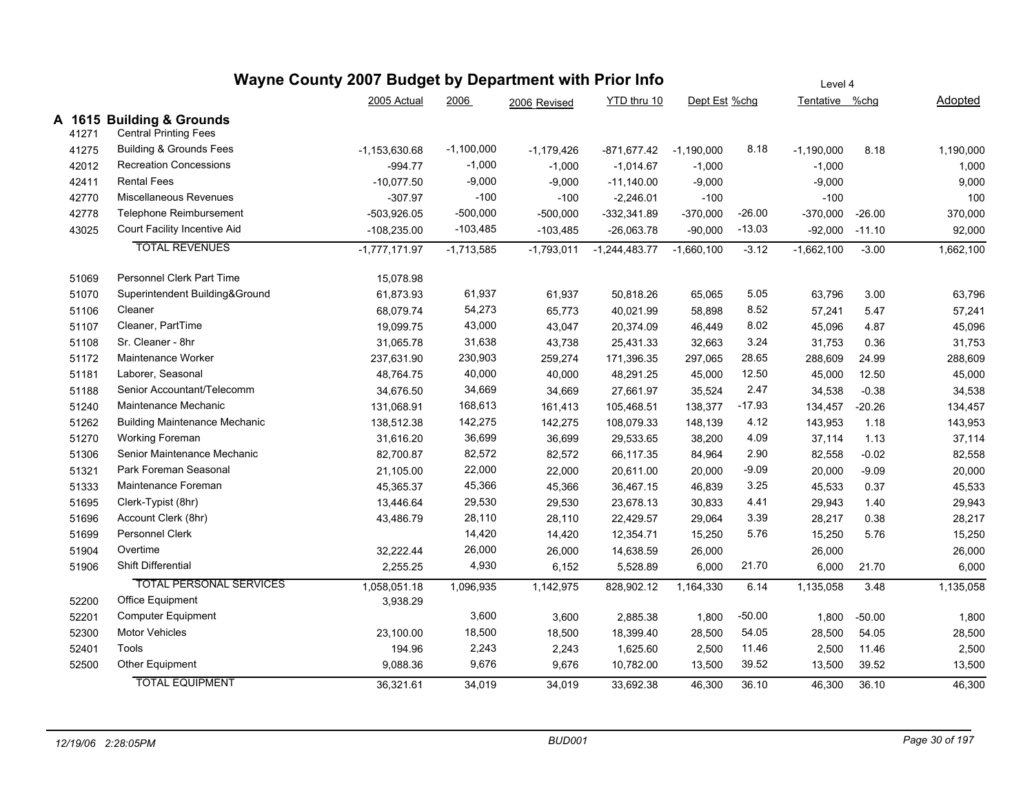|       | Wayne County 2007 Budget by Department with Prior Info    |                   | Level 4      |              |                 |               |          |                  |          |           |
|-------|-----------------------------------------------------------|-------------------|--------------|--------------|-----------------|---------------|----------|------------------|----------|-----------|
|       |                                                           | 2005 Actual       | 2006         | 2006 Revised | YTD thru 10     | Dept Est %chg |          | Tentative %chg   |          | Adopted   |
| 41271 | A 1615 Building & Grounds<br><b>Central Printing Fees</b> |                   |              |              |                 |               |          |                  |          |           |
| 41275 | <b>Building &amp; Grounds Fees</b>                        | $-1, 153, 630.68$ | $-1,100,000$ | $-1,179,426$ | -871,677.42     | $-1,190,000$  | 8.18     | $-1,190,000$     | 8.18     | 1,190,000 |
| 42012 | <b>Recreation Concessions</b>                             | $-994.77$         | $-1,000$     | $-1,000$     | $-1,014.67$     | $-1,000$      |          | $-1,000$         |          | 1,000     |
| 42411 | <b>Rental Fees</b>                                        | $-10,077.50$      | $-9,000$     | $-9,000$     | $-11,140.00$    | $-9,000$      |          | $-9,000$         |          | 9,000     |
| 42770 | Miscellaneous Revenues                                    | $-307.97$         | $-100$       | $-100$       | $-2,246.01$     | $-100$        |          | $-100$           |          | 100       |
| 42778 | Telephone Reimbursement                                   | $-503,926.05$     | $-500,000$   | $-500,000$   | $-332,341.89$   | $-370,000$    | $-26.00$ | $-370,000$       | $-26.00$ | 370,000   |
| 43025 | Court Facility Incentive Aid                              | $-108,235.00$     | $-103,485$   | $-103,485$   | $-26,063.78$    | $-90,000$     | $-13.03$ | $-92,000 -11.10$ |          | 92,000    |
|       | <b>TOTAL REVENUES</b>                                     | $-1,777,171.97$   | $-1,713,585$ | $-1,793,011$ | $-1,244,483.77$ | $-1,660,100$  | $-3.12$  | $-1,662,100$     | $-3.00$  | 1,662,100 |
| 51069 | Personnel Clerk Part Time                                 | 15,078.98         |              |              |                 |               |          |                  |          |           |
| 51070 | Superintendent Building&Ground                            | 61,873.93         | 61,937       | 61,937       | 50,818.26       | 65,065        | 5.05     | 63,796           | 3.00     | 63,796    |
| 51106 | Cleaner                                                   | 68,079.74         | 54,273       | 65,773       | 40,021.99       | 58,898        | 8.52     | 57,241           | 5.47     | 57,241    |
| 51107 | Cleaner, PartTime                                         | 19,099.75         | 43,000       | 43,047       | 20,374.09       | 46,449        | 8.02     | 45,096           | 4.87     | 45,096    |
| 51108 | Sr. Cleaner - 8hr                                         | 31,065.78         | 31,638       | 43,738       | 25,431.33       | 32,663        | 3.24     | 31,753           | 0.36     | 31,753    |
| 51172 | Maintenance Worker                                        | 237,631.90        | 230,903      | 259,274      | 171,396.35      | 297,065       | 28.65    | 288,609          | 24.99    | 288,609   |
| 51181 | Laborer, Seasonal                                         | 48,764.75         | 40,000       | 40,000       | 48,291.25       | 45,000        | 12.50    | 45,000           | 12.50    | 45,000    |
| 51188 | Senior Accountant/Telecomm                                | 34,676.50         | 34,669       | 34,669       | 27,661.97       | 35,524        | 2.47     | 34,538           | $-0.38$  | 34,538    |
| 51240 | Maintenance Mechanic                                      | 131,068.91        | 168,613      | 161,413      | 105,468.51      | 138,377       | -17.93   | 134,457          | $-20.26$ | 134,457   |
| 51262 | <b>Building Maintenance Mechanic</b>                      | 138,512.38        | 142,275      | 142,275      | 108,079.33      | 148,139       | 4.12     | 143,953          | 1.18     | 143,953   |
| 51270 | Working Foreman                                           | 31,616.20         | 36,699       | 36,699       | 29,533.65       | 38,200        | 4.09     | 37,114           | 1.13     | 37,114    |
| 51306 | Senior Maintenance Mechanic                               | 82,700.87         | 82,572       | 82,572       | 66,117.35       | 84,964        | 2.90     | 82,558           | $-0.02$  | 82,558    |
| 51321 | Park Foreman Seasonal                                     | 21,105.00         | 22,000       | 22,000       | 20,611.00       | 20,000        | $-9.09$  | 20,000           | $-9.09$  | 20,000    |
| 51333 | Maintenance Foreman                                       | 45,365.37         | 45,366       | 45,366       | 36,467.15       | 46,839        | 3.25     | 45,533           | 0.37     | 45,533    |
| 51695 | Clerk-Typist (8hr)                                        | 13,446.64         | 29,530       | 29,530       | 23,678.13       | 30,833        | 4.41     | 29,943           | 1.40     | 29,943    |
| 51696 | Account Clerk (8hr)                                       | 43,486.79         | 28,110       | 28,110       | 22,429.57       | 29,064        | 3.39     | 28,217           | 0.38     | 28,217    |
| 51699 | Personnel Clerk                                           |                   | 14,420       | 14,420       | 12,354.71       | 15,250        | 5.76     | 15,250           | 5.76     | 15,250    |
| 51904 | Overtime                                                  | 32,222.44         | 26,000       | 26,000       | 14,638.59       | 26,000        |          | 26,000           |          | 26,000    |
| 51906 | <b>Shift Differential</b>                                 | 2,255.25          | 4,930        | 6,152        | 5,528.89        | 6,000         | 21.70    | 6,000            | 21.70    | 6,000     |
|       | <b>TOTAL PERSONAL SERVICES</b>                            | 1,058,051.18      | 1,096,935    | 1,142,975    | 828,902.12      | 1,164,330     | 6.14     | 1,135,058        | 3.48     | 1,135,058 |
| 52200 | Office Equipment                                          | 3,938.29          |              |              |                 |               |          |                  |          |           |
| 52201 | <b>Computer Equipment</b>                                 |                   | 3,600        | 3,600        | 2,885.38        | 1,800         | $-50.00$ | 1,800            | $-50.00$ | 1,800     |
| 52300 | Motor Vehicles                                            | 23,100.00         | 18,500       | 18,500       | 18,399.40       | 28,500        | 54.05    | 28,500           | 54.05    | 28,500    |
| 52401 | Tools                                                     | 194.96            | 2,243        | 2,243        | 1,625.60        | 2,500         | 11.46    | 2,500            | 11.46    | 2,500     |
| 52500 | Other Equipment                                           | 9,088.36          | 9,676        | 9,676        | 10,782.00       | 13,500        | 39.52    | 13,500           | 39.52    | 13,500    |
|       | <b>TOTAL EQUIPMENT</b>                                    | 36.321.61         | 34.019       | 34.019       | 33,692.38       | 46,300        | 36.10    | 46,300           | 36.10    | 46,300    |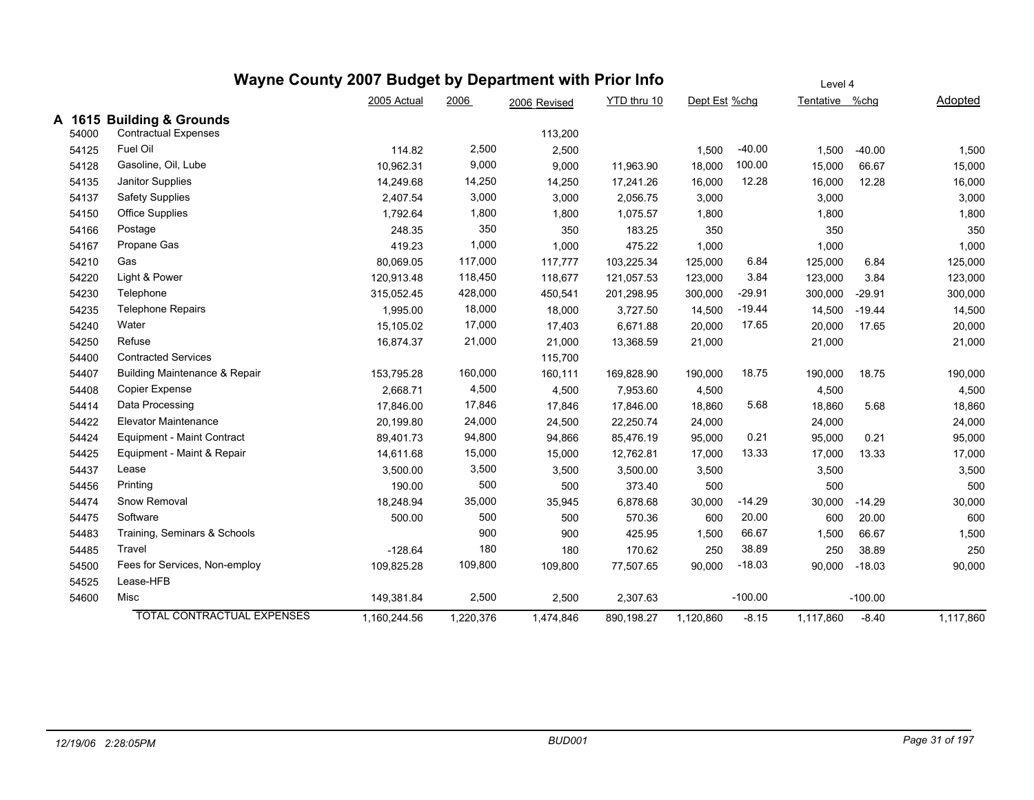|        | Wayne County 2007 Budget by Department with Prior Info |              | Level 4   |              |             |               |           |                |           |           |
|--------|--------------------------------------------------------|--------------|-----------|--------------|-------------|---------------|-----------|----------------|-----------|-----------|
|        |                                                        | 2005 Actual  | 2006      | 2006 Revised | YTD thru 10 | Dept Est %chg |           | Tentative %chg |           | Adopted   |
| A 1615 | <b>Building &amp; Grounds</b>                          |              |           |              |             |               |           |                |           |           |
| 54000  | <b>Contractual Expenses</b>                            |              |           | 113,200      |             |               |           |                |           |           |
| 54125  | Fuel Oil                                               | 114.82       | 2,500     | 2,500        |             | 1,500         | $-40.00$  | 1,500          | $-40.00$  | 1,500     |
| 54128  | Gasoline, Oil, Lube                                    | 10,962.31    | 9,000     | 9,000        | 11,963.90   | 18,000        | 100.00    | 15,000         | 66.67     | 15,000    |
| 54135  | Janitor Supplies                                       | 14,249.68    | 14,250    | 14,250       | 17,241.26   | 16,000        | 12.28     | 16,000         | 12.28     | 16,000    |
| 54137  | <b>Safety Supplies</b>                                 | 2,407.54     | 3,000     | 3,000        | 2,056.75    | 3,000         |           | 3,000          |           | 3,000     |
| 54150  | <b>Office Supplies</b>                                 | 1,792.64     | 1,800     | 1,800        | 1,075.57    | 1,800         |           | 1,800          |           | 1,800     |
| 54166  | Postage                                                | 248.35       | 350       | 350          | 183.25      | 350           |           | 350            |           | 350       |
| 54167  | Propane Gas                                            | 419.23       | 1,000     | 1,000        | 475.22      | 1,000         |           | 1,000          |           | 1,000     |
| 54210  | Gas                                                    | 80,069.05    | 117,000   | 117,777      | 103,225.34  | 125,000       | 6.84      | 125,000        | 6.84      | 125,000   |
| 54220  | Light & Power                                          | 120,913.48   | 118,450   | 118,677      | 121,057.53  | 123,000       | 3.84      | 123,000        | 3.84      | 123,000   |
| 54230  | Telephone                                              | 315,052.45   | 428,000   | 450,541      | 201,298.95  | 300,000       | $-29.91$  | 300,000        | $-29.91$  | 300,000   |
| 54235  | <b>Telephone Repairs</b>                               | 1,995.00     | 18,000    | 18,000       | 3,727.50    | 14,500        | $-19.44$  | 14,500         | $-19.44$  | 14,500    |
| 54240  | Water                                                  | 15,105.02    | 17,000    | 17,403       | 6,671.88    | 20,000        | 17.65     | 20,000         | 17.65     | 20,000    |
| 54250  | Refuse                                                 | 16,874.37    | 21,000    | 21,000       | 13,368.59   | 21,000        |           | 21,000         |           | 21,000    |
| 54400  | <b>Contracted Services</b>                             |              |           | 115,700      |             |               |           |                |           |           |
| 54407  | <b>Building Maintenance &amp; Repair</b>               | 153,795.28   | 160,000   | 160,111      | 169,828.90  | 190,000       | 18.75     | 190,000        | 18.75     | 190,000   |
| 54408  | Copier Expense                                         | 2,668.71     | 4,500     | 4,500        | 7,953.60    | 4,500         |           | 4,500          |           | 4,500     |
| 54414  | Data Processing                                        | 17,846.00    | 17,846    | 17,846       | 17,846.00   | 18,860        | 5.68      | 18,860         | 5.68      | 18,860    |
| 54422  | <b>Elevator Maintenance</b>                            | 20,199.80    | 24,000    | 24,500       | 22,250.74   | 24,000        |           | 24,000         |           | 24,000    |
| 54424  | Equipment - Maint Contract                             | 89,401.73    | 94,800    | 94,866       | 85,476.19   | 95,000        | 0.21      | 95,000         | 0.21      | 95,000    |
| 54425  | Equipment - Maint & Repair                             | 14,611.68    | 15,000    | 15,000       | 12,762.81   | 17,000        | 13.33     | 17,000         | 13.33     | 17,000    |
| 54437  | Lease                                                  | 3,500.00     | 3,500     | 3,500        | 3,500.00    | 3,500         |           | 3,500          |           | 3,500     |
| 54456  | Printing                                               | 190.00       | 500       | 500          | 373.40      | 500           |           | 500            |           | 500       |
| 54474  | Snow Removal                                           | 18,248.94    | 35,000    | 35,945       | 6,878.68    | 30,000        | $-14.29$  | 30,000         | $-14.29$  | 30,000    |
| 54475  | Software                                               | 500.00       | 500       | 500          | 570.36      | 600           | 20.00     | 600            | 20.00     | 600       |
| 54483  | Training, Seminars & Schools                           |              | 900       | 900          | 425.95      | 1,500         | 66.67     | 1,500          | 66.67     | 1,500     |
| 54485  | Travel                                                 | $-128.64$    | 180       | 180          | 170.62      | 250           | 38.89     | 250            | 38.89     | 250       |
| 54500  | Fees for Services, Non-employ                          | 109,825.28   | 109,800   | 109,800      | 77,507.65   | 90,000        | $-18.03$  | 90,000         | $-18.03$  | 90,000    |
| 54525  | Lease-HFB                                              |              |           |              |             |               |           |                |           |           |
| 54600  | Misc                                                   | 149,381.84   | 2,500     | 2,500        | 2,307.63    |               | $-100.00$ |                | $-100.00$ |           |
|        | <b>TOTAL CONTRACTUAL EXPENSES</b>                      | 1,160,244.56 | 1,220,376 | 1,474,846    | 890,198.27  | 1,120,860     | $-8.15$   | 1,117,860      | $-8.40$   | 1,117,860 |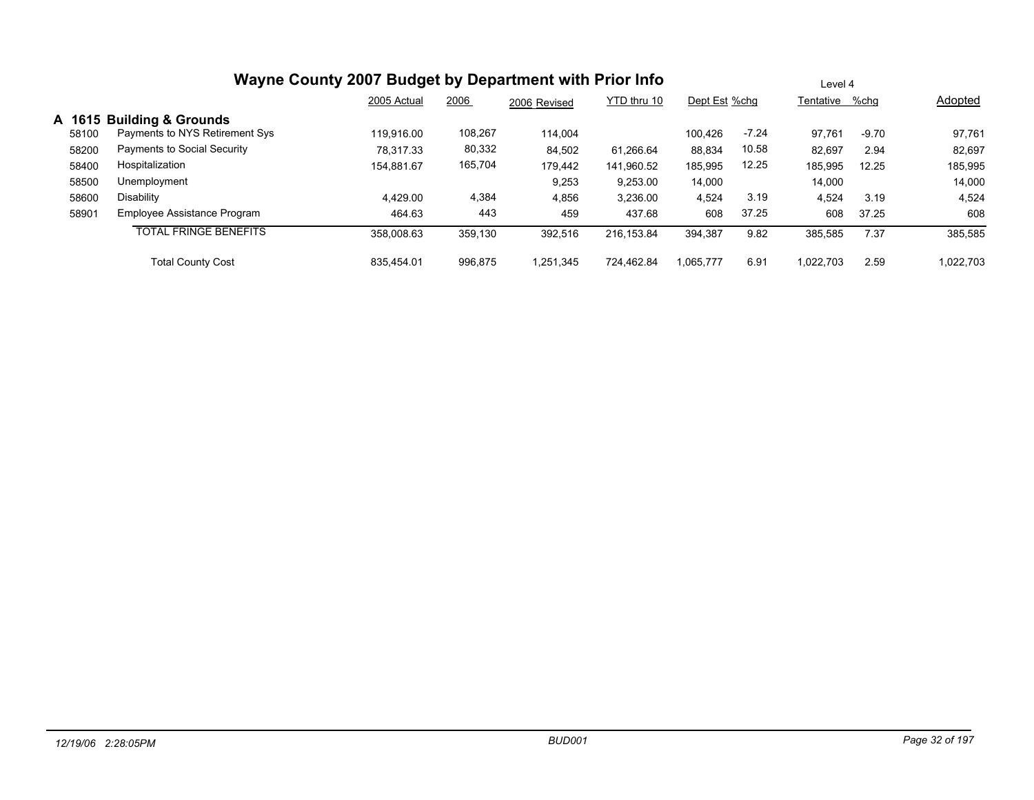|        |                                | 2005 Actual | 2006    | 2006 Revised | YTD thru 10 | Dept Est %chq |         | Tentative %chg |         | Adopted   |
|--------|--------------------------------|-------------|---------|--------------|-------------|---------------|---------|----------------|---------|-----------|
| A 1615 | <b>Building &amp; Grounds</b>  |             |         |              |             |               |         |                |         |           |
| 58100  | Payments to NYS Retirement Sys | 119.916.00  | 108,267 | 114,004      |             | 100.426       | $-7.24$ | 97.761         | $-9.70$ | 97,761    |
| 58200  | Payments to Social Security    | 78.317.33   | 80,332  | 84,502       | 61.266.64   | 88,834        | 10.58   | 82,697         | 2.94    | 82,697    |
| 58400  | Hospitalization                | 154,881.67  | 165,704 | 179,442      | 141,960.52  | 185,995       | 12.25   | 185,995        | 12.25   | 185,995   |
| 58500  | Unemployment                   |             |         | 9,253        | 9,253.00    | 14,000        |         | 14,000         |         | 14,000    |
| 58600  | Disability                     | 4,429.00    | 4,384   | 4,856        | 3,236.00    | 4,524         | 3.19    | 4,524          | 3.19    | 4,524     |
| 58901  | Employee Assistance Program    | 464.63      | 443     | 459          | 437.68      | 608           | 37.25   | 608            | 37.25   | 608       |
|        | <b>TOTAL FRINGE BENEFITS</b>   | 358,008.63  | 359,130 | 392,516      | 216,153.84  | 394,387       | 9.82    | 385,585        | 7.37    | 385,585   |
|        | <b>Total County Cost</b>       | 835.454.01  | 996,875 | ,251,345     | 724.462.84  | 1.065.777     | 6.91    | 1.022.703      | 2.59    | 1,022,703 |

Level 4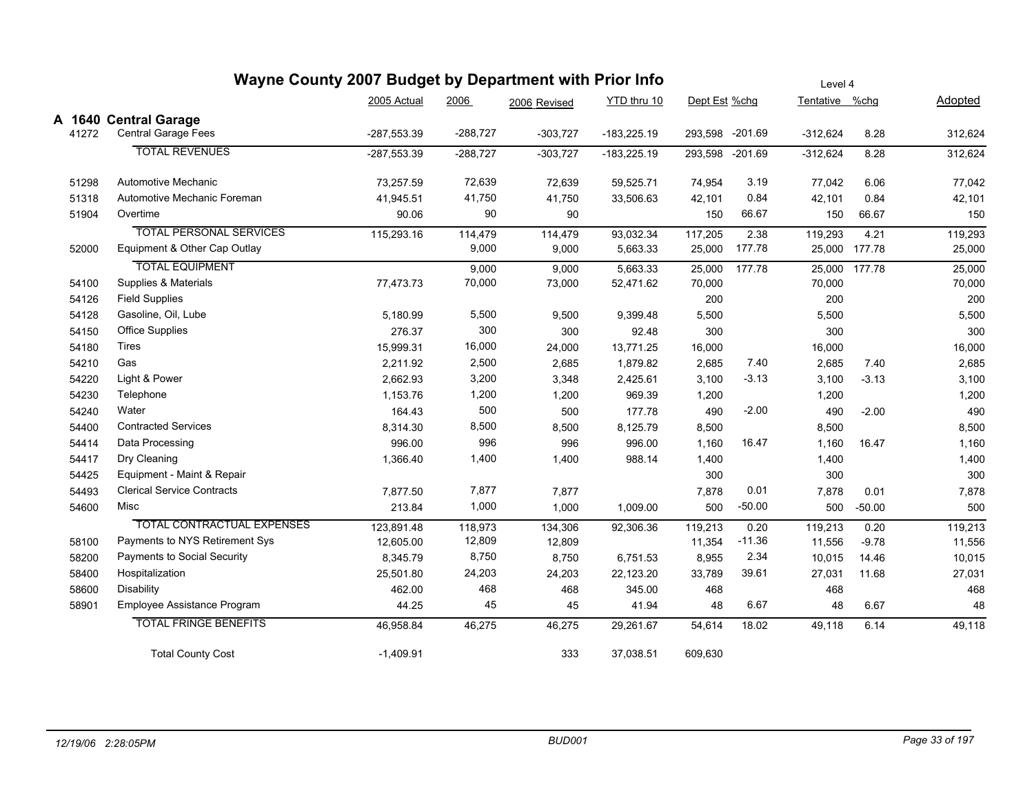|       | Wayne County 2007 Budget by Department with Prior Info |               |            |              |               | Level 4       |           |                |               |         |  |
|-------|--------------------------------------------------------|---------------|------------|--------------|---------------|---------------|-----------|----------------|---------------|---------|--|
|       |                                                        | 2005 Actual   | 2006       | 2006 Revised | YTD thru 10   | Dept Est %chg |           | Tentative %chg |               | Adopted |  |
|       | A 1640 Central Garage                                  |               |            |              |               |               |           |                |               |         |  |
| 41272 | <b>Central Garage Fees</b>                             | $-287,553.39$ | -288,727   | $-303,727$   | $-183,225.19$ | 293,598       | $-201.69$ | $-312,624$     | 8.28          | 312,624 |  |
|       | <b>TOTAL REVENUES</b>                                  | $-287.553.39$ | $-288,727$ | $-303,727$   | $-183,225.19$ | 293,598       | $-201.69$ | $-312,624$     | 8.28          | 312,624 |  |
| 51298 | Automotive Mechanic                                    | 73,257.59     | 72,639     | 72,639       | 59,525.71     | 74,954        | 3.19      | 77,042         | 6.06          | 77,042  |  |
| 51318 | Automotive Mechanic Foreman                            | 41,945.51     | 41,750     | 41,750       | 33,506.63     | 42,101        | 0.84      | 42,101         | 0.84          | 42,101  |  |
| 51904 | Overtime                                               | 90.06         | 90         | 90           |               | 150           | 66.67     | 150            | 66.67         | 150     |  |
|       | <b>TOTAL PERSONAL SERVICES</b>                         | 115,293.16    | 114,479    | 114,479      | 93,032.34     | 117,205       | 2.38      | 119,293        | 4.21          | 119,293 |  |
| 52000 | Equipment & Other Cap Outlay                           |               | 9,000      | 9,000        | 5,663.33      | 25,000        | 177.78    |                | 25,000 177.78 | 25,000  |  |
|       | <b>TOTAL EQUIPMENT</b>                                 |               | 9,000      | 9,000        | 5,663.33      | 25,000        | 177.78    |                | 25,000 177.78 | 25,000  |  |
| 54100 | Supplies & Materials                                   | 77,473.73     | 70,000     | 73,000       | 52,471.62     | 70,000        |           | 70,000         |               | 70,000  |  |
| 54126 | <b>Field Supplies</b>                                  |               |            |              |               | 200           |           | 200            |               | 200     |  |
| 54128 | Gasoline, Oil, Lube                                    | 5,180.99      | 5,500      | 9,500        | 9,399.48      | 5,500         |           | 5,500          |               | 5,500   |  |
| 54150 | <b>Office Supplies</b>                                 | 276.37        | 300        | 300          | 92.48         | 300           |           | 300            |               | 300     |  |
| 54180 | Tires                                                  | 15,999.31     | 16,000     | 24,000       | 13,771.25     | 16,000        |           | 16,000         |               | 16,000  |  |
| 54210 | Gas                                                    | 2,211.92      | 2,500      | 2,685        | 1,879.82      | 2,685         | 7.40      | 2,685          | 7.40          | 2,685   |  |
| 54220 | Light & Power                                          | 2,662.93      | 3,200      | 3,348        | 2,425.61      | 3,100         | $-3.13$   | 3,100          | $-3.13$       | 3,100   |  |
| 54230 | Telephone                                              | 1,153.76      | 1,200      | 1,200        | 969.39        | 1,200         |           | 1,200          |               | 1,200   |  |
| 54240 | Water                                                  | 164.43        | 500        | 500          | 177.78        | 490           | $-2.00$   | 490            | $-2.00$       | 490     |  |
| 54400 | <b>Contracted Services</b>                             | 8,314.30      | 8,500      | 8,500        | 8,125.79      | 8,500         |           | 8,500          |               | 8,500   |  |
| 54414 | Data Processing                                        | 996.00        | 996        | 996          | 996.00        | 1,160         | 16.47     | 1,160          | 16.47         | 1,160   |  |
| 54417 | Dry Cleaning                                           | 1,366.40      | 1,400      | 1,400        | 988.14        | 1,400         |           | 1,400          |               | 1,400   |  |
| 54425 | Equipment - Maint & Repair                             |               |            |              |               | 300           |           | 300            |               | 300     |  |
| 54493 | <b>Clerical Service Contracts</b>                      | 7,877.50      | 7,877      | 7,877        |               | 7,878         | 0.01      | 7,878          | 0.01          | 7,878   |  |
| 54600 | Misc                                                   | 213.84        | 1,000      | 1,000        | 1,009.00      | 500           | $-50.00$  | 500            | $-50.00$      | 500     |  |
|       | <b>TOTAL CONTRACTUAL EXPENSES</b>                      | 123,891.48    | 118,973    | 134,306      | 92,306.36     | 119,213       | 0.20      | 119,213        | 0.20          | 119,213 |  |
| 58100 | Payments to NYS Retirement Sys                         | 12,605.00     | 12,809     | 12,809       |               | 11,354        | $-11.36$  | 11,556         | $-9.78$       | 11,556  |  |
| 58200 | Payments to Social Security                            | 8,345.79      | 8,750      | 8,750        | 6,751.53      | 8,955         | 2.34      | 10,015         | 14.46         | 10,015  |  |
| 58400 | Hospitalization                                        | 25,501.80     | 24,203     | 24,203       | 22,123.20     | 33,789        | 39.61     | 27,031         | 11.68         | 27,031  |  |
| 58600 | Disability                                             | 462.00        | 468        | 468          | 345.00        | 468           |           | 468            |               | 468     |  |
| 58901 | Employee Assistance Program                            | 44.25         | 45         | 45           | 41.94         | 48            | 6.67      | 48             | 6.67          | 48      |  |
|       | <b>TOTAL FRINGE BENEFITS</b>                           | 46,958.84     | 46,275     | 46,275       | 29,261.67     | 54,614        | 18.02     | 49,118         | 6.14          | 49,118  |  |
|       | <b>Total County Cost</b>                               | $-1,409.91$   |            | 333          | 37,038.51     | 609,630       |           |                |               |         |  |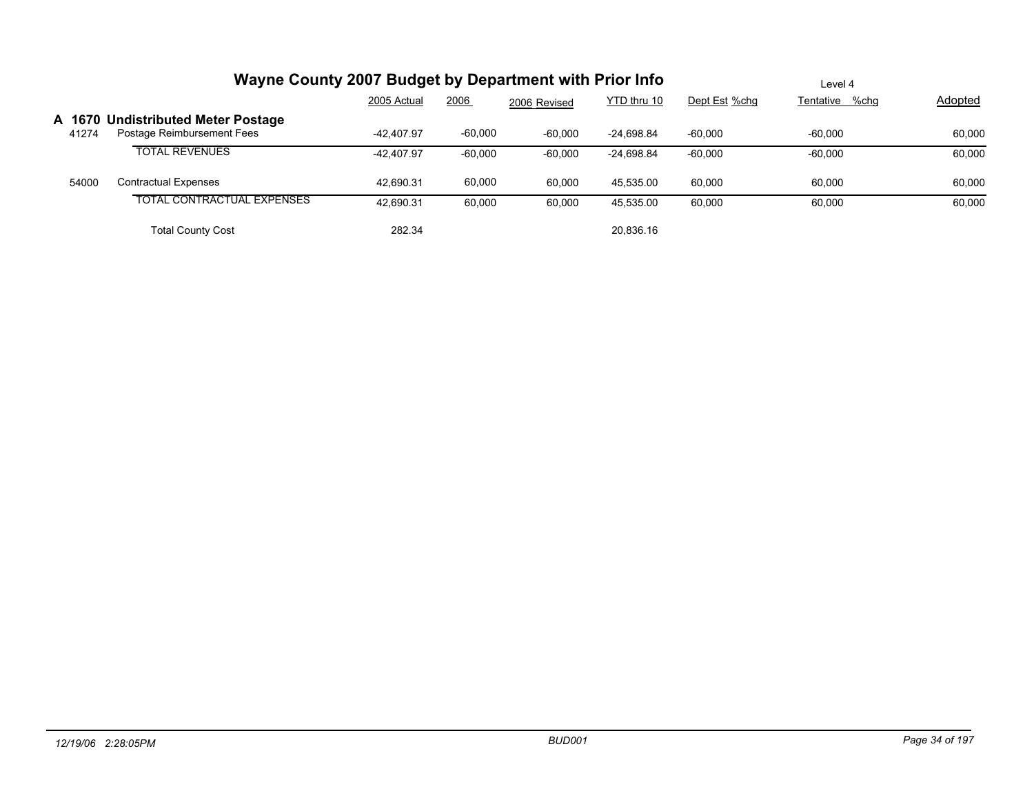|                 | Wayne County 2007 Budget by Department with Prior Info           | Level 4      |           |              |              |               |                |                |
|-----------------|------------------------------------------------------------------|--------------|-----------|--------------|--------------|---------------|----------------|----------------|
|                 |                                                                  | 2005 Actual  | 2006      | 2006 Revised | YTD thru 10  | Dept Est %chg | Tentative %chg | <b>Adopted</b> |
| A 1670<br>41274 | <b>Undistributed Meter Postage</b><br>Postage Reimbursement Fees | $-42.407.97$ | $-60,000$ | $-60,000$    | $-24,698.84$ | $-60,000$     | $-60,000$      | 60,000         |
|                 | <b>TOTAL REVENUES</b>                                            | $-42.407.97$ | $-60,000$ | $-60,000$    | -24,698.84   | $-60,000$     | $-60,000$      | 60,000         |
| 54000           | <b>Contractual Expenses</b>                                      | 42.690.31    | 60,000    | 60,000       | 45.535.00    | 60.000        | 60.000         | 60,000         |
|                 | <b>TOTAL CONTRACTUAL EXPENSES</b>                                | 42.690.31    | 60,000    | 60,000       | 45.535.00    | 60,000        | 60,000         | 60,000         |
|                 | <b>Total County Cost</b>                                         | 282.34       |           |              | 20,836.16    |               |                |                |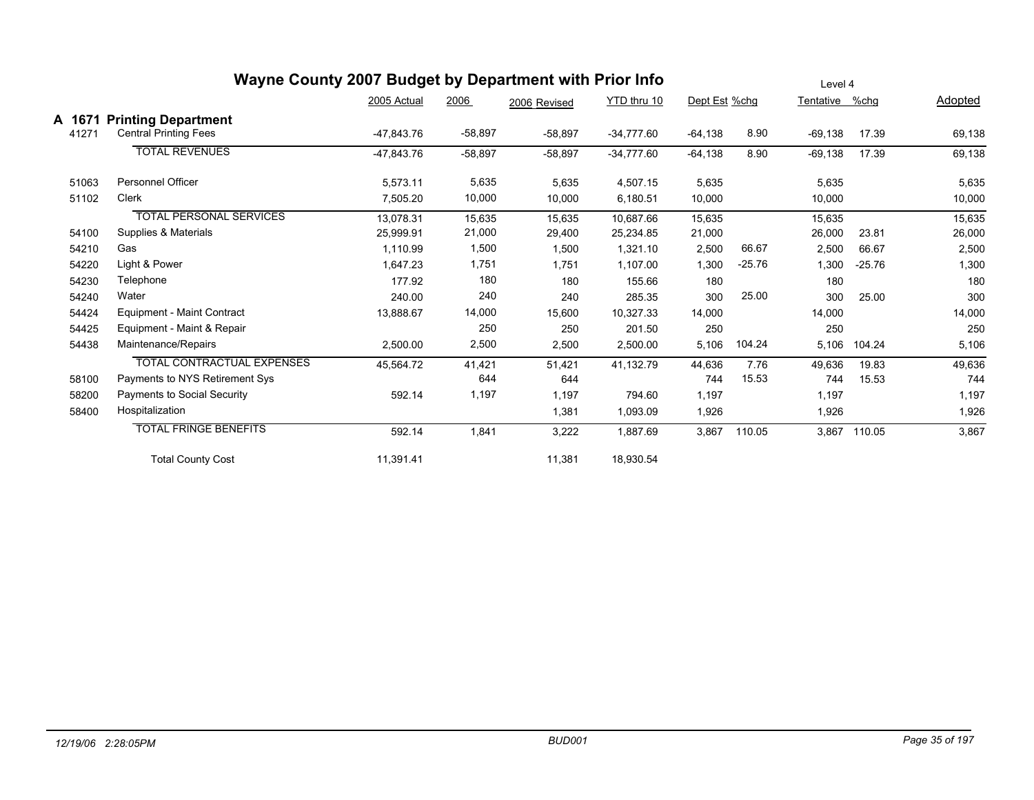|                 | Wayne County 2007 Budget by Department with Prior Info     | Level 4     |           |              |              |               |          |                |          |         |
|-----------------|------------------------------------------------------------|-------------|-----------|--------------|--------------|---------------|----------|----------------|----------|---------|
|                 |                                                            | 2005 Actual | 2006      | 2006 Revised | YTD thru 10  | Dept Est %chg |          | Tentative %chg |          | Adopted |
| A 1671<br>41271 | <b>Printing Department</b><br><b>Central Printing Fees</b> | -47,843.76  | $-58,897$ | $-58,897$    | $-34,777.60$ | $-64,138$     | 8.90     | $-69,138$      | 17.39    | 69,138  |
|                 | <b>TOTAL REVENUES</b>                                      | -47,843.76  | $-58,897$ | $-58,897$    | $-34,777.60$ | $-64,138$     | 8.90     | $-69,138$      | 17.39    | 69,138  |
| 51063           | Personnel Officer                                          | 5,573.11    | 5,635     | 5,635        | 4,507.15     | 5,635         |          | 5,635          |          | 5,635   |
| 51102           | Clerk                                                      | 7,505.20    | 10,000    | 10,000       | 6,180.51     | 10,000        |          | 10,000         |          | 10,000  |
|                 | <b>TOTAL PERSONAL SERVICES</b>                             | 13.078.31   | 15,635    | 15,635       | 10.687.66    | 15.635        |          | 15,635         |          | 15,635  |
| 54100           | Supplies & Materials                                       | 25,999.91   | 21,000    | 29,400       | 25,234.85    | 21,000        |          | 26,000         | 23.81    | 26,000  |
| 54210           | Gas                                                        | 1,110.99    | 1,500     | 1,500        | 1,321.10     | 2,500         | 66.67    | 2,500          | 66.67    | 2,500   |
| 54220           | Light & Power                                              | 1,647.23    | 1,751     | 1,751        | 1,107.00     | 1,300         | $-25.76$ | 1,300          | $-25.76$ | 1,300   |
| 54230           | Telephone                                                  | 177.92      | 180       | 180          | 155.66       | 180           |          | 180            |          | 180     |
| 54240           | Water                                                      | 240.00      | 240       | 240          | 285.35       | 300           | 25.00    | 300            | 25.00    | 300     |
| 54424           | Equipment - Maint Contract                                 | 13,888.67   | 14,000    | 15,600       | 10,327.33    | 14,000        |          | 14,000         |          | 14,000  |
| 54425           | Equipment - Maint & Repair                                 |             | 250       | 250          | 201.50       | 250           |          | 250            |          | 250     |
| 54438           | Maintenance/Repairs                                        | 2,500.00    | 2,500     | 2,500        | 2,500.00     | 5,106         | 104.24   | 5,106          | 104.24   | 5,106   |
|                 | <b>TOTAL CONTRACTUAL EXPENSES</b>                          | 45,564.72   | 41,421    | 51,421       | 41,132.79    | 44,636        | 7.76     | 49,636         | 19.83    | 49,636  |
| 58100           | Payments to NYS Retirement Sys                             |             | 644       | 644          |              | 744           | 15.53    | 744            | 15.53    | 744     |
| 58200           | Payments to Social Security                                | 592.14      | 1,197     | 1,197        | 794.60       | 1,197         |          | 1,197          |          | 1,197   |
| 58400           | Hospitalization                                            |             |           | 1,381        | 1,093.09     | 1,926         |          | 1,926          |          | 1,926   |
|                 | <b>TOTAL FRINGE BENEFITS</b>                               | 592.14      | 1,841     | 3,222        | 1,887.69     | 3,867         | 110.05   | 3,867          | 110.05   | 3,867   |
|                 | <b>Total County Cost</b>                                   | 11,391.41   |           | 11,381       | 18,930.54    |               |          |                |          |         |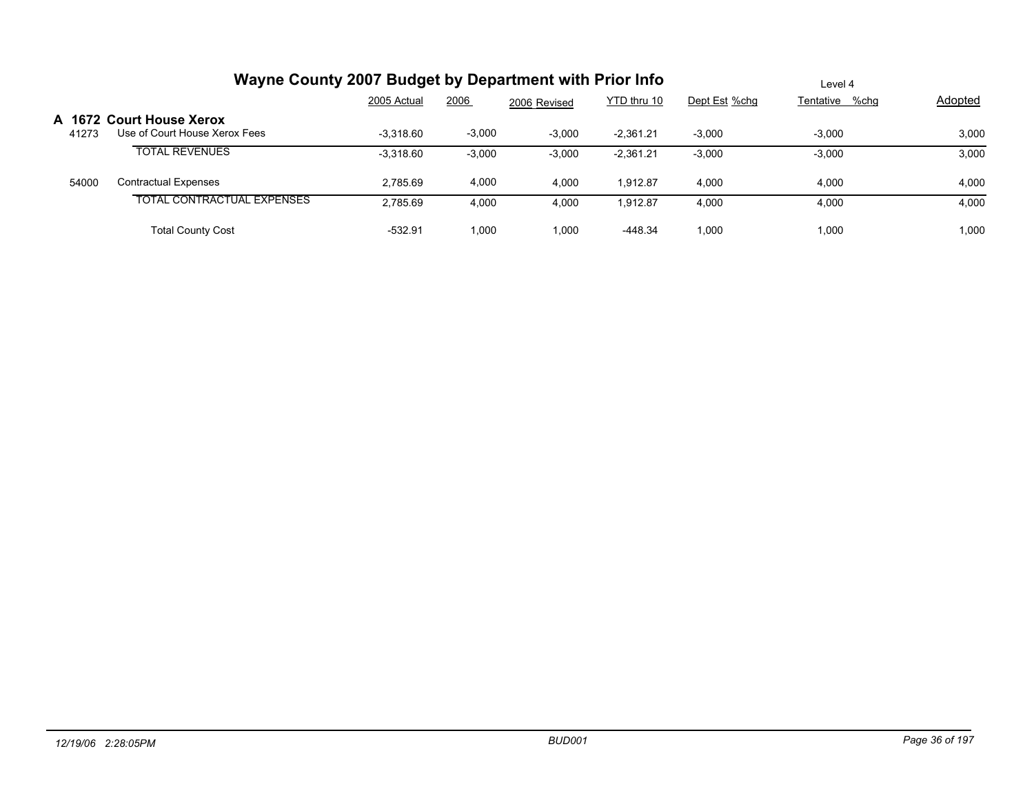|                 | Wayne County 2007 Budget by Department with Prior Info    | Level 4     |          |              |             |               |                |                |
|-----------------|-----------------------------------------------------------|-------------|----------|--------------|-------------|---------------|----------------|----------------|
|                 |                                                           | 2005 Actual | 2006     | 2006 Revised | YTD thru 10 | Dept Est %chg | Tentative %chg | <b>Adopted</b> |
| A 1672<br>41273 | <b>Court House Xerox</b><br>Use of Court House Xerox Fees | $-3.318.60$ | $-3,000$ | $-3.000$     | $-2.361.21$ | $-3.000$      | $-3.000$       | 3,000          |
|                 | <b>TOTAL REVENUES</b>                                     | $-3.318.60$ | $-3,000$ | $-3,000$     | $-2.361.21$ | $-3,000$      | $-3,000$       | 3,000          |
| 54000           | <b>Contractual Expenses</b>                               | 2.785.69    | 4,000    | 4,000        | 1.912.87    | 4.000         | 4,000          | 4,000          |
|                 | <b>TOTAL CONTRACTUAL EXPENSES</b>                         | 2.785.69    | 4.000    | 4,000        | 1.912.87    | 4.000         | 4,000          | 4,000          |
|                 | <b>Total County Cost</b>                                  | $-532.91$   | 1.000    | 1.000        | $-448.34$   | 1.000         | 1.000          | 1,000          |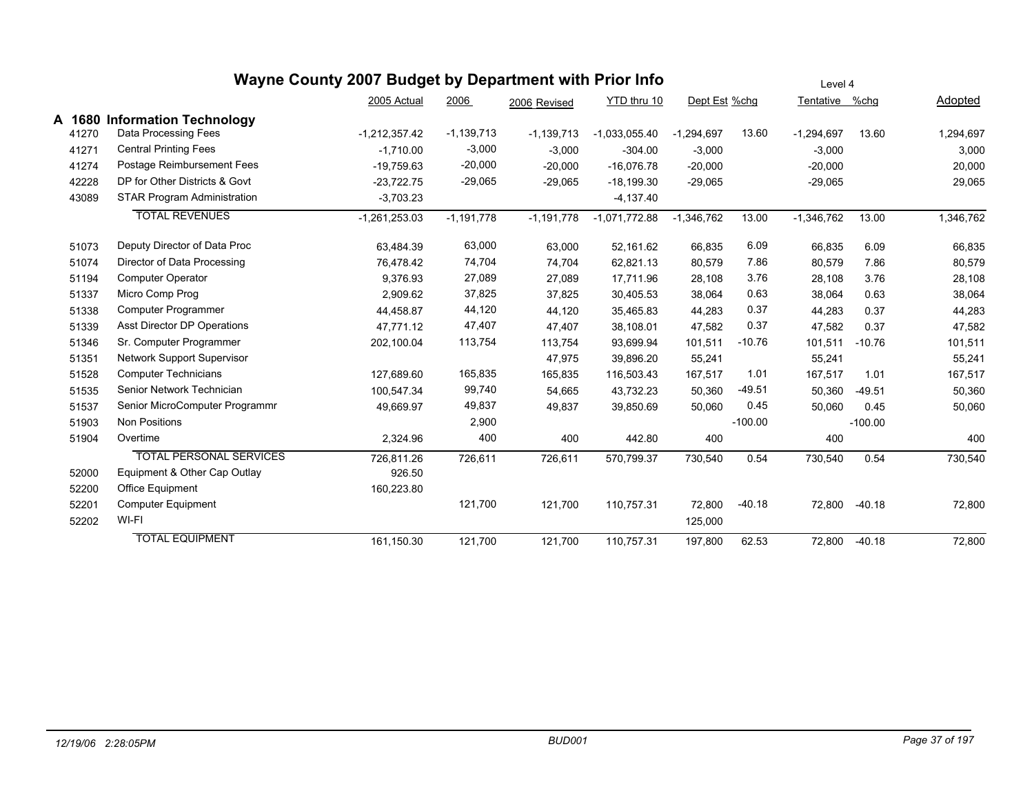|        |                                    | Wayne County 2007 Budget by Department with Prior Info |              |              |                 |               |           | Level 4        |           |           |
|--------|------------------------------------|--------------------------------------------------------|--------------|--------------|-----------------|---------------|-----------|----------------|-----------|-----------|
|        |                                    | 2005 Actual                                            | 2006         | 2006 Revised | YTD thru 10     | Dept Est %chg |           | Tentative %chg |           | Adopted   |
| A 1680 | <b>Information Technology</b>      |                                                        |              |              |                 |               |           |                |           |           |
| 41270  | Data Processing Fees               | $-1,212,357.42$                                        | $-1,139,713$ | $-1,139,713$ | $-1,033,055.40$ | $-1,294,697$  | 13.60     | $-1,294,697$   | 13.60     | 1,294,697 |
| 41271  | <b>Central Printing Fees</b>       | $-1,710.00$                                            | $-3,000$     | $-3,000$     | $-304.00$       | $-3,000$      |           | $-3,000$       |           | 3,000     |
| 41274  | Postage Reimbursement Fees         | $-19.759.63$                                           | $-20,000$    | $-20,000$    | $-16,076.78$    | $-20,000$     |           | $-20,000$      |           | 20,000    |
| 42228  | DP for Other Districts & Govt      | $-23,722.75$                                           | $-29,065$    | $-29,065$    | $-18,199.30$    | $-29,065$     |           | $-29,065$      |           | 29,065    |
| 43089  | <b>STAR Program Administration</b> | $-3,703.23$                                            |              |              | $-4,137.40$     |               |           |                |           |           |
|        | <b>TOTAL REVENUES</b>              | $-1,261,253.03$                                        | $-1,191,778$ | $-1,191,778$ | $-1,071,772.88$ | $-1,346,762$  | 13.00     | $-1,346,762$   | 13.00     | 1,346,762 |
| 51073  | Deputy Director of Data Proc       | 63,484.39                                              | 63,000       | 63,000       | 52,161.62       | 66,835        | 6.09      | 66,835         | 6.09      | 66,835    |
| 51074  | Director of Data Processing        | 76,478.42                                              | 74,704       | 74,704       | 62,821.13       | 80,579        | 7.86      | 80,579         | 7.86      | 80,579    |
| 51194  | <b>Computer Operator</b>           | 9,376.93                                               | 27,089       | 27,089       | 17,711.96       | 28,108        | 3.76      | 28,108         | 3.76      | 28,108    |
| 51337  | Micro Comp Prog                    | 2,909.62                                               | 37,825       | 37,825       | 30,405.53       | 38,064        | 0.63      | 38,064         | 0.63      | 38,064    |
| 51338  | Computer Programmer                | 44,458.87                                              | 44,120       | 44,120       | 35,465.83       | 44,283        | 0.37      | 44,283         | 0.37      | 44,283    |
| 51339  | Asst Director DP Operations        | 47.771.12                                              | 47,407       | 47,407       | 38,108.01       | 47,582        | 0.37      | 47,582         | 0.37      | 47,582    |
| 51346  | Sr. Computer Programmer            | 202,100.04                                             | 113,754      | 113,754      | 93,699.94       | 101,511       | $-10.76$  | 101,511        | $-10.76$  | 101,511   |
| 51351  | <b>Network Support Supervisor</b>  |                                                        |              | 47,975       | 39,896.20       | 55,241        |           | 55,241         |           | 55,241    |
| 51528  | <b>Computer Technicians</b>        | 127.689.60                                             | 165,835      | 165,835      | 116,503.43      | 167,517       | 1.01      | 167,517        | 1.01      | 167,517   |
| 51535  | Senior Network Technician          | 100,547.34                                             | 99,740       | 54,665       | 43,732.23       | 50,360        | -49.51    | 50,360         | $-49.51$  | 50,360    |
| 51537  | Senior MicroComputer Programmr     | 49,669.97                                              | 49,837       | 49,837       | 39,850.69       | 50,060        | 0.45      | 50,060         | 0.45      | 50,060    |
| 51903  | <b>Non Positions</b>               |                                                        | 2,900        |              |                 |               | $-100.00$ |                | $-100.00$ |           |
| 51904  | Overtime                           | 2,324.96                                               | 400          | 400          | 442.80          | 400           |           | 400            |           | 400       |
|        | <b>TOTAL PERSONAL SERVICES</b>     | 726,811.26                                             | 726,611      | 726,611      | 570,799.37      | 730,540       | 0.54      | 730,540        | 0.54      | 730,540   |
| 52000  | Equipment & Other Cap Outlay       | 926.50                                                 |              |              |                 |               |           |                |           |           |
| 52200  | Office Equipment                   | 160,223.80                                             |              |              |                 |               |           |                |           |           |
| 52201  | <b>Computer Equipment</b>          |                                                        | 121,700      | 121,700      | 110,757.31      | 72,800        | $-40.18$  | 72,800         | $-40.18$  | 72,800    |
| 52202  | WI-FI                              |                                                        |              |              |                 | 125,000       |           |                |           |           |
|        | <b>TOTAL EQUIPMENT</b>             | 161,150.30                                             | 121,700      | 121,700      | 110,757.31      | 197,800       | 62.53     | 72,800         | $-40.18$  | 72,800    |
|        |                                    |                                                        |              |              |                 |               |           |                |           |           |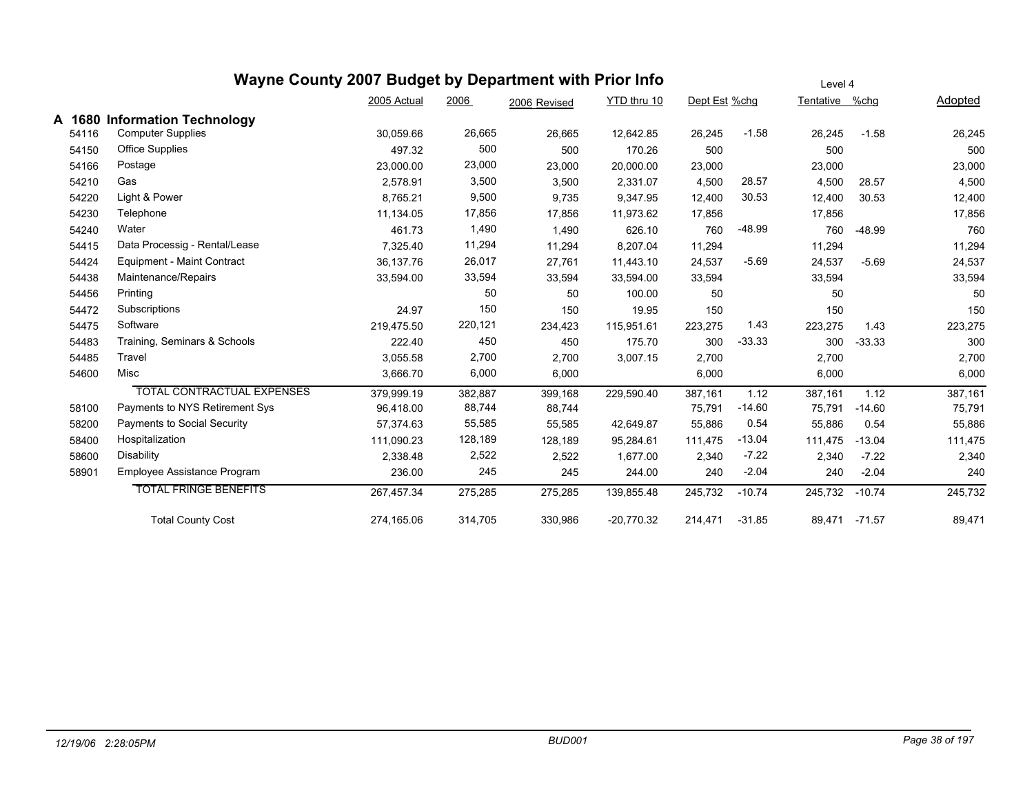### **Wayne County 2007 Budget by Department with Prior Info** Dept Est %chg Tentative %chg Adopted Level 4 2005 Actual 2006 2006 Revised YTD thru 10 **A 1680 Information Technology** 54116 Computer Supplies 30,059.66 26,665 26,665 12,642.85 26,245 -1.58 26,245 -1.58 26,245 54150 Office Supplies 497.32 500 500 170.26 500 500 500 54166 Postage 23,000.00 23,000 23,000 20,000.00 23,000 23,000 23,000 54210 Gas 2,578.91 3,500 3,500 2,331.07 4,500 28.57 4,500 28.57 4,500 54220 Light & Power 8,765.21 9,500 9,735 9,347.95 12,400 30.53 12,400 30.53 12,400 54230 Telephone 11,134.05 17,856 17,856 11,973.62 17,856 17,856 17,856 54240 Water 461.73 1,490 1,490 626.10 760 -48.99 760 -48.99 760 54415 Data Processig - Rental/Lease 2014 7.325.40 11,294 11.294 8.207.04 11.294 11.294 11.294 11.294 11.294 11 54424 Equipment - Maint Contract 36,137.76 26,017 27,761 11,443.10 24,537 -5.69 24,537 -5.69 24,537 54438 Maintenance/Repairs 33,594.00 33,594 33,594 33,594.00 33,594 33,594 33,594 54456 Printing 50 50 100.00 50 50 50 54472 Subscriptions 24.97 150 150 19.95 150 150 150 54475 Software 219,475.50 220,121 234,423 115,951.61 223,275 1.43 223,275 1.43 223,275 54483 Training, Seminars & Schools 222.40 450 450 450 175.70 300 -33.33 300 -33.33 300 -33.33 54485 Travel 3,055.58 2,700 2,700 3,007.15 2,700 2,700 2,700 54600 Misc 3,666.70 6,000 6,000 6,000 6,000 6,000 TOTAL CONTRACTUAL EXPENSES 379,999.19 382,887 399,168 229,590.40 387,161 1.12 387,161 1.12 387,161 58100 Payments to NYS Retirement Sys 96,418.00 88,744 88,744 75,791 -14.60 75,791 -14.60 75,791 58200 Payments to Social Security 57,374.63 55,585 55,585 42,649.87 55,886 0.54 55,886 0.54 55,886 58400 Hospitalization 111,090.23 128,189 128,189 95,284.61 111,475 -13.04 111,475 -13.04 111,475 58600 Disability 2,338.48 2,522 2,522 1,677.00 2,340 -7.22 2,340 -7.22 2,340 58901 Employee Assistance Program 236.00 245 245 244.00 240 -2.04 240 -2.04 240 TOTAL FRINGE BENEFITS 267,457.34 275,285 275,285 139,855.48 245,732 -10.74 245,732 -10.74 245,732 Total County Cost 274,165.06 314,705 330,986 -20,770.32 214,471 -31.85 89,471 -71.57 89,471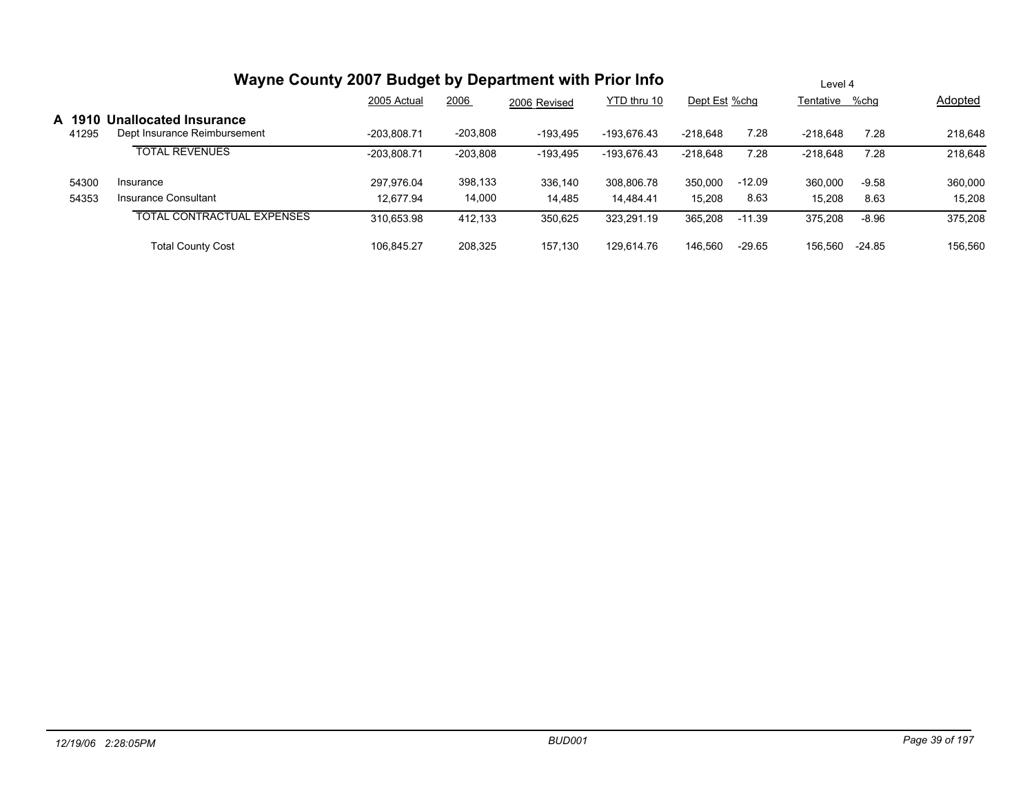|                | Wayne County 2007 Budget by Department with Prior Info |               | Level 4    |              |             |               |          |                |         |         |
|----------------|--------------------------------------------------------|---------------|------------|--------------|-------------|---------------|----------|----------------|---------|---------|
|                |                                                        | 2005 Actual   | 2006       | 2006 Revised | YTD thru 10 | Dept Est %chg |          | Tentative %chg |         | Adopted |
| A 191<br>41295 | Unallocated Insurance<br>Dept Insurance Reimbursement  | $-203.808.71$ | $-203,808$ | $-193.495$   | -193.676.43 | $-218.648$    | 7.28     | $-218.648$     | 7.28    | 218,648 |
|                | <b>TOTAL REVENUES</b>                                  | -203.808.71   | $-203,808$ | $-193,495$   | -193.676.43 | $-218.648$    | 7.28     | $-218,648$     | 7.28    | 218,648 |
| 54300          | Insurance                                              | 297.976.04    | 398,133    | 336.140      | 308.806.78  | 350.000       | $-12.09$ | 360.000        | $-9.58$ | 360,000 |
| 54353          | Insurance Consultant                                   | 12.677.94     | 14,000     | 14,485       | 14.484.41   | 15,208        | 8.63     | 15,208         | 8.63    | 15,208  |
|                | <b>TOTAL CONTRACTUAL EXPENSES</b>                      | 310,653.98    | 412.133    | 350,625      | 323,291.19  | 365,208       | $-11.39$ | 375,208        | $-8.96$ | 375,208 |
|                | <b>Total County Cost</b>                               | 106.845.27    | 208.325    | 157.130      | 129.614.76  | 146.560       | $-29.65$ | 156.560        | -24.85  | 156,560 |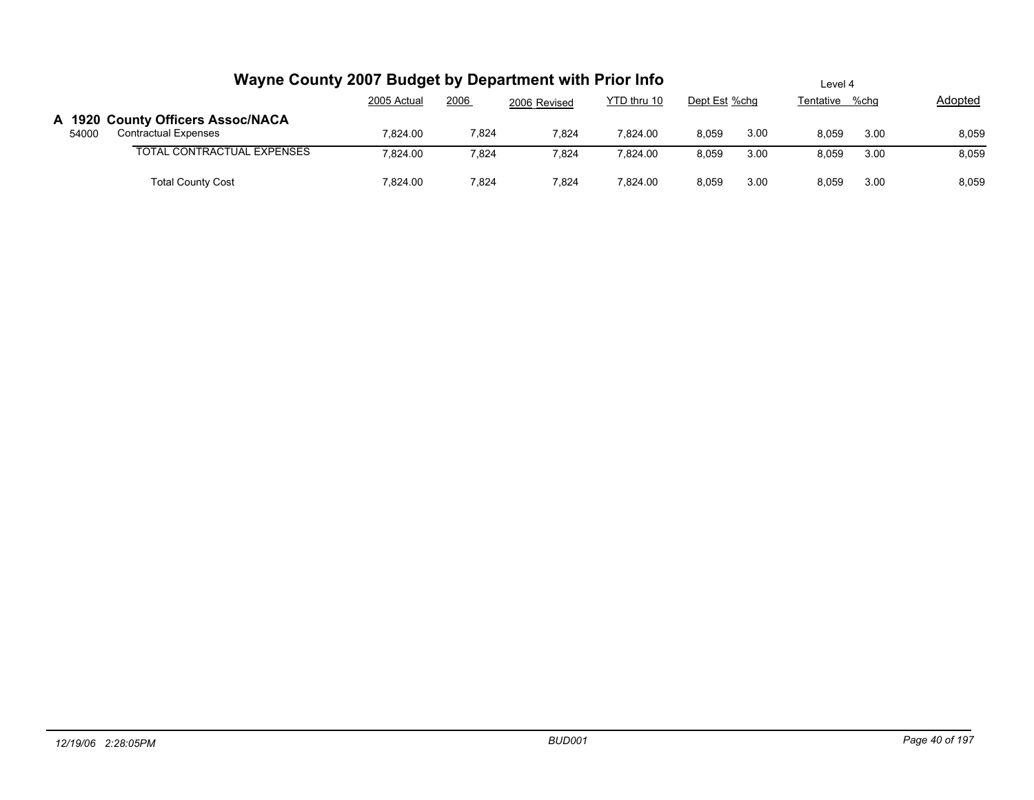|       | Wayne County 2007 Budget by Department with Prior Info           |             | Level 4 |              |             |       |                                 |       |      |         |
|-------|------------------------------------------------------------------|-------------|---------|--------------|-------------|-------|---------------------------------|-------|------|---------|
|       |                                                                  | 2005 Actual | 2006    | 2006 Revised | YTD thru 10 |       | Tentative %chg<br>Dept Est %chg |       |      | Adopted |
| 54000 | A 1920 County Officers Assoc/NACA<br><b>Contractual Expenses</b> | 7.824.00    | 7,824   | 7,824        | 7.824.00    | 8,059 | 3.00                            | 8.059 | 3.00 | 8,059   |
|       | TOTAL CONTRACTUAL EXPENSES                                       | 7.824.00    | 7,824   | 7,824        | 7.824.00    | 8.059 | 3.00                            | 8.059 | 3.00 | 8,059   |
|       | <b>Total County Cost</b>                                         | 7.824.00    | 7,824   | 7,824        | 7.824.00    | 8,059 | 3.00                            | 8.059 | 3.00 | 8,059   |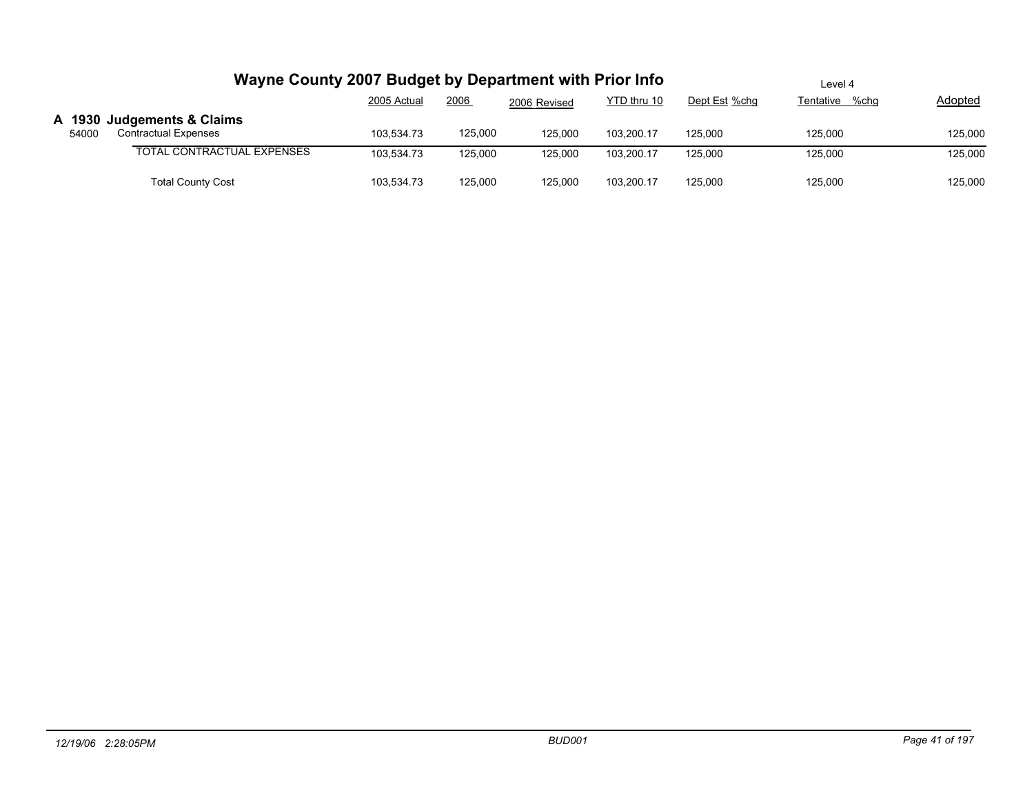|       | Wayne County 2007 Budget by Department with Prior Info | Level 4     |         |              |             |               |                   |         |
|-------|--------------------------------------------------------|-------------|---------|--------------|-------------|---------------|-------------------|---------|
|       |                                                        | 2005 Actual | 2006    | 2006 Revised | YTD thru 10 | Dept Est %chg | %chq<br>Tentative | Adopted |
|       | A 1930 Judgements & Claims                             |             |         |              |             |               |                   |         |
| 54000 | <b>Contractual Expenses</b>                            | 103.534.73  | 125.000 | 125.000      | 103.200.17  | 125.000       | 125.000           | 125,000 |
|       | <b>TOTAL CONTRACTUAL EXPENSES</b>                      | 103.534.73  | 125.000 | 125.000      | 103.200.17  | 125.000       | 125,000           | 125,000 |
|       |                                                        |             |         |              |             |               |                   |         |
|       | <b>Total County Cost</b>                               | 103,534.73  | 125,000 | 125,000      | 103,200.17  | 125,000       | 125,000           | 125,000 |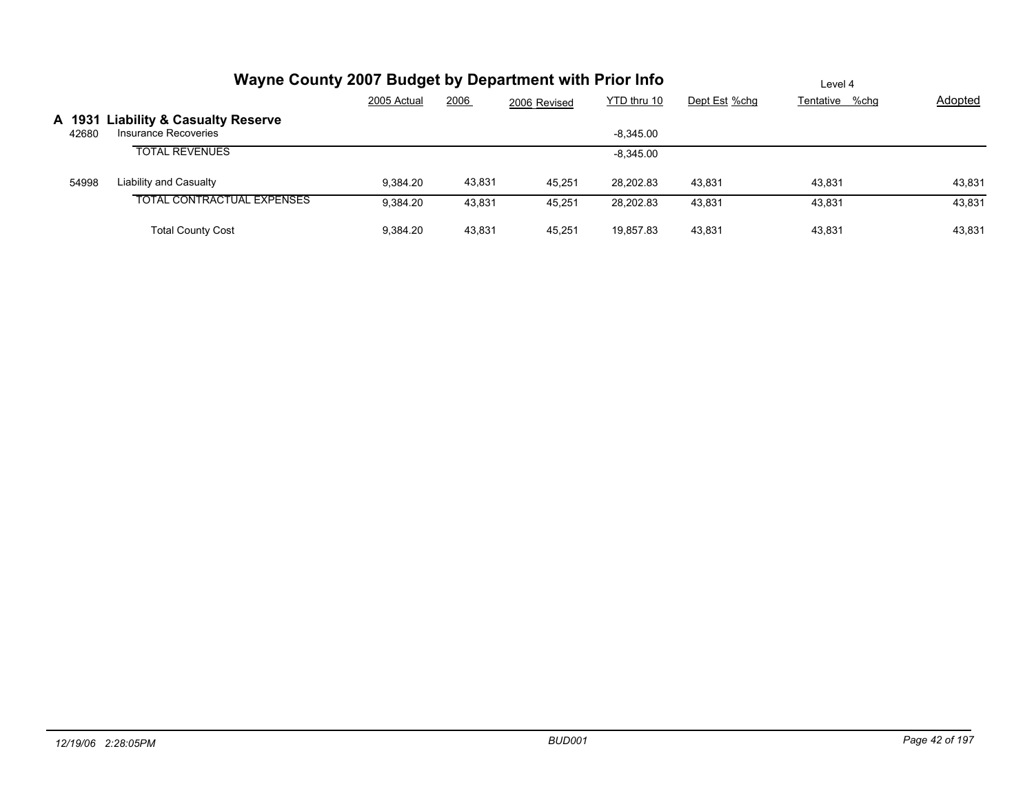|                 | Wayne County 2007 Budget by Department with Prior Info          |             | Level 4 |              |             |               |                |                |
|-----------------|-----------------------------------------------------------------|-------------|---------|--------------|-------------|---------------|----------------|----------------|
|                 |                                                                 | 2005 Actual | 2006    | 2006 Revised | YTD thru 10 | Dept Est %chg | Tentative %chg | <b>Adopted</b> |
| A 1931<br>42680 | <b>Liability &amp; Casualty Reserve</b><br>Insurance Recoveries |             |         |              | $-8.345.00$ |               |                |                |
|                 | <b>TOTAL REVENUES</b>                                           |             |         |              | $-8,345.00$ |               |                |                |
| 54998           | <b>Liability and Casualty</b>                                   | 9.384.20    | 43,831  | 45.251       | 28.202.83   | 43.831        | 43.831         | 43,831         |
|                 | <b>TOTAL CONTRACTUAL EXPENSES</b>                               | 9.384.20    | 43.831  | 45.251       | 28,202.83   | 43.831        | 43,831         | 43,831         |
|                 | <b>Total County Cost</b>                                        | 9.384.20    | 43.831  | 45.251       | 19,857.83   | 43.831        | 43.831         | 43,831         |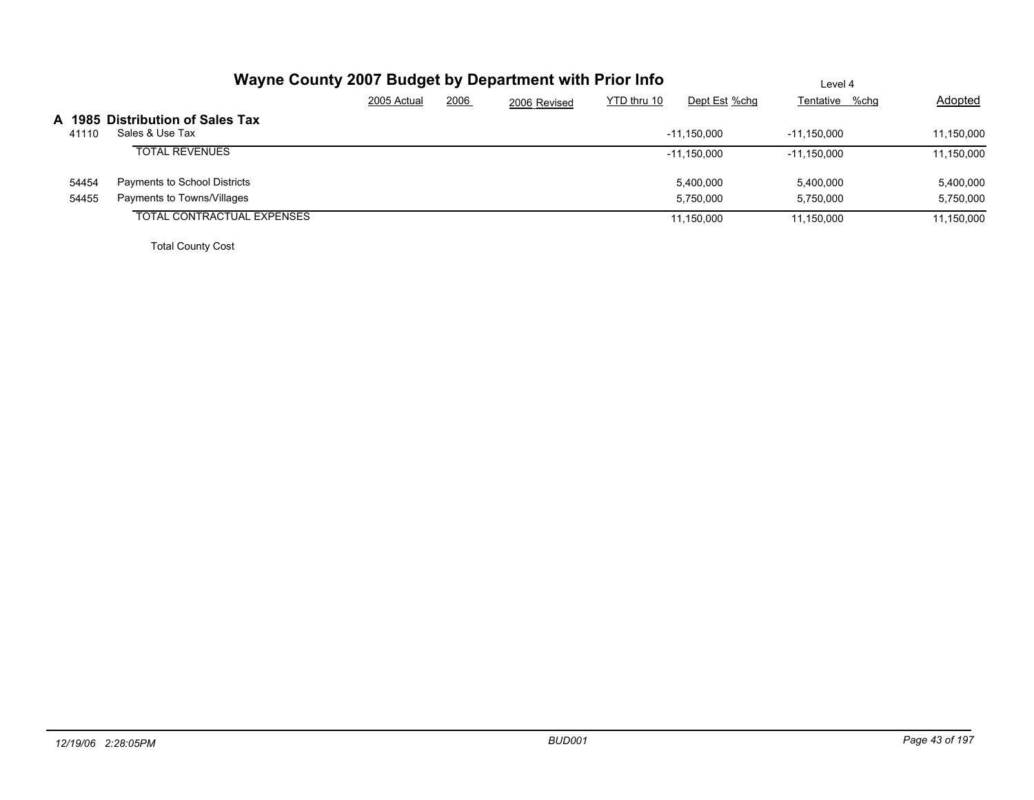|       | Wayne County 2007 Budget by Department with Prior Info |             |      |              |             |               | Level 4        |                |
|-------|--------------------------------------------------------|-------------|------|--------------|-------------|---------------|----------------|----------------|
|       |                                                        | 2005 Actual | 2006 | 2006 Revised | YTD thru 10 | Dept Est %chg | Tentative %chg | <b>Adopted</b> |
| 41110 | A 1985 Distribution of Sales Tax<br>Sales & Use Tax    |             |      |              |             | $-11.150.000$ | -11.150.000    | 11.150.000     |
|       | <b>TOTAL REVENUES</b>                                  |             |      |              |             | $-11,150,000$ | $-11,150,000$  | 11,150,000     |
| 54454 | Payments to School Districts                           |             |      |              |             | 5,400,000     | 5,400,000      | 5,400,000      |
| 54455 | Payments to Towns/Villages                             |             |      |              |             | 5,750,000     | 5.750.000      | 5,750,000      |
|       | <b>TOTAL CONTRACTUAL EXPENSES</b>                      |             |      |              |             | 11,150,000    | 11,150,000     | 11,150,000     |
|       |                                                        |             |      |              |             |               |                |                |

Total County Cost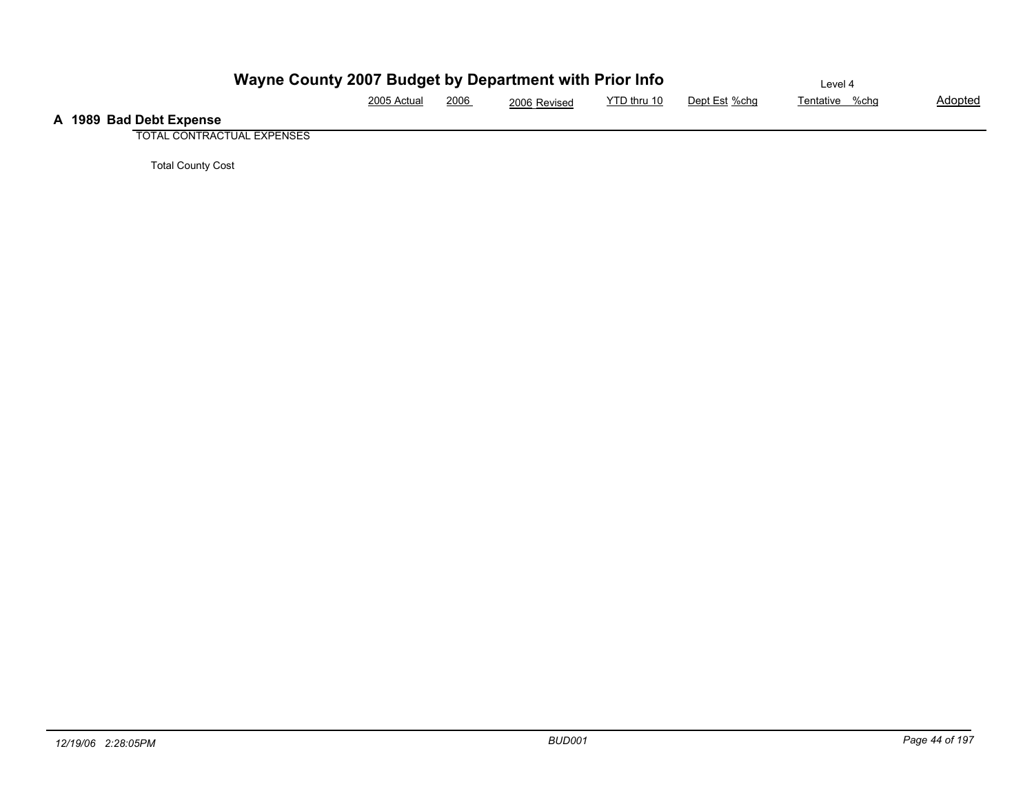|                         | Wayne County 2007 Budget by Department with Prior Info |      |              |             |               | ∟evel 4        |                |
|-------------------------|--------------------------------------------------------|------|--------------|-------------|---------------|----------------|----------------|
|                         | 2005 Actual<br>_________                               | 2006 | 2006 Revised | YTD thru 10 | Dept Est %chq | Tentative %chg | <u>Adopted</u> |
| A 1989 Bad Debt Expense |                                                        |      |              |             |               |                |                |

TOTAL CONTRACTUAL EXPENSES

Total County Cost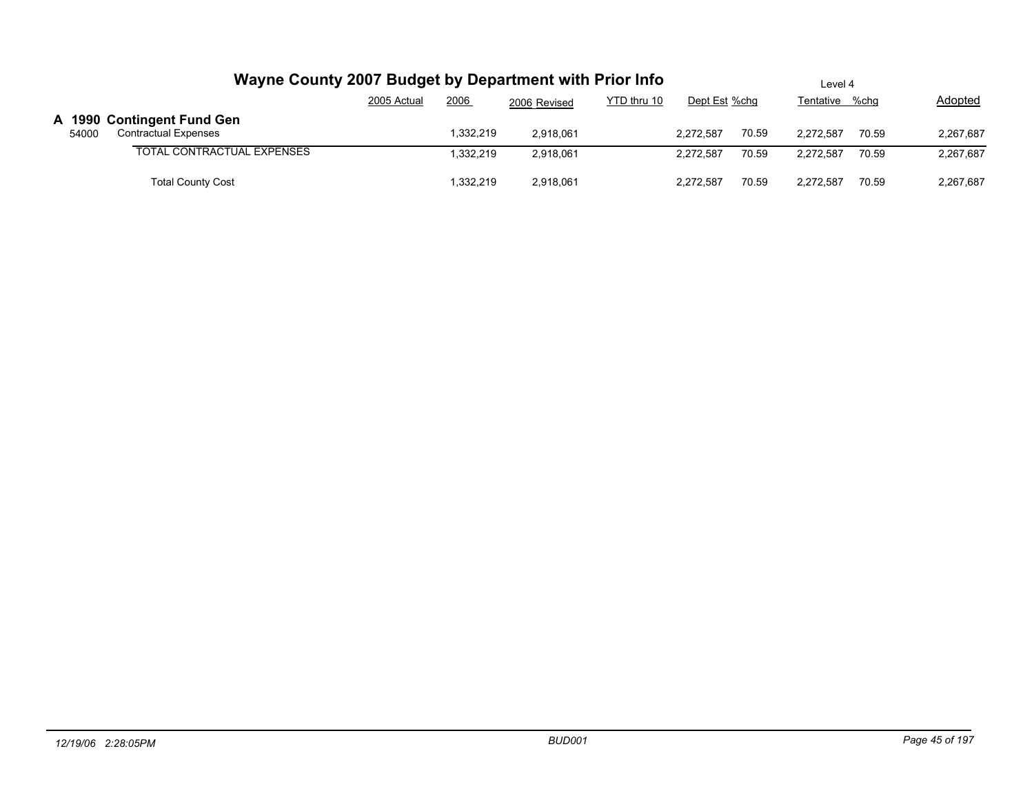|       |                                                           |             | Wayne County 2007 Budget by Department with Prior Info |              |             |               | Level 4 |                |       |           |  |  |
|-------|-----------------------------------------------------------|-------------|--------------------------------------------------------|--------------|-------------|---------------|---------|----------------|-------|-----------|--|--|
|       |                                                           | 2005 Actual | 2006                                                   | 2006 Revised | YTD thru 10 | Dept Est %chg |         | Tentative %chg |       | Adopted   |  |  |
| 54000 | A 1990 Contingent Fund Gen<br><b>Contractual Expenses</b> |             | 1,332,219                                              | 2,918,061    |             | 2.272.587     | 70.59   | 2.272.587      | 70.59 | 2,267,687 |  |  |
|       | <b>TOTAL CONTRACTUAL EXPENSES</b>                         |             | .332.219                                               | 2,918,061    |             | 2.272.587     | 70.59   | 2.272.587      | 70.59 | 2,267,687 |  |  |
|       | <b>Total County Cost</b>                                  |             | .332.219                                               | 2,918,061    |             | 2.272.587     | 70.59   | 2.272.587      | 70.59 | 2,267,687 |  |  |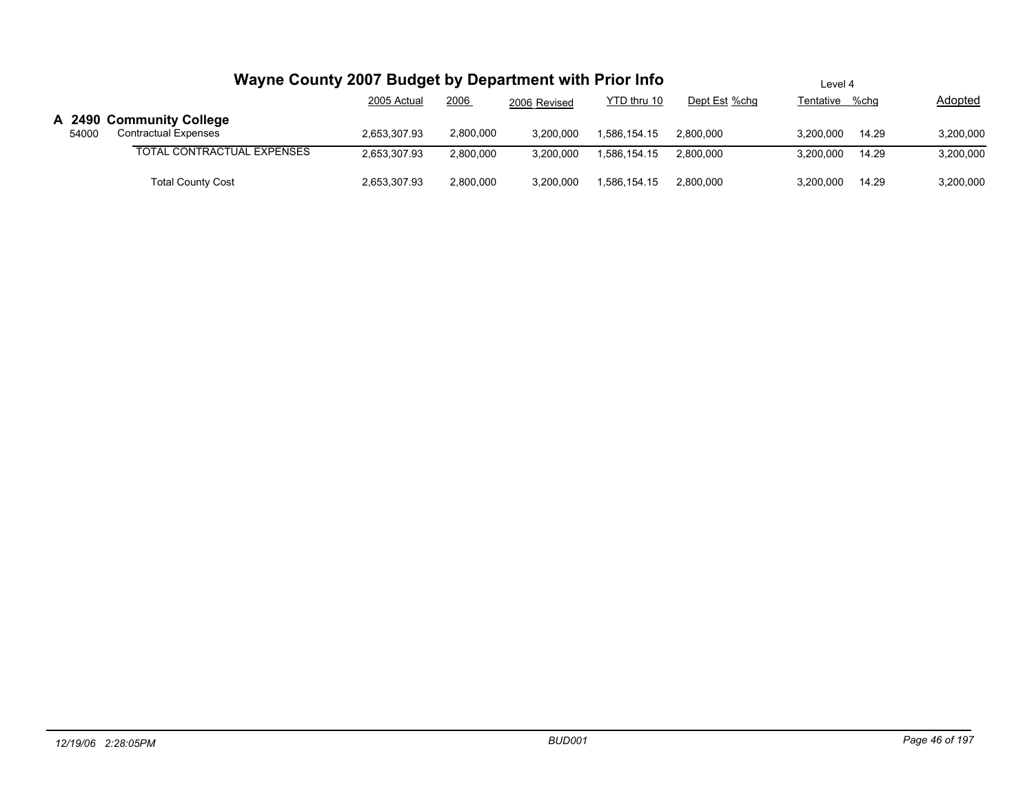|       | Wayne County 2007 Budget by Department with Prior Info  | Level 4      |           |              |              |               |                |       |           |
|-------|---------------------------------------------------------|--------------|-----------|--------------|--------------|---------------|----------------|-------|-----------|
|       |                                                         | 2005 Actual  | 2006      | 2006 Revised | YTD thru 10  | Dept Est %chg | Tentative %chg |       | Adopted   |
| 54000 | A 2490 Community College<br><b>Contractual Expenses</b> | 2,653,307.93 | 2,800,000 | 3.200.000    | 1.586.154.15 | 2.800.000     | 3.200.000      | 14.29 | 3,200,000 |
|       | TOTAL CONTRACTUAL EXPENSES                              | 2,653,307.93 | 2.800.000 | 3,200,000    | 1.586.154.15 | 2,800,000     | 3.200.000      | 14.29 | 3,200,000 |
|       | <b>Total County Cost</b>                                | 2,653,307.93 | 2,800,000 | 3,200,000    | 1,586,154.15 | 2.800.000     | 3.200.000      | 14.29 | 3,200,000 |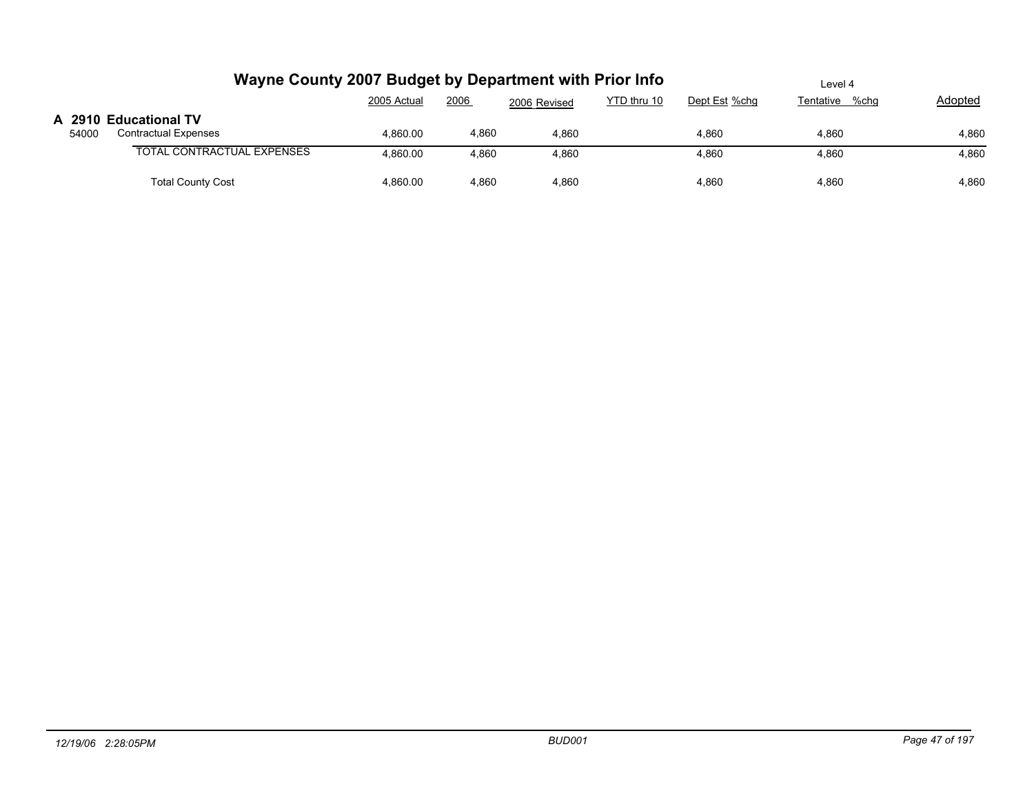|       | Wayne County 2007 Budget by Department with Prior Info | Level 4     |       |              |             |               |                |         |
|-------|--------------------------------------------------------|-------------|-------|--------------|-------------|---------------|----------------|---------|
|       |                                                        | 2005 Actual | 2006  | 2006 Revised | YTD thru 10 | Dept Est %chg | Tentative %chg | Adopted |
|       | A 2910 Educational TV                                  |             |       |              |             |               |                |         |
| 54000 | <b>Contractual Expenses</b>                            | 4,860.00    | 4,860 | 4,860        |             | 4.860         | 4,860          | 4,860   |
|       | <b>TOTAL CONTRACTUAL EXPENSES</b>                      | 4,860.00    | 4,860 | 4,860        |             | 4,860         | 4,860          | 4,860   |
|       | <b>Total County Cost</b>                               | 4.860.00    | 4.860 | 4,860        |             | 4,860         | 4,860          | 4,860   |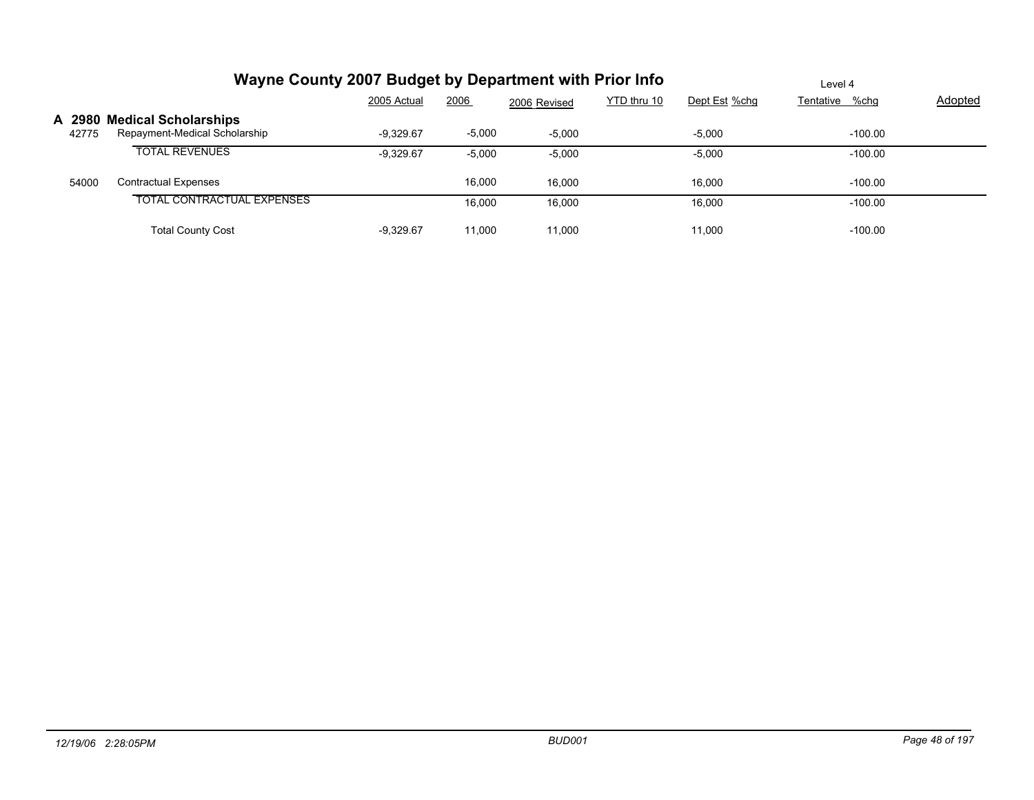|       | Wayne County 2007 Budget by Department with Prior Info       |             | Level 4  |              |             |               |                |         |
|-------|--------------------------------------------------------------|-------------|----------|--------------|-------------|---------------|----------------|---------|
|       |                                                              | 2005 Actual | 2006     | 2006 Revised | YTD thru 10 | Dept Est %chg | Tentative %chg | Adopted |
| 42775 | A 2980 Medical Scholarships<br>Repayment-Medical Scholarship | $-9.329.67$ | $-5,000$ | $-5.000$     |             | $-5,000$      | $-100.00$      |         |
|       | <b>TOTAL REVENUES</b>                                        | $-9,329.67$ | $-5,000$ | $-5,000$     |             | $-5,000$      | $-100.00$      |         |
| 54000 | <b>Contractual Expenses</b>                                  |             | 16,000   | 16.000       |             | 16.000        | $-100.00$      |         |
|       | <b>TOTAL CONTRACTUAL EXPENSES</b>                            |             | 16.000   | 16,000       |             | 16,000        | $-100.00$      |         |
|       | <b>Total County Cost</b>                                     | $-9.329.67$ | 11,000   | 11,000       |             | 11,000        | $-100.00$      |         |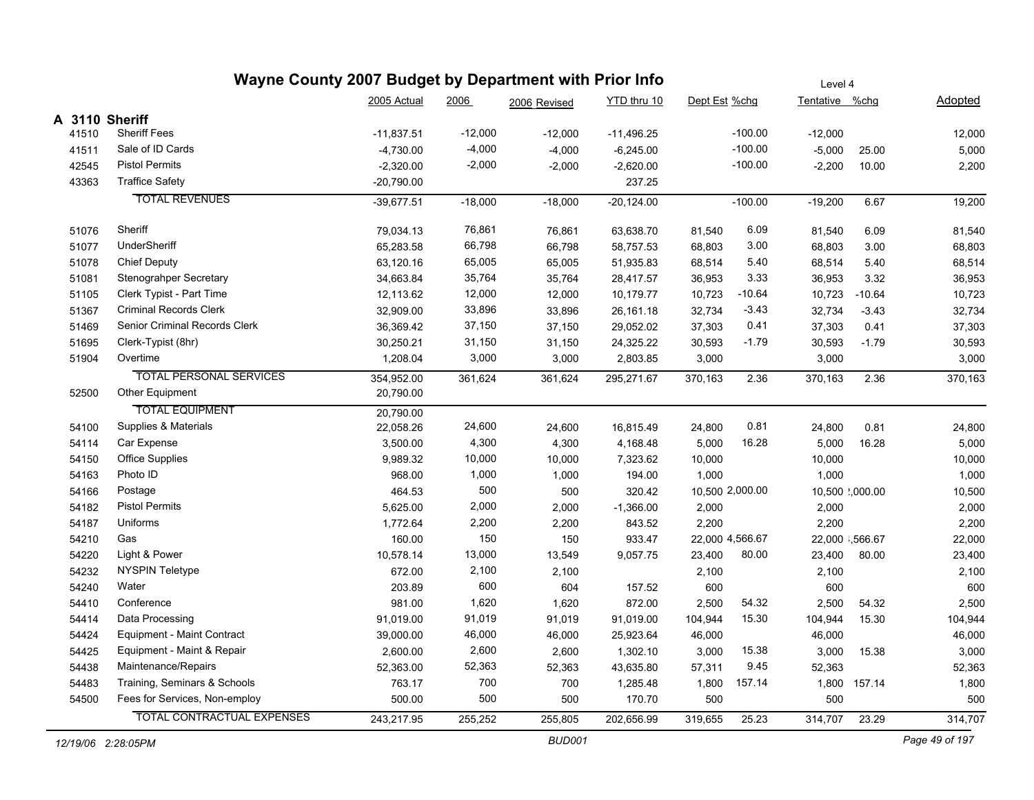|                | Wayne County 2007 Budget by Department with Prior Info | Level 4      |                                            |              |              |                 |           |           |                 |         |
|----------------|--------------------------------------------------------|--------------|--------------------------------------------|--------------|--------------|-----------------|-----------|-----------|-----------------|---------|
|                |                                                        | YTD thru 10  | Dept Est %chg<br>Tentative %chg<br>Adopted |              |              |                 |           |           |                 |         |
| A 3110 Sheriff |                                                        |              |                                            | 2006 Revised |              |                 |           |           |                 |         |
| 41510          | <b>Sheriff Fees</b>                                    | $-11,837.51$ | $-12,000$                                  | $-12,000$    | $-11,496.25$ |                 | $-100.00$ | $-12,000$ |                 | 12,000  |
| 41511          | Sale of ID Cards                                       | $-4,730.00$  | $-4,000$                                   | $-4,000$     | $-6,245.00$  |                 | $-100.00$ | $-5,000$  | 25.00           | 5,000   |
| 42545          | <b>Pistol Permits</b>                                  | $-2,320.00$  | $-2,000$                                   | $-2,000$     | $-2,620.00$  |                 | $-100.00$ | $-2,200$  | 10.00           | 2,200   |
| 43363          | <b>Traffice Safety</b>                                 | $-20,790.00$ |                                            |              | 237.25       |                 |           |           |                 |         |
|                | <b>TOTAL REVENUES</b>                                  | $-39,677.51$ | $-18,000$                                  | $-18,000$    | $-20,124.00$ |                 | $-100.00$ | $-19,200$ | 6.67            | 19,200  |
| 51076          | Sheriff                                                | 79,034.13    | 76,861                                     | 76,861       | 63,638.70    | 81,540          | 6.09      | 81,540    | 6.09            | 81,540  |
| 51077          | UnderSheriff                                           | 65,283.58    | 66,798                                     | 66,798       | 58,757.53    | 68,803          | 3.00      | 68,803    | 3.00            | 68,803  |
| 51078          | <b>Chief Deputy</b>                                    | 63,120.16    | 65,005                                     | 65,005       | 51,935.83    | 68,514          | 5.40      | 68,514    | 5.40            | 68,514  |
| 51081          | Stenograhper Secretary                                 | 34,663.84    | 35,764                                     | 35,764       | 28,417.57    | 36,953          | 3.33      | 36,953    | 3.32            | 36,953  |
| 51105          | Clerk Typist - Part Time                               | 12,113.62    | 12,000                                     | 12,000       | 10,179.77    | 10,723          | $-10.64$  | 10,723    | $-10.64$        | 10,723  |
| 51367          | <b>Criminal Records Clerk</b>                          | 32,909.00    | 33,896                                     | 33,896       | 26,161.18    | 32,734          | $-3.43$   | 32,734    | $-3.43$         | 32,734  |
| 51469          | Senior Criminal Records Clerk                          | 36,369.42    | 37,150                                     | 37,150       | 29,052.02    | 37,303          | 0.41      | 37,303    | 0.41            | 37,303  |
| 51695          | Clerk-Typist (8hr)                                     | 30,250.21    | 31,150                                     | 31,150       | 24,325.22    | 30,593          | $-1.79$   | 30,593    | $-1.79$         | 30,593  |
| 51904          | Overtime                                               | 1,208.04     | 3,000                                      | 3,000        | 2,803.85     | 3,000           |           | 3,000     |                 | 3,000   |
|                | <b>TOTAL PERSONAL SERVICES</b>                         | 354,952.00   | 361,624                                    | 361,624      | 295,271.67   | 370,163         | 2.36      | 370,163   | 2.36            | 370,163 |
| 52500          | Other Equipment                                        | 20,790.00    |                                            |              |              |                 |           |           |                 |         |
|                | <b>TOTAL EQUIPMENT</b>                                 | 20,790.00    |                                            |              |              |                 |           |           |                 |         |
| 54100          | Supplies & Materials                                   | 22,058.26    | 24,600                                     | 24,600       | 16,815.49    | 24,800          | 0.81      | 24,800    | 0.81            | 24,800  |
| 54114          | Car Expense                                            | 3,500.00     | 4,300                                      | 4,300        | 4,168.48     | 5,000           | 16.28     | 5,000     | 16.28           | 5,000   |
| 54150          | Office Supplies                                        | 9,989.32     | 10,000                                     | 10,000       | 7,323.62     | 10,000          |           | 10,000    |                 | 10,000  |
| 54163          | Photo ID                                               | 968.00       | 1,000                                      | 1,000        | 194.00       | 1,000           |           | 1,000     |                 | 1,000   |
| 54166          | Postage                                                | 464.53       | 500                                        | 500          | 320.42       | 10,500 2,000.00 |           |           | 10,500 ',000.00 | 10,500  |
| 54182          | <b>Pistol Permits</b>                                  | 5,625.00     | 2,000                                      | 2,000        | $-1,366.00$  | 2,000           |           | 2,000     |                 | 2,000   |
| 54187          | Uniforms                                               | 1,772.64     | 2,200                                      | 2,200        | 843.52       | 2,200           |           | 2,200     |                 | 2,200   |
| 54210          | Gas                                                    | 160.00       | 150                                        | 150          | 933.47       | 22,000 4,566.67 |           |           | 22,000 1,566.67 | 22,000  |
| 54220          | Light & Power                                          | 10,578.14    | 13,000                                     | 13,549       | 9,057.75     | 23,400          | 80.00     | 23,400    | 80.00           | 23,400  |
| 54232          | <b>NYSPIN Teletype</b>                                 | 672.00       | 2,100                                      | 2,100        |              | 2,100           |           | 2,100     |                 | 2,100   |
| 54240          | Water                                                  | 203.89       | 600                                        | 604          | 157.52       | 600             |           | 600       |                 | 600     |
| 54410          | Conference                                             | 981.00       | 1,620                                      | 1,620        | 872.00       | 2,500           | 54.32     | 2,500     | 54.32           | 2,500   |
| 54414          | Data Processing                                        | 91,019.00    | 91,019                                     | 91,019       | 91,019.00    | 104,944         | 15.30     | 104,944   | 15.30           | 104,944 |
| 54424          | Equipment - Maint Contract                             | 39,000.00    | 46,000                                     | 46,000       | 25,923.64    | 46,000          |           | 46,000    |                 | 46,000  |
| 54425          | Equipment - Maint & Repair                             | 2,600.00     | 2,600                                      | 2,600        | 1,302.10     | 3,000           | 15.38     | 3,000     | 15.38           | 3,000   |
| 54438          | Maintenance/Repairs                                    | 52,363.00    | 52,363                                     | 52,363       | 43,635.80    | 57,311          | 9.45      | 52,363    |                 | 52,363  |
| 54483          | Training, Seminars & Schools                           | 763.17       | 700                                        | 700          | 1,285.48     | 1,800           | 157.14    |           | 1,800 157.14    | 1,800   |
| 54500          | Fees for Services, Non-employ                          | 500.00       | 500                                        | 500          | 170.70       | 500             |           | 500       |                 | 500     |
|                | <b>TOTAL CONTRACTUAL EXPENSES</b>                      | 243,217.95   | 255,252                                    | 255,805      | 202,656.99   | 319,655         | 25.23     | 314,707   | 23.29           | 314,707 |
|                |                                                        |              |                                            |              |              |                 |           |           |                 |         |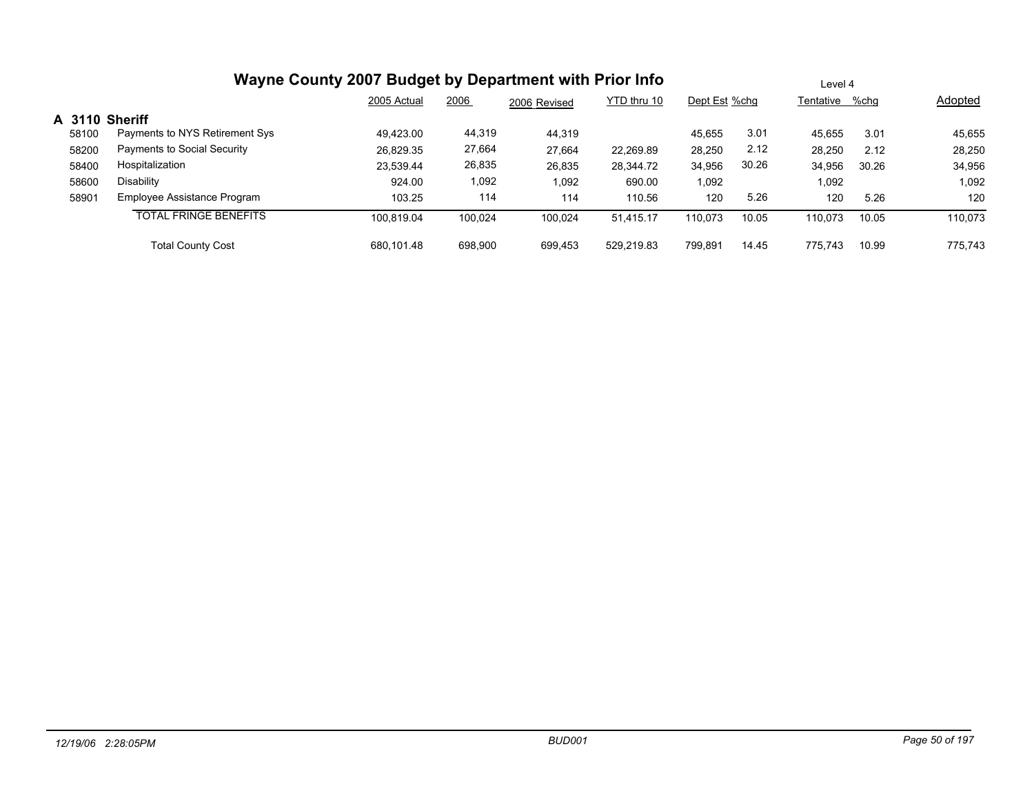|                |                                | 2005 Actual | 2006    | 2006 Revised | YTD thru 10 | Dept Est %chg |       | Tentative %chg |       | <b>Adopted</b> |
|----------------|--------------------------------|-------------|---------|--------------|-------------|---------------|-------|----------------|-------|----------------|
| A 3110 Sheriff |                                |             |         |              |             |               |       |                |       |                |
| 58100          | Payments to NYS Retirement Sys | 49.423.00   | 44,319  | 44,319       |             | 45.655        | 3.01  | 45.655         | 3.01  | 45,655         |
| 58200          | Payments to Social Security    | 26,829.35   | 27,664  | 27,664       | 22,269.89   | 28,250        | 2.12  | 28,250         | 2.12  | 28,250         |
| 58400          | Hospitalization                | 23.539.44   | 26,835  | 26,835       | 28,344.72   | 34,956        | 30.26 | 34,956         | 30.26 | 34,956         |
| 58600          | Disability                     | 924.00      | 1,092   | 1,092        | 690.00      | 1,092         |       | 1,092          |       | 1,092          |
| 58901          | Employee Assistance Program    | 103.25      | 114     | 114          | 110.56      | 120           | 5.26  | 120            | 5.26  | 120            |
|                | <b>TOTAL FRINGE BENEFITS</b>   | 100.819.04  | 100.024 | 100.024      | 51,415.17   | 110.073       | 10.05 | 110,073        | 10.05 | 110,073        |
|                | <b>Total County Cost</b>       | 680.101.48  | 698.900 | 699.453      | 529,219.83  | 799.891       | 14.45 | 775.743        | 10.99 | 775.743        |

Level 4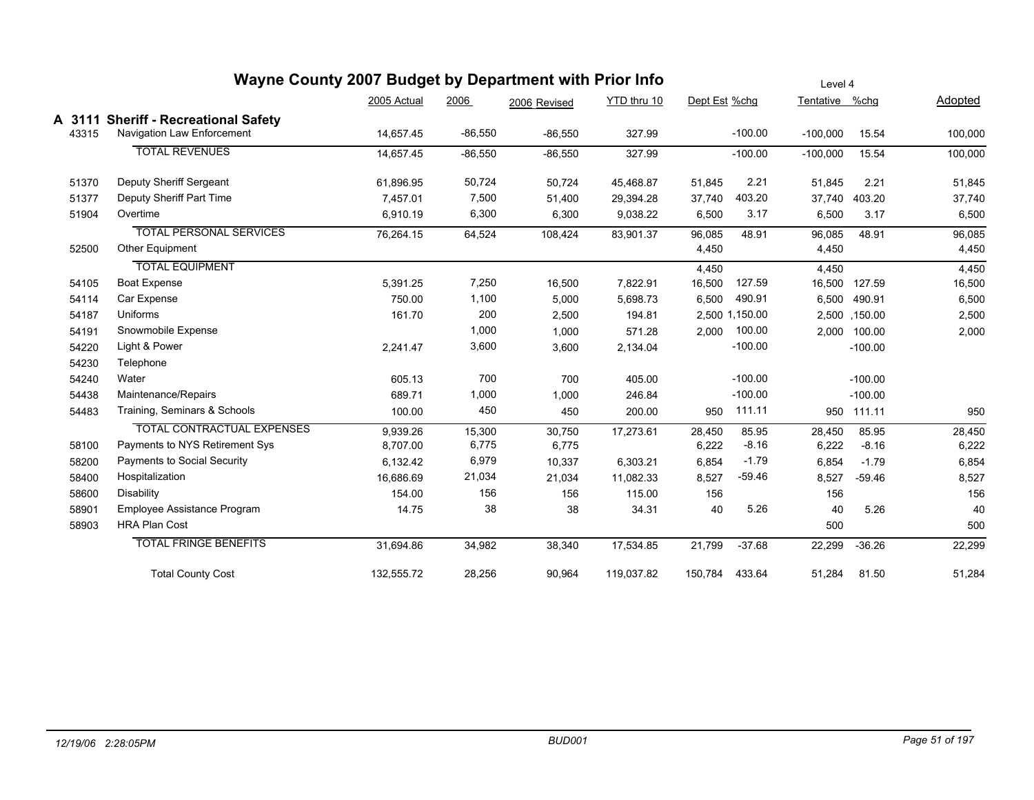|        | Wayne County 2007 Budget by Department with Prior Info |             |           |              |             |               |                | Level 4        |               |         |
|--------|--------------------------------------------------------|-------------|-----------|--------------|-------------|---------------|----------------|----------------|---------------|---------|
|        |                                                        | 2005 Actual | 2006      | 2006 Revised | YTD thru 10 | Dept Est %chg |                | Tentative %chg |               | Adopted |
| A 3111 | <b>Sheriff - Recreational Safety</b>                   |             |           |              |             |               |                |                |               |         |
| 43315  | Navigation Law Enforcement                             | 14,657.45   | $-86,550$ | $-86,550$    | 327.99      |               | $-100.00$      | $-100,000$     | 15.54         | 100,000 |
|        | <b>TOTAL REVENUES</b>                                  | 14.657.45   | $-86,550$ | $-86,550$    | 327.99      |               | $-100.00$      | $-100,000$     | 15.54         | 100,000 |
| 51370  | Deputy Sheriff Sergeant                                | 61,896.95   | 50,724    | 50,724       | 45,468.87   | 51,845        | 2.21           | 51,845         | 2.21          | 51,845  |
| 51377  | Deputy Sheriff Part Time                               | 7,457.01    | 7,500     | 51,400       | 29,394.28   | 37,740        | 403.20         | 37,740         | 403.20        | 37,740  |
| 51904  | Overtime                                               | 6,910.19    | 6,300     | 6,300        | 9,038.22    | 6,500         | 3.17           | 6,500          | 3.17          | 6,500   |
|        | <b>TOTAL PERSONAL SERVICES</b>                         | 76,264.15   | 64,524    | 108,424      | 83,901.37   | 96,085        | 48.91          | 96,085         | 48.91         | 96,085  |
| 52500  | Other Equipment                                        |             |           |              |             | 4,450         |                | 4,450          |               | 4,450   |
|        | <b>TOTAL EQUIPMENT</b>                                 |             |           |              |             | 4,450         |                | 4,450          |               | 4,450   |
| 54105  | <b>Boat Expense</b>                                    | 5,391.25    | 7,250     | 16,500       | 7,822.91    | 16,500        | 127.59         | 16,500         | 127.59        | 16,500  |
| 54114  | Car Expense                                            | 750.00      | 1,100     | 5,000        | 5,698.73    | 6,500         | 490.91         |                | 6,500 490.91  | 6,500   |
| 54187  | Uniforms                                               | 161.70      | 200       | 2,500        | 194.81      |               | 2,500 1,150.00 |                | 2,500 ,150.00 | 2,500   |
| 54191  | Snowmobile Expense                                     |             | 1,000     | 1,000        | 571.28      | 2,000         | 100.00         | 2,000          | 100.00        | 2,000   |
| 54220  | Light & Power                                          | 2,241.47    | 3,600     | 3,600        | 2,134.04    |               | $-100.00$      |                | $-100.00$     |         |
| 54230  | Telephone                                              |             |           |              |             |               |                |                |               |         |
| 54240  | Water                                                  | 605.13      | 700       | 700          | 405.00      |               | $-100.00$      |                | $-100.00$     |         |
| 54438  | Maintenance/Repairs                                    | 689.71      | 1,000     | 1,000        | 246.84      |               | $-100.00$      |                | $-100.00$     |         |
| 54483  | Training, Seminars & Schools                           | 100.00      | 450       | 450          | 200.00      | 950           | 111.11         |                | 950 111.11    | 950     |
|        | <b>TOTAL CONTRACTUAL EXPENSES</b>                      | 9,939.26    | 15,300    | 30,750       | 17,273.61   | 28,450        | 85.95          | 28,450         | 85.95         | 28,450  |
| 58100  | Payments to NYS Retirement Sys                         | 8,707.00    | 6,775     | 6,775        |             | 6,222         | $-8.16$        | 6,222          | $-8.16$       | 6,222   |
| 58200  | Payments to Social Security                            | 6,132.42    | 6,979     | 10,337       | 6,303.21    | 6,854         | $-1.79$        | 6,854          | $-1.79$       | 6,854   |
| 58400  | Hospitalization                                        | 16,686.69   | 21,034    | 21,034       | 11,082.33   | 8,527         | $-59.46$       | 8,527          | $-59.46$      | 8,527   |
| 58600  | Disability                                             | 154.00      | 156       | 156          | 115.00      | 156           |                | 156            |               | 156     |
| 58901  | Employee Assistance Program                            | 14.75       | 38        | 38           | 34.31       | 40            | 5.26           | 40             | 5.26          | 40      |
| 58903  | <b>HRA Plan Cost</b>                                   |             |           |              |             |               |                | 500            |               | 500     |
|        | <b>TOTAL FRINGE BENEFITS</b>                           | 31,694.86   | 34,982    | 38,340       | 17,534.85   | 21,799        | $-37.68$       | 22,299         | $-36.26$      | 22,299  |
|        | <b>Total County Cost</b>                               | 132,555.72  | 28,256    | 90,964       | 119,037.82  | 150,784       | 433.64         | 51,284         | 81.50         | 51,284  |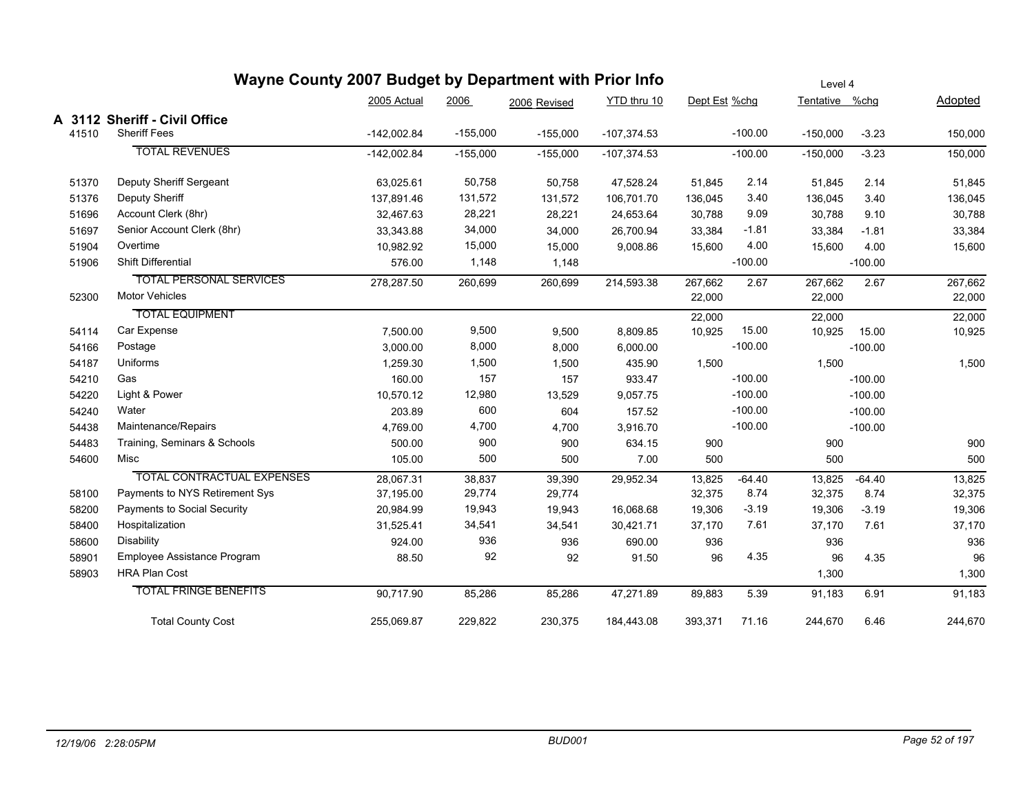|       | Wayne County 2007 Budget by Department with Prior Info |               |            |              |               |               |           | Level 4        |           |                |
|-------|--------------------------------------------------------|---------------|------------|--------------|---------------|---------------|-----------|----------------|-----------|----------------|
|       |                                                        | 2005 Actual   | 2006       | 2006 Revised | YTD thru 10   | Dept Est %chg |           | Tentative %chg |           | <b>Adopted</b> |
|       | A 3112 Sheriff - Civil Office                          |               |            |              |               |               |           |                |           |                |
| 41510 | <b>Sheriff Fees</b>                                    | $-142,002.84$ | $-155,000$ | $-155,000$   | $-107,374.53$ |               | $-100.00$ | $-150,000$     | $-3.23$   | 150,000        |
|       | <b>TOTAL REVENUES</b>                                  | $-142,002.84$ | $-155,000$ | $-155,000$   | $-107,374.53$ |               | $-100.00$ | $-150,000$     | $-3.23$   | 150,000        |
| 51370 | Deputy Sheriff Sergeant                                | 63,025.61     | 50,758     | 50,758       | 47,528.24     | 51,845        | 2.14      | 51,845         | 2.14      | 51,845         |
| 51376 | Deputy Sheriff                                         | 137,891.46    | 131,572    | 131,572      | 106,701.70    | 136,045       | 3.40      | 136,045        | 3.40      | 136,045        |
| 51696 | Account Clerk (8hr)                                    | 32,467.63     | 28,221     | 28,221       | 24,653.64     | 30,788        | 9.09      | 30,788         | 9.10      | 30,788         |
| 51697 | Senior Account Clerk (8hr)                             | 33,343.88     | 34,000     | 34,000       | 26,700.94     | 33,384        | $-1.81$   | 33,384         | $-1.81$   | 33,384         |
| 51904 | Overtime                                               | 10,982.92     | 15,000     | 15,000       | 9,008.86      | 15,600        | 4.00      | 15,600         | 4.00      | 15,600         |
| 51906 | Shift Differential                                     | 576.00        | 1,148      | 1,148        |               |               | $-100.00$ |                | $-100.00$ |                |
|       | <b>TOTAL PERSONAL SERVICES</b>                         | 278,287.50    | 260,699    | 260,699      | 214,593.38    | 267,662       | 2.67      | 267,662        | 2.67      | 267,662        |
| 52300 | <b>Motor Vehicles</b>                                  |               |            |              |               | 22,000        |           | 22,000         |           | 22,000         |
|       | <b>TOTAL EQUIPMENT</b>                                 |               |            |              |               | 22,000        |           | 22,000         |           | 22,000         |
| 54114 | Car Expense                                            | 7,500.00      | 9,500      | 9,500        | 8,809.85      | 10,925        | 15.00     | 10,925         | 15.00     | 10,925         |
| 54166 | Postage                                                | 3,000.00      | 8,000      | 8,000        | 6,000.00      |               | $-100.00$ |                | $-100.00$ |                |
| 54187 | Uniforms                                               | 1,259.30      | 1,500      | 1,500        | 435.90        | 1,500         |           | 1,500          |           | 1,500          |
| 54210 | Gas                                                    | 160.00        | 157        | 157          | 933.47        |               | $-100.00$ |                | $-100.00$ |                |
| 54220 | Light & Power                                          | 10,570.12     | 12,980     | 13,529       | 9,057.75      |               | $-100.00$ |                | $-100.00$ |                |
| 54240 | Water                                                  | 203.89        | 600        | 604          | 157.52        |               | $-100.00$ |                | $-100.00$ |                |
| 54438 | Maintenance/Repairs                                    | 4,769.00      | 4,700      | 4,700        | 3,916.70      |               | $-100.00$ |                | $-100.00$ |                |
| 54483 | Training, Seminars & Schools                           | 500.00        | 900        | 900          | 634.15        | 900           |           | 900            |           | 900            |
| 54600 | Misc                                                   | 105.00        | 500        | 500          | 7.00          | 500           |           | 500            |           | 500            |
|       | <b>TOTAL CONTRACTUAL EXPENSES</b>                      | 28,067.31     | 38,837     | 39,390       | 29,952.34     | 13,825        | $-64.40$  | 13,825         | $-64.40$  | 13,825         |
| 58100 | Payments to NYS Retirement Sys                         | 37,195.00     | 29,774     | 29,774       |               | 32,375        | 8.74      | 32,375         | 8.74      | 32,375         |
| 58200 | Payments to Social Security                            | 20,984.99     | 19,943     | 19,943       | 16,068.68     | 19,306        | $-3.19$   | 19,306         | $-3.19$   | 19,306         |
| 58400 | Hospitalization                                        | 31,525.41     | 34,541     | 34,541       | 30,421.71     | 37,170        | 7.61      | 37,170         | 7.61      | 37,170         |
| 58600 | Disability                                             | 924.00        | 936        | 936          | 690.00        | 936           |           | 936            |           | 936            |
| 58901 | Employee Assistance Program                            | 88.50         | 92         | 92           | 91.50         | 96            | 4.35      | 96             | 4.35      | 96             |
| 58903 | <b>HRA Plan Cost</b>                                   |               |            |              |               |               |           | 1,300          |           | 1,300          |
|       | <b>TOTAL FRINGE BENEFITS</b>                           | 90,717.90     | 85,286     | 85,286       | 47,271.89     | 89,883        | 5.39      | 91,183         | 6.91      | 91,183         |
|       | <b>Total County Cost</b>                               | 255,069.87    | 229,822    | 230,375      | 184,443.08    | 393,371       | 71.16     | 244,670        | 6.46      | 244,670        |

### *12/19/06 2:28:05PM BUD001 Page 52 of 197*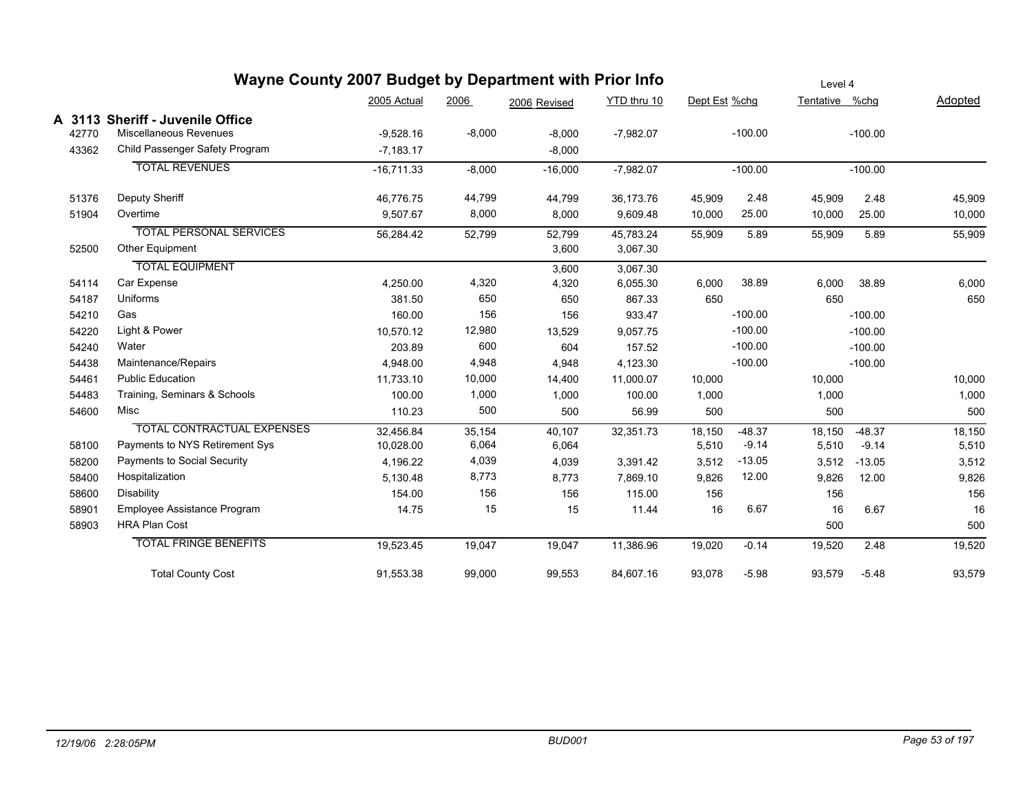|       | Wayne County 2007 Budget by Department with Prior Info |              |          |              |             |               |           | Level 4        |           |         |
|-------|--------------------------------------------------------|--------------|----------|--------------|-------------|---------------|-----------|----------------|-----------|---------|
|       |                                                        | 2005 Actual  | 2006     | 2006 Revised | YTD thru 10 | Dept Est %chg |           | Tentative %chg |           | Adopted |
|       | A 3113 Sheriff - Juvenile Office                       |              |          |              |             |               |           |                |           |         |
| 42770 | Miscellaneous Revenues                                 | $-9,528.16$  | $-8,000$ | $-8,000$     | $-7,982.07$ |               | $-100.00$ |                | $-100.00$ |         |
| 43362 | Child Passenger Safety Program                         | $-7,183.17$  |          | $-8,000$     |             |               |           |                |           |         |
|       | <b>TOTAL REVENUES</b>                                  | $-16,711.33$ | $-8,000$ | $-16,000$    | $-7,982.07$ |               | $-100.00$ |                | $-100.00$ |         |
| 51376 | Deputy Sheriff                                         | 46,776.75    | 44,799   | 44,799       | 36,173.76   | 45,909        | 2.48      | 45,909         | 2.48      | 45,909  |
| 51904 | Overtime                                               | 9,507.67     | 8,000    | 8,000        | 9,609.48    | 10,000        | 25.00     | 10,000         | 25.00     | 10,000  |
|       | <b>TOTAL PERSONAL SERVICES</b>                         | 56,284.42    | 52,799   | 52,799       | 45,783.24   | 55,909        | 5.89      | 55,909         | 5.89      | 55,909  |
| 52500 | Other Equipment                                        |              |          | 3,600        | 3,067.30    |               |           |                |           |         |
|       | <b>TOTAL EQUIPMENT</b>                                 |              |          | 3,600        | 3,067.30    |               |           |                |           |         |
| 54114 | Car Expense                                            | 4,250.00     | 4,320    | 4,320        | 6,055.30    | 6,000         | 38.89     | 6,000          | 38.89     | 6,000   |
| 54187 | Uniforms                                               | 381.50       | 650      | 650          | 867.33      | 650           |           | 650            |           | 650     |
| 54210 | Gas                                                    | 160.00       | 156      | 156          | 933.47      |               | $-100.00$ |                | $-100.00$ |         |
| 54220 | Light & Power                                          | 10,570.12    | 12,980   | 13,529       | 9,057.75    |               | $-100.00$ |                | $-100.00$ |         |
| 54240 | Water                                                  | 203.89       | 600      | 604          | 157.52      |               | $-100.00$ |                | $-100.00$ |         |
| 54438 | Maintenance/Repairs                                    | 4,948.00     | 4,948    | 4,948        | 4,123.30    |               | $-100.00$ |                | $-100.00$ |         |
| 54461 | <b>Public Education</b>                                | 11,733.10    | 10,000   | 14,400       | 11,000.07   | 10,000        |           | 10,000         |           | 10,000  |
| 54483 | Training, Seminars & Schools                           | 100.00       | 1,000    | 1,000        | 100.00      | 1,000         |           | 1,000          |           | 1,000   |
| 54600 | Misc                                                   | 110.23       | 500      | 500          | 56.99       | 500           |           | 500            |           | 500     |
|       | <b>TOTAL CONTRACTUAL EXPENSES</b>                      | 32,456.84    | 35,154   | 40,107       | 32,351.73   | 18,150        | $-48.37$  | 18,150         | $-48.37$  | 18,150  |
| 58100 | Payments to NYS Retirement Sys                         | 10,028.00    | 6,064    | 6,064        |             | 5,510         | $-9.14$   | 5,510          | $-9.14$   | 5,510   |
| 58200 | Payments to Social Security                            | 4,196.22     | 4,039    | 4,039        | 3,391.42    | 3,512         | $-13.05$  | 3,512          | $-13.05$  | 3,512   |
| 58400 | Hospitalization                                        | 5,130.48     | 8,773    | 8,773        | 7,869.10    | 9,826         | 12.00     | 9,826          | 12.00     | 9,826   |
| 58600 | Disability                                             | 154.00       | 156      | 156          | 115.00      | 156           |           | 156            |           | 156     |
| 58901 | Employee Assistance Program                            | 14.75        | 15       | 15           | 11.44       | 16            | 6.67      | 16             | 6.67      | 16      |
| 58903 | <b>HRA Plan Cost</b>                                   |              |          |              |             |               |           | 500            |           | 500     |
|       | <b>TOTAL FRINGE BENEFITS</b>                           | 19,523.45    | 19,047   | 19,047       | 11,386.96   | 19,020        | $-0.14$   | 19,520         | 2.48      | 19,520  |
|       | <b>Total County Cost</b>                               | 91,553.38    | 99,000   | 99,553       | 84,607.16   | 93,078        | $-5.98$   | 93,579         | $-5.48$   | 93,579  |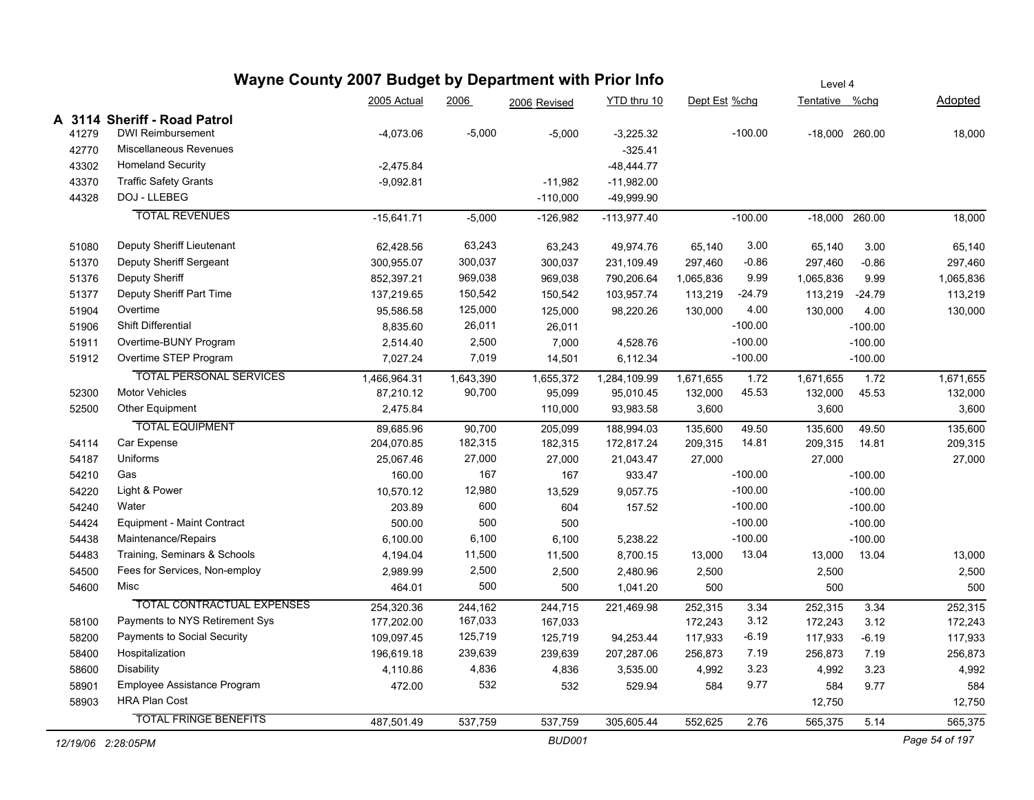|                    | Wayne County 2007 Budget by Department with Prior Info |              |           |               |               |               |           | Level 4        |                |                |
|--------------------|--------------------------------------------------------|--------------|-----------|---------------|---------------|---------------|-----------|----------------|----------------|----------------|
|                    |                                                        | 2005 Actual  | 2006      | 2006 Revised  | YTD thru 10   | Dept Est %chg |           | Tentative %chg |                | <u>Adopted</u> |
|                    | A 3114 Sheriff - Road Patrol                           |              |           |               |               |               |           |                |                |                |
| 41279              | <b>DWI Reimbursement</b>                               | $-4,073.06$  | $-5,000$  | $-5,000$      | $-3,225.32$   |               | $-100.00$ |                | -18,000 260.00 | 18,000         |
| 42770              | Miscellaneous Revenues                                 |              |           |               | $-325.41$     |               |           |                |                |                |
| 43302              | Homeland Security                                      | $-2,475.84$  |           |               | -48,444.77    |               |           |                |                |                |
| 43370              | <b>Traffic Safety Grants</b>                           | $-9,092.81$  |           | $-11,982$     | $-11,982.00$  |               |           |                |                |                |
| 44328              | DOJ - LLEBEG                                           |              |           | $-110,000$    | -49,999.90    |               |           |                |                |                |
|                    | <b>TOTAL REVENUES</b>                                  | $-15,641.71$ | $-5,000$  | $-126,982$    | $-113,977.40$ |               | $-100.00$ | -18,000 260.00 |                | 18,000         |
| 51080              | Deputy Sheriff Lieutenant                              | 62,428.56    | 63,243    | 63,243        | 49,974.76     | 65,140        | 3.00      | 65,140         | 3.00           | 65,140         |
| 51370              | Deputy Sheriff Sergeant                                | 300,955.07   | 300,037   | 300,037       | 231,109.49    | 297,460       | $-0.86$   | 297,460        | $-0.86$        | 297,460        |
| 51376              | Deputy Sheriff                                         | 852,397.21   | 969,038   | 969,038       | 790,206.64    | 1,065,836     | 9.99      | 1,065,836      | 9.99           | 1,065,836      |
| 51377              | Deputy Sheriff Part Time                               | 137,219.65   | 150,542   | 150,542       | 103,957.74    | 113,219       | $-24.79$  | 113,219        | $-24.79$       | 113,219        |
| 51904              | Overtime                                               | 95,586.58    | 125,000   | 125,000       | 98,220.26     | 130,000       | 4.00      | 130,000        | 4.00           | 130,000        |
| 51906              | <b>Shift Differential</b>                              | 8,835.60     | 26,011    | 26,011        |               |               | $-100.00$ |                | $-100.00$      |                |
| 51911              | Overtime-BUNY Program                                  | 2,514.40     | 2,500     | 7,000         | 4,528.76      |               | $-100.00$ |                | $-100.00$      |                |
| 51912              | Overtime STEP Program                                  | 7,027.24     | 7,019     | 14,501        | 6,112.34      |               | $-100.00$ |                | $-100.00$      |                |
|                    | <b>TOTAL PERSONAL SERVICES</b>                         | 1,466,964.31 | 1,643,390 | 1,655,372     | 1,284,109.99  | 1,671,655     | 1.72      | 1,671,655      | 1.72           | 1,671,655      |
| 52300              | <b>Motor Vehicles</b>                                  | 87,210.12    | 90,700    | 95,099        | 95,010.45     | 132,000       | 45.53     | 132,000        | 45.53          | 132,000        |
| 52500              | Other Equipment                                        | 2,475.84     |           | 110,000       | 93,983.58     | 3,600         |           | 3,600          |                | 3,600          |
|                    | <b>TOTAL EQUIPMENT</b>                                 | 89,685.96    | 90,700    | 205,099       | 188,994.03    | 135,600       | 49.50     | 135,600        | 49.50          | 135,600        |
| 54114              | Car Expense                                            | 204,070.85   | 182,315   | 182,315       | 172,817.24    | 209,315       | 14.81     | 209,315        | 14.81          | 209,315        |
| 54187              | Uniforms                                               | 25,067.46    | 27,000    | 27,000        | 21,043.47     | 27,000        |           | 27,000         |                | 27,000         |
| 54210              | Gas                                                    | 160.00       | 167       | 167           | 933.47        |               | $-100.00$ |                | $-100.00$      |                |
| 54220              | Light & Power                                          | 10,570.12    | 12,980    | 13,529        | 9,057.75      |               | $-100.00$ |                | $-100.00$      |                |
| 54240              | Water                                                  | 203.89       | 600       | 604           | 157.52        |               | $-100.00$ |                | $-100.00$      |                |
| 54424              | Equipment - Maint Contract                             | 500.00       | 500       | 500           |               |               | $-100.00$ |                | $-100.00$      |                |
| 54438              | Maintenance/Repairs                                    | 6,100.00     | 6,100     | 6,100         | 5,238.22      |               | $-100.00$ |                | $-100.00$      |                |
| 54483              | Training, Seminars & Schools                           | 4,194.04     | 11,500    | 11,500        | 8,700.15      | 13,000        | 13.04     | 13,000         | 13.04          | 13,000         |
| 54500              | Fees for Services, Non-employ                          | 2,989.99     | 2,500     | 2,500         | 2,480.96      | 2,500         |           | 2,500          |                | 2,500          |
| 54600              | Misc                                                   | 464.01       | 500       | 500           | 1,041.20      | 500           |           | 500            |                | 500            |
|                    | <b>TOTAL CONTRACTUAL EXPENSES</b>                      | 254,320.36   | 244,162   | 244,715       | 221,469.98    | 252,315       | 3.34      | 252,315        | 3.34           | 252,315        |
| 58100              | Payments to NYS Retirement Sys                         | 177,202.00   | 167,033   | 167,033       |               | 172,243       | 3.12      | 172,243        | 3.12           | 172,243        |
| 58200              | Payments to Social Security                            | 109,097.45   | 125,719   | 125,719       | 94,253.44     | 117,933       | $-6.19$   | 117,933        | $-6.19$        | 117,933        |
| 58400              | Hospitalization                                        | 196,619.18   | 239,639   | 239,639       | 207,287.06    | 256,873       | 7.19      | 256,873        | 7.19           | 256,873        |
| 58600              | <b>Disability</b>                                      | 4,110.86     | 4,836     | 4,836         | 3,535.00      | 4,992         | 3.23      | 4,992          | 3.23           | 4,992          |
| 58901              | Employee Assistance Program                            | 472.00       | 532       | 532           | 529.94        | 584           | 9.77      | 584            | 9.77           | 584            |
| 58903              | <b>HRA Plan Cost</b>                                   |              |           |               |               |               |           | 12,750         |                | 12,750         |
|                    | <b>TOTAL FRINGE BENEFITS</b>                           | 487,501.49   | 537,759   | 537,759       | 305,605.44    | 552,625       | 2.76      | 565,375        | 5.14           | 565,375        |
| 12/19/06 2:28:05PM |                                                        |              |           | <b>BUD001</b> |               |               |           |                |                | Page 54 of 197 |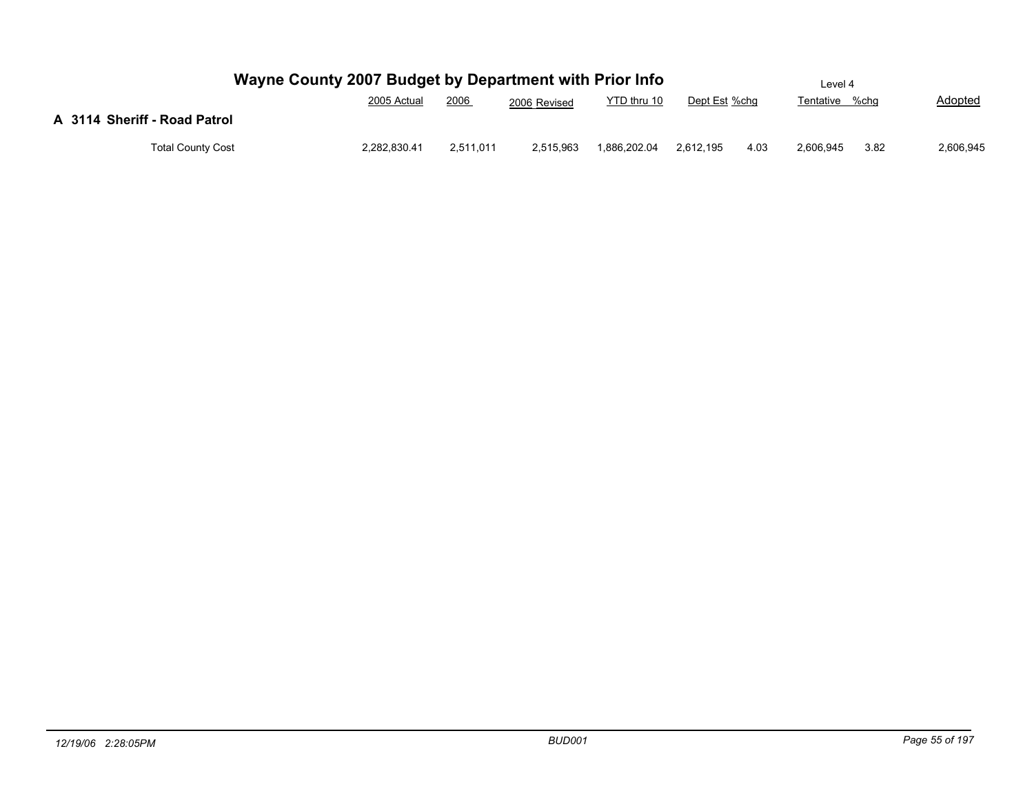|                              | Wayne County 2007 Budget by Department with Prior Info |           |              |              |               |      | Level 4        |      |                |
|------------------------------|--------------------------------------------------------|-----------|--------------|--------------|---------------|------|----------------|------|----------------|
|                              | 2005 Actual                                            | 2006      | 2006 Revised | YTD thru 10  | Dept Est %chg |      | Tentative %chg |      | <b>Adopted</b> |
| A 3114 Sheriff - Road Patrol |                                                        |           |              |              |               |      |                |      |                |
| <b>Total County Cost</b>     | 2,282,830.41                                           | 2,511,011 | 2,515,963    | 1,886,202.04 | 2,612,195     | 4.03 | 2,606,945      | 3.82 | 2,606,945      |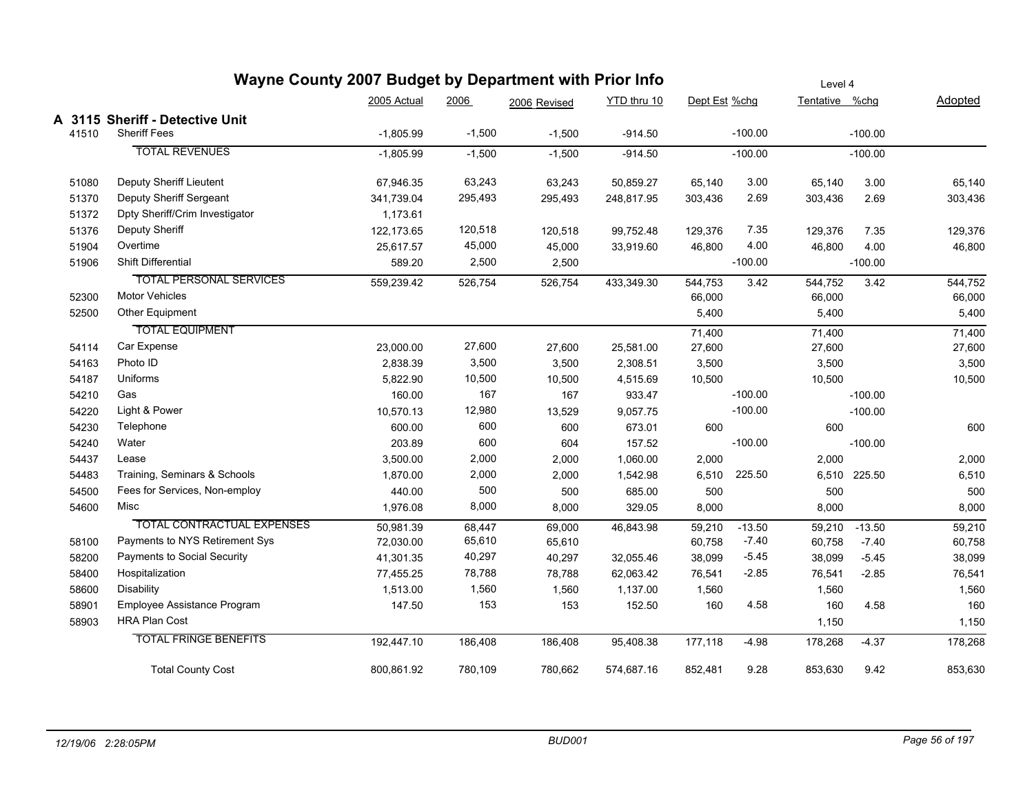|       | Wayne County 2007 Budget by Department with Prior Info |             | Level 4  |              |             |               |           |                |              |         |
|-------|--------------------------------------------------------|-------------|----------|--------------|-------------|---------------|-----------|----------------|--------------|---------|
|       |                                                        | 2005 Actual | 2006     | 2006 Revised | YTD thru 10 | Dept Est %chg |           | Tentative %chg |              | Adopted |
|       | A 3115 Sheriff - Detective Unit                        |             |          |              |             |               |           |                |              |         |
| 41510 | <b>Sheriff Fees</b>                                    | $-1,805.99$ | $-1,500$ | $-1,500$     | $-914.50$   |               | $-100.00$ |                | $-100.00$    |         |
|       | <b>TOTAL REVENUES</b>                                  | $-1,805.99$ | $-1,500$ | $-1,500$     | $-914.50$   |               | $-100.00$ |                | $-100.00$    |         |
| 51080 | Deputy Sheriff Lieutent                                | 67,946.35   | 63,243   | 63,243       | 50,859.27   | 65,140        | 3.00      | 65,140         | 3.00         | 65,140  |
| 51370 | Deputy Sheriff Sergeant                                | 341,739.04  | 295,493  | 295,493      | 248,817.95  | 303,436       | 2.69      | 303,436        | 2.69         | 303,436 |
| 51372 | Dpty Sheriff/Crim Investigator                         | 1,173.61    |          |              |             |               |           |                |              |         |
| 51376 | Deputy Sheriff                                         | 122,173.65  | 120,518  | 120,518      | 99,752.48   | 129,376       | 7.35      | 129,376        | 7.35         | 129,376 |
| 51904 | Overtime                                               | 25,617.57   | 45,000   | 45,000       | 33,919.60   | 46,800        | 4.00      | 46,800         | 4.00         | 46,800  |
| 51906 | Shift Differential                                     | 589.20      | 2,500    | 2,500        |             |               | $-100.00$ |                | $-100.00$    |         |
|       | <b>TOTAL PERSONAL SERVICES</b>                         | 559,239.42  | 526,754  | 526,754      | 433,349.30  | 544,753       | 3.42      | 544,752        | 3.42         | 544,752 |
| 52300 | <b>Motor Vehicles</b>                                  |             |          |              |             | 66,000        |           | 66,000         |              | 66,000  |
| 52500 | Other Equipment                                        |             |          |              |             | 5,400         |           | 5,400          |              | 5,400   |
|       | <b>TOTAL EQUIPMENT</b>                                 |             |          |              |             | 71,400        |           | 71,400         |              | 71,400  |
| 54114 | Car Expense                                            | 23,000.00   | 27,600   | 27,600       | 25,581.00   | 27,600        |           | 27,600         |              | 27,600  |
| 54163 | Photo ID                                               | 2,838.39    | 3,500    | 3,500        | 2,308.51    | 3,500         |           | 3,500          |              | 3,500   |
| 54187 | Uniforms                                               | 5,822.90    | 10,500   | 10,500       | 4,515.69    | 10,500        |           | 10,500         |              | 10,500  |
| 54210 | Gas                                                    | 160.00      | 167      | 167          | 933.47      |               | $-100.00$ |                | $-100.00$    |         |
| 54220 | Light & Power                                          | 10,570.13   | 12,980   | 13,529       | 9,057.75    |               | $-100.00$ |                | $-100.00$    |         |
| 54230 | Telephone                                              | 600.00      | 600      | 600          | 673.01      | 600           |           | 600            |              | 600     |
| 54240 | Water                                                  | 203.89      | 600      | 604          | 157.52      |               | $-100.00$ |                | $-100.00$    |         |
| 54437 | Lease                                                  | 3,500.00    | 2,000    | 2,000        | 1,060.00    | 2,000         |           | 2,000          |              | 2,000   |
| 54483 | Training, Seminars & Schools                           | 1,870.00    | 2,000    | 2,000        | 1,542.98    | 6,510         | 225.50    |                | 6,510 225.50 | 6,510   |
| 54500 | Fees for Services, Non-employ                          | 440.00      | 500      | 500          | 685.00      | 500           |           | 500            |              | 500     |
| 54600 | Misc                                                   | 1,976.08    | 8,000    | 8,000        | 329.05      | 8,000         |           | 8,000          |              | 8,000   |
|       | TOTAL CONTRACTUAL EXPENSES                             | 50,981.39   | 68,447   | 69,000       | 46,843.98   | 59,210        | $-13.50$  | 59,210         | $-13.50$     | 59,210  |
| 58100 | Payments to NYS Retirement Sys                         | 72,030.00   | 65,610   | 65,610       |             | 60,758        | $-7.40$   | 60,758         | $-7.40$      | 60,758  |
| 58200 | Payments to Social Security                            | 41,301.35   | 40,297   | 40,297       | 32,055.46   | 38,099        | $-5.45$   | 38,099         | $-5.45$      | 38,099  |
| 58400 | Hospitalization                                        | 77,455.25   | 78,788   | 78,788       | 62,063.42   | 76,541        | $-2.85$   | 76,541         | $-2.85$      | 76,541  |
| 58600 | <b>Disability</b>                                      | 1,513.00    | 1,560    | 1,560        | 1,137.00    | 1,560         |           | 1,560          |              | 1,560   |
| 58901 | Employee Assistance Program                            | 147.50      | 153      | 153          | 152.50      | 160           | 4.58      | 160            | 4.58         | 160     |
| 58903 | <b>HRA Plan Cost</b>                                   |             |          |              |             |               |           | 1,150          |              | 1,150   |
|       | <b>TOTAL FRINGE BENEFITS</b>                           | 192,447.10  | 186,408  | 186,408      | 95,408.38   | 177,118       | $-4.98$   | 178,268        | $-4.37$      | 178,268 |
|       | <b>Total County Cost</b>                               | 800,861.92  | 780,109  | 780,662      | 574,687.16  | 852,481       | 9.28      | 853,630        | 9.42         | 853,630 |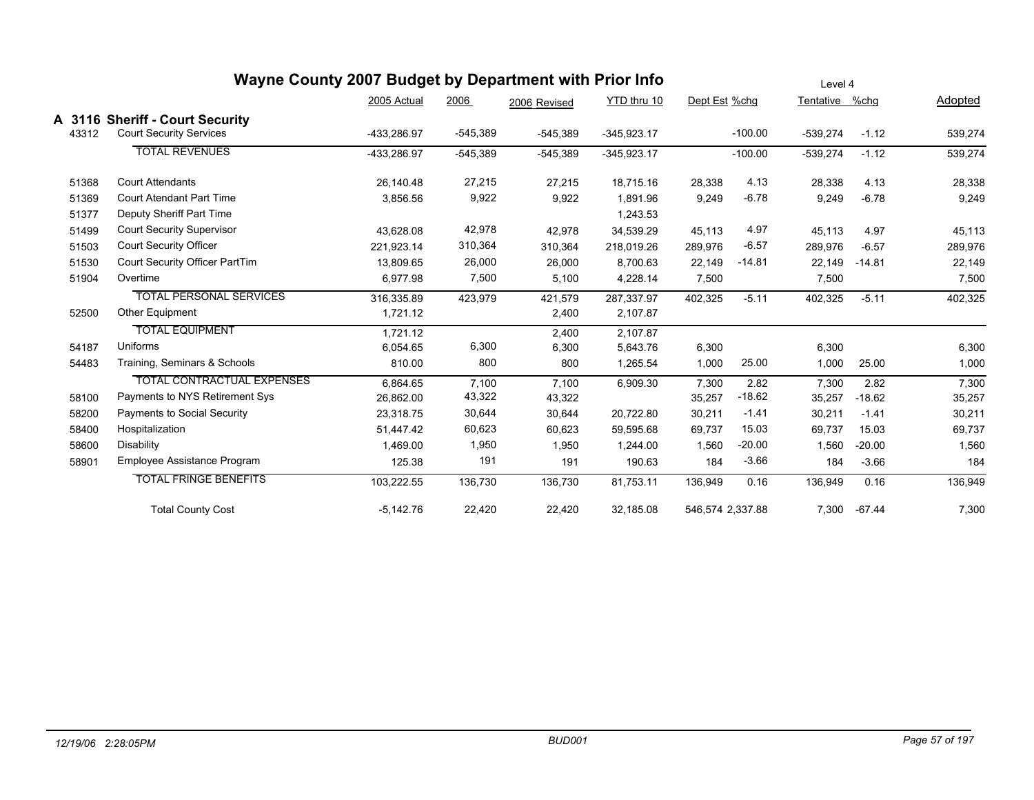|       | Wayne County 2007 Budget by Department with Prior Info            |             |            |              |               |                  |           | Level 4    |          |         |
|-------|-------------------------------------------------------------------|-------------|------------|--------------|---------------|------------------|-----------|------------|----------|---------|
|       |                                                                   | 2005 Actual | 2006       | 2006 Revised | YTD thru 10   | Dept Est %chg    |           | Tentative  | %chg     | Adopted |
| 43312 | A 3116 Sheriff - Court Security<br><b>Court Security Services</b> | -433,286.97 | $-545,389$ | $-545,389$   | $-345,923.17$ |                  | $-100.00$ | $-539,274$ | $-1.12$  | 539,274 |
|       | <b>TOTAL REVENUES</b>                                             | -433,286.97 | $-545,389$ | $-545,389$   | $-345,923.17$ |                  | $-100.00$ | $-539,274$ | $-1.12$  | 539,274 |
| 51368 | <b>Court Attendants</b>                                           | 26,140.48   | 27,215     | 27,215       | 18,715.16     | 28,338           | 4.13      | 28,338     | 4.13     | 28,338  |
| 51369 | <b>Court Atendant Part Time</b>                                   | 3,856.56    | 9,922      | 9,922        | 1,891.96      | 9,249            | $-6.78$   | 9,249      | $-6.78$  | 9,249   |
| 51377 | Deputy Sheriff Part Time                                          |             |            |              | 1,243.53      |                  |           |            |          |         |
| 51499 | <b>Court Security Supervisor</b>                                  | 43,628.08   | 42,978     | 42,978       | 34,539.29     | 45,113           | 4.97      | 45,113     | 4.97     | 45,113  |
| 51503 | <b>Court Security Officer</b>                                     | 221.923.14  | 310,364    | 310,364      | 218,019.26    | 289,976          | $-6.57$   | 289,976    | $-6.57$  | 289,976 |
| 51530 | Court Security Officer PartTim                                    | 13,809.65   | 26,000     | 26,000       | 8,700.63      | 22,149           | $-14.81$  | 22,149     | $-14.81$ | 22,149  |
| 51904 | Overtime                                                          | 6,977.98    | 7,500      | 5,100        | 4,228.14      | 7,500            |           | 7,500      |          | 7,500   |
|       | <b>TOTAL PERSONAL SERVICES</b><br><b>Other Equipment</b>          | 316,335.89  | 423,979    | 421,579      | 287,337.97    | 402,325          | $-5.11$   | 402,325    | $-5.11$  | 402,325 |
| 52500 |                                                                   | 1,721.12    |            | 2,400        | 2,107.87      |                  |           |            |          |         |
|       | <b>TOTAL EQUIPMENT</b>                                            | 1.721.12    |            | 2,400        | 2,107.87      |                  |           |            |          |         |
| 54187 | Uniforms                                                          | 6,054.65    | 6,300      | 6,300        | 5,643.76      | 6,300            |           | 6,300      |          | 6,300   |
| 54483 | Training, Seminars & Schools                                      | 810.00      | 800        | 800          | 1,265.54      | 1,000            | 25.00     | 1,000      | 25.00    | 1,000   |
|       | <b>TOTAL CONTRACTUAL EXPENSES</b>                                 | 6,864.65    | 7,100      | 7,100        | 6,909.30      | 7,300            | 2.82      | 7,300      | 2.82     | 7,300   |
| 58100 | Payments to NYS Retirement Sys                                    | 26,862.00   | 43,322     | 43,322       |               | 35,257           | $-18.62$  | 35,257     | $-18.62$ | 35,257  |
| 58200 | Payments to Social Security                                       | 23,318.75   | 30,644     | 30,644       | 20,722.80     | 30,211           | $-1.41$   | 30,211     | $-1.41$  | 30,211  |
| 58400 | Hospitalization                                                   | 51,447.42   | 60,623     | 60,623       | 59,595.68     | 69,737           | 15.03     | 69,737     | 15.03    | 69,737  |
| 58600 | Disability                                                        | 1,469.00    | 1,950      | 1,950        | 1,244.00      | 1,560            | $-20.00$  | 1,560      | $-20.00$ | 1,560   |
| 58901 | Employee Assistance Program                                       | 125.38      | 191        | 191          | 190.63        | 184              | $-3.66$   | 184        | $-3.66$  | 184     |
|       | <b>TOTAL FRINGE BENEFITS</b>                                      | 103,222.55  | 136,730    | 136,730      | 81,753.11     | 136,949          | 0.16      | 136,949    | 0.16     | 136,949 |
|       | <b>Total County Cost</b>                                          | $-5,142.76$ | 22,420     | 22,420       | 32,185.08     | 546,574 2,337.88 |           | 7,300      | $-67.44$ | 7,300   |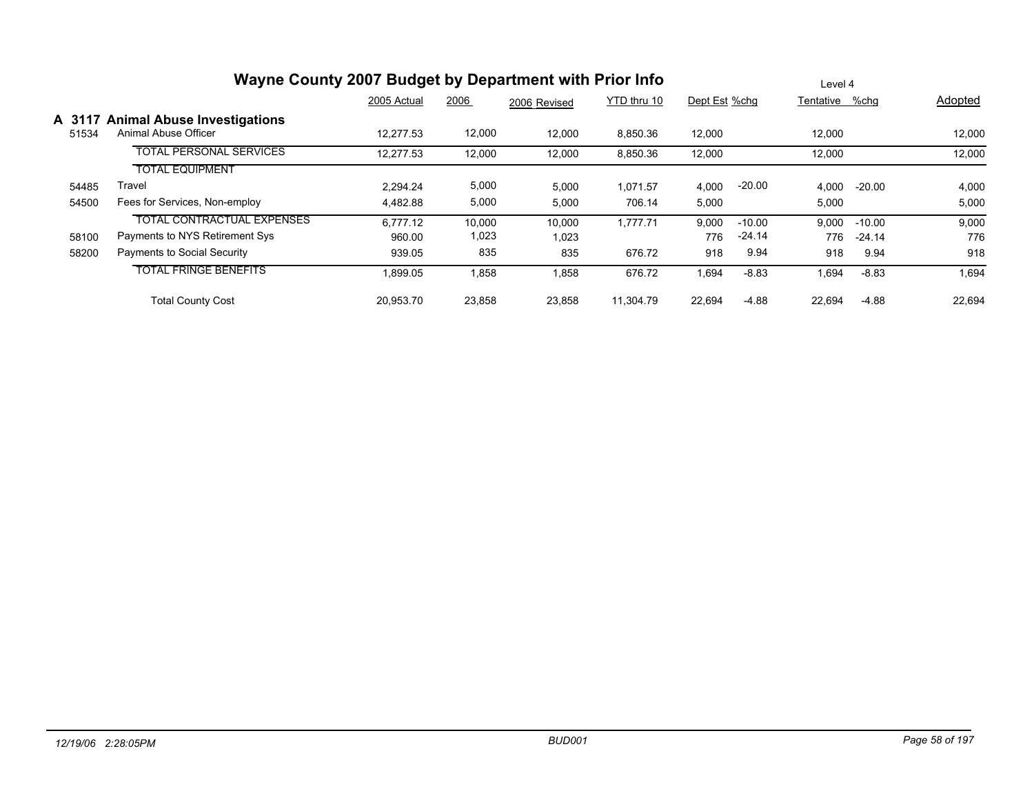|                 | Wayne County 2007 Budget by Department with Prior Info     |             |        |              |             |               |          | Level 4        |          |         |
|-----------------|------------------------------------------------------------|-------------|--------|--------------|-------------|---------------|----------|----------------|----------|---------|
|                 |                                                            | 2005 Actual | 2006   | 2006 Revised | YTD thru 10 | Dept Est %chg |          | Tentative %chg |          | Adopted |
| A 3117<br>51534 | <b>Animal Abuse Investigations</b><br>Animal Abuse Officer | 12.277.53   | 12,000 | 12,000       | 8,850.36    | 12,000        |          | 12,000         |          | 12,000  |
|                 | <b>TOTAL PERSONAL SERVICES</b>                             | 12,277.53   | 12,000 | 12,000       | 8,850.36    | 12,000        |          | 12,000         |          | 12,000  |
|                 | <b>TOTAL EQUIPMENT</b>                                     |             |        |              |             |               |          |                |          |         |
| 54485           | Travel                                                     | 2.294.24    | 5,000  | 5,000        | 1.071.57    | 4,000         | $-20.00$ | 4,000          | $-20.00$ | 4,000   |
| 54500           | Fees for Services, Non-employ                              | 4,482.88    | 5,000  | 5,000        | 706.14      | 5,000         |          | 5,000          |          | 5,000   |
|                 | <b>TOTAL CONTRACTUAL EXPENSES</b>                          | 6.777.12    | 10,000 | 10,000       | 1.777.71    | 9,000         | $-10.00$ | 9,000          | $-10.00$ | 9,000   |
| 58100           | Payments to NYS Retirement Sys                             | 960.00      | 1,023  | 1,023        |             | 776           | $-24.14$ | 776            | $-24.14$ | 776     |
| 58200           | Payments to Social Security                                | 939.05      | 835    | 835          | 676.72      | 918           | 9.94     | 918            | 9.94     | 918     |
|                 | <b>TOTAL FRINGE BENEFITS</b>                               | 1,899.05    | 1,858  | 1,858        | 676.72      | 1,694         | $-8.83$  | .694           | $-8.83$  | 1,694   |
|                 | <b>Total County Cost</b>                                   | 20.953.70   | 23,858 | 23,858       | 11.304.79   | 22,694        | $-4.88$  | 22.694         | $-4.88$  | 22,694  |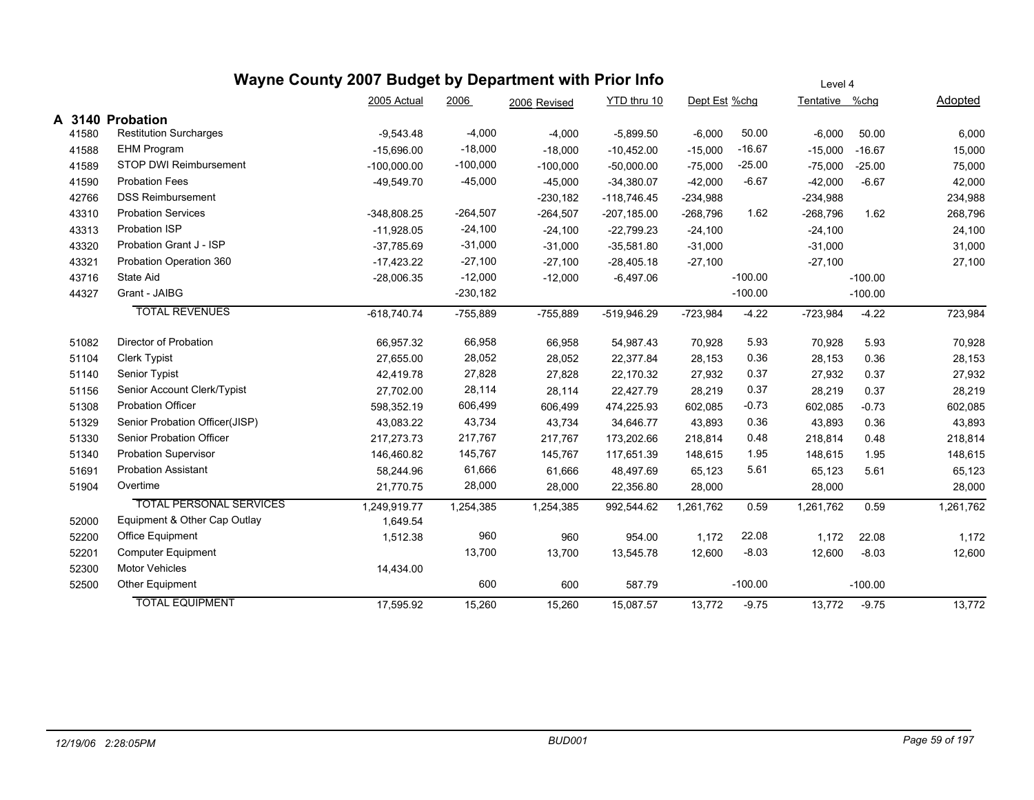|        |                                | Wayne County 2007 Budget by Department with Prior Info |            |              |                |               |           | Level 4        |           |           |
|--------|--------------------------------|--------------------------------------------------------|------------|--------------|----------------|---------------|-----------|----------------|-----------|-----------|
|        |                                | 2005 Actual                                            | 2006       | 2006 Revised | YTD thru 10    | Dept Est %chg |           | Tentative %chg |           | Adopted   |
| A 3140 | <b>Probation</b>               |                                                        |            |              |                |               |           |                |           |           |
| 41580  | <b>Restitution Surcharges</b>  | $-9,543.48$                                            | $-4,000$   | $-4,000$     | $-5,899.50$    | $-6,000$      | 50.00     | $-6,000$       | 50.00     | 6,000     |
| 41588  | <b>EHM Program</b>             | $-15,696.00$                                           | $-18,000$  | $-18,000$    | $-10,452.00$   | $-15,000$     | $-16.67$  | $-15,000$      | $-16.67$  | 15,000    |
| 41589  | STOP DWI Reimbursement         | $-100,000.00$                                          | $-100,000$ | $-100,000$   | $-50,000.00$   | $-75,000$     | $-25.00$  | $-75,000$      | $-25.00$  | 75,000    |
| 41590  | <b>Probation Fees</b>          | $-49,549.70$                                           | $-45,000$  | $-45,000$    | $-34,380.07$   | $-42,000$     | $-6.67$   | $-42,000$      | $-6.67$   | 42,000    |
| 42766  | <b>DSS Reimbursement</b>       |                                                        |            | $-230,182$   | $-118,746.45$  | $-234,988$    |           | $-234,988$     |           | 234,988   |
| 43310  | <b>Probation Services</b>      | -348,808.25                                            | $-264,507$ | $-264,507$   | $-207, 185.00$ | $-268,796$    | 1.62      | $-268,796$     | 1.62      | 268,796   |
| 43313  | Probation ISP                  | $-11,928.05$                                           | $-24,100$  | $-24,100$    | $-22,799.23$   | $-24,100$     |           | $-24,100$      |           | 24,100    |
| 43320  | Probation Grant J - ISP        | $-37,785.69$                                           | $-31,000$  | $-31,000$    | $-35,581.80$   | $-31,000$     |           | $-31,000$      |           | 31,000    |
| 43321  | Probation Operation 360        | $-17,423.22$                                           | $-27,100$  | $-27,100$    | $-28,405.18$   | $-27,100$     |           | $-27,100$      |           | 27,100    |
| 43716  | State Aid                      | $-28,006.35$                                           | $-12,000$  | $-12,000$    | $-6,497.06$    |               | $-100.00$ |                | $-100.00$ |           |
| 44327  | Grant - JAIBG                  |                                                        | $-230,182$ |              |                |               | $-100.00$ |                | $-100.00$ |           |
|        | <b>TOTAL REVENUES</b>          | $-618,740.74$                                          | $-755,889$ | $-755,889$   | -519,946.29    | $-723,984$    | $-4.22$   | $-723,984$     | $-4.22$   | 723,984   |
| 51082  | Director of Probation          | 66,957.32                                              | 66,958     | 66,958       | 54,987.43      | 70,928        | 5.93      | 70,928         | 5.93      | 70,928    |
| 51104  | <b>Clerk Typist</b>            | 27,655.00                                              | 28,052     | 28,052       | 22,377.84      | 28,153        | 0.36      | 28,153         | 0.36      | 28,153    |
| 51140  | Senior Typist                  | 42,419.78                                              | 27,828     | 27,828       | 22,170.32      | 27,932        | 0.37      | 27,932         | 0.37      | 27,932    |
| 51156  | Senior Account Clerk/Typist    | 27,702.00                                              | 28,114     | 28,114       | 22,427.79      | 28,219        | 0.37      | 28,219         | 0.37      | 28,219    |
| 51308  | <b>Probation Officer</b>       | 598,352.19                                             | 606,499    | 606,499      | 474,225.93     | 602,085       | $-0.73$   | 602,085        | $-0.73$   | 602,085   |
| 51329  | Senior Probation Officer(JISP) | 43,083.22                                              | 43,734     | 43,734       | 34,646.77      | 43,893        | 0.36      | 43,893         | 0.36      | 43,893    |
| 51330  | Senior Probation Officer       | 217, 273. 73                                           | 217,767    | 217,767      | 173,202.66     | 218,814       | 0.48      | 218,814        | 0.48      | 218,814   |
| 51340  | <b>Probation Supervisor</b>    | 146,460.82                                             | 145,767    | 145,767      | 117,651.39     | 148,615       | 1.95      | 148,615        | 1.95      | 148,615   |
| 51691  | <b>Probation Assistant</b>     | 58,244.96                                              | 61,666     | 61,666       | 48,497.69      | 65,123        | 5.61      | 65,123         | 5.61      | 65,123    |
| 51904  | Overtime                       | 21,770.75                                              | 28,000     | 28,000       | 22,356.80      | 28,000        |           | 28,000         |           | 28,000    |
|        | <b>TOTAL PERSONAL SERVICES</b> | 1,249,919.77                                           | 1,254,385  | 1,254,385    | 992,544.62     | 1,261,762     | 0.59      | 1,261,762      | 0.59      | 1,261,762 |
| 52000  | Equipment & Other Cap Outlay   | 1,649.54                                               |            |              |                |               |           |                |           |           |
| 52200  | Office Equipment               | 1,512.38                                               | 960        | 960          | 954.00         | 1,172         | 22.08     | 1,172          | 22.08     | 1,172     |
| 52201  | Computer Equipment             |                                                        | 13,700     | 13,700       | 13,545.78      | 12,600        | $-8.03$   | 12,600         | $-8.03$   | 12,600    |
| 52300  | <b>Motor Vehicles</b>          | 14,434.00                                              |            |              |                |               |           |                |           |           |
| 52500  | Other Equipment                |                                                        | 600        | 600          | 587.79         |               | $-100.00$ |                | $-100.00$ |           |
|        | <b>TOTAL EQUIPMENT</b>         | 17,595.92                                              | 15,260     | 15,260       | 15,087.57      | 13,772        | $-9.75$   | 13,772         | $-9.75$   | 13,772    |
|        |                                |                                                        |            |              |                |               |           |                |           |           |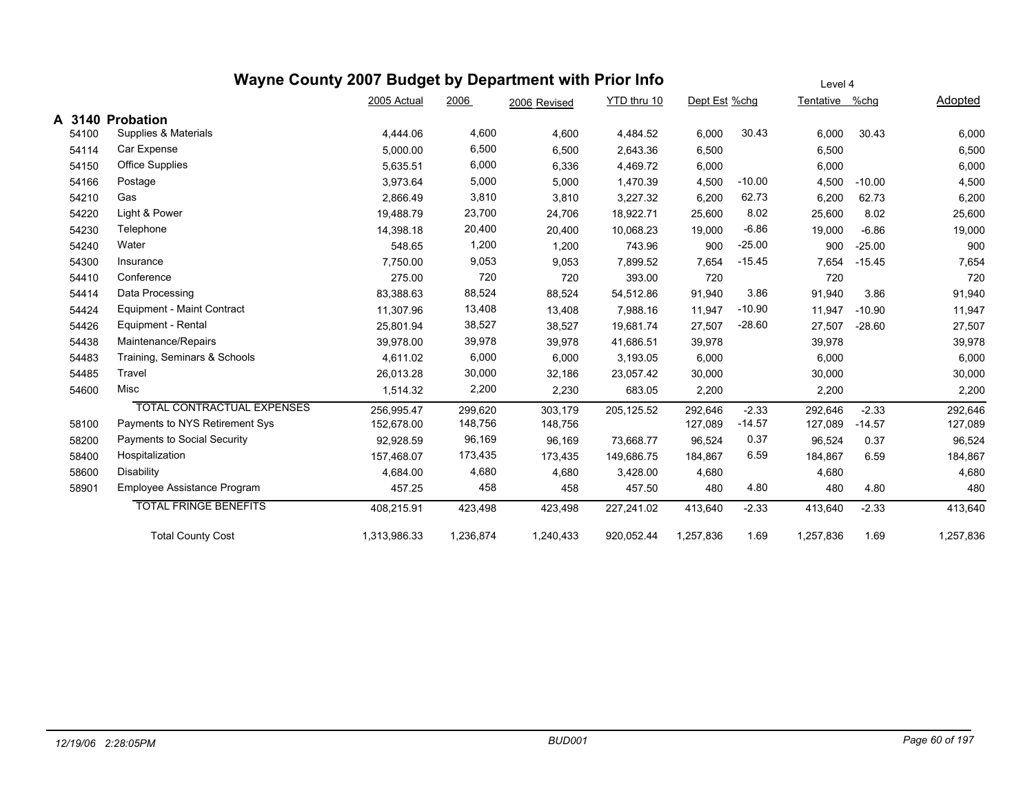### **Wayne County 2007 Budget by Department with Prior Info** Dept Est %chg Tentative %chg Adopted Level 4 2005 Actual 2006 2006 Revised YTD thru 10 **A 3140 Probation** 54100 Supplies & Materials 4,444.06 4,600 4,600 4,484.52 6,000 30.43 6,000 30.43 6,000 54114 Car Expense 5,000.00 6,500 6,500 2,643.36 6,500 6,500 6,500 54150 Office Supplies 5,635.51 6,000 6,336 4,469.72 6,000 6,000 6,000 54166 Postage 3,973.64 5,000 5,000 1,470.39 4,500 -10.00 4,500 -10.00 4,500 54210 Gas 2,866.49 3,810 3,810 3,227.32 6,200 62.73 6,200 62.73 6,200 54220 Light & Power 19,488.79 23,700 24,706 18,922.71 25,600 8.02 25,600 8.02 25,600 54230 Telephone 14,398.18 20,400 20,400 10,068.23 19,000 -6.86 19,000 -6.86 19,000 54240 Water 548.65 1,200 1,200 743.96 900 -25.00 900 -25.00 900 54300 Insurance 7,750.00 9,053 9,053 7,899.52 7,654 -15.45 7,654 -15.45 7,654 54410 Conference 275.00 720 393.00 720 720 720 54414 Data Processing 83,388.63 88,524 88,524 54,512.86 91,940 3.86 91,940 3.86 91,940 54424 Equipment - Maint Contract 11,307.96 13,408 13,408 7,988.16 11,947 -10.90 11,947 -10.90 11,947 54426 Equipment - Rental 25,801.94 38,527 38,527 19,681.74 27,507 -28.60 27,507 -28.60 27,507 54438 Maintenance/Repairs 39,978.00 39,978 39,978 41,686.51 39,978 39,978 39,978 54483 Training, Seminars & Schools 4,611.02 6,000 6,000 3,193.05 6,000 6,000 6,000 54485 Travel 26,013.28 30,000 32,186 23,057.42 30,000 30,000 30,000 54600 Misc 1,514.32 2,200 2,230 683.05 2,200 2,200 2,200 TOTAL CONTRACTUAL EXPENSES 256,995.47 299,620 303,179 205,125.52 292,646 -2.33 292,646 -2.33 292,646 58100 Payments to NYS Retirement Sys 152,678.00 148,756 148,756 127,089 -14.57 127,089 -14.57 127,089 58200 Payments to Social Security 92,928.59 96,169 96,169 73,668.77 96,524 0.37 96,524 0.37 96,524 58400 Hospitalization 157,468.07 173,435 173,435 149,686.75 184,867 6.59 184,867 6.59 184,867 58600 Disability 4,684.00 4,680 4,680 4,680 4,680 4,680 58901 Employee Assistance Program 457.25 458 458 457.50 480 4.80 480 4.80 480 TOTAL FRINGE BENEFITS 408,215.91 423,498 423,498 227,241.02 413,640 -2.33 413,640 -2.33 413,640 Total County Cost 1,313,986.33 1,236,874 1,240,433 920,052.44 1,257,836 1.69 1,257,836 1.69 1,257,836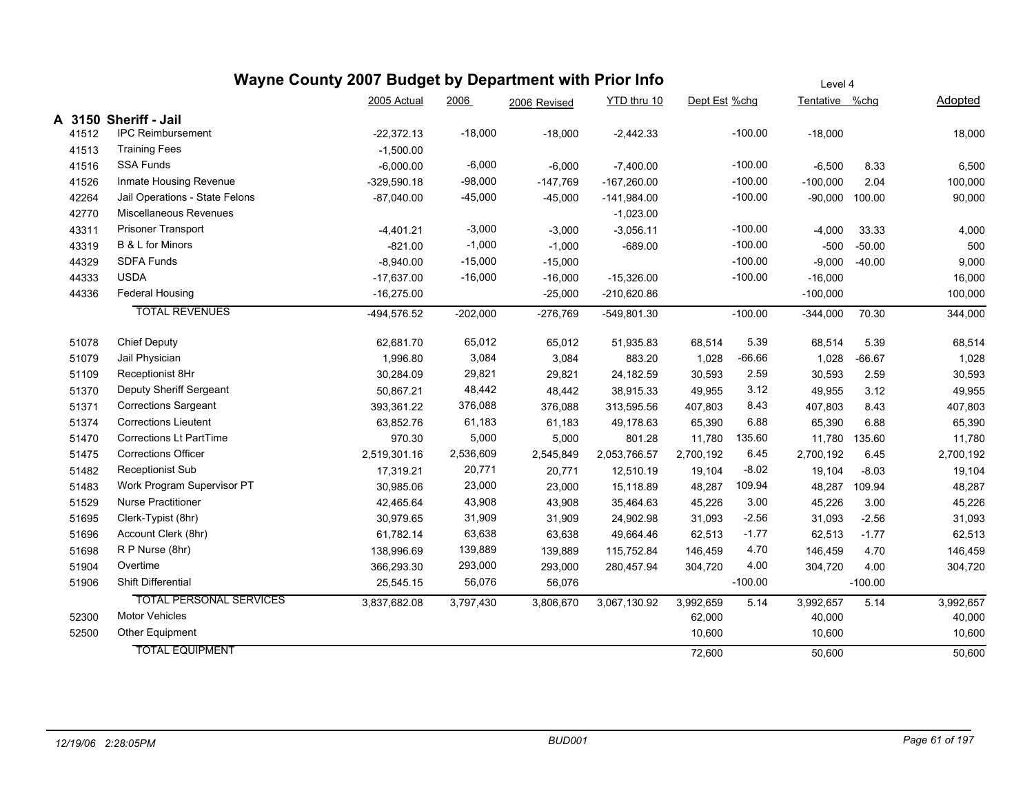|       |       |                                | Wayne County 2007 Budget by Department with Prior Info |            |              |               |               |           | Level 4        |           |           |
|-------|-------|--------------------------------|--------------------------------------------------------|------------|--------------|---------------|---------------|-----------|----------------|-----------|-----------|
|       |       |                                | 2005 Actual                                            | 2006       | 2006 Revised | YTD thru 10   | Dept Est %chg |           | Tentative %chg |           | Adopted   |
|       |       | A 3150 Sheriff - Jail          |                                                        |            |              |               |               |           |                |           |           |
|       | 41512 | <b>IPC Reimbursement</b>       | $-22,372.13$                                           | $-18,000$  | $-18,000$    | $-2,442.33$   |               | $-100.00$ | $-18,000$      |           | 18,000    |
|       | 41513 | <b>Training Fees</b>           | $-1,500.00$                                            |            |              |               |               |           |                |           |           |
|       | 41516 | <b>SSA Funds</b>               | $-6,000.00$                                            | $-6,000$   | $-6,000$     | $-7,400.00$   |               | $-100.00$ | $-6,500$       | 8.33      | 6,500     |
|       | 41526 | Inmate Housing Revenue         | $-329,590.18$                                          | $-98,000$  | $-147,769$   | $-167,260.00$ |               | $-100.00$ | $-100,000$     | 2.04      | 100,000   |
|       | 42264 | Jail Operations - State Felons | $-87,040.00$                                           | $-45,000$  | $-45,000$    | $-141,984.00$ |               | $-100.00$ | $-90,000$      | 100.00    | 90,000    |
|       | 42770 | Miscellaneous Revenues         |                                                        |            |              | $-1,023.00$   |               |           |                |           |           |
| 43311 |       | Prisoner Transport             | $-4,401.21$                                            | $-3,000$   | $-3,000$     | $-3,056.11$   |               | $-100.00$ | $-4,000$       | 33.33     | 4,000     |
|       | 43319 | B & L for Minors               | $-821.00$                                              | $-1,000$   | $-1,000$     | $-689.00$     |               | $-100.00$ | $-500$         | $-50.00$  | 500       |
|       | 44329 | <b>SDFA Funds</b>              | $-8,940.00$                                            | $-15,000$  | $-15,000$    |               |               | $-100.00$ | $-9,000$       | $-40.00$  | 9,000     |
|       | 44333 | <b>USDA</b>                    | $-17,637.00$                                           | $-16,000$  | $-16,000$    | $-15,326.00$  |               | $-100.00$ | $-16,000$      |           | 16,000    |
|       | 44336 | <b>Federal Housing</b>         | $-16,275.00$                                           |            | $-25,000$    | $-210,620.86$ |               |           | $-100,000$     |           | 100,000   |
|       |       | <b>TOTAL REVENUES</b>          | -494,576.52                                            | $-202,000$ | $-276,769$   | $-549,801.30$ |               | $-100.00$ | $-344,000$     | 70.30     | 344,000   |
|       | 51078 | <b>Chief Deputy</b>            | 62,681.70                                              | 65,012     | 65,012       | 51,935.83     | 68,514        | 5.39      | 68,514         | 5.39      | 68,514    |
|       | 51079 | Jail Physician                 | 1,996.80                                               | 3,084      | 3,084        | 883.20        | 1,028         | $-66.66$  | 1,028          | $-66.67$  | 1,028     |
|       | 51109 | Receptionist 8Hr               | 30,284.09                                              | 29,821     | 29,821       | 24,182.59     | 30,593        | 2.59      | 30,593         | 2.59      | 30,593    |
|       | 51370 | Deputy Sheriff Sergeant        | 50,867.21                                              | 48,442     | 48,442       | 38,915.33     | 49,955        | 3.12      | 49,955         | 3.12      | 49,955    |
| 51371 |       | <b>Corrections Sargeant</b>    | 393,361.22                                             | 376,088    | 376,088      | 313,595.56    | 407,803       | 8.43      | 407,803        | 8.43      | 407,803   |
|       | 51374 | <b>Corrections Lieutent</b>    | 63,852.76                                              | 61,183     | 61,183       | 49,178.63     | 65,390        | 6.88      | 65,390         | 6.88      | 65,390    |
|       | 51470 | <b>Corrections Lt PartTime</b> | 970.30                                                 | 5,000      | 5,000        | 801.28        | 11,780        | 135.60    | 11,780         | 135.60    | 11,780    |
|       | 51475 | <b>Corrections Officer</b>     | 2,519,301.16                                           | 2,536,609  | 2,545,849    | 2,053,766.57  | 2,700,192     | 6.45      | 2,700,192      | 6.45      | 2,700,192 |
|       | 51482 | <b>Receptionist Sub</b>        | 17,319.21                                              | 20,771     | 20,771       | 12,510.19     | 19,104        | $-8.02$   | 19,104         | $-8.03$   | 19,104    |
|       | 51483 | Work Program Supervisor PT     | 30,985.06                                              | 23,000     | 23,000       | 15,118.89     | 48,287        | 109.94    | 48,287         | 109.94    | 48,287    |
|       | 51529 | <b>Nurse Practitioner</b>      | 42,465.64                                              | 43,908     | 43,908       | 35,464.63     | 45,226        | 3.00      | 45,226         | 3.00      | 45,226    |
|       | 51695 | Clerk-Typist (8hr)             | 30,979.65                                              | 31,909     | 31,909       | 24,902.98     | 31,093        | $-2.56$   | 31,093         | $-2.56$   | 31,093    |
|       | 51696 | Account Clerk (8hr)            | 61,782.14                                              | 63,638     | 63,638       | 49,664.46     | 62,513        | $-1.77$   | 62,513         | $-1.77$   | 62,513    |
|       | 51698 | R P Nurse (8hr)                | 138,996.69                                             | 139,889    | 139,889      | 115,752.84    | 146,459       | 4.70      | 146,459        | 4.70      | 146,459   |
|       | 51904 | Overtime                       | 366,293.30                                             | 293,000    | 293,000      | 280,457.94    | 304,720       | 4.00      | 304,720        | 4.00      | 304,720   |
|       | 51906 | <b>Shift Differential</b>      | 25,545.15                                              | 56,076     | 56,076       |               |               | $-100.00$ |                | $-100.00$ |           |
|       |       | <b>TOTAL PERSONAL SERVICES</b> | 3,837,682.08                                           | 3,797,430  | 3,806,670    | 3,067,130.92  | 3,992,659     | 5.14      | 3,992,657      | 5.14      | 3,992,657 |
|       | 52300 | <b>Motor Vehicles</b>          |                                                        |            |              |               | 62,000        |           | 40,000         |           | 40,000    |
|       | 52500 | Other Equipment                |                                                        |            |              |               | 10,600        |           | 10,600         |           | 10,600    |
|       |       | <b>TOTAL EQUIPMENT</b>         |                                                        |            |              |               | 72,600        |           | 50,600         |           | 50,600    |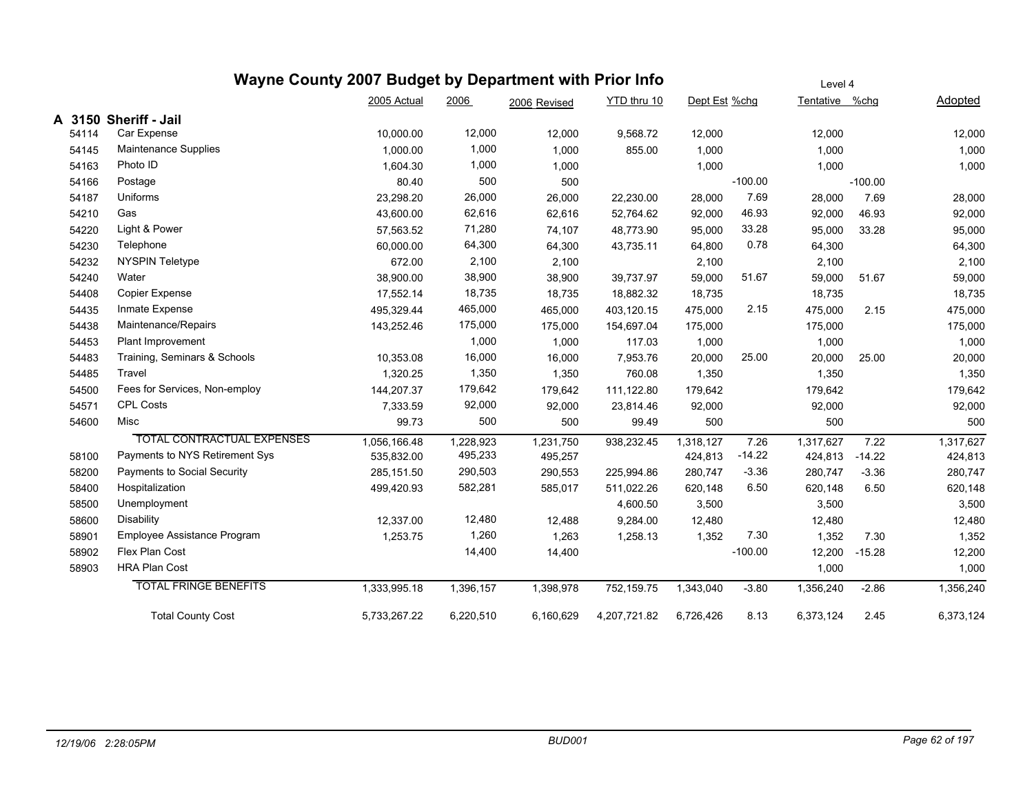|       |       | Wayne County 2007 Budget by Department with Prior Info |              |           |              |              |               |           | Level 4        |           |           |
|-------|-------|--------------------------------------------------------|--------------|-----------|--------------|--------------|---------------|-----------|----------------|-----------|-----------|
|       |       |                                                        | 2005 Actual  | 2006      | 2006 Revised | YTD thru 10  | Dept Est %chg |           | Tentative %chg |           | Adopted   |
|       |       | A 3150 Sheriff - Jail                                  |              |           |              |              |               |           |                |           |           |
| 54114 |       | Car Expense                                            | 10,000.00    | 12,000    | 12,000       | 9,568.72     | 12,000        |           | 12,000         |           | 12,000    |
|       | 54145 | Maintenance Supplies                                   | 1,000.00     | 1,000     | 1,000        | 855.00       | 1,000         |           | 1,000          |           | 1,000     |
|       | 54163 | Photo ID                                               | 1,604.30     | 1,000     | 1,000        |              | 1,000         |           | 1,000          |           | 1,000     |
|       | 54166 | Postage                                                | 80.40        | 500       | 500          |              |               | $-100.00$ |                | $-100.00$ |           |
|       | 54187 | Uniforms                                               | 23,298.20    | 26,000    | 26,000       | 22,230.00    | 28,000        | 7.69      | 28,000         | 7.69      | 28,000    |
|       | 54210 | Gas                                                    | 43,600.00    | 62,616    | 62,616       | 52,764.62    | 92,000        | 46.93     | 92,000         | 46.93     | 92,000    |
|       | 54220 | Light & Power                                          | 57,563.52    | 71,280    | 74,107       | 48,773.90    | 95,000        | 33.28     | 95,000         | 33.28     | 95,000    |
|       | 54230 | Telephone                                              | 60,000.00    | 64,300    | 64,300       | 43,735.11    | 64,800        | 0.78      | 64,300         |           | 64,300    |
|       | 54232 | NYSPIN Teletype                                        | 672.00       | 2,100     | 2,100        |              | 2,100         |           | 2,100          |           | 2,100     |
|       | 54240 | Water                                                  | 38,900.00    | 38,900    | 38,900       | 39,737.97    | 59,000        | 51.67     | 59,000         | 51.67     | 59,000    |
|       | 54408 | Copier Expense                                         | 17,552.14    | 18,735    | 18,735       | 18,882.32    | 18,735        |           | 18,735         |           | 18,735    |
|       | 54435 | Inmate Expense                                         | 495,329.44   | 465,000   | 465,000      | 403,120.15   | 475,000       | 2.15      | 475,000        | 2.15      | 475,000   |
|       | 54438 | Maintenance/Repairs                                    | 143,252.46   | 175,000   | 175,000      | 154,697.04   | 175,000       |           | 175,000        |           | 175,000   |
|       | 54453 | Plant Improvement                                      |              | 1,000     | 1,000        | 117.03       | 1,000         |           | 1,000          |           | 1,000     |
|       | 54483 | Training, Seminars & Schools                           | 10,353.08    | 16,000    | 16,000       | 7,953.76     | 20,000        | 25.00     | 20,000         | 25.00     | 20,000    |
|       | 54485 | Travel                                                 | 1,320.25     | 1,350     | 1,350        | 760.08       | 1,350         |           | 1,350          |           | 1,350     |
|       | 54500 | Fees for Services, Non-employ                          | 144,207.37   | 179,642   | 179,642      | 111,122.80   | 179,642       |           | 179,642        |           | 179,642   |
|       | 54571 | <b>CPL Costs</b>                                       | 7,333.59     | 92,000    | 92,000       | 23,814.46    | 92,000        |           | 92,000         |           | 92,000    |
|       | 54600 | Misc                                                   | 99.73        | 500       | 500          | 99.49        | 500           |           | 500            |           | 500       |
|       |       | <b>TOTAL CONTRACTUAL EXPENSES</b>                      | 1,056,166.48 | 1,228,923 | 1,231,750    | 938,232.45   | 1.318.127     | 7.26      | 1,317,627      | 7.22      | 1,317,627 |
|       | 58100 | Payments to NYS Retirement Sys                         | 535,832.00   | 495,233   | 495,257      |              | 424,813       | $-14.22$  | 424,813        | $-14.22$  | 424,813   |
| 58200 |       | Payments to Social Security                            | 285,151.50   | 290,503   | 290,553      | 225,994.86   | 280,747       | $-3.36$   | 280,747        | $-3.36$   | 280,747   |
|       | 58400 | Hospitalization                                        | 499,420.93   | 582,281   | 585,017      | 511,022.26   | 620,148       | 6.50      | 620,148        | 6.50      | 620,148   |
|       | 58500 | Unemployment                                           |              |           |              | 4,600.50     | 3,500         |           | 3,500          |           | 3,500     |
|       | 58600 | Disability                                             | 12,337.00    | 12,480    | 12,488       | 9,284.00     | 12,480        |           | 12,480         |           | 12,480    |
| 58901 |       | Employee Assistance Program                            | 1,253.75     | 1,260     | 1,263        | 1,258.13     | 1,352         | 7.30      | 1,352          | 7.30      | 1,352     |
|       | 58902 | Flex Plan Cost                                         |              | 14,400    | 14,400       |              |               | $-100.00$ | 12,200         | $-15.28$  | 12,200    |
|       | 58903 | <b>HRA Plan Cost</b>                                   |              |           |              |              |               |           | 1,000          |           | 1,000     |
|       |       | <b>TOTAL FRINGE BENEFITS</b>                           | 1,333,995.18 | 1,396,157 | 1,398,978    | 752,159.75   | 1,343,040     | $-3.80$   | 1,356,240      | $-2.86$   | 1,356,240 |
|       |       | <b>Total County Cost</b>                               | 5,733,267.22 | 6,220,510 | 6,160,629    | 4,207,721.82 | 6,726,426     | 8.13      | 6,373,124      | 2.45      | 6,373,124 |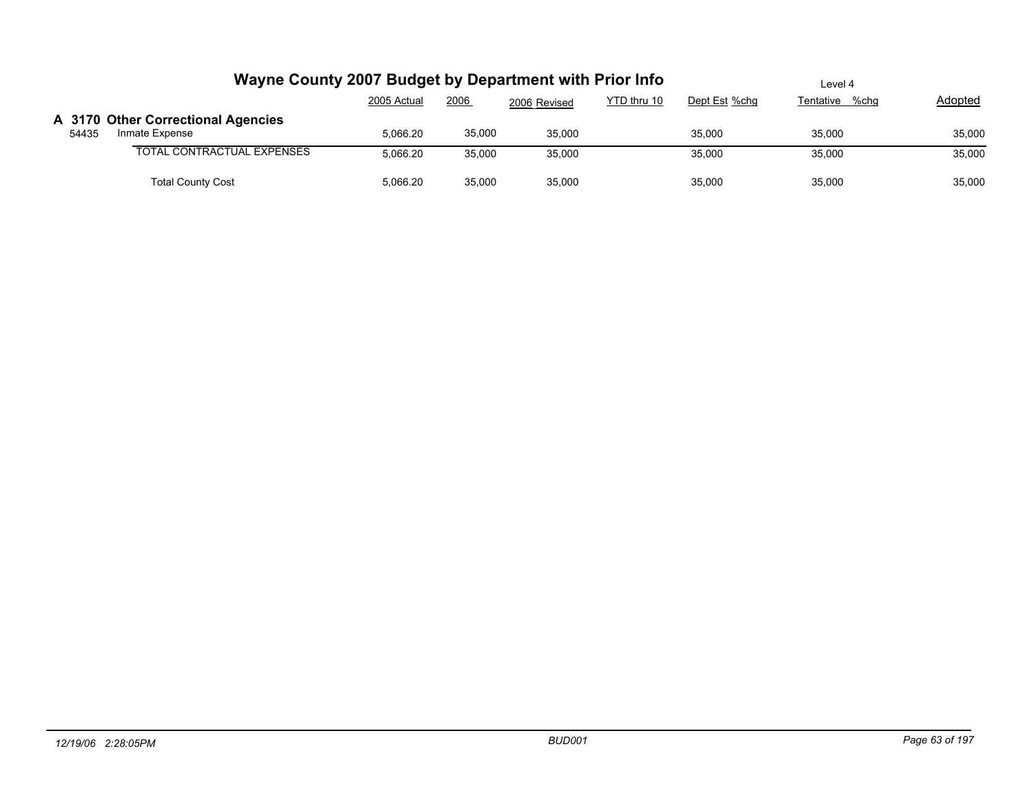|       | Wayne County 2007 Budget by Department with Prior Info |             |        |              |             | Level 4       |                |         |  |  |
|-------|--------------------------------------------------------|-------------|--------|--------------|-------------|---------------|----------------|---------|--|--|
|       |                                                        | 2005 Actual | 2006   | 2006 Revised | YTD thru 10 | Dept Est %chg | Tentative %chq | Adopted |  |  |
|       | A 3170 Other Correctional Agencies                     |             |        |              |             |               |                |         |  |  |
| 54435 | Inmate Expense                                         | 5.066.20    | 35,000 | 35,000       |             | 35.000        | 35.000         | 35,000  |  |  |
|       | <b>TOTAL CONTRACTUAL EXPENSES</b>                      | 5.066.20    | 35,000 | 35,000       |             | 35,000        | 35,000         | 35,000  |  |  |
|       | <b>Total County Cost</b>                               | 5,066.20    | 35,000 | 35,000       |             | 35,000        | 35,000         | 35,000  |  |  |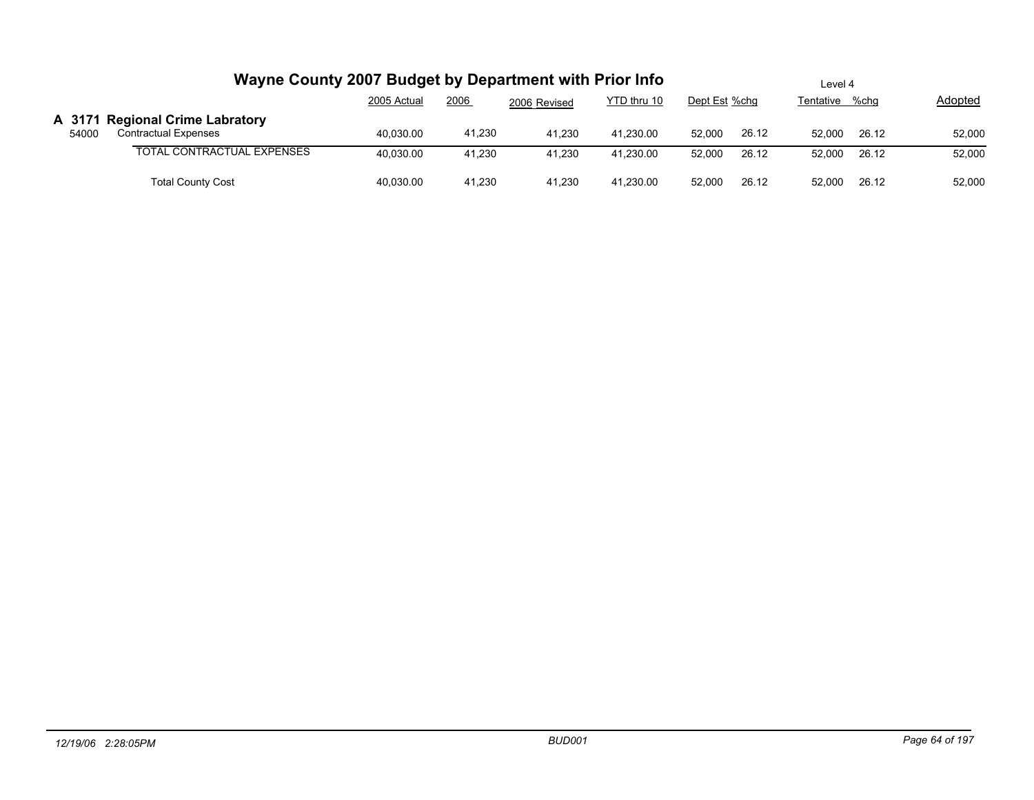|       | Wayne County 2007 Budget by Department with Prior Info         |             |        |              |             | Level 4       |       |           |       |         |  |
|-------|----------------------------------------------------------------|-------------|--------|--------------|-------------|---------------|-------|-----------|-------|---------|--|
|       |                                                                | 2005 Actual | 2006   | 2006 Revised | YTD thru 10 | Dept Est %chg |       | Tentative | %chq  | Adopted |  |
| 54000 | A 3171 Regional Crime Labratory<br><b>Contractual Expenses</b> | 40.030.00   | 41,230 | 41.230       | 41.230.00   | 52.000        | 26.12 | 52.000    | 26.12 | 52,000  |  |
|       | <b>TOTAL CONTRACTUAL EXPENSES</b>                              | 40.030.00   | 41.230 | 41.230       | 41.230.00   | 52.000        | 26.12 | 52.000    | 26.12 | 52,000  |  |
|       | <b>Total County Cost</b>                                       | 40,030.00   | 41,230 | 41,230       | 41,230.00   | 52,000        | 26.12 | 52.000    | 26.12 | 52,000  |  |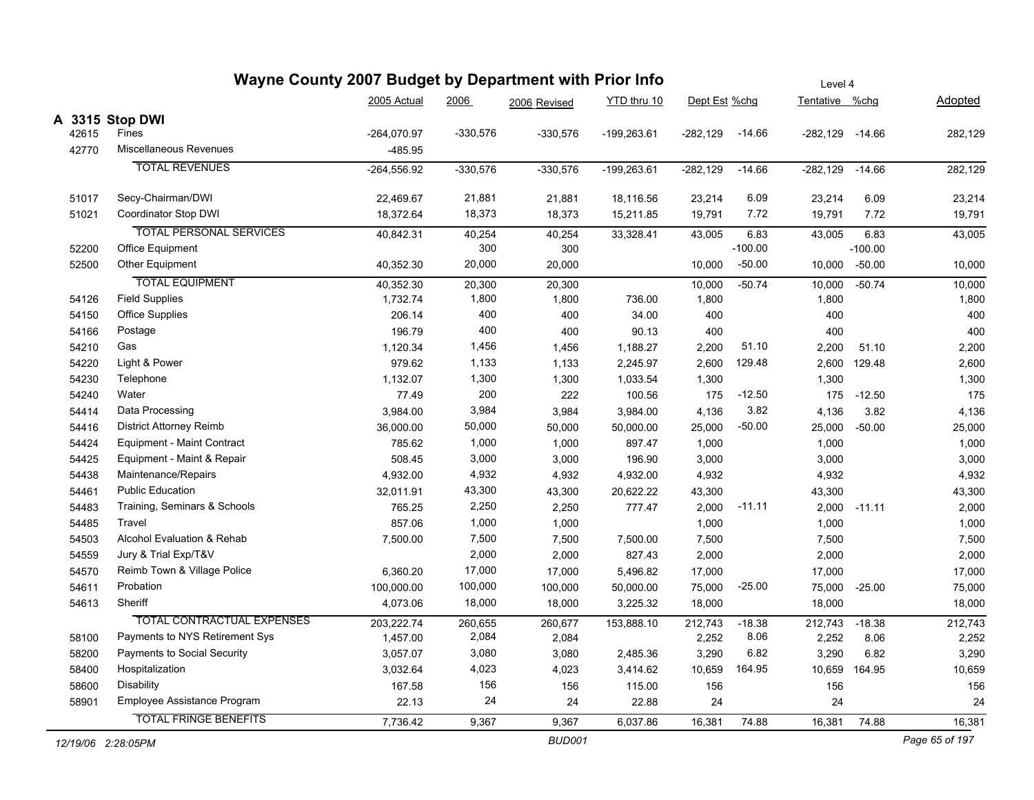|       | Wayne County 2007 Budget by Department with Prior Info |               |            |               |               | Level 4       |           |                     |               |                |  |  |
|-------|--------------------------------------------------------|---------------|------------|---------------|---------------|---------------|-----------|---------------------|---------------|----------------|--|--|
|       |                                                        | 2005 Actual   | 2006       | 2006 Revised  | YTD thru 10   | Dept Est %chg |           | Tentative %chg      |               | Adopted        |  |  |
|       | A 3315 Stop DWI                                        |               |            |               |               |               |           |                     |               |                |  |  |
| 42615 | Fines                                                  | $-264,070.97$ | $-330,576$ | $-330,576$    | $-199,263.61$ | $-282,129$    | $-14.66$  | $-282,129$ $-14.66$ |               | 282,129        |  |  |
| 42770 | Miscellaneous Revenues                                 | -485.95       |            |               |               |               |           |                     |               |                |  |  |
|       | <b>TOTAL REVENUES</b>                                  | $-264,556.92$ | $-330,576$ | $-330,576$    | $-199,263.61$ | $-282,129$    | $-14.66$  | $-282,129$          | $-14.66$      | 282,129        |  |  |
| 51017 | Secy-Chairman/DWI                                      | 22,469.67     | 21,881     | 21,881        | 18,116.56     | 23,214        | 6.09      | 23,214              | 6.09          | 23,214         |  |  |
| 51021 | Coordinator Stop DWI                                   | 18,372.64     | 18,373     | 18,373        | 15,211.85     | 19,791        | 7.72      | 19,791              | 7.72          | 19,791         |  |  |
|       | <b>TOTAL PERSONAL SERVICES</b>                         | 40.842.31     | 40,254     | 40,254        | 33,328.41     | 43,005        | 6.83      | 43,005              | 6.83          | 43,005         |  |  |
| 52200 | Office Equipment                                       |               | 300        | 300           |               |               | $-100.00$ |                     | $-100.00$     |                |  |  |
| 52500 | Other Equipment                                        | 40,352.30     | 20,000     | 20,000        |               | 10,000        | $-50.00$  |                     | 10,000 -50.00 | 10,000         |  |  |
|       | <b>TOTAL EQUIPMENT</b>                                 | 40,352.30     | 20,300     | 20,300        |               | 10,000        | $-50.74$  | 10,000              | $-50.74$      | 10,000         |  |  |
| 54126 | <b>Field Supplies</b>                                  | 1,732.74      | 1,800      | 1,800         | 736.00        | 1,800         |           | 1,800               |               | 1,800          |  |  |
| 54150 | <b>Office Supplies</b>                                 | 206.14        | 400        | 400           | 34.00         | 400           |           | 400                 |               | 400            |  |  |
| 54166 | Postage                                                | 196.79        | 400        | 400           | 90.13         | 400           |           | 400                 |               | 400            |  |  |
| 54210 | Gas                                                    | 1,120.34      | 1,456      | 1,456         | 1,188.27      | 2,200         | 51.10     | 2,200               | 51.10         | 2,200          |  |  |
| 54220 | Light & Power                                          | 979.62        | 1,133      | 1,133         | 2,245.97      | 2,600         | 129.48    |                     | 2,600 129.48  | 2,600          |  |  |
| 54230 | Telephone                                              | 1,132.07      | 1,300      | 1,300         | 1,033.54      | 1,300         |           | 1,300               |               | 1,300          |  |  |
| 54240 | Water                                                  | 77.49         | 200        | 222           | 100.56        | 175           | $-12.50$  | 175                 | $-12.50$      | 175            |  |  |
| 54414 | Data Processing                                        | 3,984.00      | 3,984      | 3,984         | 3,984.00      | 4,136         | 3.82      | 4,136               | 3.82          | 4,136          |  |  |
| 54416 | <b>District Attorney Reimb</b>                         | 36,000.00     | 50,000     | 50,000        | 50,000.00     | 25,000        | $-50.00$  | 25,000              | $-50.00$      | 25,000         |  |  |
| 54424 | Equipment - Maint Contract                             | 785.62        | 1,000      | 1,000         | 897.47        | 1,000         |           | 1,000               |               | 1,000          |  |  |
| 54425 | Equipment - Maint & Repair                             | 508.45        | 3,000      | 3,000         | 196.90        | 3,000         |           | 3,000               |               | 3,000          |  |  |
| 54438 | Maintenance/Repairs                                    | 4,932.00      | 4,932      | 4,932         | 4,932.00      | 4,932         |           | 4,932               |               | 4,932          |  |  |
| 54461 | <b>Public Education</b>                                | 32,011.91     | 43,300     | 43,300        | 20,622.22     | 43,300        |           | 43,300              |               | 43,300         |  |  |
| 54483 | Training, Seminars & Schools                           | 765.25        | 2,250      | 2,250         | 777.47        | 2,000         | $-11.11$  | 2,000               | $-11.11$      | 2,000          |  |  |
| 54485 | Travel                                                 | 857.06        | 1,000      | 1,000         |               | 1,000         |           | 1,000               |               | 1,000          |  |  |
| 54503 | Alcohol Evaluation & Rehab                             | 7,500.00      | 7,500      | 7,500         | 7,500.00      | 7,500         |           | 7,500               |               | 7,500          |  |  |
| 54559 | Jury & Trial Exp/T&V                                   |               | 2,000      | 2,000         | 827.43        | 2,000         |           | 2,000               |               | 2,000          |  |  |
| 54570 | Reimb Town & Village Police                            | 6,360.20      | 17,000     | 17,000        | 5,496.82      | 17,000        |           | 17,000              |               | 17,000         |  |  |
| 54611 | Probation                                              | 100,000.00    | 100,000    | 100,000       | 50,000.00     | 75,000        | $-25.00$  | 75,000              | $-25.00$      | 75,000         |  |  |
| 54613 | Sheriff                                                | 4,073.06      | 18,000     | 18,000        | 3,225.32      | 18,000        |           | 18,000              |               | 18,000         |  |  |
|       | <b>TOTAL CONTRACTUAL EXPENSES</b>                      | 203,222.74    | 260,655    | 260,677       | 153,888.10    | 212,743       | $-18.38$  | 212,743             | $-18.38$      | 212,743        |  |  |
| 58100 | Payments to NYS Retirement Sys                         | 1,457.00      | 2,084      | 2,084         |               | 2,252         | 8.06      | 2,252               | 8.06          | 2,252          |  |  |
| 58200 | Payments to Social Security                            | 3,057.07      | 3,080      | 3,080         | 2,485.36      | 3,290         | 6.82      | 3,290               | 6.82          | 3,290          |  |  |
| 58400 | Hospitalization                                        | 3,032.64      | 4,023      | 4,023         | 3,414.62      | 10,659        | 164.95    | 10,659              | 164.95        | 10,659         |  |  |
| 58600 | <b>Disability</b>                                      | 167.58        | 156        | 156           | 115.00        | 156           |           | 156                 |               | 156            |  |  |
| 58901 | Employee Assistance Program                            | 22.13         | 24         | 24            | 22.88         | 24            |           | 24                  |               | 24             |  |  |
|       | <b>TOTAL FRINGE BENEFITS</b>                           | 7,736.42      | 9,367      | 9,367         | 6,037.86      | 16,381        | 74.88     | 16,381              | 74.88         | 16,381         |  |  |
|       | 12/19/06 2:28:05PM                                     |               |            | <b>BUD001</b> |               |               |           |                     |               | Page 65 of 197 |  |  |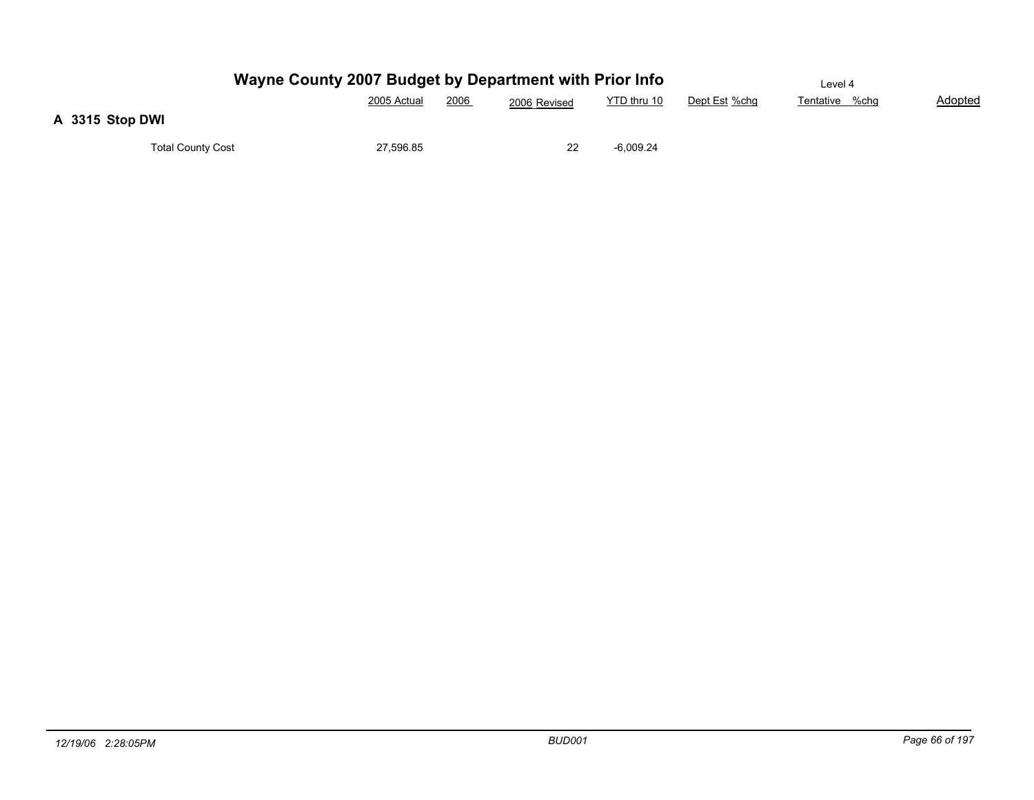|                          | Wayne County 2007 Budget by Department with Prior Info |      |              |             |               | Level 4        |         |
|--------------------------|--------------------------------------------------------|------|--------------|-------------|---------------|----------------|---------|
|                          | 2005 Actual                                            | 2006 | 2006 Revised | YTD thru 10 | Dept Est %chg | Tentative %chg | Adopted |
| A 3315 Stop DWI          |                                                        |      |              |             |               |                |         |
| <b>Total County Cost</b> | 27,596.85                                              |      |              | -6,009.24   |               |                |         |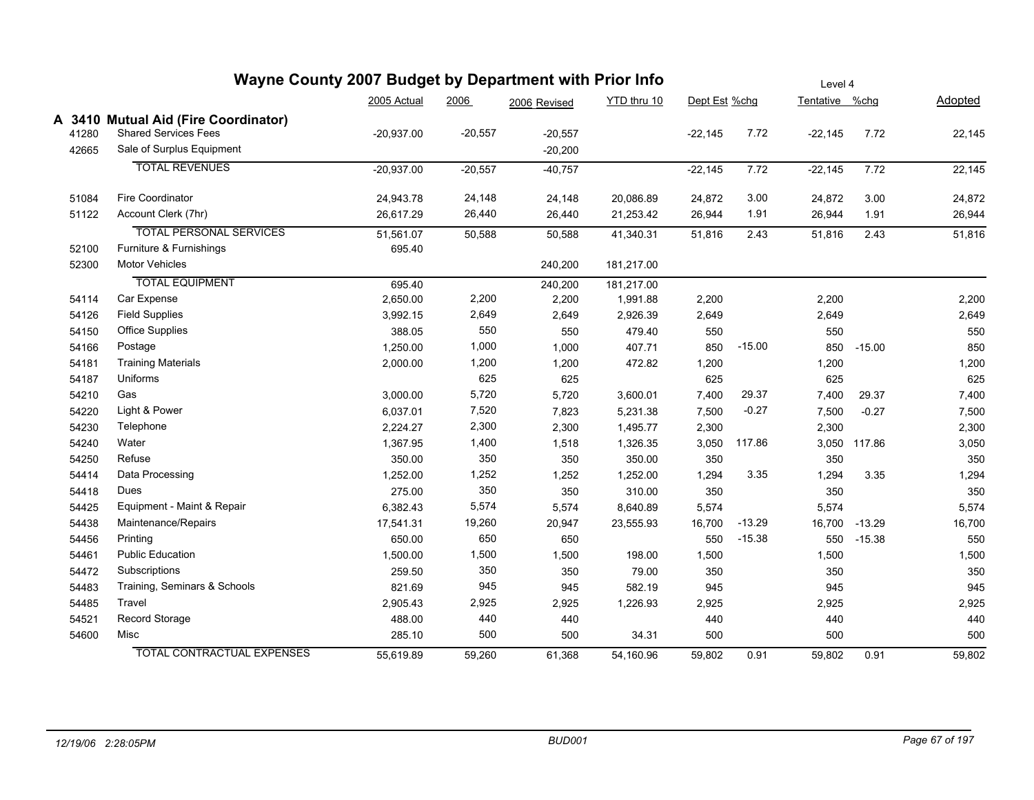|       | Wayne County 2007 Budget by Department with Prior Info |              | Level 4   |              |             |               |          |                |              |         |
|-------|--------------------------------------------------------|--------------|-----------|--------------|-------------|---------------|----------|----------------|--------------|---------|
|       |                                                        | 2005 Actual  | 2006      | 2006 Revised | YTD thru 10 | Dept Est %chg |          | Tentative %chg |              | Adopted |
|       | A 3410 Mutual Aid (Fire Coordinator)                   |              |           |              |             |               |          |                |              |         |
| 41280 | <b>Shared Services Fees</b>                            | $-20,937.00$ | $-20,557$ | $-20,557$    |             | $-22,145$     | 7.72     | $-22,145$      | 7.72         | 22,145  |
| 42665 | Sale of Surplus Equipment                              |              |           | $-20,200$    |             |               |          |                |              |         |
|       | <b>TOTAL REVENUES</b>                                  | $-20,937.00$ | $-20,557$ | $-40,757$    |             | $-22,145$     | 7.72     | $-22,145$      | 7.72         | 22,145  |
| 51084 | <b>Fire Coordinator</b>                                | 24,943.78    | 24,148    | 24,148       | 20,086.89   | 24,872        | 3.00     | 24,872         | 3.00         | 24,872  |
| 51122 | Account Clerk (7hr)                                    | 26,617.29    | 26,440    | 26,440       | 21,253.42   | 26,944        | 1.91     | 26,944         | 1.91         | 26,944  |
|       | <b>TOTAL PERSONAL SERVICES</b>                         | 51,561.07    | 50,588    | 50,588       | 41,340.31   | 51,816        | 2.43     | 51,816         | 2.43         | 51,816  |
| 52100 | Furniture & Furnishings                                | 695.40       |           |              |             |               |          |                |              |         |
| 52300 | <b>Motor Vehicles</b>                                  |              |           | 240,200      | 181,217.00  |               |          |                |              |         |
|       | <b>TOTAL EQUIPMENT</b>                                 | 695.40       |           | 240,200      | 181,217.00  |               |          |                |              |         |
| 54114 | Car Expense                                            | 2,650.00     | 2,200     | 2,200        | 1,991.88    | 2,200         |          | 2,200          |              | 2,200   |
| 54126 | <b>Field Supplies</b>                                  | 3,992.15     | 2,649     | 2,649        | 2,926.39    | 2,649         |          | 2,649          |              | 2,649   |
| 54150 | <b>Office Supplies</b>                                 | 388.05       | 550       | 550          | 479.40      | 550           |          | 550            |              | 550     |
| 54166 | Postage                                                | 1,250.00     | 1,000     | 1,000        | 407.71      | 850           | $-15.00$ | 850            | $-15.00$     | 850     |
| 54181 | <b>Training Materials</b>                              | 2,000.00     | 1,200     | 1,200        | 472.82      | 1,200         |          | 1,200          |              | 1,200   |
| 54187 | Uniforms                                               |              | 625       | 625          |             | 625           |          | 625            |              | 625     |
| 54210 | Gas                                                    | 3,000.00     | 5,720     | 5,720        | 3,600.01    | 7,400         | 29.37    | 7,400          | 29.37        | 7,400   |
| 54220 | Light & Power                                          | 6,037.01     | 7,520     | 7,823        | 5,231.38    | 7,500         | $-0.27$  | 7,500          | $-0.27$      | 7,500   |
| 54230 | Telephone                                              | 2,224.27     | 2,300     | 2,300        | 1,495.77    | 2,300         |          | 2,300          |              | 2,300   |
| 54240 | Water                                                  | 1,367.95     | 1,400     | 1,518        | 1,326.35    | 3,050         | 117.86   |                | 3,050 117.86 | 3,050   |
| 54250 | Refuse                                                 | 350.00       | 350       | 350          | 350.00      | 350           |          | 350            |              | 350     |
| 54414 | Data Processing                                        | 1,252.00     | 1,252     | 1,252        | 1,252.00    | 1,294         | 3.35     | 1,294          | 3.35         | 1,294   |
| 54418 | Dues                                                   | 275.00       | 350       | 350          | 310.00      | 350           |          | 350            |              | 350     |
| 54425 | Equipment - Maint & Repair                             | 6,382.43     | 5,574     | 5,574        | 8,640.89    | 5,574         |          | 5,574          |              | 5,574   |
| 54438 | Maintenance/Repairs                                    | 17,541.31    | 19,260    | 20,947       | 23,555.93   | 16,700        | $-13.29$ | 16,700         | $-13.29$     | 16,700  |
| 54456 | Printing                                               | 650.00       | 650       | 650          |             | 550           | $-15.38$ |                | 550 - 15.38  | 550     |
| 54461 | <b>Public Education</b>                                | 1,500.00     | 1,500     | 1,500        | 198.00      | 1,500         |          | 1,500          |              | 1,500   |
| 54472 | Subscriptions                                          | 259.50       | 350       | 350          | 79.00       | 350           |          | 350            |              | 350     |
| 54483 | Training, Seminars & Schools                           | 821.69       | 945       | 945          | 582.19      | 945           |          | 945            |              | 945     |
| 54485 | Travel                                                 | 2,905.43     | 2,925     | 2,925        | 1,226.93    | 2,925         |          | 2,925          |              | 2,925   |
| 54521 | Record Storage                                         | 488.00       | 440       | 440          |             | 440           |          | 440            |              | 440     |
| 54600 | Misc                                                   | 285.10       | 500       | 500          | 34.31       | 500           |          | 500            |              | 500     |
|       | <b>TOTAL CONTRACTUAL EXPENSES</b>                      | 55.619.89    | 59.260    | 61.368       | 54,160.96   | 59,802        | 0.91     | 59,802         | 0.91         | 59,802  |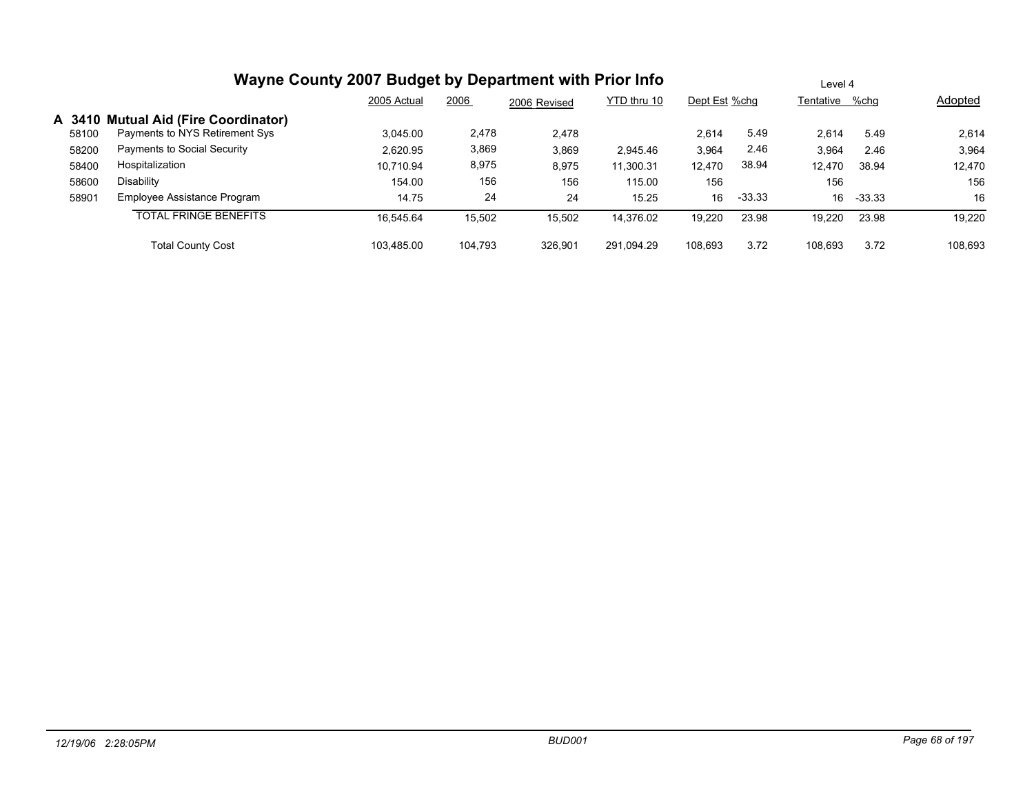|       | Wayne County 2007 Budget by Department with Prior Info | Level 4     |         |              |             |               |          |                |          |         |
|-------|--------------------------------------------------------|-------------|---------|--------------|-------------|---------------|----------|----------------|----------|---------|
|       |                                                        | 2005 Actual | 2006    | 2006 Revised | YTD thru 10 | Dept Est %chg |          | Tentative %chg |          | Adopted |
|       | A 3410 Mutual Aid (Fire Coordinator)                   |             |         |              |             |               |          |                |          |         |
| 58100 | Payments to NYS Retirement Sys                         | 3.045.00    | 2,478   | 2,478        |             | 2,614         | 5.49     | 2.614          | 5.49     | 2,614   |
| 58200 | Payments to Social Security                            | 2.620.95    | 3,869   | 3,869        | 2.945.46    | 3,964         | 2.46     | 3.964          | 2.46     | 3,964   |
| 58400 | Hospitalization                                        | 10,710.94   | 8,975   | 8,975        | 11,300.31   | 12,470        | 38.94    | 12.470         | 38.94    | 12,470  |
| 58600 | Disability                                             | 154.00      | 156     | 156          | 115.00      | 156           |          | 156            |          | 156     |
| 58901 | Employee Assistance Program                            | 14.75       | 24      | 24           | 15.25       | 16            | $-33.33$ | 16             | $-33.33$ | 16      |
|       | <b>TOTAL FRINGE BENEFITS</b>                           | 16.545.64   | 15,502  | 15,502       | 14.376.02   | 19,220        | 23.98    | 19.220         | 23.98    | 19,220  |
|       | <b>Total County Cost</b>                               | 103.485.00  | 104.793 | 326.901      | 291.094.29  | 108.693       | 3.72     | 108.693        | 3.72     | 108,693 |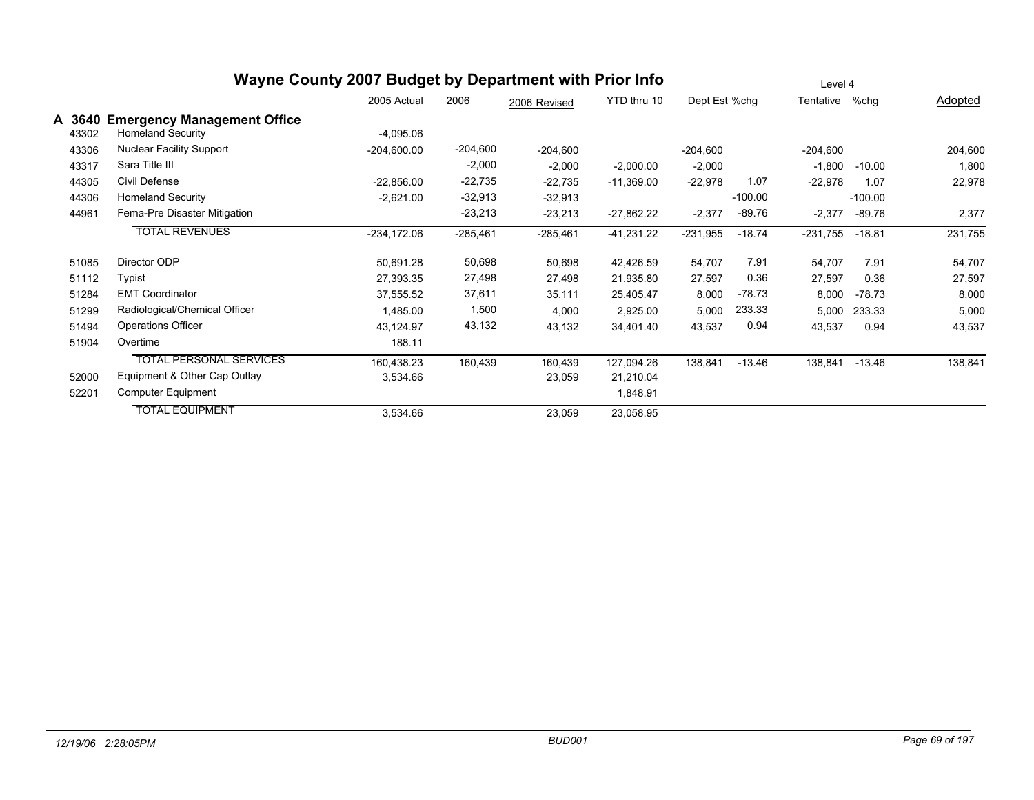|        | Wayne County 2007 Budget by Department with Prior Info | Level 4       |            |              |              |               |           |            |           |         |
|--------|--------------------------------------------------------|---------------|------------|--------------|--------------|---------------|-----------|------------|-----------|---------|
|        |                                                        | 2005 Actual   | 2006       | 2006 Revised | YTD thru 10  | Dept Est %chg |           | Tentative  | %chq      | Adopted |
| A 3640 | <b>Emergency Management Office</b>                     |               |            |              |              |               |           |            |           |         |
| 43302  | Homeland Security                                      | $-4,095.06$   |            |              |              |               |           |            |           |         |
| 43306  | <b>Nuclear Facility Support</b>                        | $-204,600.00$ | $-204,600$ | $-204,600$   |              | $-204,600$    |           | $-204,600$ |           | 204,600 |
| 43317  | Sara Title III                                         |               | $-2,000$   | $-2,000$     | $-2,000.00$  | $-2,000$      |           | $-1,800$   | $-10.00$  | 1,800   |
| 44305  | Civil Defense                                          | $-22,856.00$  | $-22,735$  | $-22,735$    | $-11,369.00$ | $-22,978$     | 1.07      | $-22,978$  | 1.07      | 22,978  |
| 44306  | <b>Homeland Security</b>                               | $-2,621.00$   | $-32,913$  | $-32,913$    |              |               | $-100.00$ |            | $-100.00$ |         |
| 44961  | Fema-Pre Disaster Mitigation                           |               | $-23,213$  | $-23,213$    | $-27,862.22$ | $-2,377$      | $-89.76$  | $-2,377$   | $-89.76$  | 2,377   |
|        | <b>TOTAL REVENUES</b>                                  | -234,172.06   | $-285,461$ | $-285,461$   | $-41,231.22$ | $-231,955$    | $-18.74$  | $-231,755$ | $-18.81$  | 231,755 |
| 51085  | Director ODP                                           | 50,691.28     | 50,698     | 50,698       | 42,426.59    | 54,707        | 7.91      | 54,707     | 7.91      | 54,707  |
| 51112  | Typist                                                 | 27,393.35     | 27,498     | 27,498       | 21,935.80    | 27,597        | 0.36      | 27,597     | 0.36      | 27,597  |
| 51284  | <b>EMT Coordinator</b>                                 | 37,555.52     | 37,611     | 35,111       | 25,405.47    | 8,000         | $-78.73$  | 8,000      | $-78.73$  | 8,000   |
| 51299  | Radiological/Chemical Officer                          | 1,485.00      | 1,500      | 4,000        | 2,925.00     | 5,000         | 233.33    | 5,000      | 233.33    | 5,000   |
| 51494  | <b>Operations Officer</b>                              | 43,124.97     | 43,132     | 43,132       | 34,401.40    | 43,537        | 0.94      | 43,537     | 0.94      | 43,537  |
| 51904  | Overtime                                               | 188.11        |            |              |              |               |           |            |           |         |
|        | <b>TOTAL PERSONAL SERVICES</b>                         | 160,438.23    | 160,439    | 160,439      | 127,094.26   | 138,841       | $-13.46$  | 138,841    | $-13.46$  | 138,841 |
| 52000  | Equipment & Other Cap Outlay                           | 3,534.66      |            | 23,059       | 21,210.04    |               |           |            |           |         |
| 52201  | <b>Computer Equipment</b>                              |               |            |              | 1,848.91     |               |           |            |           |         |
|        | <b>TOTAL EQUIPMENT</b>                                 | 3,534.66      |            | 23,059       | 23,058.95    |               |           |            |           |         |
|        |                                                        |               |            |              |              |               |           |            |           |         |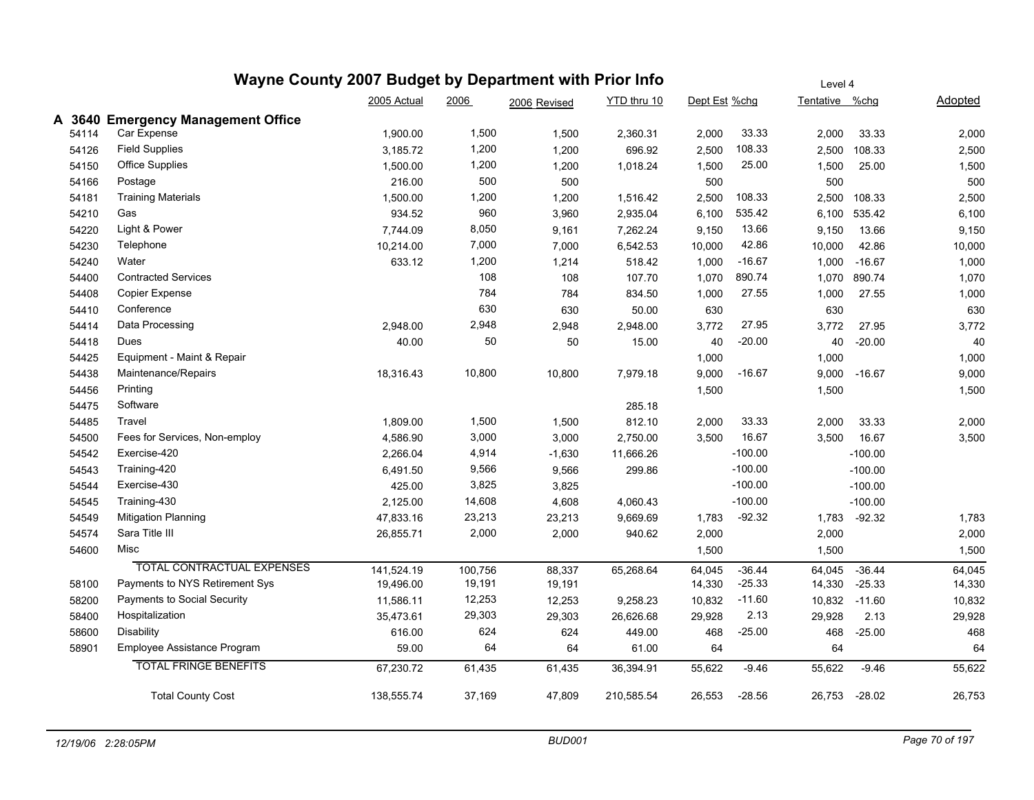### **Wayne County 2007 Budget by Department with Prior Info** Dept Est %chg Tentative %chg Adopted Level 4 2005 Actual 2006 2006 Revised YTD thru 10 **A 3640 Emergency Management Office** 54114 Car Expense 1,900.00 1,500 1,500 2,360.31 2,000 33.33 2,000 33.33 2,000 54126 Field Supplies 3,185.72 1,200 1,200 696.92 2,500 108.33 2,500 108.33 2,500 54150 Office Supplies 1,500.00 1,200 1,200 1,018.24 1,500 25.00 1,500 1,500 54166 Postage 216.00 500 500 500 500 500 54181 Training Materials 1,500.00 1,200 1,200 1,516.42 2,500 108.33 2,500 108.33 2,500 54210 Gas 934.52 960 3,960 2,935.04 6,100 535.42 6,100 535.42 6,100 54220 Light&Power 7,744.09 8,050 9,161 7,262.24 9,150 13.66 9,150 9,150 54230 Telephone 10,214.00 7,000 7,000 6,542.53 10,000 42.86 10,000 42.86 10,000 54240 Water 633.12 1,200 1,214 518.42 1,000 -16.67 1,000 -16.67 1,000 54400 Contracted Services 108 108 107.70 1,070 890.74 1,070 890.74 1,070 54408 Copier Expense 784 784 834.50 1,000 27.55 1,000 27.55 1,000 54410 Conference 630 630 50.00 630 630 630 54414 Data Processing 2,948.00 2,948 2,948 2,948.00 3,772 27.95 3,772 27.95 3,772 54418 Dues 40.00 50 50 15.00 40 -20.00 40 -20.00 40 54425 Equipment - Maint & Repair 1,000 1,000 1,000 1,000 1,000 1,000 1,000 1,000 1,000 1,000 1,000 1,000 1,000 54438 Maintenance/Repairs 18,316.43 10,800 10,800 7,979.18 9,000 -16.67 9,000 -16.67 9,000 54456 Printing 1,500 1,500 1,500 54475 Software 285.18 54485 Travel 1,809.00 1,500 1,500 812.10 2,000 33.33 2,000 33.33 2,000 54500 Fees for Services, Non-employ 6.5500 4,586.90 3,000 3,000 2,750.00 3,500 16.67 3,500 16.67 3,500 3,500 54542 Exercise-420 2,266.04 4,914 -1,630 11,666.26 -100.00 -100.00 54543 Training-420 6,491.50 9,566 9,566 299.86 -100.00 -100.00 54544 Exercise-430 425.00 3,825 -100.00 -100.00 54545 Training-430 2,125.00 14,608 4,608 4,060.43 -100.00 -100.00 54549 Mitigation Planning 2001 2002 47,833.16 23,213 23,213 9,669.69 1,783 -92.32 1,783 -92.32 1,783 54574 Sara Title III 26,855.71 2,000 2,000 940.62 2,000 2,000 2,000 54600 Misc 1,500 1,500 1,500 TOTAL CONTRACTUAL EXPENSES 141,524.19 100,756 88,337 65,268.64 64,045 -36.44 64,045 -36.44 64,045 58100 Payments to NYS Retirement Sys 19,496.00 19,191 19,191 19,191 14,330 -25.33 14,330 -25.33 14,330 14,330 58200 Payments to Social Security 11,586.11 12,253 12,253 9,258.23 10,832 -11.60 10,832 -11.60 10,832 58400 Hospitalization 35,473.61 29,303 29,303 26,626.68 29,928 2.13 29,928 2.13 29,928 58600 Disability 616.00 624 624 449.00 468 -25.00 468 -25.00 468 58901 Employee Assistance Program 59.00 64 64 61.00 64 64 64 TOTAL FRINGE BENEFITS 67,230.72 61,435 61,435 36,394.91 55,622 -9.46 55,622 -9.46 55,622 Total County Cost 138,555.74 37,169 47,809 210,585.54 26,553 -28.56 26,753 -28.02 26,753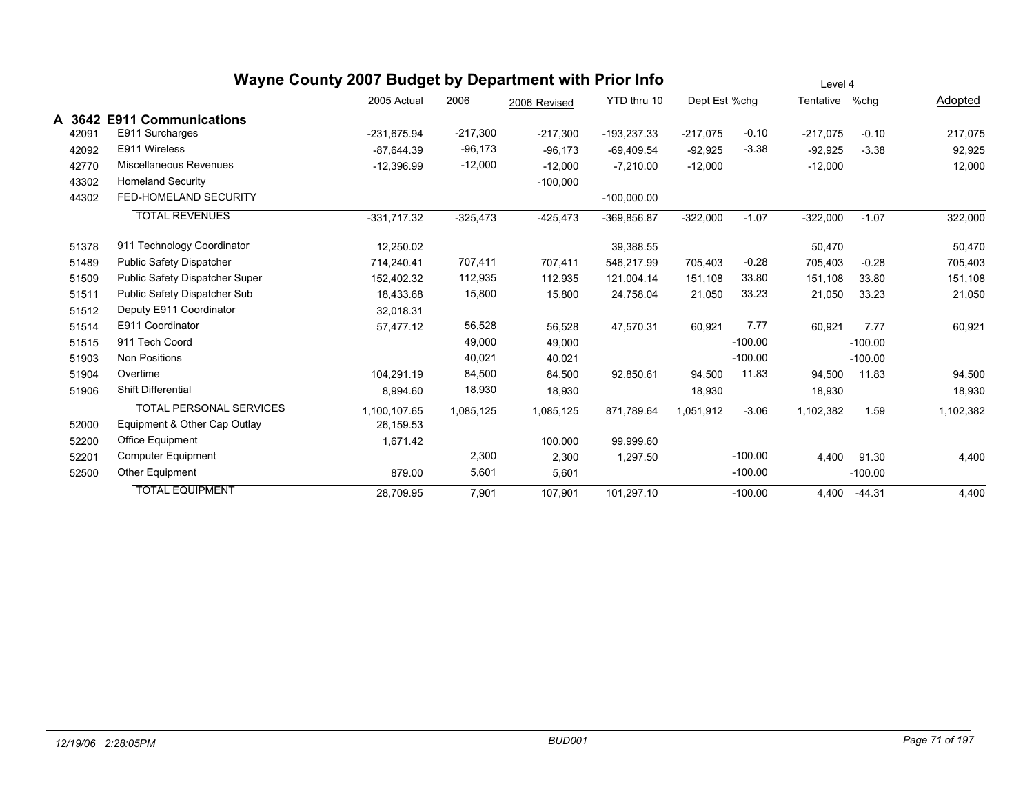|        | Wayne County 2007 Budget by Department with Prior Info |               | Level 4    |              |               |               |           |            |           |           |
|--------|--------------------------------------------------------|---------------|------------|--------------|---------------|---------------|-----------|------------|-----------|-----------|
|        |                                                        | 2005 Actual   | 2006       | 2006 Revised | YTD thru 10   | Dept Est %chg |           | Tentative  | %chg      | Adopted   |
| A 3642 | <b>E911 Communications</b>                             |               |            |              |               |               |           |            |           |           |
| 42091  | E911 Surcharges                                        | -231,675.94   | $-217,300$ | $-217,300$   | $-193,237.33$ | $-217,075$    | $-0.10$   | $-217,075$ | $-0.10$   | 217,075   |
| 42092  | E911 Wireless                                          | $-87.644.39$  | $-96,173$  | $-96.173$    | $-69,409.54$  | $-92,925$     | $-3.38$   | $-92,925$  | $-3.38$   | 92,925    |
| 42770  | Miscellaneous Revenues                                 | $-12,396.99$  | $-12,000$  | $-12,000$    | $-7,210.00$   | $-12,000$     |           | $-12,000$  |           | 12,000    |
| 43302  | <b>Homeland Security</b>                               |               |            | $-100,000$   |               |               |           |            |           |           |
| 44302  | FED-HOMELAND SECURITY                                  |               |            |              | $-100,000.00$ |               |           |            |           |           |
|        | <b>TOTAL REVENUES</b>                                  | $-331,717.32$ | $-325,473$ | $-425,473$   | -369,856.87   | $-322,000$    | $-1.07$   | $-322,000$ | $-1.07$   | 322,000   |
| 51378  | 911 Technology Coordinator                             | 12,250.02     |            |              | 39,388.55     |               |           | 50,470     |           | 50,470    |
| 51489  | <b>Public Safety Dispatcher</b>                        | 714,240.41    | 707,411    | 707,411      | 546,217.99    | 705,403       | $-0.28$   | 705,403    | $-0.28$   | 705,403   |
| 51509  | Public Safety Dispatcher Super                         | 152,402.32    | 112,935    | 112,935      | 121,004.14    | 151,108       | 33.80     | 151,108    | 33.80     | 151,108   |
| 51511  | Public Safety Dispatcher Sub                           | 18,433.68     | 15,800     | 15,800       | 24,758.04     | 21,050        | 33.23     | 21,050     | 33.23     | 21,050    |
| 51512  | Deputy E911 Coordinator                                | 32,018.31     |            |              |               |               |           |            |           |           |
| 51514  | E911 Coordinator                                       | 57,477.12     | 56,528     | 56,528       | 47,570.31     | 60,921        | 7.77      | 60,921     | 7.77      | 60,921    |
| 51515  | 911 Tech Coord                                         |               | 49,000     | 49,000       |               |               | $-100.00$ |            | $-100.00$ |           |
| 51903  | <b>Non Positions</b>                                   |               | 40,021     | 40,021       |               |               | $-100.00$ |            | $-100.00$ |           |
| 51904  | Overtime                                               | 104,291.19    | 84,500     | 84,500       | 92,850.61     | 94,500        | 11.83     | 94,500     | 11.83     | 94,500    |
| 51906  | <b>Shift Differential</b>                              | 8,994.60      | 18,930     | 18,930       |               | 18,930        |           | 18,930     |           | 18,930    |
|        | <b>TOTAL PERSONAL SERVICES</b>                         | 1,100,107.65  | 1,085,125  | 1,085,125    | 871,789.64    | 1,051,912     | $-3.06$   | 1,102,382  | 1.59      | 1,102,382 |
| 52000  | Equipment & Other Cap Outlay                           | 26,159.53     |            |              |               |               |           |            |           |           |
| 52200  | Office Equipment                                       | 1,671.42      |            | 100,000      | 99,999.60     |               |           |            |           |           |
| 52201  | <b>Computer Equipment</b>                              |               | 2,300      | 2,300        | 1,297.50      |               | $-100.00$ | 4,400      | 91.30     | 4,400     |
| 52500  | Other Equipment                                        | 879.00        | 5,601      | 5,601        |               |               | $-100.00$ |            | $-100.00$ |           |
|        | <b>TOTAL EQUIPMENT</b>                                 | 28.709.95     | 7,901      | 107.901      | 101,297.10    |               | $-100.00$ | 4.400      | $-44.31$  | 4,400     |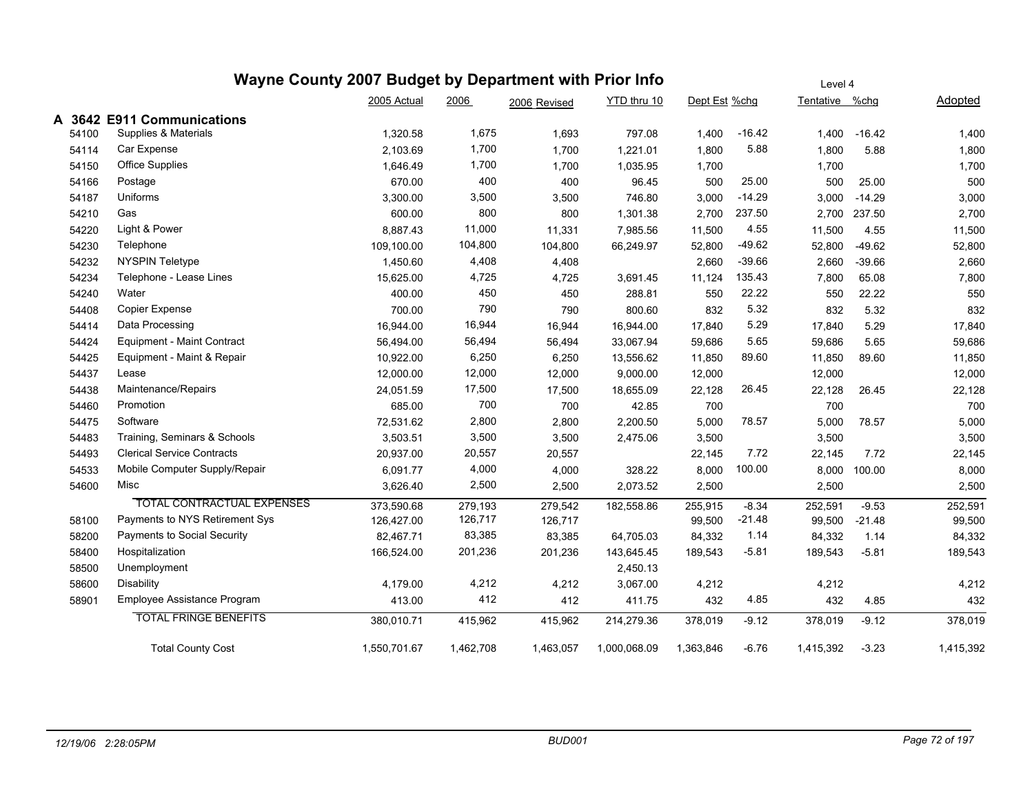|       |                                   | 2005 Actual  | 2006      | 2006 Revised | YTD thru 10  | Dept Est %chg |          | Tentative | %chq     | Adopted   |
|-------|-----------------------------------|--------------|-----------|--------------|--------------|---------------|----------|-----------|----------|-----------|
|       | A 3642 E911 Communications        |              |           |              |              |               |          |           |          |           |
| 54100 | Supplies & Materials              | 1,320.58     | 1,675     | 1,693        | 797.08       | 1.400         | $-16.42$ | 1.400     | $-16.42$ | 1,400     |
| 54114 | Car Expense                       | 2,103.69     | 1,700     | 1,700        | 1,221.01     | 1,800         | 5.88     | 1,800     | 5.88     | 1,800     |
| 54150 | <b>Office Supplies</b>            | 1,646.49     | 1,700     | 1,700        | 1,035.95     | 1,700         |          | 1,700     |          | 1,700     |
| 54166 | Postage                           | 670.00       | 400       | 400          | 96.45        | 500           | 25.00    | 500       | 25.00    | 500       |
| 54187 | Uniforms                          | 3,300.00     | 3,500     | 3,500        | 746.80       | 3,000         | $-14.29$ | 3,000     | $-14.29$ | 3,000     |
| 54210 | Gas                               | 600.00       | 800       | 800          | 1,301.38     | 2,700         | 237.50   | 2,700     | 237.50   | 2,700     |
| 54220 | Light & Power                     | 8,887.43     | 11,000    | 11,331       | 7,985.56     | 11,500        | 4.55     | 11,500    | 4.55     | 11,500    |
| 54230 | Telephone                         | 109,100.00   | 104,800   | 104,800      | 66,249.97    | 52,800        | $-49.62$ | 52,800    | $-49.62$ | 52,800    |
| 54232 | <b>NYSPIN Teletype</b>            | 1,450.60     | 4,408     | 4,408        |              | 2,660         | $-39.66$ | 2,660     | $-39.66$ | 2,660     |
| 54234 | Telephone - Lease Lines           | 15,625.00    | 4,725     | 4,725        | 3,691.45     | 11,124        | 135.43   | 7,800     | 65.08    | 7,800     |
| 54240 | Water                             | 400.00       | 450       | 450          | 288.81       | 550           | 22.22    | 550       | 22.22    | 550       |
| 54408 | Copier Expense                    | 700.00       | 790       | 790          | 800.60       | 832           | 5.32     | 832       | 5.32     | 832       |
| 54414 | Data Processing                   | 16,944.00    | 16,944    | 16,944       | 16,944.00    | 17,840        | 5.29     | 17,840    | 5.29     | 17,840    |
| 54424 | Equipment - Maint Contract        | 56,494.00    | 56,494    | 56,494       | 33,067.94    | 59,686        | 5.65     | 59,686    | 5.65     | 59,686    |
| 54425 | Equipment - Maint & Repair        | 10,922.00    | 6,250     | 6,250        | 13,556.62    | 11,850        | 89.60    | 11,850    | 89.60    | 11,850    |
| 54437 | Lease                             | 12,000.00    | 12,000    | 12,000       | 9,000.00     | 12,000        |          | 12,000    |          | 12,000    |
| 54438 | Maintenance/Repairs               | 24,051.59    | 17,500    | 17,500       | 18,655.09    | 22,128        | 26.45    | 22,128    | 26.45    | 22,128    |
| 54460 | Promotion                         | 685.00       | 700       | 700          | 42.85        | 700           |          | 700       |          | 700       |
| 54475 | Software                          | 72,531.62    | 2,800     | 2,800        | 2,200.50     | 5,000         | 78.57    | 5,000     | 78.57    | 5,000     |
| 54483 | Training, Seminars & Schools      | 3,503.51     | 3,500     | 3,500        | 2,475.06     | 3,500         |          | 3,500     |          | 3,500     |
| 54493 | <b>Clerical Service Contracts</b> | 20,937.00    | 20,557    | 20,557       |              | 22,145        | 7.72     | 22,145    | 7.72     | 22,145    |
| 54533 | Mobile Computer Supply/Repair     | 6,091.77     | 4,000     | 4,000        | 328.22       | 8,000         | 100.00   | 8,000     | 100.00   | 8,000     |
| 54600 | Misc                              | 3,626.40     | 2,500     | 2,500        | 2,073.52     | 2,500         |          | 2,500     |          | 2,500     |
|       | <b>TOTAL CONTRACTUAL EXPENSES</b> | 373,590.68   | 279,193   | 279,542      | 182,558.86   | 255,915       | $-8.34$  | 252,591   | $-9.53$  | 252,591   |
| 58100 | Payments to NYS Retirement Sys    | 126,427.00   | 126,717   | 126,717      |              | 99,500        | $-21.48$ | 99,500    | $-21.48$ | 99,500    |
| 58200 | Payments to Social Security       | 82,467.71    | 83,385    | 83,385       | 64,705.03    | 84,332        | 1.14     | 84,332    | 1.14     | 84,332    |
| 58400 | Hospitalization                   | 166,524.00   | 201,236   | 201,236      | 143,645.45   | 189,543       | $-5.81$  | 189,543   | $-5.81$  | 189,543   |
| 58500 | Unemployment                      |              |           |              | 2,450.13     |               |          |           |          |           |
| 58600 | Disability                        | 4,179.00     | 4,212     | 4,212        | 3,067.00     | 4,212         |          | 4,212     |          | 4,212     |
| 58901 | Employee Assistance Program       | 413.00       | 412       | 412          | 411.75       | 432           | 4.85     | 432       | 4.85     | 432       |
|       | <b>TOTAL FRINGE BENEFITS</b>      | 380,010.71   | 415,962   | 415,962      | 214,279.36   | 378,019       | $-9.12$  | 378,019   | $-9.12$  | 378,019   |
|       | <b>Total County Cost</b>          | 1,550,701.67 | 1,462,708 | 1,463,057    | 1,000,068.09 | 1,363,846     | $-6.76$  | 1,415,392 | $-3.23$  | 1,415,392 |

Level 4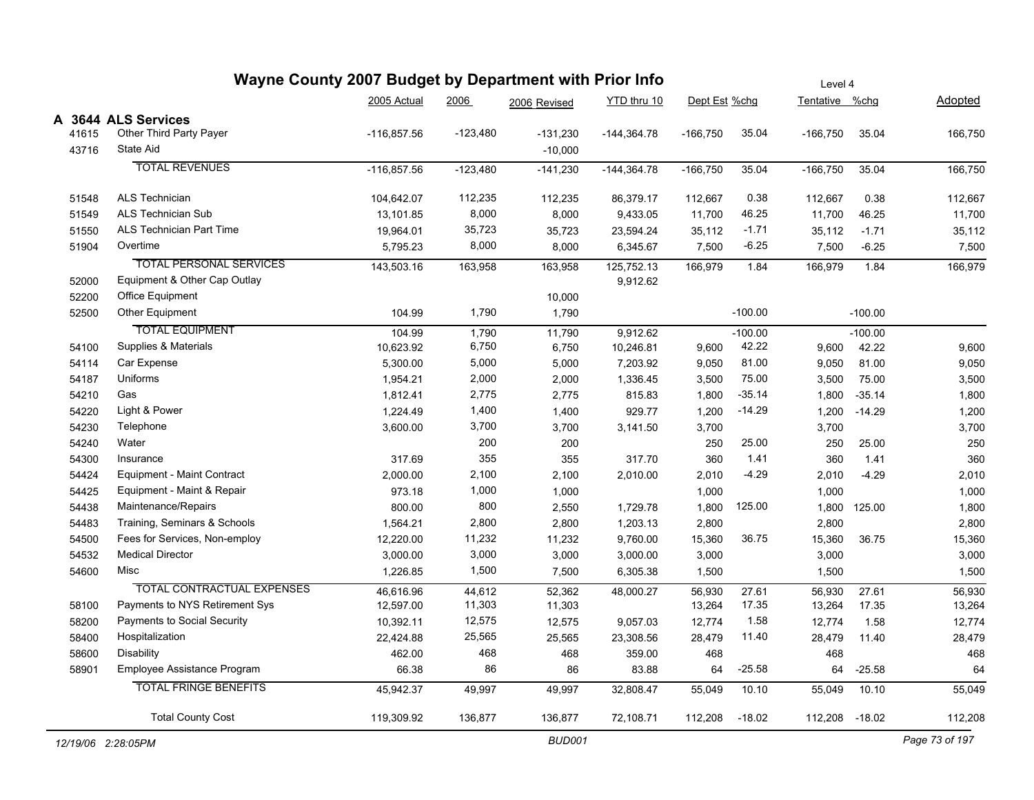| Wayne County 2007 Budget by Department with Prior Info |                                   |               |            |              |               | Level 4<br>Tentative %chg<br>Dept Est %chg |           |                |              |                |  |
|--------------------------------------------------------|-----------------------------------|---------------|------------|--------------|---------------|--------------------------------------------|-----------|----------------|--------------|----------------|--|
|                                                        |                                   | 2005 Actual   | 2006       | 2006 Revised | YTD thru 10   |                                            |           |                |              | <b>Adopted</b> |  |
|                                                        | A 3644 ALS Services               |               |            |              |               |                                            |           |                |              |                |  |
| 41615                                                  | Other Third Party Payer           | $-116,857.56$ | -123,480   | $-131,230$   | $-144,364.78$ | $-166,750$                                 | 35.04     | $-166,750$     | 35.04        | 166,750        |  |
| 43716                                                  | State Aid                         |               |            | $-10,000$    |               |                                            |           |                |              |                |  |
|                                                        | <b>TOTAL REVENUES</b>             | $-116,857.56$ | $-123,480$ | $-141,230$   | $-144,364.78$ | $-166,750$                                 | 35.04     | $-166,750$     | 35.04        | 166,750        |  |
| 51548                                                  | <b>ALS Technician</b>             | 104,642.07    | 112,235    | 112,235      | 86,379.17     | 112,667                                    | 0.38      | 112,667        | 0.38         | 112,667        |  |
| 51549                                                  | <b>ALS Technician Sub</b>         | 13,101.85     | 8,000      | 8,000        | 9,433.05      | 11,700                                     | 46.25     | 11,700         | 46.25        | 11,700         |  |
| 51550                                                  | ALS Technician Part Time          | 19,964.01     | 35,723     | 35,723       | 23,594.24     | 35,112                                     | $-1.71$   | 35,112         | $-1.71$      | 35,112         |  |
| 51904                                                  | Overtime                          | 5,795.23      | 8,000      | 8,000        | 6,345.67      | 7,500                                      | $-6.25$   | 7,500          | $-6.25$      | 7,500          |  |
|                                                        | <b>TOTAL PERSONAL SERVICES</b>    | 143,503.16    | 163,958    | 163,958      | 125,752.13    | 166,979                                    | 1.84      | 166,979        | 1.84         | 166,979        |  |
| 52000                                                  | Equipment & Other Cap Outlay      |               |            |              | 9,912.62      |                                            |           |                |              |                |  |
| 52200                                                  | Office Equipment                  |               |            | 10,000       |               |                                            |           |                |              |                |  |
| 52500                                                  | Other Equipment                   | 104.99        | 1,790      | 1,790        |               |                                            | $-100.00$ |                | $-100.00$    |                |  |
|                                                        | <b>TOTAL EQUIPMENT</b>            | 104.99        | 1,790      | 11,790       | 9,912.62      |                                            | $-100.00$ |                | $-100.00$    |                |  |
| 54100                                                  | Supplies & Materials              | 10,623.92     | 6,750      | 6,750        | 10,246.81     | 9,600                                      | 42.22     | 9,600          | 42.22        | 9,600          |  |
| 54114                                                  | Car Expense                       | 5,300.00      | 5,000      | 5,000        | 7,203.92      | 9,050                                      | 81.00     | 9,050          | 81.00        | 9,050          |  |
| 54187                                                  | Uniforms                          | 1,954.21      | 2,000      | 2,000        | 1,336.45      | 3,500                                      | 75.00     | 3,500          | 75.00        | 3,500          |  |
| 54210                                                  | Gas                               | 1,812.41      | 2,775      | 2,775        | 815.83        | 1,800                                      | $-35.14$  | 1,800          | $-35.14$     | 1,800          |  |
| 54220                                                  | Light & Power                     | 1,224.49      | 1,400      | 1,400        | 929.77        | 1,200                                      | $-14.29$  | 1,200          | $-14.29$     | 1,200          |  |
| 54230                                                  | Telephone                         | 3,600.00      | 3,700      | 3,700        | 3,141.50      | 3,700                                      |           | 3,700          |              | 3,700          |  |
| 54240                                                  | Water                             |               | 200        | 200          |               | 250                                        | 25.00     | 250            | 25.00        | 250            |  |
| 54300                                                  | Insurance                         | 317.69        | 355        | 355          | 317.70        | 360                                        | 1.41      | 360            | 1.41         | 360            |  |
| 54424                                                  | Equipment - Maint Contract        | 2,000.00      | 2,100      | 2,100        | 2,010.00      | 2,010                                      | $-4.29$   | 2,010          | $-4.29$      | 2,010          |  |
| 54425                                                  | Equipment - Maint & Repair        | 973.18        | 1,000      | 1,000        |               | 1,000                                      |           | 1,000          |              | 1,000          |  |
| 54438                                                  | Maintenance/Repairs               | 800.00        | 800        | 2,550        | 1,729.78      | 1,800                                      | 125.00    |                | 1,800 125.00 | 1,800          |  |
| 54483                                                  | Training, Seminars & Schools      | 1,564.21      | 2,800      | 2,800        | 1,203.13      | 2,800                                      |           | 2,800          |              | 2,800          |  |
| 54500                                                  | Fees for Services, Non-employ     | 12,220.00     | 11,232     | 11,232       | 9,760.00      | 15,360                                     | 36.75     | 15,360         | 36.75        | 15,360         |  |
| 54532                                                  | <b>Medical Director</b>           | 3,000.00      | 3,000      | 3,000        | 3,000.00      | 3,000                                      |           | 3,000          |              | 3,000          |  |
| 54600                                                  | Misc                              | 1,226.85      | 1,500      | 7,500        | 6,305.38      | 1,500                                      |           | 1,500          |              | 1,500          |  |
|                                                        | <b>TOTAL CONTRACTUAL EXPENSES</b> | 46,616.96     | 44,612     | 52,362       | 48,000.27     | 56,930                                     | 27.61     | 56,930         | 27.61        | 56,930         |  |
| 58100                                                  | Payments to NYS Retirement Sys    | 12,597.00     | 11,303     | 11,303       |               | 13,264                                     | 17.35     | 13,264         | 17.35        | 13,264         |  |
| 58200                                                  | Payments to Social Security       | 10,392.11     | 12,575     | 12,575       | 9,057.03      | 12,774                                     | 1.58      | 12,774         | 1.58         | 12,774         |  |
| 58400                                                  | Hospitalization                   | 22,424.88     | 25,565     | 25,565       | 23,308.56     | 28,479                                     | 11.40     | 28,479         | 11.40        | 28,479         |  |
| 58600                                                  | <b>Disability</b>                 | 462.00        | 468        | 468          | 359.00        | 468                                        |           | 468            |              | 468            |  |
| 58901                                                  | Employee Assistance Program       | 66.38         | 86         | 86           | 83.88         | 64                                         | $-25.58$  | 64             | $-25.58$     | 64             |  |
|                                                        | <b>TOTAL FRINGE BENEFITS</b>      | 45,942.37     | 49,997     | 49,997       | 32,808.47     | 55,049                                     | 10.10     | 55,049         | 10.10        | 55,049         |  |
|                                                        | <b>Total County Cost</b>          | 119,309.92    | 136,877    | 136,877      | 72,108.71     | 112,208                                    | $-18.02$  | 112,208 -18.02 |              | 112,208        |  |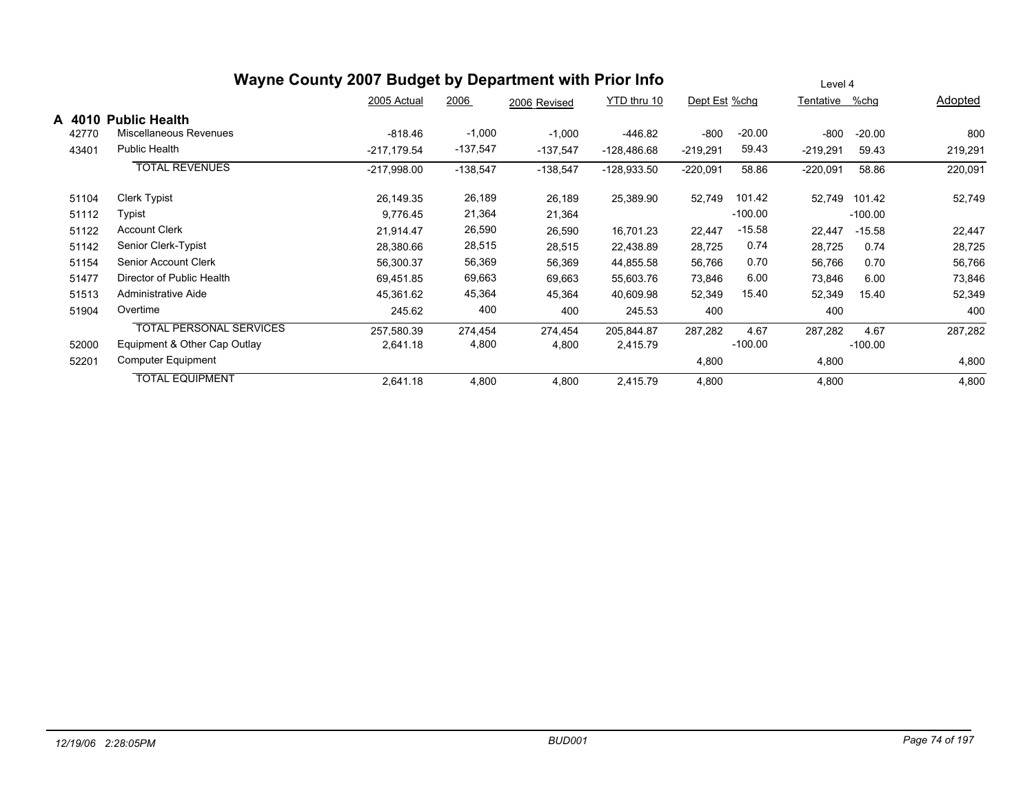|        |                                | Wayne County 2007 Budget by Department with Prior Info |            |              |               |               |           | Level 4    |           |                |
|--------|--------------------------------|--------------------------------------------------------|------------|--------------|---------------|---------------|-----------|------------|-----------|----------------|
|        |                                | 2005 Actual                                            | 2006       | 2006 Revised | YTD thru 10   | Dept Est %chg |           | Tentative  | %chg      | <b>Adopted</b> |
| A 4010 | <b>Public Health</b>           |                                                        |            |              |               |               |           |            |           |                |
| 42770  | Miscellaneous Revenues         | $-818.46$                                              | $-1,000$   | $-1,000$     | $-446.82$     | $-800$        | $-20.00$  | -800       | $-20.00$  | 800            |
| 43401  | <b>Public Health</b>           | $-217,179.54$                                          | $-137,547$ | $-137,547$   | $-128,486.68$ | $-219,291$    | 59.43     | $-219,291$ | 59.43     | 219,291        |
|        | <b>TOTAL REVENUES</b>          | $-217,998.00$                                          | $-138,547$ | $-138,547$   | $-128,933.50$ | $-220,091$    | 58.86     | $-220,091$ | 58.86     | 220,091        |
| 51104  | Clerk Typist                   | 26,149.35                                              | 26,189     | 26,189       | 25,389.90     | 52,749        | 101.42    | 52,749     | 101.42    | 52,749         |
| 51112  | Typist                         | 9,776.45                                               | 21,364     | 21,364       |               |               | $-100.00$ |            | $-100.00$ |                |
| 51122  | <b>Account Clerk</b>           | 21,914.47                                              | 26,590     | 26,590       | 16,701.23     | 22,447        | $-15.58$  | 22,447     | $-15.58$  | 22,447         |
| 51142  | Senior Clerk-Typist            | 28,380.66                                              | 28,515     | 28,515       | 22,438.89     | 28,725        | 0.74      | 28,725     | 0.74      | 28,725         |
| 51154  | Senior Account Clerk           | 56,300.37                                              | 56,369     | 56,369       | 44,855.58     | 56,766        | 0.70      | 56,766     | 0.70      | 56,766         |
| 51477  | Director of Public Health      | 69,451.85                                              | 69,663     | 69,663       | 55,603.76     | 73,846        | 6.00      | 73,846     | 6.00      | 73,846         |
| 51513  | Administrative Aide            | 45,361.62                                              | 45,364     | 45,364       | 40,609.98     | 52,349        | 15.40     | 52,349     | 15.40     | 52,349         |
| 51904  | Overtime                       | 245.62                                                 | 400        | 400          | 245.53        | 400           |           | 400        |           | 400            |
|        | <b>TOTAL PERSONAL SERVICES</b> | 257,580.39                                             | 274,454    | 274,454      | 205,844.87    | 287,282       | 4.67      | 287,282    | 4.67      | 287,282        |
| 52000  | Equipment & Other Cap Outlay   | 2,641.18                                               | 4,800      | 4,800        | 2,415.79      |               | $-100.00$ |            | $-100.00$ |                |
| 52201  | Computer Equipment             |                                                        |            |              |               | 4,800         |           | 4,800      |           | 4,800          |
|        | <b>TOTAL EQUIPMENT</b>         | 2,641.18                                               | 4,800      | 4,800        | 2,415.79      | 4,800         |           | 4,800      |           | 4,800          |

#### *12/19/06 2:28:05PM BUD001 Page 74 of 197*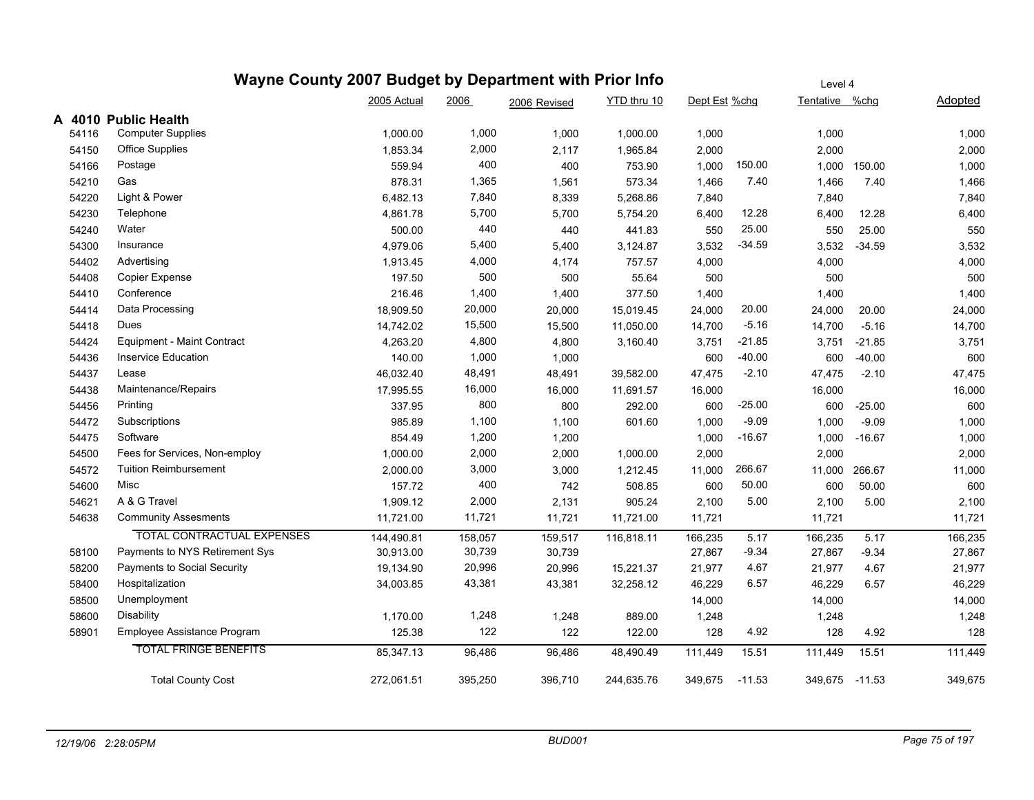|        | Wayne County 2007 Budget by Department with Prior Info |             |         |              |             |               |          | Level 4        |              |         |
|--------|--------------------------------------------------------|-------------|---------|--------------|-------------|---------------|----------|----------------|--------------|---------|
|        |                                                        | 2005 Actual | 2006    | 2006 Revised | YTD thru 10 | Dept Est %chg |          | Tentative %chg |              | Adopted |
| A 4010 | <b>Public Health</b>                                   |             |         |              |             |               |          |                |              |         |
| 54116  | <b>Computer Supplies</b>                               | 1,000.00    | 1,000   | 1,000        | 1,000.00    | 1,000         |          | 1,000          |              | 1,000   |
| 54150  | Office Supplies                                        | 1,853.34    | 2,000   | 2,117        | 1,965.84    | 2,000         |          | 2,000          |              | 2,000   |
| 54166  | Postage                                                | 559.94      | 400     | 400          | 753.90      | 1,000         | 150.00   |                | 1,000 150.00 | 1,000   |
| 54210  | Gas                                                    | 878.31      | 1,365   | 1,561        | 573.34      | 1,466         | 7.40     | 1,466          | 7.40         | 1,466   |
| 54220  | Light & Power                                          | 6,482.13    | 7,840   | 8,339        | 5,268.86    | 7,840         |          | 7,840          |              | 7,840   |
| 54230  | Telephone                                              | 4,861.78    | 5,700   | 5,700        | 5,754.20    | 6,400         | 12.28    | 6,400          | 12.28        | 6,400   |
| 54240  | Water                                                  | 500.00      | 440     | 440          | 441.83      | 550           | 25.00    | 550            | 25.00        | 550     |
| 54300  | Insurance                                              | 4,979.06    | 5,400   | 5,400        | 3,124.87    | 3,532         | $-34.59$ | 3,532          | $-34.59$     | 3,532   |
| 54402  | Advertising                                            | 1,913.45    | 4,000   | 4,174        | 757.57      | 4,000         |          | 4,000          |              | 4,000   |
| 54408  | Copier Expense                                         | 197.50      | 500     | 500          | 55.64       | 500           |          | 500            |              | 500     |
| 54410  | Conference                                             | 216.46      | 1,400   | 1,400        | 377.50      | 1,400         |          | 1,400          |              | 1,400   |
| 54414  | Data Processing                                        | 18,909.50   | 20,000  | 20,000       | 15,019.45   | 24,000        | 20.00    | 24,000         | 20.00        | 24,000  |
| 54418  | Dues                                                   | 14,742.02   | 15,500  | 15,500       | 11,050.00   | 14,700        | $-5.16$  | 14,700         | $-5.16$      | 14,700  |
| 54424  | Equipment - Maint Contract                             | 4,263.20    | 4,800   | 4,800        | 3,160.40    | 3,751         | $-21.85$ | 3,751          | $-21.85$     | 3,751   |
| 54436  | <b>Inservice Education</b>                             | 140.00      | 1,000   | 1,000        |             | 600           | $-40.00$ | 600            | $-40.00$     | 600     |
| 54437  | Lease                                                  | 46,032.40   | 48,491  | 48,491       | 39,582.00   | 47,475        | $-2.10$  | 47,475         | $-2.10$      | 47,475  |
| 54438  | Maintenance/Repairs                                    | 17,995.55   | 16,000  | 16,000       | 11,691.57   | 16,000        |          | 16,000         |              | 16,000  |
| 54456  | Printing                                               | 337.95      | 800     | 800          | 292.00      | 600           | $-25.00$ | 600            | $-25.00$     | 600     |
| 54472  | Subscriptions                                          | 985.89      | 1,100   | 1,100        | 601.60      | 1,000         | $-9.09$  | 1,000          | $-9.09$      | 1,000   |
| 54475  | Software                                               | 854.49      | 1,200   | 1,200        |             | 1,000         | $-16.67$ | 1,000          | $-16.67$     | 1,000   |
| 54500  | Fees for Services, Non-employ                          | 1,000.00    | 2,000   | 2,000        | 1,000.00    | 2,000         |          | 2,000          |              | 2,000   |
| 54572  | <b>Tuition Reimbursement</b>                           | 2,000.00    | 3,000   | 3,000        | 1,212.45    | 11,000        | 266.67   | 11,000         | 266.67       | 11,000  |
| 54600  | Misc                                                   | 157.72      | 400     | 742          | 508.85      | 600           | 50.00    | 600            | 50.00        | 600     |
| 54621  | A & G Travel                                           | 1,909.12    | 2,000   | 2,131        | 905.24      | 2,100         | 5.00     | 2,100          | 5.00         | 2,100   |
| 54638  | <b>Community Assesments</b>                            | 11,721.00   | 11,721  | 11,721       | 11,721.00   | 11,721        |          | 11,721         |              | 11,721  |
|        | <b>TOTAL CONTRACTUAL EXPENSES</b>                      | 144,490.81  | 158,057 | 159,517      | 116,818.11  | 166,235       | 5.17     | 166,235        | 5.17         | 166,235 |
| 58100  | Payments to NYS Retirement Sys                         | 30,913.00   | 30,739  | 30,739       |             | 27,867        | $-9.34$  | 27,867         | $-9.34$      | 27,867  |
| 58200  | Payments to Social Security                            | 19,134.90   | 20,996  | 20,996       | 15,221.37   | 21,977        | 4.67     | 21,977         | 4.67         | 21,977  |
| 58400  | Hospitalization                                        | 34,003.85   | 43,381  | 43,381       | 32,258.12   | 46,229        | 6.57     | 46,229         | 6.57         | 46,229  |
| 58500  | Unemployment                                           |             |         |              |             | 14,000        |          | 14,000         |              | 14,000  |
| 58600  | <b>Disability</b>                                      | 1,170.00    | 1,248   | 1,248        | 889.00      | 1,248         |          | 1,248          |              | 1,248   |
| 58901  | Employee Assistance Program                            | 125.38      | 122     | 122          | 122.00      | 128           | 4.92     | 128            | 4.92         | 128     |
|        | <b>TOTAL FRINGE BENEFITS</b>                           | 85,347.13   | 96,486  | 96,486       | 48,490.49   | 111,449       | 15.51    | 111,449        | 15.51        | 111,449 |
|        | <b>Total County Cost</b>                               | 272,061.51  | 395,250 | 396,710      | 244,635.76  | 349,675       | $-11.53$ | 349,675 -11.53 |              | 349,675 |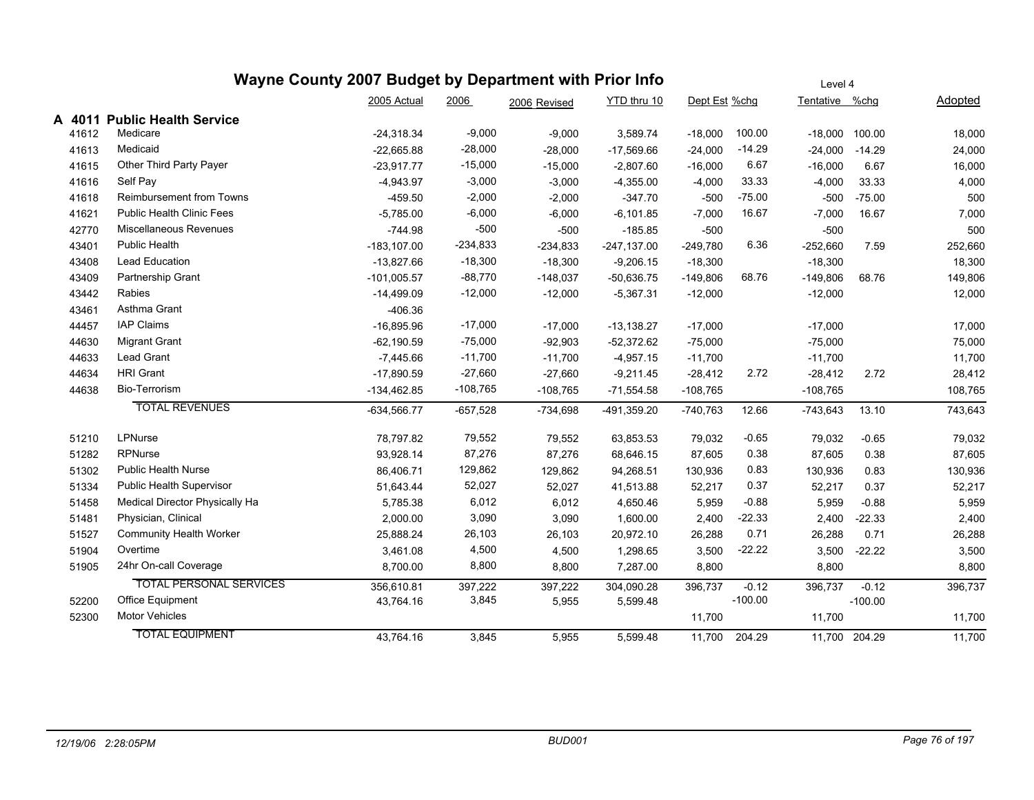#### Dept Est %chg Tentative %chg Adopted Level 4 2005 Actual 2006 2006 Revised YTD thru 10 **A 4011 Public Health Service** 41612 Medicare -24,318.34 -9,000 -9,000 3,589.74 -18,000 100.00 -18,000 100.00 18,000 41613 Medicaid -22,665.88 -28,000 -28,000 -17,569.66 -24,000 -14.29 -24,000 -14.29 24,000 41615 Other Third Party Payer -23,917.77 -15,000 -15,000 -16,000 6.67 16,000 41616 Self Pay -4,943.97 -3,000 -3,000 -4,355.00 -4,000 33.33 -4,000 33.33 4,000 41618 Reimbursement from Towns -459.50 -2,000 -2,000 -347.70 -500 -75.00 -500 -75.00 500 41621 Public Health Clinic Fees -5,785.00 -5,785.00 -6,000 -6,101.85 -7,000 16.67 -7,000 16.67 -7,000 -7,000 -7,000 42770 Miscellaneous Revenues -744.98 -500 -500 -185.85 -500 -500 500 43401 Public Health -183,107.00 -234,833 -234,833 -247,137.00 -249,780 6.36 -252,660 7.59 252,660 43408 Lead Education -13,827.66 -18,300 -18,300 -9,206.15 -18,300 18,300 43409 Partnership Grant -101,005.57 -88,770 -148,037 -50,636.75 -149,806 68.76 -149,806 68.76 149,806 43442 Rabies -14,499.09 -12,000 -5,367.31 -12,000 -12,000 12,000 43461 Asthma Grant -406.36 44457 IAP Claims -16,895.96 -17,000 -17,000 -13,138.27 -17,000 -17,000 17,000 44630 Migrant Grant -62,190.59 -62,190.59 -75,000 -92,903 -52,372.62 -75,000 -75,000 -75,000 -75,000 -75,000 44633 Lead Grant -7,445.66 -11,700 -11,700 -4,957.15 -11,700 -11,700 11,700 44634 HRI Grant -17,890.59 -27,660 -27,660 -9,211.45 -28,412 2.72 -28,412 2.72 28,412 44638 Bio-Terrorism -134,462.85 -108,765 -108,765 -71,554.58 -108,765 -108,765 -108,765 -108,765 TOTAL REVENUES -634,566.77 -657,528 -734,698 -491,359.20 -740,763 12.66 -743,643 13.10 743,643 51210 LPNurse 78,797.82 79,552 79,552 63,853.53 79,032 -0.65 79,032 -0.65 79,032 51282 RPNurse 93,928.14 87,276 87,276 68,646.15 87,605 0.38 87,605 87,605 51302 Public Health Nurse 86,406.71 129,862 129,862 94,268.51 130,936 0.83 130,936 0.83 130,936 51334 Public Health Supervisor 51,643.44 52,027 52,027 41,513.88 52,217 0.37 52,217 0.37 52,217 51458 Medical Director Physically Ha 5,785.38 6,012 6,012 4,650.46 5,959 -0.88 5,959 -0.88 5,959 51481 Physician, Clinical 2,000.00 3,090 3,090 1,600.00 2,400 -22.33 2,400 -22.33 2,400 51527 Community Health Worker 25,888.24 26,103 26,103 20,972.10 26,288 0.71 26,288 0.71 26,288 51904 Overtime 3,461.08 4,500 4,500 1,298.65 3,500 -22.22 3,500 -22.22 3,500 51905 24hr On-call Coverage 8,700.00 8,800 8,800 7,287.00 8,800 8,800 8,800 TOTAL PERSONAL SERVICES 356,610.81 397,222 397,222 304,090.28 396,737 -0.12 396,737 -0.12 396,737 52200 Office Equipment 10 1 100.00 43,764.16 3,845 5,955 5,599.48 -100.00 -100.00 52300 Motor Vehicles 11,700 11,700 11,700

#### **Wayne County 2007 Budget by Department with Prior Info**

TOTAL EQUIPMENT 43,764.16 3,845 5,955 5,599.48 11,700 204.29 11,700 204.29 11,700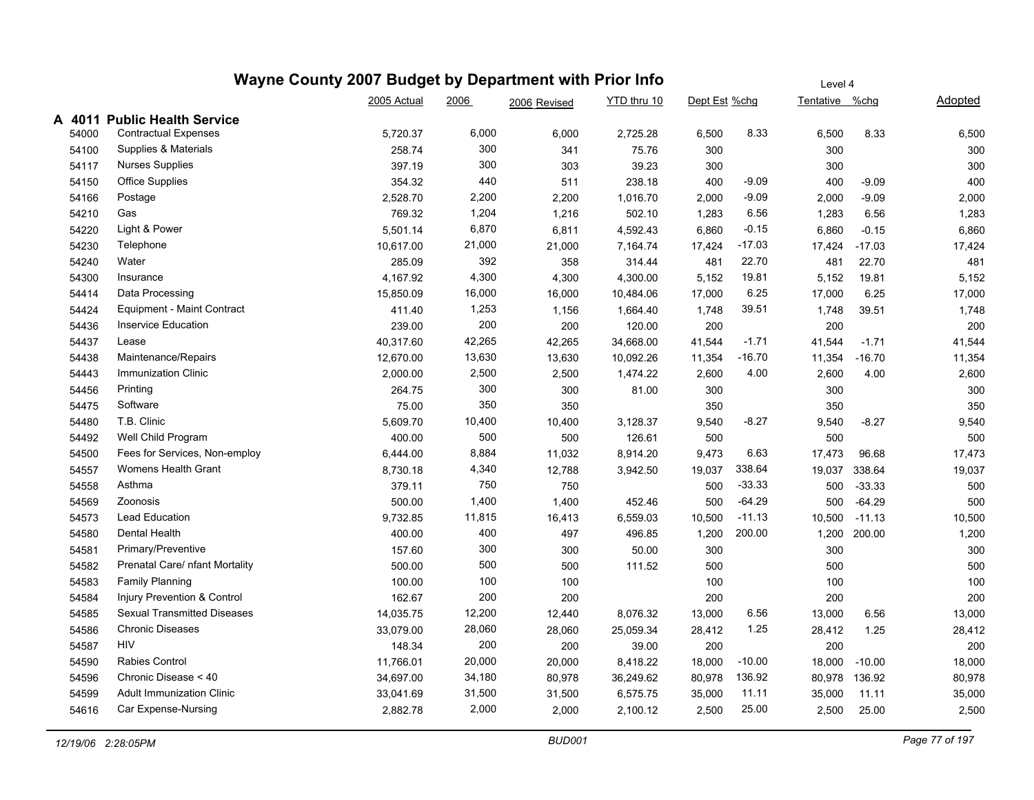|        |       |                                    | Wayne County 2007 Budget by Department with Prior Info |        |              |             |               |          | Level 4        |          |         |
|--------|-------|------------------------------------|--------------------------------------------------------|--------|--------------|-------------|---------------|----------|----------------|----------|---------|
|        |       |                                    | 2005 Actual                                            | 2006   | 2006 Revised | YTD thru 10 | Dept Est %chg |          | Tentative %chg |          | Adopted |
| A 4011 |       | <b>Public Health Service</b>       |                                                        |        |              |             |               |          |                |          |         |
|        | 54000 | <b>Contractual Expenses</b>        | 5,720.37                                               | 6,000  | 6,000        | 2,725.28    | 6,500         | 8.33     | 6,500          | 8.33     | 6,500   |
|        | 54100 | Supplies & Materials               | 258.74                                                 | 300    | 341          | 75.76       | 300           |          | 300            |          | 300     |
|        | 54117 | <b>Nurses Supplies</b>             | 397.19                                                 | 300    | 303          | 39.23       | 300           |          | 300            |          | 300     |
|        | 54150 | <b>Office Supplies</b>             | 354.32                                                 | 440    | 511          | 238.18      | 400           | $-9.09$  | 400            | -9.09    | 400     |
|        | 54166 | Postage                            | 2,528.70                                               | 2,200  | 2,200        | 1,016.70    | 2,000         | $-9.09$  | 2,000          | -9.09    | 2,000   |
|        | 54210 | Gas                                | 769.32                                                 | 1,204  | 1,216        | 502.10      | 1,283         | 6.56     | 1,283          | 6.56     | 1,283   |
|        | 54220 | Light & Power                      | 5,501.14                                               | 6,870  | 6,811        | 4,592.43    | 6,860         | $-0.15$  | 6,860          | $-0.15$  | 6,860   |
|        | 54230 | Telephone                          | 10,617.00                                              | 21,000 | 21,000       | 7,164.74    | 17,424        | $-17.03$ | 17,424         | $-17.03$ | 17,424  |
|        | 54240 | Water                              | 285.09                                                 | 392    | 358          | 314.44      | 481           | 22.70    | 481            | 22.70    | 481     |
|        | 54300 | Insurance                          | 4,167.92                                               | 4,300  | 4,300        | 4,300.00    | 5,152         | 19.81    | 5,152          | 19.81    | 5,152   |
|        | 54414 | Data Processing                    | 15,850.09                                              | 16,000 | 16,000       | 10,484.06   | 17,000        | 6.25     | 17,000         | 6.25     | 17,000  |
|        | 54424 | Equipment - Maint Contract         | 411.40                                                 | 1,253  | 1,156        | 1,664.40    | 1,748         | 39.51    | 1,748          | 39.51    | 1,748   |
|        | 54436 | <b>Inservice Education</b>         | 239.00                                                 | 200    | 200          | 120.00      | 200           |          | 200            |          | 200     |
|        | 54437 | Lease                              | 40,317.60                                              | 42,265 | 42,265       | 34,668.00   | 41,544        | $-1.71$  | 41,544         | $-1.71$  | 41,544  |
|        | 54438 | Maintenance/Repairs                | 12,670.00                                              | 13,630 | 13,630       | 10,092.26   | 11,354        | -16.70   | 11,354         | $-16.70$ | 11,354  |
|        | 54443 | <b>Immunization Clinic</b>         | 2,000.00                                               | 2,500  | 2,500        | 1,474.22    | 2,600         | 4.00     | 2,600          | 4.00     | 2,600   |
|        | 54456 | Printing                           | 264.75                                                 | 300    | 300          | 81.00       | 300           |          | 300            |          | 300     |
|        | 54475 | Software                           | 75.00                                                  | 350    | 350          |             | 350           |          | 350            |          | 350     |
|        | 54480 | T.B. Clinic                        | 5,609.70                                               | 10,400 | 10,400       | 3,128.37    | 9,540         | $-8.27$  | 9,540          | $-8.27$  | 9,540   |
|        | 54492 | Well Child Program                 | 400.00                                                 | 500    | 500          | 126.61      | 500           |          | 500            |          | 500     |
|        | 54500 | Fees for Services, Non-employ      | 6,444.00                                               | 8,884  | 11,032       | 8,914.20    | 9,473         | 6.63     | 17,473         | 96.68    | 17,473  |
|        | 54557 | Womens Health Grant                | 8,730.18                                               | 4,340  | 12,788       | 3,942.50    | 19,037        | 338.64   | 19,037         | 338.64   | 19,037  |
|        | 54558 | Asthma                             | 379.11                                                 | 750    | 750          |             | 500           | $-33.33$ | 500            | $-33.33$ | 500     |
|        | 54569 | Zoonosis                           | 500.00                                                 | 1,400  | 1,400        | 452.46      | 500           | $-64.29$ | 500            | $-64.29$ | 500     |
|        | 54573 | Lead Education                     | 9,732.85                                               | 11,815 | 16,413       | 6,559.03    | 10,500        | $-11.13$ | 10,500         | $-11.13$ | 10,500  |
|        | 54580 | Dental Health                      | 400.00                                                 | 400    | 497          | 496.85      | 1,200         | 200.00   | 1,200          | 200.00   | 1,200   |
|        | 54581 | Primary/Preventive                 | 157.60                                                 | 300    | 300          | 50.00       | 300           |          | 300            |          | 300     |
|        | 54582 | Prenatal Care/ nfant Mortality     | 500.00                                                 | 500    | 500          | 111.52      | 500           |          | 500            |          | 500     |
|        | 54583 | <b>Family Planning</b>             | 100.00                                                 | 100    | 100          |             | 100           |          | 100            |          | 100     |
|        | 54584 | Injury Prevention & Control        | 162.67                                                 | 200    | 200          |             | 200           |          | 200            |          | 200     |
|        | 54585 | <b>Sexual Transmitted Diseases</b> | 14,035.75                                              | 12,200 | 12,440       | 8,076.32    | 13,000        | 6.56     | 13,000         | 6.56     | 13,000  |
|        | 54586 | <b>Chronic Diseases</b>            | 33,079.00                                              | 28,060 | 28,060       | 25,059.34   | 28,412        | 1.25     | 28,412         | 1.25     | 28,412  |
|        | 54587 | HIV                                | 148.34                                                 | 200    | 200          | 39.00       | 200           |          | 200            |          | 200     |
|        | 54590 | Rabies Control                     | 11,766.01                                              | 20,000 | 20,000       | 8,418.22    | 18,000        | $-10.00$ | 18,000         | $-10.00$ | 18,000  |
|        | 54596 | Chronic Disease < 40               | 34,697.00                                              | 34,180 | 80,978       | 36,249.62   | 80,978        | 136.92   | 80,978         | 136.92   | 80,978  |
|        | 54599 | <b>Adult Immunization Clinic</b>   | 33,041.69                                              | 31,500 | 31,500       | 6,575.75    | 35,000        | 11.11    | 35,000         | 11.11    | 35,000  |
|        | 54616 | Car Expense-Nursing                | 2,882.78                                               | 2,000  | 2,000        | 2,100.12    | 2,500         | 25.00    | 2,500          | 25.00    | 2,500   |
|        |       |                                    |                                                        |        |              |             |               |          |                |          |         |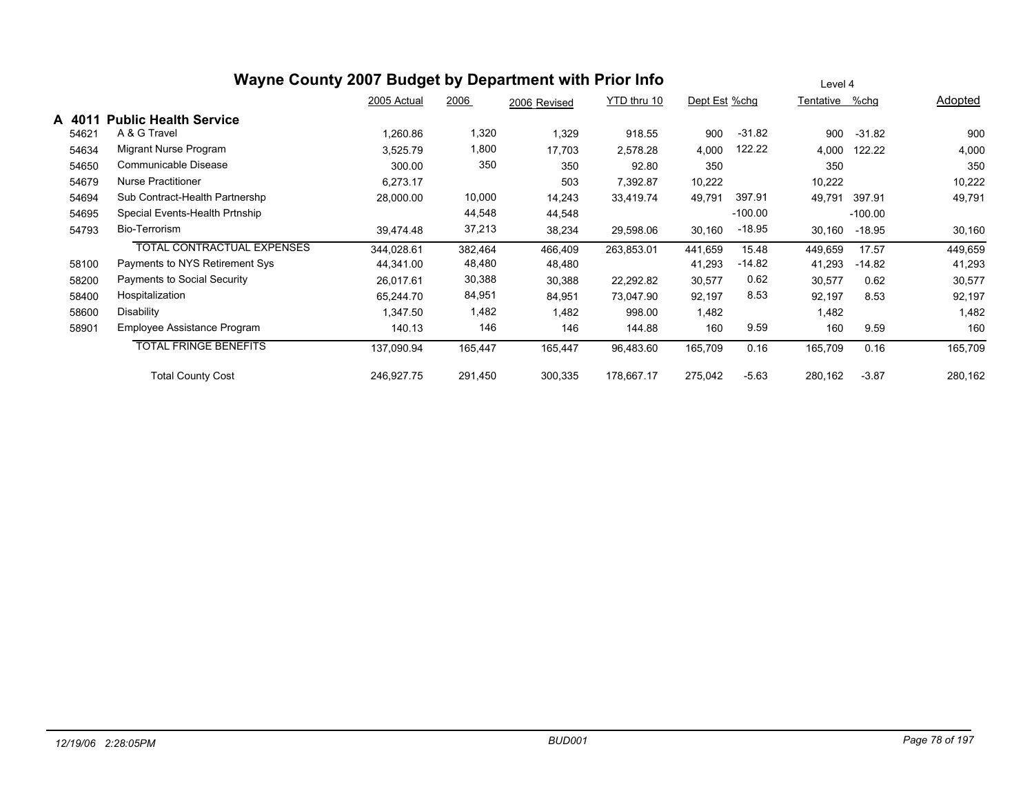|        | Wayne County 2007 Budget by Department with Prior Info |             |         |              |             |               |           | Level 4        |           |         |
|--------|--------------------------------------------------------|-------------|---------|--------------|-------------|---------------|-----------|----------------|-----------|---------|
|        |                                                        | 2005 Actual | 2006    | 2006 Revised | YTD thru 10 | Dept Est %chg |           | Tentative %chg |           | Adopted |
| A 4011 | <b>Public Health Service</b>                           |             |         |              |             |               |           |                |           |         |
| 54621  | A & G Travel                                           | 1,260.86    | 1,320   | 1,329        | 918.55      | 900           | $-31.82$  | 900            | $-31.82$  | 900     |
| 54634  | Migrant Nurse Program                                  | 3,525.79    | 1,800   | 17,703       | 2,578.28    | 4,000         | 122.22    | 4,000          | 122.22    | 4,000   |
| 54650  | Communicable Disease                                   | 300.00      | 350     | 350          | 92.80       | 350           |           | 350            |           | 350     |
| 54679  | <b>Nurse Practitioner</b>                              | 6,273.17    |         | 503          | 7,392.87    | 10,222        |           | 10,222         |           | 10,222  |
| 54694  | Sub Contract-Health Partnershp                         | 28,000.00   | 10,000  | 14,243       | 33,419.74   | 49,791        | 397.91    | 49,791         | 397.91    | 49,791  |
| 54695  | Special Events-Health Prtnship                         |             | 44,548  | 44,548       |             |               | $-100.00$ |                | $-100.00$ |         |
| 54793  | Bio-Terrorism                                          | 39.474.48   | 37,213  | 38,234       | 29,598.06   | 30,160        | $-18.95$  | 30,160         | $-18.95$  | 30,160  |
|        | TOTAL CONTRACTUAL EXPENSES                             | 344,028.61  | 382,464 | 466,409      | 263,853.01  | 441,659       | 15.48     | 449,659        | 17.57     | 449,659 |
| 58100  | Payments to NYS Retirement Sys                         | 44,341.00   | 48,480  | 48,480       |             | 41,293        | $-14.82$  | 41,293         | $-14.82$  | 41,293  |
| 58200  | Payments to Social Security                            | 26,017.61   | 30,388  | 30,388       | 22,292.82   | 30,577        | 0.62      | 30,577         | 0.62      | 30,577  |
| 58400  | Hospitalization                                        | 65,244.70   | 84,951  | 84,951       | 73,047.90   | 92,197        | 8.53      | 92,197         | 8.53      | 92,197  |
| 58600  | Disability                                             | 1,347.50    | 1,482   | 1,482        | 998.00      | 1,482         |           | 1,482          |           | 1,482   |
| 58901  | Employee Assistance Program                            | 140.13      | 146     | 146          | 144.88      | 160           | 9.59      | 160            | 9.59      | 160     |
|        | <b>TOTAL FRINGE BENEFITS</b>                           | 137,090.94  | 165,447 | 165,447      | 96,483.60   | 165,709       | 0.16      | 165,709        | 0.16      | 165,709 |
|        | <b>Total County Cost</b>                               | 246,927.75  | 291,450 | 300,335      | 178,667.17  | 275,042       | $-5.63$   | 280,162        | $-3.87$   | 280,162 |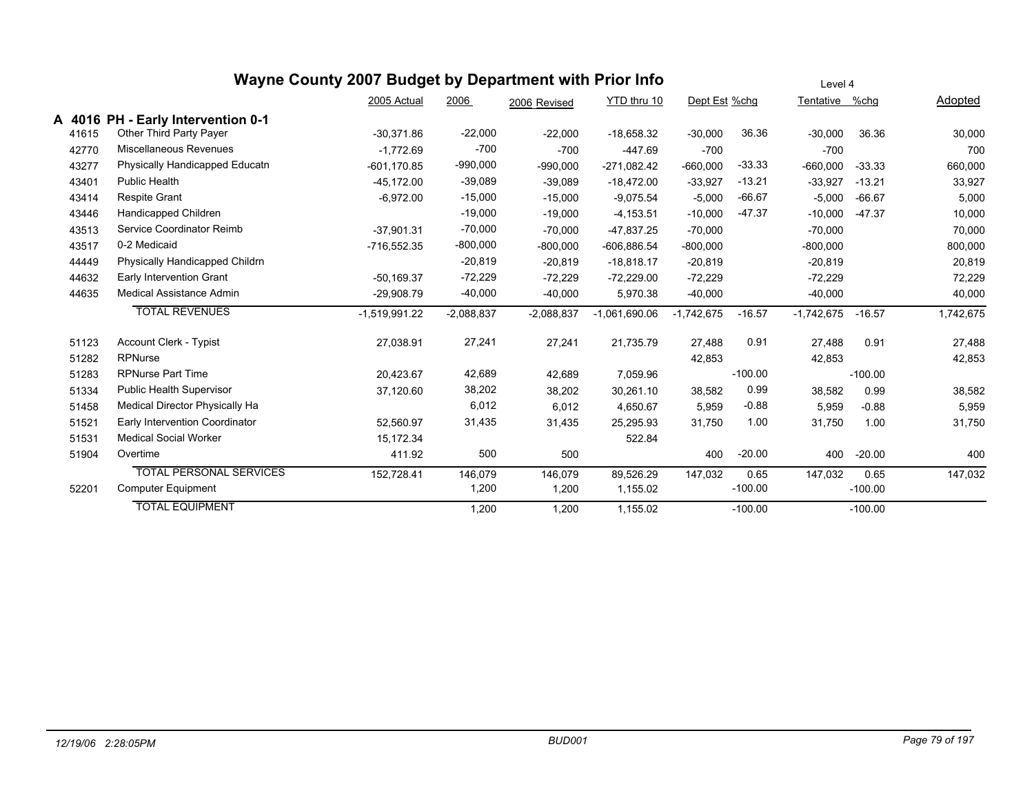|       |                                    | Wayne County 2007 Budget by Department with Prior Info |              |              |                 |               |           | Level 4        |           |           |
|-------|------------------------------------|--------------------------------------------------------|--------------|--------------|-----------------|---------------|-----------|----------------|-----------|-----------|
|       |                                    | 2005 Actual                                            | 2006         | 2006 Revised | YTD thru 10     | Dept Est %chg |           | Tentative %chg |           | Adopted   |
|       | A 4016 PH - Early Intervention 0-1 |                                                        |              |              |                 |               |           |                |           |           |
| 41615 | Other Third Party Payer            | $-30.371.86$                                           | $-22,000$    | $-22,000$    | $-18,658.32$    | $-30,000$     | 36.36     | $-30,000$      | 36.36     | 30,000    |
| 42770 | Miscellaneous Revenues             | $-1,772.69$                                            | $-700$       | $-700$       | $-447.69$       | $-700$        |           | $-700$         |           | 700       |
| 43277 | Physically Handicapped Educatn     | $-601, 170.85$                                         | $-990,000$   | $-990,000$   | $-271,082.42$   | $-660,000$    | $-33.33$  | $-660.000$     | $-33.33$  | 660,000   |
| 43401 | <b>Public Health</b>               | $-45,172.00$                                           | $-39,089$    | $-39,089$    | $-18,472.00$    | $-33,927$     | $-13.21$  | $-33,927$      | $-13.21$  | 33,927    |
| 43414 | <b>Respite Grant</b>               | $-6,972.00$                                            | $-15,000$    | $-15,000$    | $-9,075.54$     | $-5,000$      | $-66.67$  | $-5,000$       | $-66.67$  | 5,000     |
| 43446 | Handicapped Children               |                                                        | $-19,000$    | $-19,000$    | $-4, 153.51$    | $-10,000$     | $-47.37$  | $-10,000$      | $-47.37$  | 10,000    |
| 43513 | Service Coordinator Reimb          | $-37.901.31$                                           | $-70,000$    | $-70,000$    | -47,837.25      | $-70,000$     |           | $-70,000$      |           | 70,000    |
| 43517 | 0-2 Medicaid                       | $-716,552.35$                                          | $-800,000$   | $-800,000$   | $-606,886.54$   | $-800,000$    |           | $-800,000$     |           | 800,000   |
| 44449 | Physically Handicapped Childrn     |                                                        | $-20,819$    | $-20,819$    | $-18,818.17$    | $-20,819$     |           | $-20,819$      |           | 20,819    |
| 44632 | Early Intervention Grant           | $-50,169.37$                                           | $-72,229$    | $-72,229$    | $-72,229.00$    | $-72,229$     |           | $-72,229$      |           | 72,229    |
| 44635 | Medical Assistance Admin           | $-29,908.79$                                           | $-40,000$    | $-40,000$    | 5,970.38        | $-40,000$     |           | $-40,000$      |           | 40,000    |
|       | <b>TOTAL REVENUES</b>              | $-1,519,991.22$                                        | $-2,088,837$ | $-2,088,837$ | $-1,061,690.06$ | $-1,742,675$  | $-16.57$  | $-1,742,675$   | $-16.57$  | 1,742,675 |
| 51123 | <b>Account Clerk - Typist</b>      | 27,038.91                                              | 27,241       | 27,241       | 21,735.79       | 27,488        | 0.91      | 27,488         | 0.91      | 27,488    |
| 51282 | <b>RPNurse</b>                     |                                                        |              |              |                 | 42,853        |           | 42,853         |           | 42,853    |
| 51283 | <b>RPNurse Part Time</b>           | 20,423.67                                              | 42,689       | 42,689       | 7,059.96        |               | $-100.00$ |                | $-100.00$ |           |
| 51334 | Public Health Supervisor           | 37,120.60                                              | 38,202       | 38,202       | 30,261.10       | 38,582        | 0.99      | 38,582         | 0.99      | 38,582    |
| 51458 | Medical Director Physically Ha     |                                                        | 6,012        | 6,012        | 4,650.67        | 5,959         | $-0.88$   | 5,959          | $-0.88$   | 5,959     |
| 51521 | Early Intervention Coordinator     | 52,560.97                                              | 31,435       | 31,435       | 25,295.93       | 31,750        | 1.00      | 31,750         | 1.00      | 31,750    |
| 51531 | <b>Medical Social Worker</b>       | 15,172.34                                              |              |              | 522.84          |               |           |                |           |           |
| 51904 | Overtime                           | 411.92                                                 | 500          | 500          |                 | 400           | $-20.00$  | 400            | $-20.00$  | 400       |
|       | <b>TOTAL PERSONAL SERVICES</b>     | 152,728.41                                             | 146,079      | 146,079      | 89,526.29       | 147,032       | 0.65      | 147,032        | 0.65      | 147,032   |
| 52201 | <b>Computer Equipment</b>          |                                                        | 1,200        | 1,200        | 1,155.02        |               | $-100.00$ |                | $-100.00$ |           |
|       | <b>TOTAL EQUIPMENT</b>             |                                                        | 1,200        | 1,200        | 1.155.02        |               | $-100.00$ |                | $-100.00$ |           |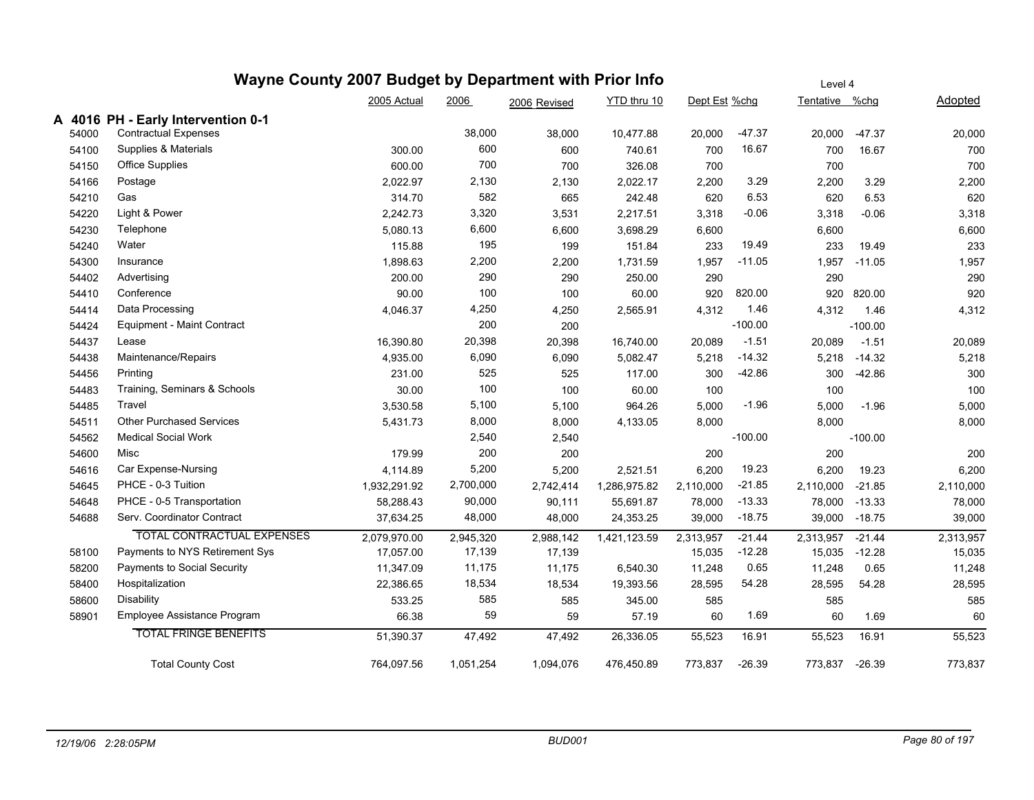|       |                                    | Wayne County 2007 Budget by Department with Prior Info |           |              |              |               |           | Level 4        |           |           |
|-------|------------------------------------|--------------------------------------------------------|-----------|--------------|--------------|---------------|-----------|----------------|-----------|-----------|
|       |                                    | 2005 Actual                                            | 2006      | 2006 Revised | YTD thru 10  | Dept Est %chg |           | Tentative %chg |           | Adopted   |
|       | A 4016 PH - Early Intervention 0-1 |                                                        |           |              |              |               |           |                |           |           |
| 54000 | <b>Contractual Expenses</b>        |                                                        | 38,000    | 38,000       | 10,477.88    | 20,000        | $-47.37$  | 20,000         | $-47.37$  | 20,000    |
| 54100 | Supplies & Materials               | 300.00                                                 | 600       | 600          | 740.61       | 700           | 16.67     | 700            | 16.67     | 700       |
| 54150 | <b>Office Supplies</b>             | 600.00                                                 | 700       | 700          | 326.08       | 700           |           | 700            |           | 700       |
| 54166 | Postage                            | 2,022.97                                               | 2,130     | 2,130        | 2,022.17     | 2,200         | 3.29      | 2,200          | 3.29      | 2,200     |
| 54210 | Gas                                | 314.70                                                 | 582       | 665          | 242.48       | 620           | 6.53      | 620            | 6.53      | 620       |
| 54220 | Light & Power                      | 2,242.73                                               | 3,320     | 3,531        | 2,217.51     | 3,318         | $-0.06$   | 3,318          | $-0.06$   | 3,318     |
| 54230 | Telephone                          | 5,080.13                                               | 6,600     | 6,600        | 3,698.29     | 6,600         |           | 6,600          |           | 6,600     |
| 54240 | Water                              | 115.88                                                 | 195       | 199          | 151.84       | 233           | 19.49     | 233            | 19.49     | 233       |
| 54300 | Insurance                          | 1,898.63                                               | 2,200     | 2,200        | 1,731.59     | 1,957         | $-11.05$  | 1,957          | $-11.05$  | 1,957     |
| 54402 | Advertising                        | 200.00                                                 | 290       | 290          | 250.00       | 290           |           | 290            |           | 290       |
| 54410 | Conference                         | 90.00                                                  | 100       | 100          | 60.00        | 920           | 820.00    | 920            | 820.00    | 920       |
| 54414 | Data Processing                    | 4,046.37                                               | 4,250     | 4,250        | 2,565.91     | 4,312         | 1.46      | 4,312          | 1.46      | 4,312     |
| 54424 | <b>Equipment - Maint Contract</b>  |                                                        | 200       | 200          |              |               | $-100.00$ |                | $-100.00$ |           |
| 54437 | Lease                              | 16,390.80                                              | 20,398    | 20,398       | 16,740.00    | 20,089        | $-1.51$   | 20,089         | $-1.51$   | 20,089    |
| 54438 | Maintenance/Repairs                | 4,935.00                                               | 6,090     | 6,090        | 5,082.47     | 5,218         | $-14.32$  | 5,218          | $-14.32$  | 5,218     |
| 54456 | Printing                           | 231.00                                                 | 525       | 525          | 117.00       | 300           | $-42.86$  | 300            | $-42.86$  | 300       |
| 54483 | Training, Seminars & Schools       | 30.00                                                  | 100       | 100          | 60.00        | 100           |           | 100            |           | 100       |
| 54485 | Travel                             | 3,530.58                                               | 5,100     | 5,100        | 964.26       | 5,000         | $-1.96$   | 5,000          | $-1.96$   | 5,000     |
| 54511 | <b>Other Purchased Services</b>    | 5,431.73                                               | 8,000     | 8,000        | 4,133.05     | 8,000         |           | 8,000          |           | 8,000     |
| 54562 | <b>Medical Social Work</b>         |                                                        | 2,540     | 2,540        |              |               | $-100.00$ |                | $-100.00$ |           |
| 54600 | Misc                               | 179.99                                                 | 200       | 200          |              | 200           |           | 200            |           | 200       |
| 54616 | Car Expense-Nursing                | 4,114.89                                               | 5,200     | 5,200        | 2,521.51     | 6,200         | 19.23     | 6,200          | 19.23     | 6,200     |
| 54645 | PHCE - 0-3 Tuition                 | 1,932,291.92                                           | 2,700,000 | 2,742,414    | 1,286,975.82 | 2,110,000     | $-21.85$  | 2,110,000      | $-21.85$  | 2,110,000 |
| 54648 | PHCE - 0-5 Transportation          | 58,288.43                                              | 90,000    | 90,111       | 55,691.87    | 78,000        | $-13.33$  | 78,000         | $-13.33$  | 78,000    |
| 54688 | Serv. Coordinator Contract         | 37,634.25                                              | 48,000    | 48,000       | 24,353.25    | 39,000        | $-18.75$  | 39,000         | $-18.75$  | 39,000    |
|       | <b>TOTAL CONTRACTUAL EXPENSES</b>  | 2,079,970.00                                           | 2,945,320 | 2,988,142    | 1,421,123.59 | 2,313,957     | $-21.44$  | 2,313,957      | $-21.44$  | 2,313,957 |
| 58100 | Payments to NYS Retirement Sys     | 17,057.00                                              | 17,139    | 17,139       |              | 15,035        | $-12.28$  | 15,035         | $-12.28$  | 15,035    |
| 58200 | Payments to Social Security        | 11,347.09                                              | 11,175    | 11,175       | 6,540.30     | 11,248        | 0.65      | 11,248         | 0.65      | 11,248    |
| 58400 | Hospitalization                    | 22,386.65                                              | 18,534    | 18,534       | 19,393.56    | 28,595        | 54.28     | 28,595         | 54.28     | 28,595    |
| 58600 | Disability                         | 533.25                                                 | 585       | 585          | 345.00       | 585           |           | 585            |           | 585       |
| 58901 | Employee Assistance Program        | 66.38                                                  | 59        | 59           | 57.19        | 60            | 1.69      | 60             | 1.69      | 60        |
|       | <b>TOTAL FRINGE BENEFITS</b>       | 51,390.37                                              | 47,492    | 47,492       | 26,336.05    | 55,523        | 16.91     | 55,523         | 16.91     | 55,523    |
|       | <b>Total County Cost</b>           | 764,097.56                                             | 1,051,254 | 1,094,076    | 476,450.89   | 773,837       | $-26.39$  | 773,837        | $-26.39$  | 773,837   |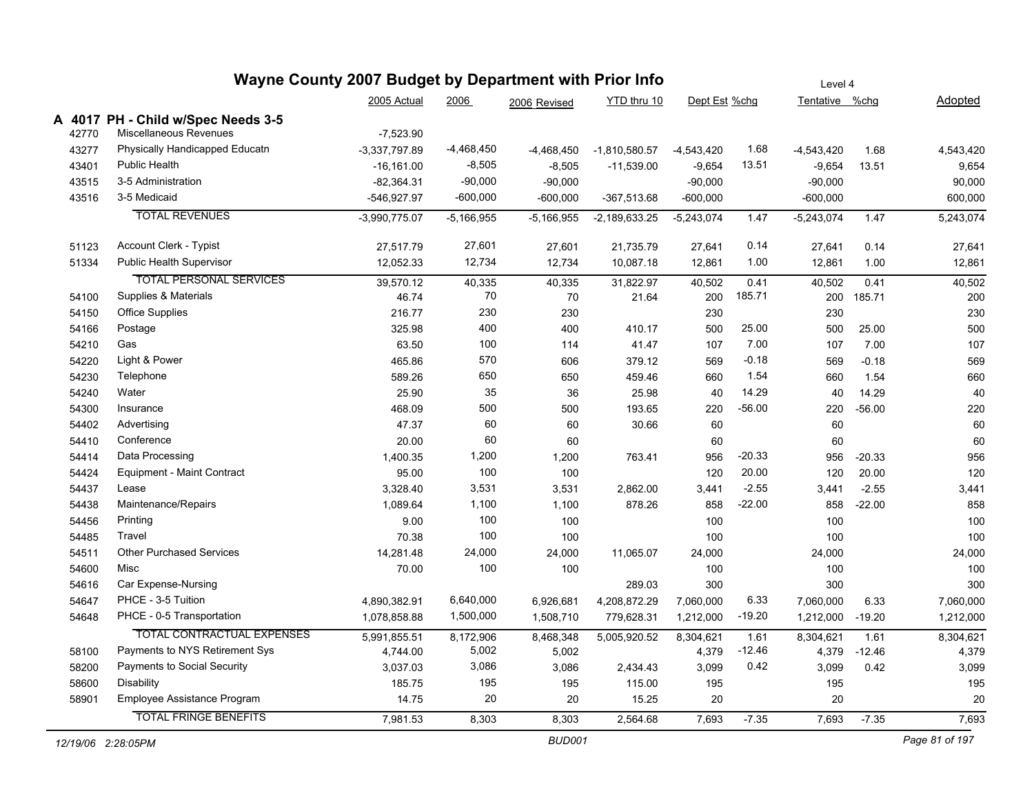| 2005 Actual<br>2006<br>YTD thru 10<br>Dept Est %chg<br>Tentative %chg<br>Adopted<br>2006 Revised<br>A 4017 PH - Child w/Spec Needs 3-5<br>Miscellaneous Revenues<br>42770<br>$-7,523.90$<br>43277<br>Physically Handicapped Educatn<br>$-3,337,797.89$<br>$-4,468,450$<br>1.68<br>$-4,468,450$<br>$-1,810,580.57$<br>$-4,543,420$<br>$-4,543,420$<br>1.68<br><b>Public Health</b><br>$-8,505$<br>13.51<br>43401<br>$-16, 161.00$<br>$-8,505$<br>$-9,654$<br>$-9,654$<br>13.51<br>$-11,539.00$<br>$-90,000$<br>3-5 Administration<br>43515<br>$-82,364.31$<br>$-90,000$<br>$-90,000$<br>$-90,000$<br>$-600,000$<br>43516<br>3-5 Medicaid<br>-546,927.97<br>$-600,000$<br>-367,513.68<br>$-600,000$<br>$-600,000$<br><b>TOTAL REVENUES</b><br>$-3,990,775.07$<br>$-5,166,955$<br>$-5,166,955$<br>-2,189,633.25<br>$-5,243,074$<br>1.47<br>$-5,243,074$<br>1.47<br>Account Clerk - Typist<br>27,601<br>0.14<br>51123<br>27,517.79<br>27,601<br>21,735.79<br>27,641<br>27,641<br>0.14<br>Public Health Supervisor<br>12,734<br>1.00<br>51334<br>12,052.33<br>12,734<br>10,087.18<br>12,861<br>1.00<br>12,861<br><b>TOTAL PERSONAL SERVICES</b><br>39,570.12<br>40,502<br>0.41<br>40,335<br>40,335<br>31,822.97<br>40,502<br>0.41<br>Supplies & Materials<br>70<br>185.71<br>46.74<br>21.64<br>200<br>200<br>185.71<br>54100<br>70<br>230<br><b>Office Supplies</b><br>216.77<br>230<br>230<br>230<br>54150<br>400<br>25.00<br>Postage<br>325.98<br>400<br>500<br>25.00<br>54166<br>410.17<br>500<br>Gas<br>100<br>7.00<br>7.00<br>54210<br>63.50<br>114<br>41.47<br>107<br>107<br>Light & Power<br>570<br>$-0.18$<br>465.86<br>606<br>379.12<br>54220<br>569<br>569<br>$-0.18$<br>650<br>1.54<br>54230<br>Telephone<br>589.26<br>650<br>459.46<br>1.54<br>660<br>660<br>35<br>Water<br>25.90<br>25.98<br>14.29<br>14.29<br>54240<br>36<br>40<br>40<br>500<br>193.65<br>220<br>$-56.00$<br>$-56.00$<br>54300<br>Insurance<br>468.09<br>500<br>220<br>60<br>Advertising<br>60<br>47.37<br>60<br>30.66<br>60<br>54402<br>60<br>Conference<br>60<br>54410<br>20.00<br>60<br>60<br>Data Processing<br>1,400.35<br>1,200<br>956<br>$-20.33$<br>54414<br>1,200<br>763.41<br>956<br>$-20.33$<br>100<br>20.00<br>Equipment - Maint Contract<br>95.00<br>100<br>120<br>20.00<br>54424<br>120<br>$-2.55$<br>3,531<br>$-2.55$<br>54437<br>Lease<br>3,328.40<br>2,862.00<br>3,531<br>3,441<br>3,441<br>$-22.00$<br>Maintenance/Repairs<br>1,100<br>1,089.64<br>878.26<br>858<br>858<br>$-22.00$<br>54438<br>1,100<br>100<br>Printing<br>9.00<br>100<br>100<br>54456<br>100<br>Travel<br>70.38<br>100<br>54485<br>100<br>100<br>100<br><b>Other Purchased Services</b><br>24,000<br>54511<br>14,281.48<br>24,000<br>11,065.07<br>24,000<br>24,000<br>100<br>Misc<br>54600<br>70.00<br>100<br>100<br>100<br>Car Expense-Nursing<br>300<br>54616<br>289.03<br>300<br>PHCE - 3-5 Tuition<br>6,640,000<br>6.33<br>54647<br>4,890,382.91<br>6,926,681<br>4,208,872.29<br>7,060,000<br>7,060,000<br>6.33<br>$-19.20$<br>PHCE - 0-5 Transportation<br>1,500,000<br>54648<br>1,078,858.88<br>1,508,710<br>779,628.31<br>1,212,000<br>1,212,000<br>$-19.20$<br><b>TOTAL CONTRACTUAL EXPENSES</b><br>5,991,855.51<br>5,005,920.52<br>8,304,621<br>8,304,621<br>8,172,906<br>8,468,348<br>1.61<br>1.61<br>Payments to NYS Retirement Sys<br>5,002<br>-12.46<br>58100<br>4,744.00<br>5,002<br>4,379<br>4,379<br>$-12.46$<br>Payments to Social Security<br>3,086<br>0.42<br>58200<br>3,037.03<br>3,086<br>2,434.43<br>3,099<br>3,099<br>0.42<br>195<br>58600<br><b>Disability</b><br>185.75<br>195<br>115.00<br>195<br>195<br>20<br>Employee Assistance Program<br>20<br>20<br>58901<br>14.75<br>20<br>15.25<br><b>TOTAL FRINGE BENEFITS</b><br>$-7.35$<br>7,981.53<br>8,303<br>8,303<br>2,564.68<br>7,693<br>$-7.35$<br>7,693 |  | Wayne County 2007 Budget by Department with Prior Info |  |  |  | Level 4 |  |           |
|--------------------------------------------------------------------------------------------------------------------------------------------------------------------------------------------------------------------------------------------------------------------------------------------------------------------------------------------------------------------------------------------------------------------------------------------------------------------------------------------------------------------------------------------------------------------------------------------------------------------------------------------------------------------------------------------------------------------------------------------------------------------------------------------------------------------------------------------------------------------------------------------------------------------------------------------------------------------------------------------------------------------------------------------------------------------------------------------------------------------------------------------------------------------------------------------------------------------------------------------------------------------------------------------------------------------------------------------------------------------------------------------------------------------------------------------------------------------------------------------------------------------------------------------------------------------------------------------------------------------------------------------------------------------------------------------------------------------------------------------------------------------------------------------------------------------------------------------------------------------------------------------------------------------------------------------------------------------------------------------------------------------------------------------------------------------------------------------------------------------------------------------------------------------------------------------------------------------------------------------------------------------------------------------------------------------------------------------------------------------------------------------------------------------------------------------------------------------------------------------------------------------------------------------------------------------------------------------------------------------------------------------------------------------------------------------------------------------------------------------------------------------------------------------------------------------------------------------------------------------------------------------------------------------------------------------------------------------------------------------------------------------------------------------------------------------------------------------------------------------------------------------------------------------------------------------------------------------------------------------------------------------------------------------------------------------------------------------------------------------------------------------------------------------------------------------------------------------------------------------------------------------------------------------------------------------------------------------------------------------------------------------------------------------------------------------------------------------------------------------------------------------------------------------------|--|--------------------------------------------------------|--|--|--|---------|--|-----------|
|                                                                                                                                                                                                                                                                                                                                                                                                                                                                                                                                                                                                                                                                                                                                                                                                                                                                                                                                                                                                                                                                                                                                                                                                                                                                                                                                                                                                                                                                                                                                                                                                                                                                                                                                                                                                                                                                                                                                                                                                                                                                                                                                                                                                                                                                                                                                                                                                                                                                                                                                                                                                                                                                                                                                                                                                                                                                                                                                                                                                                                                                                                                                                                                                                                                                                                                                                                                                                                                                                                                                                                                                                                                                                                                                                                                                  |  |                                                        |  |  |  |         |  |           |
|                                                                                                                                                                                                                                                                                                                                                                                                                                                                                                                                                                                                                                                                                                                                                                                                                                                                                                                                                                                                                                                                                                                                                                                                                                                                                                                                                                                                                                                                                                                                                                                                                                                                                                                                                                                                                                                                                                                                                                                                                                                                                                                                                                                                                                                                                                                                                                                                                                                                                                                                                                                                                                                                                                                                                                                                                                                                                                                                                                                                                                                                                                                                                                                                                                                                                                                                                                                                                                                                                                                                                                                                                                                                                                                                                                                                  |  |                                                        |  |  |  |         |  |           |
|                                                                                                                                                                                                                                                                                                                                                                                                                                                                                                                                                                                                                                                                                                                                                                                                                                                                                                                                                                                                                                                                                                                                                                                                                                                                                                                                                                                                                                                                                                                                                                                                                                                                                                                                                                                                                                                                                                                                                                                                                                                                                                                                                                                                                                                                                                                                                                                                                                                                                                                                                                                                                                                                                                                                                                                                                                                                                                                                                                                                                                                                                                                                                                                                                                                                                                                                                                                                                                                                                                                                                                                                                                                                                                                                                                                                  |  |                                                        |  |  |  |         |  |           |
|                                                                                                                                                                                                                                                                                                                                                                                                                                                                                                                                                                                                                                                                                                                                                                                                                                                                                                                                                                                                                                                                                                                                                                                                                                                                                                                                                                                                                                                                                                                                                                                                                                                                                                                                                                                                                                                                                                                                                                                                                                                                                                                                                                                                                                                                                                                                                                                                                                                                                                                                                                                                                                                                                                                                                                                                                                                                                                                                                                                                                                                                                                                                                                                                                                                                                                                                                                                                                                                                                                                                                                                                                                                                                                                                                                                                  |  |                                                        |  |  |  |         |  | 4,543,420 |
|                                                                                                                                                                                                                                                                                                                                                                                                                                                                                                                                                                                                                                                                                                                                                                                                                                                                                                                                                                                                                                                                                                                                                                                                                                                                                                                                                                                                                                                                                                                                                                                                                                                                                                                                                                                                                                                                                                                                                                                                                                                                                                                                                                                                                                                                                                                                                                                                                                                                                                                                                                                                                                                                                                                                                                                                                                                                                                                                                                                                                                                                                                                                                                                                                                                                                                                                                                                                                                                                                                                                                                                                                                                                                                                                                                                                  |  |                                                        |  |  |  |         |  | 9,654     |
|                                                                                                                                                                                                                                                                                                                                                                                                                                                                                                                                                                                                                                                                                                                                                                                                                                                                                                                                                                                                                                                                                                                                                                                                                                                                                                                                                                                                                                                                                                                                                                                                                                                                                                                                                                                                                                                                                                                                                                                                                                                                                                                                                                                                                                                                                                                                                                                                                                                                                                                                                                                                                                                                                                                                                                                                                                                                                                                                                                                                                                                                                                                                                                                                                                                                                                                                                                                                                                                                                                                                                                                                                                                                                                                                                                                                  |  |                                                        |  |  |  |         |  | 90,000    |
|                                                                                                                                                                                                                                                                                                                                                                                                                                                                                                                                                                                                                                                                                                                                                                                                                                                                                                                                                                                                                                                                                                                                                                                                                                                                                                                                                                                                                                                                                                                                                                                                                                                                                                                                                                                                                                                                                                                                                                                                                                                                                                                                                                                                                                                                                                                                                                                                                                                                                                                                                                                                                                                                                                                                                                                                                                                                                                                                                                                                                                                                                                                                                                                                                                                                                                                                                                                                                                                                                                                                                                                                                                                                                                                                                                                                  |  |                                                        |  |  |  |         |  | 600,000   |
|                                                                                                                                                                                                                                                                                                                                                                                                                                                                                                                                                                                                                                                                                                                                                                                                                                                                                                                                                                                                                                                                                                                                                                                                                                                                                                                                                                                                                                                                                                                                                                                                                                                                                                                                                                                                                                                                                                                                                                                                                                                                                                                                                                                                                                                                                                                                                                                                                                                                                                                                                                                                                                                                                                                                                                                                                                                                                                                                                                                                                                                                                                                                                                                                                                                                                                                                                                                                                                                                                                                                                                                                                                                                                                                                                                                                  |  |                                                        |  |  |  |         |  | 5,243,074 |
|                                                                                                                                                                                                                                                                                                                                                                                                                                                                                                                                                                                                                                                                                                                                                                                                                                                                                                                                                                                                                                                                                                                                                                                                                                                                                                                                                                                                                                                                                                                                                                                                                                                                                                                                                                                                                                                                                                                                                                                                                                                                                                                                                                                                                                                                                                                                                                                                                                                                                                                                                                                                                                                                                                                                                                                                                                                                                                                                                                                                                                                                                                                                                                                                                                                                                                                                                                                                                                                                                                                                                                                                                                                                                                                                                                                                  |  |                                                        |  |  |  |         |  | 27,641    |
|                                                                                                                                                                                                                                                                                                                                                                                                                                                                                                                                                                                                                                                                                                                                                                                                                                                                                                                                                                                                                                                                                                                                                                                                                                                                                                                                                                                                                                                                                                                                                                                                                                                                                                                                                                                                                                                                                                                                                                                                                                                                                                                                                                                                                                                                                                                                                                                                                                                                                                                                                                                                                                                                                                                                                                                                                                                                                                                                                                                                                                                                                                                                                                                                                                                                                                                                                                                                                                                                                                                                                                                                                                                                                                                                                                                                  |  |                                                        |  |  |  |         |  | 12,861    |
|                                                                                                                                                                                                                                                                                                                                                                                                                                                                                                                                                                                                                                                                                                                                                                                                                                                                                                                                                                                                                                                                                                                                                                                                                                                                                                                                                                                                                                                                                                                                                                                                                                                                                                                                                                                                                                                                                                                                                                                                                                                                                                                                                                                                                                                                                                                                                                                                                                                                                                                                                                                                                                                                                                                                                                                                                                                                                                                                                                                                                                                                                                                                                                                                                                                                                                                                                                                                                                                                                                                                                                                                                                                                                                                                                                                                  |  |                                                        |  |  |  |         |  | 40,502    |
|                                                                                                                                                                                                                                                                                                                                                                                                                                                                                                                                                                                                                                                                                                                                                                                                                                                                                                                                                                                                                                                                                                                                                                                                                                                                                                                                                                                                                                                                                                                                                                                                                                                                                                                                                                                                                                                                                                                                                                                                                                                                                                                                                                                                                                                                                                                                                                                                                                                                                                                                                                                                                                                                                                                                                                                                                                                                                                                                                                                                                                                                                                                                                                                                                                                                                                                                                                                                                                                                                                                                                                                                                                                                                                                                                                                                  |  |                                                        |  |  |  |         |  | 200       |
|                                                                                                                                                                                                                                                                                                                                                                                                                                                                                                                                                                                                                                                                                                                                                                                                                                                                                                                                                                                                                                                                                                                                                                                                                                                                                                                                                                                                                                                                                                                                                                                                                                                                                                                                                                                                                                                                                                                                                                                                                                                                                                                                                                                                                                                                                                                                                                                                                                                                                                                                                                                                                                                                                                                                                                                                                                                                                                                                                                                                                                                                                                                                                                                                                                                                                                                                                                                                                                                                                                                                                                                                                                                                                                                                                                                                  |  |                                                        |  |  |  |         |  | 230       |
|                                                                                                                                                                                                                                                                                                                                                                                                                                                                                                                                                                                                                                                                                                                                                                                                                                                                                                                                                                                                                                                                                                                                                                                                                                                                                                                                                                                                                                                                                                                                                                                                                                                                                                                                                                                                                                                                                                                                                                                                                                                                                                                                                                                                                                                                                                                                                                                                                                                                                                                                                                                                                                                                                                                                                                                                                                                                                                                                                                                                                                                                                                                                                                                                                                                                                                                                                                                                                                                                                                                                                                                                                                                                                                                                                                                                  |  |                                                        |  |  |  |         |  | 500       |
|                                                                                                                                                                                                                                                                                                                                                                                                                                                                                                                                                                                                                                                                                                                                                                                                                                                                                                                                                                                                                                                                                                                                                                                                                                                                                                                                                                                                                                                                                                                                                                                                                                                                                                                                                                                                                                                                                                                                                                                                                                                                                                                                                                                                                                                                                                                                                                                                                                                                                                                                                                                                                                                                                                                                                                                                                                                                                                                                                                                                                                                                                                                                                                                                                                                                                                                                                                                                                                                                                                                                                                                                                                                                                                                                                                                                  |  |                                                        |  |  |  |         |  | 107       |
|                                                                                                                                                                                                                                                                                                                                                                                                                                                                                                                                                                                                                                                                                                                                                                                                                                                                                                                                                                                                                                                                                                                                                                                                                                                                                                                                                                                                                                                                                                                                                                                                                                                                                                                                                                                                                                                                                                                                                                                                                                                                                                                                                                                                                                                                                                                                                                                                                                                                                                                                                                                                                                                                                                                                                                                                                                                                                                                                                                                                                                                                                                                                                                                                                                                                                                                                                                                                                                                                                                                                                                                                                                                                                                                                                                                                  |  |                                                        |  |  |  |         |  | 569       |
|                                                                                                                                                                                                                                                                                                                                                                                                                                                                                                                                                                                                                                                                                                                                                                                                                                                                                                                                                                                                                                                                                                                                                                                                                                                                                                                                                                                                                                                                                                                                                                                                                                                                                                                                                                                                                                                                                                                                                                                                                                                                                                                                                                                                                                                                                                                                                                                                                                                                                                                                                                                                                                                                                                                                                                                                                                                                                                                                                                                                                                                                                                                                                                                                                                                                                                                                                                                                                                                                                                                                                                                                                                                                                                                                                                                                  |  |                                                        |  |  |  |         |  | 660       |
|                                                                                                                                                                                                                                                                                                                                                                                                                                                                                                                                                                                                                                                                                                                                                                                                                                                                                                                                                                                                                                                                                                                                                                                                                                                                                                                                                                                                                                                                                                                                                                                                                                                                                                                                                                                                                                                                                                                                                                                                                                                                                                                                                                                                                                                                                                                                                                                                                                                                                                                                                                                                                                                                                                                                                                                                                                                                                                                                                                                                                                                                                                                                                                                                                                                                                                                                                                                                                                                                                                                                                                                                                                                                                                                                                                                                  |  |                                                        |  |  |  |         |  | 40        |
|                                                                                                                                                                                                                                                                                                                                                                                                                                                                                                                                                                                                                                                                                                                                                                                                                                                                                                                                                                                                                                                                                                                                                                                                                                                                                                                                                                                                                                                                                                                                                                                                                                                                                                                                                                                                                                                                                                                                                                                                                                                                                                                                                                                                                                                                                                                                                                                                                                                                                                                                                                                                                                                                                                                                                                                                                                                                                                                                                                                                                                                                                                                                                                                                                                                                                                                                                                                                                                                                                                                                                                                                                                                                                                                                                                                                  |  |                                                        |  |  |  |         |  | 220       |
|                                                                                                                                                                                                                                                                                                                                                                                                                                                                                                                                                                                                                                                                                                                                                                                                                                                                                                                                                                                                                                                                                                                                                                                                                                                                                                                                                                                                                                                                                                                                                                                                                                                                                                                                                                                                                                                                                                                                                                                                                                                                                                                                                                                                                                                                                                                                                                                                                                                                                                                                                                                                                                                                                                                                                                                                                                                                                                                                                                                                                                                                                                                                                                                                                                                                                                                                                                                                                                                                                                                                                                                                                                                                                                                                                                                                  |  |                                                        |  |  |  |         |  | 60        |
|                                                                                                                                                                                                                                                                                                                                                                                                                                                                                                                                                                                                                                                                                                                                                                                                                                                                                                                                                                                                                                                                                                                                                                                                                                                                                                                                                                                                                                                                                                                                                                                                                                                                                                                                                                                                                                                                                                                                                                                                                                                                                                                                                                                                                                                                                                                                                                                                                                                                                                                                                                                                                                                                                                                                                                                                                                                                                                                                                                                                                                                                                                                                                                                                                                                                                                                                                                                                                                                                                                                                                                                                                                                                                                                                                                                                  |  |                                                        |  |  |  |         |  | 60        |
|                                                                                                                                                                                                                                                                                                                                                                                                                                                                                                                                                                                                                                                                                                                                                                                                                                                                                                                                                                                                                                                                                                                                                                                                                                                                                                                                                                                                                                                                                                                                                                                                                                                                                                                                                                                                                                                                                                                                                                                                                                                                                                                                                                                                                                                                                                                                                                                                                                                                                                                                                                                                                                                                                                                                                                                                                                                                                                                                                                                                                                                                                                                                                                                                                                                                                                                                                                                                                                                                                                                                                                                                                                                                                                                                                                                                  |  |                                                        |  |  |  |         |  | 956       |
|                                                                                                                                                                                                                                                                                                                                                                                                                                                                                                                                                                                                                                                                                                                                                                                                                                                                                                                                                                                                                                                                                                                                                                                                                                                                                                                                                                                                                                                                                                                                                                                                                                                                                                                                                                                                                                                                                                                                                                                                                                                                                                                                                                                                                                                                                                                                                                                                                                                                                                                                                                                                                                                                                                                                                                                                                                                                                                                                                                                                                                                                                                                                                                                                                                                                                                                                                                                                                                                                                                                                                                                                                                                                                                                                                                                                  |  |                                                        |  |  |  |         |  | 120       |
|                                                                                                                                                                                                                                                                                                                                                                                                                                                                                                                                                                                                                                                                                                                                                                                                                                                                                                                                                                                                                                                                                                                                                                                                                                                                                                                                                                                                                                                                                                                                                                                                                                                                                                                                                                                                                                                                                                                                                                                                                                                                                                                                                                                                                                                                                                                                                                                                                                                                                                                                                                                                                                                                                                                                                                                                                                                                                                                                                                                                                                                                                                                                                                                                                                                                                                                                                                                                                                                                                                                                                                                                                                                                                                                                                                                                  |  |                                                        |  |  |  |         |  | 3,441     |
|                                                                                                                                                                                                                                                                                                                                                                                                                                                                                                                                                                                                                                                                                                                                                                                                                                                                                                                                                                                                                                                                                                                                                                                                                                                                                                                                                                                                                                                                                                                                                                                                                                                                                                                                                                                                                                                                                                                                                                                                                                                                                                                                                                                                                                                                                                                                                                                                                                                                                                                                                                                                                                                                                                                                                                                                                                                                                                                                                                                                                                                                                                                                                                                                                                                                                                                                                                                                                                                                                                                                                                                                                                                                                                                                                                                                  |  |                                                        |  |  |  |         |  | 858       |
|                                                                                                                                                                                                                                                                                                                                                                                                                                                                                                                                                                                                                                                                                                                                                                                                                                                                                                                                                                                                                                                                                                                                                                                                                                                                                                                                                                                                                                                                                                                                                                                                                                                                                                                                                                                                                                                                                                                                                                                                                                                                                                                                                                                                                                                                                                                                                                                                                                                                                                                                                                                                                                                                                                                                                                                                                                                                                                                                                                                                                                                                                                                                                                                                                                                                                                                                                                                                                                                                                                                                                                                                                                                                                                                                                                                                  |  |                                                        |  |  |  |         |  | 100       |
|                                                                                                                                                                                                                                                                                                                                                                                                                                                                                                                                                                                                                                                                                                                                                                                                                                                                                                                                                                                                                                                                                                                                                                                                                                                                                                                                                                                                                                                                                                                                                                                                                                                                                                                                                                                                                                                                                                                                                                                                                                                                                                                                                                                                                                                                                                                                                                                                                                                                                                                                                                                                                                                                                                                                                                                                                                                                                                                                                                                                                                                                                                                                                                                                                                                                                                                                                                                                                                                                                                                                                                                                                                                                                                                                                                                                  |  |                                                        |  |  |  |         |  | 100       |
|                                                                                                                                                                                                                                                                                                                                                                                                                                                                                                                                                                                                                                                                                                                                                                                                                                                                                                                                                                                                                                                                                                                                                                                                                                                                                                                                                                                                                                                                                                                                                                                                                                                                                                                                                                                                                                                                                                                                                                                                                                                                                                                                                                                                                                                                                                                                                                                                                                                                                                                                                                                                                                                                                                                                                                                                                                                                                                                                                                                                                                                                                                                                                                                                                                                                                                                                                                                                                                                                                                                                                                                                                                                                                                                                                                                                  |  |                                                        |  |  |  |         |  | 24,000    |
|                                                                                                                                                                                                                                                                                                                                                                                                                                                                                                                                                                                                                                                                                                                                                                                                                                                                                                                                                                                                                                                                                                                                                                                                                                                                                                                                                                                                                                                                                                                                                                                                                                                                                                                                                                                                                                                                                                                                                                                                                                                                                                                                                                                                                                                                                                                                                                                                                                                                                                                                                                                                                                                                                                                                                                                                                                                                                                                                                                                                                                                                                                                                                                                                                                                                                                                                                                                                                                                                                                                                                                                                                                                                                                                                                                                                  |  |                                                        |  |  |  |         |  | 100       |
|                                                                                                                                                                                                                                                                                                                                                                                                                                                                                                                                                                                                                                                                                                                                                                                                                                                                                                                                                                                                                                                                                                                                                                                                                                                                                                                                                                                                                                                                                                                                                                                                                                                                                                                                                                                                                                                                                                                                                                                                                                                                                                                                                                                                                                                                                                                                                                                                                                                                                                                                                                                                                                                                                                                                                                                                                                                                                                                                                                                                                                                                                                                                                                                                                                                                                                                                                                                                                                                                                                                                                                                                                                                                                                                                                                                                  |  |                                                        |  |  |  |         |  | 300       |
|                                                                                                                                                                                                                                                                                                                                                                                                                                                                                                                                                                                                                                                                                                                                                                                                                                                                                                                                                                                                                                                                                                                                                                                                                                                                                                                                                                                                                                                                                                                                                                                                                                                                                                                                                                                                                                                                                                                                                                                                                                                                                                                                                                                                                                                                                                                                                                                                                                                                                                                                                                                                                                                                                                                                                                                                                                                                                                                                                                                                                                                                                                                                                                                                                                                                                                                                                                                                                                                                                                                                                                                                                                                                                                                                                                                                  |  |                                                        |  |  |  |         |  | 7,060,000 |
|                                                                                                                                                                                                                                                                                                                                                                                                                                                                                                                                                                                                                                                                                                                                                                                                                                                                                                                                                                                                                                                                                                                                                                                                                                                                                                                                                                                                                                                                                                                                                                                                                                                                                                                                                                                                                                                                                                                                                                                                                                                                                                                                                                                                                                                                                                                                                                                                                                                                                                                                                                                                                                                                                                                                                                                                                                                                                                                                                                                                                                                                                                                                                                                                                                                                                                                                                                                                                                                                                                                                                                                                                                                                                                                                                                                                  |  |                                                        |  |  |  |         |  | 1,212,000 |
|                                                                                                                                                                                                                                                                                                                                                                                                                                                                                                                                                                                                                                                                                                                                                                                                                                                                                                                                                                                                                                                                                                                                                                                                                                                                                                                                                                                                                                                                                                                                                                                                                                                                                                                                                                                                                                                                                                                                                                                                                                                                                                                                                                                                                                                                                                                                                                                                                                                                                                                                                                                                                                                                                                                                                                                                                                                                                                                                                                                                                                                                                                                                                                                                                                                                                                                                                                                                                                                                                                                                                                                                                                                                                                                                                                                                  |  |                                                        |  |  |  |         |  | 8,304,621 |
|                                                                                                                                                                                                                                                                                                                                                                                                                                                                                                                                                                                                                                                                                                                                                                                                                                                                                                                                                                                                                                                                                                                                                                                                                                                                                                                                                                                                                                                                                                                                                                                                                                                                                                                                                                                                                                                                                                                                                                                                                                                                                                                                                                                                                                                                                                                                                                                                                                                                                                                                                                                                                                                                                                                                                                                                                                                                                                                                                                                                                                                                                                                                                                                                                                                                                                                                                                                                                                                                                                                                                                                                                                                                                                                                                                                                  |  |                                                        |  |  |  |         |  | 4,379     |
|                                                                                                                                                                                                                                                                                                                                                                                                                                                                                                                                                                                                                                                                                                                                                                                                                                                                                                                                                                                                                                                                                                                                                                                                                                                                                                                                                                                                                                                                                                                                                                                                                                                                                                                                                                                                                                                                                                                                                                                                                                                                                                                                                                                                                                                                                                                                                                                                                                                                                                                                                                                                                                                                                                                                                                                                                                                                                                                                                                                                                                                                                                                                                                                                                                                                                                                                                                                                                                                                                                                                                                                                                                                                                                                                                                                                  |  |                                                        |  |  |  |         |  | 3,099     |
|                                                                                                                                                                                                                                                                                                                                                                                                                                                                                                                                                                                                                                                                                                                                                                                                                                                                                                                                                                                                                                                                                                                                                                                                                                                                                                                                                                                                                                                                                                                                                                                                                                                                                                                                                                                                                                                                                                                                                                                                                                                                                                                                                                                                                                                                                                                                                                                                                                                                                                                                                                                                                                                                                                                                                                                                                                                                                                                                                                                                                                                                                                                                                                                                                                                                                                                                                                                                                                                                                                                                                                                                                                                                                                                                                                                                  |  |                                                        |  |  |  |         |  | 195       |
|                                                                                                                                                                                                                                                                                                                                                                                                                                                                                                                                                                                                                                                                                                                                                                                                                                                                                                                                                                                                                                                                                                                                                                                                                                                                                                                                                                                                                                                                                                                                                                                                                                                                                                                                                                                                                                                                                                                                                                                                                                                                                                                                                                                                                                                                                                                                                                                                                                                                                                                                                                                                                                                                                                                                                                                                                                                                                                                                                                                                                                                                                                                                                                                                                                                                                                                                                                                                                                                                                                                                                                                                                                                                                                                                                                                                  |  |                                                        |  |  |  |         |  | 20        |
|                                                                                                                                                                                                                                                                                                                                                                                                                                                                                                                                                                                                                                                                                                                                                                                                                                                                                                                                                                                                                                                                                                                                                                                                                                                                                                                                                                                                                                                                                                                                                                                                                                                                                                                                                                                                                                                                                                                                                                                                                                                                                                                                                                                                                                                                                                                                                                                                                                                                                                                                                                                                                                                                                                                                                                                                                                                                                                                                                                                                                                                                                                                                                                                                                                                                                                                                                                                                                                                                                                                                                                                                                                                                                                                                                                                                  |  |                                                        |  |  |  |         |  | 7,693     |

 $\overline{a}$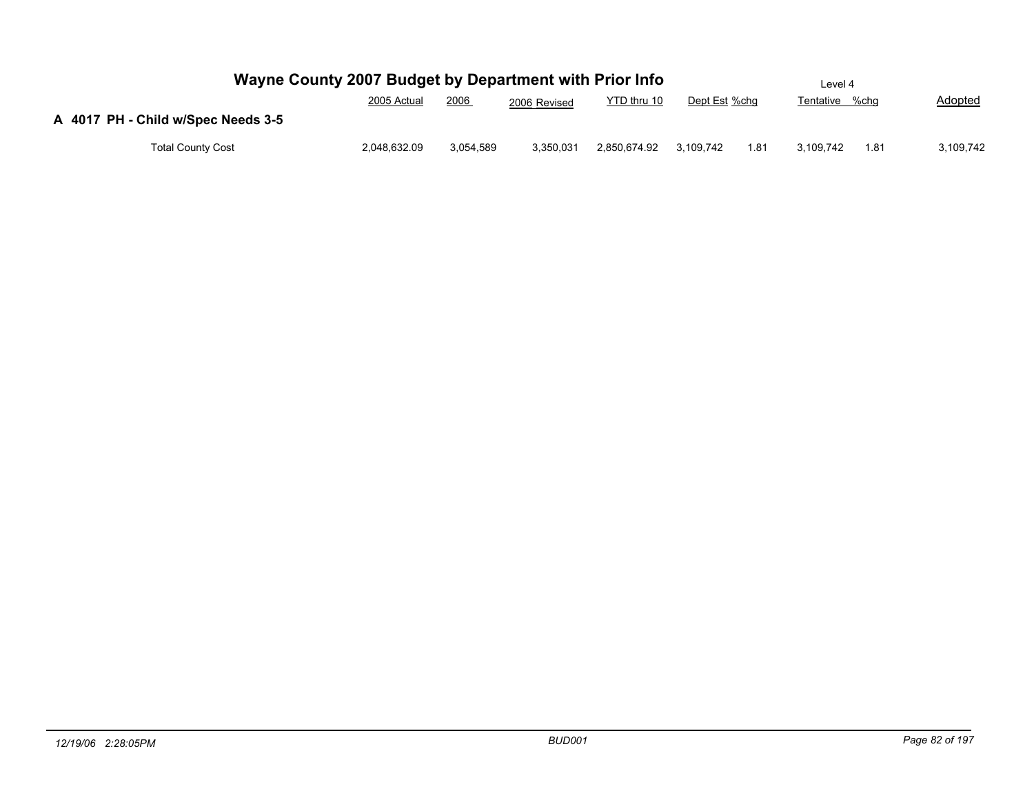| Wayne County 2007 Budget by Department with Prior Info |              |           |              |              |               |      | Level 4        |      |                |
|--------------------------------------------------------|--------------|-----------|--------------|--------------|---------------|------|----------------|------|----------------|
|                                                        | 2005 Actual  | 2006      | 2006 Revised | YTD thru 10  | Dept Est %chg |      | Tentative %chg |      | <b>Adopted</b> |
| A 4017 PH - Child w/Spec Needs 3-5                     |              |           |              |              |               |      |                |      |                |
| <b>Total County Cost</b>                               | 2,048,632.09 | 3.054.589 | 3,350,031    | 2,850,674.92 | 3.109.742     | 1.81 | 3.109.742      | 1.81 | 3,109,742      |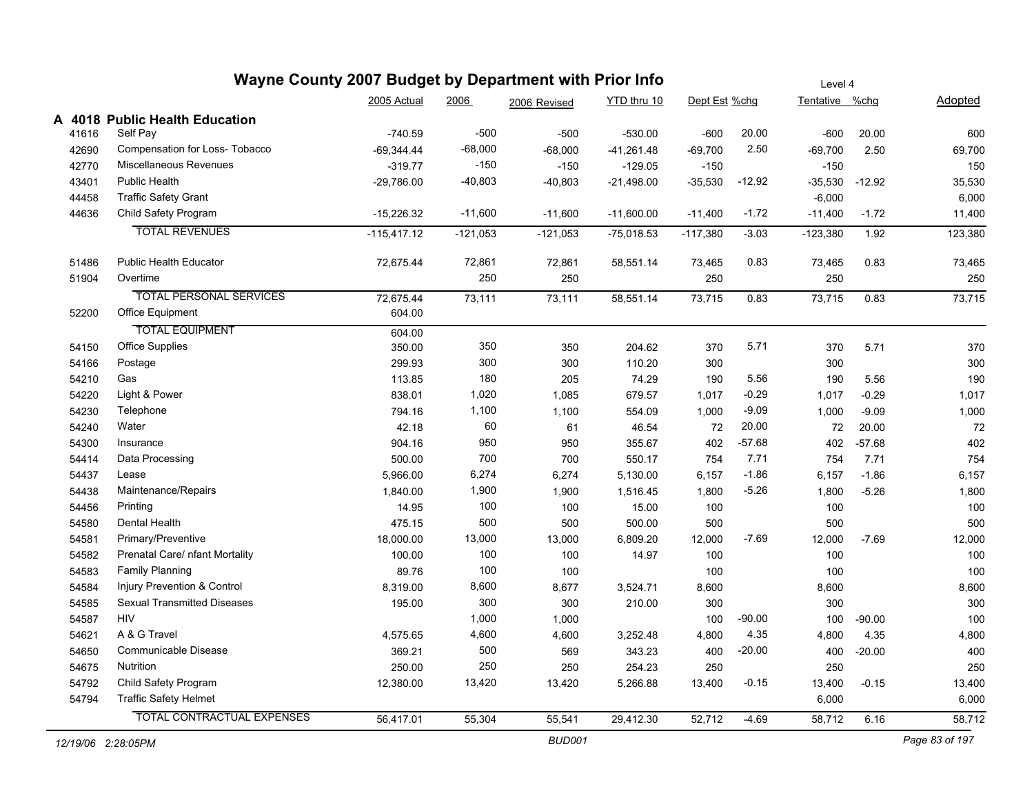|                    | Wayne County 2007 Budget by Department with Prior Info |               |            |               |              |               |          | Level 4        |          |                |
|--------------------|--------------------------------------------------------|---------------|------------|---------------|--------------|---------------|----------|----------------|----------|----------------|
|                    |                                                        | 2005 Actual   | 2006       | 2006 Revised  | YTD thru 10  | Dept Est %chg |          | Tentative %chg |          | <b>Adopted</b> |
|                    | A 4018 Public Health Education                         |               |            |               |              |               |          |                |          |                |
| 41616              | Self Pay                                               | $-740.59$     | $-500$     | $-500$        | $-530.00$    | $-600$        | 20.00    | $-600$         | 20.00    | 600            |
| 42690              | Compensation for Loss- Tobacco                         | $-69,344.44$  | $-68,000$  | $-68,000$     | $-41,261.48$ | $-69,700$     | 2.50     | $-69,700$      | 2.50     | 69,700         |
| 42770              | Miscellaneous Revenues                                 | $-319.77$     | $-150$     | $-150$        | $-129.05$    | $-150$        |          | $-150$         |          | 150            |
| 43401              | Public Health                                          | $-29,786.00$  | $-40,803$  | $-40,803$     | $-21,498.00$ | $-35,530$     | $-12.92$ | $-35,530$      | $-12.92$ | 35,530         |
| 44458              | <b>Traffic Safety Grant</b>                            |               |            |               |              |               |          | $-6,000$       |          | 6,000          |
| 44636              | Child Safety Program                                   | $-15,226.32$  | $-11,600$  | $-11,600$     | $-11,600.00$ | $-11,400$     | $-1.72$  | $-11,400$      | $-1.72$  | 11,400         |
|                    | <b>TOTAL REVENUES</b>                                  | $-115,417.12$ | $-121,053$ | $-121,053$    | $-75,018.53$ | $-117,380$    | $-3.03$  | $-123,380$     | 1.92     | 123,380        |
| 51486              | <b>Public Health Educator</b>                          | 72,675.44     | 72,861     | 72,861        | 58,551.14    | 73,465        | 0.83     | 73,465         | 0.83     | 73,465         |
| 51904              | Overtime                                               |               | 250        | 250           |              | 250           |          | 250            |          | 250            |
|                    | <b>TOTAL PERSONAL SERVICES</b>                         | 72,675.44     | 73,111     | 73,111        | 58,551.14    | 73,715        | 0.83     | 73,715         | 0.83     | 73,715         |
| 52200              | Office Equipment                                       | 604.00        |            |               |              |               |          |                |          |                |
|                    | <b>TOTAL EQUIPMENT</b>                                 | 604.00        |            |               |              |               |          |                |          |                |
| 54150              | Office Supplies                                        | 350.00        | 350        | 350           | 204.62       | 370           | 5.71     | 370            | 5.71     | 370            |
| 54166              | Postage                                                | 299.93        | 300        | 300           | 110.20       | 300           |          | 300            |          | 300            |
| 54210              | Gas                                                    | 113.85        | 180        | 205           | 74.29        | 190           | 5.56     | 190            | 5.56     | 190            |
| 54220              | Light & Power                                          | 838.01        | 1,020      | 1,085         | 679.57       | 1,017         | $-0.29$  | 1,017          | $-0.29$  | 1,017          |
| 54230              | Telephone                                              | 794.16        | 1,100      | 1,100         | 554.09       | 1,000         | $-9.09$  | 1,000          | $-9.09$  | 1,000          |
| 54240              | Water                                                  | 42.18         | 60         | 61            | 46.54        | 72            | 20.00    | 72             | 20.00    | 72             |
| 54300              | Insurance                                              | 904.16        | 950        | 950           | 355.67       | 402           | $-57.68$ | 402            | $-57.68$ | 402            |
| 54414              | Data Processing                                        | 500.00        | 700        | 700           | 550.17       | 754           | 7.71     | 754            | 7.71     | 754            |
| 54437              | Lease                                                  | 5,966.00      | 6,274      | 6,274         | 5,130.00     | 6,157         | $-1.86$  | 6,157          | $-1.86$  | 6,157          |
| 54438              | Maintenance/Repairs                                    | 1,840.00      | 1,900      | 1,900         | 1,516.45     | 1,800         | $-5.26$  | 1,800          | $-5.26$  | 1,800          |
| 54456              | Printing                                               | 14.95         | 100        | 100           | 15.00        | 100           |          | 100            |          | 100            |
| 54580              | Dental Health                                          | 475.15        | 500        | 500           | 500.00       | 500           |          | 500            |          | 500            |
| 54581              | Primary/Preventive                                     | 18,000.00     | 13,000     | 13,000        | 6,809.20     | 12,000        | $-7.69$  | 12,000         | $-7.69$  | 12,000         |
| 54582              | Prenatal Care/ nfant Mortality                         | 100.00        | 100        | 100           | 14.97        | 100           |          | 100            |          | 100            |
| 54583              | <b>Family Planning</b>                                 | 89.76         | 100        | 100           |              | 100           |          | 100            |          | 100            |
| 54584              | Injury Prevention & Control                            | 8,319.00      | 8,600      | 8,677         | 3,524.71     | 8,600         |          | 8,600          |          | 8,600          |
| 54585              | <b>Sexual Transmitted Diseases</b>                     | 195.00        | 300        | 300           | 210.00       | 300           |          | 300            |          | 300            |
| 54587              | <b>HIV</b>                                             |               | 1,000      | 1,000         |              | 100           | $-90.00$ | 100            | $-90.00$ | 100            |
| 54621              | A & G Travel                                           | 4,575.65      | 4,600      | 4,600         | 3,252.48     | 4,800         | 4.35     | 4,800          | 4.35     | 4,800          |
| 54650              | Communicable Disease                                   | 369.21        | 500        | 569           | 343.23       | 400           | $-20.00$ | 400            | $-20.00$ | 400            |
| 54675              | Nutrition                                              | 250.00        | 250        | 250           | 254.23       | 250           |          | 250            |          | 250            |
| 54792              | Child Safety Program                                   | 12,380.00     | 13,420     | 13,420        | 5,266.88     | 13,400        | $-0.15$  | 13,400         | $-0.15$  | 13,400         |
| 54794              | <b>Traffic Safety Helmet</b>                           |               |            |               |              |               |          | 6,000          |          | 6,000          |
|                    | TOTAL CONTRACTUAL EXPENSES                             | 56,417.01     | 55,304     | 55,541        | 29,412.30    | 52,712        | $-4.69$  | 58,712         | 6.16     | 58,712         |
| 12/19/06 2:28:05PM |                                                        |               |            | <b>BUD001</b> |              |               |          |                |          | Page 83 of 197 |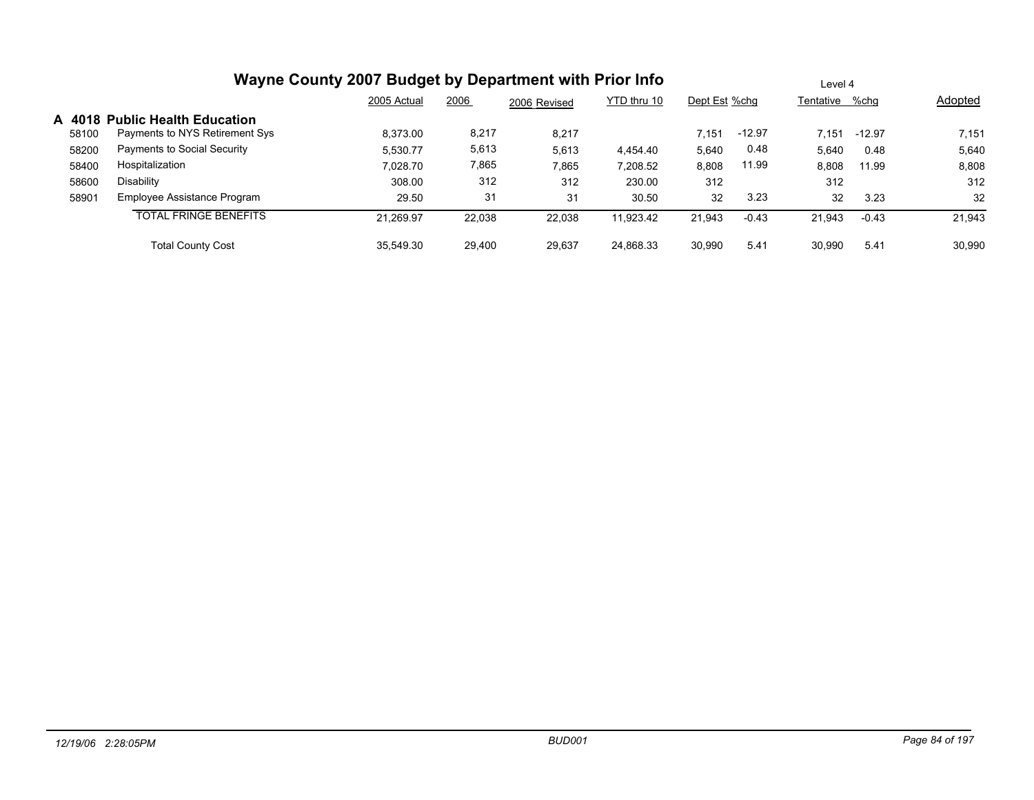|       | Wayne County 2007 Budget by Department with Prior Info |             |        | Level 4      |             |               |          |           |          |         |
|-------|--------------------------------------------------------|-------------|--------|--------------|-------------|---------------|----------|-----------|----------|---------|
|       |                                                        | 2005 Actual | 2006   | 2006 Revised | YTD thru 10 | Dept Est %chg |          | Tentative | %chq     | Adopted |
|       | A 4018 Public Health Education                         |             |        |              |             |               |          |           |          |         |
| 58100 | Payments to NYS Retirement Sys                         | 8,373.00    | 8,217  | 8,217        |             | 7.151         | $-12.97$ | 7.151     | $-12.97$ | 7,151   |
| 58200 | Payments to Social Security                            | 5,530.77    | 5,613  | 5,613        | 4.454.40    | 5,640         | 0.48     | 5,640     | 0.48     | 5,640   |
| 58400 | Hospitalization                                        | 7.028.70    | 7,865  | 7,865        | 7.208.52    | 8,808         | 11.99    | 8,808     | 11.99    | 8,808   |
| 58600 | Disability                                             | 308.00      | 312    | 312          | 230.00      | 312           |          | 312       |          | 312     |
| 58901 | Employee Assistance Program                            | 29.50       | 31     | 31           | 30.50       | 32            | 3.23     | 32        | 3.23     | 32      |
|       | <b>TOTAL FRINGE BENEFITS</b>                           | 21.269.97   | 22,038 | 22,038       | 11.923.42   | 21,943        | $-0.43$  | 21.943    | $-0.43$  | 21,943  |
|       | <b>Total County Cost</b>                               | 35.549.30   | 29.400 | 29,637       | 24,868.33   | 30,990        | 5.41     | 30.990    | 5.41     | 30,990  |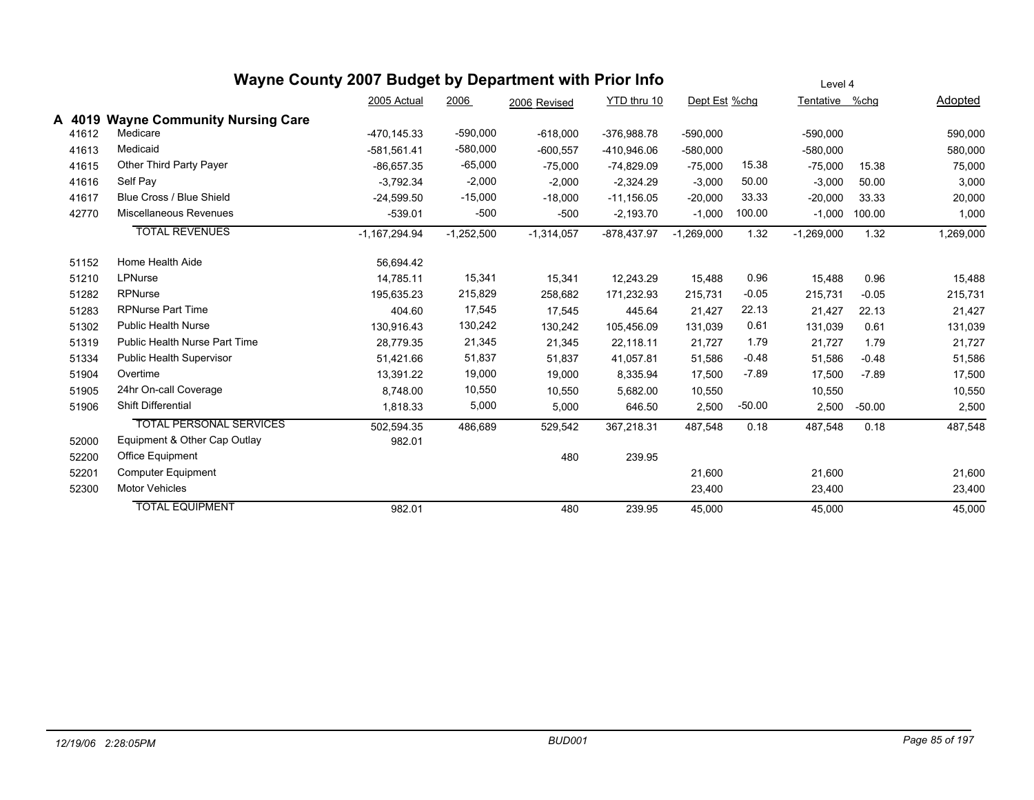|        |                                     | Wayne County 2007 Budget by Department with Prior Info |              |              |              |               |          | Level 4        |          |                |
|--------|-------------------------------------|--------------------------------------------------------|--------------|--------------|--------------|---------------|----------|----------------|----------|----------------|
|        |                                     | 2005 Actual                                            | 2006         | 2006 Revised | YTD thru 10  | Dept Est %chg |          | Tentative %chg |          | <b>Adopted</b> |
| A 4019 | <b>Wayne Community Nursing Care</b> |                                                        |              |              |              |               |          |                |          |                |
| 41612  | Medicare                            | -470.145.33                                            | $-590,000$   | $-618,000$   | -376,988.78  | $-590,000$    |          | $-590,000$     |          | 590,000        |
| 41613  | Medicaid                            | $-581,561.41$                                          | $-580,000$   | $-600,557$   | -410,946.06  | $-580,000$    |          | $-580,000$     |          | 580,000        |
| 41615  | Other Third Party Payer             | $-86,657.35$                                           | $-65,000$    | $-75,000$    | $-74,829.09$ | $-75,000$     | 15.38    | $-75,000$      | 15.38    | 75,000         |
| 41616  | Self Pay                            | $-3,792.34$                                            | $-2,000$     | $-2,000$     | $-2,324.29$  | $-3,000$      | 50.00    | $-3,000$       | 50.00    | 3,000          |
| 41617  | Blue Cross / Blue Shield            | $-24.599.50$                                           | $-15,000$    | $-18,000$    | $-11,156.05$ | $-20,000$     | 33.33    | $-20,000$      | 33.33    | 20,000         |
| 42770  | Miscellaneous Revenues              | $-539.01$                                              | $-500$       | $-500$       | $-2,193.70$  | $-1,000$      | 100.00   | $-1,000$       | 100.00   | 1,000          |
|        | <b>TOTAL REVENUES</b>               | $-1,167,294.94$                                        | $-1,252,500$ | $-1,314,057$ | -878,437.97  | $-1,269,000$  | 1.32     | $-1,269,000$   | 1.32     | 1,269,000      |
| 51152  | Home Health Aide                    | 56,694.42                                              |              |              |              |               |          |                |          |                |
| 51210  | LPNurse                             | 14.785.11                                              | 15,341       | 15,341       | 12,243.29    | 15,488        | 0.96     | 15,488         | 0.96     | 15,488         |
| 51282  | <b>RPNurse</b>                      | 195,635.23                                             | 215,829      | 258,682      | 171,232.93   | 215,731       | $-0.05$  | 215,731        | $-0.05$  | 215,731        |
| 51283  | <b>RPNurse Part Time</b>            | 404.60                                                 | 17,545       | 17,545       | 445.64       | 21,427        | 22.13    | 21,427         | 22.13    | 21,427         |
| 51302  | <b>Public Health Nurse</b>          | 130.916.43                                             | 130,242      | 130,242      | 105,456.09   | 131,039       | 0.61     | 131,039        | 0.61     | 131,039        |
| 51319  | Public Health Nurse Part Time       | 28.779.35                                              | 21,345       | 21,345       | 22,118.11    | 21,727        | 1.79     | 21,727         | 1.79     | 21,727         |
| 51334  | Public Health Supervisor            | 51,421.66                                              | 51,837       | 51,837       | 41,057.81    | 51,586        | $-0.48$  | 51,586         | $-0.48$  | 51,586         |
| 51904  | Overtime                            | 13,391.22                                              | 19,000       | 19,000       | 8,335.94     | 17,500        | $-7.89$  | 17,500         | $-7.89$  | 17,500         |
| 51905  | 24hr On-call Coverage               | 8,748.00                                               | 10,550       | 10,550       | 5,682.00     | 10,550        |          | 10,550         |          | 10,550         |
| 51906  | <b>Shift Differential</b>           | 1,818.33                                               | 5,000        | 5,000        | 646.50       | 2,500         | $-50.00$ | 2,500          | $-50.00$ | 2,500          |
|        | <b>TOTAL PERSONAL SERVICES</b>      | 502,594.35                                             | 486,689      | 529,542      | 367,218.31   | 487,548       | 0.18     | 487,548        | 0.18     | 487,548        |
| 52000  | Equipment & Other Cap Outlay        | 982.01                                                 |              |              |              |               |          |                |          |                |
| 52200  | Office Equipment                    |                                                        |              | 480          | 239.95       |               |          |                |          |                |
| 52201  | <b>Computer Equipment</b>           |                                                        |              |              |              | 21,600        |          | 21,600         |          | 21,600         |
| 52300  | <b>Motor Vehicles</b>               |                                                        |              |              |              | 23,400        |          | 23,400         |          | 23,400         |
|        | <b>TOTAL EQUIPMENT</b>              | 982.01                                                 |              | 480          | 239.95       | 45,000        |          | 45,000         |          | 45,000         |
|        |                                     |                                                        |              |              |              |               |          |                |          |                |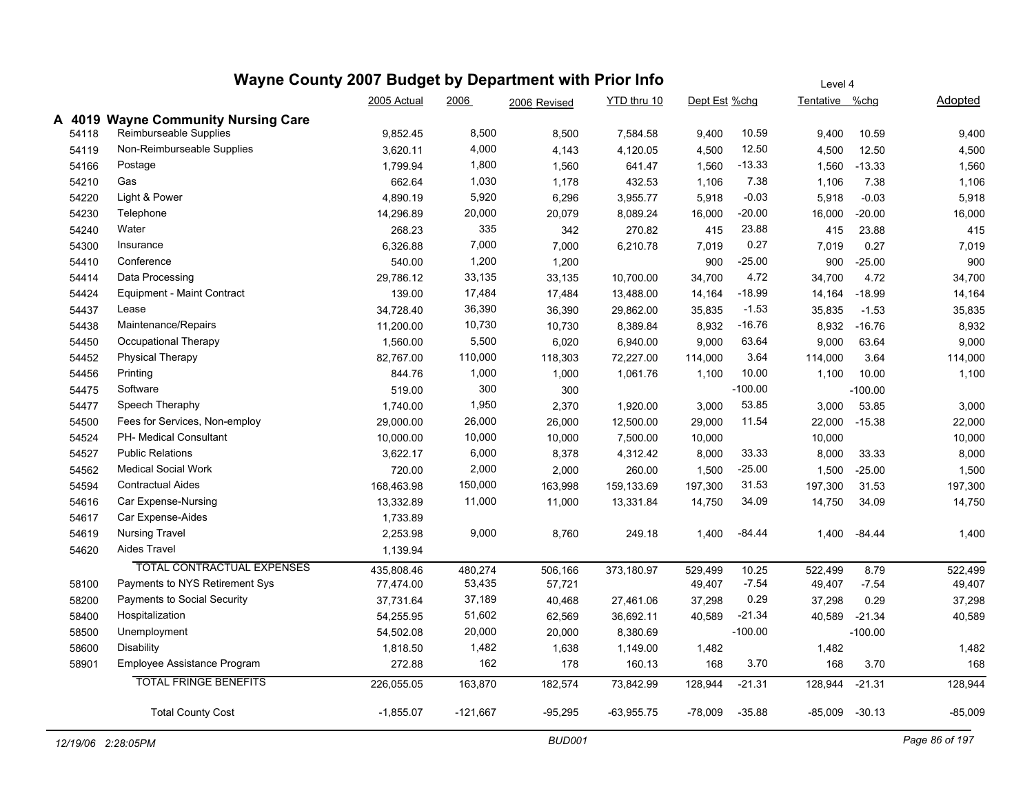|        | Wayne County 2007 Budget by Department with Prior Info | Level 4     |            |              |              |               |           |                |                    |           |
|--------|--------------------------------------------------------|-------------|------------|--------------|--------------|---------------|-----------|----------------|--------------------|-----------|
|        |                                                        | 2005 Actual | 2006       | 2006 Revised | YTD thru 10  | Dept Est %chg |           | Tentative %chg |                    | Adopted   |
| A 4019 | <b>Wayne Community Nursing Care</b>                    |             |            |              |              |               |           |                |                    |           |
| 54118  | Reimburseable Supplies                                 | 9,852.45    | 8,500      | 8,500        | 7,584.58     | 9,400         | 10.59     | 9,400          | 10.59              | 9,400     |
| 54119  | Non-Reimburseable Supplies                             | 3,620.11    | 4,000      | 4,143        | 4,120.05     | 4,500         | 12.50     | 4,500          | 12.50              | 4,500     |
| 54166  | Postage                                                | 1,799.94    | 1,800      | 1,560        | 641.47       | 1,560         | $-13.33$  | 1,560          | $-13.33$           | 1,560     |
| 54210  | Gas                                                    | 662.64      | 1,030      | 1,178        | 432.53       | 1,106         | 7.38      | 1,106          | 7.38               | 1,106     |
| 54220  | Light & Power                                          | 4,890.19    | 5,920      | 6,296        | 3,955.77     | 5,918         | $-0.03$   | 5,918          | $-0.03$            | 5,918     |
| 54230  | Telephone                                              | 14,296.89   | 20,000     | 20,079       | 8,089.24     | 16,000        | $-20.00$  | 16,000         | $-20.00$           | 16,000    |
| 54240  | Water                                                  | 268.23      | 335        | 342          | 270.82       | 415           | 23.88     | 415            | 23.88              | 415       |
| 54300  | Insurance                                              | 6,326.88    | 7,000      | 7,000        | 6,210.78     | 7,019         | 0.27      | 7,019          | 0.27               | 7,019     |
| 54410  | Conference                                             | 540.00      | 1,200      | 1,200        |              | 900           | $-25.00$  | 900            | $-25.00$           | 900       |
| 54414  | Data Processing                                        | 29,786.12   | 33,135     | 33,135       | 10,700.00    | 34,700        | 4.72      | 34,700         | 4.72               | 34,700    |
| 54424  | Equipment - Maint Contract                             | 139.00      | 17,484     | 17,484       | 13,488.00    | 14,164        | -18.99    | 14,164         | $-18.99$           | 14,164    |
| 54437  | Lease                                                  | 34,728.40   | 36,390     | 36,390       | 29,862.00    | 35,835        | $-1.53$   | 35,835         | $-1.53$            | 35,835    |
| 54438  | Maintenance/Repairs                                    | 11,200.00   | 10,730     | 10,730       | 8,389.84     | 8,932         | $-16.76$  | 8,932          | $-16.76$           | 8,932     |
| 54450  | Occupational Therapy                                   | 1,560.00    | 5,500      | 6,020        | 6,940.00     | 9,000         | 63.64     | 9,000          | 63.64              | 9,000     |
| 54452  | <b>Physical Therapy</b>                                | 82,767.00   | 110,000    | 118,303      | 72,227.00    | 114,000       | 3.64      | 114,000        | 3.64               | 114,000   |
| 54456  | Printing                                               | 844.76      | 1,000      | 1,000        | 1,061.76     | 1,100         | 10.00     | 1,100          | 10.00              | 1,100     |
| 54475  | Software                                               | 519.00      | 300        | 300          |              |               | $-100.00$ |                | $-100.00$          |           |
| 54477  | Speech Theraphy                                        | 1,740.00    | 1,950      | 2,370        | 1,920.00     | 3,000         | 53.85     | 3,000          | 53.85              | 3,000     |
| 54500  | Fees for Services, Non-employ                          | 29,000.00   | 26,000     | 26,000       | 12,500.00    | 29,000        | 11.54     | 22,000         | $-15.38$           | 22,000    |
| 54524  | PH- Medical Consultant                                 | 10,000.00   | 10,000     | 10,000       | 7,500.00     | 10,000        |           | 10,000         |                    | 10,000    |
| 54527  | <b>Public Relations</b>                                | 3,622.17    | 6,000      | 8,378        | 4,312.42     | 8,000         | 33.33     | 8,000          | 33.33              | 8,000     |
| 54562  | <b>Medical Social Work</b>                             | 720.00      | 2,000      | 2,000        | 260.00       | 1,500         | -25.00    | 1,500          | $-25.00$           | 1,500     |
| 54594  | <b>Contractual Aides</b>                               | 168,463.98  | 150,000    | 163,998      | 159,133.69   | 197,300       | 31.53     | 197,300        | 31.53              | 197,300   |
| 54616  | Car Expense-Nursing                                    | 13,332.89   | 11,000     | 11,000       | 13,331.84    | 14,750        | 34.09     | 14,750         | 34.09              | 14,750    |
| 54617  | Car Expense-Aides                                      | 1,733.89    |            |              |              |               |           |                |                    |           |
| 54619  | <b>Nursing Travel</b>                                  | 2,253.98    | 9,000      | 8,760        | 249.18       | 1,400         | $-84.44$  | 1,400          | $-84.44$           | 1,400     |
| 54620  | Aides Travel                                           | 1,139.94    |            |              |              |               |           |                |                    |           |
|        | TOTAL CONTRACTUAL EXPENSES                             | 435,808.46  | 480,274    | 506,166      | 373,180.97   | 529,499       | 10.25     | 522,499        | 8.79               | 522,499   |
| 58100  | Payments to NYS Retirement Sys                         | 77,474.00   | 53,435     | 57,721       |              | 49,407        | $-7.54$   | 49,407         | $-7.54$            | 49,407    |
| 58200  | Payments to Social Security                            | 37,731.64   | 37,189     | 40,468       | 27,461.06    | 37,298        | 0.29      | 37,298         | 0.29               | 37,298    |
| 58400  | Hospitalization                                        | 54,255.95   | 51,602     | 62,569       | 36,692.11    | 40,589        | $-21.34$  | 40,589         | $-21.34$           | 40,589    |
| 58500  | Unemployment                                           | 54,502.08   | 20,000     | 20,000       | 8,380.69     |               | $-100.00$ |                | $-100.00$          |           |
| 58600  | <b>Disability</b>                                      | 1,818.50    | 1,482      | 1,638        | 1,149.00     | 1,482         |           | 1,482          |                    | 1,482     |
| 58901  | Employee Assistance Program                            | 272.88      | 162        | 178          | 160.13       | 168           | 3.70      | 168            | 3.70               | 168       |
|        | <b>TOTAL FRINGE BENEFITS</b>                           | 226,055.05  | 163,870    | 182,574      | 73,842.99    | 128,944       | $-21.31$  | 128,944        | $-21.31$           | 128,944   |
|        | <b>Total County Cost</b>                               | $-1,855.07$ | $-121,667$ | $-95,295$    | $-63,955.75$ | $-78,009$     | $-35.88$  |                | $-85,009$ $-30.13$ | $-85,009$ |
|        |                                                        |             |            |              |              |               |           |                |                    |           |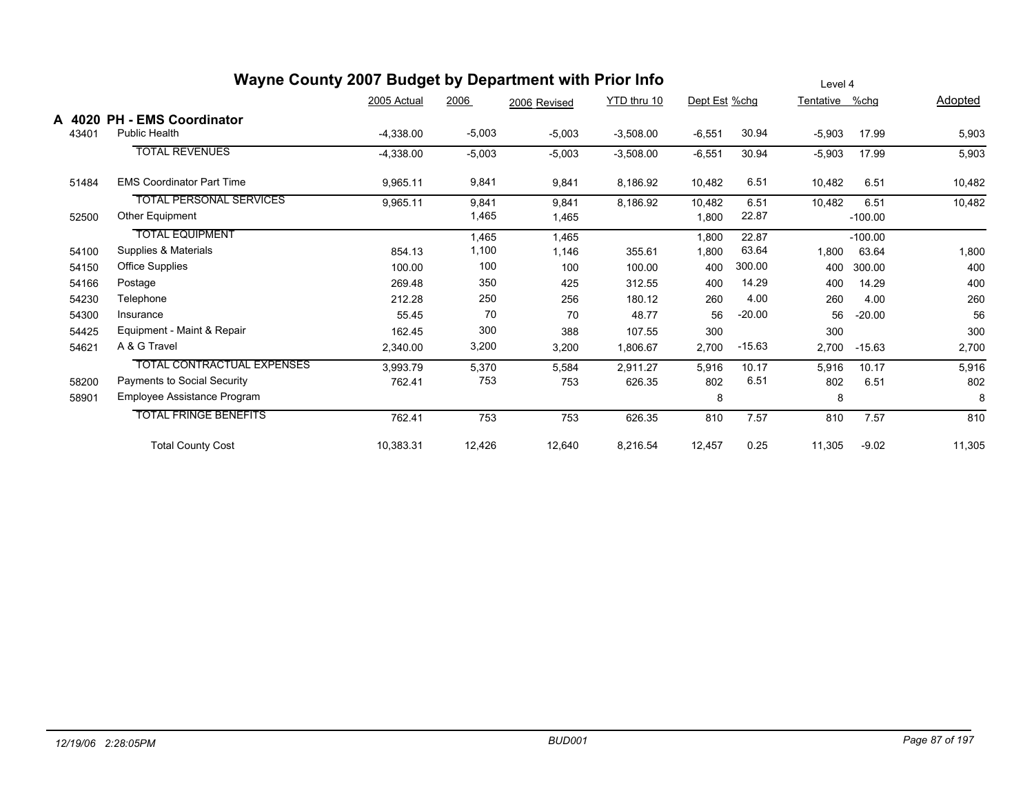|                 | Wayne County 2007 Budget by Department with Prior Info |             | Level 4  |              |             |               |          |           |           |         |
|-----------------|--------------------------------------------------------|-------------|----------|--------------|-------------|---------------|----------|-----------|-----------|---------|
|                 |                                                        | 2005 Actual | 2006     | 2006 Revised | YTD thru 10 | Dept Est %chg |          | Tentative | %chg      | Adopted |
| A 4020<br>43401 | <b>PH - EMS Coordinator</b><br><b>Public Health</b>    | $-4,338.00$ | $-5,003$ | $-5,003$     | $-3,508.00$ | $-6,551$      | 30.94    | $-5,903$  | 17.99     | 5,903   |
|                 | <b>TOTAL REVENUES</b>                                  | $-4,338.00$ | $-5,003$ | $-5,003$     | $-3,508.00$ | $-6,551$      | 30.94    | $-5,903$  | 17.99     | 5,903   |
| 51484           | <b>EMS Coordinator Part Time</b>                       | 9,965.11    | 9,841    | 9,841        | 8,186.92    | 10,482        | 6.51     | 10,482    | 6.51      | 10,482  |
|                 | <b>TOTAL PERSONAL SERVICES</b>                         | 9,965.11    | 9,841    | 9,841        | 8,186.92    | 10,482        | 6.51     | 10,482    | 6.51      | 10,482  |
| 52500           | Other Equipment                                        |             | 1,465    | 1,465        |             | 1,800         | 22.87    |           | $-100.00$ |         |
|                 | <b>TOTAL EQUIPMENT</b>                                 |             | 1,465    | 1,465        |             | 1,800         | 22.87    |           | $-100.00$ |         |
| 54100           | Supplies & Materials                                   | 854.13      | 1,100    | 1,146        | 355.61      | 1,800         | 63.64    | 1,800     | 63.64     | 1,800   |
| 54150           | <b>Office Supplies</b>                                 | 100.00      | 100      | 100          | 100.00      | 400           | 300.00   | 400       | 300.00    | 400     |
| 54166           | Postage                                                | 269.48      | 350      | 425          | 312.55      | 400           | 14.29    | 400       | 14.29     | 400     |
| 54230           | Telephone                                              | 212.28      | 250      | 256          | 180.12      | 260           | 4.00     | 260       | 4.00      | 260     |
| 54300           | Insurance                                              | 55.45       | 70       | 70           | 48.77       | 56            | $-20.00$ | 56        | $-20.00$  | 56      |
| 54425           | Equipment - Maint & Repair                             | 162.45      | 300      | 388          | 107.55      | 300           |          | 300       |           | 300     |
| 54621           | A & G Travel                                           | 2,340.00    | 3,200    | 3,200        | 1,806.67    | 2,700         | $-15.63$ | 2,700     | $-15.63$  | 2,700   |
|                 | <b>TOTAL CONTRACTUAL EXPENSES</b>                      | 3,993.79    | 5,370    | 5,584        | 2.911.27    | 5,916         | 10.17    | 5,916     | 10.17     | 5,916   |
| 58200           | Payments to Social Security                            | 762.41      | 753      | 753          | 626.35      | 802           | 6.51     | 802       | 6.51      | 802     |
| 58901           | Employee Assistance Program                            |             |          |              |             | 8             |          | 8         |           | 8       |
|                 | <b>TOTAL FRINGE BENEFITS</b>                           | 762.41      | 753      | 753          | 626.35      | 810           | 7.57     | 810       | 7.57      | 810     |
|                 | <b>Total County Cost</b>                               | 10,383.31   | 12,426   | 12,640       | 8,216.54    | 12,457        | 0.25     | 11,305    | $-9.02$   | 11,305  |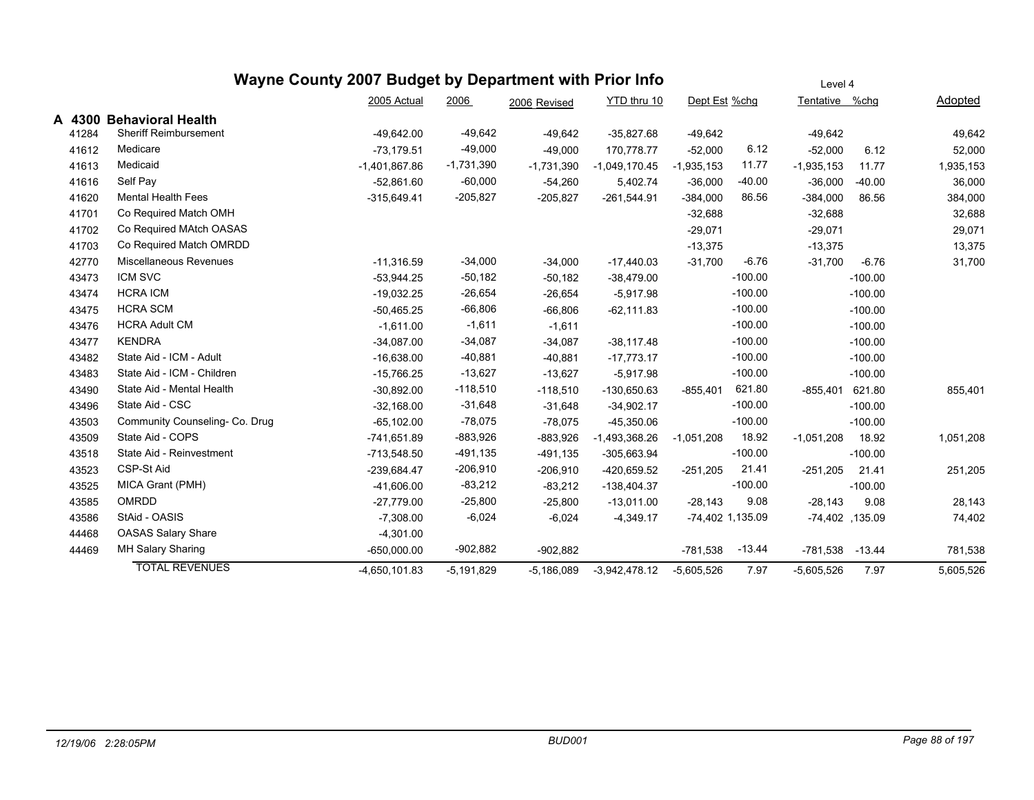|        |                                | Wayne County 2007 Budget by Department with Prior Info |              |              |                 |                  |           | Level 4        |                    |           |
|--------|--------------------------------|--------------------------------------------------------|--------------|--------------|-----------------|------------------|-----------|----------------|--------------------|-----------|
|        |                                | 2005 Actual                                            | 2006         | 2006 Revised | YTD thru 10     | Dept Est %chg    |           | Tentative %chq |                    | Adopted   |
| A 4300 | <b>Behavioral Health</b>       |                                                        |              |              |                 |                  |           |                |                    |           |
| 41284  | <b>Sheriff Reimbursement</b>   | $-49,642.00$                                           | $-49,642$    | $-49,642$    | $-35,827.68$    | $-49,642$        |           | $-49,642$      |                    | 49,642    |
| 41612  | Medicare                       | $-73,179.51$                                           | $-49,000$    | $-49,000$    | 170,778.77      | $-52,000$        | 6.12      | $-52,000$      | 6.12               | 52,000    |
| 41613  | Medicaid                       | $-1,401,867.86$                                        | $-1,731,390$ | $-1,731,390$ | $-1,049,170.45$ | $-1,935,153$     | 11.77     | $-1,935,153$   | 11.77              | 1,935,153 |
| 41616  | Self Pay                       | $-52,861.60$                                           | $-60,000$    | $-54,260$    | 5,402.74        | $-36,000$        | $-40.00$  | $-36,000$      | $-40.00$           | 36,000    |
| 41620  | <b>Mental Health Fees</b>      | $-315,649.41$                                          | $-205,827$   | $-205,827$   | $-261,544.91$   | $-384,000$       | 86.56     | $-384,000$     | 86.56              | 384,000   |
| 41701  | Co Required Match OMH          |                                                        |              |              |                 | $-32,688$        |           | $-32,688$      |                    | 32,688    |
| 41702  | Co Required MAtch OASAS        |                                                        |              |              |                 | $-29,071$        |           | $-29,071$      |                    | 29,071    |
| 41703  | Co Required Match OMRDD        |                                                        |              |              |                 | $-13,375$        |           | $-13,375$      |                    | 13,375    |
| 42770  | Miscellaneous Revenues         | $-11,316.59$                                           | $-34,000$    | $-34,000$    | $-17,440.03$    | $-31,700$        | $-6.76$   | $-31,700$      | $-6.76$            | 31,700    |
| 43473  | ICM SVC                        | $-53,944.25$                                           | $-50,182$    | $-50,182$    | $-38,479.00$    |                  | $-100.00$ |                | $-100.00$          |           |
| 43474  | <b>HCRA ICM</b>                | $-19,032.25$                                           | $-26,654$    | $-26,654$    | $-5,917.98$     |                  | $-100.00$ |                | $-100.00$          |           |
| 43475  | <b>HCRA SCM</b>                | $-50,465.25$                                           | $-66,806$    | $-66,806$    | $-62, 111.83$   |                  | $-100.00$ |                | $-100.00$          |           |
| 43476  | <b>HCRA Adult CM</b>           | $-1,611.00$                                            | $-1,611$     | $-1,611$     |                 |                  | $-100.00$ |                | $-100.00$          |           |
| 43477  | <b>KENDRA</b>                  | $-34,087.00$                                           | $-34,087$    | $-34,087$    | $-38,117.48$    |                  | $-100.00$ |                | $-100.00$          |           |
| 43482  | State Aid - ICM - Adult        | $-16,638.00$                                           | $-40,881$    | $-40,881$    | $-17,773.17$    |                  | $-100.00$ |                | $-100.00$          |           |
| 43483  | State Aid - ICM - Children     | $-15,766.25$                                           | $-13,627$    | $-13,627$    | $-5,917.98$     |                  | $-100.00$ |                | $-100.00$          |           |
| 43490  | State Aid - Mental Health      | $-30,892.00$                                           | $-118,510$   | $-118,510$   | $-130,650.63$   | $-855,401$       | 621.80    | $-855,401$     | 621.80             | 855,401   |
| 43496  | State Aid - CSC                | $-32.168.00$                                           | $-31,648$    | $-31,648$    | $-34,902.17$    |                  | $-100.00$ |                | $-100.00$          |           |
| 43503  | Community Counseling- Co. Drug | $-65, 102.00$                                          | $-78,075$    | $-78,075$    | $-45,350.06$    |                  | $-100.00$ |                | $-100.00$          |           |
| 43509  | State Aid - COPS               | $-741,651.89$                                          | $-883,926$   | $-883,926$   | $-1,493,368.26$ | $-1,051,208$     | 18.92     | $-1,051,208$   | 18.92              | 1,051,208 |
| 43518  | State Aid - Reinvestment       | $-713,548.50$                                          | $-491,135$   | $-491,135$   | $-305,663.94$   |                  | $-100.00$ |                | $-100.00$          |           |
| 43523  | CSP-St Aid                     | $-239,684.47$                                          | $-206,910$   | $-206,910$   | -420,659.52     | $-251,205$       | 21.41     | $-251,205$     | 21.41              | 251,205   |
| 43525  | MICA Grant (PMH)               | $-41,606.00$                                           | $-83,212$    | $-83,212$    | $-138,404.37$   |                  | $-100.00$ |                | $-100.00$          |           |
| 43585  | <b>OMRDD</b>                   | $-27,779.00$                                           | $-25,800$    | $-25,800$    | $-13,011.00$    | $-28,143$        | 9.08      | $-28,143$      | 9.08               | 28,143    |
| 43586  | StAid - OASIS                  | $-7,308.00$                                            | $-6,024$     | $-6,024$     | $-4,349.17$     | -74,402 1,135.09 |           |                | $-74,402$ , 135.09 | 74,402    |
| 44468  | OASAS Salary Share             | $-4,301.00$                                            |              |              |                 |                  |           |                |                    |           |
| 44469  | MH Salary Sharing              | $-650,000.00$                                          | $-902,882$   | $-902,882$   |                 | $-781,538$       | $-13.44$  | $-781,538$     | $-13.44$           | 781,538   |
|        | <b>TOTAL REVENUES</b>          | $-4,650,101.83$                                        | $-5,191,829$ | $-5,186,089$ | $-3,942,478.12$ | $-5,605,526$     | 7.97      | $-5,605,526$   | 7.97               | 5,605,526 |
|        |                                |                                                        |              |              |                 |                  |           |                |                    |           |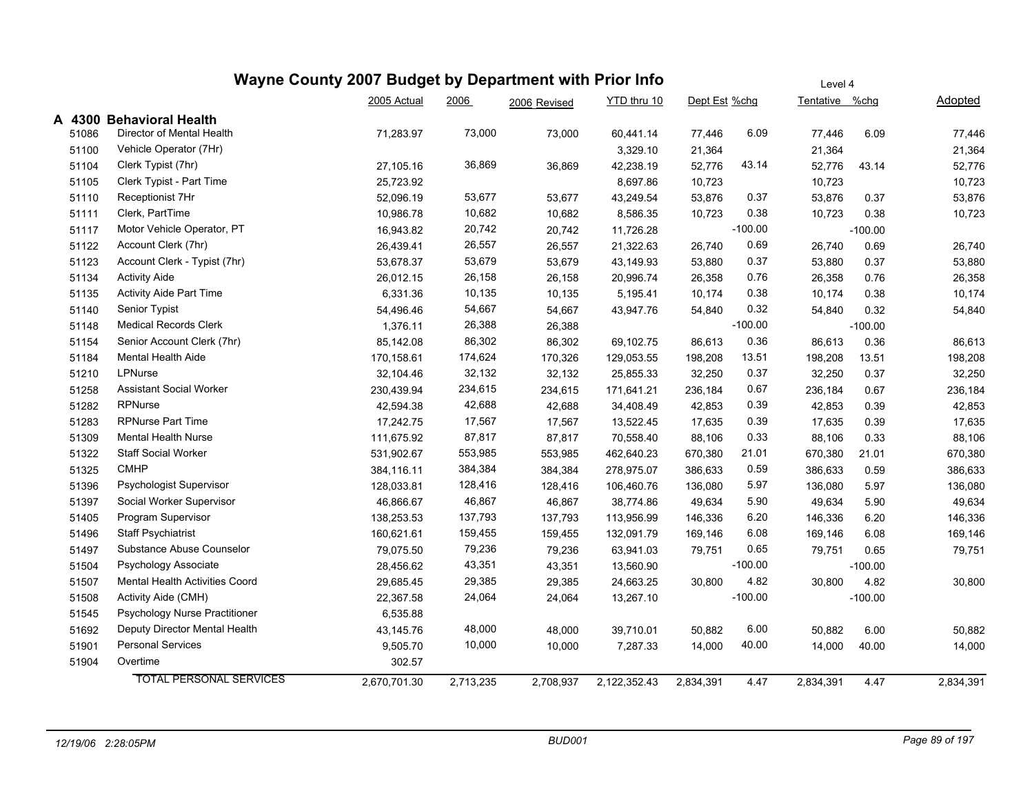|       |                                       | Wayne County 2007 Budget by Department with Prior Info | Level 4   |              |              |               |           |                |           |           |
|-------|---------------------------------------|--------------------------------------------------------|-----------|--------------|--------------|---------------|-----------|----------------|-----------|-----------|
|       |                                       | 2005 Actual                                            | 2006      | 2006 Revised | YTD thru 10  | Dept Est %chg |           | Tentative %chg |           | Adopted   |
|       | A 4300 Behavioral Health              |                                                        |           |              |              |               |           |                |           |           |
| 51086 | Director of Mental Health             | 71,283.97                                              | 73,000    | 73,000       | 60,441.14    | 77,446        | 6.09      | 77,446         | 6.09      | 77,446    |
| 51100 | Vehicle Operator (7Hr)                |                                                        |           |              | 3,329.10     | 21,364        |           | 21,364         |           | 21,364    |
| 51104 | Clerk Typist (7hr)                    | 27,105.16                                              | 36,869    | 36,869       | 42,238.19    | 52,776        | 43.14     | 52,776         | 43.14     | 52,776    |
| 51105 | Clerk Typist - Part Time              | 25,723.92                                              |           |              | 8,697.86     | 10,723        |           | 10,723         |           | 10,723    |
| 51110 | Receptionist 7Hr                      | 52,096.19                                              | 53,677    | 53,677       | 43,249.54    | 53,876        | 0.37      | 53,876         | 0.37      | 53,876    |
| 51111 | Clerk, PartTime                       | 10,986.78                                              | 10,682    | 10,682       | 8,586.35     | 10,723        | 0.38      | 10,723         | 0.38      | 10,723    |
| 51117 | Motor Vehicle Operator, PT            | 16,943.82                                              | 20,742    | 20,742       | 11,726.28    |               | $-100.00$ |                | $-100.00$ |           |
| 51122 | Account Clerk (7hr)                   | 26,439.41                                              | 26,557    | 26,557       | 21,322.63    | 26,740        | 0.69      | 26,740         | 0.69      | 26,740    |
| 51123 | Account Clerk - Typist (7hr)          | 53,678.37                                              | 53,679    | 53,679       | 43,149.93    | 53,880        | 0.37      | 53,880         | 0.37      | 53,880    |
| 51134 | <b>Activity Aide</b>                  | 26,012.15                                              | 26,158    | 26,158       | 20,996.74    | 26,358        | 0.76      | 26,358         | 0.76      | 26,358    |
| 51135 | <b>Activity Aide Part Time</b>        | 6,331.36                                               | 10,135    | 10,135       | 5,195.41     | 10,174        | 0.38      | 10,174         | 0.38      | 10,174    |
| 51140 | Senior Typist                         | 54,496.46                                              | 54,667    | 54,667       | 43,947.76    | 54,840        | 0.32      | 54,840         | 0.32      | 54,840    |
| 51148 | <b>Medical Records Clerk</b>          | 1,376.11                                               | 26,388    | 26,388       |              |               | $-100.00$ |                | $-100.00$ |           |
| 51154 | Senior Account Clerk (7hr)            | 85,142.08                                              | 86,302    | 86,302       | 69,102.75    | 86,613        | 0.36      | 86,613         | 0.36      | 86,613    |
| 51184 | <b>Mental Health Aide</b>             | 170,158.61                                             | 174,624   | 170,326      | 129,053.55   | 198,208       | 13.51     | 198,208        | 13.51     | 198,208   |
| 51210 | LPNurse                               | 32,104.46                                              | 32,132    | 32,132       | 25,855.33    | 32,250        | 0.37      | 32,250         | 0.37      | 32,250    |
| 51258 | <b>Assistant Social Worker</b>        | 230,439.94                                             | 234,615   | 234,615      | 171,641.21   | 236,184       | 0.67      | 236,184        | 0.67      | 236,184   |
| 51282 | <b>RPNurse</b>                        | 42,594.38                                              | 42,688    | 42,688       | 34,408.49    | 42,853        | 0.39      | 42,853         | 0.39      | 42,853    |
| 51283 | <b>RPNurse Part Time</b>              | 17,242.75                                              | 17,567    | 17,567       | 13,522.45    | 17,635        | 0.39      | 17,635         | 0.39      | 17,635    |
| 51309 | <b>Mental Health Nurse</b>            | 111,675.92                                             | 87,817    | 87,817       | 70,558.40    | 88,106        | 0.33      | 88,106         | 0.33      | 88,106    |
| 51322 | Staff Social Worker                   | 531,902.67                                             | 553,985   | 553,985      | 462,640.23   | 670,380       | 21.01     | 670,380        | 21.01     | 670,380   |
| 51325 | <b>CMHP</b>                           | 384,116.11                                             | 384,384   | 384,384      | 278,975.07   | 386,633       | 0.59      | 386,633        | 0.59      | 386,633   |
| 51396 | Psychologist Supervisor               | 128,033.81                                             | 128,416   | 128,416      | 106,460.76   | 136,080       | 5.97      | 136,080        | 5.97      | 136,080   |
| 51397 | Social Worker Supervisor              | 46,866.67                                              | 46,867    | 46,867       | 38,774.86    | 49,634        | 5.90      | 49,634         | 5.90      | 49,634    |
| 51405 | Program Supervisor                    | 138,253.53                                             | 137,793   | 137,793      | 113,956.99   | 146,336       | 6.20      | 146,336        | 6.20      | 146,336   |
| 51496 | <b>Staff Psychiatrist</b>             | 160,621.61                                             | 159,455   | 159,455      | 132,091.79   | 169,146       | 6.08      | 169,146        | 6.08      | 169,146   |
| 51497 | Substance Abuse Counselor             | 79,075.50                                              | 79,236    | 79,236       | 63,941.03    | 79,751        | 0.65      | 79,751         | 0.65      | 79,751    |
| 51504 | Psychology Associate                  | 28,456.62                                              | 43,351    | 43,351       | 13,560.90    |               | $-100.00$ |                | $-100.00$ |           |
| 51507 | <b>Mental Health Activities Coord</b> | 29,685.45                                              | 29,385    | 29,385       | 24,663.25    | 30,800        | 4.82      | 30,800         | 4.82      | 30,800    |
| 51508 | Activity Aide (CMH)                   | 22,367.58                                              | 24,064    | 24,064       | 13,267.10    |               | $-100.00$ |                | $-100.00$ |           |
| 51545 | Psychology Nurse Practitioner         | 6,535.88                                               |           |              |              |               |           |                |           |           |
| 51692 | Deputy Director Mental Health         | 43,145.76                                              | 48,000    | 48,000       | 39,710.01    | 50,882        | 6.00      | 50,882         | 6.00      | 50,882    |
| 51901 | <b>Personal Services</b>              | 9,505.70                                               | 10,000    | 10,000       | 7,287.33     | 14,000        | 40.00     | 14,000         | 40.00     | 14,000    |
| 51904 | Overtime                              | 302.57                                                 |           |              |              |               |           |                |           |           |
|       | <b>TOTAL PERSONAL SERVICES</b>        | 2,670,701.30                                           | 2,713,235 | 2,708,937    | 2,122,352.43 | 2,834,391     | 4.47      | 2,834,391      | 4.47      | 2,834,391 |
|       |                                       |                                                        |           |              |              |               |           |                |           |           |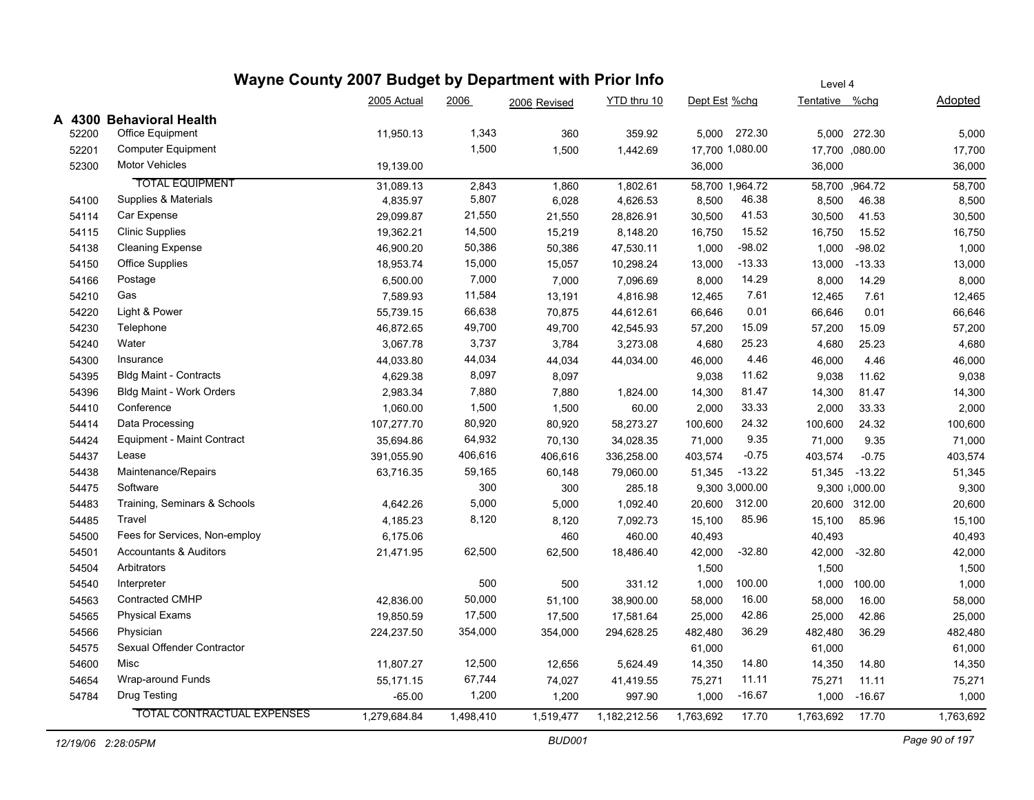|        | Wayne County 2007 Budget by Department with Prior Info |              | Level 4   |              |              |                 |                 |                |                |           |
|--------|--------------------------------------------------------|--------------|-----------|--------------|--------------|-----------------|-----------------|----------------|----------------|-----------|
|        |                                                        | 2005 Actual  | 2006      | 2006 Revised | YTD thru 10  | Dept Est %chg   |                 | Tentative %chg |                | Adopted   |
| A 4300 | <b>Behavioral Health</b>                               |              |           |              |              |                 |                 |                |                |           |
| 52200  | <b>Office Equipment</b>                                | 11,950.13    | 1,343     | 360          | 359.92       | 5,000           | 272.30          |                | 5,000 272.30   | 5,000     |
| 52201  | <b>Computer Equipment</b>                              |              | 1,500     | 1,500        | 1,442.69     | 17,700 1,080.00 |                 |                | 17,700 ,080.00 | 17,700    |
| 52300  | <b>Motor Vehicles</b>                                  | 19,139.00    |           |              |              | 36,000          |                 | 36,000         |                | 36,000    |
|        | <b>TOTAL EQUIPMENT</b>                                 | 31,089.13    | 2,843     | 1,860        | 1,802.61     |                 | 58,700 1,964.72 |                | 58,700 ,964.72 | 58,700    |
| 54100  | Supplies & Materials                                   | 4,835.97     | 5,807     | 6,028        | 4,626.53     | 8,500           | 46.38           | 8,500          | 46.38          | 8,500     |
| 54114  | Car Expense                                            | 29,099.87    | 21,550    | 21,550       | 28,826.91    | 30,500          | 41.53           | 30,500         | 41.53          | 30,500    |
| 54115  | <b>Clinic Supplies</b>                                 | 19,362.21    | 14,500    | 15,219       | 8,148.20     | 16,750          | 15.52           | 16,750         | 15.52          | 16,750    |
| 54138  | <b>Cleaning Expense</b>                                | 46,900.20    | 50,386    | 50,386       | 47,530.11    | 1,000           | $-98.02$        | 1,000          | $-98.02$       | 1,000     |
| 54150  | <b>Office Supplies</b>                                 | 18,953.74    | 15,000    | 15,057       | 10,298.24    | 13,000          | $-13.33$        | 13,000         | $-13.33$       | 13,000    |
| 54166  | Postage                                                | 6,500.00     | 7,000     | 7,000        | 7,096.69     | 8,000           | 14.29           | 8,000          | 14.29          | 8,000     |
| 54210  | Gas                                                    | 7,589.93     | 11,584    | 13,191       | 4,816.98     | 12,465          | 7.61            | 12,465         | 7.61           | 12,465    |
| 54220  | Light & Power                                          | 55,739.15    | 66,638    | 70,875       | 44,612.61    | 66,646          | 0.01            | 66,646         | 0.01           | 66,646    |
| 54230  | Telephone                                              | 46,872.65    | 49,700    | 49,700       | 42,545.93    | 57,200          | 15.09           | 57,200         | 15.09          | 57,200    |
| 54240  | Water                                                  | 3,067.78     | 3,737     | 3,784        | 3,273.08     | 4,680           | 25.23           | 4,680          | 25.23          | 4,680     |
| 54300  | Insurance                                              | 44,033.80    | 44,034    | 44,034       | 44,034.00    | 46,000          | 4.46            | 46,000         | 4.46           | 46,000    |
| 54395  | <b>Bldg Maint - Contracts</b>                          | 4,629.38     | 8,097     | 8,097        |              | 9,038           | 11.62           | 9,038          | 11.62          | 9,038     |
| 54396  | Bldg Maint - Work Orders                               | 2,983.34     | 7,880     | 7,880        | 1,824.00     | 14,300          | 81.47           | 14,300         | 81.47          | 14,300    |
| 54410  | Conference                                             | 1,060.00     | 1,500     | 1,500        | 60.00        | 2,000           | 33.33           | 2,000          | 33.33          | 2,000     |
| 54414  | Data Processing                                        | 107,277.70   | 80,920    | 80,920       | 58,273.27    | 100,600         | 24.32           | 100,600        | 24.32          | 100,600   |
| 54424  | Equipment - Maint Contract                             | 35,694.86    | 64,932    | 70,130       | 34,028.35    | 71,000          | 9.35            | 71,000         | 9.35           | 71,000    |
| 54437  | Lease                                                  | 391,055.90   | 406,616   | 406,616      | 336,258.00   | 403,574         | $-0.75$         | 403,574        | $-0.75$        | 403,574   |
| 54438  | Maintenance/Repairs                                    | 63,716.35    | 59,165    | 60,148       | 79,060.00    | 51,345          | $-13.22$        |                | 51,345 -13.22  | 51,345    |
| 54475  | Software                                               |              | 300       | 300          | 285.18       |                 | 9,300 3,000.00  |                | 9,300 3,000.00 | 9,300     |
| 54483  | Training, Seminars & Schools                           | 4,642.26     | 5,000     | 5,000        | 1,092.40     | 20,600          | 312.00          |                | 20,600 312.00  | 20,600    |
| 54485  | Travel                                                 | 4,185.23     | 8,120     | 8,120        | 7,092.73     | 15,100          | 85.96           | 15,100         | 85.96          | 15,100    |
| 54500  | Fees for Services, Non-employ                          | 6,175.06     |           | 460          | 460.00       | 40,493          |                 | 40,493         |                | 40,493    |
| 54501  | <b>Accountants &amp; Auditors</b>                      | 21,471.95    | 62,500    | 62,500       | 18,486.40    | 42,000          | $-32.80$        | 42,000         | $-32.80$       | 42,000    |
| 54504  | Arbitrators                                            |              |           |              |              | 1,500           |                 | 1,500          |                | 1,500     |
| 54540  | Interpreter                                            |              | 500       | 500          | 331.12       | 1,000           | 100.00          | 1,000          | 100.00         | 1,000     |
| 54563  | <b>Contracted CMHP</b>                                 | 42,836.00    | 50,000    | 51,100       | 38,900.00    | 58,000          | 16.00           | 58,000         | 16.00          | 58,000    |
| 54565  | <b>Physical Exams</b>                                  | 19,850.59    | 17,500    | 17,500       | 17,581.64    | 25,000          | 42.86           | 25,000         | 42.86          | 25,000    |
| 54566  | Physician                                              | 224,237.50   | 354,000   | 354,000      | 294,628.25   | 482,480         | 36.29           | 482,480        | 36.29          | 482,480   |
| 54575  | Sexual Offender Contractor                             |              |           |              |              | 61,000          |                 | 61,000         |                | 61,000    |
| 54600  | Misc                                                   | 11,807.27    | 12,500    | 12,656       | 5,624.49     | 14,350          | 14.80           | 14,350         | 14.80          | 14,350    |
| 54654  | Wrap-around Funds                                      | 55,171.15    | 67,744    | 74,027       | 41,419.55    | 75,271          | 11.11           | 75,271         | 11.11          | 75,271    |
| 54784  | Drug Testing                                           | $-65.00$     | 1,200     | 1,200        | 997.90       | 1,000           | $-16.67$        |                | 1,000 -16.67   | 1,000     |
|        | <b>TOTAL CONTRACTUAL EXPENSES</b>                      | 1,279,684.84 | 1,498,410 | 1,519,477    | 1,182,212.56 | 1,763,692       | 17.70           | 1,763,692      | 17.70          | 1,763,692 |
|        |                                                        |              |           |              |              |                 |                 |                |                |           |

 $\overline{\phantom{a}}$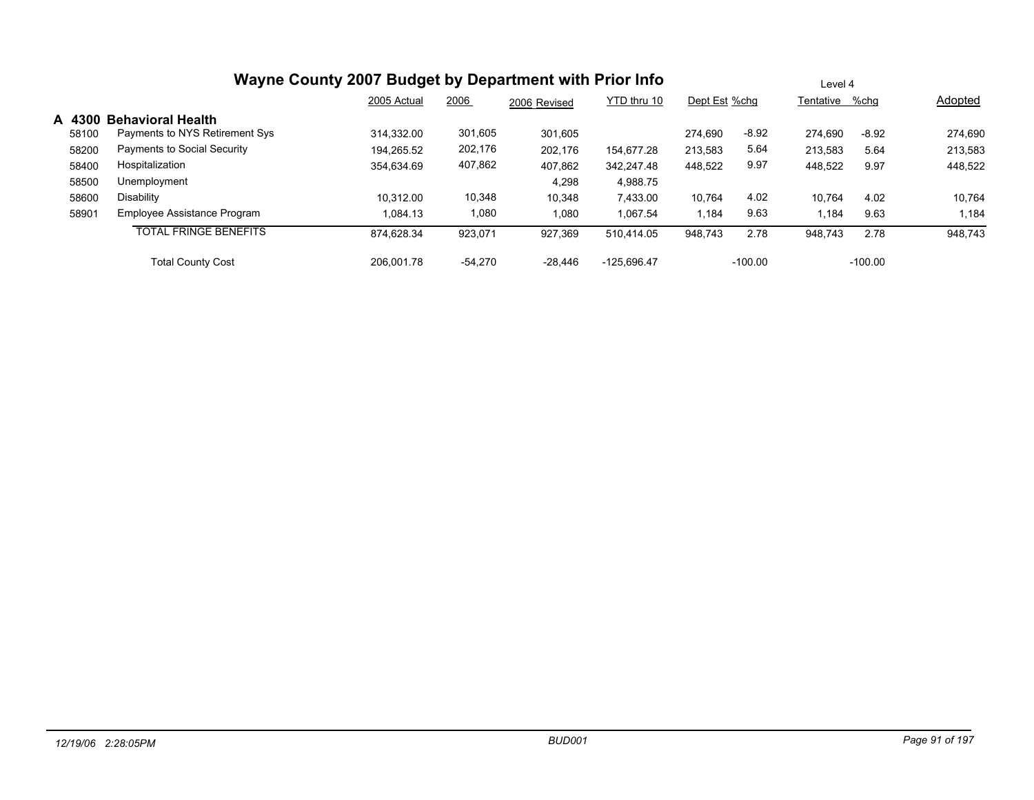|        |                                | 2005 Actual | 2006      | 2006 Revised | YTD thru 10   | Dept Est %chg |           | Tentative %chq |           | Adopted |
|--------|--------------------------------|-------------|-----------|--------------|---------------|---------------|-----------|----------------|-----------|---------|
| A 4300 | <b>Behavioral Health</b>       |             |           |              |               |               |           |                |           |         |
| 58100  | Payments to NYS Retirement Sys | 314.332.00  | 301,605   | 301.605      |               | 274.690       | $-8.92$   | 274.690        | $-8.92$   | 274,690 |
| 58200  | Payments to Social Security    | 194.265.52  | 202,176   | 202.176      | 154,677.28    | 213,583       | 5.64      | 213,583        | 5.64      | 213,583 |
| 58400  | Hospitalization                | 354,634.69  | 407,862   | 407,862      | 342,247.48    | 448,522       | 9.97      | 448,522        | 9.97      | 448,522 |
| 58500  | Unemployment                   |             |           | 4,298        | 4,988.75      |               |           |                |           |         |
| 58600  | Disability                     | 10,312.00   | 10,348    | 10,348       | 7,433.00      | 10,764        | 4.02      | 10,764         | 4.02      | 10,764  |
| 58901  | Employee Assistance Program    | 1.084.13    | 1,080     | 1,080        | 1,067.54      | 1,184         | 9.63      | .184           | 9.63      | 1,184   |
|        | <b>TOTAL FRINGE BENEFITS</b>   | 874,628.34  | 923.071   | 927,369      | 510,414.05    | 948.743       | 2.78      | 948,743        | 2.78      | 948,743 |
|        | <b>Total County Cost</b>       | 206.001.78  | $-54.270$ | $-28,446$    | $-125.696.47$ |               | $-100.00$ |                | $-100.00$ |         |

Level 4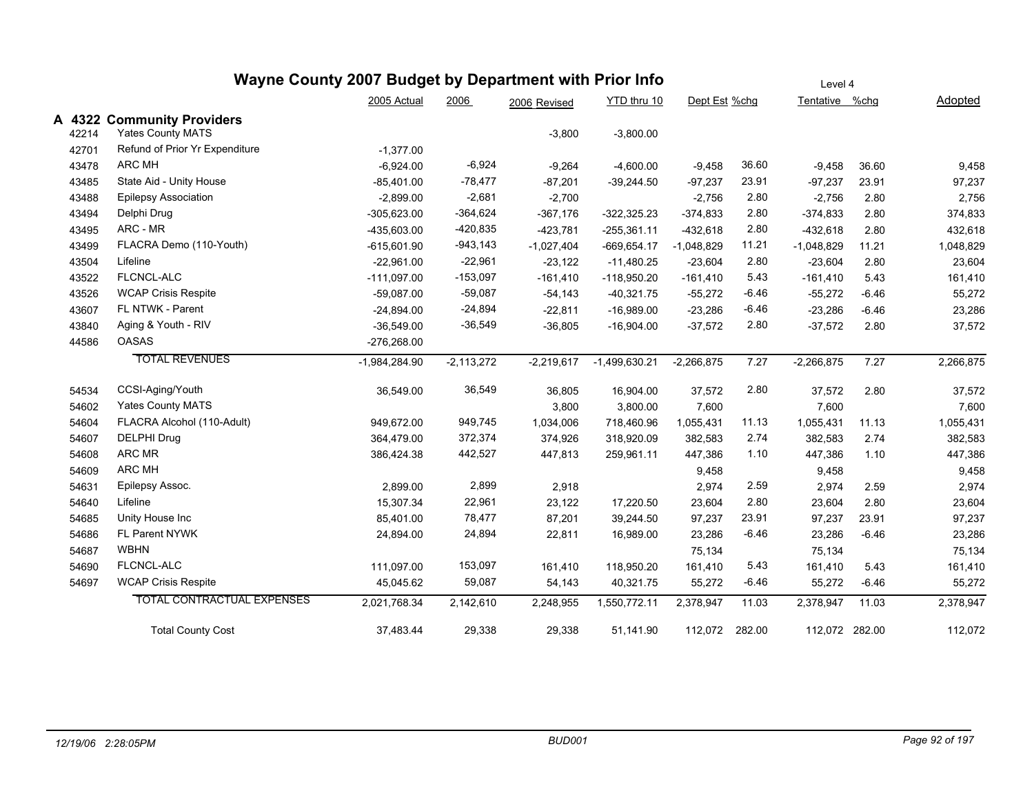|                 | Wayne County 2007 Budget by Department with Prior Info |                 | Level 4      |              |                 |               |         |                |         |                |
|-----------------|--------------------------------------------------------|-----------------|--------------|--------------|-----------------|---------------|---------|----------------|---------|----------------|
|                 |                                                        | 2005 Actual     | 2006         | 2006 Revised | YTD thru 10     | Dept Est %chg |         | Tentative %chg |         | <b>Adopted</b> |
| A 4322<br>42214 | <b>Community Providers</b><br><b>Yates County MATS</b> |                 |              | $-3,800$     | $-3,800.00$     |               |         |                |         |                |
| 42701           | Refund of Prior Yr Expenditure                         | $-1,377.00$     |              |              |                 |               |         |                |         |                |
| 43478           | <b>ARC MH</b>                                          | $-6,924.00$     | $-6,924$     | $-9,264$     | $-4,600.00$     | $-9,458$      | 36.60   | $-9,458$       | 36.60   | 9,458          |
| 43485           | State Aid - Unity House                                | $-85,401.00$    | $-78,477$    | $-87,201$    | $-39,244.50$    | $-97,237$     | 23.91   | $-97,237$      | 23.91   | 97,237         |
| 43488           | <b>Epilepsy Association</b>                            | $-2,899.00$     | $-2,681$     | $-2,700$     |                 | $-2,756$      | 2.80    | $-2,756$       | 2.80    | 2,756          |
| 43494           | Delphi Drug                                            | $-305,623.00$   | $-364,624$   | $-367,176$   | $-322,325.23$   | $-374.833$    | 2.80    | $-374,833$     | 2.80    | 374,833        |
| 43495           | ARC - MR                                               | -435,603.00     | $-420,835$   | $-423,781$   | $-255,361.11$   | $-432,618$    | 2.80    | $-432,618$     | 2.80    | 432,618        |
| 43499           | FLACRA Demo (110-Youth)                                | $-615,601.90$   | $-943,143$   | $-1,027,404$ | $-669,654.17$   | $-1,048,829$  | 11.21   | $-1,048,829$   | 11.21   | 1,048,829      |
| 43504           | Lifeline                                               | $-22,961.00$    | $-22,961$    | $-23,122$    | $-11,480.25$    | $-23,604$     | 2.80    | $-23,604$      | 2.80    | 23,604         |
| 43522           | FLCNCL-ALC                                             | $-111,097.00$   | $-153,097$   | $-161,410$   | $-118,950.20$   | $-161,410$    | 5.43    | $-161,410$     | 5.43    | 161,410        |
| 43526           | <b>WCAP Crisis Respite</b>                             | $-59,087.00$    | $-59,087$    | $-54,143$    | $-40,321.75$    | $-55,272$     | $-6.46$ | $-55,272$      | $-6.46$ | 55,272         |
| 43607           | FL NTWK - Parent                                       | $-24,894.00$    | $-24,894$    | $-22,811$    | $-16,989.00$    | $-23,286$     | $-6.46$ | $-23,286$      | $-6.46$ | 23,286         |
| 43840           | Aging & Youth - RIV                                    | $-36,549.00$    | $-36,549$    | $-36,805$    | $-16,904.00$    | $-37,572$     | 2.80    | $-37,572$      | 2.80    | 37,572         |
| 44586           | <b>OASAS</b>                                           | $-276,268.00$   |              |              |                 |               |         |                |         |                |
|                 | <b>TOTAL REVENUES</b>                                  | $-1,984,284.90$ | $-2,113,272$ | $-2,219,617$ | $-1,499,630.21$ | $-2,266,875$  | 7.27    | $-2,266,875$   | 7.27    | 2,266,875      |
| 54534           | CCSI-Aging/Youth                                       | 36,549.00       | 36,549       | 36,805       | 16,904.00       | 37,572        | 2.80    | 37,572         | 2.80    | 37,572         |
| 54602           | <b>Yates County MATS</b>                               |                 |              | 3,800        | 3,800.00        | 7,600         |         | 7,600          |         | 7,600          |
| 54604           | FLACRA Alcohol (110-Adult)                             | 949,672.00      | 949,745      | 1,034,006    | 718,460.96      | 1,055,431     | 11.13   | 1,055,431      | 11.13   | 1,055,431      |
| 54607           | <b>DELPHI Drug</b>                                     | 364,479.00      | 372,374      | 374,926      | 318,920.09      | 382,583       | 2.74    | 382,583        | 2.74    | 382,583        |
| 54608           | ARC MR                                                 | 386,424.38      | 442,527      | 447,813      | 259,961.11      | 447,386       | 1.10    | 447,386        | 1.10    | 447,386        |
| 54609           | <b>ARC MH</b>                                          |                 |              |              |                 | 9,458         |         | 9,458          |         | 9,458          |
| 54631           | Epilepsy Assoc.                                        | 2,899.00        | 2,899        | 2,918        |                 | 2,974         | 2.59    | 2,974          | 2.59    | 2,974          |
| 54640           | Lifeline                                               | 15,307.34       | 22,961       | 23,122       | 17,220.50       | 23,604        | 2.80    | 23,604         | 2.80    | 23,604         |
| 54685           | Unity House Inc                                        | 85,401.00       | 78,477       | 87,201       | 39,244.50       | 97,237        | 23.91   | 97,237         | 23.91   | 97,237         |
| 54686           | FL Parent NYWK                                         | 24,894.00       | 24,894       | 22,811       | 16,989.00       | 23,286        | $-6.46$ | 23,286         | $-6.46$ | 23,286         |
| 54687           | <b>WBHN</b>                                            |                 |              |              |                 | 75,134        |         | 75,134         |         | 75,134         |
| 54690           | <b>FLCNCL-ALC</b>                                      | 111,097.00      | 153,097      | 161,410      | 118,950.20      | 161,410       | 5.43    | 161,410        | 5.43    | 161,410        |
| 54697           | <b>WCAP Crisis Respite</b>                             | 45,045.62       | 59,087       | 54,143       | 40,321.75       | 55,272        | $-6.46$ | 55,272         | $-6.46$ | 55,272         |
|                 | <b>TOTAL CONTRACTUAL EXPENSES</b>                      | 2,021,768.34    | 2,142,610    | 2,248,955    | 1,550,772.11    | 2,378,947     | 11.03   | 2,378,947      | 11.03   | 2,378,947      |
|                 | <b>Total County Cost</b>                               | 37,483.44       | 29,338       | 29,338       | 51,141.90       | 112,072       | 282.00  | 112,072 282.00 |         | 112,072        |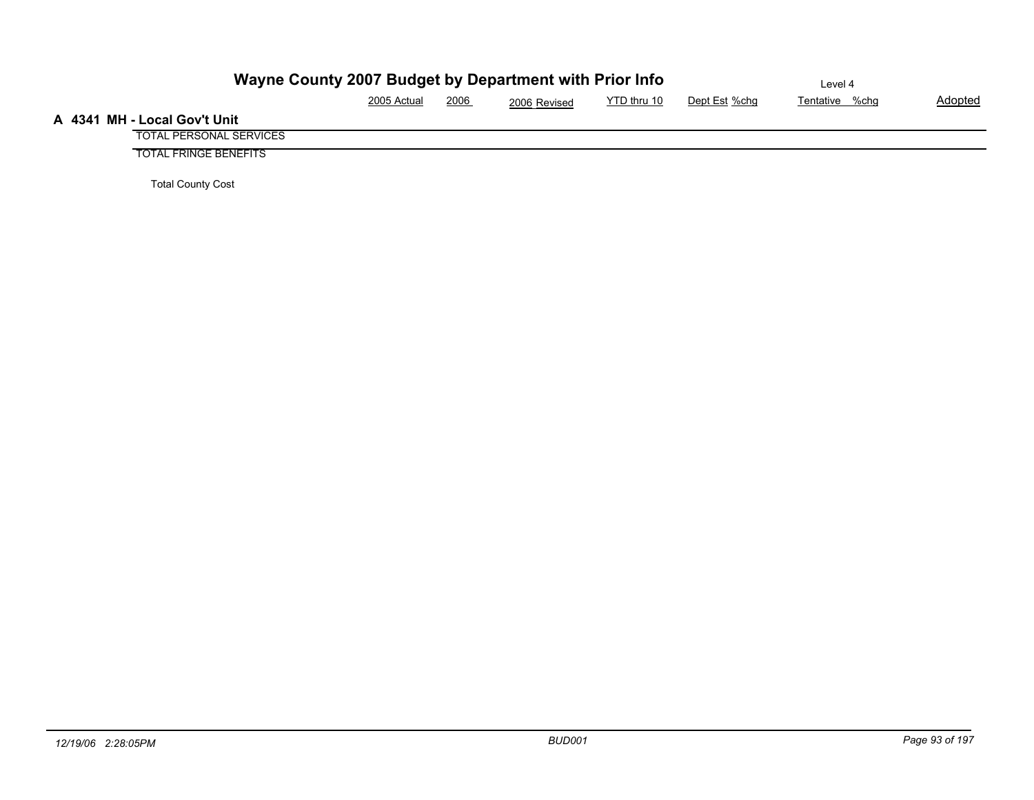| Wayne County 2007 Budget by Department with Prior Info | Level 4     |      |              |             |               |                |                |
|--------------------------------------------------------|-------------|------|--------------|-------------|---------------|----------------|----------------|
|                                                        | 2005 Actual | 2006 | 2006 Revised | YTD thru 10 | Dept Est %chg | Tentative %chg | <b>Adopted</b> |
| A 4341 MH - Local Gov't Unit                           |             |      |              |             |               |                |                |
| <b>TOTAL PERSONAL SERVICES</b>                         |             |      |              |             |               |                |                |
| <b>TOTAL FRINGE BENEFITS</b>                           |             |      |              |             |               |                |                |

Total County Cost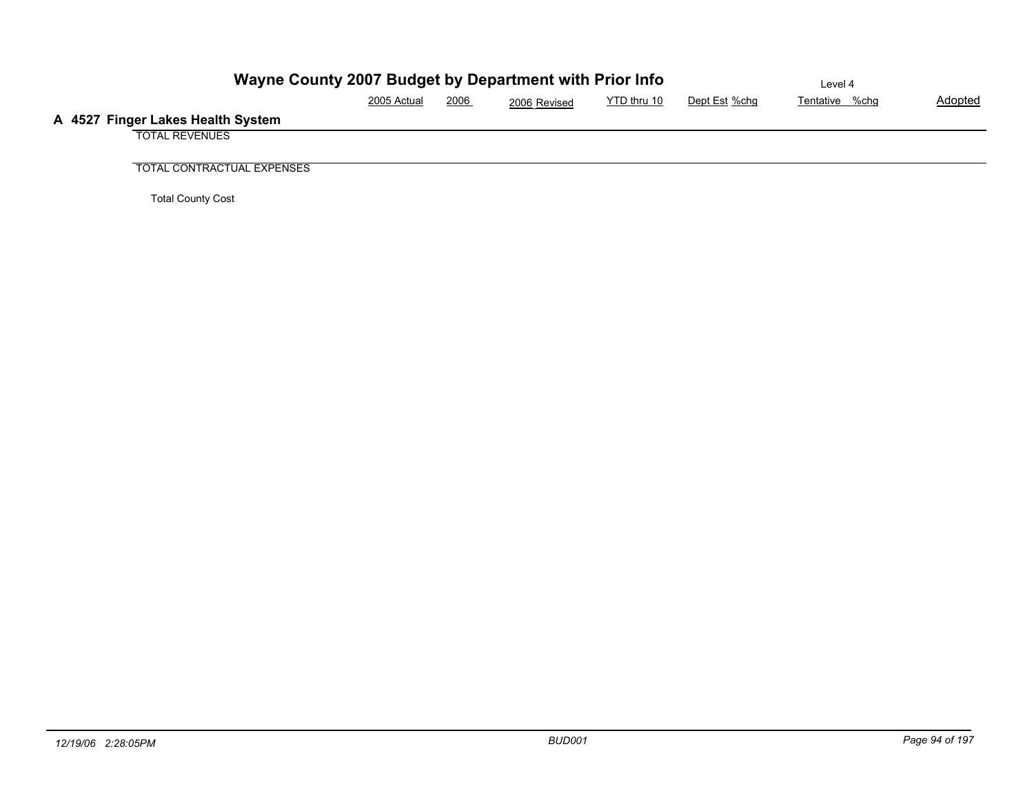| Wayne County 2007 Budget by Department with Prior Info |             | Level 4 |              |             |               |                |         |
|--------------------------------------------------------|-------------|---------|--------------|-------------|---------------|----------------|---------|
|                                                        | 2005 Actual | 2006    | 2006 Revised | YTD thru 10 | Dept Est %chg | Tentative %chg | Adopted |
| A 4527 Finger Lakes Health System                      |             |         |              |             |               |                |         |
| <b>TOTAL REVENUES</b>                                  |             |         |              |             |               |                |         |
|                                                        |             |         |              |             |               |                |         |
| <b>TOTAL CONTRACTUAL EXPENSES</b>                      |             |         |              |             |               |                |         |

Total County Cost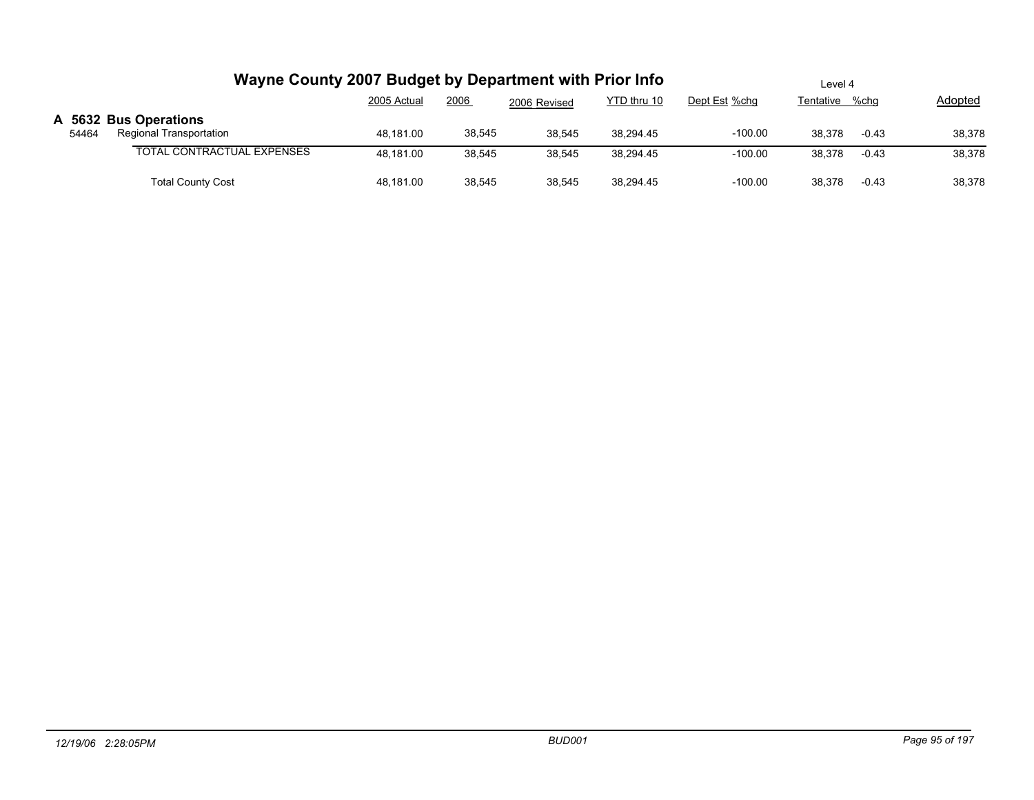|       | Wayne County 2007 Budget by Department with Prior Info | Level 4     |        |              |             |               |                |         |         |
|-------|--------------------------------------------------------|-------------|--------|--------------|-------------|---------------|----------------|---------|---------|
|       |                                                        | 2005 Actual | 2006   | 2006 Revised | YTD thru 10 | Dept Est %chg | Tentative %chg |         | Adopted |
| 54464 | A 5632 Bus Operations<br>Regional Transportation       | 48.181.00   | 38,545 | 38,545       | 38,294.45   | $-100.00$     | 38.378         | $-0.43$ | 38,378  |
|       | <b>TOTAL CONTRACTUAL EXPENSES</b>                      | 48.181.00   | 38,545 | 38,545       | 38,294.45   | $-100.00$     | 38.378         | $-0.43$ | 38,378  |
|       | <b>Total County Cost</b>                               | 48.181.00   | 38,545 | 38,545       | 38.294.45   | $-100.00$     | 38.378         | $-0.43$ | 38,378  |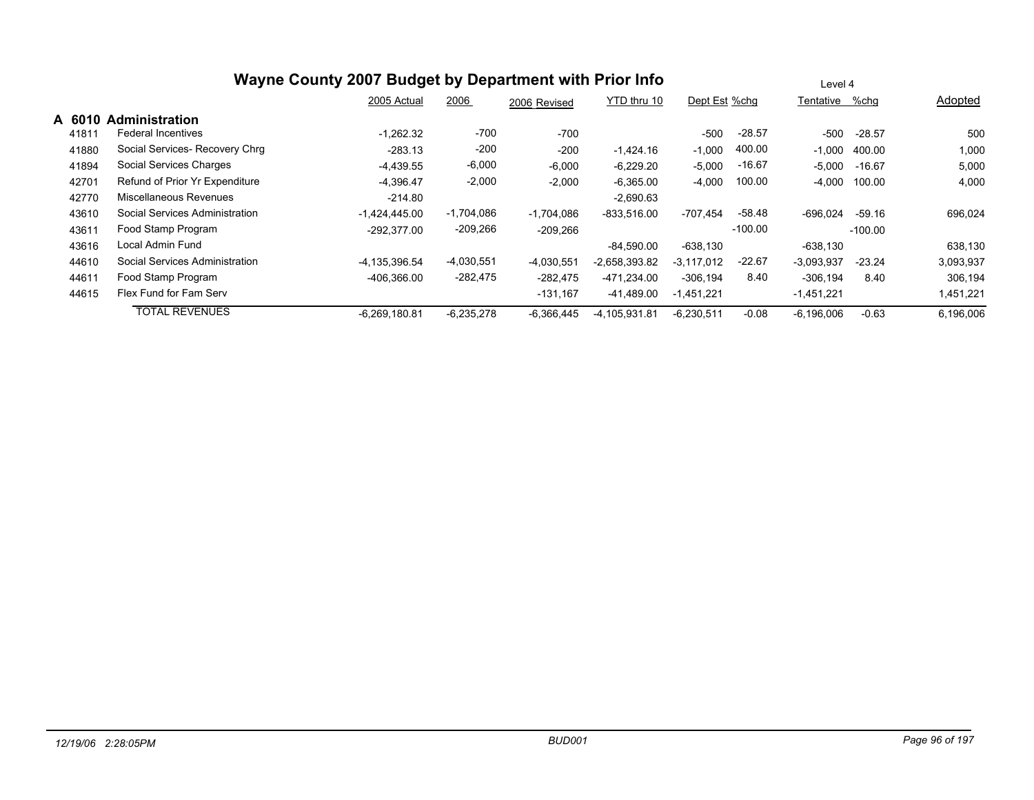|        |                                | Wayne County 2007 Budget by Department with Prior Info |              |              |                 |                   |           | Level 4      |           |           |
|--------|--------------------------------|--------------------------------------------------------|--------------|--------------|-----------------|-------------------|-----------|--------------|-----------|-----------|
|        |                                | 2005 Actual                                            | 2006         | 2006 Revised | YTD thru 10     | Dept Est %chg     |           | Tentative    | %chq      | Adopted   |
| A 6010 | <b>Administration</b>          |                                                        |              |              |                 |                   |           |              |           |           |
| 41811  | Federal Incentives             | $-1.262.32$                                            | $-700$       | $-700$       |                 | $-500$            | $-28.57$  | $-500$       | $-28.57$  | 500       |
| 41880  | Social Services- Recovery Chrg | $-283.13$                                              | $-200$       | $-200$       | $-1,424.16$     | $-1,000$          | 400.00    | $-1,000$     | 400.00    | 1,000     |
| 41894  | Social Services Charges        | $-4.439.55$                                            | $-6,000$     | $-6,000$     | $-6,229.20$     | $-5,000$          | $-16.67$  | $-5,000$     | -16.67    | 5,000     |
| 42701  | Refund of Prior Yr Expenditure | $-4.396.47$                                            | $-2,000$     | $-2,000$     | $-6,365.00$     | $-4,000$          | 100.00    | $-4,000$     | 100.00    | 4,000     |
| 42770  | Miscellaneous Revenues         | $-214.80$                                              |              |              | $-2,690.63$     |                   |           |              |           |           |
| 43610  | Social Services Administration | $-1.424.445.00$                                        | $-1,704,086$ | $-1,704,086$ | $-833.516.00$   | $-707.454$        | $-58.48$  | $-696.024$   | $-59.16$  | 696,024   |
| 43611  | Food Stamp Program             | $-292.377.00$                                          | $-209,266$   | $-209,266$   |                 |                   | $-100.00$ |              | $-100.00$ |           |
| 43616  | Local Admin Fund               |                                                        |              |              | $-84,590.00$    | $-638.130$        |           | $-638,130$   |           | 638.130   |
| 44610  | Social Services Administration | -4.135.396.54                                          | $-4,030,551$ | $-4,030,551$ | $-2.658.393.82$ | -3.117.012        | $-22.67$  | $-3.093.937$ | $-23.24$  | 3,093,937 |
| 44611  | Food Stamp Program             | $-406,366.00$                                          | -282,475     | $-282,475$   | -471,234.00     | $-306, 194$       | 8.40      | $-306, 194$  | 8.40      | 306,194   |
| 44615  | Flex Fund for Fam Serv         |                                                        |              | $-131,167$   | -41,489.00      | 1.451.221<br>$-1$ |           | $-1,451,221$ |           | 1,451,221 |
|        | <b>TOTAL REVENUES</b>          | $-6,269,180.81$                                        | $-6,235,278$ | $-6,366,445$ | -4,105,931.81   | $-6,230,511$      | $-0.08$   | $-6,196,006$ | $-0.63$   | 6,196,006 |
|        |                                |                                                        |              |              |                 |                   |           |              |           |           |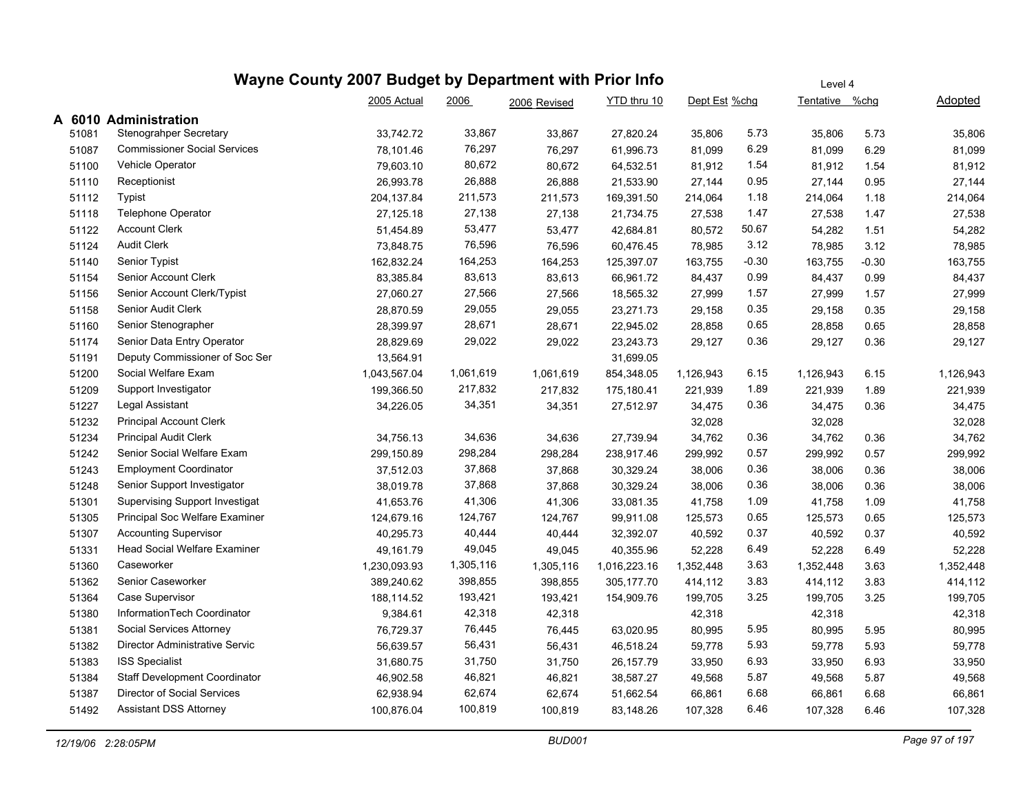|       |                                       | Wayne County 2007 Budget by Department with Prior Info |           |              | Level 4      |               |         |                |         |           |
|-------|---------------------------------------|--------------------------------------------------------|-----------|--------------|--------------|---------------|---------|----------------|---------|-----------|
|       |                                       | 2005 Actual                                            | 2006      | 2006 Revised | YTD thru 10  | Dept Est %chg |         | Tentative %chg |         | Adopted   |
|       | A 6010 Administration                 |                                                        |           |              |              |               |         |                |         |           |
| 51081 | Stenograhper Secretary                | 33,742.72                                              | 33,867    | 33,867       | 27,820.24    | 35,806        | 5.73    | 35,806         | 5.73    | 35,806    |
| 51087 | <b>Commissioner Social Services</b>   | 78,101.46                                              | 76,297    | 76,297       | 61,996.73    | 81,099        | 6.29    | 81,099         | 6.29    | 81,099    |
| 51100 | Vehicle Operator                      | 79,603.10                                              | 80,672    | 80,672       | 64,532.51    | 81,912        | 1.54    | 81,912         | 1.54    | 81,912    |
| 51110 | Receptionist                          | 26,993.78                                              | 26,888    | 26,888       | 21,533.90    | 27,144        | 0.95    | 27,144         | 0.95    | 27,144    |
| 51112 | <b>Typist</b>                         | 204,137.84                                             | 211,573   | 211,573      | 169,391.50   | 214,064       | 1.18    | 214,064        | 1.18    | 214,064   |
| 51118 | <b>Telephone Operator</b>             | 27,125.18                                              | 27,138    | 27,138       | 21,734.75    | 27,538        | 1.47    | 27,538         | 1.47    | 27,538    |
| 51122 | <b>Account Clerk</b>                  | 51,454.89                                              | 53,477    | 53,477       | 42,684.81    | 80,572        | 50.67   | 54,282         | 1.51    | 54,282    |
| 51124 | <b>Audit Clerk</b>                    | 73,848.75                                              | 76,596    | 76,596       | 60,476.45    | 78,985        | 3.12    | 78,985         | 3.12    | 78,985    |
| 51140 | Senior Typist                         | 162,832.24                                             | 164,253   | 164,253      | 125,397.07   | 163,755       | $-0.30$ | 163,755        | $-0.30$ | 163,755   |
| 51154 | Senior Account Clerk                  | 83,385.84                                              | 83,613    | 83,613       | 66,961.72    | 84,437        | 0.99    | 84,437         | 0.99    | 84,437    |
| 51156 | Senior Account Clerk/Typist           | 27,060.27                                              | 27,566    | 27,566       | 18,565.32    | 27,999        | 1.57    | 27,999         | 1.57    | 27,999    |
| 51158 | Senior Audit Clerk                    | 28,870.59                                              | 29,055    | 29,055       | 23,271.73    | 29,158        | 0.35    | 29,158         | 0.35    | 29,158    |
| 51160 | Senior Stenographer                   | 28,399.97                                              | 28,671    | 28,671       | 22,945.02    | 28,858        | 0.65    | 28,858         | 0.65    | 28,858    |
| 51174 | Senior Data Entry Operator            | 28,829.69                                              | 29,022    | 29,022       | 23,243.73    | 29,127        | 0.36    | 29,127         | 0.36    | 29,127    |
| 51191 | Deputy Commissioner of Soc Ser        | 13,564.91                                              |           |              | 31,699.05    |               |         |                |         |           |
| 51200 | Social Welfare Exam                   | 1,043,567.04                                           | 1,061,619 | 1,061,619    | 854,348.05   | 1,126,943     | 6.15    | 1,126,943      | 6.15    | 1,126,943 |
| 51209 | Support Investigator                  | 199,366.50                                             | 217,832   | 217,832      | 175,180.41   | 221,939       | 1.89    | 221,939        | 1.89    | 221,939   |
| 51227 | Legal Assistant                       | 34,226.05                                              | 34,351    | 34,351       | 27,512.97    | 34,475        | 0.36    | 34,475         | 0.36    | 34,475    |
| 51232 | <b>Principal Account Clerk</b>        |                                                        |           |              |              | 32,028        |         | 32,028         |         | 32,028    |
| 51234 | <b>Principal Audit Clerk</b>          | 34,756.13                                              | 34,636    | 34,636       | 27,739.94    | 34,762        | 0.36    | 34,762         | 0.36    | 34,762    |
| 51242 | Senior Social Welfare Exam            | 299,150.89                                             | 298,284   | 298,284      | 238,917.46   | 299,992       | 0.57    | 299,992        | 0.57    | 299,992   |
| 51243 | <b>Employment Coordinator</b>         | 37,512.03                                              | 37,868    | 37,868       | 30,329.24    | 38,006        | 0.36    | 38,006         | 0.36    | 38,006    |
| 51248 | Senior Support Investigator           | 38,019.78                                              | 37,868    | 37,868       | 30,329.24    | 38,006        | 0.36    | 38,006         | 0.36    | 38,006    |
| 51301 | <b>Supervising Support Investigat</b> | 41,653.76                                              | 41,306    | 41,306       | 33,081.35    | 41,758        | 1.09    | 41,758         | 1.09    | 41,758    |
| 51305 | Principal Soc Welfare Examiner        | 124,679.16                                             | 124,767   | 124,767      | 99,911.08    | 125,573       | 0.65    | 125,573        | 0.65    | 125,573   |
| 51307 | <b>Accounting Supervisor</b>          | 40,295.73                                              | 40,444    | 40,444       | 32,392.07    | 40,592        | 0.37    | 40,592         | 0.37    | 40,592    |
| 51331 | <b>Head Social Welfare Examiner</b>   | 49,161.79                                              | 49,045    | 49,045       | 40,355.96    | 52,228        | 6.49    | 52,228         | 6.49    | 52,228    |
| 51360 | Caseworker                            | 1,230,093.93                                           | 1,305,116 | 1,305,116    | 1,016,223.16 | 1,352,448     | 3.63    | 1,352,448      | 3.63    | 1,352,448 |
| 51362 | Senior Caseworker                     | 389,240.62                                             | 398,855   | 398,855      | 305,177.70   | 414,112       | 3.83    | 414,112        | 3.83    | 414,112   |
| 51364 | Case Supervisor                       | 188,114.52                                             | 193,421   | 193,421      | 154,909.76   | 199,705       | 3.25    | 199,705        | 3.25    | 199,705   |
| 51380 | InformationTech Coordinator           | 9,384.61                                               | 42,318    | 42,318       |              | 42,318        |         | 42,318         |         | 42,318    |
| 51381 | Social Services Attorney              | 76,729.37                                              | 76,445    | 76,445       | 63,020.95    | 80,995        | 5.95    | 80,995         | 5.95    | 80,995    |
| 51382 | Director Administrative Servic        | 56,639.57                                              | 56,431    | 56,431       | 46,518.24    | 59,778        | 5.93    | 59,778         | 5.93    | 59,778    |
| 51383 | <b>ISS Specialist</b>                 | 31,680.75                                              | 31,750    | 31,750       | 26,157.79    | 33,950        | 6.93    | 33,950         | 6.93    | 33,950    |
| 51384 | <b>Staff Development Coordinator</b>  | 46,902.58                                              | 46,821    | 46,821       | 38,587.27    | 49,568        | 5.87    | 49,568         | 5.87    | 49,568    |
| 51387 | Director of Social Services           | 62,938.94                                              | 62,674    | 62,674       | 51,662.54    | 66,861        | 6.68    | 66,861         | 6.68    | 66,861    |
| 51492 | <b>Assistant DSS Attorney</b>         | 100,876.04                                             | 100,819   | 100,819      | 83,148.26    | 107,328       | 6.46    | 107,328        | 6.46    | 107,328   |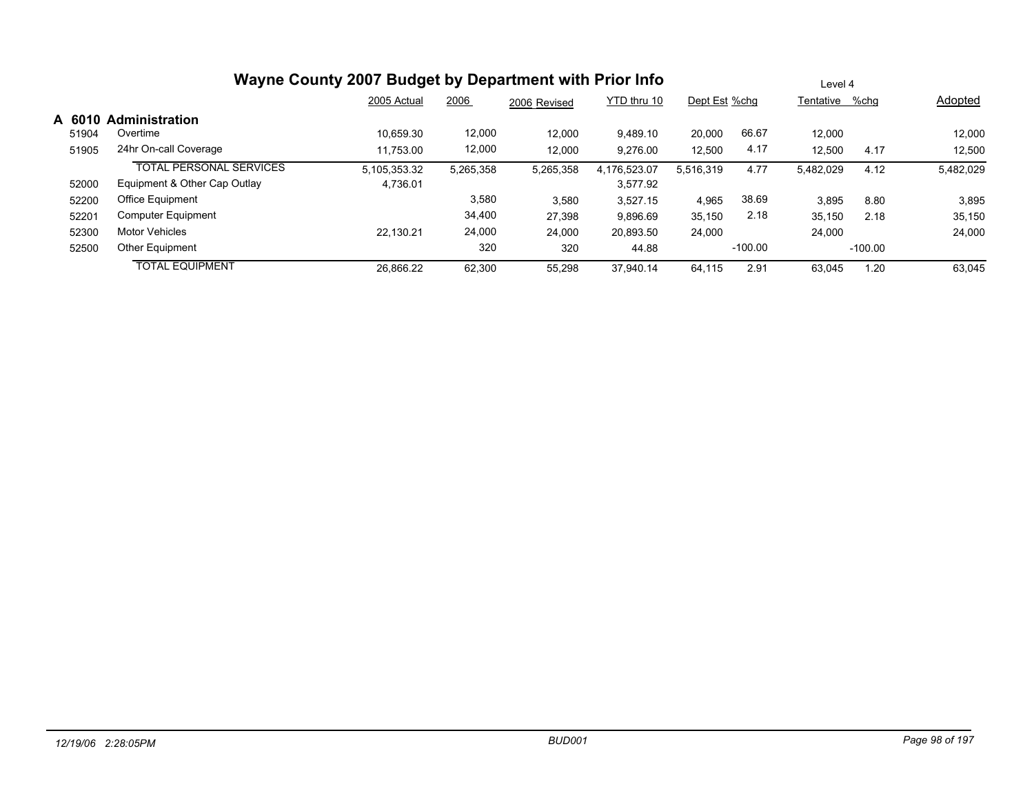|        | Wayne County 2007 Budget by Department with Prior Info | Level 4      |           |              |              |               |           |                |           |           |
|--------|--------------------------------------------------------|--------------|-----------|--------------|--------------|---------------|-----------|----------------|-----------|-----------|
|        |                                                        | 2005 Actual  | 2006      | 2006 Revised | YTD thru 10  | Dept Est %chg |           | Tentative %chq |           | Adopted   |
| A 6010 | <b>Administration</b>                                  |              |           |              |              |               |           |                |           |           |
| 51904  | Overtime                                               | 10.659.30    | 12,000    | 12,000       | 9.489.10     | 20,000        | 66.67     | 12.000         |           | 12,000    |
| 51905  | 24hr On-call Coverage                                  | 11.753.00    | 12,000    | 12,000       | 9.276.00     | 12,500        | 4.17      | 12,500         | 4.17      | 12,500    |
|        | <b>TOTAL PERSONAL SERVICES</b>                         | 5,105,353.32 | 5,265,358 | 5,265,358    | 4,176,523.07 | 5,516,319     | 4.77      | 5,482,029      | 4.12      | 5,482,029 |
| 52000  | Equipment & Other Cap Outlay                           | 4.736.01     |           |              | 3.577.92     |               |           |                |           |           |
| 52200  | Office Equipment                                       |              | 3,580     | 3,580        | 3.527.15     | 4,965         | 38.69     | 3,895          | 8.80      | 3,895     |
| 52201  | <b>Computer Equipment</b>                              |              | 34,400    | 27,398       | 9.896.69     | 35,150        | 2.18      | 35,150         | 2.18      | 35,150    |
| 52300  | <b>Motor Vehicles</b>                                  | 22.130.21    | 24,000    | 24,000       | 20.893.50    | 24,000        |           | 24,000         |           | 24,000    |
| 52500  | <b>Other Equipment</b>                                 |              | 320       | 320          | 44.88        |               | $-100.00$ |                | $-100.00$ |           |
|        | <b>TOTAL EQUIPMENT</b>                                 | 26.866.22    | 62.300    | 55,298       | 37.940.14    | 64.115        | 2.91      | 63.045         | 1.20      | 63,045    |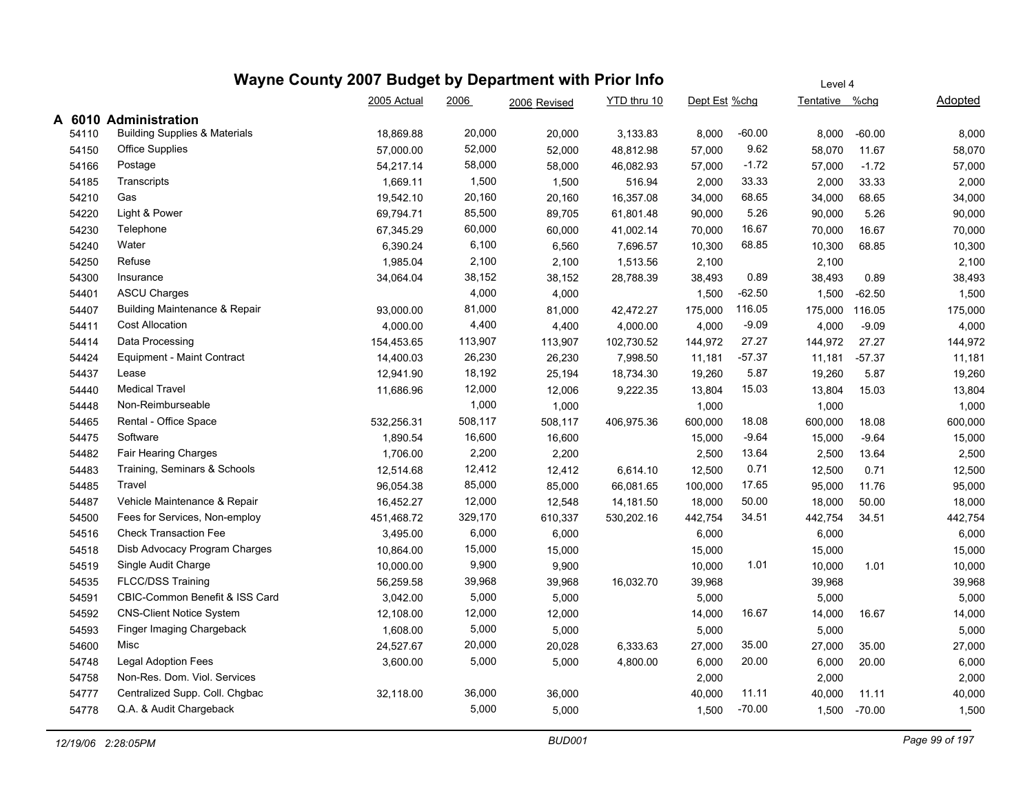|       | Wayne County 2007 Budget by Department with Prior Info |             |         |              |             |               | Level 4  |                |          |         |  |  |
|-------|--------------------------------------------------------|-------------|---------|--------------|-------------|---------------|----------|----------------|----------|---------|--|--|
|       |                                                        | 2005 Actual | 2006    | 2006 Revised | YTD thru 10 | Dept Est %chg |          | Tentative %chg |          | Adopted |  |  |
| A     | 6010 Administration                                    |             |         |              |             |               |          |                |          |         |  |  |
| 54110 | <b>Building Supplies &amp; Materials</b>               | 18,869.88   | 20,000  | 20,000       | 3,133.83    | 8,000         | $-60.00$ | 8,000          | $-60.00$ | 8,000   |  |  |
| 54150 | <b>Office Supplies</b>                                 | 57,000.00   | 52,000  | 52,000       | 48,812.98   | 57,000        | 9.62     | 58,070         | 11.67    | 58,070  |  |  |
| 54166 | Postage                                                | 54,217.14   | 58,000  | 58,000       | 46.082.93   | 57,000        | $-1.72$  | 57,000         | $-1.72$  | 57,000  |  |  |
| 54185 | Transcripts                                            | 1,669.11    | 1,500   | 1,500        | 516.94      | 2,000         | 33.33    | 2,000          | 33.33    | 2,000   |  |  |
| 54210 | Gas                                                    | 19,542.10   | 20,160  | 20,160       | 16,357.08   | 34,000        | 68.65    | 34,000         | 68.65    | 34,000  |  |  |
| 54220 | Light & Power                                          | 69,794.71   | 85,500  | 89,705       | 61,801.48   | 90,000        | 5.26     | 90,000         | 5.26     | 90,000  |  |  |
| 54230 | Telephone                                              | 67,345.29   | 60,000  | 60,000       | 41,002.14   | 70,000        | 16.67    | 70,000         | 16.67    | 70,000  |  |  |
| 54240 | Water                                                  | 6,390.24    | 6,100   | 6,560        | 7,696.57    | 10,300        | 68.85    | 10,300         | 68.85    | 10,300  |  |  |
| 54250 | Refuse                                                 | 1,985.04    | 2,100   | 2,100        | 1,513.56    | 2,100         |          | 2,100          |          | 2,100   |  |  |
| 54300 | Insurance                                              | 34,064.04   | 38,152  | 38,152       | 28,788.39   | 38,493        | 0.89     | 38,493         | 0.89     | 38,493  |  |  |
| 54401 | <b>ASCU Charges</b>                                    |             | 4,000   | 4,000        |             | 1,500         | $-62.50$ | 1,500          | $-62.50$ | 1,500   |  |  |
| 54407 | Building Maintenance & Repair                          | 93,000.00   | 81,000  | 81,000       | 42,472.27   | 175,000       | 116.05   | 175,000        | 116.05   | 175,000 |  |  |
| 54411 | <b>Cost Allocation</b>                                 | 4,000.00    | 4,400   | 4,400        | 4,000.00    | 4,000         | $-9.09$  | 4,000          | $-9.09$  | 4,000   |  |  |
| 54414 | Data Processing                                        | 154,453.65  | 113,907 | 113,907      | 102,730.52  | 144,972       | 27.27    | 144,972        | 27.27    | 144,972 |  |  |
| 54424 | <b>Equipment - Maint Contract</b>                      | 14,400.03   | 26,230  | 26,230       | 7,998.50    | 11,181        | $-57.37$ | 11,181         | $-57.37$ | 11,181  |  |  |
| 54437 | Lease                                                  | 12,941.90   | 18,192  | 25,194       | 18,734.30   | 19,260        | 5.87     | 19,260         | 5.87     | 19,260  |  |  |
| 54440 | <b>Medical Travel</b>                                  | 11,686.96   | 12,000  | 12,006       | 9,222.35    | 13,804        | 15.03    | 13,804         | 15.03    | 13,804  |  |  |
| 54448 | Non-Reimburseable                                      |             | 1,000   | 1,000        |             | 1,000         |          | 1,000          |          | 1,000   |  |  |
| 54465 | Rental - Office Space                                  | 532,256.31  | 508,117 | 508,117      | 406,975.36  | 600,000       | 18.08    | 600,000        | 18.08    | 600,000 |  |  |
| 54475 | Software                                               | 1,890.54    | 16,600  | 16,600       |             | 15,000        | $-9.64$  | 15,000         | $-9.64$  | 15,000  |  |  |
| 54482 | Fair Hearing Charges                                   | 1,706.00    | 2,200   | 2,200        |             | 2,500         | 13.64    | 2,500          | 13.64    | 2,500   |  |  |
| 54483 | Training, Seminars & Schools                           | 12,514.68   | 12,412  | 12,412       | 6,614.10    | 12,500        | 0.71     | 12,500         | 0.71     | 12,500  |  |  |
| 54485 | Travel                                                 | 96,054.38   | 85,000  | 85,000       | 66,081.65   | 100,000       | 17.65    | 95,000         | 11.76    | 95,000  |  |  |
| 54487 | Vehicle Maintenance & Repair                           | 16,452.27   | 12,000  | 12,548       | 14,181.50   | 18,000        | 50.00    | 18,000         | 50.00    | 18,000  |  |  |
| 54500 | Fees for Services, Non-employ                          | 451,468.72  | 329,170 | 610,337      | 530,202.16  | 442,754       | 34.51    | 442,754        | 34.51    | 442,754 |  |  |
| 54516 | <b>Check Transaction Fee</b>                           | 3,495.00    | 6,000   | 6,000        |             | 6,000         |          | 6,000          |          | 6,000   |  |  |
| 54518 | Disb Advocacy Program Charges                          | 10,864.00   | 15,000  | 15,000       |             | 15,000        |          | 15,000         |          | 15,000  |  |  |
| 54519 | Single Audit Charge                                    | 10,000.00   | 9,900   | 9,900        |             | 10,000        | 1.01     | 10,000         | 1.01     | 10,000  |  |  |
| 54535 | <b>FLCC/DSS Training</b>                               | 56,259.58   | 39,968  | 39,968       | 16,032.70   | 39,968        |          | 39,968         |          | 39,968  |  |  |
| 54591 | CBIC-Common Benefit & ISS Card                         | 3,042.00    | 5,000   | 5,000        |             | 5,000         |          | 5,000          |          | 5,000   |  |  |
| 54592 | <b>CNS-Client Notice System</b>                        | 12,108.00   | 12,000  | 12,000       |             | 14,000        | 16.67    | 14,000         | 16.67    | 14,000  |  |  |
| 54593 | Finger Imaging Chargeback                              | 1,608.00    | 5,000   | 5,000        |             | 5,000         |          | 5,000          |          | 5,000   |  |  |
| 54600 | Misc                                                   | 24,527.67   | 20,000  | 20,028       | 6,333.63    | 27,000        | 35.00    | 27,000         | 35.00    | 27,000  |  |  |
| 54748 | <b>Legal Adoption Fees</b>                             | 3,600.00    | 5,000   | 5,000        | 4,800.00    | 6,000         | 20.00    | 6,000          | 20.00    | 6,000   |  |  |
| 54758 | Non-Res. Dom. Viol. Services                           |             |         |              |             | 2,000         |          | 2,000          |          | 2,000   |  |  |
| 54777 | Centralized Supp. Coll. Chgbac                         | 32,118.00   | 36,000  | 36,000       |             | 40,000        | 11.11    | 40,000         | 11.11    | 40,000  |  |  |
| 54778 | Q.A. & Audit Chargeback                                |             | 5,000   | 5,000        |             | 1,500         | $-70.00$ | 1,500          | $-70.00$ | 1,500   |  |  |
|       |                                                        |             |         |              |             |               |          |                |          |         |  |  |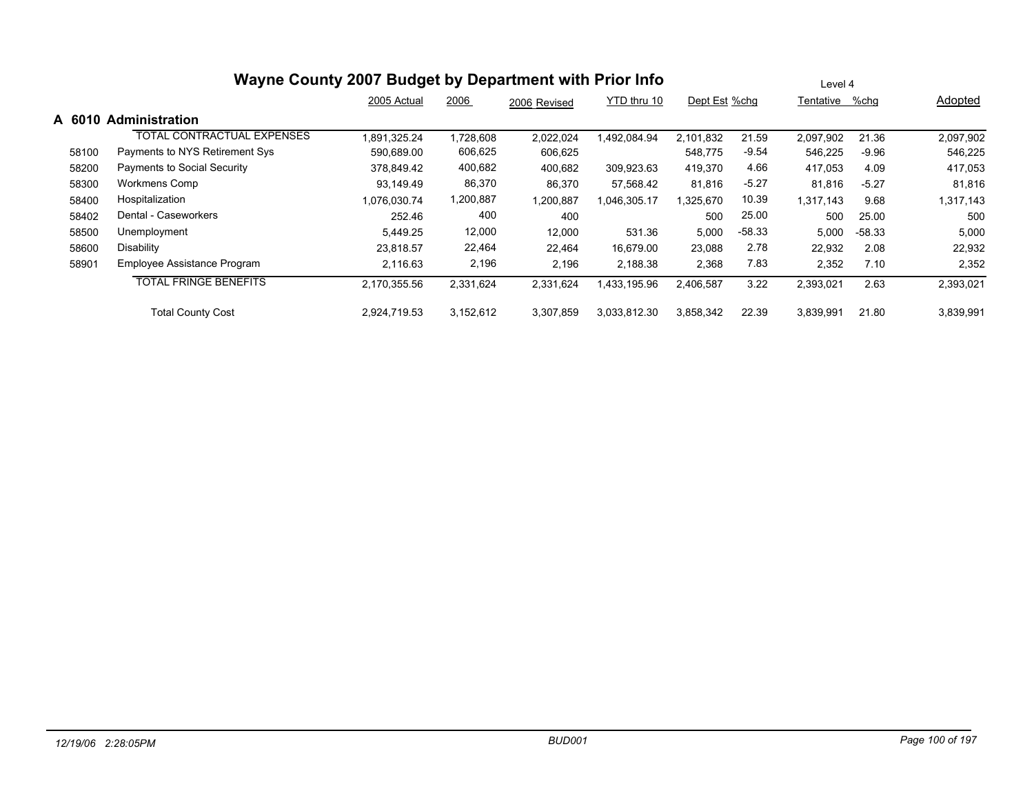|        | Wayne County 2007 Budget by Department with Prior Info | Level 4      |           |              |              |               |          |                   |          |           |
|--------|--------------------------------------------------------|--------------|-----------|--------------|--------------|---------------|----------|-------------------|----------|-----------|
|        |                                                        | 2005 Actual  | 2006      | 2006 Revised | YTD thru 10  | Dept Est %chg |          | %chq<br>Tentative |          | Adopted   |
| A 6010 | <b>Administration</b>                                  |              |           |              |              |               |          |                   |          |           |
|        | <b>TOTAL CONTRACTUAL EXPENSES</b>                      | 1,891,325.24 | 1,728,608 | 2,022,024    | 1,492,084.94 | 2,101,832     | 21.59    | 2,097,902         | 21.36    | 2,097,902 |
| 58100  | Payments to NYS Retirement Sys                         | 590,689.00   | 606,625   | 606,625      |              | 548,775       | $-9.54$  | 546,225           | $-9.96$  | 546,225   |
| 58200  | Payments to Social Security                            | 378.849.42   | 400,682   | 400,682      | 309,923.63   | 419,370       | 4.66     | 417,053           | 4.09     | 417,053   |
| 58300  | Workmens Comp                                          | 93.149.49    | 86,370    | 86,370       | 57,568.42    | 81,816        | $-5.27$  | 81,816            | $-5.27$  | 81,816    |
| 58400  | Hospitalization                                        | 1,076,030.74 | 1,200,887 | 1,200,887    | 1,046,305.17 | 1,325,670     | 10.39    | 1,317,143         | 9.68     | 1,317,143 |
| 58402  | Dental - Caseworkers                                   | 252.46       | 400       | 400          |              | 500           | 25.00    | 500               | 25.00    | 500       |
| 58500  | Unemployment                                           | 5.449.25     | 12,000    | 12,000       | 531.36       | 5,000         | $-58.33$ | 5,000             | $-58.33$ | 5,000     |
| 58600  | Disability                                             | 23.818.57    | 22,464    | 22,464       | 16,679.00    | 23,088        | 2.78     | 22,932            | 2.08     | 22,932    |
| 58901  | Employee Assistance Program                            | 2,116.63     | 2,196     | 2,196        | 2,188.38     | 2,368         | 7.83     | 2,352             | 7.10     | 2,352     |
|        | <b>TOTAL FRINGE BENEFITS</b>                           | 2,170,355.56 | 2,331,624 | 2,331,624    | 1,433,195.96 | 2,406,587     | 3.22     | 2,393,021         | 2.63     | 2,393,021 |
|        | <b>Total County Cost</b>                               | 2,924,719.53 | 3,152,612 | 3,307,859    | 3,033,812.30 | 3,858,342     | 22.39    | 3,839,991         | 21.80    | 3,839,991 |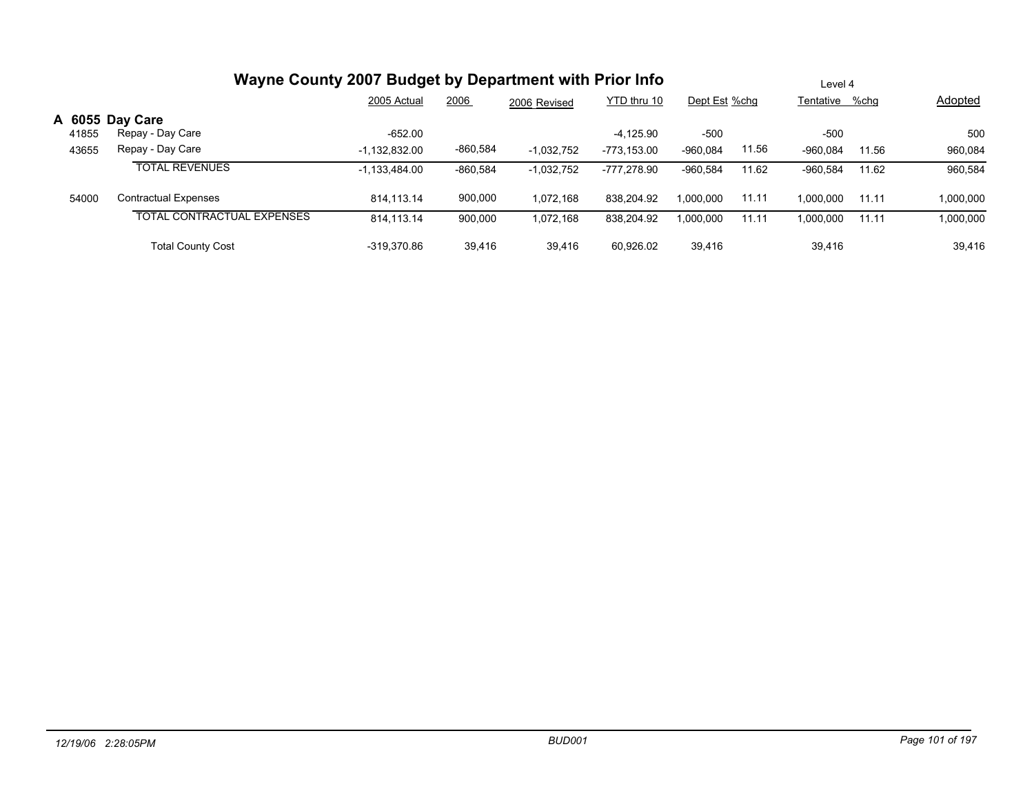|       | Wayne County 2007 Budget by Department with Prior Info | Level 4         |            |              |             |               |       |                |       |           |
|-------|--------------------------------------------------------|-----------------|------------|--------------|-------------|---------------|-------|----------------|-------|-----------|
|       |                                                        | 2005 Actual     | 2006       | 2006 Revised | YTD thru 10 | Dept Est %chg |       | Tentative %chg |       | Adopted   |
|       | A 6055 Day Care                                        |                 |            |              |             |               |       |                |       |           |
| 41855 | Repay - Day Care                                       | $-652.00$       |            |              | $-4,125.90$ | $-500$        |       | $-500$         |       | 500       |
| 43655 | Repay - Day Care                                       | $-1,132,832.00$ | $-860,584$ | $-1,032,752$ | -773.153.00 | $-960.084$    | 11.56 | $-960.084$     | 11.56 | 960,084   |
|       | <b>TOTAL REVENUES</b>                                  | $-1,133,484.00$ | $-860,584$ | $-1,032,752$ | -777,278.90 | $-960.584$    | 11.62 | $-960.584$     | 11.62 | 960,584   |
| 54000 | <b>Contractual Expenses</b>                            | 814.113.14      | 900,000    | 1,072,168    | 838.204.92  | 1.000.000     | 11.11 | 1.000.000      | 11.11 | 1,000,000 |
|       | <b>TOTAL CONTRACTUAL EXPENSES</b>                      | 814.113.14      | 900,000    | 1,072,168    | 838,204.92  | 1,000,000     | 11.11 | 1.000.000      | 11.11 | 1,000,000 |
|       | <b>Total County Cost</b>                               | -319.370.86     | 39,416     | 39,416       | 60.926.02   | 39,416        |       | 39,416         |       | 39,416    |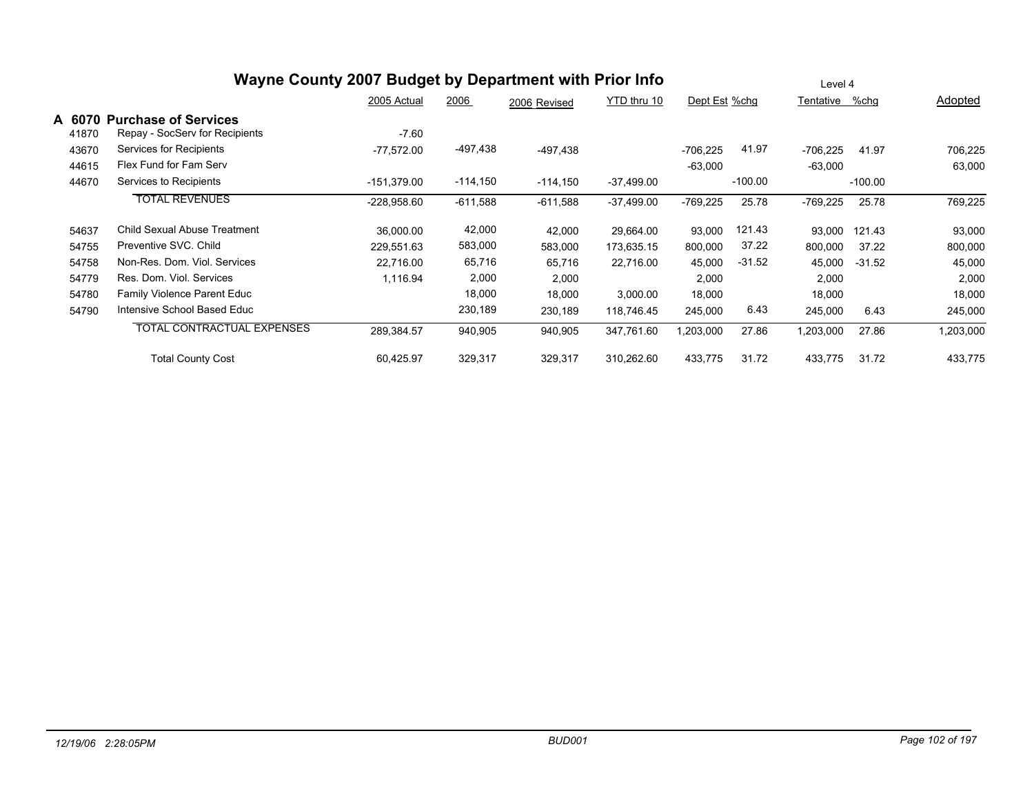|                 | Wayne County 2007 Budget by Department with Prior Info        | Level 4       |            |              |              |               |           |            |           |           |
|-----------------|---------------------------------------------------------------|---------------|------------|--------------|--------------|---------------|-----------|------------|-----------|-----------|
|                 |                                                               | 2005 Actual   | 2006       | 2006 Revised | YTD thru 10  | Dept Est %chg |           | Tentative  | %chg      | Adopted   |
| A 6070<br>41870 | <b>Purchase of Services</b><br>Repay - SocServ for Recipients | $-7.60$       |            |              |              |               |           |            |           |           |
| 43670           | Services for Recipients                                       | $-77,572.00$  | -497,438   | $-497,438$   |              | $-706,225$    | 41.97     | $-706,225$ | 41.97     | 706,225   |
| 44615           | Flex Fund for Fam Serv                                        |               |            |              |              | $-63,000$     |           | $-63,000$  |           | 63,000    |
| 44670           | Services to Recipients                                        | $-151.379.00$ | $-114,150$ | $-114,150$   | $-37,499.00$ |               | $-100.00$ |            | $-100.00$ |           |
|                 | <b>TOTAL REVENUES</b>                                         | $-228,958.60$ | $-611,588$ | $-611,588$   | $-37,499.00$ | $-769,225$    | 25.78     | $-769,225$ | 25.78     | 769,225   |
| 54637           | Child Sexual Abuse Treatment                                  | 36,000.00     | 42,000     | 42,000       | 29,664.00    | 93,000        | 121.43    | 93,000     | 121.43    | 93,000    |
| 54755           | Preventive SVC, Child                                         | 229,551.63    | 583,000    | 583,000      | 173,635.15   | 800,000       | 37.22     | 800,000    | 37.22     | 800,000   |
| 54758           | Non-Res. Dom. Viol. Services                                  | 22,716.00     | 65,716     | 65,716       | 22,716.00    | 45,000        | $-31.52$  | 45,000     | $-31.52$  | 45,000    |
| 54779           | Res. Dom. Viol. Services                                      | 1,116.94      | 2,000      | 2,000        |              | 2,000         |           | 2,000      |           | 2,000     |
| 54780           | <b>Family Violence Parent Educ</b>                            |               | 18,000     | 18,000       | 3,000.00     | 18,000        |           | 18,000     |           | 18,000    |
| 54790           | Intensive School Based Educ                                   |               | 230,189    | 230,189      | 118,746.45   | 245,000       | 6.43      | 245,000    | 6.43      | 245,000   |
|                 | <b>TOTAL CONTRACTUAL EXPENSES</b>                             | 289,384.57    | 940,905    | 940,905      | 347,761.60   | ,203,000      | 27.86     | 1,203,000  | 27.86     | 1,203,000 |
|                 | <b>Total County Cost</b>                                      | 60,425.97     | 329,317    | 329,317      | 310,262.60   | 433,775       | 31.72     | 433,775    | 31.72     | 433,775   |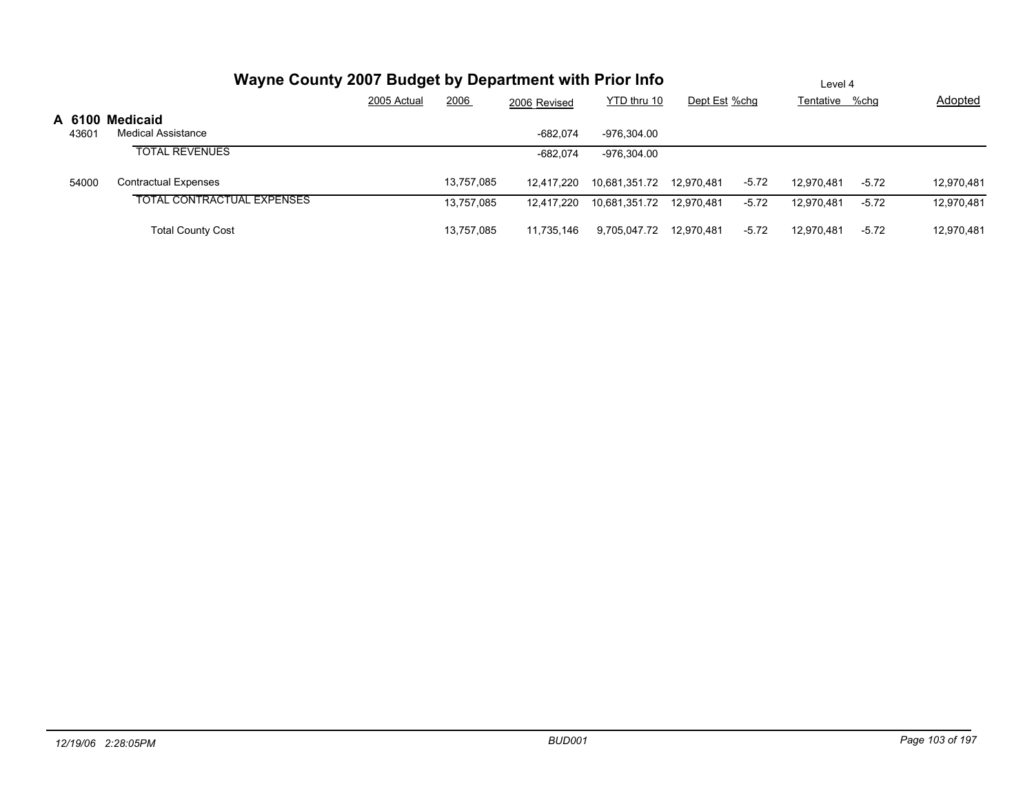|       |                                              | Wayne County 2007 Budget by Department with Prior Info |            |              |                           |               |         |                | Level 4 |                |  |  |  |
|-------|----------------------------------------------|--------------------------------------------------------|------------|--------------|---------------------------|---------------|---------|----------------|---------|----------------|--|--|--|
|       |                                              | 2005 Actual                                            | 2006       | 2006 Revised | YTD thru 10               | Dept Est %chg |         | Tentative %chg |         | <b>Adopted</b> |  |  |  |
| 43601 | A 6100 Medicaid<br><b>Medical Assistance</b> |                                                        |            | $-682.074$   | -976.304.00               |               |         |                |         |                |  |  |  |
|       | <b>TOTAL REVENUES</b>                        |                                                        |            | $-682.074$   | -976.304.00               |               |         |                |         |                |  |  |  |
| 54000 | <b>Contractual Expenses</b>                  |                                                        | 13,757,085 | 12.417.220   | 10.681.351.72  12.970.481 |               | $-5.72$ | 12.970.481     | $-5.72$ | 12,970,481     |  |  |  |
|       | <b>TOTAL CONTRACTUAL EXPENSES</b>            |                                                        | 13.757.085 | 12.417.220   | 10,681,351.72  12,970,481 |               | $-5.72$ | 12.970.481     | $-5.72$ | 12,970,481     |  |  |  |
|       | <b>Total County Cost</b>                     |                                                        | 13.757.085 | 11.735.146   | 9,705,047.72 12,970,481   |               | $-5.72$ | 12.970.481     | $-5.72$ | 12,970,481     |  |  |  |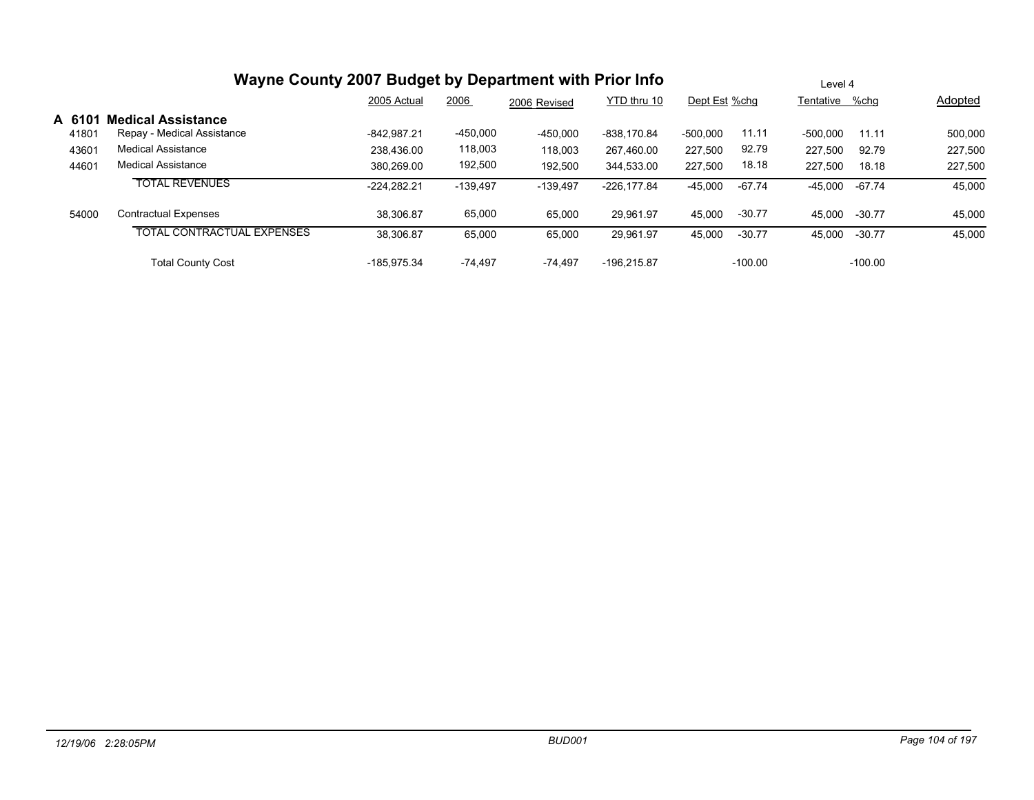|        | Wayne County 2007 Budget by Department with Prior Info | Level 4       |            |              |               |                     |                |           |                |
|--------|--------------------------------------------------------|---------------|------------|--------------|---------------|---------------------|----------------|-----------|----------------|
|        |                                                        | 2005 Actual   | 2006       | 2006 Revised | YTD thru 10   | Dept Est %chg       | Tentative %chg |           | <b>Adopted</b> |
| A 6101 | <b>Medical Assistance</b>                              |               |            |              |               |                     |                |           |                |
| 41801  | Repay - Medical Assistance                             | $-842.987.21$ | $-450,000$ | $-450,000$   | -838.170.84   | 11.11<br>$-500,000$ | -500.000       | 11.11     | 500,000        |
| 43601  | <b>Medical Assistance</b>                              | 238.436.00    | 118,003    | 118,003      | 267,460.00    | 92.79<br>227,500    | 227.500        | 92.79     | 227,500        |
| 44601  | Medical Assistance                                     | 380.269.00    | 192,500    | 192,500      | 344,533.00    | 18.18<br>227,500    | 227.500        | 18.18     | 227,500        |
|        | <b>TOTAL REVENUES</b>                                  | $-224.282.21$ | $-139.497$ | $-139,497$   | $-226.177.84$ | -67.74<br>$-45,000$ | -45.000        | -67.74    | 45,000         |
| 54000  | <b>Contractual Expenses</b>                            | 38.306.87     | 65,000     | 65,000       | 29.961.97     | $-30.77$<br>45,000  | 45.000         | $-30.77$  | 45,000         |
|        | <b>TOTAL CONTRACTUAL EXPENSES</b>                      | 38,306.87     | 65,000     | 65,000       | 29,961.97     | $-30.77$<br>45,000  | 45,000         | $-30.77$  | 45,000         |
|        | <b>Total County Cost</b>                               | $-185.975.34$ | $-74.497$  | $-74.497$    | -196.215.87   | $-100.00$           |                | $-100.00$ |                |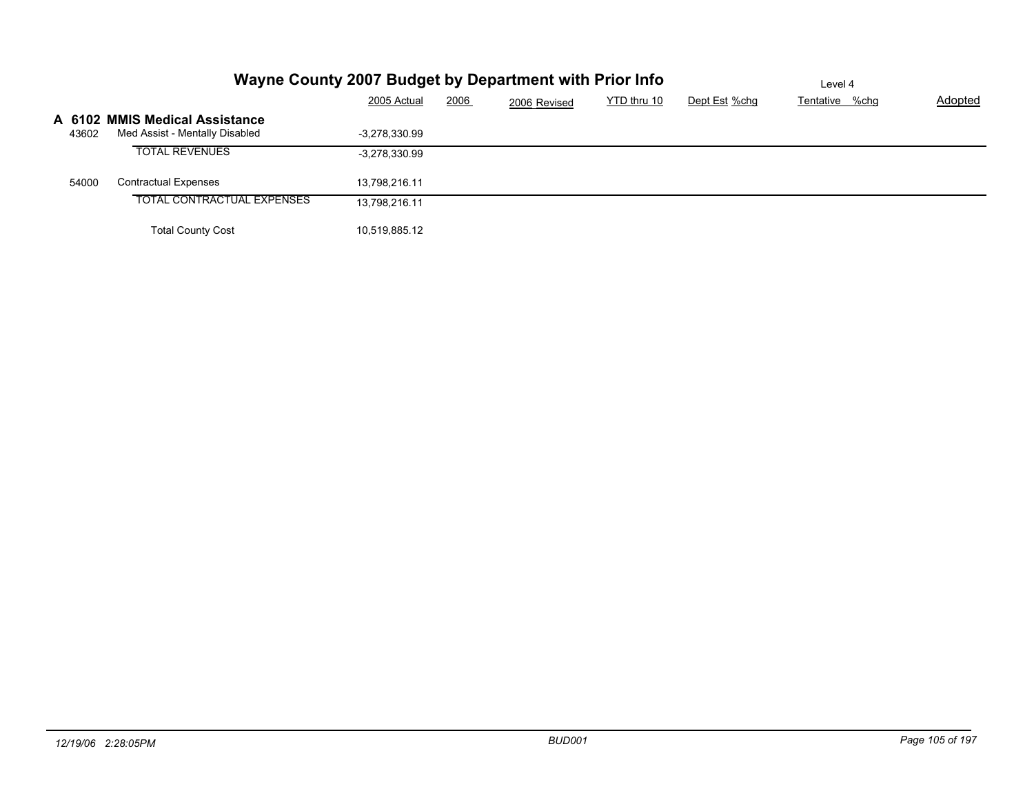|       | Wayne County 2007 Budget by Department with Prior Info           | Level 4         |      |              |             |               |                |         |
|-------|------------------------------------------------------------------|-----------------|------|--------------|-------------|---------------|----------------|---------|
|       |                                                                  | 2005 Actual     | 2006 | 2006 Revised | YTD thru 10 | Dept Est %chg | Tentative %chg | Adopted |
| 43602 | A 6102 MMIS Medical Assistance<br>Med Assist - Mentally Disabled | -3.278.330.99   |      |              |             |               |                |         |
|       | <b>TOTAL REVENUES</b>                                            | $-3,278,330.99$ |      |              |             |               |                |         |
| 54000 | <b>Contractual Expenses</b>                                      | 13,798,216.11   |      |              |             |               |                |         |
|       | TOTAL CONTRACTUAL EXPENSES                                       | 13,798,216.11   |      |              |             |               |                |         |
|       | <b>Total County Cost</b>                                         | 10,519,885.12   |      |              |             |               |                |         |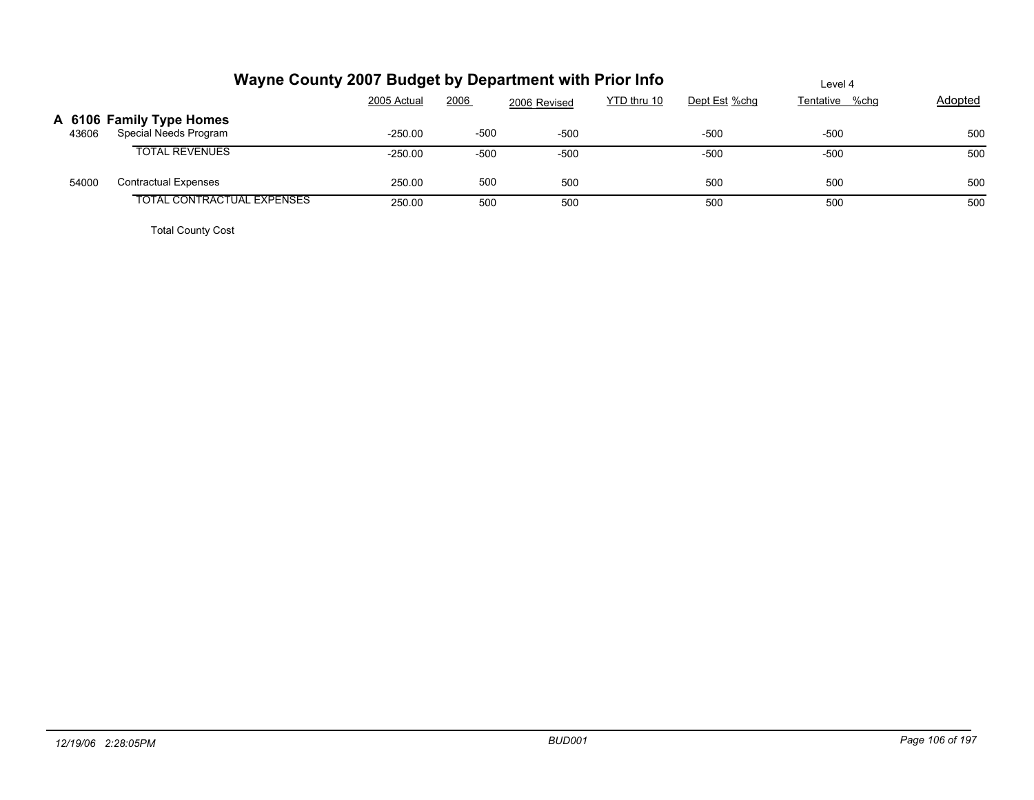|       |                                                   | Wayne County 2007 Budget by Department with Prior Info | Level 4 |              |             |               |                |         |
|-------|---------------------------------------------------|--------------------------------------------------------|---------|--------------|-------------|---------------|----------------|---------|
|       |                                                   | 2005 Actual                                            | 2006    | 2006 Revised | YTD thru 10 | Dept Est %chg | Tentative %chg | Adopted |
| 43606 | A 6106 Family Type Homes<br>Special Needs Program | $-250.00$                                              | $-500$  | $-500$       |             | $-500$        | -500           | 500     |
|       | <b>TOTAL REVENUES</b>                             | $-250.00$                                              | $-500$  | $-500$       |             | $-500$        | $-500$         | 500     |
| 54000 | Contractual Expenses                              | 250.00                                                 | 500     | 500          |             | 500           | 500            | 500     |
|       | TOTAL CONTRACTUAL EXPENSES                        | 250.00                                                 | 500     | 500          |             | 500           | 500            | 500     |
|       |                                                   |                                                        |         |              |             |               |                |         |

Total County Cost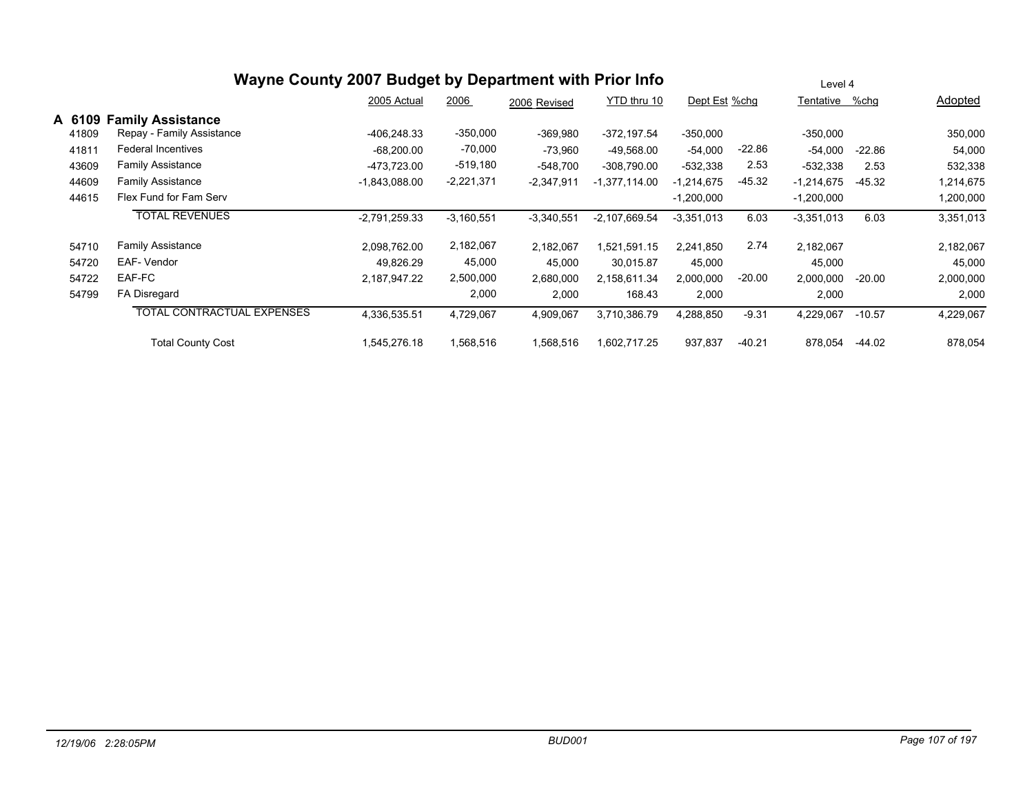|                                   |                                                                                | Level 4      |              |                 |                                                        |          |               |          |                |
|-----------------------------------|--------------------------------------------------------------------------------|--------------|--------------|-----------------|--------------------------------------------------------|----------|---------------|----------|----------------|
|                                   | 2005 Actual                                                                    | 2006         | 2006 Revised | YTD thru 10     |                                                        |          |               |          | Adopted        |
| <b>Family Assistance</b>          |                                                                                |              |              |                 |                                                        |          |               |          |                |
| Repay - Family Assistance         | -406.248.33                                                                    | $-350,000$   | $-369,980$   | $-372, 197.54$  | $-350,000$                                             |          | $-350,000$    |          | 350,000        |
| Federal Incentives                | $-68,200.00$                                                                   | $-70,000$    | $-73,960$    | $-49,568.00$    | $-54,000$                                              | $-22.86$ | $-54,000$     | $-22.86$ | 54,000         |
| Family Assistance                 | -473,723.00                                                                    | $-519,180$   | $-548,700$   | $-308,790.00$   | $-532,338$                                             | 2.53     | $-532,338$    | 2.53     | 532,338        |
| <b>Family Assistance</b>          | $-1,843,088.00$                                                                | $-2,221,371$ | $-2,347,911$ | $-1,377,114.00$ | $-1,214,675$                                           | $-45.32$ | $-1,214,675$  | $-45.32$ | 1,214,675      |
| Flex Fund for Fam Serv            |                                                                                |              |              |                 | $-1,200,000$                                           |          | $-1,200,000$  |          | 1,200,000      |
| <b>TOTAL REVENUES</b>             | $-2,791,259.33$                                                                | $-3,160,551$ | $-3,340,551$ | $-2,107,669.54$ | $-3,351,013$                                           | 6.03     | $-3,351,013$  | 6.03     | 3,351,013      |
| <b>Family Assistance</b>          | 2,098,762.00                                                                   | 2,182,067    | 2,182,067    | 1,521,591.15    | 2,241,850                                              | 2.74     | 2,182,067     |          | 2,182,067      |
| EAF- Vendor                       | 49,826.29                                                                      | 45,000       | 45,000       | 30,015.87       | 45,000                                                 |          | 45,000        |          | 45,000         |
| EAF-FC                            | 2,187,947.22                                                                   | 2,500,000    | 2,680,000    | 2,158,611.34    | 2,000,000                                              | $-20.00$ | 2,000,000     | $-20.00$ | 2,000,000      |
| FA Disregard                      |                                                                                | 2,000        | 2,000        | 168.43          | 2,000                                                  |          | 2,000         |          | 2,000          |
| <b>TOTAL CONTRACTUAL EXPENSES</b> | 4,336,535.51                                                                   | 4,729,067    | 4,909,067    | 3,710,386.79    | 4,288,850                                              | $-9.31$  | 4,229,067     | $-10.57$ | 4,229,067      |
| <b>Total County Cost</b>          | 1,545,276.18                                                                   | ,568,516     | 1,568,516    | 602,717.25      | 937,837                                                | $-40.21$ | 878,054       | -44.02   | 878,054        |
| 41811                             | A 6109<br>41809<br>43609<br>44609<br>44615<br>54710<br>54720<br>54722<br>54799 |              |              |                 | Wayne County 2007 Budget by Department with Prior Info |          | Dept Est %chg |          | Tentative %chg |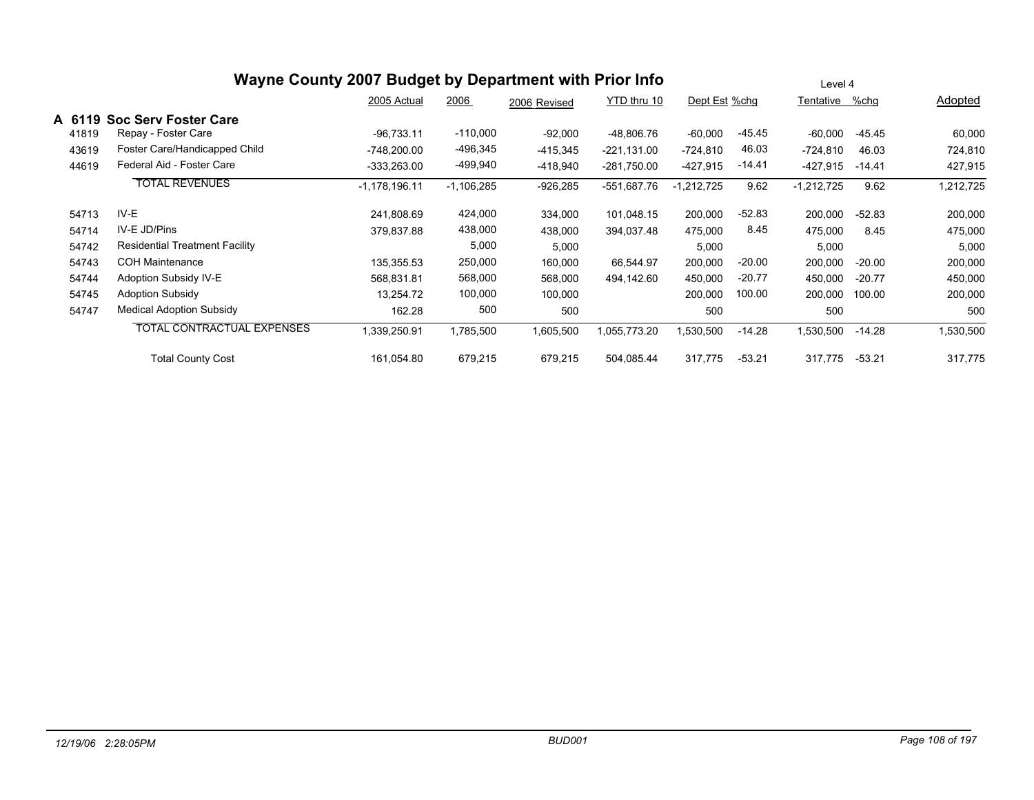|        |                                       | Wayne County 2007 Budget by Department with Prior Info |              |              | Level 4       |               |          |              |          |           |
|--------|---------------------------------------|--------------------------------------------------------|--------------|--------------|---------------|---------------|----------|--------------|----------|-----------|
|        |                                       | 2005 Actual                                            | 2006         | 2006 Revised | YTD thru 10   | Dept Est %chg |          | Tentative    | %chg     | Adopted   |
| A 6119 | <b>Soc Serv Foster Care</b>           |                                                        |              |              |               |               |          |              |          |           |
| 41819  | Repay - Foster Care                   | $-96,733.11$                                           | $-110,000$   | $-92,000$    | -48,806.76    | $-60,000$     | $-45.45$ | -60,000      | $-45.45$ | 60,000    |
| 43619  | Foster Care/Handicapped Child         | -748,200.00                                            | -496,345     | $-415,345$   | $-221,131.00$ | $-724,810$    | 46.03    | -724,810     | 46.03    | 724,810   |
| 44619  | Federal Aid - Foster Care             | $-333,263.00$                                          | -499,940     | $-418,940$   | $-281,750.00$ | $-427,915$    | $-14.41$ | -427,915     | -14.41   | 427,915   |
|        | <b>TOTAL REVENUES</b>                 | $-1,178,196.11$                                        | $-1,106,285$ | $-926,285$   | -551,687.76   | 1,212,725     | 9.62     | $-1,212,725$ | 9.62     | 1,212,725 |
| 54713  | IV-E                                  | 241.808.69                                             | 424,000      | 334,000      | 101,048.15    | 200,000       | $-52.83$ | 200,000      | $-52.83$ | 200,000   |
| 54714  | IV-E JD/Pins                          | 379,837.88                                             | 438,000      | 438,000      | 394,037.48    | 475,000       | 8.45     | 475,000      | 8.45     | 475,000   |
| 54742  | <b>Residential Treatment Facility</b> |                                                        | 5,000        | 5,000        |               | 5,000         |          | 5,000        |          | 5,000     |
| 54743  | <b>COH Maintenance</b>                | 135,355.53                                             | 250,000      | 160,000      | 66,544.97     | 200,000       | $-20.00$ | 200,000      | $-20.00$ | 200,000   |
| 54744  | Adoption Subsidy IV-E                 | 568,831.81                                             | 568,000      | 568,000      | 494,142.60    | 450,000       | $-20.77$ | 450,000      | $-20.77$ | 450,000   |
| 54745  | <b>Adoption Subsidy</b>               | 13,254.72                                              | 100,000      | 100,000      |               | 200,000       | 100.00   | 200,000      | 100.00   | 200,000   |
| 54747  | <b>Medical Adoption Subsidy</b>       | 162.28                                                 | 500          | 500          |               | 500           |          | 500          |          | 500       |
|        | <b>TOTAL CONTRACTUAL EXPENSES</b>     | 1,339,250.91                                           | 1,785,500    | 1,605,500    | 1,055,773.20  | ,530,500      | $-14.28$ | 1,530,500    | -14.28   | 1,530,500 |
|        | <b>Total County Cost</b>              | 161,054.80                                             | 679,215      | 679,215      | 504,085.44    | 317,775       | $-53.21$ | 317,775      | $-53.21$ | 317,775   |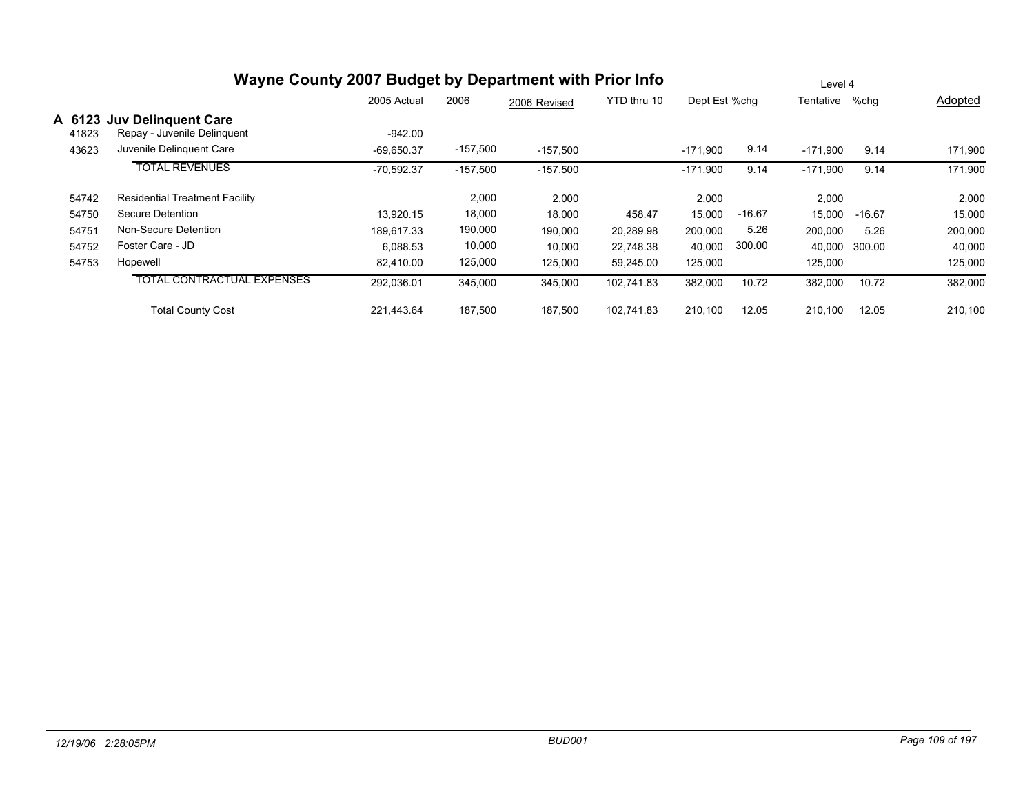|       | Wayne County 2007 Budget by Department with Prior Info    |              |            |              | Level 4     |               |          |                |          |         |
|-------|-----------------------------------------------------------|--------------|------------|--------------|-------------|---------------|----------|----------------|----------|---------|
|       |                                                           | 2005 Actual  | 2006       | 2006 Revised | YTD thru 10 | Dept Est %chg |          | Tentative %chg |          | Adopted |
| 41823 | A 6123 Juv Delinguent Care<br>Repay - Juvenile Delinquent | $-942.00$    |            |              |             |               |          |                |          |         |
| 43623 | Juvenile Delinguent Care                                  | $-69.650.37$ | $-157,500$ | $-157,500$   |             | $-171,900$    | 9.14     | $-171.900$     | 9.14     | 171,900 |
|       | <b>TOTAL REVENUES</b>                                     | $-70,592.37$ | $-157,500$ | $-157,500$   |             | $-171,900$    | 9.14     | $-171,900$     | 9.14     | 171,900 |
| 54742 | <b>Residential Treatment Facility</b>                     |              | 2,000      | 2,000        |             | 2,000         |          | 2,000          |          | 2,000   |
| 54750 | Secure Detention                                          | 13.920.15    | 18,000     | 18,000       | 458.47      | 15,000        | $-16.67$ | 15,000         | $-16.67$ | 15,000  |
| 54751 | Non-Secure Detention                                      | 189.617.33   | 190,000    | 190,000      | 20,289.98   | 200,000       | 5.26     | 200,000        | 5.26     | 200,000 |
| 54752 | Foster Care - JD                                          | 6,088.53     | 10,000     | 10,000       | 22,748.38   | 40,000        | 300.00   | 40,000         | 300.00   | 40,000  |
| 54753 | Hopewell                                                  | 82.410.00    | 125,000    | 125,000      | 59,245.00   | 125,000       |          | 125,000        |          | 125,000 |
|       | <b>TOTAL CONTRACTUAL EXPENSES</b>                         | 292,036.01   | 345,000    | 345,000      | 102,741.83  | 382,000       | 10.72    | 382,000        | 10.72    | 382,000 |
|       | <b>Total County Cost</b>                                  | 221.443.64   | 187.500    | 187,500      | 102.741.83  | 210,100       | 12.05    | 210.100        | 12.05    | 210,100 |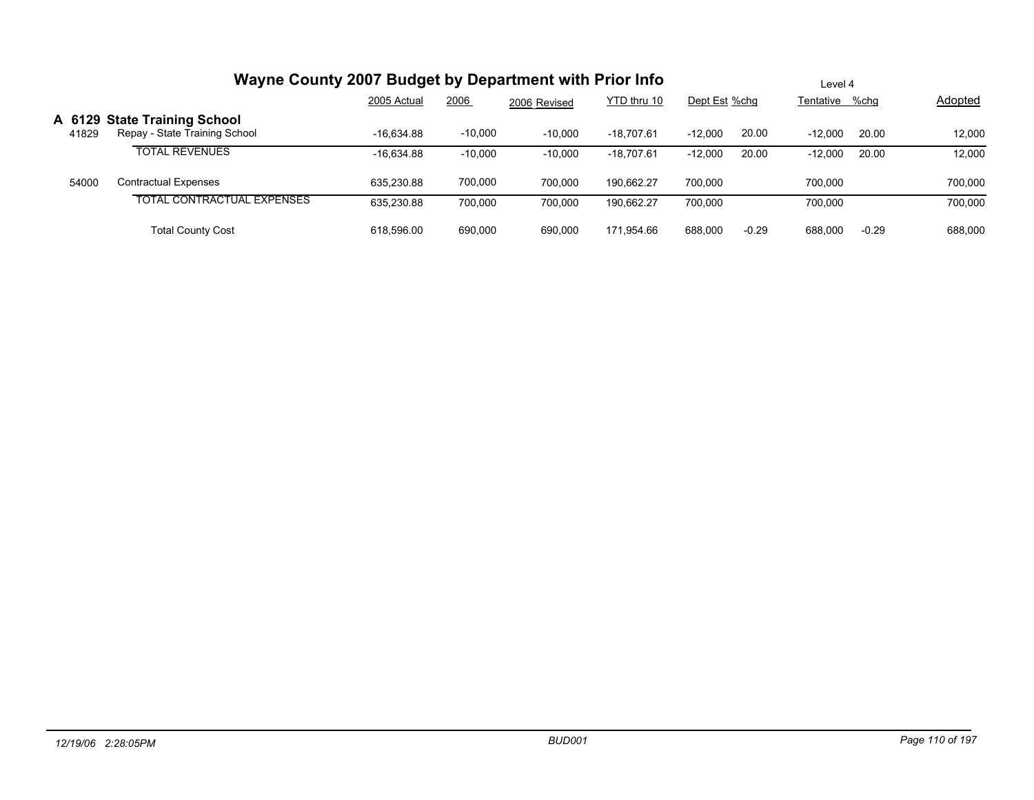|       | Wayne County 2007 Budget by Department with Prior Info        |              | Level 4   |              |              |               |         |                |         |                |
|-------|---------------------------------------------------------------|--------------|-----------|--------------|--------------|---------------|---------|----------------|---------|----------------|
|       |                                                               | 2005 Actual  | 2006      | 2006 Revised | YTD thru 10  | Dept Est %chg |         | Tentative %chg |         | <b>Adopted</b> |
| 41829 | A 6129 State Training School<br>Repay - State Training School | $-16.634.88$ | $-10,000$ | $-10,000$    | $-18,707.61$ | $-12,000$     | 20.00   | $-12.000$      | 20.00   | 12,000         |
|       | <b>TOTAL REVENUES</b>                                         | $-16.634.88$ | $-10,000$ | $-10,000$    | $-18,707.61$ | $-12,000$     | 20.00   | $-12.000$      | 20.00   | 12,000         |
| 54000 | Contractual Expenses                                          | 635.230.88   | 700,000   | 700.000      | 190.662.27   | 700.000       |         | 700.000        |         | 700,000        |
|       | <b>TOTAL CONTRACTUAL EXPENSES</b>                             | 635.230.88   | 700.000   | 700.000      | 190.662.27   | 700.000       |         | 700.000        |         | 700,000        |
|       | <b>Total County Cost</b>                                      | 618.596.00   | 690.000   | 690.000      | 171,954.66   | 688,000       | $-0.29$ | 688,000        | $-0.29$ | 688,000        |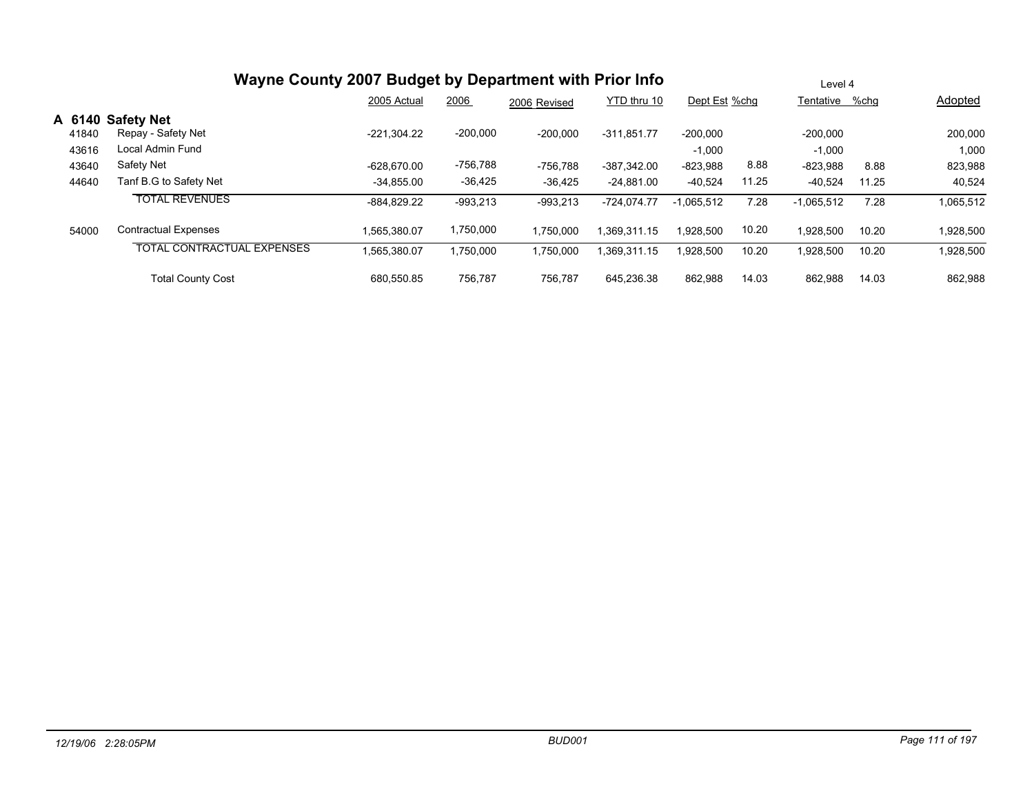|       | Wayne County 2007 Budget by Department with Prior Info | Level 4       |            |              |               |               |       |              |       |           |
|-------|--------------------------------------------------------|---------------|------------|--------------|---------------|---------------|-------|--------------|-------|-----------|
|       |                                                        | 2005 Actual   | 2006       | 2006 Revised | YTD thru 10   | Dept Est %chg |       | Tentative    | %chq  | Adopted   |
|       | A 6140 Safety Net                                      |               |            |              |               |               |       |              |       |           |
| 41840 | Repay - Safety Net<br>Local Admin Fund                 | $-221,304.22$ | $-200,000$ | $-200,000$   | $-311,851.77$ | $-200.000$    |       | $-200,000$   |       | 200,000   |
| 43616 |                                                        |               |            |              |               | $-1,000$      |       | $-1,000$     |       | 1,000     |
| 43640 | Safety Net                                             | $-628.670.00$ | -756,788   | -756,788     | $-387.342.00$ | $-823,988$    | 8.88  | $-823,988$   | 8.88  | 823,988   |
| 44640 | Tanf B.G to Safety Net                                 | $-34.855.00$  | $-36,425$  | $-36,425$    | $-24.881.00$  | $-40.524$     | 11.25 | $-40.524$    | 11.25 | 40,524    |
|       | <b>TOTAL REVENUES</b>                                  | $-884.829.22$ | $-993,213$ | $-993,213$   | $-724,074.77$ | $-1.065.512$  | 7.28  | $-1,065,512$ | 7.28  | 1,065,512 |
| 54000 | <b>Contractual Expenses</b>                            | 1.565.380.07  | 1,750,000  | 1.750.000    | 1.369.311.15  | 1.928.500     | 10.20 | 1.928.500    | 10.20 | 1,928,500 |
|       | <b>TOTAL CONTRACTUAL EXPENSES</b>                      | 1,565,380.07  | 1,750,000  | 1,750,000    | 1,369,311.15  | 1,928,500     | 10.20 | 1,928,500    | 10.20 | 1,928,500 |
|       | <b>Total County Cost</b>                               | 680.550.85    | 756.787    | 756,787      | 645.236.38    | 862,988       | 14.03 | 862.988      | 14.03 | 862,988   |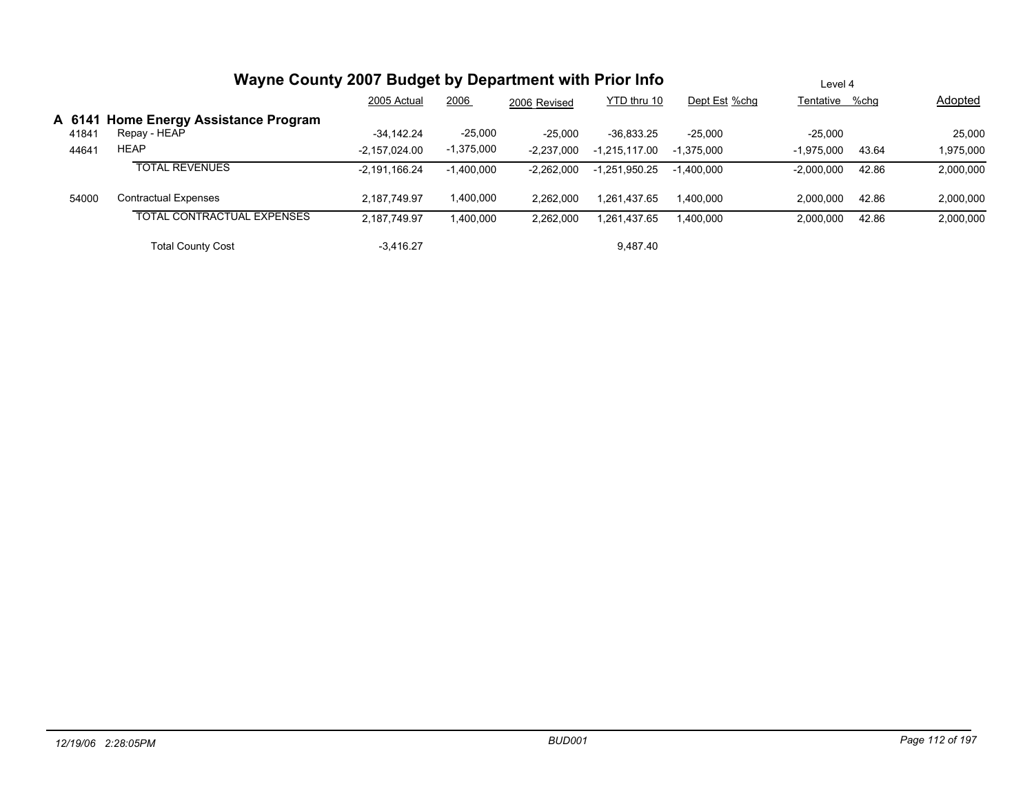|       | Wayne County 2007 Budget by Department with Prior Info |                 |              |              |                 |               | Level 4        |       |           |
|-------|--------------------------------------------------------|-----------------|--------------|--------------|-----------------|---------------|----------------|-------|-----------|
|       |                                                        | 2005 Actual     | 2006         | 2006 Revised | YTD thru 10     | Dept Est %chg | Tentative %chg |       | Adopted   |
| 41841 | A 6141 Home Energy Assistance Program<br>Repay - HEAP  | $-34.142.24$    | $-25,000$    | $-25,000$    | $-36.833.25$    | $-25.000$     | $-25.000$      |       | 25,000    |
| 44641 | <b>HEAP</b>                                            | $-2.157.024.00$ | $-1,375,000$ | $-2,237,000$ | -1,215,117.00   | $-1.375.000$  | $-1.975.000$   | 43.64 | 1,975,000 |
|       | <b>TOTAL REVENUES</b>                                  | $-2,191,166.24$ | $-1,400,000$ | $-2,262,000$ | $-1.251.950.25$ | $-1.400.000$  | $-2.000.000$   | 42.86 | 2,000,000 |
| 54000 | <b>Contractual Expenses</b>                            | 2.187.749.97    | 1,400,000    | 2.262.000    | 1.261.437.65    | 1.400.000     | 2.000.000      | 42.86 | 2,000,000 |
|       | <b>TOTAL CONTRACTUAL EXPENSES</b>                      | 2,187,749.97    | 1,400,000    | 2,262,000    | 1.261.437.65    | 1,400,000     | 2.000.000      | 42.86 | 2,000,000 |
|       | <b>Total County Cost</b>                               | $-3.416.27$     |              |              | 9.487.40        |               |                |       |           |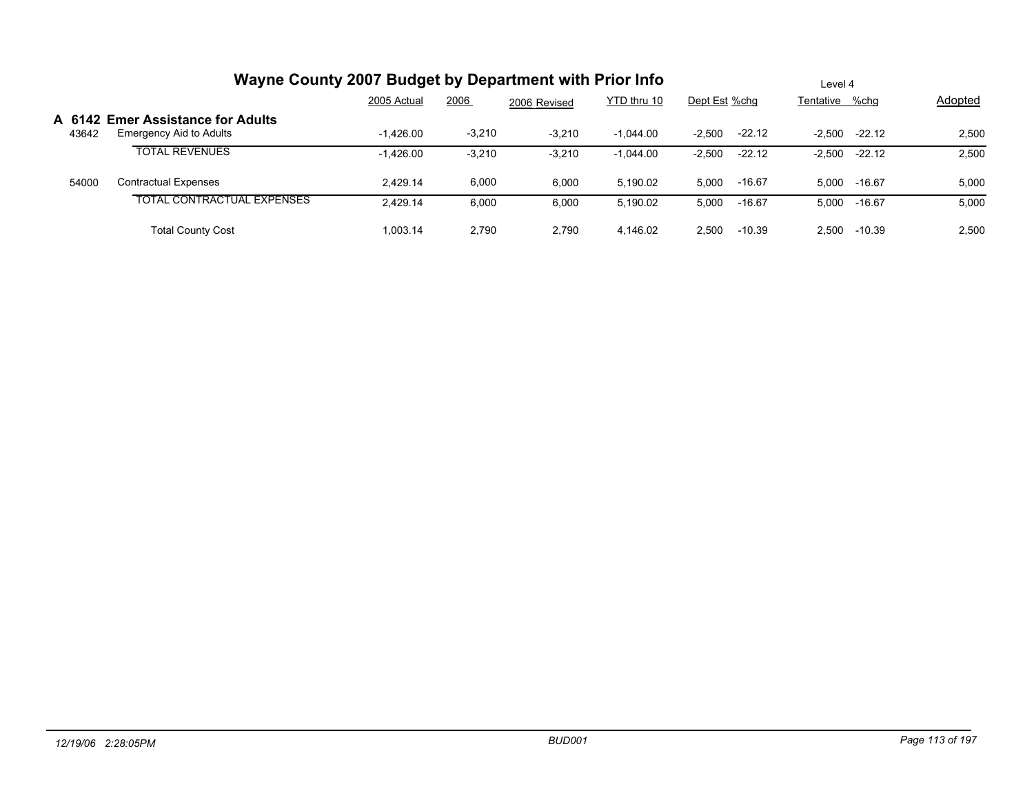|       | Wayne County 2007 Budget by Department with Prior Info       |             | Level 4  |              |             |                      |                      |         |
|-------|--------------------------------------------------------------|-------------|----------|--------------|-------------|----------------------|----------------------|---------|
|       |                                                              | 2005 Actual | 2006     | 2006 Revised | YTD thru 10 | Dept Est %chq        | Tentative %chg       | Adopted |
| 43642 | A 6142 Emer Assistance for Adults<br>Emergency Aid to Adults | $-1.426.00$ | $-3,210$ | $-3,210$     | $-1.044.00$ | $-22.12$<br>$-2,500$ | -2.500<br>$-22.12$   | 2,500   |
|       | <b>TOTAL REVENUES</b>                                        | $-1,426.00$ | $-3,210$ | $-3,210$     | $-1,044.00$ | $-22.12$<br>$-2,500$ | $-22.12$<br>$-2,500$ | 2,500   |
| 54000 | Contractual Expenses                                         | 2.429.14    | 6,000    | 6,000        | 5.190.02    | $-16.67$<br>5.000    | 5.000<br>-16.67      | 5,000   |
|       | TOTAL CONTRACTUAL EXPENSES                                   | 2,429.14    | 6,000    | 6,000        | 5.190.02    | 5,000<br>$-16.67$    | 5,000<br>-16.67      | 5,000   |
|       | <b>Total County Cost</b>                                     | 1.003.14    | 2.790    | 2,790        | 4.146.02    | 2,500<br>$-10.39$    | $-10.39$<br>2.500    | 2,500   |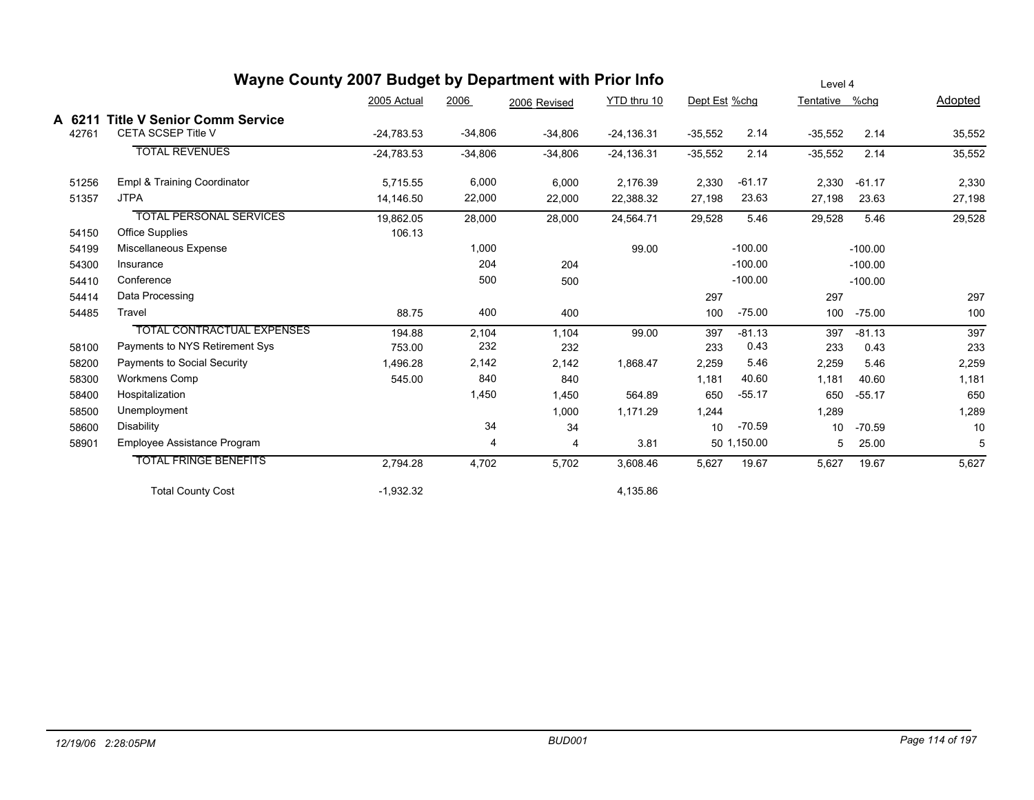|        | Wayne County 2007 Budget by Department with Prior Info |              |           |              | Level 4       |               |             |           |           |         |
|--------|--------------------------------------------------------|--------------|-----------|--------------|---------------|---------------|-------------|-----------|-----------|---------|
|        |                                                        | 2005 Actual  | 2006      | 2006 Revised | YTD thru 10   | Dept Est %chg |             | Tentative | %chg      | Adopted |
| A 6211 | <b>Title V Senior Comm Service</b>                     |              |           |              |               |               |             |           |           |         |
| 42761  | <b>CETA SCSEP Title V</b>                              | $-24,783.53$ | $-34,806$ | $-34,806$    | $-24, 136.31$ | $-35,552$     | 2.14        | $-35,552$ | 2.14      | 35,552  |
|        | <b>TOTAL REVENUES</b>                                  | $-24,783.53$ | $-34,806$ | $-34,806$    | $-24, 136.31$ | $-35,552$     | 2.14        | $-35,552$ | 2.14      | 35,552  |
| 51256  | Empl & Training Coordinator                            | 5,715.55     | 6,000     | 6,000        | 2,176.39      | 2,330         | $-61.17$    | 2.330     | $-61.17$  | 2,330   |
| 51357  | <b>JTPA</b>                                            | 14,146.50    | 22,000    | 22,000       | 22,388.32     | 27,198        | 23.63       | 27,198    | 23.63     | 27,198  |
|        | <b>TOTAL PERSONAL SERVICES</b>                         | 19,862.05    | 28,000    | 28,000       | 24,564.71     | 29,528        | 5.46        | 29,528    | 5.46      | 29,528  |
| 54150  | <b>Office Supplies</b>                                 | 106.13       |           |              |               |               |             |           |           |         |
| 54199  | Miscellaneous Expense                                  |              | 1,000     |              | 99.00         |               | $-100.00$   |           | $-100.00$ |         |
| 54300  | Insurance                                              |              | 204       | 204          |               |               | $-100.00$   |           | $-100.00$ |         |
| 54410  | Conference                                             |              | 500       | 500          |               |               | $-100.00$   |           | $-100.00$ |         |
| 54414  | Data Processing                                        |              |           |              |               | 297           |             | 297       |           | 297     |
| 54485  | Travel                                                 | 88.75        | 400       | 400          |               | 100           | $-75.00$    | 100       | $-75.00$  | 100     |
|        | <b>TOTAL CONTRACTUAL EXPENSES</b>                      | 194.88       | 2,104     | 1,104        | 99.00         | 397           | $-81.13$    | 397       | $-81.13$  | 397     |
| 58100  | Payments to NYS Retirement Sys                         | 753.00       | 232       | 232          |               | 233           | 0.43        | 233       | 0.43      | 233     |
| 58200  | Payments to Social Security                            | 1,496.28     | 2,142     | 2,142        | 1,868.47      | 2,259         | 5.46        | 2,259     | 5.46      | 2,259   |
| 58300  | <b>Workmens Comp</b>                                   | 545.00       | 840       | 840          |               | 1,181         | 40.60       | 1.181     | 40.60     | 1,181   |
| 58400  | Hospitalization                                        |              | 1,450     | 1,450        | 564.89        | 650           | $-55.17$    | 650       | $-55.17$  | 650     |
| 58500  | Unemployment                                           |              |           | 1,000        | 1,171.29      | 1,244         |             | 1,289     |           | 1,289   |
| 58600  | Disability                                             |              | 34        | 34           |               | 10            | $-70.59$    | 10        | $-70.59$  | 10      |
| 58901  | Employee Assistance Program                            |              | 4         | 4            | 3.81          |               | 50 1,150.00 | 5         | 25.00     | 5       |
|        | <b>TOTAL FRINGE BENEFITS</b>                           | 2,794.28     | 4,702     | 5,702        | 3,608.46      | 5,627         | 19.67       | 5,627     | 19.67     | 5,627   |
|        | <b>Total County Cost</b>                               | $-1,932.32$  |           |              | 4,135.86      |               |             |           |           |         |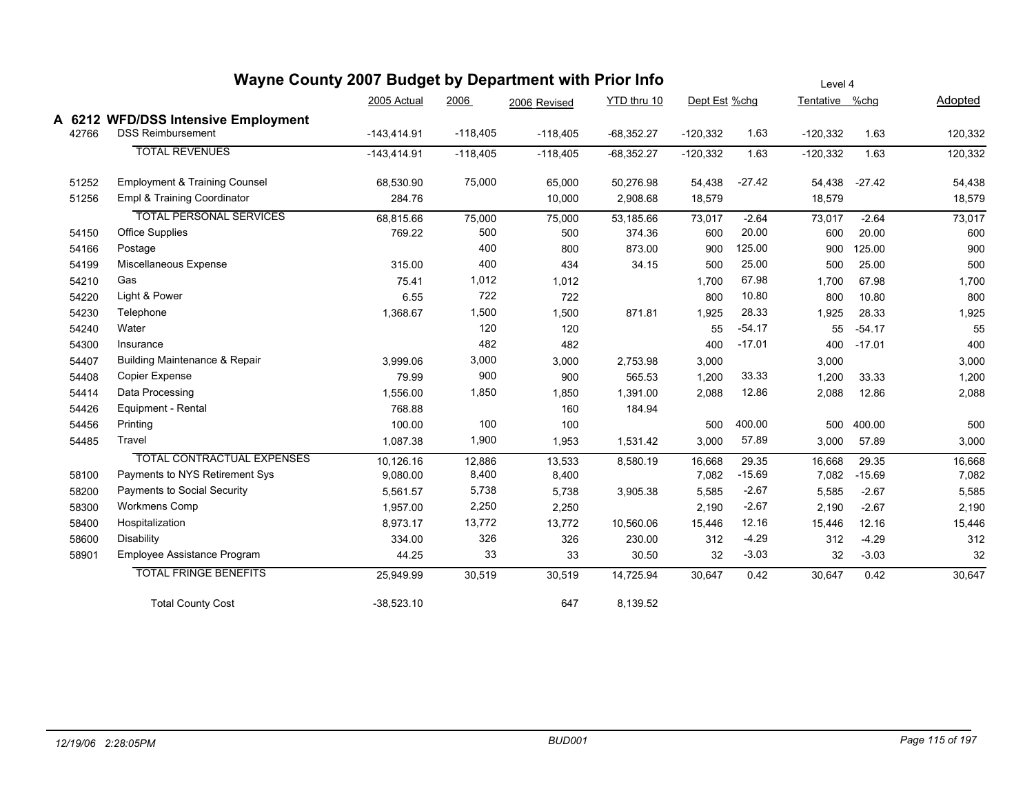|       | wayne County 2007 Budget by Department with Prior info |               |            |              |              |               |          | Level 4        |          |                |  |  |  |  |
|-------|--------------------------------------------------------|---------------|------------|--------------|--------------|---------------|----------|----------------|----------|----------------|--|--|--|--|
|       |                                                        | 2005 Actual   | 2006       | 2006 Revised | YTD thru 10  | Dept Est %chg |          | Tentative %chg |          | <b>Adopted</b> |  |  |  |  |
|       | A 6212 WFD/DSS Intensive Employment                    |               |            |              |              |               |          |                |          |                |  |  |  |  |
| 42766 | <b>DSS Reimbursement</b>                               | $-143,414.91$ | $-118,405$ | $-118,405$   | $-68,352.27$ | $-120,332$    | 1.63     | $-120,332$     | 1.63     | 120,332        |  |  |  |  |
|       | <b>TOTAL REVENUES</b>                                  | $-143.414.91$ | $-118,405$ | $-118,405$   | $-68,352.27$ | $-120,332$    | 1.63     | $-120,332$     | 1.63     | 120,332        |  |  |  |  |
| 51252 | <b>Employment &amp; Training Counsel</b>               | 68,530.90     | 75,000     | 65,000       | 50,276.98    | 54,438        | $-27.42$ | 54,438         | $-27.42$ | 54,438         |  |  |  |  |
| 51256 | Empl & Training Coordinator                            | 284.76        |            | 10,000       | 2,908.68     | 18,579        |          | 18,579         |          | 18,579         |  |  |  |  |
|       | <b>TOTAL PERSONAL SERVICES</b>                         | 68,815.66     | 75,000     | 75,000       | 53,185.66    | 73,017        | $-2.64$  | 73,017         | $-2.64$  | 73,017         |  |  |  |  |
| 54150 | <b>Office Supplies</b>                                 | 769.22        | 500        | 500          | 374.36       | 600           | 20.00    | 600            | 20.00    | 600            |  |  |  |  |
| 54166 | Postage                                                |               | 400        | 800          | 873.00       | 900           | 125.00   | 900            | 125.00   | 900            |  |  |  |  |
| 54199 | Miscellaneous Expense                                  | 315.00        | 400        | 434          | 34.15        | 500           | 25.00    | 500            | 25.00    | 500            |  |  |  |  |
| 54210 | Gas                                                    | 75.41         | 1,012      | 1,012        |              | 1,700         | 67.98    | 1,700          | 67.98    | 1,700          |  |  |  |  |
| 54220 | Light & Power                                          | 6.55          | 722        | 722          |              | 800           | 10.80    | 800            | 10.80    | 800            |  |  |  |  |
| 54230 | Telephone                                              | 1,368.67      | 1,500      | 1,500        | 871.81       | 1,925         | 28.33    | 1,925          | 28.33    | 1,925          |  |  |  |  |
| 54240 | Water                                                  |               | 120        | 120          |              | 55            | $-54.17$ | 55             | $-54.17$ | 55             |  |  |  |  |
| 54300 | Insurance                                              |               | 482        | 482          |              | 400           | $-17.01$ | 400            | $-17.01$ | 400            |  |  |  |  |
| 54407 | <b>Building Maintenance &amp; Repair</b>               | 3,999.06      | 3,000      | 3,000        | 2,753.98     | 3,000         |          | 3,000          |          | 3,000          |  |  |  |  |
| 54408 | <b>Copier Expense</b>                                  | 79.99         | 900        | 900          | 565.53       | 1,200         | 33.33    | 1,200          | 33.33    | 1,200          |  |  |  |  |
| 54414 | Data Processing                                        | 1,556.00      | 1,850      | 1,850        | 1,391.00     | 2,088         | 12.86    | 2,088          | 12.86    | 2,088          |  |  |  |  |
| 54426 | Equipment - Rental                                     | 768.88        |            | 160          | 184.94       |               |          |                |          |                |  |  |  |  |
| 54456 | Printing                                               | 100.00        | 100        | 100          |              | 500           | 400.00   | 500            | 400.00   | 500            |  |  |  |  |
| 54485 | Travel                                                 | 1,087.38      | 1,900      | 1,953        | 1,531.42     | 3,000         | 57.89    | 3,000          | 57.89    | 3,000          |  |  |  |  |
|       | <b>TOTAL CONTRACTUAL EXPENSES</b>                      | 10,126.16     | 12,886     | 13,533       | 8,580.19     | 16,668        | 29.35    | 16,668         | 29.35    | 16,668         |  |  |  |  |
| 58100 | Payments to NYS Retirement Sys                         | 9,080.00      | 8,400      | 8,400        |              | 7,082         | $-15.69$ | 7,082          | $-15.69$ | 7,082          |  |  |  |  |
| 58200 | Payments to Social Security                            | 5,561.57      | 5,738      | 5,738        | 3,905.38     | 5,585         | $-2.67$  | 5,585          | $-2.67$  | 5,585          |  |  |  |  |
| 58300 | <b>Workmens Comp</b>                                   | 1,957.00      | 2,250      | 2,250        |              | 2,190         | $-2.67$  | 2,190          | $-2.67$  | 2,190          |  |  |  |  |
| 58400 | Hospitalization                                        | 8,973.17      | 13,772     | 13,772       | 10,560.06    | 15,446        | 12.16    | 15,446         | 12.16    | 15,446         |  |  |  |  |
| 58600 | Disability                                             | 334.00        | 326        | 326          | 230.00       | 312           | $-4.29$  | 312            | $-4.29$  | 312            |  |  |  |  |
| 58901 | Employee Assistance Program                            | 44.25         | 33         | 33           | 30.50        | 32            | $-3.03$  | 32             | $-3.03$  | 32             |  |  |  |  |
|       | <b>TOTAL FRINGE BENEFITS</b>                           | 25,949.99     | 30,519     | 30,519       | 14,725.94    | 30,647        | 0.42     | 30,647         | 0.42     | 30,647         |  |  |  |  |
|       | <b>Total County Cost</b>                               | $-38,523.10$  |            | 647          | 8,139.52     |               |          |                |          |                |  |  |  |  |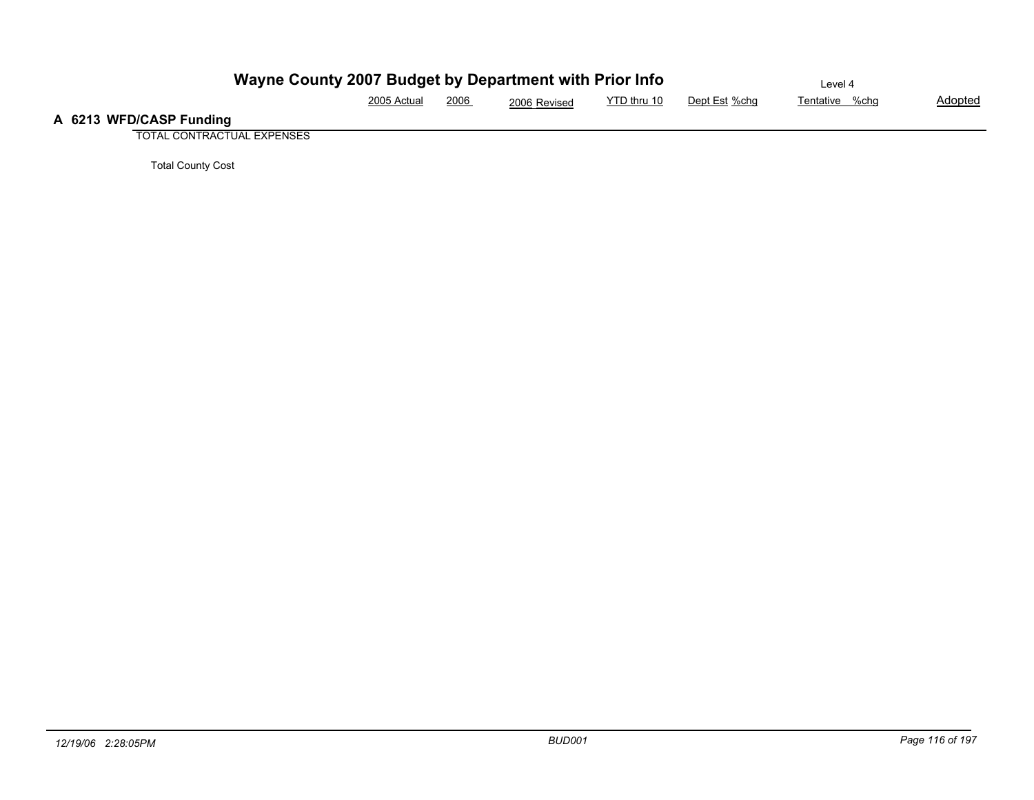|                         | Wayne County 2007 Budget by Department with Prior Info |      |              |             |               | Level 4        |         |
|-------------------------|--------------------------------------------------------|------|--------------|-------------|---------------|----------------|---------|
|                         | 2005 Actual                                            | 2006 | 2006 Revised | YTD thru 10 | Dept Est %chq | Tentative %chg | Adopted |
| A 6213 WFD/CASP Funding |                                                        |      |              |             |               |                |         |

TOTAL CONTRACTUAL EXPENSES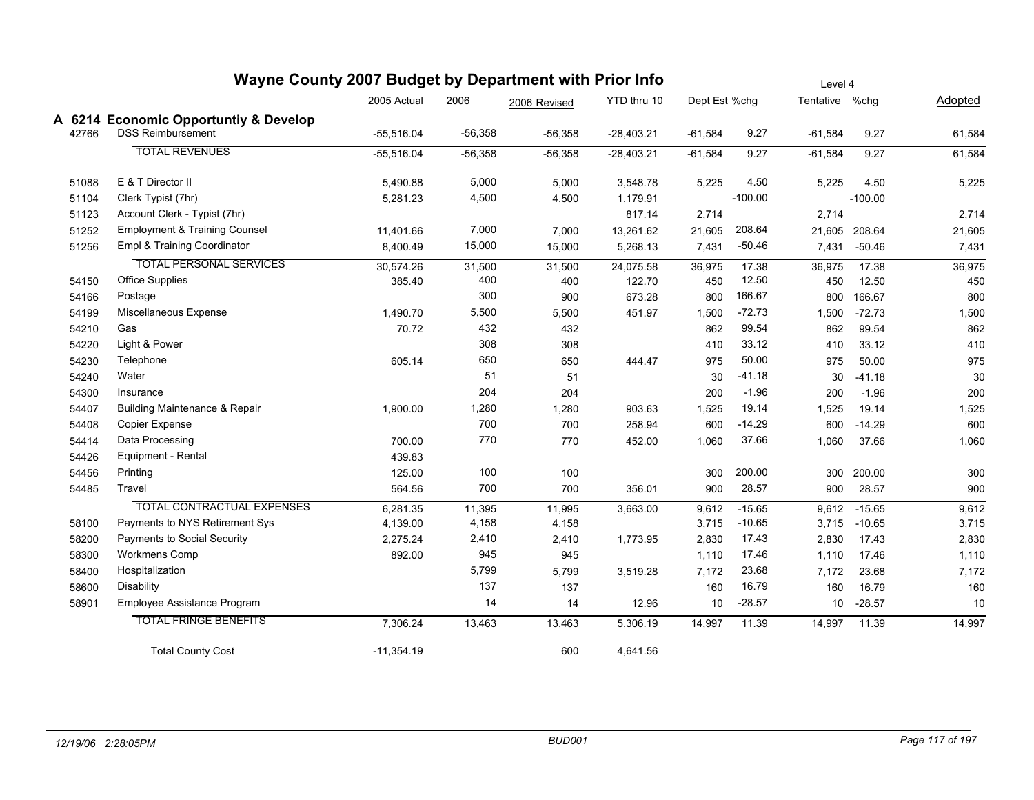|       | Wayne County 2007 Budget by Department with Prior Info |              | Level 4   |              |              |               |           |                |               |         |
|-------|--------------------------------------------------------|--------------|-----------|--------------|--------------|---------------|-----------|----------------|---------------|---------|
|       |                                                        | 2005 Actual  | 2006      | 2006 Revised | YTD thru 10  | Dept Est %chg |           | Tentative %chg |               | Adopted |
|       | A 6214 Economic Opportuntly & Develop                  |              |           |              |              |               |           |                |               |         |
| 42766 | <b>DSS Reimbursement</b>                               | $-55,516.04$ | $-56,358$ | $-56,358$    | $-28,403.21$ | $-61,584$     | 9.27      | $-61,584$      | 9.27          | 61,584  |
|       | <b>TOTAL REVENUES</b>                                  | $-55,516.04$ | $-56,358$ | $-56,358$    | $-28,403.21$ | $-61,584$     | 9.27      | $-61,584$      | 9.27          | 61,584  |
| 51088 | E & T Director II                                      | 5,490.88     | 5,000     | 5,000        | 3,548.78     | 5,225         | 4.50      | 5,225          | 4.50          | 5,225   |
| 51104 | Clerk Typist (7hr)                                     | 5,281.23     | 4,500     | 4,500        | 1,179.91     |               | $-100.00$ |                | $-100.00$     |         |
| 51123 | Account Clerk - Typist (7hr)                           |              |           |              | 817.14       | 2,714         |           | 2,714          |               | 2,714   |
| 51252 | <b>Employment &amp; Training Counsel</b>               | 11,401.66    | 7,000     | 7,000        | 13,261.62    | 21,605        | 208.64    |                | 21,605 208.64 | 21,605  |
| 51256 | Empl & Training Coordinator                            | 8,400.49     | 15,000    | 15,000       | 5,268.13     | 7,431         | $-50.46$  | 7,431          | $-50.46$      | 7,431   |
|       | <b>TOTAL PERSONAL SERVICES</b>                         | 30,574.26    | 31,500    | 31,500       | 24,075.58    | 36,975        | 17.38     | 36,975         | 17.38         | 36,975  |
| 54150 | <b>Office Supplies</b>                                 | 385.40       | 400       | 400          | 122.70       | 450           | 12.50     | 450            | 12.50         | 450     |
| 54166 | Postage                                                |              | 300       | 900          | 673.28       | 800           | 166.67    | 800            | 166.67        | 800     |
| 54199 | Miscellaneous Expense                                  | 1,490.70     | 5,500     | 5,500        | 451.97       | 1,500         | $-72.73$  | 1,500          | $-72.73$      | 1,500   |
| 54210 | Gas                                                    | 70.72        | 432       | 432          |              | 862           | 99.54     | 862            | 99.54         | 862     |
| 54220 | Light & Power                                          |              | 308       | 308          |              | 410           | 33.12     | 410            | 33.12         | 410     |
| 54230 | Telephone                                              | 605.14       | 650       | 650          | 444.47       | 975           | 50.00     | 975            | 50.00         | 975     |
| 54240 | Water                                                  |              | 51        | 51           |              | 30            | $-41.18$  | 30             | $-41.18$      | 30      |
| 54300 | Insurance                                              |              | 204       | 204          |              | 200           | $-1.96$   | 200            | $-1.96$       | 200     |
| 54407 | <b>Building Maintenance &amp; Repair</b>               | 1,900.00     | 1,280     | 1,280        | 903.63       | 1,525         | 19.14     | 1,525          | 19.14         | 1,525   |
| 54408 | Copier Expense                                         |              | 700       | 700          | 258.94       | 600           | $-14.29$  | 600            | $-14.29$      | 600     |
| 54414 | Data Processing                                        | 700.00       | 770       | 770          | 452.00       | 1,060         | 37.66     | 1,060          | 37.66         | 1,060   |
| 54426 | Equipment - Rental                                     | 439.83       |           |              |              |               |           |                |               |         |
| 54456 | Printing                                               | 125.00       | 100       | 100          |              | 300           | 200.00    | 300            | 200.00        | 300     |
| 54485 | Travel                                                 | 564.56       | 700       | 700          | 356.01       | 900           | 28.57     | 900            | 28.57         | 900     |
|       | <b>TOTAL CONTRACTUAL EXPENSES</b>                      | 6,281.35     | 11,395    | 11,995       | 3,663.00     | 9,612         | $-15.65$  | 9,612          | $-15.65$      | 9,612   |
| 58100 | Payments to NYS Retirement Sys                         | 4,139.00     | 4,158     | 4,158        |              | 3,715         | $-10.65$  |                | 3,715 -10.65  | 3,715   |
| 58200 | Payments to Social Security                            | 2,275.24     | 2,410     | 2,410        | 1,773.95     | 2,830         | 17.43     | 2,830          | 17.43         | 2,830   |
| 58300 | <b>Workmens Comp</b>                                   | 892.00       | 945       | 945          |              | 1,110         | 17.46     | 1,110          | 17.46         | 1,110   |
| 58400 | Hospitalization                                        |              | 5,799     | 5,799        | 3,519.28     | 7,172         | 23.68     | 7,172          | 23.68         | 7,172   |
| 58600 | <b>Disability</b>                                      |              | 137       | 137          |              | 160           | 16.79     | 160            | 16.79         | 160     |
| 58901 | Employee Assistance Program                            |              | 14        | 14           | 12.96        | 10            | $-28.57$  | 10             | $-28.57$      | 10      |
|       | <b>TOTAL FRINGE BENEFITS</b>                           | 7,306.24     | 13,463    | 13,463       | 5,306.19     | 14,997        | 11.39     | 14,997         | 11.39         | 14,997  |
|       | <b>Total County Cost</b>                               | $-11,354.19$ |           | 600          | 4,641.56     |               |           |                |               |         |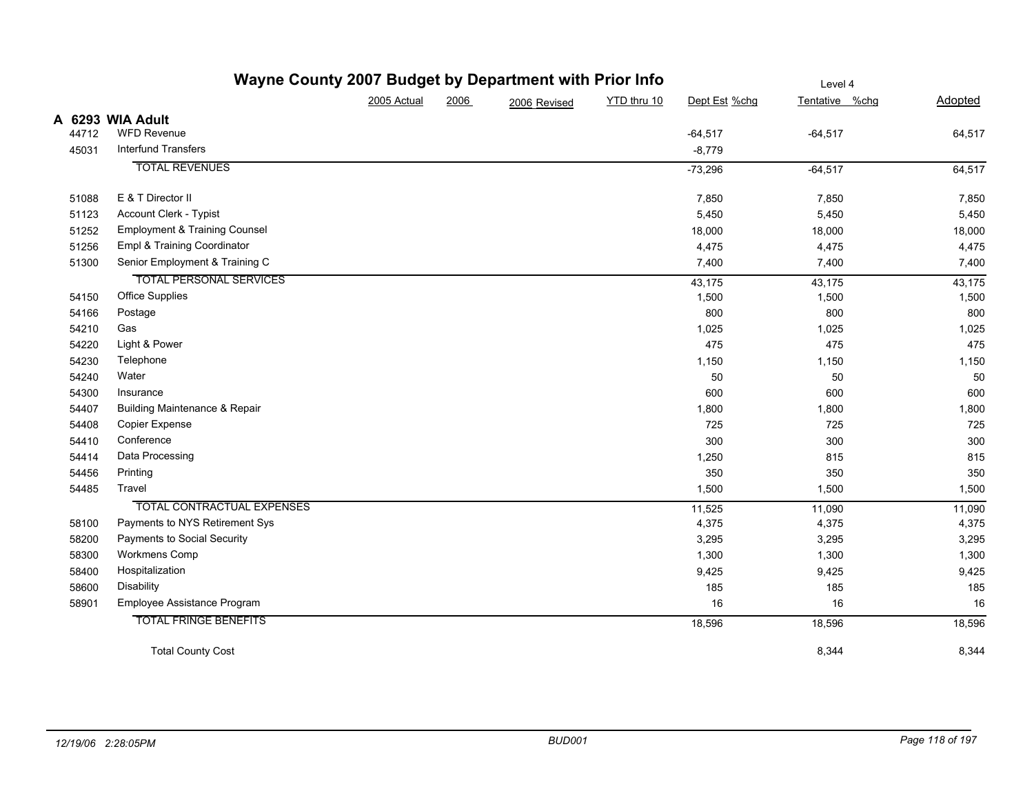|       | Wayne County 2007 Budget by Department with Prior Info |             | Level 4 |              |             |               |                |         |
|-------|--------------------------------------------------------|-------------|---------|--------------|-------------|---------------|----------------|---------|
|       |                                                        | 2005 Actual | 2006    | 2006 Revised | YTD thru 10 | Dept Est %chg | Tentative %chg | Adopted |
|       | A 6293 WIA Adult                                       |             |         |              |             |               |                |         |
| 44712 | <b>WFD Revenue</b>                                     |             |         |              |             | $-64,517$     | $-64,517$      | 64,517  |
| 45031 | <b>Interfund Transfers</b>                             |             |         |              |             | $-8,779$      |                |         |
|       | <b>TOTAL REVENUES</b>                                  |             |         |              |             | $-73,296$     | $-64,517$      | 64,517  |
| 51088 | E & T Director II                                      |             |         |              |             | 7,850         | 7,850          | 7,850   |
| 51123 | Account Clerk - Typist                                 |             |         |              |             | 5,450         | 5,450          | 5,450   |
| 51252 | <b>Employment &amp; Training Counsel</b>               |             |         |              |             | 18,000        | 18,000         | 18,000  |
| 51256 | Empl & Training Coordinator                            |             |         |              |             | 4,475         | 4,475          | 4,475   |
| 51300 | Senior Employment & Training C                         |             |         |              |             | 7,400         | 7,400          | 7,400   |
|       | <b>TOTAL PERSONAL SERVICES</b>                         |             |         |              |             | 43,175        | 43,175         | 43,175  |
| 54150 | <b>Office Supplies</b>                                 |             |         |              |             | 1,500         | 1,500          | 1,500   |
| 54166 | Postage                                                |             |         |              |             | 800           | 800            | 800     |
| 54210 | Gas                                                    |             |         |              |             | 1,025         | 1,025          | 1,025   |
| 54220 | Light & Power                                          |             |         |              |             | 475           | 475            | 475     |
| 54230 | Telephone                                              |             |         |              |             | 1,150         | 1,150          | 1,150   |
| 54240 | Water                                                  |             |         |              |             | 50            | 50             | 50      |
| 54300 | Insurance                                              |             |         |              |             | 600           | 600            | 600     |
| 54407 | <b>Building Maintenance &amp; Repair</b>               |             |         |              |             | 1,800         | 1,800          | 1,800   |
| 54408 | Copier Expense                                         |             |         |              |             | 725           | 725            | 725     |
| 54410 | Conference                                             |             |         |              |             | 300           | 300            | 300     |
| 54414 | Data Processing                                        |             |         |              |             | 1,250         | 815            | 815     |
| 54456 | Printing                                               |             |         |              |             | 350           | 350            | 350     |
| 54485 | Travel                                                 |             |         |              |             | 1,500         | 1,500          | 1,500   |
|       | <b>TOTAL CONTRACTUAL EXPENSES</b>                      |             |         |              |             | 11,525        | 11,090         | 11,090  |
| 58100 | Payments to NYS Retirement Sys                         |             |         |              |             | 4,375         | 4,375          | 4,375   |
| 58200 | Payments to Social Security                            |             |         |              |             | 3,295         | 3,295          | 3,295   |
| 58300 | Workmens Comp                                          |             |         |              |             | 1,300         | 1,300          | 1,300   |
| 58400 | Hospitalization                                        |             |         |              |             | 9,425         | 9,425          | 9,425   |
| 58600 | Disability                                             |             |         |              |             | 185           | 185            | 185     |
| 58901 | Employee Assistance Program                            |             |         |              |             | 16            | 16             | 16      |
|       | <b>TOTAL FRINGE BENEFITS</b>                           |             |         |              |             | 18,596        | 18,596         | 18,596  |
|       | <b>Total County Cost</b>                               |             |         |              |             |               | 8,344          | 8,344   |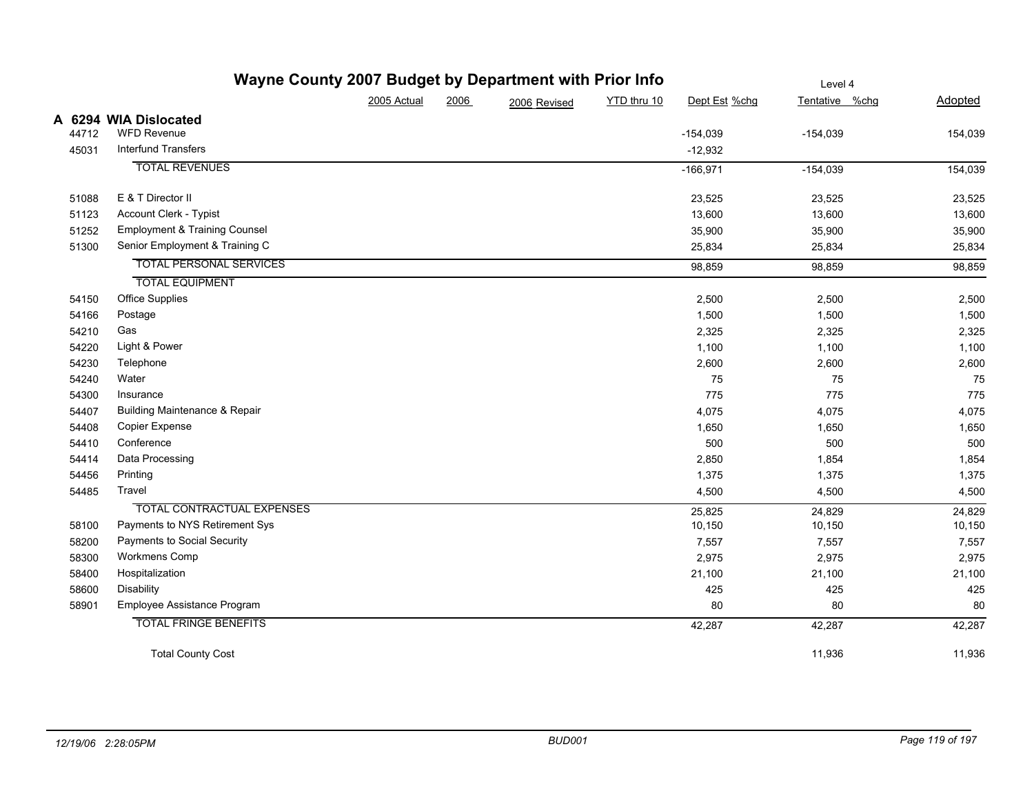|       | Wayne County 2007 Budget by Department with Prior Info |             | Level 4 |              |             |               |                |         |
|-------|--------------------------------------------------------|-------------|---------|--------------|-------------|---------------|----------------|---------|
|       |                                                        | 2005 Actual | 2006    | 2006 Revised | YTD thru 10 | Dept Est %chg | Tentative %chg | Adopted |
|       | A 6294 WIA Dislocated                                  |             |         |              |             |               |                |         |
| 44712 | WFD Revenue                                            |             |         |              |             | $-154,039$    | $-154,039$     | 154,039 |
| 45031 | Interfund Transfers                                    |             |         |              |             | $-12,932$     |                |         |
|       | <b>TOTAL REVENUES</b>                                  |             |         |              |             | $-166,971$    | $-154,039$     | 154,039 |
| 51088 | E & T Director II                                      |             |         |              |             | 23,525        | 23,525         | 23,525  |
| 51123 | Account Clerk - Typist                                 |             |         |              |             | 13,600        | 13,600         | 13,600  |
| 51252 | <b>Employment &amp; Training Counsel</b>               |             |         |              |             | 35,900        | 35,900         | 35,900  |
| 51300 | Senior Employment & Training C                         |             |         |              |             | 25,834        | 25,834         | 25,834  |
|       | <b>TOTAL PERSONAL SERVICES</b>                         |             |         |              |             | 98,859        | 98,859         | 98,859  |
|       | <b>TOTAL EQUIPMENT</b>                                 |             |         |              |             |               |                |         |
| 54150 | <b>Office Supplies</b>                                 |             |         |              |             | 2,500         | 2,500          | 2,500   |
| 54166 | Postage                                                |             |         |              |             | 1,500         | 1,500          | 1,500   |
| 54210 | Gas                                                    |             |         |              |             | 2,325         | 2,325          | 2,325   |
| 54220 | Light & Power                                          |             |         |              |             | 1,100         | 1,100          | 1,100   |
| 54230 | Telephone                                              |             |         |              |             | 2,600         | 2,600          | 2,600   |
| 54240 | Water                                                  |             |         |              |             | 75            | 75             | 75      |
| 54300 | Insurance                                              |             |         |              |             | 775           | 775            | 775     |
| 54407 | <b>Building Maintenance &amp; Repair</b>               |             |         |              |             | 4,075         | 4,075          | 4,075   |
| 54408 | <b>Copier Expense</b>                                  |             |         |              |             | 1,650         | 1,650          | 1,650   |
| 54410 | Conference                                             |             |         |              |             | 500           | 500            | 500     |
| 54414 | Data Processing                                        |             |         |              |             | 2,850         | 1,854          | 1,854   |
| 54456 | Printing                                               |             |         |              |             | 1,375         | 1,375          | 1,375   |
| 54485 | Travel                                                 |             |         |              |             | 4,500         | 4,500          | 4,500   |
|       | <b>TOTAL CONTRACTUAL EXPENSES</b>                      |             |         |              |             | 25,825        | 24,829         | 24,829  |
| 58100 | Payments to NYS Retirement Sys                         |             |         |              |             | 10,150        | 10,150         | 10,150  |
| 58200 | Payments to Social Security                            |             |         |              |             | 7,557         | 7,557          | 7,557   |
| 58300 | Workmens Comp                                          |             |         |              |             | 2,975         | 2,975          | 2,975   |
| 58400 | Hospitalization                                        |             |         |              |             | 21,100        | 21,100         | 21,100  |
| 58600 | Disability                                             |             |         |              |             | 425           | 425            | 425     |
| 58901 | Employee Assistance Program                            |             |         |              |             | 80            | 80             | 80      |
|       | <b>TOTAL FRINGE BENEFITS</b>                           |             |         |              |             | 42,287        | 42,287         | 42,287  |
|       | <b>Total County Cost</b>                               |             |         |              |             |               | 11,936         | 11,936  |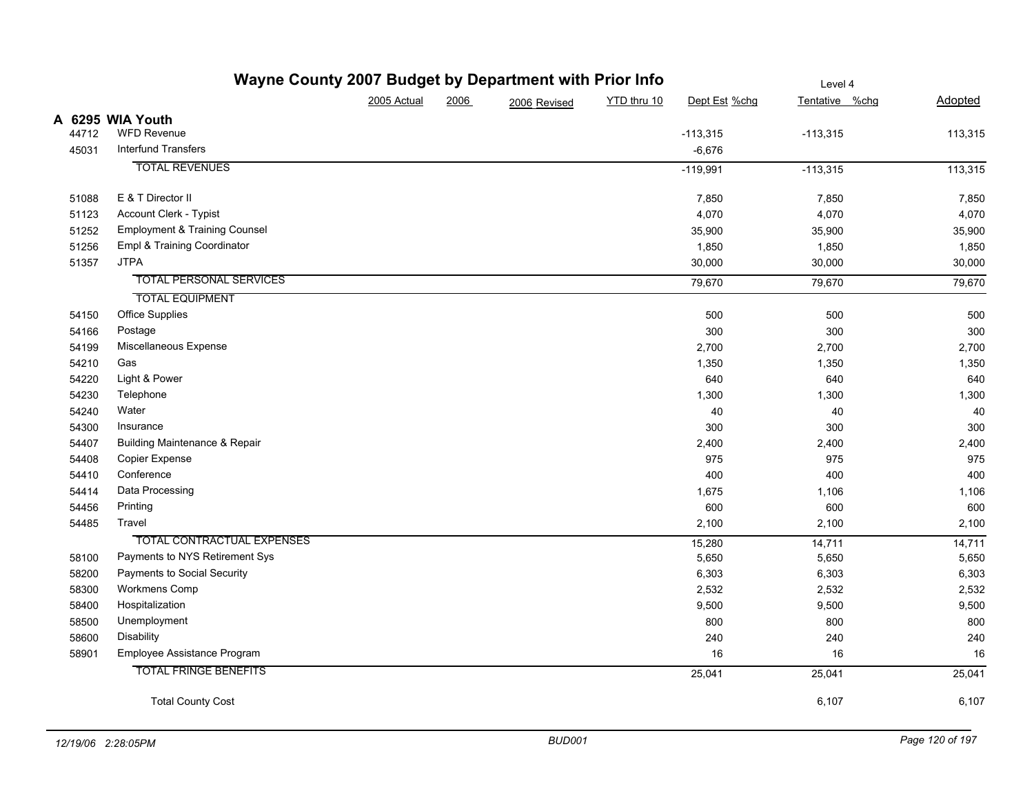|       | <b>Wayne County 2007 Budget by Department with Prior into</b> |             |      |              |             | Level 4       |                |         |  |
|-------|---------------------------------------------------------------|-------------|------|--------------|-------------|---------------|----------------|---------|--|
|       |                                                               | 2005 Actual | 2006 | 2006 Revised | YTD thru 10 | Dept Est %chg | Tentative %chg | Adopted |  |
|       | A 6295 WIA Youth                                              |             |      |              |             |               |                |         |  |
| 44712 | <b>WFD Revenue</b>                                            |             |      |              |             | $-113,315$    | $-113,315$     | 113,315 |  |
| 45031 | <b>Interfund Transfers</b>                                    |             |      |              |             | $-6,676$      |                |         |  |
|       | <b>TOTAL REVENUES</b>                                         |             |      |              |             | $-119,991$    | $-113,315$     | 113,315 |  |
| 51088 | E & T Director II                                             |             |      |              |             | 7,850         | 7,850          | 7,850   |  |
| 51123 | Account Clerk - Typist                                        |             |      |              |             | 4,070         | 4,070          | 4,070   |  |
| 51252 | <b>Employment &amp; Training Counsel</b>                      |             |      |              |             | 35,900        | 35,900         | 35,900  |  |
| 51256 | Empl & Training Coordinator                                   |             |      |              |             | 1,850         | 1,850          | 1,850   |  |
| 51357 | <b>JTPA</b>                                                   |             |      |              |             | 30,000        | 30,000         | 30,000  |  |
|       | <b>TOTAL PERSONAL SERVICES</b>                                |             |      |              |             | 79,670        | 79,670         | 79,670  |  |
|       | <b>TOTAL EQUIPMENT</b>                                        |             |      |              |             |               |                |         |  |
| 54150 | Office Supplies                                               |             |      |              |             | 500           | 500            | 500     |  |
| 54166 | Postage                                                       |             |      |              |             | 300           | 300            | 300     |  |
| 54199 | Miscellaneous Expense                                         |             |      |              |             | 2,700         | 2,700          | 2,700   |  |
| 54210 | Gas                                                           |             |      |              |             | 1,350         | 1,350          | 1,350   |  |
| 54220 | Light & Power                                                 |             |      |              |             | 640           | 640            | 640     |  |
| 54230 | Telephone                                                     |             |      |              |             | 1,300         | 1,300          | 1,300   |  |
| 54240 | Water                                                         |             |      |              |             | 40            | 40             | 40      |  |
| 54300 | Insurance                                                     |             |      |              |             | 300           | 300            | 300     |  |
| 54407 | <b>Building Maintenance &amp; Repair</b>                      |             |      |              |             | 2,400         | 2,400          | 2,400   |  |
| 54408 | Copier Expense                                                |             |      |              |             | 975           | 975            | 975     |  |
| 54410 | Conference                                                    |             |      |              |             | 400           | 400            | 400     |  |
| 54414 | Data Processing                                               |             |      |              |             | 1,675         | 1,106          | 1,106   |  |
| 54456 | Printing                                                      |             |      |              |             | 600           | 600            | 600     |  |
| 54485 | Travel                                                        |             |      |              |             | 2,100         | 2,100          | 2,100   |  |
|       | <b>TOTAL CONTRACTUAL EXPENSES</b>                             |             |      |              |             | 15,280        | 14,711         | 14,711  |  |
| 58100 | Payments to NYS Retirement Sys                                |             |      |              |             | 5,650         | 5,650          | 5,650   |  |
| 58200 | Payments to Social Security                                   |             |      |              |             | 6,303         | 6,303          | 6,303   |  |
| 58300 | Workmens Comp                                                 |             |      |              |             | 2,532         | 2,532          | 2,532   |  |
| 58400 | Hospitalization                                               |             |      |              |             | 9,500         | 9,500          | 9,500   |  |
| 58500 | Unemployment                                                  |             |      |              |             | 800           | 800            | 800     |  |
| 58600 | Disability                                                    |             |      |              |             | 240           | 240            | 240     |  |
| 58901 | Employee Assistance Program                                   |             |      |              |             | 16            | 16             | 16      |  |
|       | <b>TOTAL FRINGE BENEFITS</b>                                  |             |      |              |             | 25,041        | 25,041         | 25,041  |  |
|       | <b>Total County Cost</b>                                      |             |      |              |             |               | 6,107          | 6,107   |  |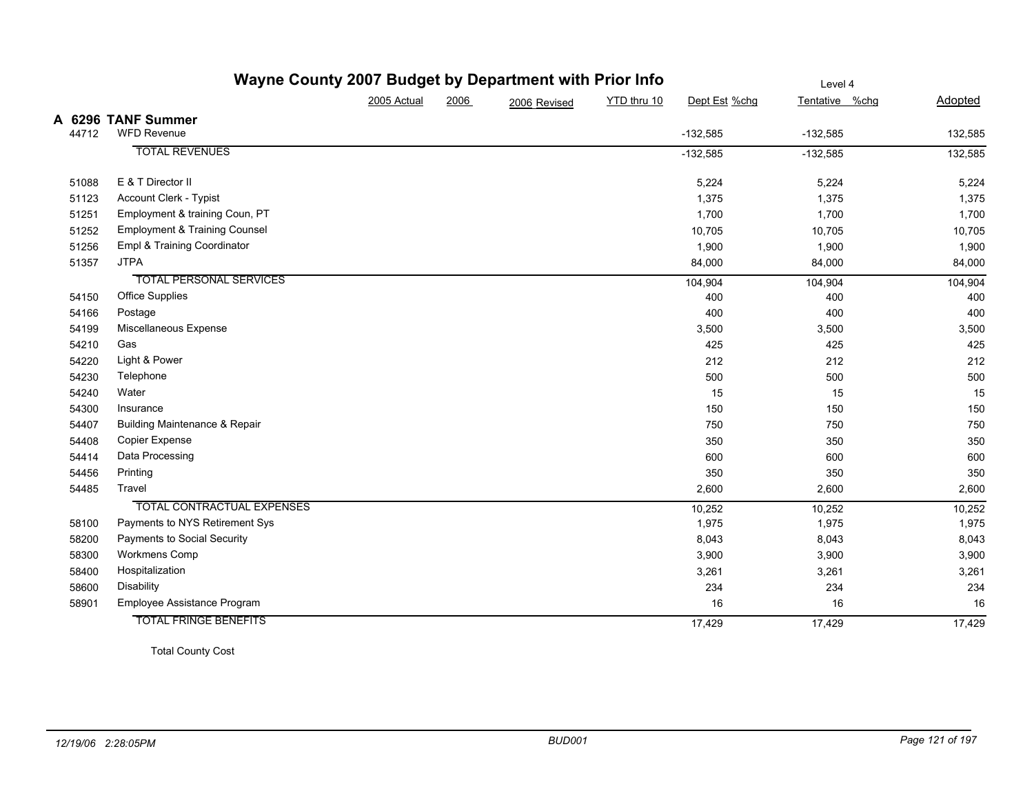|       | Wayne County 2007 Budget by Department with Prior Info |             | Level 4 |              |             |               |                |         |
|-------|--------------------------------------------------------|-------------|---------|--------------|-------------|---------------|----------------|---------|
|       |                                                        | 2005 Actual | 2006    | 2006 Revised | YTD thru 10 | Dept Est %chg | Tentative %chg | Adopted |
| 44712 | A 6296 TANF Summer<br><b>WFD Revenue</b>               |             |         |              |             | $-132,585$    | $-132,585$     | 132,585 |
|       | <b>TOTAL REVENUES</b>                                  |             |         |              |             | $-132,585$    | $-132,585$     | 132,585 |
| 51088 | E & T Director II                                      |             |         |              |             | 5,224         | 5,224          | 5,224   |
| 51123 | Account Clerk - Typist                                 |             |         |              |             | 1,375         | 1,375          | 1,375   |
| 51251 | Employment & training Coun, PT                         |             |         |              |             | 1,700         | 1,700          | 1,700   |
| 51252 | <b>Employment &amp; Training Counsel</b>               |             |         |              |             | 10,705        | 10,705         | 10,705  |
| 51256 | Empl & Training Coordinator                            |             |         |              |             | 1,900         | 1,900          | 1,900   |
| 51357 | <b>JTPA</b>                                            |             |         |              |             | 84,000        | 84,000         | 84,000  |
|       | <b>TOTAL PERSONAL SERVICES</b>                         |             |         |              |             | 104,904       | 104,904        | 104,904 |
| 54150 | <b>Office Supplies</b>                                 |             |         |              |             | 400           | 400            | 400     |
| 54166 | Postage                                                |             |         |              |             | 400           | 400            | 400     |
| 54199 | Miscellaneous Expense                                  |             |         |              |             | 3,500         | 3,500          | 3,500   |
| 54210 | Gas                                                    |             |         |              |             | 425           | 425            | 425     |
| 54220 | Light & Power                                          |             |         |              |             | 212           | 212            | 212     |
| 54230 | Telephone                                              |             |         |              |             | 500           | 500            | 500     |
| 54240 | Water                                                  |             |         |              |             | 15            | 15             | 15      |
| 54300 | Insurance                                              |             |         |              |             | 150           | 150            | 150     |
| 54407 | <b>Building Maintenance &amp; Repair</b>               |             |         |              |             | 750           | 750            | 750     |
| 54408 | Copier Expense                                         |             |         |              |             | 350           | 350            | 350     |
| 54414 | Data Processing                                        |             |         |              |             | 600           | 600            | 600     |
| 54456 | Printing                                               |             |         |              |             | 350           | 350            | 350     |
| 54485 | Travel                                                 |             |         |              |             | 2,600         | 2,600          | 2,600   |
|       | <b>TOTAL CONTRACTUAL EXPENSES</b>                      |             |         |              |             | 10,252        | 10,252         | 10,252  |
| 58100 | Payments to NYS Retirement Sys                         |             |         |              |             | 1,975         | 1,975          | 1,975   |
| 58200 | Payments to Social Security                            |             |         |              |             | 8,043         | 8,043          | 8,043   |
| 58300 | Workmens Comp                                          |             |         |              |             | 3,900         | 3,900          | 3,900   |
| 58400 | Hospitalization                                        |             |         |              |             | 3,261         | 3,261          | 3,261   |
| 58600 | <b>Disability</b>                                      |             |         |              |             | 234           | 234            | 234     |
| 58901 | Employee Assistance Program                            |             |         |              |             | 16            | 16             | 16      |
|       | <b>TOTAL FRINGE BENEFITS</b>                           |             |         |              |             | 17,429        | 17,429         | 17,429  |
|       |                                                        |             |         |              |             |               |                |         |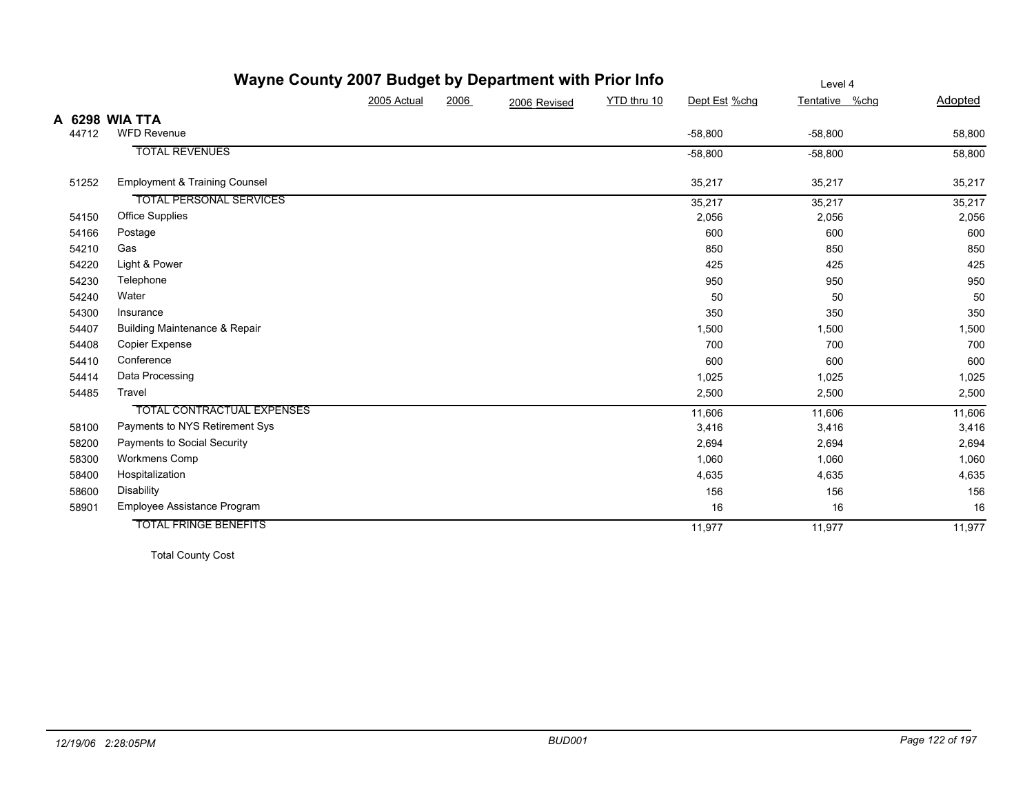|       | Wayne County 2007 Budget by Department with Prior Info |             |      |              |             |               | Level 4        |         |
|-------|--------------------------------------------------------|-------------|------|--------------|-------------|---------------|----------------|---------|
|       |                                                        | 2005 Actual | 2006 | 2006 Revised | YTD thru 10 | Dept Est %chg | Tentative %chg | Adopted |
|       | A 6298 WIA TTA                                         |             |      |              |             |               |                |         |
| 44712 | <b>WFD Revenue</b>                                     |             |      |              |             | $-58,800$     | $-58,800$      | 58,800  |
|       | <b>TOTAL REVENUES</b>                                  |             |      |              |             | $-58,800$     | $-58,800$      | 58,800  |
| 51252 | <b>Employment &amp; Training Counsel</b>               |             |      |              |             | 35,217        | 35,217         | 35,217  |
|       | <b>TOTAL PERSONAL SERVICES</b>                         |             |      |              |             | 35,217        | 35,217         | 35,217  |
| 54150 | Office Supplies                                        |             |      |              |             | 2,056         | 2,056          | 2,056   |
| 54166 | Postage                                                |             |      |              |             | 600           | 600            | 600     |
| 54210 | Gas                                                    |             |      |              |             | 850           | 850            | 850     |
| 54220 | Light & Power                                          |             |      |              |             | 425           | 425            | 425     |
| 54230 | Telephone                                              |             |      |              |             | 950           | 950            | 950     |
| 54240 | Water                                                  |             |      |              |             | 50            | 50             | 50      |
| 54300 | Insurance                                              |             |      |              |             | 350           | 350            | 350     |
| 54407 | <b>Building Maintenance &amp; Repair</b>               |             |      |              |             | 1,500         | 1,500          | 1,500   |
| 54408 | Copier Expense                                         |             |      |              |             | 700           | 700            | 700     |
| 54410 | Conference                                             |             |      |              |             | 600           | 600            | 600     |
| 54414 | Data Processing                                        |             |      |              |             | 1,025         | 1,025          | 1,025   |
| 54485 | Travel                                                 |             |      |              |             | 2,500         | 2,500          | 2,500   |
|       | <b>TOTAL CONTRACTUAL EXPENSES</b>                      |             |      |              |             | 11,606        | 11,606         | 11,606  |
| 58100 | Payments to NYS Retirement Sys                         |             |      |              |             | 3,416         | 3,416          | 3,416   |
| 58200 | Payments to Social Security                            |             |      |              |             | 2,694         | 2,694          | 2,694   |
| 58300 | Workmens Comp                                          |             |      |              |             | 1,060         | 1,060          | 1,060   |
| 58400 | Hospitalization                                        |             |      |              |             | 4,635         | 4,635          | 4,635   |
| 58600 | Disability                                             |             |      |              |             | 156           | 156            | 156     |
| 58901 | Employee Assistance Program                            |             |      |              |             | 16            | 16             | 16      |
|       | <b>TOTAL FRINGE BENEFITS</b>                           |             |      |              |             | 11,977        | 11,977         | 11,977  |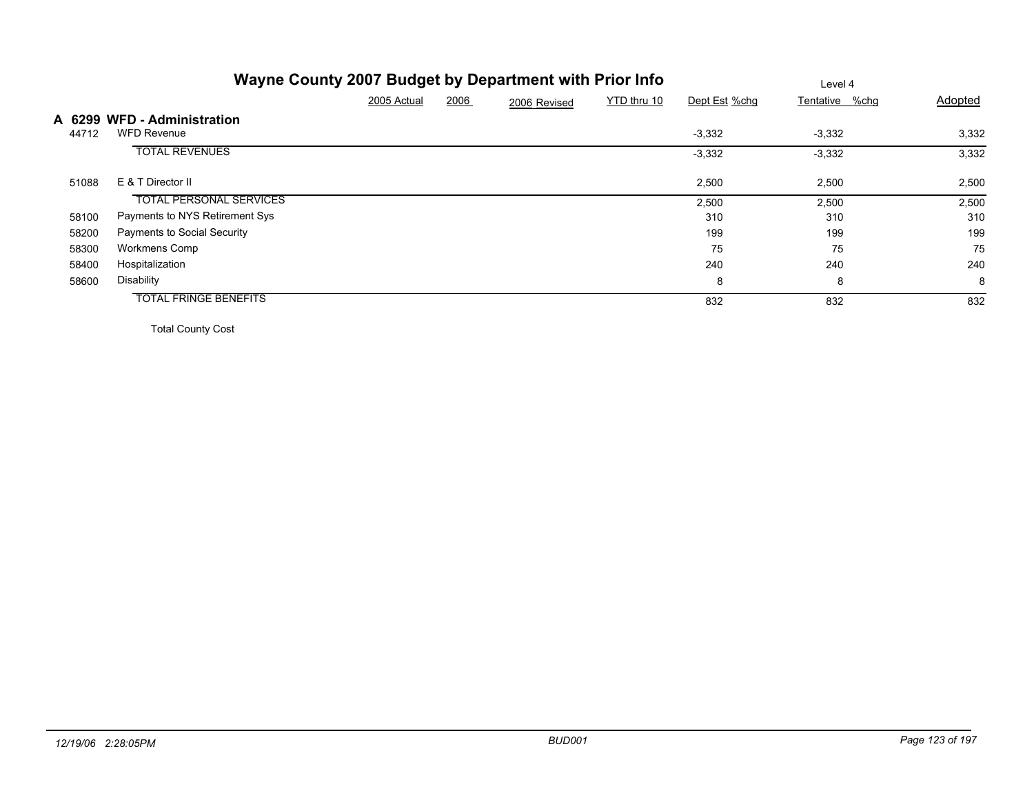|       |                                                   |             |      | Wayne County 2007 Budget by Department with Prior Info |             |               | Level 4        |         |
|-------|---------------------------------------------------|-------------|------|--------------------------------------------------------|-------------|---------------|----------------|---------|
|       |                                                   | 2005 Actual | 2006 | 2006 Revised                                           | YTD thru 10 | Dept Est %chg | Tentative %chg | Adopted |
| 44712 | A 6299 WFD - Administration<br><b>WFD Revenue</b> |             |      |                                                        |             | $-3,332$      | $-3,332$       | 3,332   |
|       | <b>TOTAL REVENUES</b>                             |             |      |                                                        |             | $-3,332$      | $-3,332$       | 3,332   |
| 51088 | E & T Director II                                 |             |      |                                                        |             | 2,500         | 2,500          | 2,500   |
|       | <b>TOTAL PERSONAL SERVICES</b>                    |             |      |                                                        |             | 2,500         | 2,500          | 2,500   |
| 58100 | Payments to NYS Retirement Sys                    |             |      |                                                        |             | 310           | 310            | 310     |
| 58200 | Payments to Social Security                       |             |      |                                                        |             | 199           | 199            | 199     |
| 58300 | Workmens Comp                                     |             |      |                                                        |             | 75            | 75             | 75      |
| 58400 | Hospitalization                                   |             |      |                                                        |             | 240           | 240            | 240     |
| 58600 | Disability                                        |             |      |                                                        |             | 8             | 8              | 8       |
|       | <b>TOTAL FRINGE BENEFITS</b>                      |             |      |                                                        |             | 832           | 832            | 832     |
|       |                                                   |             |      |                                                        |             |               |                |         |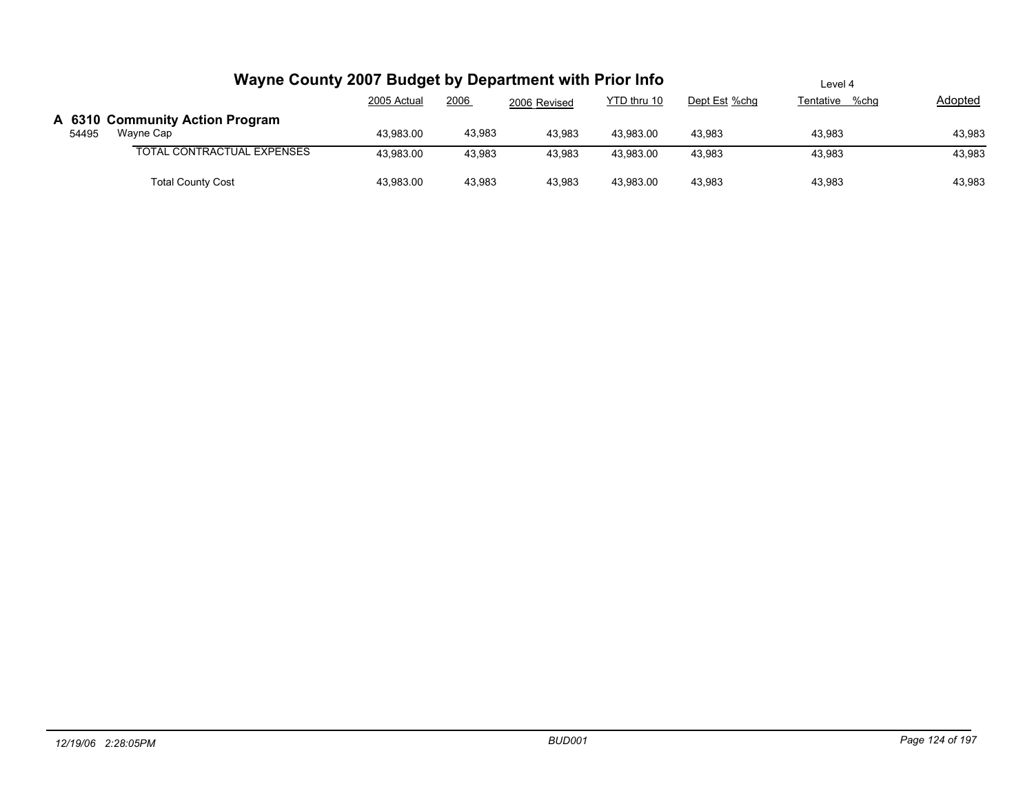|       | Wayne County 2007 Budget by Department with Prior Info |             |        |              |             |               | Level 4        |         |
|-------|--------------------------------------------------------|-------------|--------|--------------|-------------|---------------|----------------|---------|
|       |                                                        | 2005 Actual | 2006   | 2006 Revised | YTD thru 10 | Dept Est %chg | Tentative %chq | Adopted |
|       | A 6310 Community Action Program                        |             |        |              |             |               |                |         |
| 54495 | Wayne Cap                                              | 43.983.00   | 43,983 | 43.983       | 43.983.00   | 43.983        | 43.983         | 43,983  |
|       | TOTAL CONTRACTUAL EXPENSES                             | 43,983.00   | 43,983 | 43,983       | 43,983.00   | 43,983        | 43,983         | 43,983  |
|       | <b>Total County Cost</b>                               | 43,983.00   | 43,983 | 43,983       | 43,983.00   | 43,983        | 43,983         | 43,983  |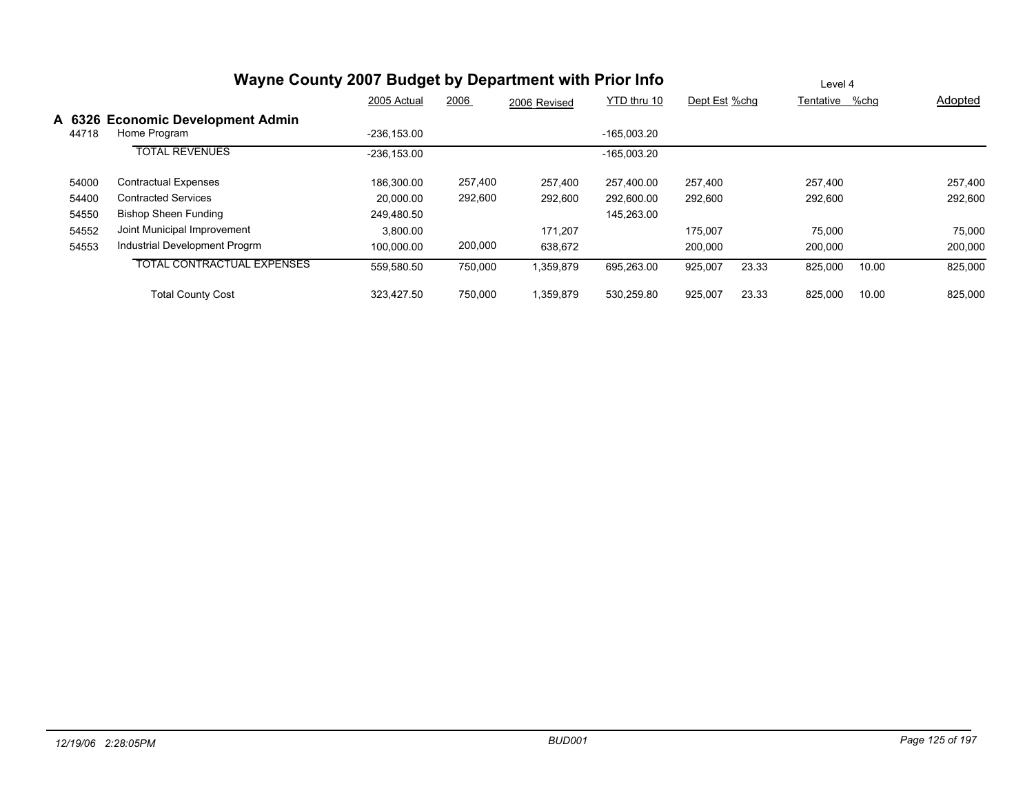|                 |                                                   | 2005 Actual    | 2006    | 2006 Revised | YTD thru 10   | Dept Est %chq |       | Tentative | %chq  | Adopted |
|-----------------|---------------------------------------------------|----------------|---------|--------------|---------------|---------------|-------|-----------|-------|---------|
| A 6326<br>44718 | <b>Economic Development Admin</b><br>Home Program | $-236, 153.00$ |         |              | $-165.003.20$ |               |       |           |       |         |
|                 | <b>TOTAL REVENUES</b>                             | $-236.153.00$  |         |              | $-165.003.20$ |               |       |           |       |         |
| 54000           | <b>Contractual Expenses</b>                       | 186.300.00     | 257,400 | 257,400      | 257.400.00    | 257,400       |       | 257,400   |       | 257,400 |
| 54400           | <b>Contracted Services</b>                        | 20.000.00      | 292,600 | 292,600      | 292,600.00    | 292,600       |       | 292,600   |       | 292,600 |
| 54550           | <b>Bishop Sheen Funding</b>                       | 249.480.50     |         |              | 145,263.00    |               |       |           |       |         |
| 54552           | Joint Municipal Improvement                       | 3,800.00       |         | 171.207      |               | 175.007       |       | 75.000    |       | 75,000  |
| 54553           | Industrial Development Progrm                     | 100.000.00     | 200,000 | 638,672      |               | 200,000       |       | 200,000   |       | 200,000 |
|                 | <b>TOTAL CONTRACTUAL EXPENSES</b>                 | 559,580.50     | 750,000 | ,359,879     | 695,263.00    | 925,007       | 23.33 | 825,000   | 10.00 | 825,000 |
|                 | <b>Total County Cost</b>                          | 323.427.50     | 750,000 | 359,879      | 530.259.80    | 925,007       | 23.33 | 825,000   | 10.00 | 825,000 |

Level 4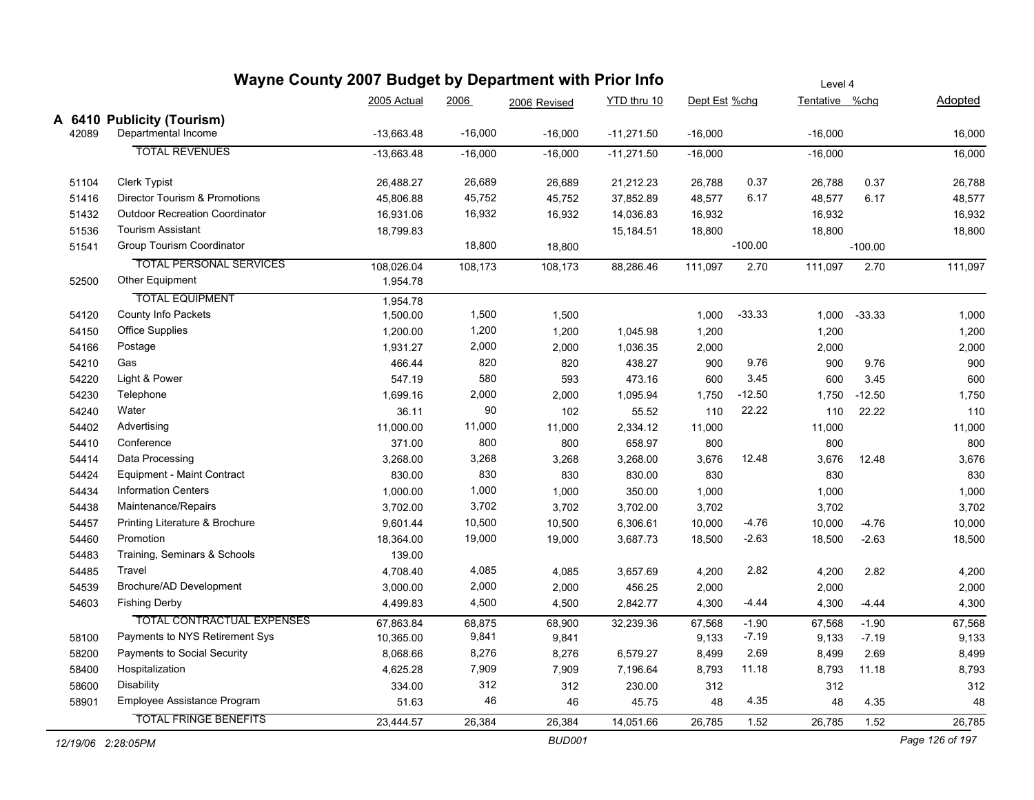|                    | Wayne County 2007 Budget by Department with Prior Info |              |           |               | Level 4      |               |           |                |           |                 |
|--------------------|--------------------------------------------------------|--------------|-----------|---------------|--------------|---------------|-----------|----------------|-----------|-----------------|
|                    |                                                        | 2005 Actual  | 2006      | 2006 Revised  | YTD thru 10  | Dept Est %chg |           | Tentative %chg |           | Adopted         |
|                    | A 6410 Publicity (Tourism)                             |              |           |               |              |               |           |                |           |                 |
| 42089              | Departmental Income                                    | $-13,663.48$ | $-16,000$ | $-16,000$     | $-11,271.50$ | $-16,000$     |           | $-16,000$      |           | 16,000          |
|                    | <b>TOTAL REVENUES</b>                                  | $-13,663.48$ | $-16,000$ | $-16,000$     | $-11,271.50$ | $-16,000$     |           | $-16,000$      |           | 16,000          |
| 51104              | Clerk Typist                                           | 26,488.27    | 26,689    | 26,689        | 21,212.23    | 26,788        | 0.37      | 26,788         | 0.37      | 26,788          |
| 51416              | Director Tourism & Promotions                          | 45,806.88    | 45,752    | 45,752        | 37,852.89    | 48,577        | 6.17      | 48,577         | 6.17      | 48,577          |
| 51432              | <b>Outdoor Recreation Coordinator</b>                  | 16,931.06    | 16,932    | 16,932        | 14,036.83    | 16,932        |           | 16,932         |           | 16,932          |
| 51536              | <b>Tourism Assistant</b>                               | 18,799.83    |           |               | 15,184.51    | 18,800        |           | 18,800         |           | 18,800          |
| 51541              | Group Tourism Coordinator                              |              | 18,800    | 18,800        |              |               | $-100.00$ |                | $-100.00$ |                 |
|                    | <b>TOTAL PERSONAL SERVICES</b>                         | 108,026.04   | 108,173   | 108,173       | 88,286.46    | 111,097       | 2.70      | 111,097        | 2.70      | 111,097         |
| 52500              | Other Equipment                                        | 1,954.78     |           |               |              |               |           |                |           |                 |
|                    | <b>TOTAL EQUIPMENT</b>                                 | 1,954.78     |           |               |              |               |           |                |           |                 |
| 54120              | County Info Packets                                    | 1,500.00     | 1,500     | 1,500         |              | 1,000         | $-33.33$  | 1,000          | $-33.33$  | 1,000           |
| 54150              | <b>Office Supplies</b>                                 | 1,200.00     | 1,200     | 1,200         | 1,045.98     | 1,200         |           | 1,200          |           | 1,200           |
| 54166              | Postage                                                | 1,931.27     | 2,000     | 2,000         | 1,036.35     | 2,000         |           | 2,000          |           | 2,000           |
| 54210              | Gas                                                    | 466.44       | 820       | 820           | 438.27       | 900           | 9.76      | 900            | 9.76      | 900             |
| 54220              | Light & Power                                          | 547.19       | 580       | 593           | 473.16       | 600           | 3.45      | 600            | 3.45      | 600             |
| 54230              | Telephone                                              | 1,699.16     | 2,000     | 2,000         | 1,095.94     | 1,750         | $-12.50$  | 1,750          | $-12.50$  | 1,750           |
| 54240              | Water                                                  | 36.11        | 90        | 102           | 55.52        | 110           | 22.22     | 110            | 22.22     | 110             |
| 54402              | Advertising                                            | 11,000.00    | 11,000    | 11,000        | 2,334.12     | 11,000        |           | 11,000         |           | 11,000          |
| 54410              | Conference                                             | 371.00       | 800       | 800           | 658.97       | 800           |           | 800            |           | 800             |
| 54414              | Data Processing                                        | 3,268.00     | 3,268     | 3,268         | 3,268.00     | 3,676         | 12.48     | 3,676          | 12.48     | 3,676           |
| 54424              | <b>Equipment - Maint Contract</b>                      | 830.00       | 830       | 830           | 830.00       | 830           |           | 830            |           | 830             |
| 54434              | <b>Information Centers</b>                             | 1,000.00     | 1,000     | 1,000         | 350.00       | 1,000         |           | 1,000          |           | 1,000           |
| 54438              | Maintenance/Repairs                                    | 3,702.00     | 3,702     | 3,702         | 3,702.00     | 3,702         |           | 3,702          |           | 3,702           |
| 54457              | Printing Literature & Brochure                         | 9,601.44     | 10,500    | 10,500        | 6,306.61     | 10,000        | -4.76     | 10,000         | $-4.76$   | 10,000          |
| 54460              | Promotion                                              | 18,364.00    | 19,000    | 19,000        | 3,687.73     | 18,500        | $-2.63$   | 18,500         | $-2.63$   | 18,500          |
| 54483              | Training, Seminars & Schools                           | 139.00       |           |               |              |               |           |                |           |                 |
| 54485              | Travel                                                 | 4,708.40     | 4,085     | 4,085         | 3,657.69     | 4,200         | 2.82      | 4,200          | 2.82      | 4,200           |
| 54539              | Brochure/AD Development                                | 3,000.00     | 2,000     | 2,000         | 456.25       | 2,000         |           | 2,000          |           | 2,000           |
| 54603              | <b>Fishing Derby</b>                                   | 4,499.83     | 4,500     | 4,500         | 2,842.77     | 4,300         | $-4.44$   | 4,300          | $-4.44$   | 4,300           |
|                    | <b>TOTAL CONTRACTUAL EXPENSES</b>                      | 67,863.84    | 68,875    | 68,900        | 32,239.36    | 67,568        | $-1.90$   | 67,568         | $-1.90$   | 67,568          |
| 58100              | Payments to NYS Retirement Sys                         | 10,365.00    | 9,841     | 9,841         |              | 9,133         | $-7.19$   | 9,133          | $-7.19$   | 9,133           |
| 58200              | Payments to Social Security                            | 8,068.66     | 8,276     | 8,276         | 6,579.27     | 8,499         | 2.69      | 8,499          | 2.69      | 8,499           |
| 58400              | Hospitalization                                        | 4,625.28     | 7,909     | 7,909         | 7,196.64     | 8,793         | 11.18     | 8,793          | 11.18     | 8,793           |
| 58600              | Disability                                             | 334.00       | 312       | 312           | 230.00       | 312           |           | 312            |           | 312             |
| 58901              | Employee Assistance Program                            | 51.63        | 46        | 46            | 45.75        | 48            | 4.35      | 48             | 4.35      | 48              |
|                    | <b>TOTAL FRINGE BENEFITS</b>                           | 23,444.57    | 26,384    | 26,384        | 14,051.66    | 26,785        | 1.52      | 26,785         | 1.52      | 26,785          |
| 12/19/06 2:28:05PM |                                                        |              |           | <b>BUD001</b> |              |               |           |                |           | Page 126 of 197 |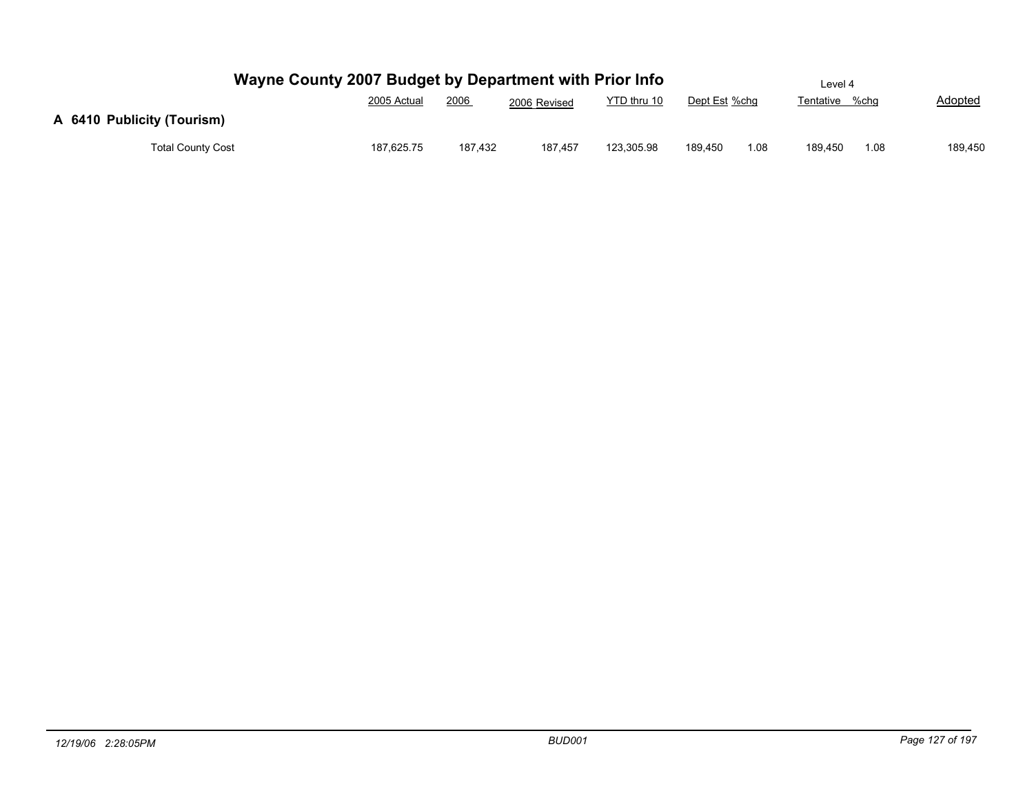| Wayne County 2007 Budget by Department with Prior Info |             |         |              |             |               |      | Level 4        |      |                |
|--------------------------------------------------------|-------------|---------|--------------|-------------|---------------|------|----------------|------|----------------|
|                                                        | 2005 Actual | 2006    | 2006 Revised | YTD thru 10 | Dept Est %chg |      | Tentative %chg |      | <b>Adopted</b> |
| A 6410 Publicity (Tourism)                             |             |         |              |             |               |      |                |      |                |
| <b>Total County Cost</b>                               | 187,625.75  | 187.432 | 187.457      | 123,305.98  | 189.450       | 1.08 | 189.450        | 1.08 | 189,450        |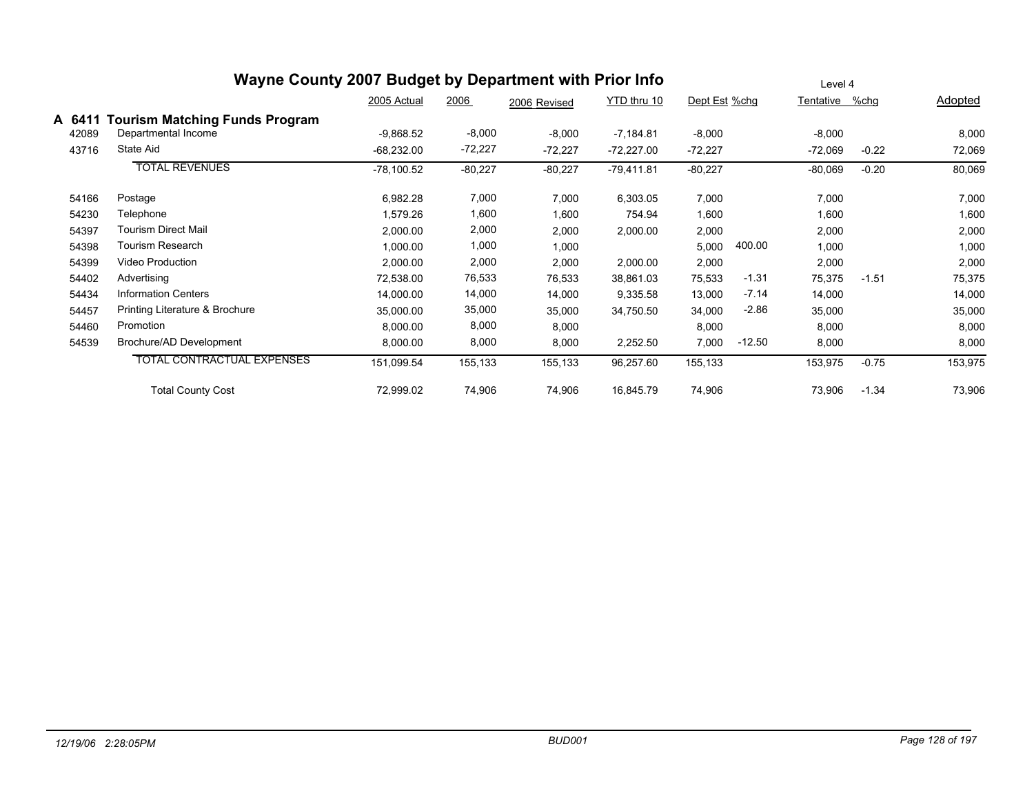|        | Wayne County 2007 Budget by Department with Prior Info |              | Level 4   |              |              |               |          |                |         |         |
|--------|--------------------------------------------------------|--------------|-----------|--------------|--------------|---------------|----------|----------------|---------|---------|
|        |                                                        | 2005 Actual  | 2006      | 2006 Revised | YTD thru 10  | Dept Est %chg |          | Tentative %chg |         | Adopted |
| A 6411 | <b>Tourism Matching Funds Program</b>                  |              |           |              |              |               |          |                |         |         |
| 42089  | Departmental Income                                    | $-9,868.52$  | $-8,000$  | $-8,000$     | $-7,184.81$  | $-8,000$      |          | $-8,000$       |         | 8,000   |
| 43716  | State Aid                                              | $-68,232.00$ | $-72,227$ | $-72,227$    | $-72,227.00$ | $-72,227$     |          | $-72,069$      | $-0.22$ | 72,069  |
|        | <b>TOTAL REVENUES</b>                                  | $-78,100.52$ | $-80,227$ | $-80,227$    | $-79,411.81$ | $-80,227$     |          | $-80,069$      | $-0.20$ | 80,069  |
| 54166  | Postage                                                | 6,982.28     | 7,000     | 7,000        | 6,303.05     | 7,000         |          | 7,000          |         | 7,000   |
| 54230  | Telephone                                              | 1,579.26     | 1,600     | 1,600        | 754.94       | 1,600         |          | 1,600          |         | 1,600   |
| 54397  | <b>Tourism Direct Mail</b>                             | 2,000.00     | 2,000     | 2,000        | 2,000.00     | 2,000         |          | 2,000          |         | 2,000   |
| 54398  | Tourism Research                                       | 1,000.00     | 1,000     | 1,000        |              | 5,000         | 400.00   | 1,000          |         | 1,000   |
| 54399  | Video Production                                       | 2,000.00     | 2,000     | 2,000        | 2,000.00     | 2,000         |          | 2,000          |         | 2,000   |
| 54402  | Advertising                                            | 72,538.00    | 76,533    | 76,533       | 38,861.03    | 75,533        | $-1.31$  | 75,375         | $-1.51$ | 75,375  |
| 54434  | <b>Information Centers</b>                             | 14,000.00    | 14,000    | 14,000       | 9,335.58     | 13,000        | $-7.14$  | 14,000         |         | 14,000  |
| 54457  | Printing Literature & Brochure                         | 35,000.00    | 35,000    | 35,000       | 34,750.50    | 34,000        | $-2.86$  | 35,000         |         | 35,000  |
| 54460  | Promotion                                              | 8,000.00     | 8,000     | 8,000        |              | 8,000         |          | 8,000          |         | 8,000   |
| 54539  | Brochure/AD Development                                | 8,000.00     | 8,000     | 8,000        | 2,252.50     | 7,000         | $-12.50$ | 8,000          |         | 8,000   |
|        | <b>TOTAL CONTRACTUAL EXPENSES</b>                      | 151,099.54   | 155,133   | 155,133      | 96,257.60    | 155,133       |          | 153,975        | $-0.75$ | 153,975 |
|        | <b>Total County Cost</b>                               | 72,999.02    | 74,906    | 74,906       | 16,845.79    | 74,906        |          | 73,906         | $-1.34$ | 73,906  |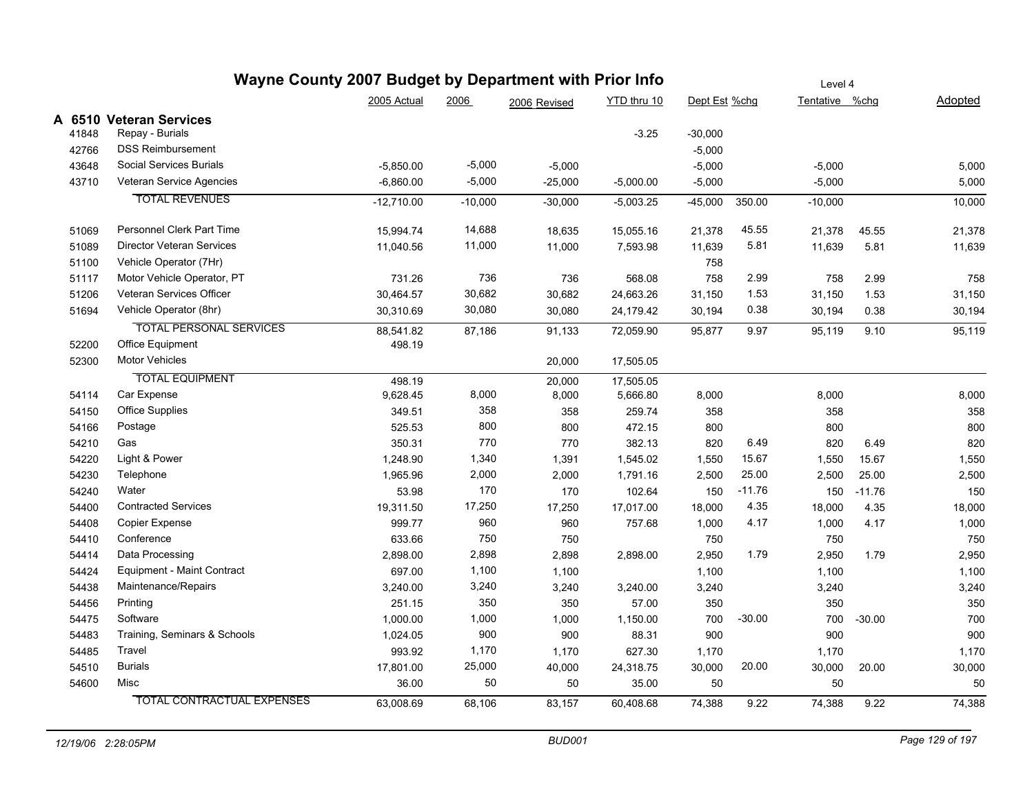| 2005 Actual<br>2006<br>YTD thru 10<br>Dept Est %chg<br>Tentative %chg<br>2006 Revised<br>A 6510 Veteran Services<br>Repay - Burials<br>$-3.25$<br>$-30,000$<br>41848<br><b>DSS Reimbursement</b><br>42766<br>$-5,000$<br>Social Services Burials<br>$-5,000$<br>43648<br>$-5,850.00$<br>$-5,000$<br>$-5,000$<br>$-5,000$<br>$-5,000$<br>43710<br>Veteran Service Agencies<br>$-5,000$<br>$-6,860.00$<br>$-25,000$<br>$-5,000.00$<br>$-5,000$<br><b>TOTAL REVENUES</b><br>$-12.710.00$<br>$-10,000$<br>$-30,000$<br>$-5,003.25$<br>$-45,000$<br>350.00<br>$-10,000$<br>Personnel Clerk Part Time<br>14,688<br>45.55<br>51069<br>15,994.74<br>18,635<br>15,055.16<br>21,378<br>21,378<br>45.55<br>11,000<br><b>Director Veteran Services</b><br>5.81<br>51089<br>11,040.56<br>11,000<br>7,593.98<br>11,639<br>11,639<br>5.81<br>Vehicle Operator (7Hr)<br>51100<br>758<br>736<br>Motor Vehicle Operator, PT<br>2.99<br>51117<br>731.26<br>736<br>568.08<br>758<br>758<br>2.99<br>Veteran Services Officer<br>30,682<br>51206<br>1.53<br>30,464.57<br>30,682<br>24,663.26<br>31,150<br>31,150<br>1.53<br>Vehicle Operator (8hr)<br>30,080<br>0.38<br>51694<br>0.38<br>30,310.69<br>30,080<br>24,179.42<br>30,194<br>30,194<br><b>TOTAL PERSONAL SERVICES</b><br>88,541.82<br>72,059.90<br>95,877<br>9.97<br>95,119<br>87,186<br>91,133<br>9.10<br>Office Equipment<br>52200<br>498.19<br><b>Motor Vehicles</b><br>52300<br>20,000<br>17,505.05<br><b>TOTAL EQUIPMENT</b><br>498.19<br>17,505.05<br>20,000<br>Car Expense<br>8,000<br>8,000<br>54114<br>9,628.45<br>8,000<br>5,666.80<br>8,000<br>358<br><b>Office Supplies</b><br>54150<br>349.51<br>259.74<br>358<br>358<br>358<br>800<br>54166<br>Postage<br>525.53<br>800<br>472.15<br>800<br>800<br>Gas<br>770<br>6.49<br>54210<br>350.31<br>770<br>382.13<br>820<br>820<br>6.49<br>Light & Power<br>1,340<br>15.67<br>54220<br>1,248.90<br>1,391<br>1,550<br>1,550<br>15.67<br>1,545.02<br>2,000<br>25.00<br>54230<br>Telephone<br>1,965.96<br>1,791.16<br>2,500<br>2,500<br>25.00<br>2,000<br>170<br>Water<br>$-11.76$<br>53.98<br>170<br>102.64<br>150<br>54240<br>150<br>$-11.76$<br><b>Contracted Services</b><br>17,250<br>4.35<br>54400<br>19,311.50<br>17,250<br>17,017.00<br>18,000<br>4.35<br>18,000<br>960<br>Copier Expense<br>999.77<br>4.17<br>4.17<br>54408<br>960<br>757.68<br>1,000<br>1,000<br>750<br>Conference<br>633.66<br>750<br>750<br>54410<br>750<br>2,898<br>Data Processing<br>2,950<br>1.79<br>54414<br>2,898.00<br>2,898<br>2,898.00<br>2,950<br>1.79<br>Equipment - Maint Contract<br>697.00<br>1,100<br>1,100<br>54424<br>1,100<br>1,100<br>Maintenance/Repairs<br>3,240<br>54438<br>3,240.00<br>3,240<br>3,240.00<br>3,240<br>3,240<br>350<br>Printing<br>54456<br>251.15<br>57.00<br>350<br>350<br>350<br>Software<br>1,000<br>$-30.00$<br>54475<br>1,000.00<br>1,150.00<br>700<br>700<br>1,000<br>$-30.00$<br>Training, Seminars & Schools<br>900<br>54483<br>900<br>1,024.05<br>900<br>88.31<br>900<br>1,170<br>54485<br>Travel<br>993.92<br>627.30<br>1,170<br>1,170<br>1,170<br><b>Burials</b><br>25,000<br>20.00<br>54510<br>30,000<br>17,801.00<br>40,000<br>24,318.75<br>30,000<br>20.00<br>54600<br>Misc<br>50<br>36.00<br>35.00<br>50<br>50<br>50<br><b>TOTAL CONTRACTUAL EXPENSES</b><br>63,008.69<br>83,157<br>60,408.68<br>74,388<br>9.22<br>74,388<br>9.22<br>68,106 |  | Wayne County 2007 Budget by Department with Prior Info |  |  |  |  |  | Level 4 |  |         |  |  |
|---------------------------------------------------------------------------------------------------------------------------------------------------------------------------------------------------------------------------------------------------------------------------------------------------------------------------------------------------------------------------------------------------------------------------------------------------------------------------------------------------------------------------------------------------------------------------------------------------------------------------------------------------------------------------------------------------------------------------------------------------------------------------------------------------------------------------------------------------------------------------------------------------------------------------------------------------------------------------------------------------------------------------------------------------------------------------------------------------------------------------------------------------------------------------------------------------------------------------------------------------------------------------------------------------------------------------------------------------------------------------------------------------------------------------------------------------------------------------------------------------------------------------------------------------------------------------------------------------------------------------------------------------------------------------------------------------------------------------------------------------------------------------------------------------------------------------------------------------------------------------------------------------------------------------------------------------------------------------------------------------------------------------------------------------------------------------------------------------------------------------------------------------------------------------------------------------------------------------------------------------------------------------------------------------------------------------------------------------------------------------------------------------------------------------------------------------------------------------------------------------------------------------------------------------------------------------------------------------------------------------------------------------------------------------------------------------------------------------------------------------------------------------------------------------------------------------------------------------------------------------------------------------------------------------------------------------------------------------------------------------------------------------------------------------------------------------------------------------------------------------------------------------------------------------------------------------------------------------------------------------------------------------------------------------------------------------------------------------------------------|--|--------------------------------------------------------|--|--|--|--|--|---------|--|---------|--|--|
|                                                                                                                                                                                                                                                                                                                                                                                                                                                                                                                                                                                                                                                                                                                                                                                                                                                                                                                                                                                                                                                                                                                                                                                                                                                                                                                                                                                                                                                                                                                                                                                                                                                                                                                                                                                                                                                                                                                                                                                                                                                                                                                                                                                                                                                                                                                                                                                                                                                                                                                                                                                                                                                                                                                                                                                                                                                                                                                                                                                                                                                                                                                                                                                                                                                                                                                                                                     |  |                                                        |  |  |  |  |  |         |  | Adopted |  |  |
|                                                                                                                                                                                                                                                                                                                                                                                                                                                                                                                                                                                                                                                                                                                                                                                                                                                                                                                                                                                                                                                                                                                                                                                                                                                                                                                                                                                                                                                                                                                                                                                                                                                                                                                                                                                                                                                                                                                                                                                                                                                                                                                                                                                                                                                                                                                                                                                                                                                                                                                                                                                                                                                                                                                                                                                                                                                                                                                                                                                                                                                                                                                                                                                                                                                                                                                                                                     |  |                                                        |  |  |  |  |  |         |  |         |  |  |
|                                                                                                                                                                                                                                                                                                                                                                                                                                                                                                                                                                                                                                                                                                                                                                                                                                                                                                                                                                                                                                                                                                                                                                                                                                                                                                                                                                                                                                                                                                                                                                                                                                                                                                                                                                                                                                                                                                                                                                                                                                                                                                                                                                                                                                                                                                                                                                                                                                                                                                                                                                                                                                                                                                                                                                                                                                                                                                                                                                                                                                                                                                                                                                                                                                                                                                                                                                     |  |                                                        |  |  |  |  |  |         |  |         |  |  |
|                                                                                                                                                                                                                                                                                                                                                                                                                                                                                                                                                                                                                                                                                                                                                                                                                                                                                                                                                                                                                                                                                                                                                                                                                                                                                                                                                                                                                                                                                                                                                                                                                                                                                                                                                                                                                                                                                                                                                                                                                                                                                                                                                                                                                                                                                                                                                                                                                                                                                                                                                                                                                                                                                                                                                                                                                                                                                                                                                                                                                                                                                                                                                                                                                                                                                                                                                                     |  |                                                        |  |  |  |  |  |         |  |         |  |  |
|                                                                                                                                                                                                                                                                                                                                                                                                                                                                                                                                                                                                                                                                                                                                                                                                                                                                                                                                                                                                                                                                                                                                                                                                                                                                                                                                                                                                                                                                                                                                                                                                                                                                                                                                                                                                                                                                                                                                                                                                                                                                                                                                                                                                                                                                                                                                                                                                                                                                                                                                                                                                                                                                                                                                                                                                                                                                                                                                                                                                                                                                                                                                                                                                                                                                                                                                                                     |  |                                                        |  |  |  |  |  |         |  | 5,000   |  |  |
|                                                                                                                                                                                                                                                                                                                                                                                                                                                                                                                                                                                                                                                                                                                                                                                                                                                                                                                                                                                                                                                                                                                                                                                                                                                                                                                                                                                                                                                                                                                                                                                                                                                                                                                                                                                                                                                                                                                                                                                                                                                                                                                                                                                                                                                                                                                                                                                                                                                                                                                                                                                                                                                                                                                                                                                                                                                                                                                                                                                                                                                                                                                                                                                                                                                                                                                                                                     |  |                                                        |  |  |  |  |  |         |  | 5,000   |  |  |
|                                                                                                                                                                                                                                                                                                                                                                                                                                                                                                                                                                                                                                                                                                                                                                                                                                                                                                                                                                                                                                                                                                                                                                                                                                                                                                                                                                                                                                                                                                                                                                                                                                                                                                                                                                                                                                                                                                                                                                                                                                                                                                                                                                                                                                                                                                                                                                                                                                                                                                                                                                                                                                                                                                                                                                                                                                                                                                                                                                                                                                                                                                                                                                                                                                                                                                                                                                     |  |                                                        |  |  |  |  |  |         |  | 10,000  |  |  |
|                                                                                                                                                                                                                                                                                                                                                                                                                                                                                                                                                                                                                                                                                                                                                                                                                                                                                                                                                                                                                                                                                                                                                                                                                                                                                                                                                                                                                                                                                                                                                                                                                                                                                                                                                                                                                                                                                                                                                                                                                                                                                                                                                                                                                                                                                                                                                                                                                                                                                                                                                                                                                                                                                                                                                                                                                                                                                                                                                                                                                                                                                                                                                                                                                                                                                                                                                                     |  |                                                        |  |  |  |  |  |         |  | 21,378  |  |  |
|                                                                                                                                                                                                                                                                                                                                                                                                                                                                                                                                                                                                                                                                                                                                                                                                                                                                                                                                                                                                                                                                                                                                                                                                                                                                                                                                                                                                                                                                                                                                                                                                                                                                                                                                                                                                                                                                                                                                                                                                                                                                                                                                                                                                                                                                                                                                                                                                                                                                                                                                                                                                                                                                                                                                                                                                                                                                                                                                                                                                                                                                                                                                                                                                                                                                                                                                                                     |  |                                                        |  |  |  |  |  |         |  | 11,639  |  |  |
|                                                                                                                                                                                                                                                                                                                                                                                                                                                                                                                                                                                                                                                                                                                                                                                                                                                                                                                                                                                                                                                                                                                                                                                                                                                                                                                                                                                                                                                                                                                                                                                                                                                                                                                                                                                                                                                                                                                                                                                                                                                                                                                                                                                                                                                                                                                                                                                                                                                                                                                                                                                                                                                                                                                                                                                                                                                                                                                                                                                                                                                                                                                                                                                                                                                                                                                                                                     |  |                                                        |  |  |  |  |  |         |  |         |  |  |
|                                                                                                                                                                                                                                                                                                                                                                                                                                                                                                                                                                                                                                                                                                                                                                                                                                                                                                                                                                                                                                                                                                                                                                                                                                                                                                                                                                                                                                                                                                                                                                                                                                                                                                                                                                                                                                                                                                                                                                                                                                                                                                                                                                                                                                                                                                                                                                                                                                                                                                                                                                                                                                                                                                                                                                                                                                                                                                                                                                                                                                                                                                                                                                                                                                                                                                                                                                     |  |                                                        |  |  |  |  |  |         |  | 758     |  |  |
|                                                                                                                                                                                                                                                                                                                                                                                                                                                                                                                                                                                                                                                                                                                                                                                                                                                                                                                                                                                                                                                                                                                                                                                                                                                                                                                                                                                                                                                                                                                                                                                                                                                                                                                                                                                                                                                                                                                                                                                                                                                                                                                                                                                                                                                                                                                                                                                                                                                                                                                                                                                                                                                                                                                                                                                                                                                                                                                                                                                                                                                                                                                                                                                                                                                                                                                                                                     |  |                                                        |  |  |  |  |  |         |  | 31,150  |  |  |
|                                                                                                                                                                                                                                                                                                                                                                                                                                                                                                                                                                                                                                                                                                                                                                                                                                                                                                                                                                                                                                                                                                                                                                                                                                                                                                                                                                                                                                                                                                                                                                                                                                                                                                                                                                                                                                                                                                                                                                                                                                                                                                                                                                                                                                                                                                                                                                                                                                                                                                                                                                                                                                                                                                                                                                                                                                                                                                                                                                                                                                                                                                                                                                                                                                                                                                                                                                     |  |                                                        |  |  |  |  |  |         |  | 30,194  |  |  |
|                                                                                                                                                                                                                                                                                                                                                                                                                                                                                                                                                                                                                                                                                                                                                                                                                                                                                                                                                                                                                                                                                                                                                                                                                                                                                                                                                                                                                                                                                                                                                                                                                                                                                                                                                                                                                                                                                                                                                                                                                                                                                                                                                                                                                                                                                                                                                                                                                                                                                                                                                                                                                                                                                                                                                                                                                                                                                                                                                                                                                                                                                                                                                                                                                                                                                                                                                                     |  |                                                        |  |  |  |  |  |         |  | 95,119  |  |  |
|                                                                                                                                                                                                                                                                                                                                                                                                                                                                                                                                                                                                                                                                                                                                                                                                                                                                                                                                                                                                                                                                                                                                                                                                                                                                                                                                                                                                                                                                                                                                                                                                                                                                                                                                                                                                                                                                                                                                                                                                                                                                                                                                                                                                                                                                                                                                                                                                                                                                                                                                                                                                                                                                                                                                                                                                                                                                                                                                                                                                                                                                                                                                                                                                                                                                                                                                                                     |  |                                                        |  |  |  |  |  |         |  |         |  |  |
|                                                                                                                                                                                                                                                                                                                                                                                                                                                                                                                                                                                                                                                                                                                                                                                                                                                                                                                                                                                                                                                                                                                                                                                                                                                                                                                                                                                                                                                                                                                                                                                                                                                                                                                                                                                                                                                                                                                                                                                                                                                                                                                                                                                                                                                                                                                                                                                                                                                                                                                                                                                                                                                                                                                                                                                                                                                                                                                                                                                                                                                                                                                                                                                                                                                                                                                                                                     |  |                                                        |  |  |  |  |  |         |  |         |  |  |
|                                                                                                                                                                                                                                                                                                                                                                                                                                                                                                                                                                                                                                                                                                                                                                                                                                                                                                                                                                                                                                                                                                                                                                                                                                                                                                                                                                                                                                                                                                                                                                                                                                                                                                                                                                                                                                                                                                                                                                                                                                                                                                                                                                                                                                                                                                                                                                                                                                                                                                                                                                                                                                                                                                                                                                                                                                                                                                                                                                                                                                                                                                                                                                                                                                                                                                                                                                     |  |                                                        |  |  |  |  |  |         |  |         |  |  |
|                                                                                                                                                                                                                                                                                                                                                                                                                                                                                                                                                                                                                                                                                                                                                                                                                                                                                                                                                                                                                                                                                                                                                                                                                                                                                                                                                                                                                                                                                                                                                                                                                                                                                                                                                                                                                                                                                                                                                                                                                                                                                                                                                                                                                                                                                                                                                                                                                                                                                                                                                                                                                                                                                                                                                                                                                                                                                                                                                                                                                                                                                                                                                                                                                                                                                                                                                                     |  |                                                        |  |  |  |  |  |         |  | 8,000   |  |  |
|                                                                                                                                                                                                                                                                                                                                                                                                                                                                                                                                                                                                                                                                                                                                                                                                                                                                                                                                                                                                                                                                                                                                                                                                                                                                                                                                                                                                                                                                                                                                                                                                                                                                                                                                                                                                                                                                                                                                                                                                                                                                                                                                                                                                                                                                                                                                                                                                                                                                                                                                                                                                                                                                                                                                                                                                                                                                                                                                                                                                                                                                                                                                                                                                                                                                                                                                                                     |  |                                                        |  |  |  |  |  |         |  | 358     |  |  |
|                                                                                                                                                                                                                                                                                                                                                                                                                                                                                                                                                                                                                                                                                                                                                                                                                                                                                                                                                                                                                                                                                                                                                                                                                                                                                                                                                                                                                                                                                                                                                                                                                                                                                                                                                                                                                                                                                                                                                                                                                                                                                                                                                                                                                                                                                                                                                                                                                                                                                                                                                                                                                                                                                                                                                                                                                                                                                                                                                                                                                                                                                                                                                                                                                                                                                                                                                                     |  |                                                        |  |  |  |  |  |         |  | 800     |  |  |
|                                                                                                                                                                                                                                                                                                                                                                                                                                                                                                                                                                                                                                                                                                                                                                                                                                                                                                                                                                                                                                                                                                                                                                                                                                                                                                                                                                                                                                                                                                                                                                                                                                                                                                                                                                                                                                                                                                                                                                                                                                                                                                                                                                                                                                                                                                                                                                                                                                                                                                                                                                                                                                                                                                                                                                                                                                                                                                                                                                                                                                                                                                                                                                                                                                                                                                                                                                     |  |                                                        |  |  |  |  |  |         |  | 820     |  |  |
|                                                                                                                                                                                                                                                                                                                                                                                                                                                                                                                                                                                                                                                                                                                                                                                                                                                                                                                                                                                                                                                                                                                                                                                                                                                                                                                                                                                                                                                                                                                                                                                                                                                                                                                                                                                                                                                                                                                                                                                                                                                                                                                                                                                                                                                                                                                                                                                                                                                                                                                                                                                                                                                                                                                                                                                                                                                                                                                                                                                                                                                                                                                                                                                                                                                                                                                                                                     |  |                                                        |  |  |  |  |  |         |  | 1,550   |  |  |
|                                                                                                                                                                                                                                                                                                                                                                                                                                                                                                                                                                                                                                                                                                                                                                                                                                                                                                                                                                                                                                                                                                                                                                                                                                                                                                                                                                                                                                                                                                                                                                                                                                                                                                                                                                                                                                                                                                                                                                                                                                                                                                                                                                                                                                                                                                                                                                                                                                                                                                                                                                                                                                                                                                                                                                                                                                                                                                                                                                                                                                                                                                                                                                                                                                                                                                                                                                     |  |                                                        |  |  |  |  |  |         |  | 2,500   |  |  |
|                                                                                                                                                                                                                                                                                                                                                                                                                                                                                                                                                                                                                                                                                                                                                                                                                                                                                                                                                                                                                                                                                                                                                                                                                                                                                                                                                                                                                                                                                                                                                                                                                                                                                                                                                                                                                                                                                                                                                                                                                                                                                                                                                                                                                                                                                                                                                                                                                                                                                                                                                                                                                                                                                                                                                                                                                                                                                                                                                                                                                                                                                                                                                                                                                                                                                                                                                                     |  |                                                        |  |  |  |  |  |         |  | 150     |  |  |
|                                                                                                                                                                                                                                                                                                                                                                                                                                                                                                                                                                                                                                                                                                                                                                                                                                                                                                                                                                                                                                                                                                                                                                                                                                                                                                                                                                                                                                                                                                                                                                                                                                                                                                                                                                                                                                                                                                                                                                                                                                                                                                                                                                                                                                                                                                                                                                                                                                                                                                                                                                                                                                                                                                                                                                                                                                                                                                                                                                                                                                                                                                                                                                                                                                                                                                                                                                     |  |                                                        |  |  |  |  |  |         |  | 18,000  |  |  |
|                                                                                                                                                                                                                                                                                                                                                                                                                                                                                                                                                                                                                                                                                                                                                                                                                                                                                                                                                                                                                                                                                                                                                                                                                                                                                                                                                                                                                                                                                                                                                                                                                                                                                                                                                                                                                                                                                                                                                                                                                                                                                                                                                                                                                                                                                                                                                                                                                                                                                                                                                                                                                                                                                                                                                                                                                                                                                                                                                                                                                                                                                                                                                                                                                                                                                                                                                                     |  |                                                        |  |  |  |  |  |         |  | 1,000   |  |  |
|                                                                                                                                                                                                                                                                                                                                                                                                                                                                                                                                                                                                                                                                                                                                                                                                                                                                                                                                                                                                                                                                                                                                                                                                                                                                                                                                                                                                                                                                                                                                                                                                                                                                                                                                                                                                                                                                                                                                                                                                                                                                                                                                                                                                                                                                                                                                                                                                                                                                                                                                                                                                                                                                                                                                                                                                                                                                                                                                                                                                                                                                                                                                                                                                                                                                                                                                                                     |  |                                                        |  |  |  |  |  |         |  | 750     |  |  |
|                                                                                                                                                                                                                                                                                                                                                                                                                                                                                                                                                                                                                                                                                                                                                                                                                                                                                                                                                                                                                                                                                                                                                                                                                                                                                                                                                                                                                                                                                                                                                                                                                                                                                                                                                                                                                                                                                                                                                                                                                                                                                                                                                                                                                                                                                                                                                                                                                                                                                                                                                                                                                                                                                                                                                                                                                                                                                                                                                                                                                                                                                                                                                                                                                                                                                                                                                                     |  |                                                        |  |  |  |  |  |         |  | 2,950   |  |  |
|                                                                                                                                                                                                                                                                                                                                                                                                                                                                                                                                                                                                                                                                                                                                                                                                                                                                                                                                                                                                                                                                                                                                                                                                                                                                                                                                                                                                                                                                                                                                                                                                                                                                                                                                                                                                                                                                                                                                                                                                                                                                                                                                                                                                                                                                                                                                                                                                                                                                                                                                                                                                                                                                                                                                                                                                                                                                                                                                                                                                                                                                                                                                                                                                                                                                                                                                                                     |  |                                                        |  |  |  |  |  |         |  | 1,100   |  |  |
|                                                                                                                                                                                                                                                                                                                                                                                                                                                                                                                                                                                                                                                                                                                                                                                                                                                                                                                                                                                                                                                                                                                                                                                                                                                                                                                                                                                                                                                                                                                                                                                                                                                                                                                                                                                                                                                                                                                                                                                                                                                                                                                                                                                                                                                                                                                                                                                                                                                                                                                                                                                                                                                                                                                                                                                                                                                                                                                                                                                                                                                                                                                                                                                                                                                                                                                                                                     |  |                                                        |  |  |  |  |  |         |  | 3,240   |  |  |
|                                                                                                                                                                                                                                                                                                                                                                                                                                                                                                                                                                                                                                                                                                                                                                                                                                                                                                                                                                                                                                                                                                                                                                                                                                                                                                                                                                                                                                                                                                                                                                                                                                                                                                                                                                                                                                                                                                                                                                                                                                                                                                                                                                                                                                                                                                                                                                                                                                                                                                                                                                                                                                                                                                                                                                                                                                                                                                                                                                                                                                                                                                                                                                                                                                                                                                                                                                     |  |                                                        |  |  |  |  |  |         |  | 350     |  |  |
|                                                                                                                                                                                                                                                                                                                                                                                                                                                                                                                                                                                                                                                                                                                                                                                                                                                                                                                                                                                                                                                                                                                                                                                                                                                                                                                                                                                                                                                                                                                                                                                                                                                                                                                                                                                                                                                                                                                                                                                                                                                                                                                                                                                                                                                                                                                                                                                                                                                                                                                                                                                                                                                                                                                                                                                                                                                                                                                                                                                                                                                                                                                                                                                                                                                                                                                                                                     |  |                                                        |  |  |  |  |  |         |  | 700     |  |  |
|                                                                                                                                                                                                                                                                                                                                                                                                                                                                                                                                                                                                                                                                                                                                                                                                                                                                                                                                                                                                                                                                                                                                                                                                                                                                                                                                                                                                                                                                                                                                                                                                                                                                                                                                                                                                                                                                                                                                                                                                                                                                                                                                                                                                                                                                                                                                                                                                                                                                                                                                                                                                                                                                                                                                                                                                                                                                                                                                                                                                                                                                                                                                                                                                                                                                                                                                                                     |  |                                                        |  |  |  |  |  |         |  | 900     |  |  |
|                                                                                                                                                                                                                                                                                                                                                                                                                                                                                                                                                                                                                                                                                                                                                                                                                                                                                                                                                                                                                                                                                                                                                                                                                                                                                                                                                                                                                                                                                                                                                                                                                                                                                                                                                                                                                                                                                                                                                                                                                                                                                                                                                                                                                                                                                                                                                                                                                                                                                                                                                                                                                                                                                                                                                                                                                                                                                                                                                                                                                                                                                                                                                                                                                                                                                                                                                                     |  |                                                        |  |  |  |  |  |         |  | 1,170   |  |  |
|                                                                                                                                                                                                                                                                                                                                                                                                                                                                                                                                                                                                                                                                                                                                                                                                                                                                                                                                                                                                                                                                                                                                                                                                                                                                                                                                                                                                                                                                                                                                                                                                                                                                                                                                                                                                                                                                                                                                                                                                                                                                                                                                                                                                                                                                                                                                                                                                                                                                                                                                                                                                                                                                                                                                                                                                                                                                                                                                                                                                                                                                                                                                                                                                                                                                                                                                                                     |  |                                                        |  |  |  |  |  |         |  | 30,000  |  |  |
|                                                                                                                                                                                                                                                                                                                                                                                                                                                                                                                                                                                                                                                                                                                                                                                                                                                                                                                                                                                                                                                                                                                                                                                                                                                                                                                                                                                                                                                                                                                                                                                                                                                                                                                                                                                                                                                                                                                                                                                                                                                                                                                                                                                                                                                                                                                                                                                                                                                                                                                                                                                                                                                                                                                                                                                                                                                                                                                                                                                                                                                                                                                                                                                                                                                                                                                                                                     |  |                                                        |  |  |  |  |  |         |  | 50      |  |  |
|                                                                                                                                                                                                                                                                                                                                                                                                                                                                                                                                                                                                                                                                                                                                                                                                                                                                                                                                                                                                                                                                                                                                                                                                                                                                                                                                                                                                                                                                                                                                                                                                                                                                                                                                                                                                                                                                                                                                                                                                                                                                                                                                                                                                                                                                                                                                                                                                                                                                                                                                                                                                                                                                                                                                                                                                                                                                                                                                                                                                                                                                                                                                                                                                                                                                                                                                                                     |  |                                                        |  |  |  |  |  |         |  | 74,388  |  |  |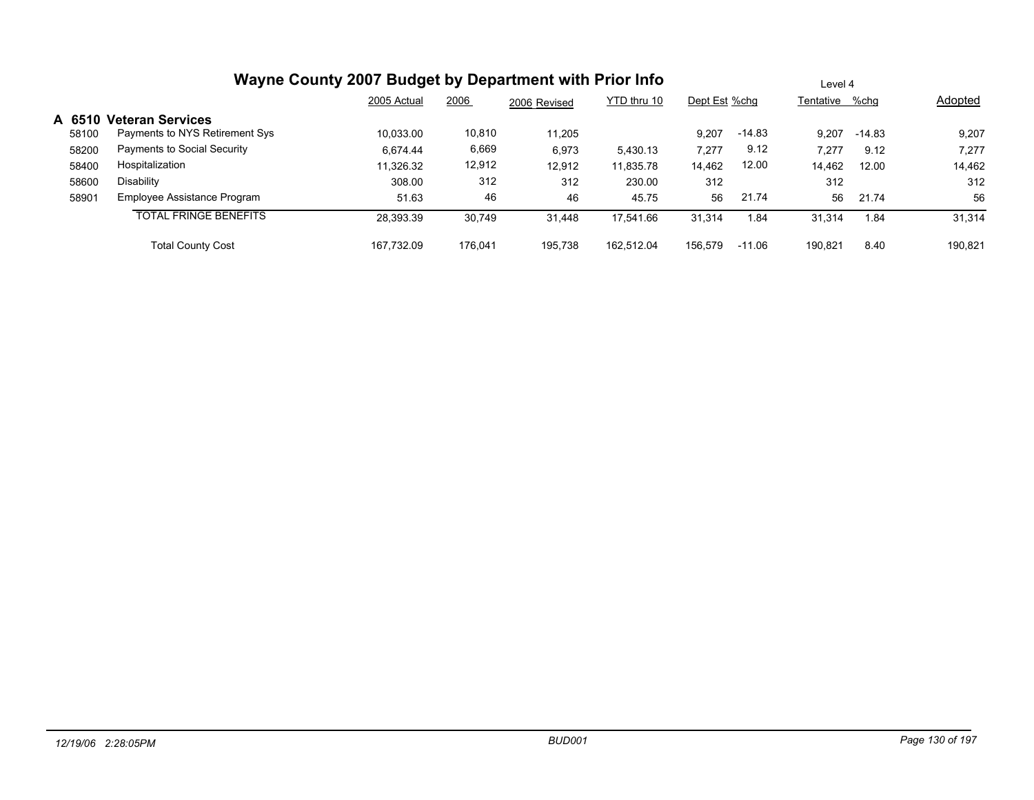|        | Wayne County 2007 Budget by Department with Prior Info | Level 4     |         |              |             |               |          |                |        |         |
|--------|--------------------------------------------------------|-------------|---------|--------------|-------------|---------------|----------|----------------|--------|---------|
|        |                                                        | 2005 Actual | 2006    | 2006 Revised | YTD thru 10 | Dept Est %chg |          | Tentative %chg |        | Adopted |
| A 6510 | <b>Veteran Services</b>                                |             |         |              |             |               |          |                |        |         |
| 58100  | Payments to NYS Retirement Sys                         | 10,033.00   | 10,810  | 11.205       |             | 9.207         | $-14.83$ | 9.207          | -14.83 | 9,207   |
| 58200  | Payments to Social Security                            | 6.674.44    | 6,669   | 6,973        | 5.430.13    | 7,277         | 9.12     | 7.277          | 9.12   | 7,277   |
| 58400  | Hospitalization                                        | 11,326.32   | 12,912  | 12.912       | 11,835.78   | 14,462        | 12.00    | 14.462         | 12.00  | 14,462  |
| 58600  | Disability                                             | 308.00      | 312     | 312          | 230.00      | 312           |          | 312            |        | 312     |
| 58901  | Employee Assistance Program                            | 51.63       | 46      | 46           | 45.75       | 56            | 21.74    | 56             | 21.74  | 56      |
|        | <b>TOTAL FRINGE BENEFITS</b>                           | 28,393.39   | 30.749  | 31,448       | 17,541.66   | 31,314        | 1.84     | 31.314         | 1.84   | 31,314  |
|        | <b>Total County Cost</b>                               | 167.732.09  | 176.041 | 195.738      | 162.512.04  | 156.579       | $-11.06$ | 190.821        | 8.40   | 190,821 |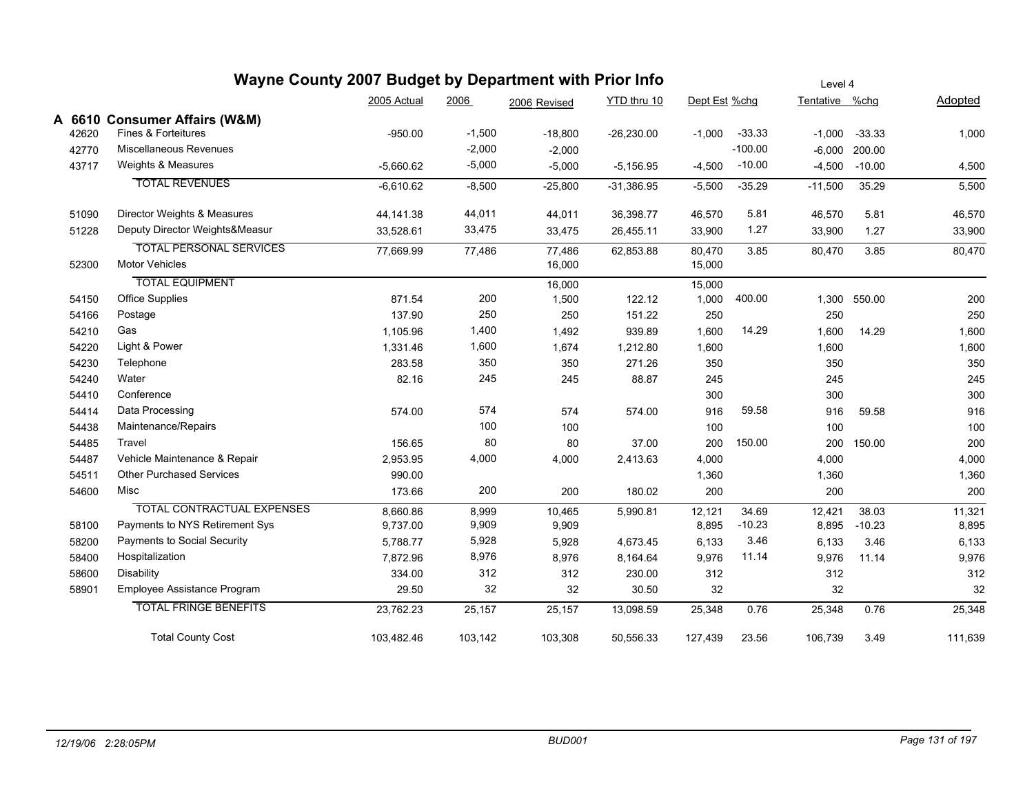|       | Wayne County 2007 Budget by Department with Prior Info |             | Level 4  |              |              |               |           |                |              |         |
|-------|--------------------------------------------------------|-------------|----------|--------------|--------------|---------------|-----------|----------------|--------------|---------|
|       |                                                        | 2005 Actual | 2006     | 2006 Revised | YTD thru 10  | Dept Est %chg |           | Tentative %chg |              | Adopted |
|       | A 6610 Consumer Affairs (W&M)                          |             |          |              |              |               |           |                |              |         |
| 42620 | Fines & Forteitures                                    | $-950.00$   | $-1,500$ | $-18,800$    | $-26,230.00$ | $-1,000$      | $-33.33$  | $-1,000$       | $-33.33$     | 1,000   |
| 42770 | Miscellaneous Revenues                                 |             | $-2,000$ | $-2,000$     |              |               | $-100.00$ | $-6,000$       | 200.00       |         |
| 43717 | Weights & Measures                                     | $-5,660.62$ | $-5,000$ | $-5,000$     | $-5,156.95$  | $-4,500$      | $-10.00$  | $-4,500$       | $-10.00$     | 4,500   |
|       | <b>TOTAL REVENUES</b>                                  | $-6,610.62$ | $-8,500$ | $-25,800$    | $-31,386.95$ | $-5,500$      | $-35.29$  | $-11,500$      | 35.29        | 5,500   |
| 51090 | Director Weights & Measures                            | 44, 141. 38 | 44,011   | 44,011       | 36,398.77    | 46,570        | 5.81      | 46,570         | 5.81         | 46,570  |
| 51228 | Deputy Director Weights&Measur                         | 33,528.61   | 33,475   | 33,475       | 26,455.11    | 33,900        | 1.27      | 33,900         | 1.27         | 33,900  |
|       | <b>TOTAL PERSONAL SERVICES</b>                         | 77,669.99   | 77,486   | 77,486       | 62,853.88    | 80,470        | 3.85      | 80,470         | 3.85         | 80,470  |
| 52300 | <b>Motor Vehicles</b>                                  |             |          | 16,000       |              | 15,000        |           |                |              |         |
|       | <b>TOTAL EQUIPMENT</b>                                 |             |          | 16,000       |              | 15,000        |           |                |              |         |
| 54150 | Office Supplies                                        | 871.54      | 200      | 1,500        | 122.12       | 1,000         | 400.00    |                | 1,300 550.00 | 200     |
| 54166 | Postage                                                | 137.90      | 250      | 250          | 151.22       | 250           |           | 250            |              | 250     |
| 54210 | Gas                                                    | 1,105.96    | 1,400    | 1,492        | 939.89       | 1,600         | 14.29     | 1,600          | 14.29        | 1,600   |
| 54220 | Light & Power                                          | 1,331.46    | 1,600    | 1,674        | 1,212.80     | 1,600         |           | 1,600          |              | 1,600   |
| 54230 | Telephone                                              | 283.58      | 350      | 350          | 271.26       | 350           |           | 350            |              | 350     |
| 54240 | Water                                                  | 82.16       | 245      | 245          | 88.87        | 245           |           | 245            |              | 245     |
| 54410 | Conference                                             |             |          |              |              | 300           |           | 300            |              | 300     |
| 54414 | Data Processing                                        | 574.00      | 574      | 574          | 574.00       | 916           | 59.58     | 916            | 59.58        | 916     |
| 54438 | Maintenance/Repairs                                    |             | 100      | 100          |              | 100           |           | 100            |              | 100     |
| 54485 | Travel                                                 | 156.65      | 80       | 80           | 37.00        | 200           | 150.00    | 200            | 150.00       | 200     |
| 54487 | Vehicle Maintenance & Repair                           | 2,953.95    | 4,000    | 4,000        | 2,413.63     | 4,000         |           | 4,000          |              | 4,000   |
| 54511 | <b>Other Purchased Services</b>                        | 990.00      |          |              |              | 1,360         |           | 1,360          |              | 1,360   |
| 54600 | Misc                                                   | 173.66      | 200      | 200          | 180.02       | 200           |           | 200            |              | 200     |
|       | <b>TOTAL CONTRACTUAL EXPENSES</b>                      | 8,660.86    | 8,999    | 10,465       | 5,990.81     | 12,121        | 34.69     | 12,421         | 38.03        | 11,321  |
| 58100 | Payments to NYS Retirement Sys                         | 9,737.00    | 9,909    | 9,909        |              | 8,895         | $-10.23$  | 8,895          | $-10.23$     | 8,895   |
| 58200 | Payments to Social Security                            | 5,788.77    | 5,928    | 5,928        | 4,673.45     | 6,133         | 3.46      | 6,133          | 3.46         | 6,133   |
| 58400 | Hospitalization                                        | 7,872.96    | 8,976    | 8,976        | 8,164.64     | 9,976         | 11.14     | 9,976          | 11.14        | 9,976   |
| 58600 | Disability                                             | 334.00      | 312      | 312          | 230.00       | 312           |           | 312            |              | 312     |
| 58901 | Employee Assistance Program                            | 29.50       | 32       | 32           | 30.50        | 32            |           | 32             |              | 32      |
|       | <b>TOTAL FRINGE BENEFITS</b>                           | 23,762.23   | 25,157   | 25,157       | 13,098.59    | 25,348        | 0.76      | 25,348         | 0.76         | 25,348  |
|       | <b>Total County Cost</b>                               | 103,482.46  | 103,142  | 103,308      | 50,556.33    | 127,439       | 23.56     | 106,739        | 3.49         | 111,639 |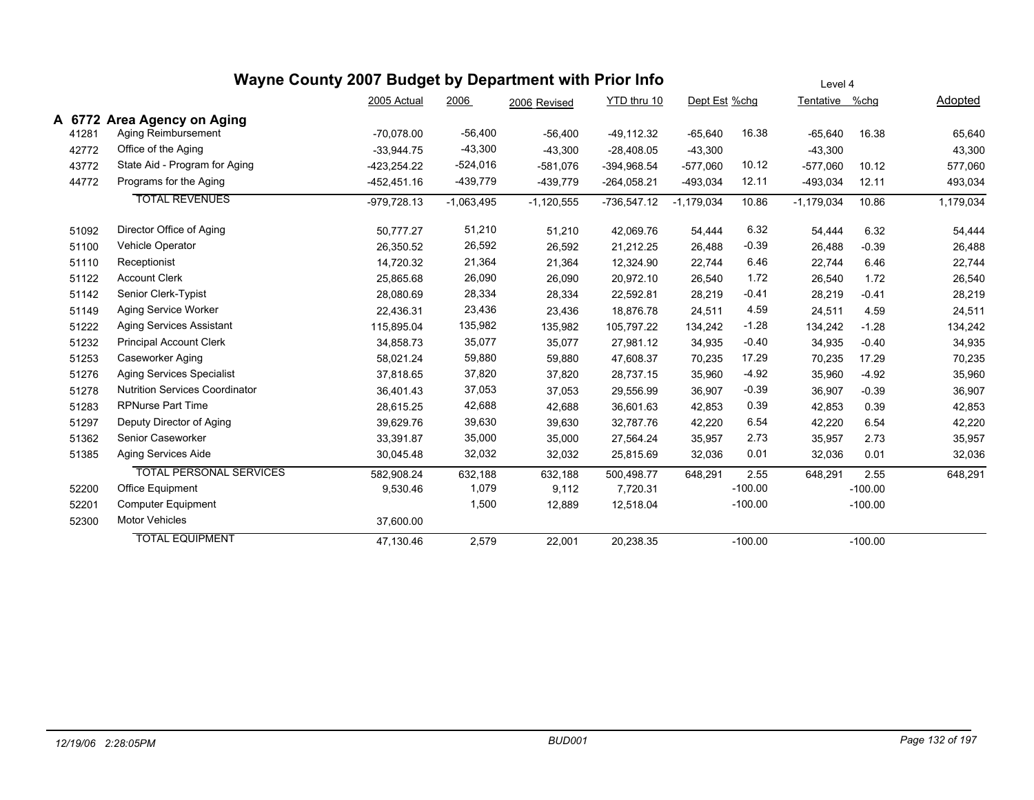|        |                                       | Wayne County 2007 Budget by Department with Prior Info |              |              |               |               |           | Level 4        |           |           |
|--------|---------------------------------------|--------------------------------------------------------|--------------|--------------|---------------|---------------|-----------|----------------|-----------|-----------|
|        |                                       | 2005 Actual                                            | 2006         | 2006 Revised | YTD thru 10   | Dept Est %chg |           | Tentative %chg |           | Adopted   |
| A 6772 | <b>Area Agency on Aging</b>           |                                                        |              |              |               |               |           |                |           |           |
| 41281  | Aging Reimbursement                   | $-70.078.00$                                           | $-56,400$    | $-56,400$    | $-49,112.32$  | $-65,640$     | 16.38     | $-65,640$      | 16.38     | 65,640    |
| 42772  | Office of the Aging                   | $-33,944.75$                                           | $-43,300$    | $-43,300$    | $-28,408.05$  | $-43,300$     |           | $-43,300$      |           | 43,300    |
| 43772  | State Aid - Program for Aging         | $-423,254.22$                                          | $-524,016$   | $-581,076$   | $-394,968.54$ | $-577,060$    | 10.12     | $-577,060$     | 10.12     | 577,060   |
| 44772  | Programs for the Aging                | -452,451.16                                            | $-439,779$   | $-439,779$   | $-264,058.21$ | -493,034      | 12.11     | $-493,034$     | 12.11     | 493,034   |
|        | <b>TOTAL REVENUES</b>                 | $-979,728.13$                                          | $-1,063,495$ | $-1,120,555$ | $-736,547.12$ | $-1,179,034$  | 10.86     | $-1,179,034$   | 10.86     | 1,179,034 |
| 51092  | Director Office of Aging              | 50,777.27                                              | 51,210       | 51,210       | 42,069.76     | 54,444        | 6.32      | 54,444         | 6.32      | 54,444    |
| 51100  | <b>Vehicle Operator</b>               | 26,350.52                                              | 26,592       | 26,592       | 21,212.25     | 26,488        | $-0.39$   | 26,488         | $-0.39$   | 26,488    |
| 51110  | Receptionist                          | 14,720.32                                              | 21,364       | 21,364       | 12,324.90     | 22,744        | 6.46      | 22,744         | 6.46      | 22,744    |
| 51122  | <b>Account Clerk</b>                  | 25,865.68                                              | 26,090       | 26,090       | 20,972.10     | 26,540        | 1.72      | 26,540         | 1.72      | 26,540    |
| 51142  | Senior Clerk-Typist                   | 28,080.69                                              | 28,334       | 28,334       | 22,592.81     | 28,219        | $-0.41$   | 28,219         | $-0.41$   | 28,219    |
| 51149  | Aging Service Worker                  | 22,436.31                                              | 23,436       | 23,436       | 18,876.78     | 24,511        | 4.59      | 24,511         | 4.59      | 24,511    |
| 51222  | <b>Aging Services Assistant</b>       | 115,895.04                                             | 135,982      | 135,982      | 105,797.22    | 134,242       | $-1.28$   | 134,242        | $-1.28$   | 134,242   |
| 51232  | <b>Principal Account Clerk</b>        | 34,858.73                                              | 35,077       | 35,077       | 27,981.12     | 34,935        | $-0.40$   | 34,935         | $-0.40$   | 34,935    |
| 51253  | Caseworker Aging                      | 58,021.24                                              | 59,880       | 59,880       | 47,608.37     | 70,235        | 17.29     | 70,235         | 17.29     | 70,235    |
| 51276  | <b>Aging Services Specialist</b>      | 37,818.65                                              | 37,820       | 37,820       | 28,737.15     | 35,960        | $-4.92$   | 35,960         | $-4.92$   | 35,960    |
| 51278  | <b>Nutrition Services Coordinator</b> | 36,401.43                                              | 37,053       | 37,053       | 29,556.99     | 36,907        | $-0.39$   | 36,907         | $-0.39$   | 36,907    |
| 51283  | RPNurse Part Time                     | 28,615.25                                              | 42,688       | 42,688       | 36,601.63     | 42,853        | 0.39      | 42,853         | 0.39      | 42,853    |
| 51297  | Deputy Director of Aging              | 39,629.76                                              | 39,630       | 39,630       | 32,787.76     | 42,220        | 6.54      | 42,220         | 6.54      | 42,220    |
| 51362  | Senior Caseworker                     | 33,391.87                                              | 35,000       | 35,000       | 27,564.24     | 35,957        | 2.73      | 35,957         | 2.73      | 35,957    |
| 51385  | Aging Services Aide                   | 30,045.48                                              | 32,032       | 32,032       | 25,815.69     | 32,036        | 0.01      | 32,036         | 0.01      | 32,036    |
|        | <b>TOTAL PERSONAL SERVICES</b>        | 582,908.24                                             | 632,188      | 632,188      | 500,498.77    | 648,291       | 2.55      | 648,291        | 2.55      | 648,291   |
| 52200  | Office Equipment                      | 9,530.46                                               | 1,079        | 9,112        | 7,720.31      |               | $-100.00$ |                | $-100.00$ |           |
| 52201  | Computer Equipment                    |                                                        | 1,500        | 12,889       | 12,518.04     |               | $-100.00$ |                | $-100.00$ |           |
| 52300  | Motor Vehicles                        | 37,600.00                                              |              |              |               |               |           |                |           |           |
|        | <b>TOTAL EQUIPMENT</b>                | 47,130.46                                              | 2,579        | 22,001       | 20,238.35     |               | $-100.00$ |                | $-100.00$ |           |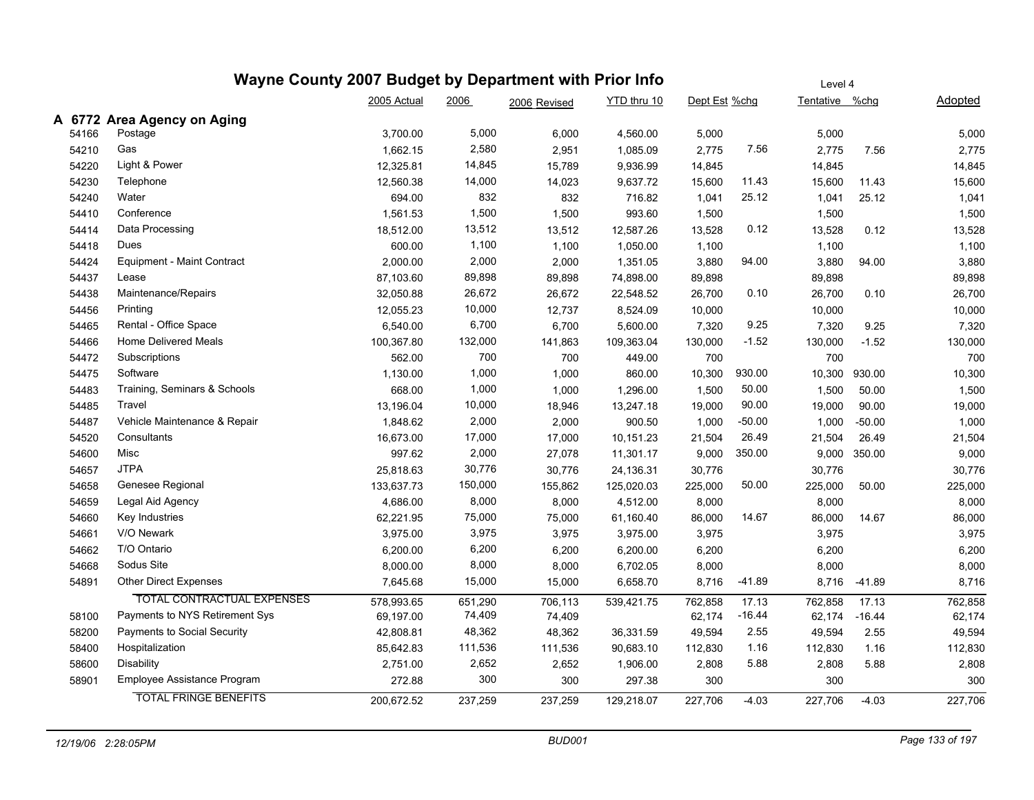|       |                                   | Wayne County 2007 Budget by Department with Prior Info |         |              |             | Level 4       |          |                |          |                |  |
|-------|-----------------------------------|--------------------------------------------------------|---------|--------------|-------------|---------------|----------|----------------|----------|----------------|--|
|       |                                   | 2005 Actual                                            | 2006    | 2006 Revised | YTD thru 10 | Dept Est %chg |          | Tentative %chg |          | <b>Adopted</b> |  |
|       | A 6772 Area Agency on Aging       |                                                        |         |              |             |               |          |                |          |                |  |
| 54166 | Postage                           | 3,700.00                                               | 5,000   | 6,000        | 4,560.00    | 5,000         |          | 5,000          |          | 5,000          |  |
| 54210 | Gas                               | 1,662.15                                               | 2,580   | 2,951        | 1,085.09    | 2,775         | 7.56     | 2,775          | 7.56     | 2,775          |  |
| 54220 | Light & Power                     | 12,325.81                                              | 14,845  | 15,789       | 9,936.99    | 14,845        |          | 14,845         |          | 14,845         |  |
| 54230 | Telephone                         | 12,560.38                                              | 14,000  | 14,023       | 9,637.72    | 15,600        | 11.43    | 15,600         | 11.43    | 15,600         |  |
| 54240 | Water                             | 694.00                                                 | 832     | 832          | 716.82      | 1,041         | 25.12    | 1,041          | 25.12    | 1,041          |  |
| 54410 | Conference                        | 1,561.53                                               | 1,500   | 1,500        | 993.60      | 1,500         |          | 1,500          |          | 1,500          |  |
| 54414 | Data Processing                   | 18,512.00                                              | 13,512  | 13,512       | 12,587.26   | 13,528        | 0.12     | 13,528         | 0.12     | 13,528         |  |
| 54418 | Dues                              | 600.00                                                 | 1,100   | 1,100        | 1,050.00    | 1,100         |          | 1,100          |          | 1,100          |  |
| 54424 | Equipment - Maint Contract        | 2,000.00                                               | 2,000   | 2,000        | 1,351.05    | 3,880         | 94.00    | 3,880          | 94.00    | 3,880          |  |
| 54437 | Lease                             | 87,103.60                                              | 89,898  | 89,898       | 74,898.00   | 89,898        |          | 89,898         |          | 89,898         |  |
| 54438 | Maintenance/Repairs               | 32,050.88                                              | 26,672  | 26,672       | 22,548.52   | 26,700        | 0.10     | 26,700         | 0.10     | 26,700         |  |
| 54456 | Printing                          | 12,055.23                                              | 10,000  | 12,737       | 8,524.09    | 10,000        |          | 10,000         |          | 10,000         |  |
| 54465 | Rental - Office Space             | 6,540.00                                               | 6,700   | 6,700        | 5,600.00    | 7,320         | 9.25     | 7,320          | 9.25     | 7,320          |  |
| 54466 | <b>Home Delivered Meals</b>       | 100,367.80                                             | 132,000 | 141,863      | 109,363.04  | 130,000       | $-1.52$  | 130,000        | $-1.52$  | 130,000        |  |
| 54472 | Subscriptions                     | 562.00                                                 | 700     | 700          | 449.00      | 700           |          | 700            |          | 700            |  |
| 54475 | Software                          | 1,130.00                                               | 1,000   | 1,000        | 860.00      | 10,300        | 930.00   | 10,300         | 930.00   | 10,300         |  |
| 54483 | Training, Seminars & Schools      | 668.00                                                 | 1,000   | 1,000        | 1,296.00    | 1,500         | 50.00    | 1,500          | 50.00    | 1,500          |  |
| 54485 | Travel                            | 13,196.04                                              | 10,000  | 18,946       | 13,247.18   | 19,000        | 90.00    | 19,000         | 90.00    | 19,000         |  |
| 54487 | Vehicle Maintenance & Repair      | 1,848.62                                               | 2,000   | 2,000        | 900.50      | 1,000         | $-50.00$ | 1,000          | $-50.00$ | 1,000          |  |
| 54520 | Consultants                       | 16,673.00                                              | 17,000  | 17,000       | 10,151.23   | 21,504        | 26.49    | 21,504         | 26.49    | 21,504         |  |
| 54600 | Misc                              | 997.62                                                 | 2,000   | 27,078       | 11,301.17   | 9,000         | 350.00   | 9,000          | 350.00   | 9,000          |  |
| 54657 | <b>JTPA</b>                       | 25,818.63                                              | 30,776  | 30,776       | 24,136.31   | 30,776        |          | 30,776         |          | 30,776         |  |
| 54658 | Genesee Regional                  | 133,637.73                                             | 150,000 | 155,862      | 125,020.03  | 225,000       | 50.00    | 225,000        | 50.00    | 225,000        |  |
| 54659 | Legal Aid Agency                  | 4,686.00                                               | 8,000   | 8,000        | 4,512.00    | 8,000         |          | 8,000          |          | 8,000          |  |
| 54660 | Key Industries                    | 62,221.95                                              | 75,000  | 75,000       | 61,160.40   | 86,000        | 14.67    | 86,000         | 14.67    | 86,000         |  |
| 54661 | V/O Newark                        | 3,975.00                                               | 3,975   | 3,975        | 3,975.00    | 3,975         |          | 3,975          |          | 3,975          |  |
| 54662 | T/O Ontario                       | 6,200.00                                               | 6,200   | 6,200        | 6,200.00    | 6,200         |          | 6,200          |          | 6,200          |  |
| 54668 | Sodus Site                        | 8,000.00                                               | 8,000   | 8,000        | 6,702.05    | 8,000         |          | 8,000          |          | 8,000          |  |
| 54891 | Other Direct Expenses             | 7,645.68                                               | 15,000  | 15,000       | 6,658.70    | 8,716         | $-41.89$ | 8,716          | -41.89   | 8,716          |  |
|       | <b>TOTAL CONTRACTUAL EXPENSES</b> | 578,993.65                                             | 651,290 | 706,113      | 539,421.75  | 762,858       | 17.13    | 762,858        | 17.13    | 762,858        |  |
| 58100 | Payments to NYS Retirement Sys    | 69,197.00                                              | 74,409  | 74,409       |             | 62,174        | $-16.44$ | 62,174         | $-16.44$ | 62,174         |  |
| 58200 | Payments to Social Security       | 42,808.81                                              | 48,362  | 48,362       | 36,331.59   | 49,594        | 2.55     | 49,594         | 2.55     | 49,594         |  |
| 58400 | Hospitalization                   | 85,642.83                                              | 111,536 | 111,536      | 90,683.10   | 112,830       | 1.16     | 112,830        | 1.16     | 112,830        |  |
| 58600 | <b>Disability</b>                 | 2,751.00                                               | 2,652   | 2,652        | 1,906.00    | 2,808         | 5.88     | 2,808          | 5.88     | 2,808          |  |
| 58901 | Employee Assistance Program       | 272.88                                                 | 300     | 300          | 297.38      | 300           |          | 300            |          | 300            |  |
|       | <b>TOTAL FRINGE BENEFITS</b>      | 200,672.52                                             | 237,259 | 237,259      | 129,218.07  | 227,706       | $-4.03$  | 227,706        | $-4.03$  | 227,706        |  |
|       |                                   |                                                        |         |              |             |               |          |                |          |                |  |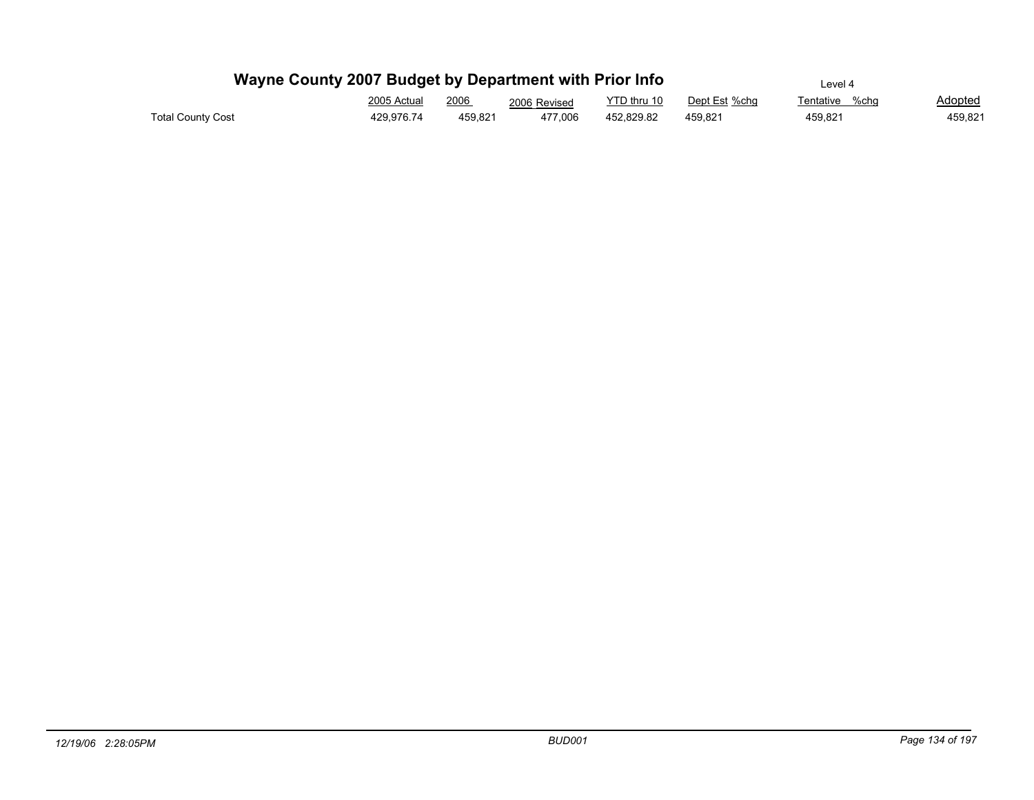| Wayne County 2007 Budget by Department with Prior Info |                                                                          | Level 4 |              |             |               |                |                |
|--------------------------------------------------------|--------------------------------------------------------------------------|---------|--------------|-------------|---------------|----------------|----------------|
|                                                        | 2005 Actual<br><u> 1980 - Johann Barnett, fransk politiker (d. 1980)</u> | 2006    | 2006 Revised | YTD thru 10 | Dept Est %chq | Tentative %chq | <b>Adopted</b> |
| <b>Total County Cost</b>                               | 429.976.74                                                               | 459.821 | 477.006      | 452.829.82  | 459.821       | 459.821        | 459,821        |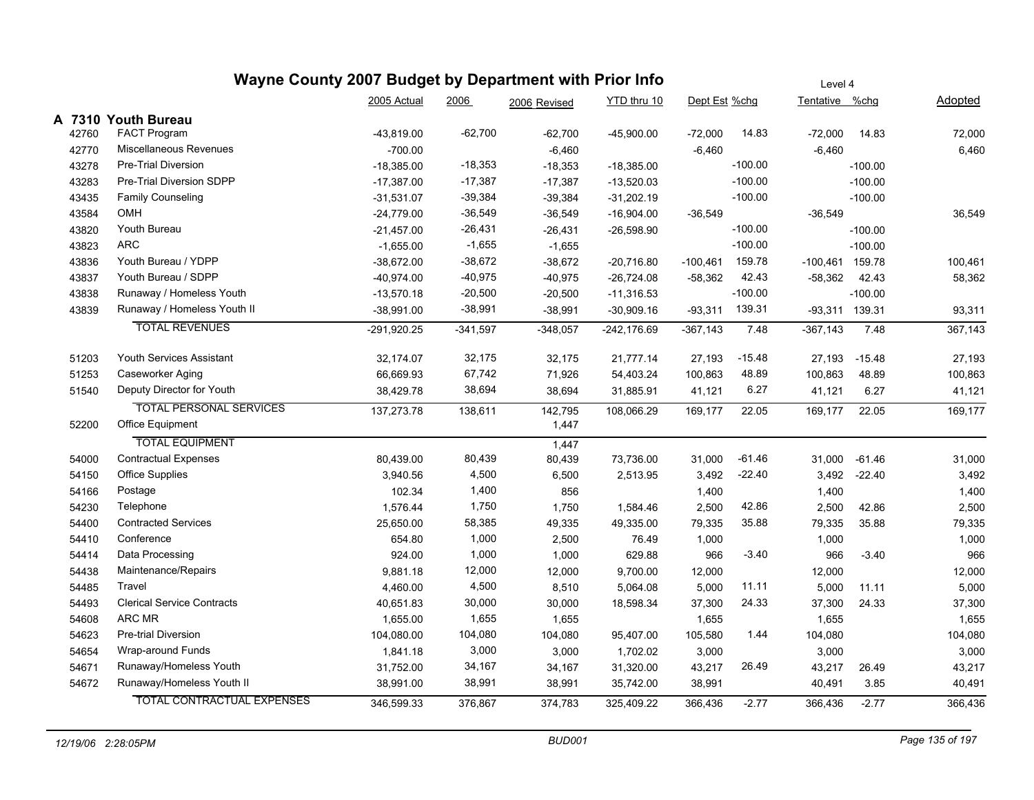|       | Wayne County 2007 Budget by Department with Prior Info |               |            |              |              |               |           | Level 4        |              |         |
|-------|--------------------------------------------------------|---------------|------------|--------------|--------------|---------------|-----------|----------------|--------------|---------|
|       |                                                        | 2005 Actual   | 2006       | 2006 Revised | YTD thru 10  | Dept Est %chg |           | Tentative %chg |              | Adopted |
|       | A 7310 Youth Bureau                                    |               |            |              |              |               |           |                |              |         |
| 42760 | FACT Program                                           | -43,819.00    | $-62,700$  | $-62,700$    | $-45,900.00$ | $-72,000$     | 14.83     | $-72,000$      | 14.83        | 72,000  |
| 42770 | Miscellaneous Revenues                                 | $-700.00$     |            | $-6,460$     |              | $-6,460$      |           | $-6,460$       |              | 6,460   |
| 43278 | <b>Pre-Trial Diversion</b>                             | $-18,385.00$  | $-18,353$  | $-18,353$    | $-18,385.00$ |               | $-100.00$ |                | $-100.00$    |         |
| 43283 | Pre-Trial Diversion SDPP                               | $-17,387.00$  | $-17,387$  | $-17,387$    | $-13,520.03$ |               | $-100.00$ |                | $-100.00$    |         |
| 43435 | <b>Family Counseling</b>                               | $-31,531.07$  | $-39,384$  | $-39,384$    | $-31,202.19$ |               | $-100.00$ |                | $-100.00$    |         |
| 43584 | OMH                                                    | $-24,779.00$  | $-36,549$  | $-36,549$    | $-16,904.00$ | $-36,549$     |           | $-36,549$      |              | 36,549  |
| 43820 | Youth Bureau                                           | $-21,457.00$  | $-26,431$  | $-26,431$    | $-26,598.90$ |               | $-100.00$ |                | $-100.00$    |         |
| 43823 | <b>ARC</b>                                             | $-1,655.00$   | $-1,655$   | $-1,655$     |              |               | $-100.00$ |                | $-100.00$    |         |
| 43836 | Youth Bureau / YDPP                                    | $-38,672.00$  | $-38,672$  | $-38,672$    | $-20,716.80$ | $-100,461$    | 159.78    | -100,461       | 159.78       | 100,461 |
| 43837 | Youth Bureau / SDPP                                    | -40,974.00    | $-40,975$  | $-40,975$    | $-26,724.08$ | $-58,362$     | 42.43     | $-58,362$      | 42.43        | 58,362  |
| 43838 | Runaway / Homeless Youth                               | $-13,570.18$  | $-20,500$  | $-20,500$    | $-11,316.53$ |               | $-100.00$ |                | $-100.00$    |         |
| 43839 | Runaway / Homeless Youth II                            | $-38,991.00$  | $-38,991$  | $-38,991$    | $-30,909.16$ | $-93,311$     | 139.31    | -93,311 139.31 |              | 93,311  |
|       | <b>TOTAL REVENUES</b>                                  | $-291,920.25$ | $-341,597$ | $-348,057$   | -242,176.69  | $-367, 143$   | 7.48      | $-367,143$     | 7.48         | 367,143 |
| 51203 | Youth Services Assistant                               | 32,174.07     | 32,175     | 32,175       | 21,777.14    | 27,193        | $-15.48$  | 27,193         | $-15.48$     | 27,193  |
| 51253 | Caseworker Aging                                       | 66,669.93     | 67,742     | 71,926       | 54,403.24    | 100,863       | 48.89     | 100,863        | 48.89        | 100,863 |
| 51540 | Deputy Director for Youth                              | 38,429.78     | 38,694     | 38,694       | 31,885.91    | 41,121        | 6.27      | 41,121         | 6.27         | 41,121  |
|       | <b>TOTAL PERSONAL SERVICES</b>                         | 137,273.78    | 138,611    | 142,795      | 108,066.29   | 169,177       | 22.05     | 169,177        | 22.05        | 169,177 |
| 52200 | Office Equipment                                       |               |            | 1,447        |              |               |           |                |              |         |
|       | <b>TOTAL EQUIPMENT</b>                                 |               |            | 1,447        |              |               |           |                |              |         |
| 54000 | <b>Contractual Expenses</b>                            | 80,439.00     | 80,439     | 80,439       | 73,736.00    | 31,000        | $-61.46$  | 31,000         | -61.46       | 31,000  |
| 54150 | Office Supplies                                        | 3,940.56      | 4,500      | 6,500        | 2,513.95     | 3,492         | $-22.40$  |                | 3,492 -22.40 | 3,492   |
| 54166 | Postage                                                | 102.34        | 1,400      | 856          |              | 1,400         |           | 1,400          |              | 1,400   |
| 54230 | Telephone                                              | 1,576.44      | 1,750      | 1,750        | 1,584.46     | 2,500         | 42.86     | 2,500          | 42.86        | 2,500   |
| 54400 | <b>Contracted Services</b>                             | 25,650.00     | 58,385     | 49,335       | 49,335.00    | 79,335        | 35.88     | 79,335         | 35.88        | 79,335  |
| 54410 | Conference                                             | 654.80        | 1,000      | 2,500        | 76.49        | 1,000         |           | 1,000          |              | 1,000   |
| 54414 | Data Processing                                        | 924.00        | 1,000      | 1,000        | 629.88       | 966           | $-3.40$   | 966            | $-3.40$      | 966     |
| 54438 | Maintenance/Repairs                                    | 9,881.18      | 12,000     | 12,000       | 9,700.00     | 12,000        |           | 12,000         |              | 12,000  |
| 54485 | Travel                                                 | 4,460.00      | 4,500      | 8,510        | 5,064.08     | 5,000         | 11.11     | 5,000          | 11.11        | 5,000   |
| 54493 | <b>Clerical Service Contracts</b>                      | 40,651.83     | 30,000     | 30,000       | 18,598.34    | 37,300        | 24.33     | 37,300         | 24.33        | 37,300  |
| 54608 | ARC MR                                                 | 1,655.00      | 1,655      | 1,655        |              | 1,655         |           | 1,655          |              | 1,655   |
| 54623 | Pre-trial Diversion                                    | 104,080.00    | 104,080    | 104,080      | 95,407.00    | 105,580       | 1.44      | 104,080        |              | 104,080 |
| 54654 | Wrap-around Funds                                      | 1,841.18      | 3,000      | 3,000        | 1,702.02     | 3,000         |           | 3,000          |              | 3,000   |
| 54671 | Runaway/Homeless Youth                                 | 31,752.00     | 34,167     | 34,167       | 31,320.00    | 43,217        | 26.49     | 43,217         | 26.49        | 43,217  |
| 54672 | Runaway/Homeless Youth II                              | 38,991.00     | 38,991     | 38,991       | 35,742.00    | 38,991        |           | 40,491         | 3.85         | 40,491  |
|       | <b>TOTAL CONTRACTUAL EXPENSES</b>                      | 346,599.33    | 376,867    | 374,783      | 325,409.22   | 366,436       | $-2.77$   | 366,436        | $-2.77$      | 366,436 |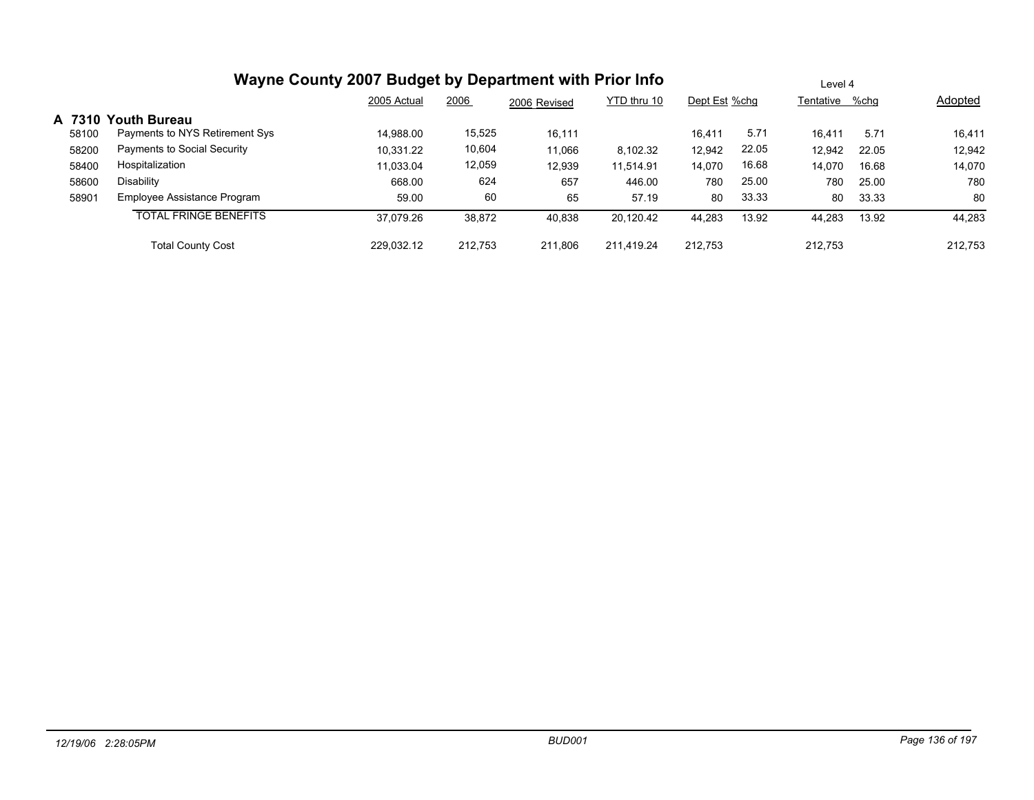|       | Wayne County 2007 Budget by Department with Prior Info | Level 4     |         |              |             |               |       |                |       |         |
|-------|--------------------------------------------------------|-------------|---------|--------------|-------------|---------------|-------|----------------|-------|---------|
|       |                                                        | 2005 Actual | 2006    | 2006 Revised | YTD thru 10 | Dept Est %chq |       | Tentative %chq |       | Adopted |
|       | A 7310 Youth Bureau                                    |             |         |              |             |               |       |                |       |         |
| 58100 | Payments to NYS Retirement Sys                         | 14,988.00   | 15,525  | 16,111       |             | 16.411        | 5.71  | 16.411         | 5.71  | 16,411  |
| 58200 | Payments to Social Security                            | 10.331.22   | 10,604  | 11,066       | 8.102.32    | 12,942        | 22.05 | 12.942         | 22.05 | 12,942  |
| 58400 | Hospitalization                                        | 11,033.04   | 12,059  | 12,939       | 11,514.91   | 14,070        | 16.68 | 14,070         | 16.68 | 14,070  |
| 58600 | <b>Disability</b>                                      | 668.00      | 624     | 657          | 446.00      | 780           | 25.00 | 780            | 25.00 | 780     |
| 58901 | Employee Assistance Program                            | 59.00       | 60      | 65           | 57.19       | 80            | 33.33 | 80             | 33.33 | 80      |
|       | <b>TOTAL FRINGE BENEFITS</b>                           | 37,079.26   | 38,872  | 40,838       | 20,120.42   | 44,283        | 13.92 | 44,283         | 13.92 | 44,283  |
|       | <b>Total County Cost</b>                               | 229.032.12  | 212.753 | 211.806      | 211.419.24  | 212.753       |       | 212.753        |       | 212.753 |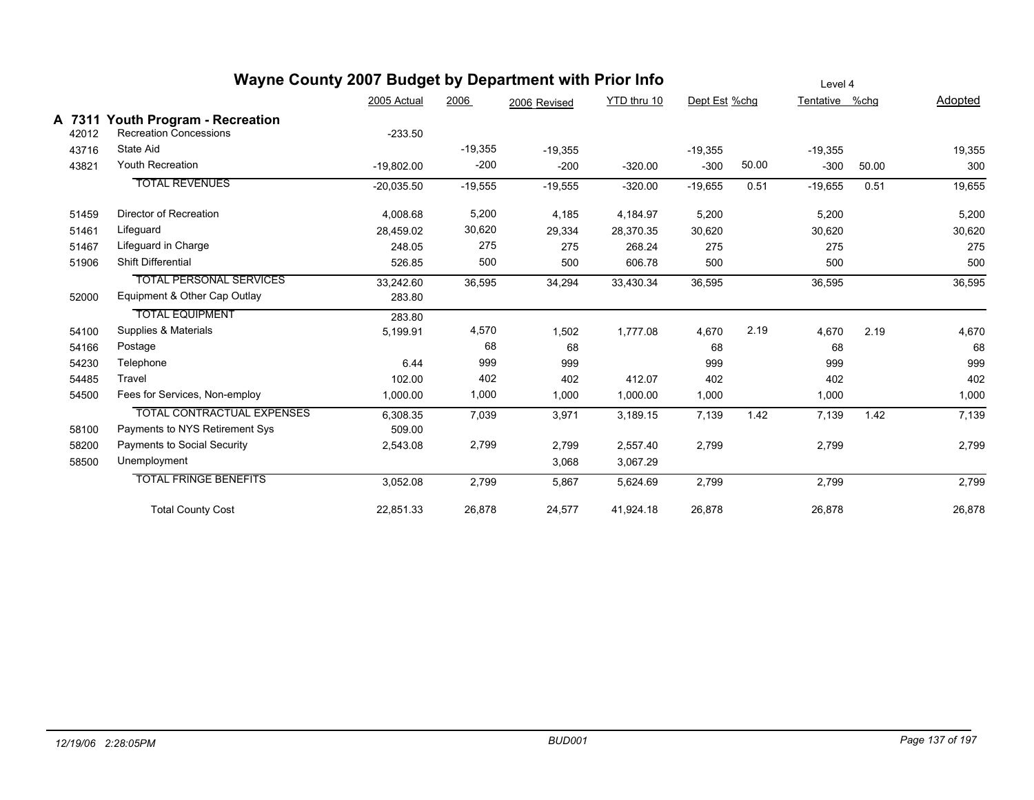|                 | Wayne County 2007 Budget by Department with Prior Info             |              |           |              |             |               |       | Level 4        |       |         |
|-----------------|--------------------------------------------------------------------|--------------|-----------|--------------|-------------|---------------|-------|----------------|-------|---------|
|                 |                                                                    | 2005 Actual  | 2006      | 2006 Revised | YTD thru 10 | Dept Est %chg |       | Tentative %chq |       | Adopted |
| A 7311<br>42012 | <b>Youth Program - Recreation</b><br><b>Recreation Concessions</b> | $-233.50$    |           |              |             |               |       |                |       |         |
| 43716           | State Aid                                                          |              | $-19,355$ | $-19,355$    |             | $-19,355$     |       | $-19,355$      |       | 19,355  |
| 43821           | <b>Youth Recreation</b>                                            | $-19,802.00$ | $-200$    | $-200$       | $-320.00$   | $-300$        | 50.00 | $-300$         | 50.00 | 300     |
|                 | <b>TOTAL REVENUES</b>                                              | $-20,035.50$ | $-19,555$ | $-19,555$    | $-320.00$   | $-19,655$     | 0.51  | $-19,655$      | 0.51  | 19,655  |
| 51459           | Director of Recreation                                             | 4,008.68     | 5,200     | 4,185        | 4,184.97    | 5,200         |       | 5,200          |       | 5,200   |
| 51461           | Lifeguard                                                          | 28.459.02    | 30,620    | 29,334       | 28,370.35   | 30,620        |       | 30,620         |       | 30,620  |
| 51467           | Lifeguard in Charge                                                | 248.05       | 275       | 275          | 268.24      | 275           |       | 275            |       | 275     |
| 51906           | <b>Shift Differential</b>                                          | 526.85       | 500       | 500          | 606.78      | 500           |       | 500            |       | 500     |
|                 | <b>TOTAL PERSONAL SERVICES</b>                                     | 33,242.60    | 36,595    | 34,294       | 33,430.34   | 36,595        |       | 36,595         |       | 36,595  |
| 52000           | Equipment & Other Cap Outlay                                       | 283.80       |           |              |             |               |       |                |       |         |
|                 | <b>TOTAL EQUIPMENT</b>                                             | 283.80       |           |              |             |               |       |                |       |         |
| 54100           | Supplies & Materials                                               | 5,199.91     | 4,570     | 1,502        | 1,777.08    | 4,670         | 2.19  | 4.670          | 2.19  | 4,670   |
| 54166           | Postage                                                            |              | 68        | 68           |             | 68            |       | 68             |       | 68      |
| 54230           | Telephone                                                          | 6.44         | 999       | 999          |             | 999           |       | 999            |       | 999     |
| 54485           | Travel                                                             | 102.00       | 402       | 402          | 412.07      | 402           |       | 402            |       | 402     |
| 54500           | Fees for Services, Non-employ                                      | 1,000.00     | 1,000     | 1,000        | 1,000.00    | 1,000         |       | 1,000          |       | 1,000   |
|                 | <b>TOTAL CONTRACTUAL EXPENSES</b>                                  | 6,308.35     | 7,039     | 3,971        | 3,189.15    | 7,139         | 1.42  | 7,139          | 1.42  | 7,139   |
| 58100           | Payments to NYS Retirement Sys                                     | 509.00       |           |              |             |               |       |                |       |         |
| 58200           | Payments to Social Security                                        | 2,543.08     | 2,799     | 2,799        | 2,557.40    | 2,799         |       | 2,799          |       | 2,799   |
| 58500           | Unemployment                                                       |              |           | 3,068        | 3,067.29    |               |       |                |       |         |
|                 | <b>TOTAL FRINGE BENEFITS</b>                                       | 3,052.08     | 2,799     | 5,867        | 5,624.69    | 2,799         |       | 2,799          |       | 2,799   |
|                 | <b>Total County Cost</b>                                           | 22,851.33    | 26,878    | 24,577       | 41,924.18   | 26,878        |       | 26,878         |       | 26,878  |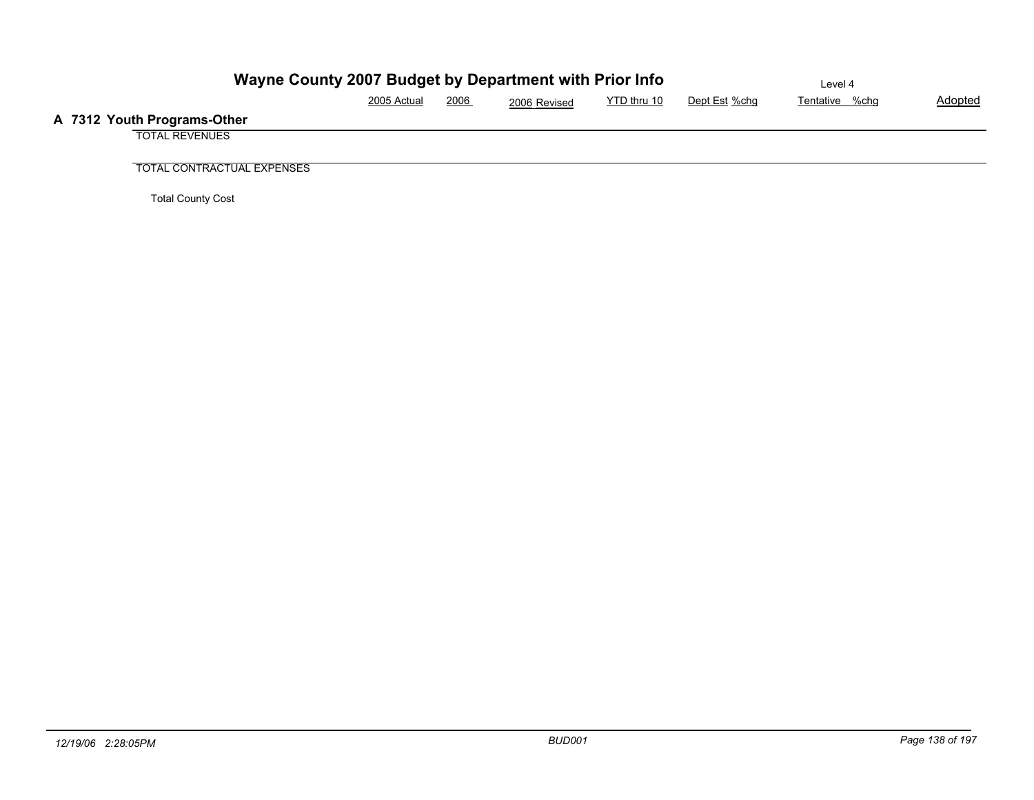| Wayne County 2007 Budget by Department with Prior Info | Level 4     |             |              |             |               |                |                |
|--------------------------------------------------------|-------------|-------------|--------------|-------------|---------------|----------------|----------------|
|                                                        | 2005 Actual | <u>2006</u> | 2006 Revised | YTD thru 10 | Dept Est %chg | Tentative %chg | <b>Adopted</b> |
| A 7312 Youth Programs-Other                            |             |             |              |             |               |                |                |
| <b>TOTAL REVENUES</b>                                  |             |             |              |             |               |                |                |
|                                                        |             |             |              |             |               |                |                |
| <b>TOTAL CONTRACTUAL EXPENSES</b>                      |             |             |              |             |               |                |                |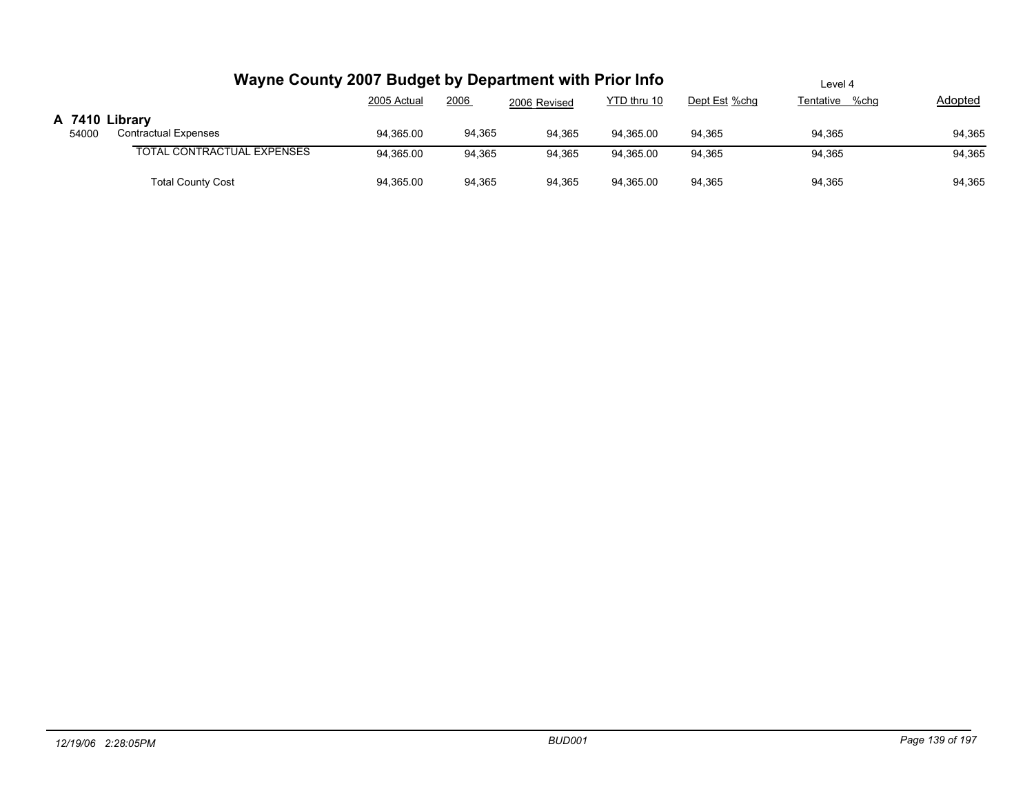|                         | Wayne County 2007 Budget by Department with Prior Info |             | Level 4 |              |             |               |                |         |
|-------------------------|--------------------------------------------------------|-------------|---------|--------------|-------------|---------------|----------------|---------|
|                         |                                                        | 2005 Actual | 2006    | 2006 Revised | YTD thru 10 | Dept Est %chg | Tentative %chg | Adopted |
| A 7410 Library<br>54000 | <b>Contractual Expenses</b>                            | 94.365.00   | 94,365  | 94.365       | 94.365.00   | 94.365        | 94,365         | 94,365  |
|                         | <b>TOTAL CONTRACTUAL EXPENSES</b>                      | 94,365.00   | 94,365  | 94.365       | 94.365.00   | 94,365        | 94,365         | 94,365  |
|                         | <b>Total County Cost</b>                               | 94,365.00   | 94,365  | 94,365       | 94,365.00   | 94,365        | 94,365         | 94,365  |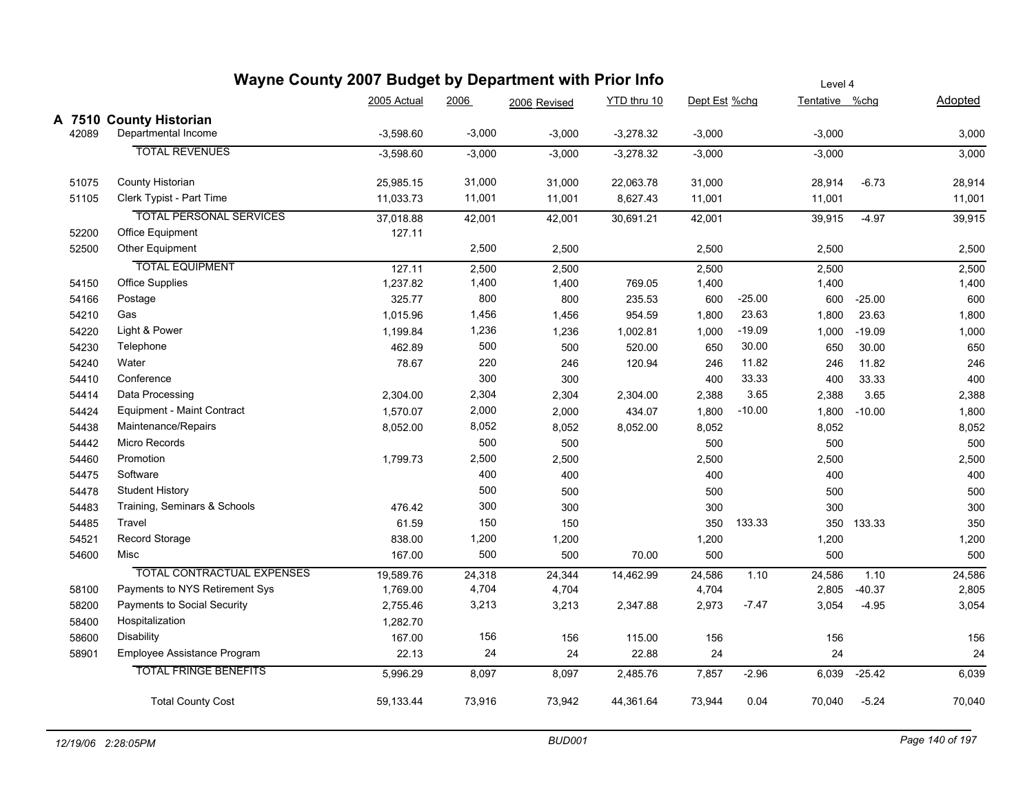|       | Wayne County 2007 Budget by Department with Prior Info | Level 4     |          |              |             |               |          |                |            |         |
|-------|--------------------------------------------------------|-------------|----------|--------------|-------------|---------------|----------|----------------|------------|---------|
|       |                                                        | 2005 Actual | 2006     | 2006 Revised | YTD thru 10 | Dept Est %chg |          | Tentative %chg |            | Adopted |
|       | A 7510 County Historian                                |             |          |              |             |               |          |                |            |         |
| 42089 | Departmental Income                                    | $-3.598.60$ | $-3,000$ | $-3,000$     | $-3,278.32$ | $-3,000$      |          | $-3,000$       |            | 3,000   |
|       | <b>TOTAL REVENUES</b>                                  | $-3,598.60$ | $-3,000$ | $-3,000$     | $-3,278.32$ | $-3,000$      |          | $-3,000$       |            | 3,000   |
| 51075 | County Historian                                       | 25,985.15   | 31,000   | 31,000       | 22,063.78   | 31,000        |          | 28,914         | $-6.73$    | 28,914  |
| 51105 | Clerk Typist - Part Time                               | 11,033.73   | 11,001   | 11,001       | 8,627.43    | 11,001        |          | 11,001         |            | 11,001  |
|       | <b>TOTAL PERSONAL SERVICES</b>                         | 37,018.88   | 42,001   | 42,001       | 30,691.21   | 42,001        |          | 39,915         | $-4.97$    | 39,915  |
| 52200 | Office Equipment                                       | 127.11      |          |              |             |               |          |                |            |         |
| 52500 | Other Equipment                                        |             | 2,500    | 2,500        |             | 2,500         |          | 2,500          |            | 2,500   |
|       | <b>TOTAL EQUIPMENT</b>                                 | 127.11      | 2,500    | 2,500        |             | 2,500         |          | 2,500          |            | 2,500   |
| 54150 | <b>Office Supplies</b>                                 | 1,237.82    | 1,400    | 1,400        | 769.05      | 1,400         |          | 1,400          |            | 1,400   |
| 54166 | Postage                                                | 325.77      | 800      | 800          | 235.53      | 600           | $-25.00$ | 600            | $-25.00$   | 600     |
| 54210 | Gas                                                    | 1,015.96    | 1,456    | 1,456        | 954.59      | 1,800         | 23.63    | 1,800          | 23.63      | 1,800   |
| 54220 | Light & Power                                          | 1,199.84    | 1,236    | 1,236        | 1,002.81    | 1,000         | $-19.09$ | 1,000          | $-19.09$   | 1,000   |
| 54230 | Telephone                                              | 462.89      | 500      | 500          | 520.00      | 650           | 30.00    | 650            | 30.00      | 650     |
| 54240 | Water                                                  | 78.67       | 220      | 246          | 120.94      | 246           | 11.82    | 246            | 11.82      | 246     |
| 54410 | Conference                                             |             | 300      | 300          |             | 400           | 33.33    | 400            | 33.33      | 400     |
| 54414 | Data Processing                                        | 2,304.00    | 2,304    | 2,304        | 2,304.00    | 2,388         | 3.65     | 2,388          | 3.65       | 2,388   |
| 54424 | <b>Equipment - Maint Contract</b>                      | 1,570.07    | 2,000    | 2,000        | 434.07      | 1,800         | $-10.00$ | 1,800          | $-10.00$   | 1,800   |
| 54438 | Maintenance/Repairs                                    | 8,052.00    | 8,052    | 8,052        | 8,052.00    | 8,052         |          | 8,052          |            | 8,052   |
| 54442 | Micro Records                                          |             | 500      | 500          |             | 500           |          | 500            |            | 500     |
| 54460 | Promotion                                              | 1,799.73    | 2,500    | 2,500        |             | 2,500         |          | 2,500          |            | 2,500   |
| 54475 | Software                                               |             | 400      | 400          |             | 400           |          | 400            |            | 400     |
| 54478 | <b>Student History</b>                                 |             | 500      | 500          |             | 500           |          | 500            |            | 500     |
| 54483 | Training, Seminars & Schools                           | 476.42      | 300      | 300          |             | 300           |          | 300            |            | 300     |
| 54485 | Travel                                                 | 61.59       | 150      | 150          |             | 350           | 133.33   |                | 350 133.33 | 350     |
| 54521 | Record Storage                                         | 838.00      | 1,200    | 1,200        |             | 1,200         |          | 1,200          |            | 1,200   |
| 54600 | Misc                                                   | 167.00      | 500      | 500          | 70.00       | 500           |          | 500            |            | 500     |
|       | <b>TOTAL CONTRACTUAL EXPENSES</b>                      | 19,589.76   | 24,318   | 24,344       | 14,462.99   | 24,586        | 1.10     | 24,586         | 1.10       | 24,586  |
| 58100 | Payments to NYS Retirement Sys                         | 1,769.00    | 4,704    | 4,704        |             | 4,704         |          | 2,805          | $-40.37$   | 2,805   |
| 58200 | Payments to Social Security                            | 2,755.46    | 3,213    | 3,213        | 2,347.88    | 2,973         | $-7.47$  | 3,054          | $-4.95$    | 3,054   |
| 58400 | Hospitalization                                        | 1,282.70    |          |              |             |               |          |                |            |         |
| 58600 | Disability                                             | 167.00      | 156      | 156          | 115.00      | 156           |          | 156            |            | 156     |
| 58901 | Employee Assistance Program                            | 22.13       | 24       | 24           | 22.88       | 24            |          | 24             |            | 24      |
|       | <b>TOTAL FRINGE BENEFITS</b>                           | 5,996.29    | 8,097    | 8,097        | 2,485.76    | 7,857         | $-2.96$  | 6,039          | $-25.42$   | 6,039   |
|       | <b>Total County Cost</b>                               | 59,133.44   | 73,916   | 73,942       | 44,361.64   | 73,944        | 0.04     | 70,040         | $-5.24$    | 70,040  |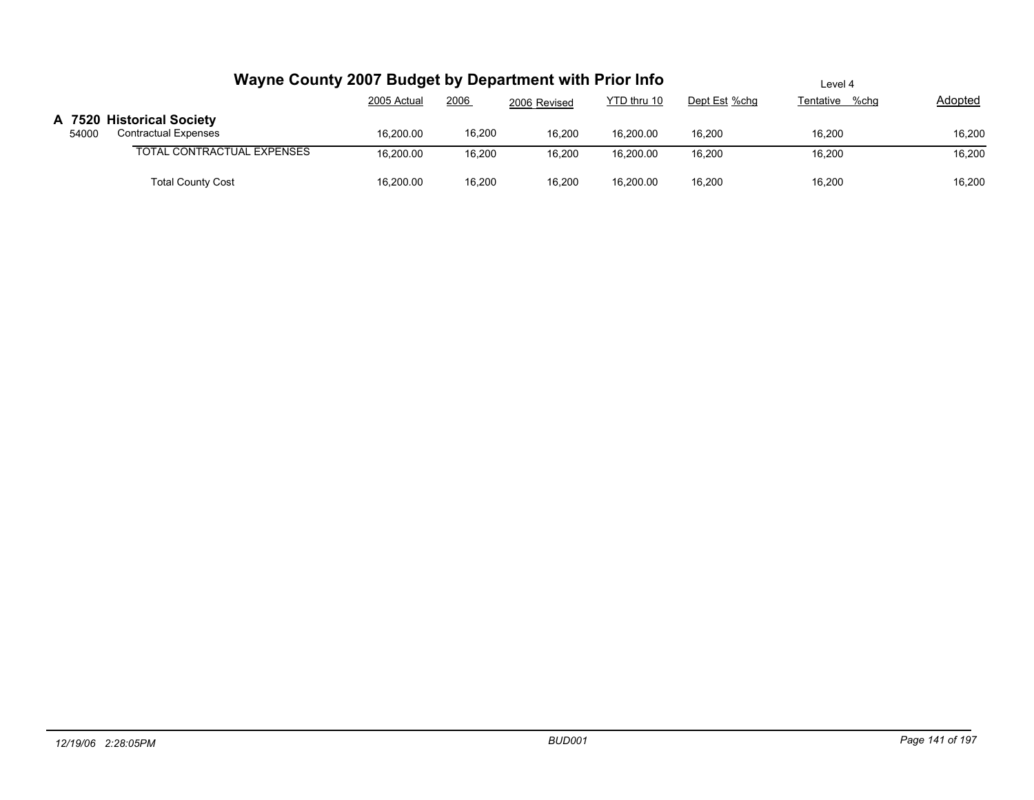|       | Wayne County 2007 Budget by Department with Prior Info   |             |        |              | Level 4     |               |                |         |
|-------|----------------------------------------------------------|-------------|--------|--------------|-------------|---------------|----------------|---------|
|       |                                                          | 2005 Actual | 2006   | 2006 Revised | YTD thru 10 | Dept Est %chg | Tentative %chg | Adopted |
| 54000 | A 7520 Historical Society<br><b>Contractual Expenses</b> | 16.200.00   | 16,200 | 16,200       | 16,200.00   | 16,200        | 16,200         | 16,200  |
|       | TOTAL CONTRACTUAL EXPENSES                               | 16.200.00   | 16,200 | 16,200       | 16.200.00   | 16,200        | 16.200         | 16,200  |
|       | <b>Total County Cost</b>                                 | 16,200.00   | 16,200 | 16,200       | 16,200.00   | 16,200        | 16,200         | 16,200  |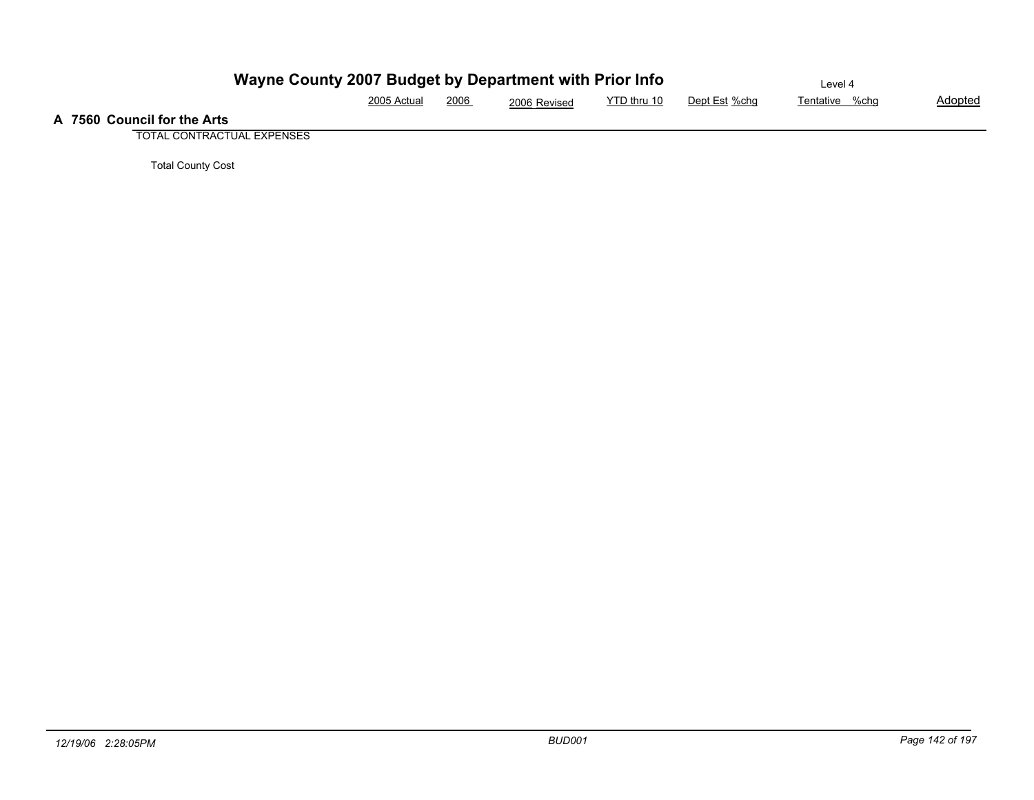|                             | Wayne County 2007 Budget by Department with Prior Info | Level 4 |              |             |               |                |                |
|-----------------------------|--------------------------------------------------------|---------|--------------|-------------|---------------|----------------|----------------|
|                             | 2005 Actual                                            | 2006    | 2006 Revised | YTD thru 10 | Dept Est %chq | Tentative %chg | <b>Adopted</b> |
| A 7560 Council for the Arts |                                                        |         |              |             |               |                |                |

TOTAL CONTRACTUAL EXPENSES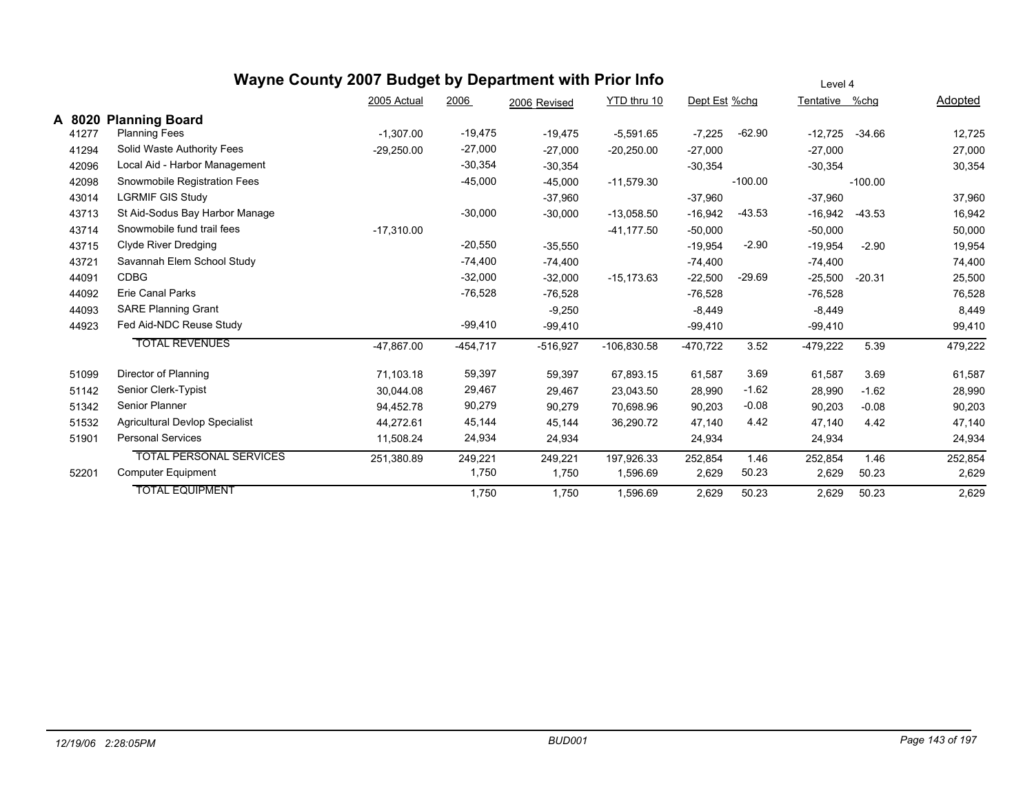|        |                                       | Wayne County 2007 Budget by Department with Prior Info |            |              |               |               |           | Level 4    |           |         |
|--------|---------------------------------------|--------------------------------------------------------|------------|--------------|---------------|---------------|-----------|------------|-----------|---------|
|        |                                       | 2005 Actual                                            | 2006       | 2006 Revised | YTD thru 10   | Dept Est %chg |           | Tentative  | %chg      | Adopted |
| A 8020 | <b>Planning Board</b>                 |                                                        |            |              |               |               |           |            |           |         |
| 41277  | <b>Planning Fees</b>                  | $-1,307.00$                                            | $-19,475$  | $-19,475$    | $-5,591.65$   | $-7,225$      | $-62.90$  | $-12,725$  | $-34.66$  | 12,725  |
| 41294  | Solid Waste Authority Fees            | $-29,250.00$                                           | $-27,000$  | $-27,000$    | $-20,250.00$  | $-27,000$     |           | $-27,000$  |           | 27,000  |
| 42096  | Local Aid - Harbor Management         |                                                        | $-30,354$  | $-30,354$    |               | $-30.354$     |           | $-30,354$  |           | 30,354  |
| 42098  | Snowmobile Registration Fees          |                                                        | $-45,000$  | $-45,000$    | $-11,579.30$  |               | $-100.00$ |            | $-100.00$ |         |
| 43014  | <b>LGRMIF GIS Study</b>               |                                                        |            | $-37,960$    |               | $-37,960$     |           | $-37,960$  |           | 37,960  |
| 43713  | St Aid-Sodus Bay Harbor Manage        |                                                        | $-30,000$  | $-30,000$    | $-13,058.50$  | $-16,942$     | $-43.53$  | $-16,942$  | $-43.53$  | 16,942  |
| 43714  | Snowmobile fund trail fees            | $-17,310.00$                                           |            |              | $-41, 177.50$ | $-50,000$     |           | $-50,000$  |           | 50,000  |
| 43715  | Clyde River Dredging                  |                                                        | $-20,550$  | $-35,550$    |               | $-19,954$     | $-2.90$   | $-19,954$  | $-2.90$   | 19,954  |
| 43721  | Savannah Elem School Study            |                                                        | $-74,400$  | $-74,400$    |               | $-74,400$     |           | $-74,400$  |           | 74,400  |
| 44091  | <b>CDBG</b>                           |                                                        | $-32,000$  | $-32,000$    | $-15, 173.63$ | $-22,500$     | $-29.69$  | $-25,500$  | $-20.31$  | 25,500  |
| 44092  | <b>Erie Canal Parks</b>               |                                                        | $-76,528$  | $-76,528$    |               | $-76,528$     |           | $-76,528$  |           | 76,528  |
| 44093  | <b>SARE Planning Grant</b>            |                                                        |            | $-9,250$     |               | $-8,449$      |           | $-8,449$   |           | 8,449   |
| 44923  | Fed Aid-NDC Reuse Study               |                                                        | $-99,410$  | $-99,410$    |               | $-99,410$     |           | $-99,410$  |           | 99,410  |
|        | <b>TOTAL REVENUES</b>                 | -47,867.00                                             | $-454,717$ | $-516,927$   | $-106,830.58$ | $-470,722$    | 3.52      | $-479,222$ | 5.39      | 479,222 |
| 51099  | Director of Planning                  | 71,103.18                                              | 59,397     | 59,397       | 67,893.15     | 61,587        | 3.69      | 61,587     | 3.69      | 61,587  |
| 51142  | Senior Clerk-Typist                   | 30,044.08                                              | 29,467     | 29,467       | 23,043.50     | 28,990        | $-1.62$   | 28,990     | $-1.62$   | 28,990  |
| 51342  | <b>Senior Planner</b>                 | 94,452.78                                              | 90,279     | 90,279       | 70,698.96     | 90,203        | $-0.08$   | 90,203     | $-0.08$   | 90,203  |
| 51532  | <b>Agricultural Devlop Specialist</b> | 44,272.61                                              | 45,144     | 45,144       | 36,290.72     | 47,140        | 4.42      | 47,140     | 4.42      | 47,140  |
| 51901  | <b>Personal Services</b>              | 11,508.24                                              | 24,934     | 24,934       |               | 24,934        |           | 24,934     |           | 24,934  |
|        | <b>TOTAL PERSONAL SERVICES</b>        | 251,380.89                                             | 249,221    | 249,221      | 197,926.33    | 252,854       | 1.46      | 252,854    | 1.46      | 252,854 |
| 52201  | Computer Equipment                    |                                                        | 1,750      | 1,750        | 1,596.69      | 2,629         | 50.23     | 2,629      | 50.23     | 2,629   |
|        | <b>TOTAL EQUIPMENT</b>                |                                                        | 1,750      | 1,750        | 1,596.69      | 2,629         | 50.23     | 2,629      | 50.23     | 2,629   |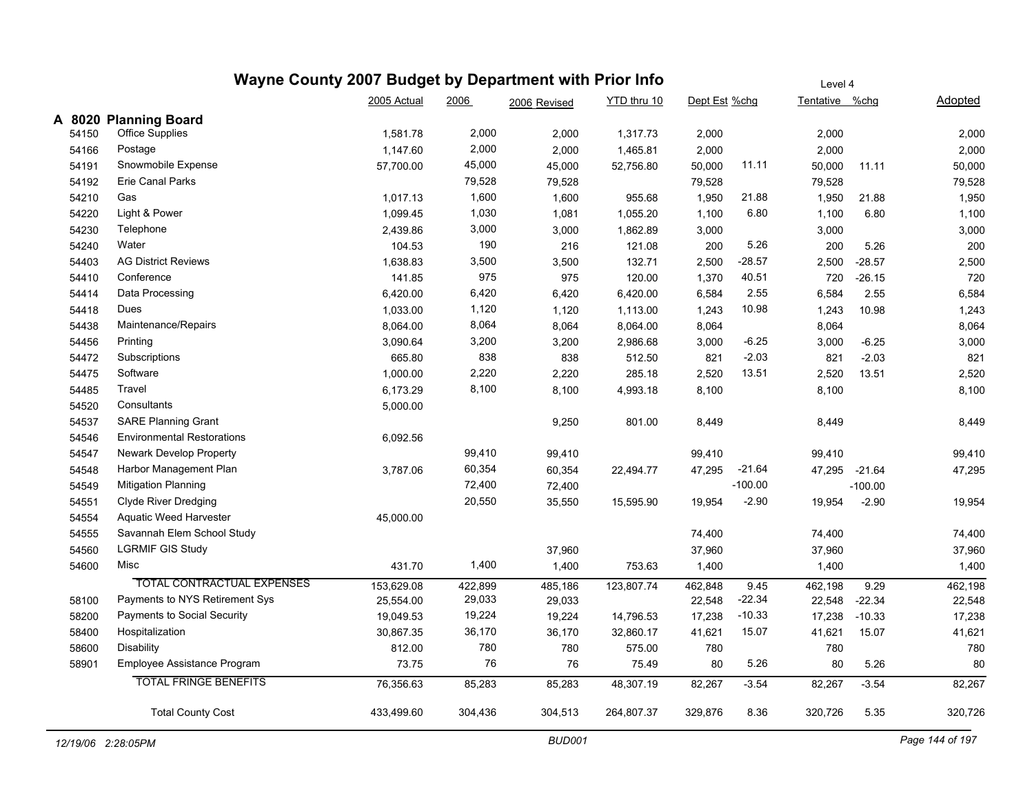|  | Wayne County 2007 Budget by Department with Prior Info | Level |
|--|--------------------------------------------------------|-------|
|  |                                                        |       |

|       |                                   | 2005 Actual | 2006    | 2006 Revised | YTD thru 10 | Dept Est %chg |           | Tentative %chg |           | Adopted |
|-------|-----------------------------------|-------------|---------|--------------|-------------|---------------|-----------|----------------|-----------|---------|
|       | A 8020 Planning Board             |             |         |              |             |               |           |                |           |         |
| 54150 | <b>Office Supplies</b>            | 1,581.78    | 2,000   | 2,000        | 1,317.73    | 2,000         |           | 2,000          |           | 2,000   |
| 54166 | Postage                           | 1,147.60    | 2,000   | 2,000        | 1,465.81    | 2,000         |           | 2,000          |           | 2,000   |
| 54191 | Snowmobile Expense                | 57.700.00   | 45,000  | 45,000       | 52,756.80   | 50,000        | 11.11     | 50,000         | 11.11     | 50,000  |
| 54192 | <b>Erie Canal Parks</b>           |             | 79,528  | 79,528       |             | 79,528        |           | 79,528         |           | 79,528  |
| 54210 | Gas                               | 1,017.13    | 1,600   | 1,600        | 955.68      | 1,950         | 21.88     | 1,950          | 21.88     | 1,950   |
| 54220 | Light & Power                     | 1,099.45    | 1,030   | 1,081        | 1,055.20    | 1,100         | 6.80      | 1,100          | 6.80      | 1,100   |
| 54230 | Telephone                         | 2,439.86    | 3,000   | 3,000        | 1,862.89    | 3,000         |           | 3,000          |           | 3,000   |
| 54240 | Water                             | 104.53      | 190     | 216          | 121.08      | 200           | 5.26      | 200            | 5.26      | 200     |
| 54403 | <b>AG District Reviews</b>        | 1,638.83    | 3,500   | 3,500        | 132.71      | 2,500         | $-28.57$  | 2,500          | $-28.57$  | 2,500   |
| 54410 | Conference                        | 141.85      | 975     | 975          | 120.00      | 1,370         | 40.51     | 720            | $-26.15$  | 720     |
| 54414 | Data Processing                   | 6,420.00    | 6,420   | 6,420        | 6,420.00    | 6,584         | 2.55      | 6,584          | 2.55      | 6,584   |
| 54418 | Dues                              | 1,033.00    | 1,120   | 1,120        | 1,113.00    | 1,243         | 10.98     | 1,243          | 10.98     | 1,243   |
| 54438 | Maintenance/Repairs               | 8,064.00    | 8,064   | 8,064        | 8,064.00    | 8,064         |           | 8,064          |           | 8,064   |
| 54456 | Printing                          | 3,090.64    | 3,200   | 3,200        | 2,986.68    | 3,000         | $-6.25$   | 3,000          | $-6.25$   | 3,000   |
| 54472 | Subscriptions                     | 665.80      | 838     | 838          | 512.50      | 821           | $-2.03$   | 821            | $-2.03$   | 821     |
| 54475 | Software                          | 1,000.00    | 2,220   | 2,220        | 285.18      | 2,520         | 13.51     | 2,520          | 13.51     | 2,520   |
| 54485 | Travel                            | 6,173.29    | 8,100   | 8,100        | 4,993.18    | 8,100         |           | 8,100          |           | 8,100   |
| 54520 | Consultants                       | 5,000.00    |         |              |             |               |           |                |           |         |
| 54537 | <b>SARE Planning Grant</b>        |             |         | 9,250        | 801.00      | 8,449         |           | 8,449          |           | 8,449   |
| 54546 | <b>Environmental Restorations</b> | 6,092.56    |         |              |             |               |           |                |           |         |
| 54547 | Newark Develop Property           |             | 99,410  | 99,410       |             | 99,410        |           | 99,410         |           | 99,410  |
| 54548 | Harbor Management Plan            | 3,787.06    | 60,354  | 60,354       | 22,494.77   | 47,295        | $-21.64$  | 47,295         | $-21.64$  | 47,295  |
| 54549 | <b>Mitigation Planning</b>        |             | 72,400  | 72,400       |             |               | $-100.00$ |                | $-100.00$ |         |
| 54551 | <b>Clyde River Dredging</b>       |             | 20,550  | 35,550       | 15,595.90   | 19,954        | $-2.90$   | 19,954         | $-2.90$   | 19,954  |
| 54554 | <b>Aquatic Weed Harvester</b>     | 45,000.00   |         |              |             |               |           |                |           |         |
| 54555 | Savannah Elem School Study        |             |         |              |             | 74,400        |           | 74,400         |           | 74,400  |
| 54560 | <b>LGRMIF GIS Study</b>           |             |         | 37,960       |             | 37,960        |           | 37,960         |           | 37,960  |
| 54600 | Misc                              | 431.70      | 1,400   | 1,400        | 753.63      | 1,400         |           | 1,400          |           | 1,400   |
|       | <b>TOTAL CONTRACTUAL EXPENSES</b> | 153,629.08  | 422,899 | 485,186      | 123,807.74  | 462,848       | 9.45      | 462,198        | 9.29      | 462,198 |
| 58100 | Payments to NYS Retirement Sys    | 25,554.00   | 29,033  | 29,033       |             | 22,548        | $-22.34$  | 22,548         | $-22.34$  | 22,548  |
| 58200 | Payments to Social Security       | 19,049.53   | 19,224  | 19,224       | 14,796.53   | 17,238        | $-10.33$  | 17,238         | $-10.33$  | 17,238  |
| 58400 | Hospitalization                   | 30,867.35   | 36,170  | 36,170       | 32,860.17   | 41,621        | 15.07     | 41,621         | 15.07     | 41,621  |
| 58600 | Disability                        | 812.00      | 780     | 780          | 575.00      | 780           |           | 780            |           | 780     |
| 58901 | Employee Assistance Program       | 73.75       | 76      | 76           | 75.49       | 80            | 5.26      | 80             | 5.26      | 80      |
|       | <b>TOTAL FRINGE BENEFITS</b>      | 76,356.63   | 85,283  | 85,283       | 48,307.19   | 82,267        | $-3.54$   | 82,267         | $-3.54$   | 82,267  |
|       | <b>Total County Cost</b>          | 433,499.60  | 304,436 | 304,513      | 264,807.37  | 329,876       | 8.36      | 320,726        | 5.35      | 320,726 |
|       |                                   |             |         |              |             |               |           |                |           |         |

Level 4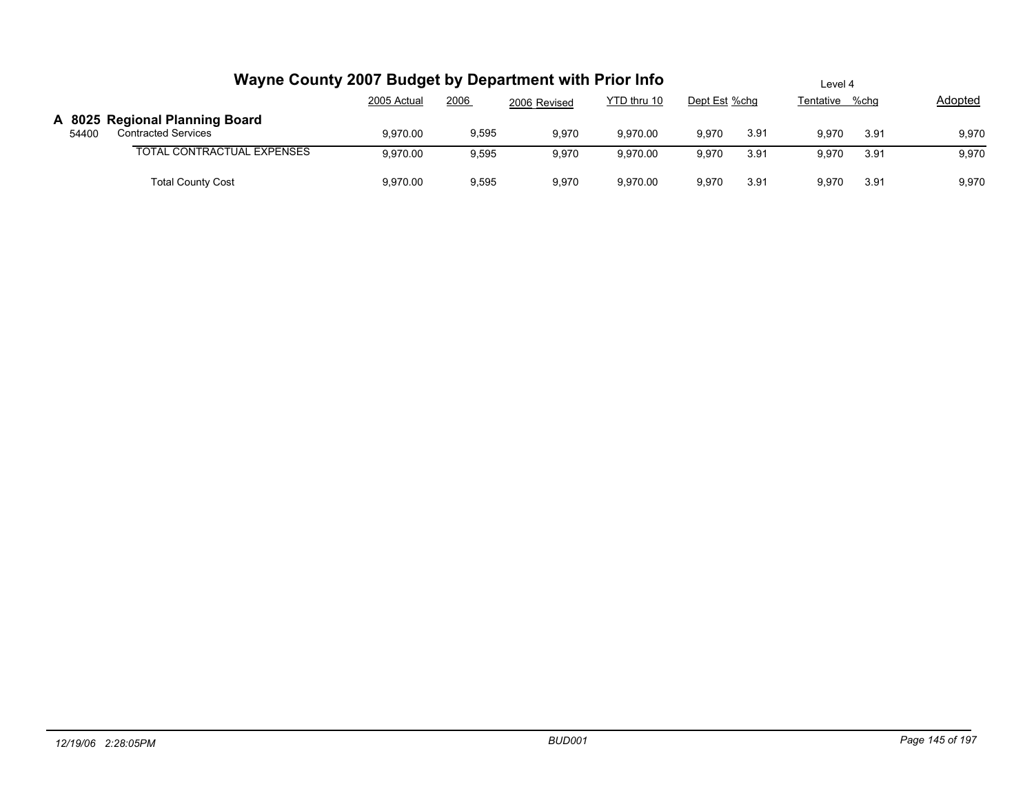|       | Wayne County 2007 Budget by Department with Prior Info       | Level 4     |       |              |             |               |      |                |      |         |
|-------|--------------------------------------------------------------|-------------|-------|--------------|-------------|---------------|------|----------------|------|---------|
|       |                                                              | 2005 Actual | 2006  | 2006 Revised | YTD thru 10 | Dept Est %chg |      | Tentative %chg |      | Adopted |
| 54400 | A 8025 Regional Planning Board<br><b>Contracted Services</b> | 9.970.00    | 9,595 | 9,970        | 9.970.00    | 9,970         | 3.91 | 9.970          | 3.91 | 9,970   |
|       | <b>TOTAL CONTRACTUAL EXPENSES</b>                            | 9,970.00    | 9,595 | 9,970        | 9.970.00    | 9,970         | 3.91 | 9.970          | 3.91 | 9,970   |
|       | <b>Total County Cost</b>                                     | 9,970.00    | 9,595 | 9,970        | 9,970.00    | 9,970         | 3.91 | 9.970          | 3.91 | 9,970   |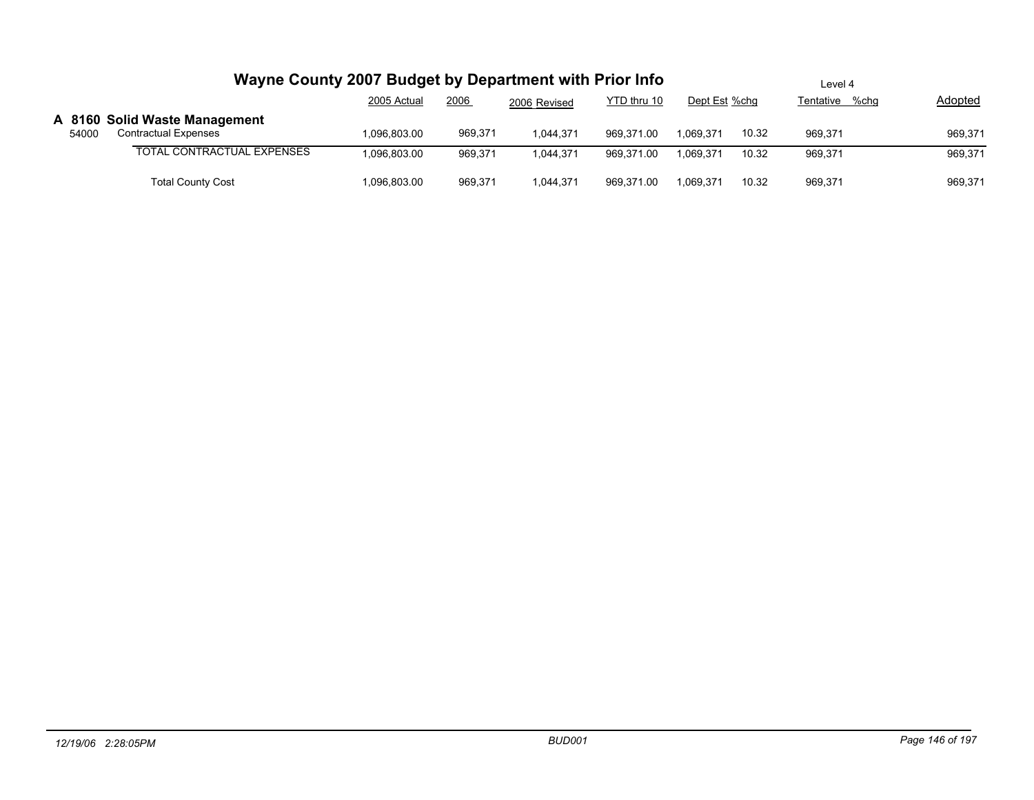|       | Wayne County 2007 Budget by Department with Prior Info       |             | Level 4 |              |             |               |       |                   |         |
|-------|--------------------------------------------------------------|-------------|---------|--------------|-------------|---------------|-------|-------------------|---------|
|       |                                                              | 2005 Actual | 2006    | 2006 Revised | YTD thru 10 | Dept Est %chg |       | %chq<br>Tentative | Adopted |
| 54000 | A 8160 Solid Waste Management<br><b>Contractual Expenses</b> | .096.803.00 | 969,371 | 1.044.371    | 969.371.00  | 1.069.371     | 10.32 | 969.371           | 969.371 |
|       | <b>TOTAL CONTRACTUAL EXPENSES</b>                            | ,096,803.00 | 969.371 | 1.044.371    | 969.371.00  | 1.069.371     | 10.32 | 969.371           | 969,371 |
|       | <b>Total County Cost</b>                                     | 096,803.00  | 969,371 | 1,044,371    | 969,371.00  | 1,069,371     | 10.32 | 969,371           | 969,371 |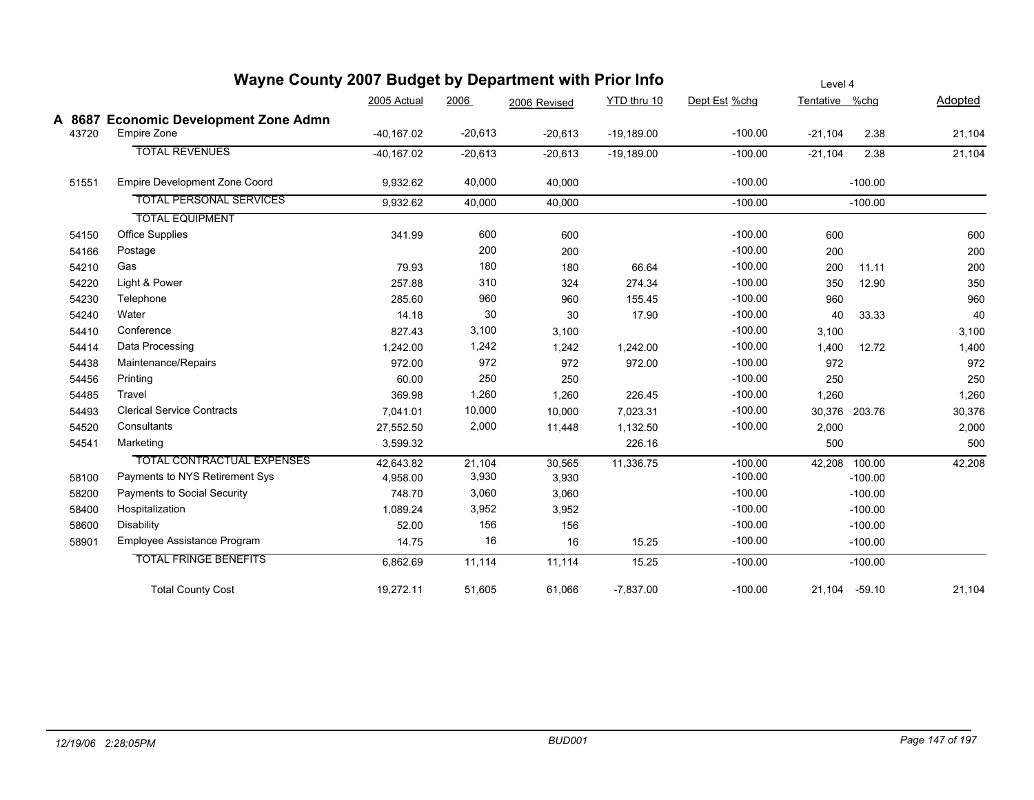|       | <b>The County 2007 Budget by Department with Prior into</b> |              |           |              |              | Level 4       |                |           |         |  |
|-------|-------------------------------------------------------------|--------------|-----------|--------------|--------------|---------------|----------------|-----------|---------|--|
|       |                                                             | 2005 Actual  | 2006      | 2006 Revised | YTD thru 10  | Dept Est %chg | Tentative %chg |           | Adopted |  |
|       | A 8687 Economic Development Zone Admn                       |              |           |              |              |               |                |           |         |  |
|       | Empire Zone<br>43720                                        | $-40,167.02$ | $-20,613$ | $-20,613$    | $-19,189.00$ | $-100.00$     | $-21,104$      | 2.38      | 21,104  |  |
|       | <b>TOTAL REVENUES</b>                                       | $-40,167.02$ | $-20,613$ | $-20,613$    | $-19,189.00$ | $-100.00$     | $-21,104$      | 2.38      | 21,104  |  |
|       | <b>Empire Development Zone Coord</b><br>51551               | 9,932.62     | 40,000    | 40,000       |              | $-100.00$     |                | $-100.00$ |         |  |
|       | <b>TOTAL PERSONAL SERVICES</b>                              | 9,932.62     | 40,000    | 40,000       |              | $-100.00$     |                | $-100.00$ |         |  |
|       | <b>TOTAL EQUIPMENT</b>                                      |              |           |              |              |               |                |           |         |  |
|       | <b>Office Supplies</b><br>54150                             | 341.99       | 600       | 600          |              | $-100.00$     | 600            |           | 600     |  |
|       | 54166<br>Postage                                            |              | 200       | 200          |              | $-100.00$     | 200            |           | 200     |  |
|       | Gas<br>54210                                                | 79.93        | 180       | 180          | 66.64        | $-100.00$     | 200            | 11.11     | 200     |  |
|       | Light & Power<br>54220                                      | 257.88       | 310       | 324          | 274.34       | $-100.00$     | 350            | 12.90     | 350     |  |
|       | 54230<br>Telephone                                          | 285.60       | 960       | 960          | 155.45       | $-100.00$     | 960            |           | 960     |  |
|       | Water<br>54240                                              | 14.18        | 30        | 30           | 17.90        | $-100.00$     | 40             | 33.33     | 40      |  |
|       | Conference<br>54410                                         | 827.43       | 3,100     | 3,100        |              | $-100.00$     | 3,100          |           | 3,100   |  |
|       | Data Processing<br>54414                                    | 1,242.00     | 1,242     | 1,242        | 1,242.00     | $-100.00$     | 1,400          | 12.72     | 1,400   |  |
|       | Maintenance/Repairs<br>54438                                | 972.00       | 972       | 972          | 972.00       | $-100.00$     | 972            |           | 972     |  |
|       | 54456<br>Printing                                           | 60.00        | 250       | 250          |              | $-100.00$     | 250            |           | 250     |  |
|       | Travel<br>54485                                             | 369.98       | 1,260     | 1,260        | 226.45       | $-100.00$     | 1,260          |           | 1,260   |  |
|       | <b>Clerical Service Contracts</b><br>54493                  | 7,041.01     | 10,000    | 10,000       | 7,023.31     | $-100.00$     | 30,376 203.76  |           | 30,376  |  |
|       | 54520<br>Consultants                                        | 27,552.50    | 2,000     | 11,448       | 1,132.50     | $-100.00$     | 2,000          |           | 2,000   |  |
|       | 54541<br>Marketing                                          | 3,599.32     |           |              | 226.16       |               | 500            |           | 500     |  |
|       | TOTAL CONTRACTUAL EXPENSES                                  | 42,643.82    | 21,104    | 30,565       | 11,336.75    | $-100.00$     | 42,208 100.00  |           | 42,208  |  |
|       | Payments to NYS Retirement Sys<br>58100                     | 4,958.00     | 3,930     | 3,930        |              | $-100.00$     |                | $-100.00$ |         |  |
|       | Payments to Social Security<br>58200                        | 748.70       | 3,060     | 3,060        |              | $-100.00$     |                | $-100.00$ |         |  |
|       | Hospitalization<br>58400                                    | 1,089.24     | 3,952     | 3,952        |              | $-100.00$     |                | $-100.00$ |         |  |
|       | Disability<br>58600                                         | 52.00        | 156       | 156          |              | $-100.00$     |                | $-100.00$ |         |  |
| 58901 | Employee Assistance Program                                 | 14.75        | 16        | 16           | 15.25        | $-100.00$     |                | $-100.00$ |         |  |
|       | <b>TOTAL FRINGE BENEFITS</b>                                | 6,862.69     | 11,114    | 11,114       | 15.25        | $-100.00$     |                | $-100.00$ |         |  |
|       | <b>Total County Cost</b>                                    | 19,272.11    | 51,605    | 61,066       | $-7,837.00$  | $-100.00$     | 21,104 -59.10  |           | 21,104  |  |
|       |                                                             |              |           |              |              |               |                |           |         |  |

## **Wayne County 2007 Budget by Department with Prior Info**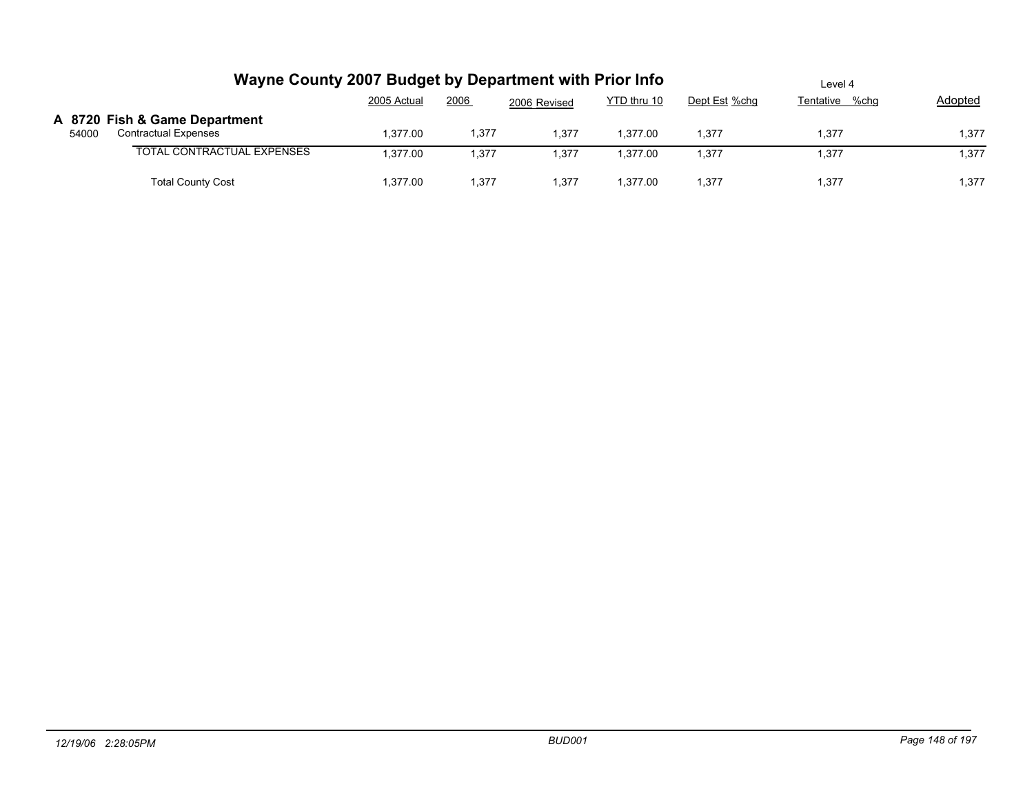|       | Wayne County 2007 Budget by Department with Prior Info       | Level 4     |       |              |             |               |                |                |
|-------|--------------------------------------------------------------|-------------|-------|--------------|-------------|---------------|----------------|----------------|
|       |                                                              | 2005 Actual | 2006  | 2006 Revised | YTD thru 10 | Dept Est %chg | Tentative %chg | <b>Adopted</b> |
| 54000 | A 8720 Fish & Game Department<br><b>Contractual Expenses</b> | 1.377.00    | 1,377 | 1,377        | .377.00     | 1,377         | 1.377          | 1,377          |
|       | <b>TOTAL CONTRACTUAL EXPENSES</b>                            | 1.377.00    | 1,377 | 1,377        | .377.00     | 1.377         | 1,377          | 1,377          |
|       | <b>Total County Cost</b>                                     | 1.377.00    | 1,377 | 1,377        | .377.00     | 1.377         | 1.377          | 1,377          |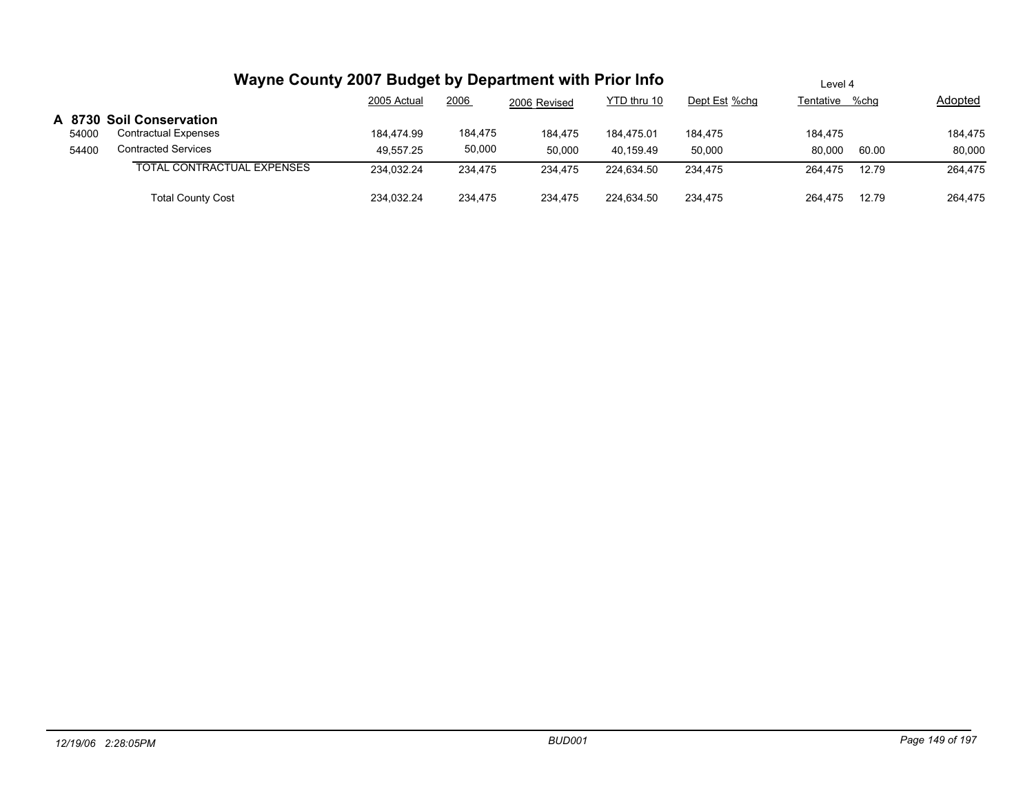|                | Wayne County 2007 Budget by Department with Prior Info                                | Level 4                 |                   |                   |                         |                   |                   |       |                   |
|----------------|---------------------------------------------------------------------------------------|-------------------------|-------------------|-------------------|-------------------------|-------------------|-------------------|-------|-------------------|
|                |                                                                                       | 2005 Actual             | 2006              | 2006 Revised      | YTD thru 10             | Dept Est %chq     | Tentative         | %chq  | Adopted           |
| 54000<br>54400 | A 8730 Soil Conservation<br><b>Contractual Expenses</b><br><b>Contracted Services</b> | 184.474.99<br>49.557.25 | 184,475<br>50,000 | 184.475<br>50,000 | 184.475.01<br>40.159.49 | 184.475<br>50,000 | 184.475<br>80.000 | 60.00 | 184,475<br>80,000 |
|                | TOTAL CONTRACTUAL EXPENSES                                                            | 234.032.24              | 234.475           | 234.475           | 224.634.50              | 234.475           | 264.475           | 12.79 | 264,475           |
|                | <b>Total County Cost</b>                                                              | 234.032.24              | 234.475           | 234,475           | 224.634.50              | 234.475           | 264.475           | 12.79 | 264,475           |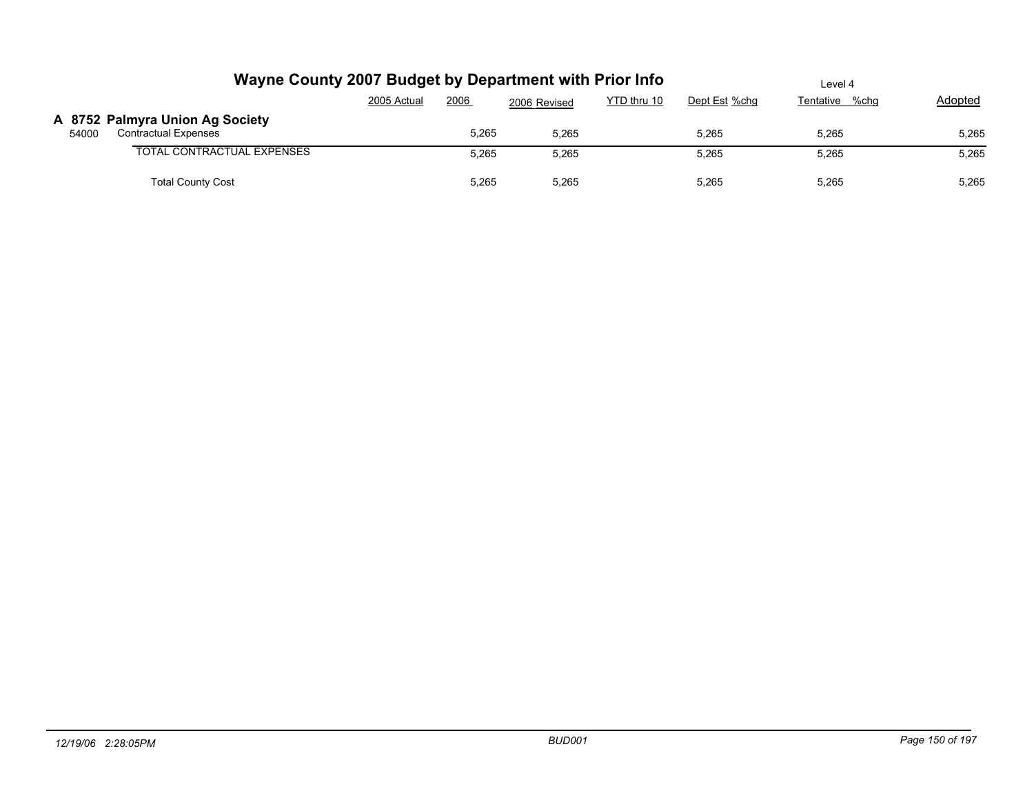|       | Wayne County 2007 Budget by Department with Prior Info         | Level 4     |       |              |             |               |                |         |
|-------|----------------------------------------------------------------|-------------|-------|--------------|-------------|---------------|----------------|---------|
|       |                                                                | 2005 Actual | 2006  | 2006 Revised | YTD thru 10 | Dept Est %chg | Tentative %chg | Adopted |
| 54000 | A 8752 Palmyra Union Ag Society<br><b>Contractual Expenses</b> |             | 5,265 | 5.265        |             | 5.265         | 5.265          | 5,265   |
|       | <b>TOTAL CONTRACTUAL EXPENSES</b>                              |             | 5,265 | 5,265        |             | 5,265         | 5,265          | 5,265   |
|       | <b>Total County Cost</b>                                       |             | 5,265 | 5,265        |             | 5,265         | 5,265          | 5,265   |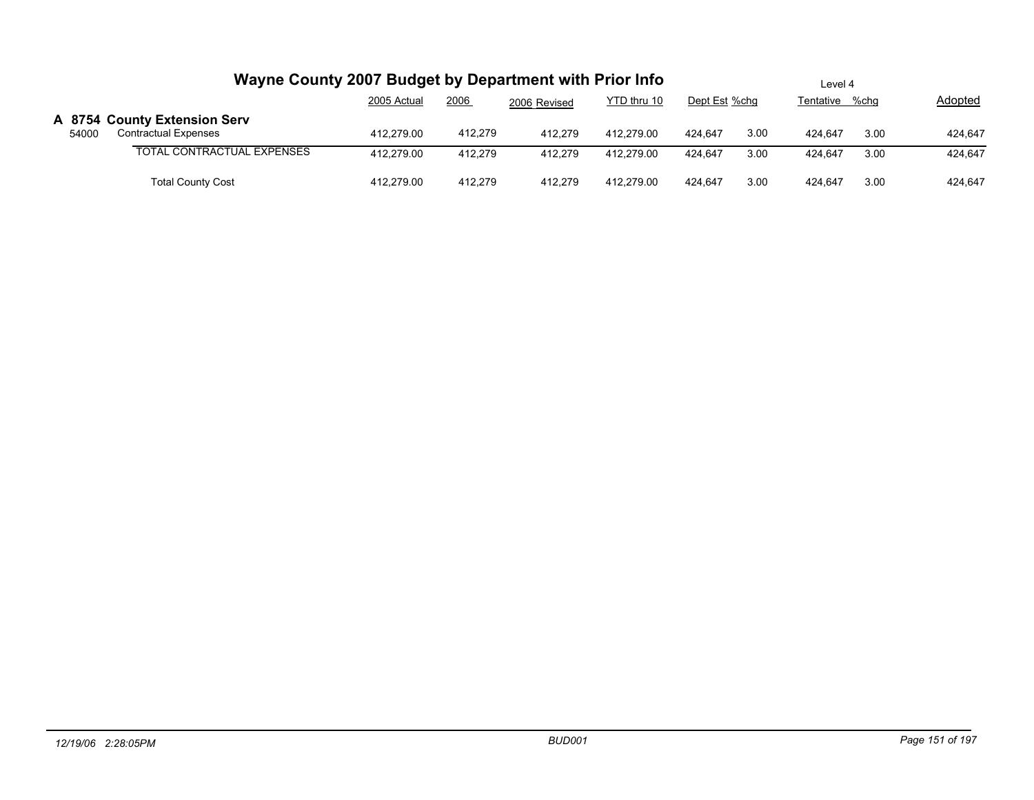|       | Wayne County 2007 Budget by Department with Prior Info      | Level 4     |         |              |             |               |      |           |      |         |
|-------|-------------------------------------------------------------|-------------|---------|--------------|-------------|---------------|------|-----------|------|---------|
|       |                                                             | 2005 Actual | 2006    | 2006 Revised | YTD thru 10 | Dept Est %chg |      | Tentative | %chq | Adopted |
| 54000 | A 8754 County Extension Serv<br><b>Contractual Expenses</b> | 412.279.00  | 412,279 | 412.279      | 412,279.00  | 424.647       | 3.00 | 424.647   | 3.00 | 424,647 |
|       | TOTAL CONTRACTUAL EXPENSES                                  | 412.279.00  | 412.279 | 412.279      | 412,279.00  | 424.647       | 3.00 | 424,647   | 3.00 | 424,647 |
|       | <b>Total County Cost</b>                                    | 412.279.00  | 412.279 | 412.279      | 412,279.00  | 424.647       | 3.00 | 424.647   | 3.00 | 424,647 |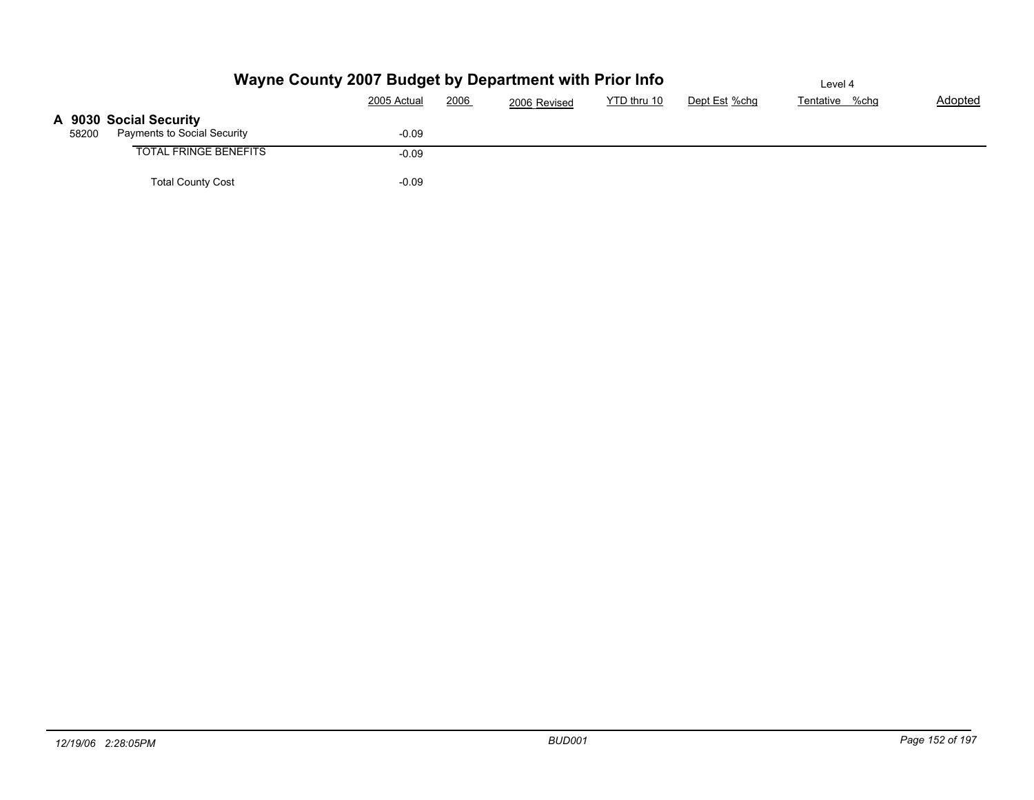|                                                                | Wayne County 2007 Budget by Department with Prior Info |              |             |               | Level 4        |         |
|----------------------------------------------------------------|--------------------------------------------------------|--------------|-------------|---------------|----------------|---------|
|                                                                | 2006<br>2005 Actual                                    | 2006 Revised | YTD thru 10 | Dept Est %chg | Tentative %chg | Adopted |
| A 9030 Social Security<br>Payments to Social Security<br>58200 | $-0.09$                                                |              |             |               |                |         |
| <b>TOTAL FRINGE BENEFITS</b>                                   | $-0.09$                                                |              |             |               |                |         |
| <b>Total County Cost</b>                                       | $-0.09$                                                |              |             |               |                |         |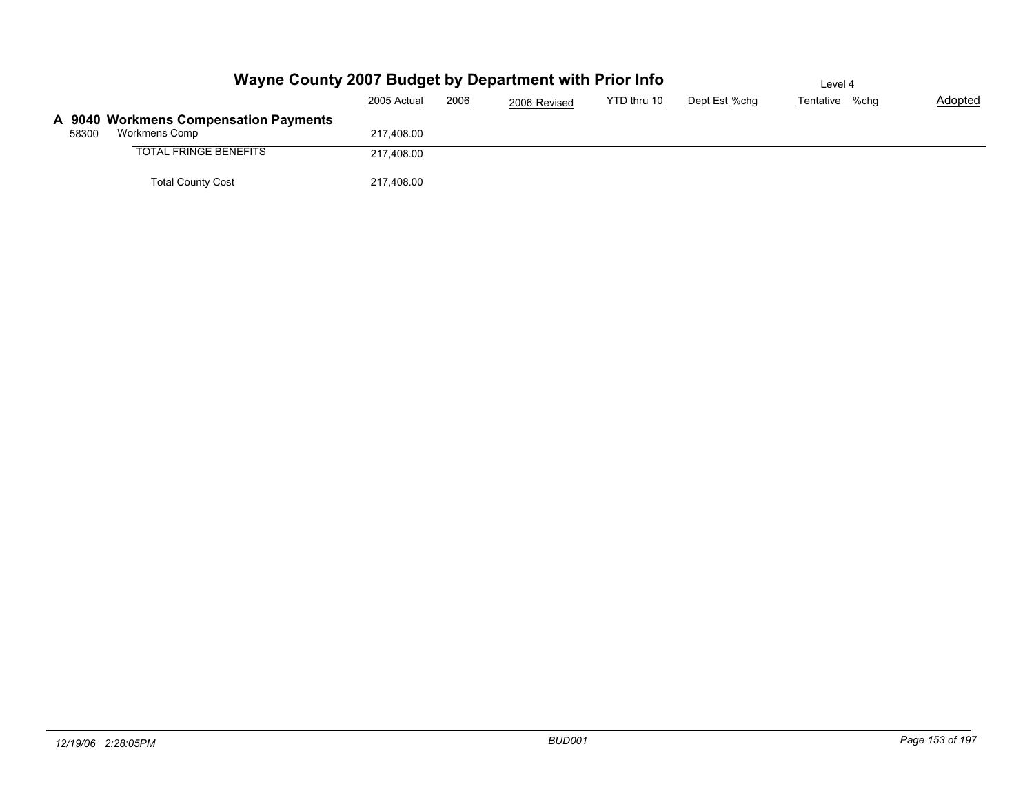|       | Wayne County 2007 Budget by Department with Prior Info | Level 4     |      |              |             |               |                |         |
|-------|--------------------------------------------------------|-------------|------|--------------|-------------|---------------|----------------|---------|
|       |                                                        | 2005 Actual | 2006 | 2006 Revised | YTD thru 10 | Dept Est %chg | Tentative %chg | Adopted |
|       | A 9040 Workmens Compensation Payments                  |             |      |              |             |               |                |         |
| 58300 | Workmens Comp                                          | 217.408.00  |      |              |             |               |                |         |
|       | <b>TOTAL FRINGE BENEFITS</b>                           | 217,408.00  |      |              |             |               |                |         |
|       | <b>Total County Cost</b>                               | 217,408.00  |      |              |             |               |                |         |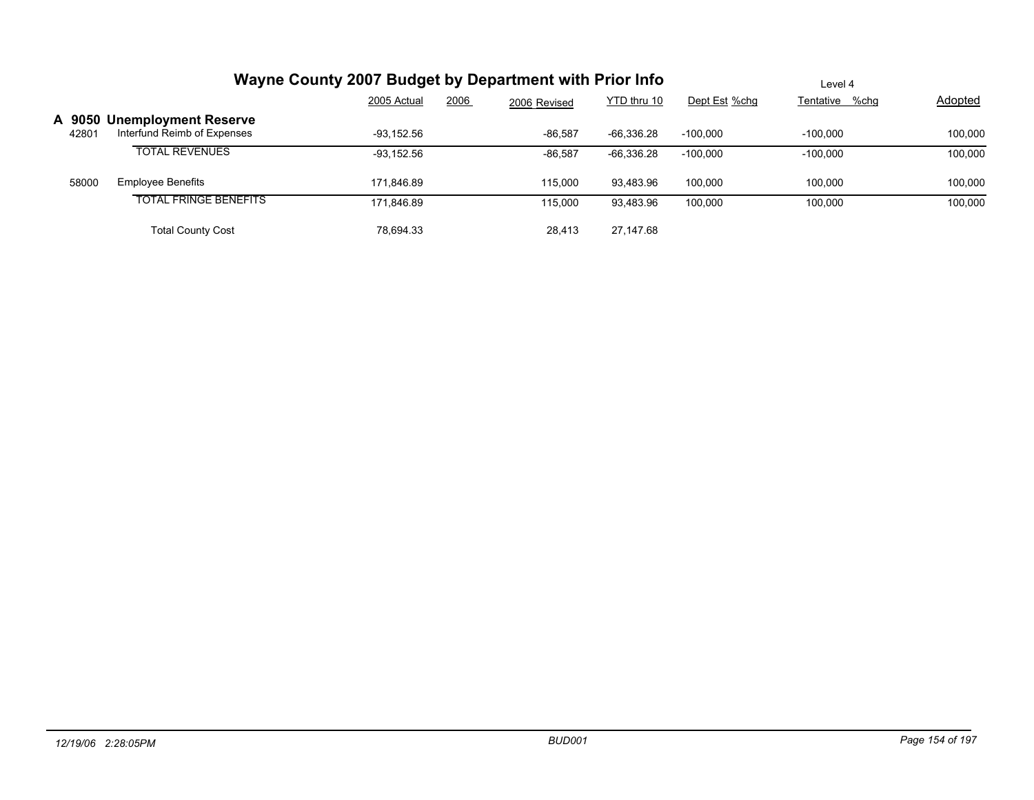|       | Wayne County 2007 Budget by Department with Prior Info     | Level 4             |              |              |               |                |                |
|-------|------------------------------------------------------------|---------------------|--------------|--------------|---------------|----------------|----------------|
|       |                                                            | 2006<br>2005 Actual | 2006 Revised | YTD thru 10  | Dept Est %chg | Tentative %chg | <b>Adopted</b> |
| 42801 | A 9050 Unemployment Reserve<br>Interfund Reimb of Expenses | $-93.152.56$        | $-86,587$    | $-66,336.28$ | $-100.000$    | $-100.000$     | 100,000        |
|       | <b>TOTAL REVENUES</b>                                      | $-93.152.56$        | $-86,587$    | $-66,336.28$ | $-100.000$    | $-100.000$     | 100,000        |
| 58000 | <b>Employee Benefits</b>                                   | 171.846.89          | 115.000      | 93,483.96    | 100.000       | 100.000        | 100,000        |
|       | <b>TOTAL FRINGE BENEFITS</b>                               | 171,846.89          | 115,000      | 93,483.96    | 100,000       | 100,000        | 100,000        |
|       | <b>Total County Cost</b>                                   | 78,694.33           | 28,413       | 27,147.68    |               |                |                |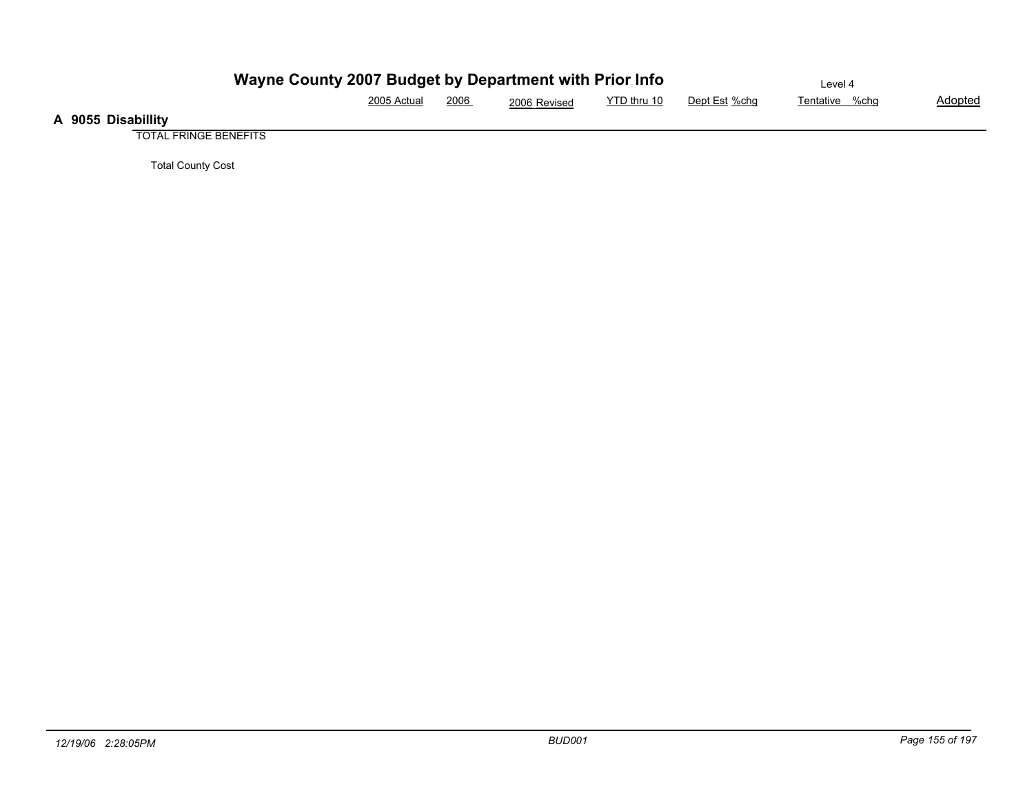|                    | Wayne County 2007 Budget by Department with Prior Info |      |              |             |               | ∟evel 4        |                |
|--------------------|--------------------------------------------------------|------|--------------|-------------|---------------|----------------|----------------|
|                    | 2005 Actual                                            | 2006 | 2006 Revised | YTD thru 10 | Dept Est %chq | Tentative %chg | <u>Adopted</u> |
| A 9055 Disabillity |                                                        |      |              |             |               |                |                |

TOTAL FRINGE BENEFITS

Total County Cost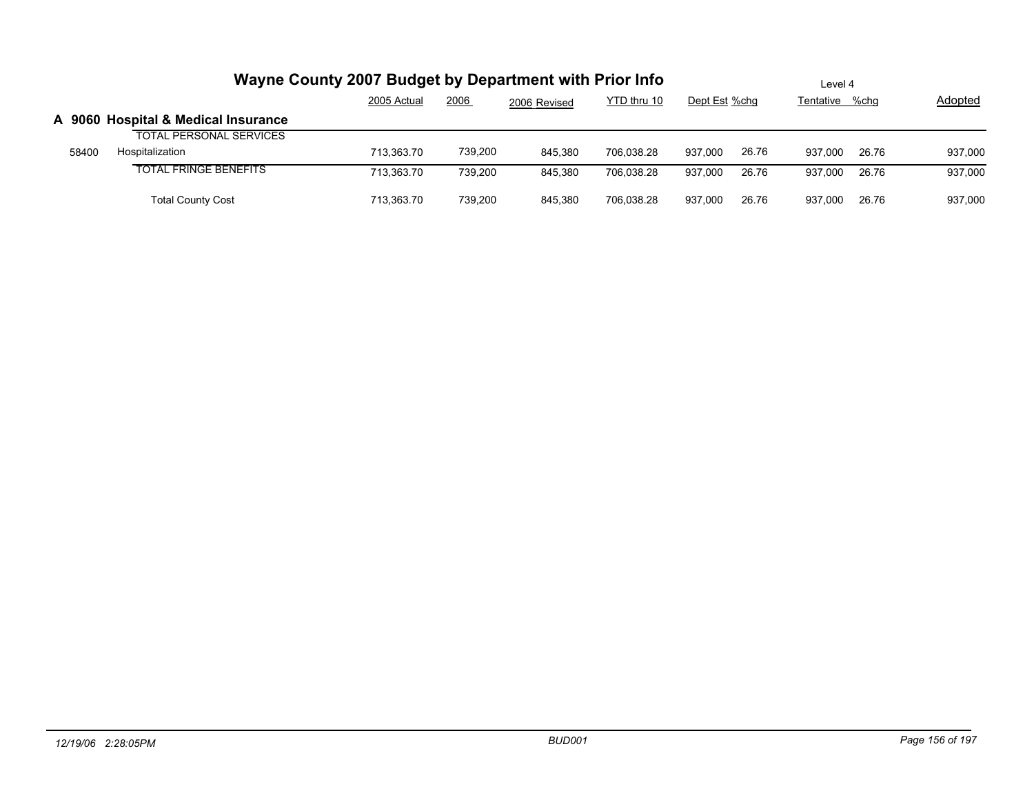|       | Wayne County 2007 Budget by Department with Prior Info | Level 4     |         |              |             |               |       |                |       |         |
|-------|--------------------------------------------------------|-------------|---------|--------------|-------------|---------------|-------|----------------|-------|---------|
|       |                                                        | 2005 Actual | 2006    | 2006 Revised | YTD thru 10 | Dept Est %chq |       | Tentative %chg |       | Adopted |
|       | A 9060 Hospital & Medical Insurance                    |             |         |              |             |               |       |                |       |         |
|       | <b>TOTAL PERSONAL SERVICES</b>                         |             |         |              |             |               |       |                |       |         |
| 58400 | Hospitalization                                        | 713.363.70  | 739,200 | 845.380      | 706.038.28  | 937.000       | 26.76 | 937.000        | 26.76 | 937,000 |
|       | <b>TOTAL FRINGE BENEFITS</b>                           | 713.363.70  | 739.200 | 845.380      | 706.038.28  | 937.000       | 26.76 | 937.000        | 26.76 | 937,000 |
|       | <b>Total County Cost</b>                               | 713.363.70  | 739.200 | 845.380      | 706,038.28  | 937.000       | 26.76 | 937.000        | 26.76 | 937,000 |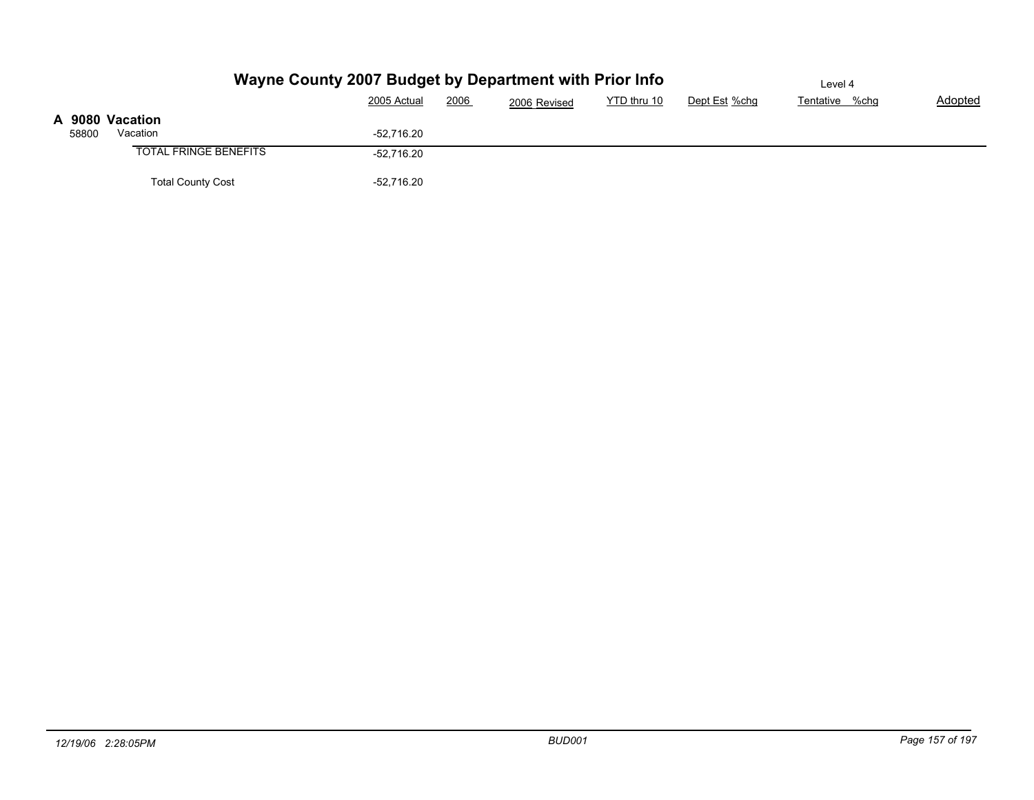|       |                              | Wayne County 2007 Budget by Department with Prior Info |                             |               | Level 4        |         |
|-------|------------------------------|--------------------------------------------------------|-----------------------------|---------------|----------------|---------|
|       |                              | 2006<br>2005 Actual                                    | YTD thru 10<br>2006 Revised | Dept Est %chg | Tentative %chg | Adopted |
|       | A 9080 Vacation              |                                                        |                             |               |                |         |
| 58800 | Vacation                     | $-52.716.20$                                           |                             |               |                |         |
|       | <b>TOTAL FRINGE BENEFITS</b> | $-52,716.20$                                           |                             |               |                |         |
|       | <b>Total County Cost</b>     | $-52,716.20$                                           |                             |               |                |         |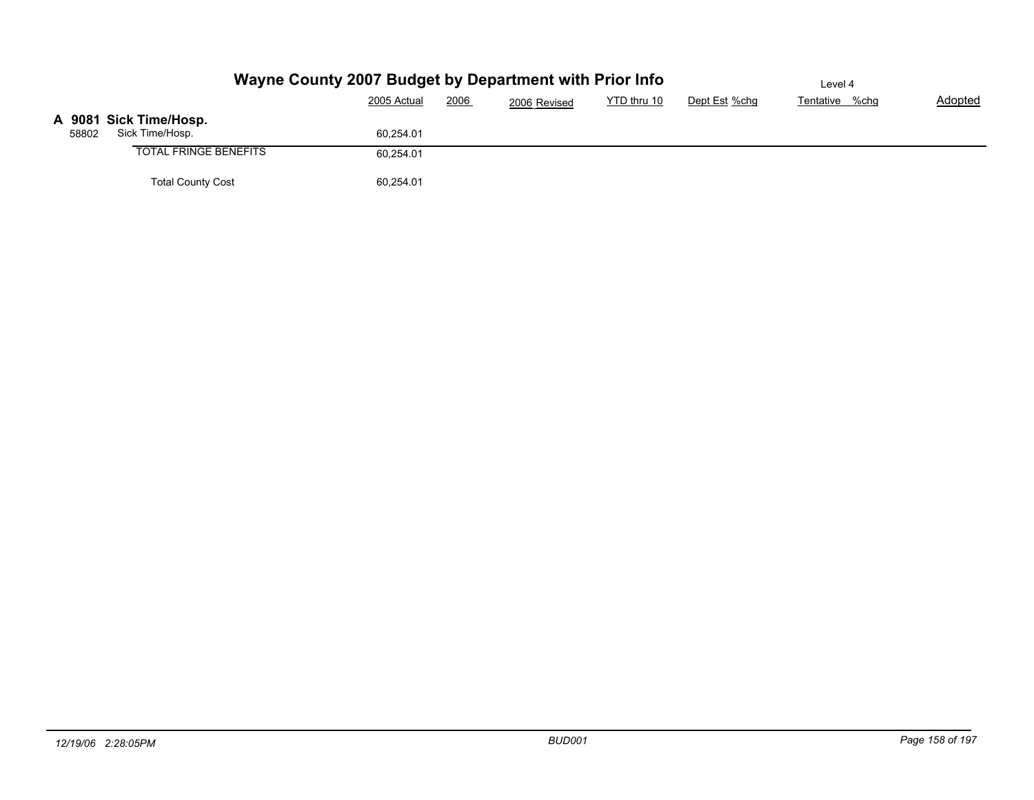|       |                              | Wayne County 2007 Budget by Department with Prior Info |              |             |               | Level 4        |         |
|-------|------------------------------|--------------------------------------------------------|--------------|-------------|---------------|----------------|---------|
|       |                              | 2006<br>2005 Actual                                    | 2006 Revised | YTD thru 10 | Dept Est %chg | Tentative %chg | Adopted |
|       | A 9081 Sick Time/Hosp.       |                                                        |              |             |               |                |         |
| 58802 | Sick Time/Hosp.              | 60.254.01                                              |              |             |               |                |         |
|       | <b>TOTAL FRINGE BENEFITS</b> | 60,254.01                                              |              |             |               |                |         |
|       | <b>Total County Cost</b>     | 60,254.01                                              |              |             |               |                |         |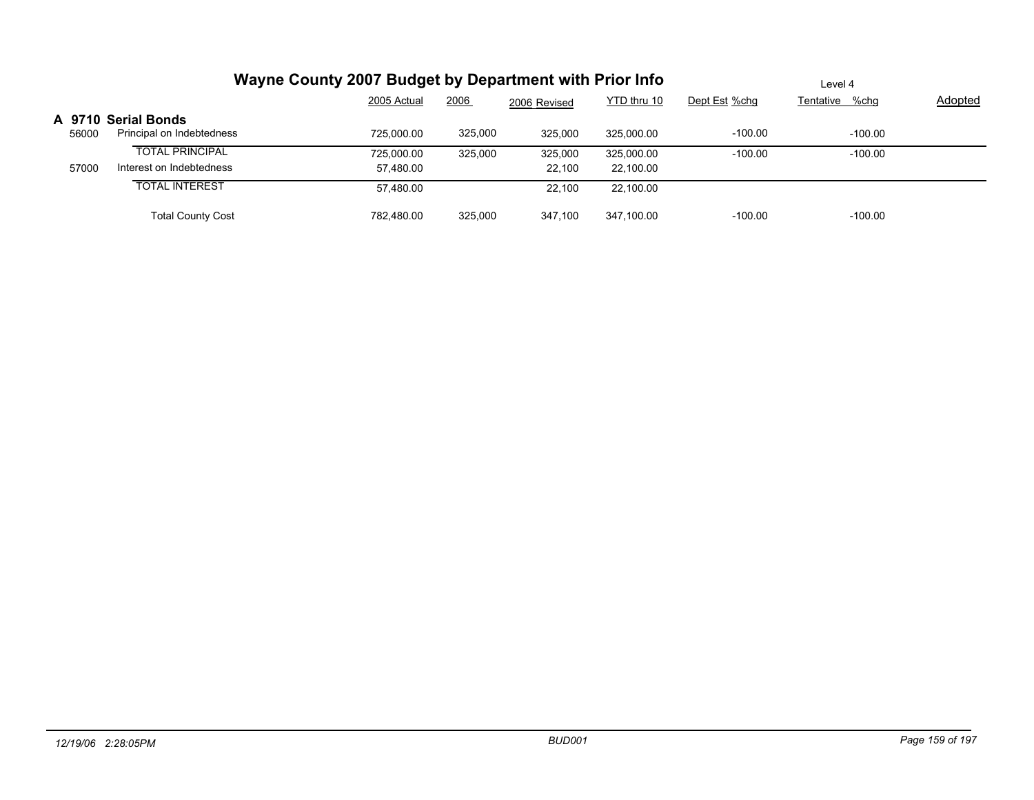|       | Wayne County 2007 Budget by Department with Prior Info |                         | Level 4 |                   |                         |               |                |                |
|-------|--------------------------------------------------------|-------------------------|---------|-------------------|-------------------------|---------------|----------------|----------------|
|       |                                                        | 2005 Actual             | 2006    | 2006 Revised      | YTD thru 10             | Dept Est %chg | Tentative %chg | <b>Adopted</b> |
| 56000 | A 9710 Serial Bonds<br>Principal on Indebtedness       | 725.000.00              | 325,000 | 325,000           | 325.000.00              | $-100.00$     | $-100.00$      |                |
| 57000 | <b>TOTAL PRINCIPAL</b><br>Interest on Indebtedness     | 725,000.00<br>57.480.00 | 325,000 | 325,000<br>22,100 | 325,000.00<br>22,100.00 | $-100.00$     | $-100.00$      |                |
|       | <b>TOTAL INTEREST</b>                                  | 57.480.00               |         | 22.100            | 22.100.00               |               |                |                |
|       | <b>Total County Cost</b>                               | 782,480.00              | 325,000 | 347,100           | 347,100.00              | $-100.00$     | $-100.00$      |                |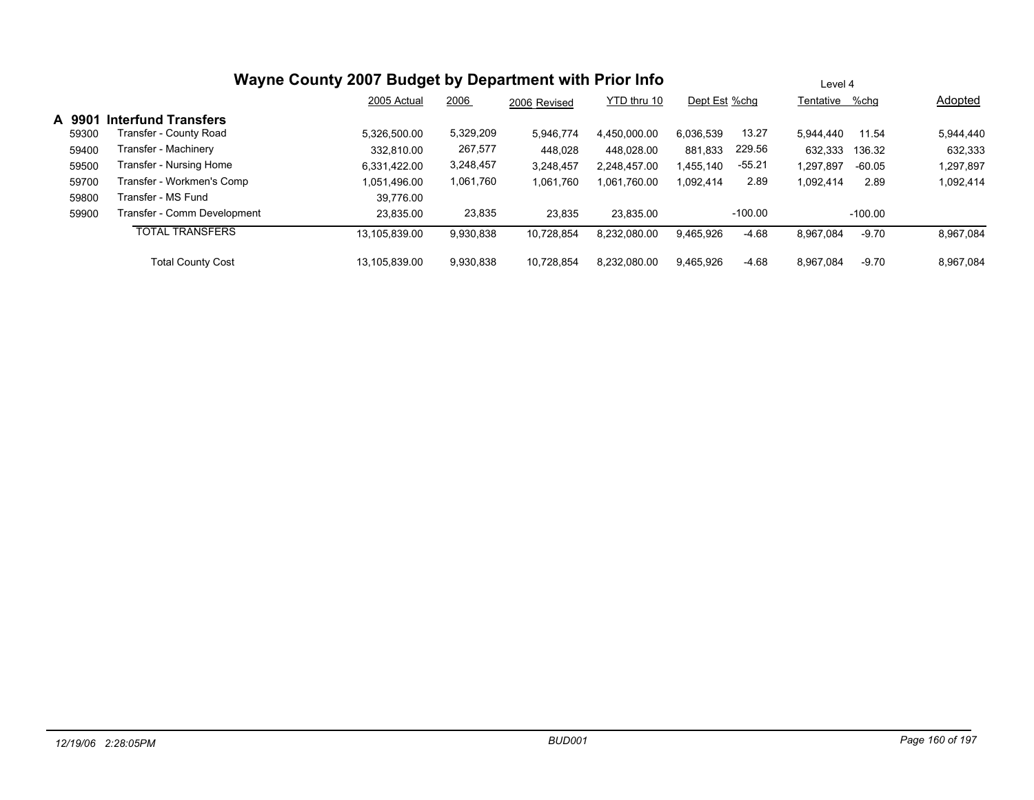|        |                             | Wayne County 2007 Budget by Department with Prior Info | Level 4   |              |              |               |           |                |           |                |
|--------|-----------------------------|--------------------------------------------------------|-----------|--------------|--------------|---------------|-----------|----------------|-----------|----------------|
|        |                             | 2005 Actual                                            | 2006      | 2006 Revised | YTD thru 10  | Dept Est %chg |           | Tentative %chq |           | <b>Adopted</b> |
| A 9901 | <b>Interfund Transfers</b>  |                                                        |           |              |              |               |           |                |           |                |
| 59300  | Transfer - County Road      | 5,326,500.00                                           | 5,329,209 | 5,946,774    | 4.450.000.00 | 6,036,539     | 13.27     | 5.944.440      | 11.54     | 5,944,440      |
| 59400  | Transfer - Machinery        | 332.810.00                                             | 267,577   | 448.028      | 448.028.00   | 881,833       | 229.56    | 632,333        | 136.32    | 632,333        |
| 59500  | Transfer - Nursing Home     | 6.331.422.00                                           | 3,248,457 | 3,248,457    | 2.248.457.00 | 1.455.140     | $-55.21$  | 1.297.897      | -60.05    | 1,297,897      |
| 59700  | Transfer - Workmen's Comp   | 1.051.496.00                                           | 1,061,760 | 1,061,760    | 1,061,760.00 | 1,092,414     | 2.89      | 1,092,414      | 2.89      | 1,092,414      |
| 59800  | Transfer - MS Fund          | 39.776.00                                              |           |              |              |               |           |                |           |                |
| 59900  | Transfer - Comm Development | 23.835.00                                              | 23,835    | 23,835       | 23.835.00    |               | $-100.00$ |                | $-100.00$ |                |
|        | <b>TOTAL TRANSFERS</b>      | 13,105,839.00                                          | 9,930,838 | 10,728,854   | 8,232,080.00 | 9,465,926     | $-4.68$   | 8,967,084      | $-9.70$   | 8,967,084      |
|        | <b>Total County Cost</b>    | 13.105.839.00                                          | 9.930.838 | 10.728.854   | 8.232.080.00 | 9.465.926     | $-4.68$   | 8.967.084      | $-9.70$   | 8.967.084      |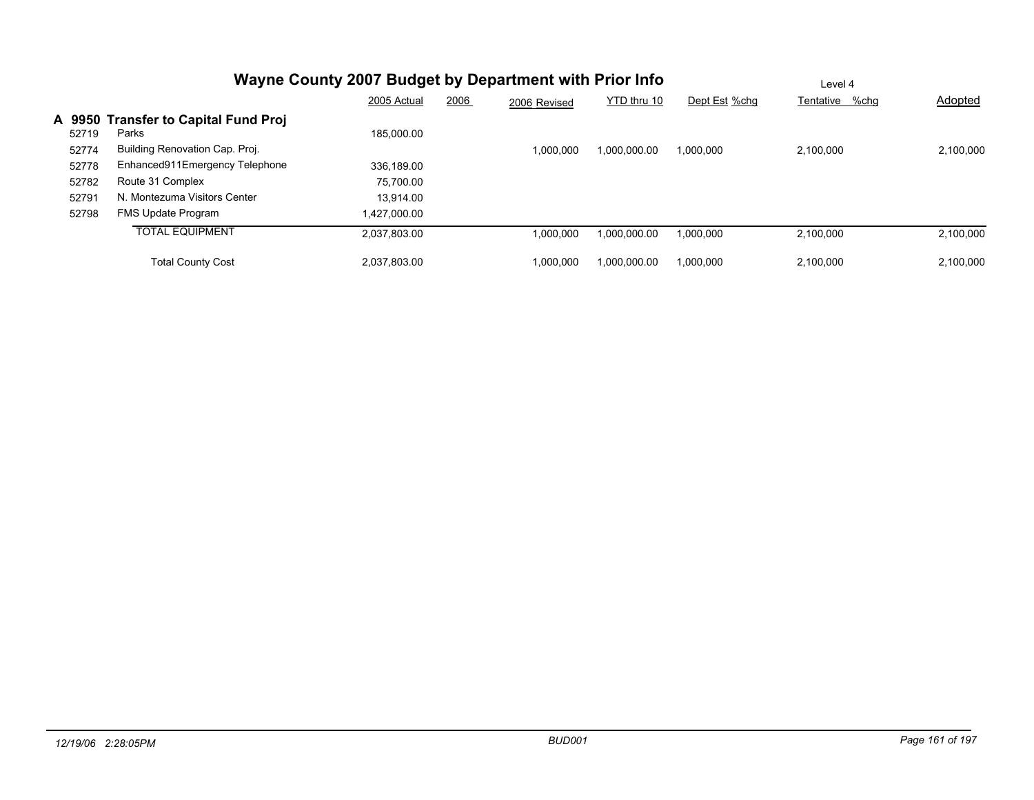|                 |                                               | Wayne County 2007 Budget by Department with Prior Info |      |              |              |               | Level 4        |                |
|-----------------|-----------------------------------------------|--------------------------------------------------------|------|--------------|--------------|---------------|----------------|----------------|
|                 |                                               | 2005 Actual                                            | 2006 | 2006 Revised | YTD thru 10  | Dept Est %chg | Tentative %chq | <b>Adopted</b> |
| A 9950<br>52719 | <b>Transfer to Capital Fund Proj</b><br>Parks | 185.000.00                                             |      |              |              |               |                |                |
| 52774           | Building Renovation Cap. Proj.                |                                                        |      | 1,000,000    | 00.000.000,1 | 1.000.000     | 2.100.000      | 2.100.000      |
| 52778           | Enhanced911Emergency Telephone                | 336.189.00                                             |      |              |              |               |                |                |
| 52782           | Route 31 Complex                              | 75.700.00                                              |      |              |              |               |                |                |
| 52791           | N. Montezuma Visitors Center                  | 13.914.00                                              |      |              |              |               |                |                |
| 52798           | FMS Update Program                            | 1.427.000.00                                           |      |              |              |               |                |                |
|                 | <b>TOTAL EQUIPMENT</b>                        | 2.037.803.00                                           |      | 1,000,000    | 00.000.000,1 | 000,000,1     | 2.100.000      | 2,100,000      |
|                 | <b>Total County Cost</b>                      | 2.037.803.00                                           |      | 1,000,000    | 1.000.000.00 | 1.000.000     | 2.100.000      | 2,100,000      |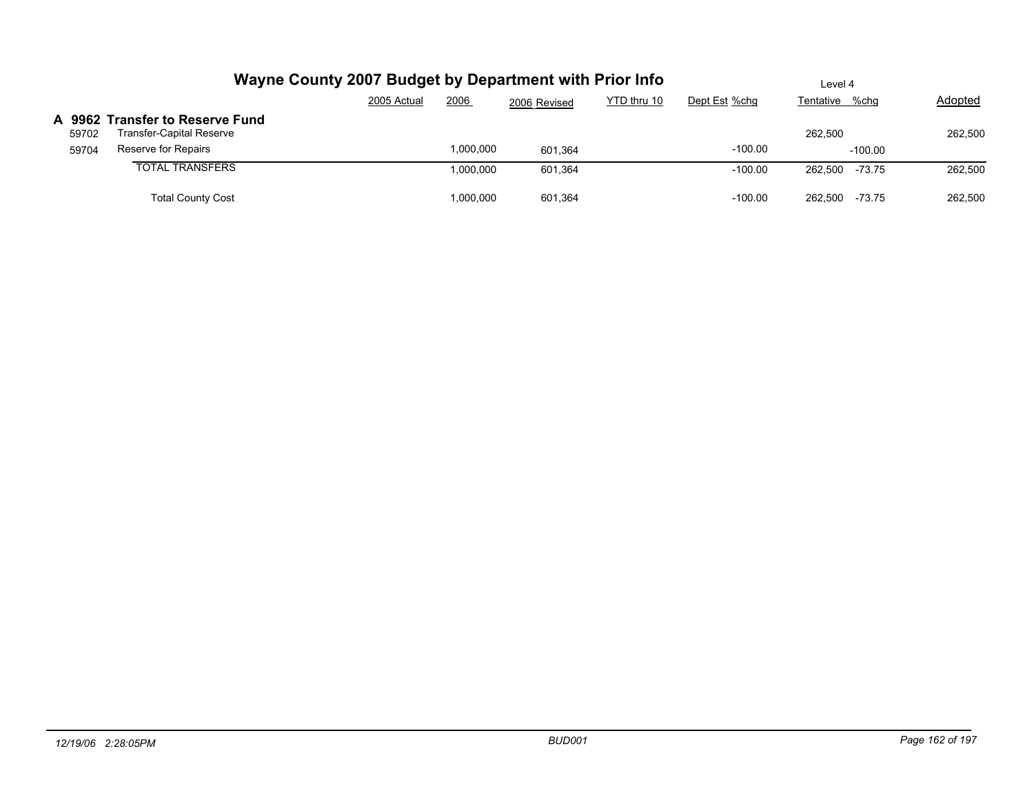| Wayne County 2007 Budget by Department with Prior Info               |             |                      |                    | Level 4     |                        |                             |         |  |
|----------------------------------------------------------------------|-------------|----------------------|--------------------|-------------|------------------------|-----------------------------|---------|--|
|                                                                      | 2005 Actual | 2006                 | 2006 Revised       | YTD thru 10 | Dept Est %chg          | Tentative %chg              | Adopted |  |
| A 9962 Transfer to Reserve Fund<br>Transfer-Capital Reserve<br>59702 |             |                      |                    |             |                        | 262.500                     | 262,500 |  |
| Reserve for Repairs<br>59704<br><b>TOTAL TRANSFERS</b>               |             | ,000,000<br>,000,000 | 601.364<br>601,364 |             | $-100.00$<br>$-100.00$ | $-100.00$<br>262.500 -73.75 | 262,500 |  |
| <b>Total County Cost</b>                                             |             | ,000,000             | 601.364            |             | $-100.00$              | -73.75<br>262.500           | 262.500 |  |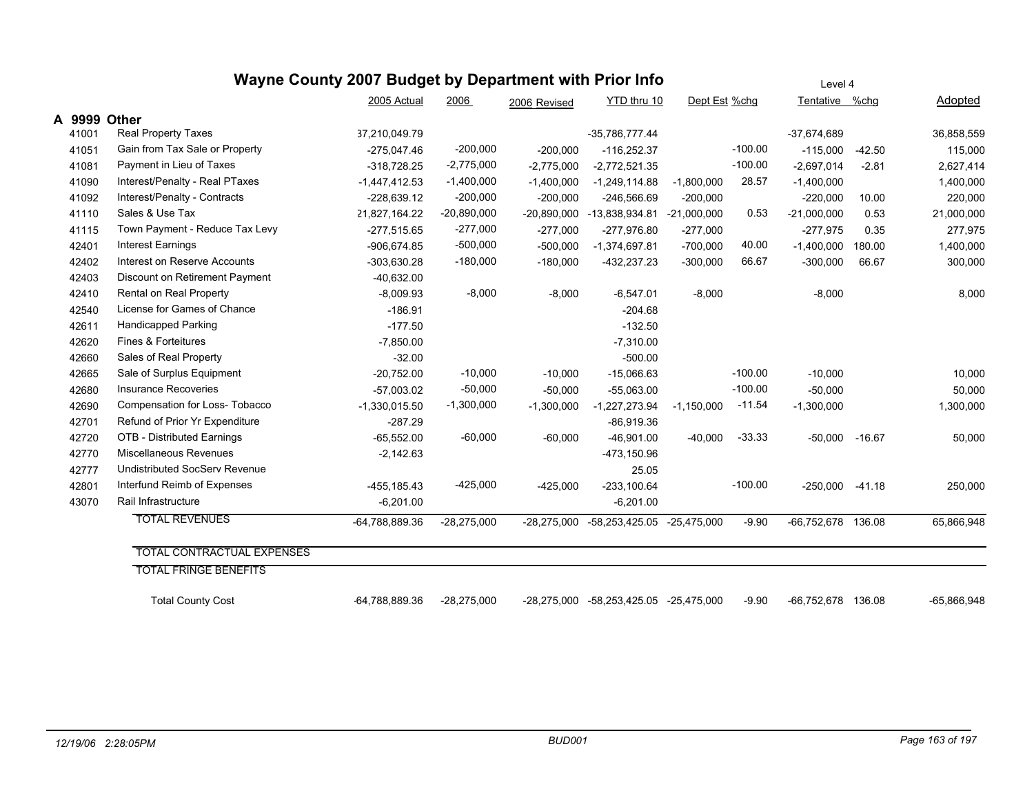|        | Wayne County 2007 Budget by Department with Prior Info |                 | Level 4       |               |                                        |               |           |                    |          |               |
|--------|--------------------------------------------------------|-----------------|---------------|---------------|----------------------------------------|---------------|-----------|--------------------|----------|---------------|
|        |                                                        | 2005 Actual     | 2006          | 2006 Revised  | YTD thru 10                            | Dept Est %chg |           | Tentative %chg     |          | Adopted       |
| A 9999 | Other                                                  |                 |               |               |                                        |               |           |                    |          |               |
| 41001  | <b>Real Property Taxes</b>                             | 37,210,049.79   |               |               | -35,786,777.44                         |               |           | $-37,674,689$      |          | 36,858,559    |
| 41051  | Gain from Tax Sale or Property                         | $-275,047.46$   | $-200,000$    | $-200,000$    | $-116,252.37$                          |               | $-100.00$ | $-115,000$         | $-42.50$ | 115,000       |
| 41081  | Payment in Lieu of Taxes                               | $-318,728.25$   | $-2,775,000$  | $-2,775,000$  | $-2,772,521.35$                        |               | $-100.00$ | $-2,697,014$       | $-2.81$  | 2,627,414     |
| 41090  | Interest/Penalty - Real PTaxes                         | $-1,447,412.53$ | $-1,400,000$  | $-1,400,000$  | $-1,249,114.88$                        | $-1,800,000$  | 28.57     | $-1,400,000$       |          | 1,400,000     |
| 41092  | Interest/Penalty - Contracts                           | $-228,639.12$   | $-200,000$    | $-200,000$    | $-246,566.69$                          | $-200,000$    |           | $-220,000$         | 10.00    | 220,000       |
| 41110  | Sales & Use Tax                                        | 21,827,164.22   | $-20,890,000$ | $-20,890,000$ | -13,838,934.81                         | $-21,000,000$ | 0.53      | $-21,000,000$      | 0.53     | 21,000,000    |
| 41115  | Town Payment - Reduce Tax Levy                         | $-277,515.65$   | $-277,000$    | $-277,000$    | $-277,976.80$                          | $-277,000$    |           | $-277,975$         | 0.35     | 277,975       |
| 42401  | <b>Interest Earnings</b>                               | $-906,674.85$   | $-500,000$    | $-500,000$    | $-1,374,697.81$                        | $-700,000$    | 40.00     | $-1,400,000$       | 180.00   | 1,400,000     |
| 42402  | Interest on Reserve Accounts                           | -303,630.28     | $-180,000$    | $-180,000$    | $-432,237.23$                          | $-300,000$    | 66.67     | $-300,000$         | 66.67    | 300,000       |
| 42403  | Discount on Retirement Payment                         | $-40,632.00$    |               |               |                                        |               |           |                    |          |               |
| 42410  | Rental on Real Property                                | $-8,009.93$     | $-8,000$      | $-8,000$      | $-6,547.01$                            | $-8,000$      |           | $-8,000$           |          | 8,000         |
| 42540  | License for Games of Chance                            | $-186.91$       |               |               | $-204.68$                              |               |           |                    |          |               |
| 42611  | <b>Handicapped Parking</b>                             | $-177.50$       |               |               | $-132.50$                              |               |           |                    |          |               |
| 42620  | Fines & Forteitures                                    | $-7,850.00$     |               |               | $-7,310.00$                            |               |           |                    |          |               |
| 42660  | Sales of Real Property                                 | $-32.00$        |               |               | $-500.00$                              |               |           |                    |          |               |
| 42665  | Sale of Surplus Equipment                              | $-20,752.00$    | $-10,000$     | $-10,000$     | $-15,066.63$                           |               | $-100.00$ | $-10,000$          |          | 10,000        |
| 42680  | <b>Insurance Recoveries</b>                            | $-57,003.02$    | $-50,000$     | $-50,000$     | $-55,063.00$                           |               | $-100.00$ | $-50,000$          |          | 50,000        |
| 42690  | Compensation for Loss- Tobacco                         | $-1,330,015.50$ | $-1,300,000$  | $-1,300,000$  | $-1,227,273.94$                        | $-1,150,000$  | $-11.54$  | $-1,300,000$       |          | 1,300,000     |
| 42701  | Refund of Prior Yr Expenditure                         | $-287.29$       |               |               | $-86,919.36$                           |               |           |                    |          |               |
| 42720  | OTB - Distributed Earnings                             | $-65,552.00$    | $-60,000$     | $-60,000$     | $-46,901.00$                           | $-40,000$     | $-33.33$  | $-50,000 -16.67$   |          | 50,000        |
| 42770  | Miscellaneous Revenues                                 | $-2,142.63$     |               |               | -473,150.96                            |               |           |                    |          |               |
| 42777  | <b>Undistributed SocServ Revenue</b>                   |                 |               |               | 25.05                                  |               |           |                    |          |               |
| 42801  | Interfund Reimb of Expenses                            | -455,185.43     | $-425,000$    | $-425,000$    | $-233,100.64$                          |               | $-100.00$ | $-250,000$         | $-41.18$ | 250,000       |
| 43070  | Rail Infrastructure                                    | $-6,201.00$     |               |               | $-6,201.00$                            |               |           |                    |          |               |
|        | <b>TOTAL REVENUES</b>                                  | -64,788,889.36  | $-28,275,000$ | $-28,275,000$ | -58,253,425.05                         | $-25,475,000$ | $-9.90$   | -66,752,678 136.08 |          | 65,866,948    |
|        | <b>TOTAL CONTRACTUAL EXPENSES</b>                      |                 |               |               |                                        |               |           |                    |          |               |
|        | <b>TOTAL FRINGE BENEFITS</b>                           |                 |               |               |                                        |               |           |                    |          |               |
|        |                                                        |                 |               |               |                                        |               |           |                    |          |               |
|        | <b>Total County Cost</b>                               | -64,788,889.36  | $-28,275,000$ |               | -28,275,000 -58,253,425.05 -25,475,000 |               | $-9.90$   | -66,752,678 136.08 |          | $-65,866,948$ |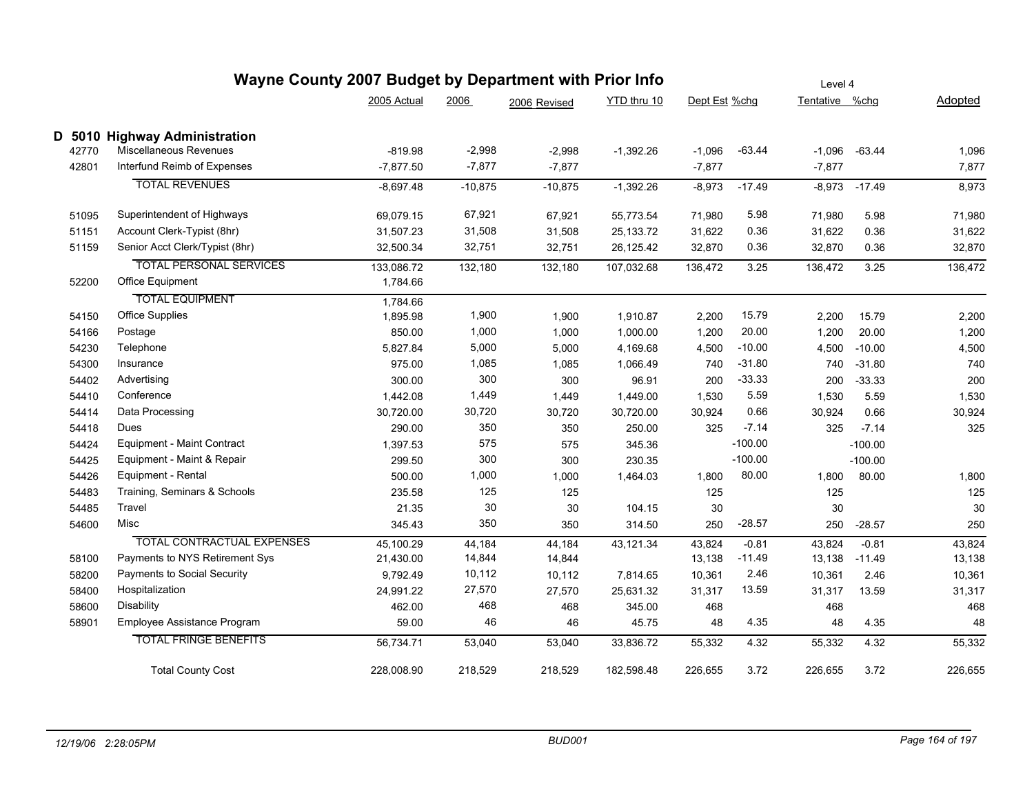|       | Wayne County 2007 Budget by Department with Prior Info |             |           |              |             |               |           |                |           |         |
|-------|--------------------------------------------------------|-------------|-----------|--------------|-------------|---------------|-----------|----------------|-----------|---------|
|       |                                                        | 2005 Actual | 2006      | 2006 Revised | YTD thru 10 | Dept Est %chg |           | Tentative %chg |           | Adopted |
|       | D 5010 Highway Administration                          |             |           |              |             |               |           |                |           |         |
| 42770 | Miscellaneous Revenues                                 | -819.98     | $-2,998$  | $-2,998$     | $-1,392.26$ | $-1,096$      | $-63.44$  | $-1,096$       | $-63.44$  | 1,096   |
| 42801 | Interfund Reimb of Expenses                            | $-7,877.50$ | $-7,877$  | $-7,877$     |             | $-7,877$      |           | $-7,877$       |           | 7,877   |
|       | <b>TOTAL REVENUES</b>                                  | $-8,697.48$ | $-10,875$ | $-10,875$    | $-1,392.26$ | $-8,973$      | $-17.49$  | $-8,973$       | $-17.49$  | 8,973   |
| 51095 | Superintendent of Highways                             | 69,079.15   | 67,921    | 67,921       | 55,773.54   | 71,980        | 5.98      | 71,980         | 5.98      | 71,980  |
| 51151 | Account Clerk-Typist (8hr)                             | 31,507.23   | 31,508    | 31,508       | 25, 133. 72 | 31,622        | 0.36      | 31,622         | 0.36      | 31,622  |
| 51159 | Senior Acct Clerk/Typist (8hr)                         | 32,500.34   | 32,751    | 32,751       | 26,125.42   | 32,870        | 0.36      | 32,870         | 0.36      | 32,870  |
|       | <b>TOTAL PERSONAL SERVICES</b>                         | 133,086.72  | 132,180   | 132,180      | 107,032.68  | 136,472       | 3.25      | 136,472        | 3.25      | 136,472 |
| 52200 | Office Equipment                                       | 1,784.66    |           |              |             |               |           |                |           |         |
|       | <b>TOTAL EQUIPMENT</b>                                 | 1,784.66    |           |              |             |               |           |                |           |         |
| 54150 | <b>Office Supplies</b>                                 | 1,895.98    | 1,900     | 1,900        | 1,910.87    | 2,200         | 15.79     | 2,200          | 15.79     | 2,200   |
| 54166 | Postage                                                | 850.00      | 1,000     | 1,000        | 1,000.00    | 1,200         | 20.00     | 1,200          | 20.00     | 1,200   |
| 54230 | Telephone                                              | 5,827.84    | 5,000     | 5,000        | 4,169.68    | 4,500         | $-10.00$  | 4,500          | $-10.00$  | 4,500   |
| 54300 | Insurance                                              | 975.00      | 1,085     | 1,085        | 1,066.49    | 740           | $-31.80$  | 740            | $-31.80$  | 740     |
| 54402 | Advertising                                            | 300.00      | 300       | 300          | 96.91       | 200           | $-33.33$  | 200            | $-33.33$  | 200     |
| 54410 | Conference                                             | 1,442.08    | 1,449     | 1,449        | 1,449.00    | 1,530         | 5.59      | 1,530          | 5.59      | 1,530   |
| 54414 | Data Processing                                        | 30,720.00   | 30,720    | 30,720       | 30,720.00   | 30,924        | 0.66      | 30,924         | 0.66      | 30,924  |
| 54418 | Dues                                                   | 290.00      | 350       | 350          | 250.00      | 325           | $-7.14$   | 325            | $-7.14$   | 325     |
| 54424 | <b>Equipment - Maint Contract</b>                      | 1,397.53    | 575       | 575          | 345.36      |               | $-100.00$ |                | $-100.00$ |         |
| 54425 | Equipment - Maint & Repair                             | 299.50      | 300       | 300          | 230.35      |               | $-100.00$ |                | $-100.00$ |         |
| 54426 | Equipment - Rental                                     | 500.00      | 1,000     | 1,000        | 1,464.03    | 1,800         | 80.00     | 1,800          | 80.00     | 1,800   |
| 54483 | Training, Seminars & Schools                           | 235.58      | 125       | 125          |             | 125           |           | 125            |           | 125     |
| 54485 | Travel                                                 | 21.35       | 30        | 30           | 104.15      | 30            |           | 30             |           | 30      |
| 54600 | Misc                                                   | 345.43      | 350       | 350          | 314.50      | 250           | $-28.57$  | 250            | $-28.57$  | 250     |
|       | <b>TOTAL CONTRACTUAL EXPENSES</b>                      | 45,100.29   | 44,184    | 44,184       | 43,121.34   | 43,824        | $-0.81$   | 43,824         | $-0.81$   | 43,824  |
| 58100 | Payments to NYS Retirement Sys                         | 21,430.00   | 14,844    | 14,844       |             | 13,138        | $-11.49$  | 13,138         | $-11.49$  | 13,138  |
| 58200 | Payments to Social Security                            | 9,792.49    | 10,112    | 10,112       | 7,814.65    | 10,361        | 2.46      | 10,361         | 2.46      | 10,361  |
| 58400 | Hospitalization                                        | 24,991.22   | 27,570    | 27,570       | 25,631.32   | 31,317        | 13.59     | 31,317         | 13.59     | 31,317  |
| 58600 | Disability                                             | 462.00      | 468       | 468          | 345.00      | 468           |           | 468            |           | 468     |
| 58901 | Employee Assistance Program                            | 59.00       | 46        | 46           | 45.75       | 48            | 4.35      | 48             | 4.35      | 48      |
|       | <b>TOTAL FRINGE BENEFITS</b>                           | 56,734.71   | 53,040    | 53,040       | 33,836.72   | 55,332        | 4.32      | 55,332         | 4.32      | 55,332  |
|       | <b>Total County Cost</b>                               | 228,008.90  | 218,529   | 218,529      | 182,598.48  | 226,655       | 3.72      | 226,655        | 3.72      | 226,655 |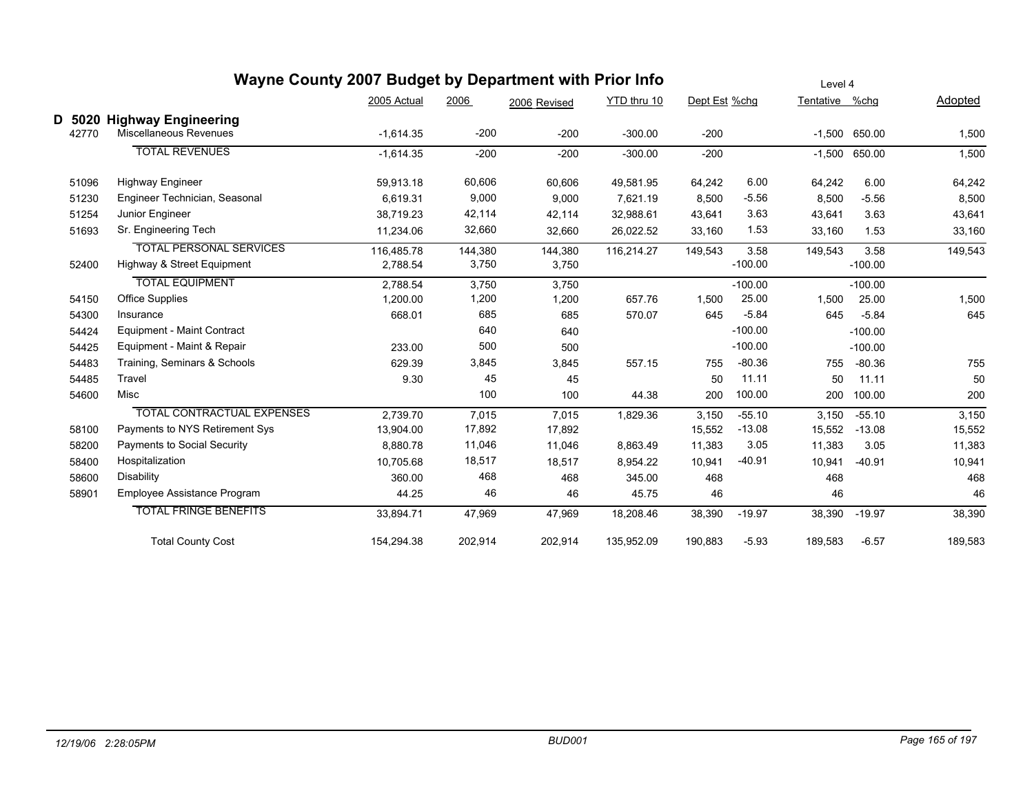|                    |                                                              | Wayne County 2007 Budget by Department with Prior Info |                  |                  |             |               |                   | Level 4        |                   |         |  |  |
|--------------------|--------------------------------------------------------------|--------------------------------------------------------|------------------|------------------|-------------|---------------|-------------------|----------------|-------------------|---------|--|--|
|                    |                                                              | 2005 Actual                                            | 2006             | 2006 Revised     | YTD thru 10 | Dept Est %chg |                   | Tentative %chg |                   | Adopted |  |  |
| D<br>5020<br>42770 | <b>Highway Engineering</b><br>Miscellaneous Revenues         | $-1,614.35$                                            | $-200$           | $-200$           | $-300.00$   | $-200$        |                   |                | $-1,500$ 650.00   | 1,500   |  |  |
|                    | <b>TOTAL REVENUES</b>                                        | $-1,614.35$                                            | $-200$           | $-200$           | $-300.00$   | $-200$        |                   | $-1,500$       | 650.00            | 1,500   |  |  |
| 51096              | <b>Highway Engineer</b>                                      | 59.913.18                                              | 60,606           | 60,606           | 49,581.95   | 64,242        | 6.00              | 64,242         | 6.00              | 64,242  |  |  |
| 51230              | Engineer Technician, Seasonal                                | 6,619.31                                               | 9,000            | 9,000            | 7,621.19    | 8,500         | $-5.56$           | 8,500          | $-5.56$           | 8,500   |  |  |
| 51254              | Junior Engineer                                              | 38,719.23                                              | 42,114           | 42,114           | 32,988.61   | 43,641        | 3.63              | 43,641         | 3.63              | 43,641  |  |  |
| 51693              | Sr. Engineering Tech                                         | 11,234.06                                              | 32,660           | 32,660           | 26,022.52   | 33,160        | 1.53              | 33,160         | 1.53              | 33,160  |  |  |
| 52400              | <b>TOTAL PERSONAL SERVICES</b><br>Highway & Street Equipment | 116,485.78<br>2,788.54                                 | 144,380<br>3,750 | 144,380<br>3,750 | 116,214.27  | 149,543       | 3.58<br>$-100.00$ | 149,543        | 3.58<br>$-100.00$ | 149,543 |  |  |
|                    | <b>TOTAL EQUIPMENT</b>                                       | 2.788.54                                               | 3,750            | 3,750            |             |               | $-100.00$         |                | $-100.00$         |         |  |  |
| 54150              | Office Supplies                                              | 1,200.00                                               | 1,200            | 1,200            | 657.76      | 1,500         | 25.00             | 1,500          | 25.00             | 1,500   |  |  |
| 54300              | Insurance                                                    | 668.01                                                 | 685              | 685              | 570.07      | 645           | $-5.84$           | 645            | $-5.84$           | 645     |  |  |
| 54424              | <b>Equipment - Maint Contract</b>                            |                                                        | 640              | 640              |             |               | $-100.00$         |                | $-100.00$         |         |  |  |
| 54425              | Equipment - Maint & Repair                                   | 233.00                                                 | 500              | 500              |             |               | $-100.00$         |                | $-100.00$         |         |  |  |
| 54483              | Training, Seminars & Schools                                 | 629.39                                                 | 3,845            | 3,845            | 557.15      | 755           | $-80.36$          | 755            | $-80.36$          | 755     |  |  |
| 54485              | Travel                                                       | 9.30                                                   | 45               | 45               |             | 50            | 11.11             | 50             | 11.11             | 50      |  |  |
| 54600              | Misc                                                         |                                                        | 100              | 100              | 44.38       | 200           | 100.00            | 200            | 100.00            | 200     |  |  |
|                    | TOTAL CONTRACTUAL EXPENSES                                   | 2,739.70                                               | 7,015            | 7,015            | 1,829.36    | 3,150         | $-55.10$          | 3,150          | $-55.10$          | 3,150   |  |  |
| 58100              | Payments to NYS Retirement Sys                               | 13,904.00                                              | 17,892           | 17,892           |             | 15,552        | $-13.08$          | 15,552         | $-13.08$          | 15,552  |  |  |
| 58200              | Payments to Social Security                                  | 8,880.78                                               | 11,046           | 11,046           | 8,863.49    | 11,383        | 3.05              | 11,383         | 3.05              | 11,383  |  |  |
| 58400              | Hospitalization                                              | 10,705.68                                              | 18,517           | 18,517           | 8,954.22    | 10,941        | $-40.91$          | 10,941         | $-40.91$          | 10,941  |  |  |
| 58600              | <b>Disability</b>                                            | 360.00                                                 | 468              | 468              | 345.00      | 468           |                   | 468            |                   | 468     |  |  |
| 5890               | Employee Assistance Program                                  | 44.25                                                  | 46               | 46               | 45.75       | 46            |                   | 46             |                   | 46      |  |  |
|                    | <b>TOTAL FRINGE BENEFITS</b>                                 | 33,894.71                                              | 47,969           | 47,969           | 18,208.46   | 38,390        | $-19.97$          | 38,390         | $-19.97$          | 38,390  |  |  |
|                    | <b>Total County Cost</b>                                     | 154,294.38                                             | 202,914          | 202,914          | 135,952.09  | 190,883       | $-5.93$           | 189,583        | $-6.57$           | 189,583 |  |  |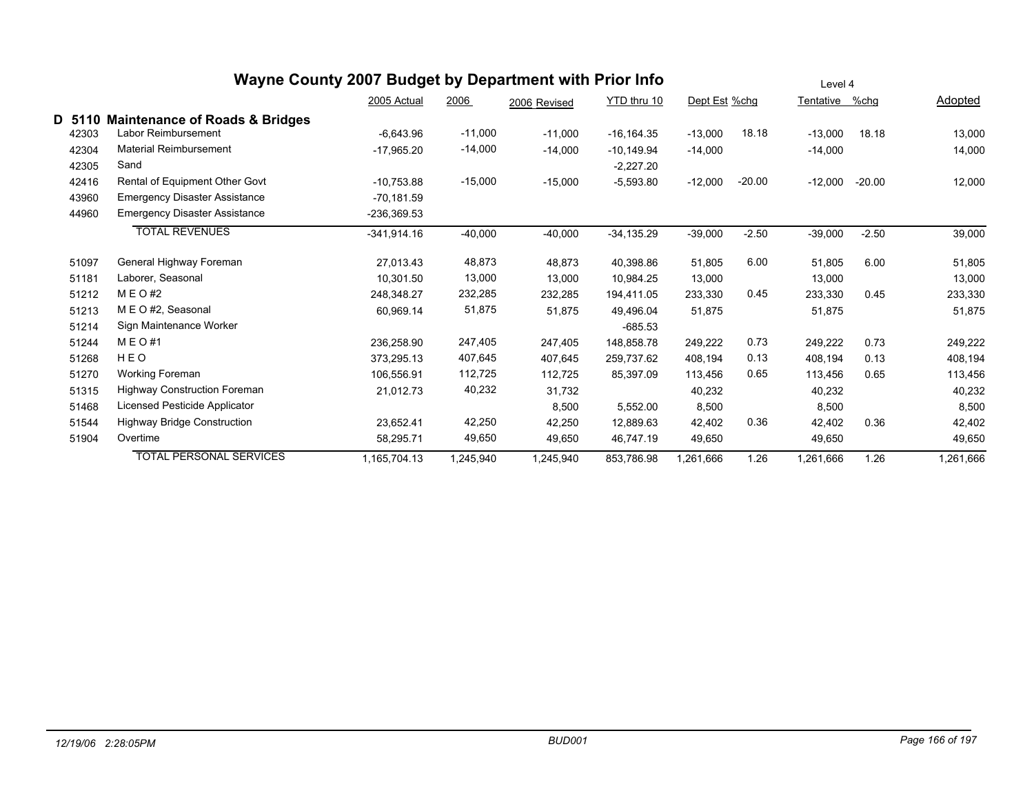|        | Wayne County 2007 Budget by Department with Prior Info | Level 4       |           |              |               |               |          |                |          |           |
|--------|--------------------------------------------------------|---------------|-----------|--------------|---------------|---------------|----------|----------------|----------|-----------|
|        |                                                        | 2005 Actual   | 2006      | 2006 Revised | YTD thru 10   | Dept Est %chg |          | Tentative %chg |          | Adopted   |
| D 5110 | <b>Maintenance of Roads &amp; Bridges</b>              |               |           |              |               |               |          |                |          |           |
| 42303  | Labor Reimbursement                                    | $-6,643.96$   | $-11,000$ | $-11,000$    | $-16, 164.35$ | $-13,000$     | 18.18    | $-13,000$      | 18.18    | 13,000    |
| 42304  | <b>Material Reimbursement</b>                          | $-17,965.20$  | $-14,000$ | $-14,000$    | $-10,149.94$  | $-14,000$     |          | $-14,000$      |          | 14,000    |
| 42305  | Sand                                                   |               |           |              | $-2,227.20$   |               |          |                |          |           |
| 42416  | Rental of Equipment Other Govt                         | $-10,753.88$  | $-15,000$ | $-15,000$    | $-5,593.80$   | $-12,000$     | $-20.00$ | $-12,000$      | $-20.00$ | 12,000    |
| 43960  | Emergency Disaster Assistance                          | $-70.181.59$  |           |              |               |               |          |                |          |           |
| 44960  | <b>Emergency Disaster Assistance</b>                   | -236,369.53   |           |              |               |               |          |                |          |           |
|        | <b>TOTAL REVENUES</b>                                  | $-341,914.16$ | $-40,000$ | $-40,000$    | $-34,135.29$  | $-39,000$     | $-2.50$  | $-39,000$      | $-2.50$  | 39,000    |
| 51097  | General Highway Foreman                                | 27,013.43     | 48,873    | 48,873       | 40,398.86     | 51,805        | 6.00     | 51,805         | 6.00     | 51,805    |
| 51181  | Laborer, Seasonal                                      | 10,301.50     | 13,000    | 13,000       | 10,984.25     | 13,000        |          | 13,000         |          | 13,000    |
| 51212  | M E O #2                                               | 248,348.27    | 232,285   | 232,285      | 194,411.05    | 233,330       | 0.45     | 233,330        | 0.45     | 233,330   |
| 51213  | M E O #2, Seasonal                                     | 60,969.14     | 51,875    | 51,875       | 49,496.04     | 51,875        |          | 51,875         |          | 51,875    |
| 51214  | Sign Maintenance Worker                                |               |           |              | $-685.53$     |               |          |                |          |           |
| 51244  | M E O #1                                               | 236.258.90    | 247,405   | 247.405      | 148,858.78    | 249.222       | 0.73     | 249,222        | 0.73     | 249,222   |
| 51268  | HEO                                                    | 373,295.13    | 407,645   | 407,645      | 259,737.62    | 408,194       | 0.13     | 408,194        | 0.13     | 408,194   |
| 51270  | Working Foreman                                        | 106,556.91    | 112,725   | 112,725      | 85,397.09     | 113,456       | 0.65     | 113,456        | 0.65     | 113,456   |
| 51315  | <b>Highway Construction Foreman</b>                    | 21,012.73     | 40,232    | 31,732       |               | 40,232        |          | 40,232         |          | 40,232    |
| 51468  | Licensed Pesticide Applicator                          |               |           | 8,500        | 5,552.00      | 8,500         |          | 8,500          |          | 8,500     |
| 51544  | <b>Highway Bridge Construction</b>                     | 23,652.41     | 42,250    | 42,250       | 12,889.63     | 42,402        | 0.36     | 42,402         | 0.36     | 42,402    |
| 51904  | Overtime                                               | 58,295.71     | 49,650    | 49,650       | 46,747.19     | 49,650        |          | 49,650         |          | 49,650    |
|        | <b>TOTAL PERSONAL SERVICES</b>                         | 1,165,704.13  | 1,245,940 | 1,245,940    | 853,786.98    | ,261,666      | 1.26     | 1,261,666      | 1.26     | 1,261,666 |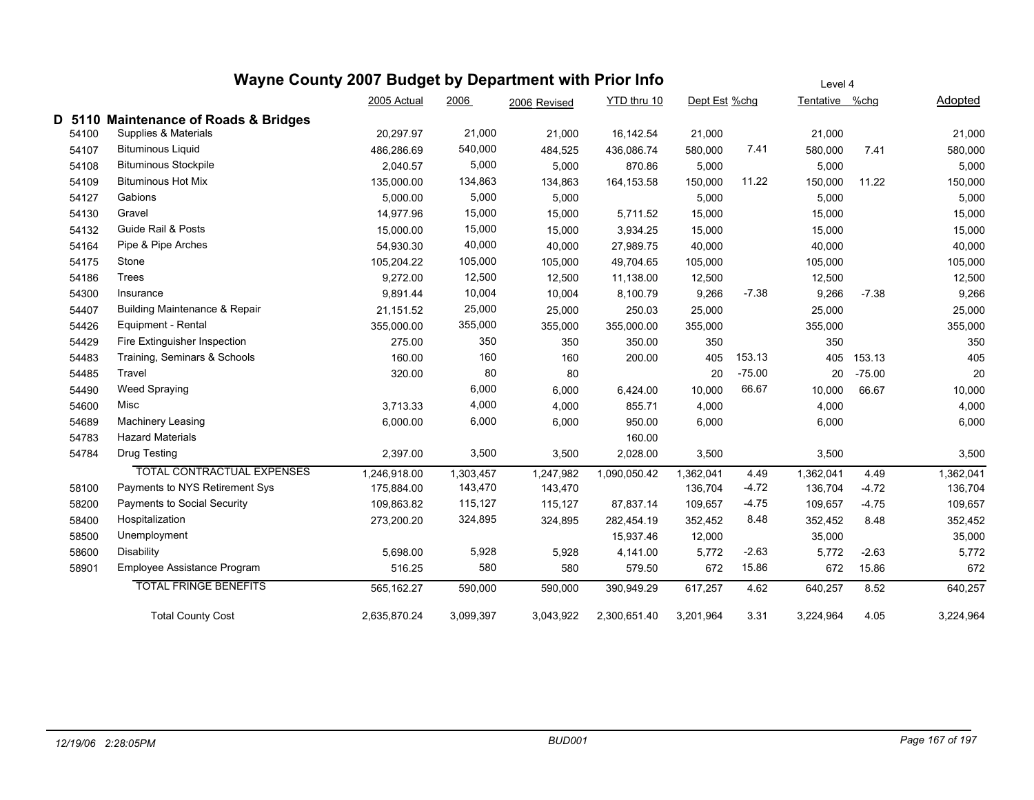# **Wayne County 2007 Budget by Department with Prior Info**

|        |                                           | 2005 Actual  | 2006      | 2006 Revised | YTD thru 10  | Dept Est %chg |          | Tentative %chg |          | <b>Adopted</b> |
|--------|-------------------------------------------|--------------|-----------|--------------|--------------|---------------|----------|----------------|----------|----------------|
| D 5110 | <b>Maintenance of Roads &amp; Bridges</b> |              |           |              |              |               |          |                |          |                |
| 54100  | Supplies & Materials                      | 20,297.97    | 21,000    | 21,000       | 16,142.54    | 21,000        |          | 21,000         |          | 21,000         |
| 54107  | <b>Bituminous Liquid</b>                  | 486.286.69   | 540,000   | 484.525      | 436.086.74   | 580,000       | 7.41     | 580,000        | 7.41     | 580,000        |
| 54108  | <b>Bituminous Stockpile</b>               | 2,040.57     | 5,000     | 5,000        | 870.86       | 5,000         |          | 5,000          |          | 5,000          |
| 54109  | <b>Bituminous Hot Mix</b>                 | 135,000.00   | 134,863   | 134,863      | 164, 153.58  | 150,000       | 11.22    | 150,000        | 11.22    | 150,000        |
| 54127  | Gabions                                   | 5,000.00     | 5,000     | 5,000        |              | 5,000         |          | 5,000          |          | 5,000          |
| 54130  | Gravel                                    | 14,977.96    | 15,000    | 15,000       | 5,711.52     | 15,000        |          | 15,000         |          | 15,000         |
| 54132  | Guide Rail & Posts                        | 15,000.00    | 15,000    | 15,000       | 3,934.25     | 15,000        |          | 15,000         |          | 15,000         |
| 54164  | Pipe & Pipe Arches                        | 54,930.30    | 40,000    | 40,000       | 27,989.75    | 40,000        |          | 40,000         |          | 40,000         |
| 54175  | Stone                                     | 105,204.22   | 105,000   | 105,000      | 49,704.65    | 105,000       |          | 105,000        |          | 105,000        |
| 54186  | Trees                                     | 9,272.00     | 12,500    | 12,500       | 11,138.00    | 12,500        |          | 12,500         |          | 12,500         |
| 54300  | Insurance                                 | 9,891.44     | 10,004    | 10,004       | 8,100.79     | 9,266         | $-7.38$  | 9,266          | $-7.38$  | 9,266          |
| 54407  | <b>Building Maintenance &amp; Repair</b>  | 21,151.52    | 25,000    | 25,000       | 250.03       | 25,000        |          | 25,000         |          | 25,000         |
| 54426  | Equipment - Rental                        | 355,000.00   | 355,000   | 355,000      | 355,000.00   | 355,000       |          | 355,000        |          | 355,000        |
| 54429  | Fire Extinguisher Inspection              | 275.00       | 350       | 350          | 350.00       | 350           |          | 350            |          | 350            |
| 54483  | Training, Seminars & Schools              | 160.00       | 160       | 160          | 200.00       | 405           | 153.13   | 405            | 153.13   | 405            |
| 54485  | Travel                                    | 320.00       | 80        | 80           |              | 20            | $-75.00$ | 20             | $-75.00$ | 20             |
| 54490  | Weed Spraying                             |              | 6,000     | 6,000        | 6,424.00     | 10,000        | 66.67    | 10,000         | 66.67    | 10,000         |
| 54600  | Misc                                      | 3,713.33     | 4,000     | 4,000        | 855.71       | 4,000         |          | 4,000          |          | 4,000          |
| 54689  | <b>Machinery Leasing</b>                  | 6,000.00     | 6,000     | 6,000        | 950.00       | 6,000         |          | 6,000          |          | 6,000          |
| 54783  | <b>Hazard Materials</b>                   |              |           |              | 160.00       |               |          |                |          |                |
| 54784  | Drug Testing                              | 2,397.00     | 3,500     | 3,500        | 2,028.00     | 3,500         |          | 3,500          |          | 3,500          |
|        | <b>TOTAL CONTRACTUAL EXPENSES</b>         | 1,246,918.00 | 1,303,457 | 1,247,982    | 1,090,050.42 | 1,362,041     | 4.49     | 1,362,041      | 4.49     | 1,362,041      |
| 58100  | Payments to NYS Retirement Sys            | 175,884.00   | 143,470   | 143,470      |              | 136,704       | $-4.72$  | 136,704        | $-4.72$  | 136,704        |
| 58200  | Payments to Social Security               | 109,863.82   | 115,127   | 115,127      | 87,837.14    | 109,657       | $-4.75$  | 109,657        | $-4.75$  | 109,657        |
| 58400  | Hospitalization                           | 273,200.20   | 324,895   | 324,895      | 282,454.19   | 352,452       | 8.48     | 352,452        | 8.48     | 352,452        |
| 58500  | Unemployment                              |              |           |              | 15,937.46    | 12,000        |          | 35,000         |          | 35,000         |
| 58600  | Disability                                | 5,698.00     | 5,928     | 5,928        | 4,141.00     | 5,772         | $-2.63$  | 5,772          | $-2.63$  | 5,772          |
| 58901  | Employee Assistance Program               | 516.25       | 580       | 580          | 579.50       | 672           | 15.86    | 672            | 15.86    | 672            |
|        | <b>TOTAL FRINGE BENEFITS</b>              | 565,162.27   | 590,000   | 590,000      | 390,949.29   | 617,257       | 4.62     | 640,257        | 8.52     | 640,257        |
|        | <b>Total County Cost</b>                  | 2.635.870.24 | 3,099,397 | 3,043,922    | 2.300.651.40 | 3,201,964     | 3.31     | 3,224,964      | 4.05     | 3,224,964      |

Level 4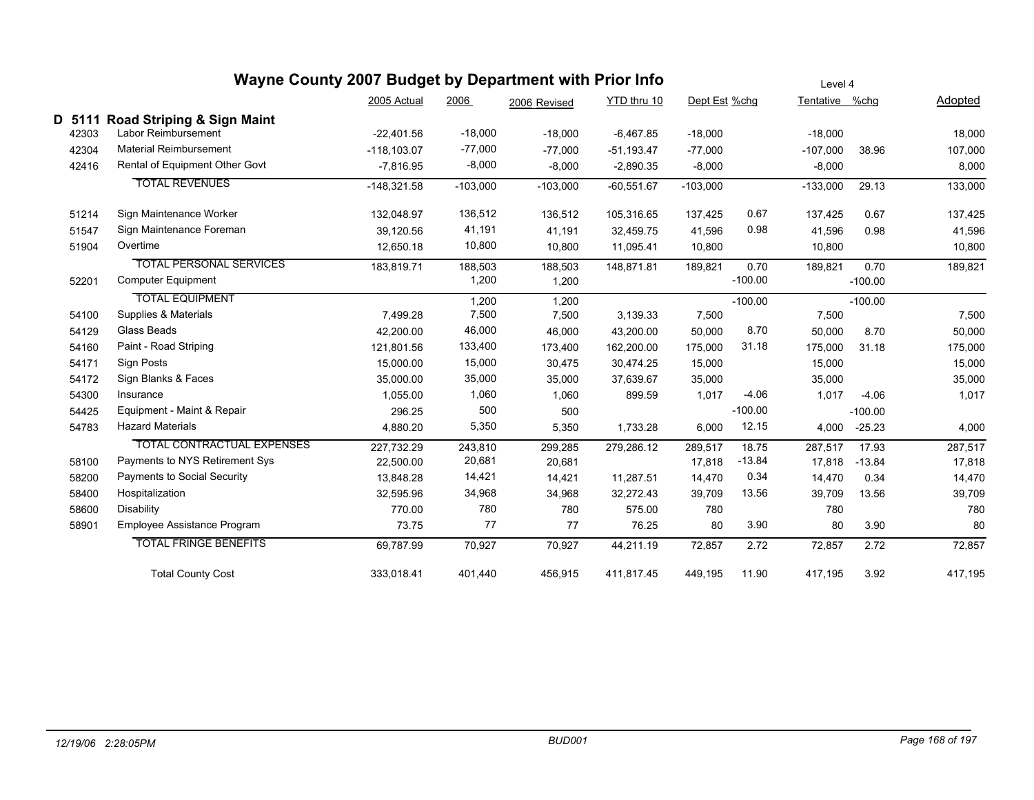|        |       | Wayne County 2007 Budget by Department with Prior Info |                | Level 4    |              |              |               |           |                |           |         |
|--------|-------|--------------------------------------------------------|----------------|------------|--------------|--------------|---------------|-----------|----------------|-----------|---------|
|        |       |                                                        | 2005 Actual    | 2006       | 2006 Revised | YTD thru 10  | Dept Est %chg |           | Tentative %chg |           | Adopted |
| D 5111 |       | Road Striping & Sign Maint                             |                |            |              |              |               |           |                |           |         |
|        | 42303 | Labor Reimbursement                                    | $-22,401.56$   | $-18,000$  | $-18,000$    | $-6,467.85$  | $-18,000$     |           | $-18,000$      |           | 18,000  |
|        | 42304 | <b>Material Reimbursement</b>                          | $-118, 103.07$ | $-77,000$  | $-77,000$    | $-51,193.47$ | $-77,000$     |           | $-107,000$     | 38.96     | 107,000 |
|        | 42416 | Rental of Equipment Other Govt                         | $-7,816.95$    | $-8,000$   | $-8,000$     | $-2,890.35$  | $-8,000$      |           | $-8,000$       |           | 8,000   |
|        |       | <b>TOTAL REVENUES</b>                                  | $-148,321.58$  | $-103,000$ | $-103,000$   | $-60,551.67$ | $-103,000$    |           | $-133,000$     | 29.13     | 133,000 |
|        | 51214 | Sign Maintenance Worker                                | 132,048.97     | 136,512    | 136,512      | 105,316.65   | 137,425       | 0.67      | 137,425        | 0.67      | 137,425 |
|        | 51547 | Sign Maintenance Foreman                               | 39,120.56      | 41,191     | 41,191       | 32,459.75    | 41,596        | 0.98      | 41,596         | 0.98      | 41,596  |
|        | 51904 | Overtime                                               | 12,650.18      | 10,800     | 10,800       | 11,095.41    | 10,800        |           | 10,800         |           | 10,800  |
|        |       | <b>TOTAL PERSONAL SERVICES</b>                         | 183,819.71     | 188,503    | 188,503      | 148,871.81   | 189,821       | 0.70      | 189,821        | 0.70      | 189,821 |
|        | 52201 | <b>Computer Equipment</b>                              |                | 1,200      | 1,200        |              |               | $-100.00$ |                | $-100.00$ |         |
|        |       | <b>TOTAL EQUIPMENT</b>                                 |                | 1,200      | 1,200        |              |               | $-100.00$ |                | $-100.00$ |         |
|        | 54100 | Supplies & Materials                                   | 7,499.28       | 7,500      | 7,500        | 3,139.33     | 7,500         |           | 7,500          |           | 7,500   |
|        | 54129 | Glass Beads                                            | 42,200.00      | 46,000     | 46,000       | 43,200.00    | 50,000        | 8.70      | 50,000         | 8.70      | 50,000  |
|        | 54160 | Paint - Road Striping                                  | 121,801.56     | 133,400    | 173,400      | 162,200.00   | 175,000       | 31.18     | 175,000        | 31.18     | 175,000 |
|        | 54171 | Sign Posts                                             | 15,000.00      | 15,000     | 30,475       | 30,474.25    | 15,000        |           | 15,000         |           | 15,000  |
|        | 54172 | Sign Blanks & Faces                                    | 35,000.00      | 35,000     | 35,000       | 37,639.67    | 35,000        |           | 35,000         |           | 35,000  |
|        | 54300 | Insurance                                              | 1.055.00       | 1,060      | 1,060        | 899.59       | 1,017         | $-4.06$   | 1,017          | $-4.06$   | 1,017   |
|        | 54425 | Equipment - Maint & Repair                             | 296.25         | 500        | 500          |              |               | $-100.00$ |                | $-100.00$ |         |
|        | 54783 | <b>Hazard Materials</b>                                | 4,880.20       | 5,350      | 5,350        | 1,733.28     | 6,000         | 12.15     | 4,000          | $-25.23$  | 4,000   |
|        |       | <b>TOTAL CONTRACTUAL EXPENSES</b>                      | 227,732.29     | 243,810    | 299,285      | 279,286.12   | 289,517       | 18.75     | 287,517        | 17.93     | 287,517 |
|        | 58100 | Payments to NYS Retirement Sys                         | 22,500.00      | 20,681     | 20,681       |              | 17,818        | $-13.84$  | 17,818         | $-13.84$  | 17,818  |
|        | 58200 | Payments to Social Security                            | 13,848.28      | 14,421     | 14,421       | 11,287.51    | 14,470        | 0.34      | 14,470         | 0.34      | 14,470  |
|        | 58400 | Hospitalization                                        | 32,595.96      | 34,968     | 34,968       | 32,272.43    | 39,709        | 13.56     | 39,709         | 13.56     | 39,709  |
|        | 58600 | Disability                                             | 770.00         | 780        | 780          | 575.00       | 780           |           | 780            |           | 780     |
|        | 58901 | Employee Assistance Program                            | 73.75          | 77         | 77           | 76.25        | 80            | 3.90      | 80             | 3.90      | 80      |
|        |       | <b>TOTAL FRINGE BENEFITS</b>                           | 69,787.99      | 70,927     | 70,927       | 44,211.19    | 72,857        | 2.72      | 72,857         | 2.72      | 72,857  |
|        |       | <b>Total County Cost</b>                               | 333,018.41     | 401,440    | 456,915      | 411,817.45   | 449,195       | 11.90     | 417,195        | 3.92      | 417,195 |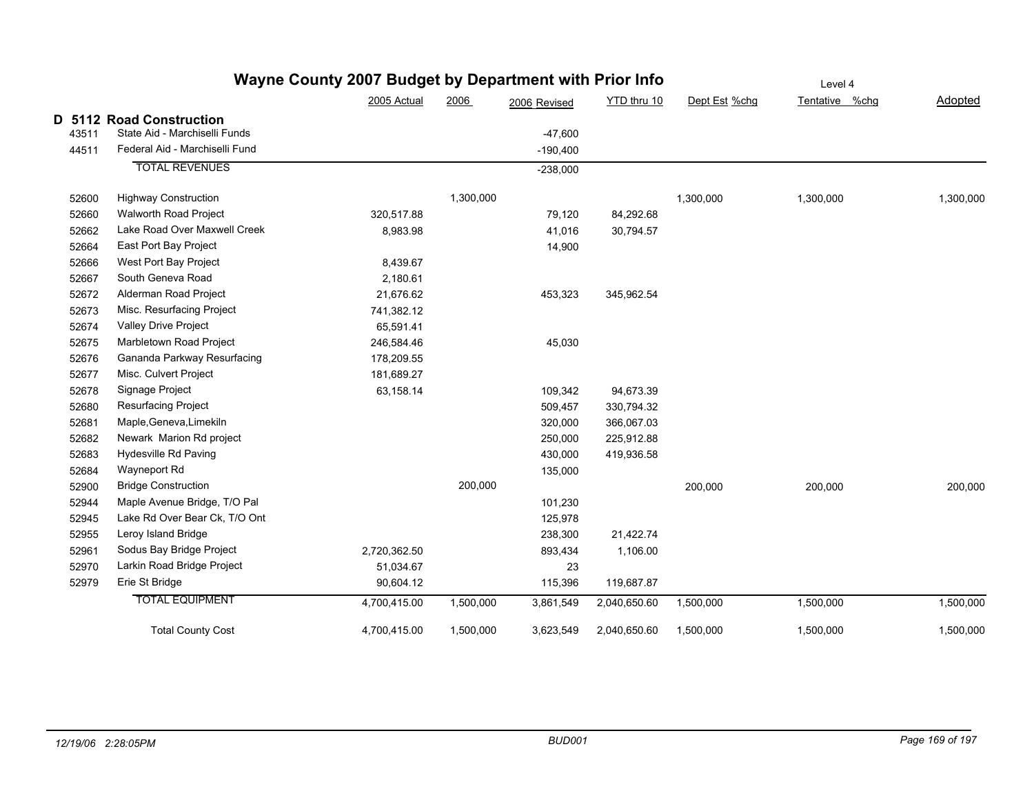|       | Wayne County 2007 Budget by Department with Prior Info | Level 4      |           |              |              |               |                |                |
|-------|--------------------------------------------------------|--------------|-----------|--------------|--------------|---------------|----------------|----------------|
|       |                                                        | 2005 Actual  | 2006      | 2006 Revised | YTD thru 10  | Dept Est %chg | Tentative %chg | <b>Adopted</b> |
|       | D 5112 Road Construction                               |              |           |              |              |               |                |                |
| 43511 | State Aid - Marchiselli Funds                          |              |           | $-47,600$    |              |               |                |                |
| 44511 | Federal Aid - Marchiselli Fund                         |              |           | $-190,400$   |              |               |                |                |
|       | <b>TOTAL REVENUES</b>                                  |              |           | $-238,000$   |              |               |                |                |
| 52600 | <b>Highway Construction</b>                            |              | 1,300,000 |              |              | 1,300,000     | 1,300,000      | 1,300,000      |
| 52660 | Walworth Road Project                                  | 320,517.88   |           | 79,120       | 84,292.68    |               |                |                |
| 52662 | Lake Road Over Maxwell Creek                           | 8,983.98     |           | 41,016       | 30,794.57    |               |                |                |
| 52664 | East Port Bay Project                                  |              |           | 14,900       |              |               |                |                |
| 52666 | West Port Bay Project                                  | 8,439.67     |           |              |              |               |                |                |
| 52667 | South Geneva Road                                      | 2,180.61     |           |              |              |               |                |                |
| 52672 | Alderman Road Project                                  | 21,676.62    |           | 453,323      | 345,962.54   |               |                |                |
| 52673 | Misc. Resurfacing Project                              | 741,382.12   |           |              |              |               |                |                |
| 52674 | Valley Drive Project                                   | 65,591.41    |           |              |              |               |                |                |
| 52675 | Marbletown Road Project                                | 246,584.46   |           | 45,030       |              |               |                |                |
| 52676 | Gananda Parkway Resurfacing                            | 178,209.55   |           |              |              |               |                |                |
| 52677 | Misc. Culvert Project                                  | 181,689.27   |           |              |              |               |                |                |
| 52678 | Signage Project                                        | 63,158.14    |           | 109,342      | 94,673.39    |               |                |                |
| 52680 | Resurfacing Project                                    |              |           | 509,457      | 330,794.32   |               |                |                |
| 52681 | Maple, Geneva, Limekiln                                |              |           | 320,000      | 366,067.03   |               |                |                |
| 52682 | Newark Marion Rd project                               |              |           | 250,000      | 225,912.88   |               |                |                |
| 52683 | Hydesville Rd Paving                                   |              |           | 430,000      | 419,936.58   |               |                |                |
| 52684 | Wayneport Rd                                           |              |           | 135,000      |              |               |                |                |
| 52900 | <b>Bridge Construction</b>                             |              | 200,000   |              |              | 200,000       | 200,000        | 200,000        |
| 52944 | Maple Avenue Bridge, T/O Pal                           |              |           | 101,230      |              |               |                |                |
| 52945 | Lake Rd Over Bear Ck, T/O Ont                          |              |           | 125,978      |              |               |                |                |
| 52955 | Leroy Island Bridge                                    |              |           | 238,300      | 21,422.74    |               |                |                |
| 52961 | Sodus Bay Bridge Project                               | 2,720,362.50 |           | 893,434      | 1,106.00     |               |                |                |
| 52970 | Larkin Road Bridge Project                             | 51,034.67    |           | 23           |              |               |                |                |
| 52979 | Erie St Bridge                                         | 90,604.12    |           | 115,396      | 119,687.87   |               |                |                |
|       | <b>TOTAL EQUIPMENT</b>                                 | 4,700,415.00 | 1,500,000 | 3,861,549    | 2,040,650.60 | 1,500,000     | 1,500,000      | 1,500,000      |
|       | <b>Total County Cost</b>                               | 4,700,415.00 | 1,500,000 | 3,623,549    | 2,040,650.60 | 1,500,000     | 1,500,000      | 1,500,000      |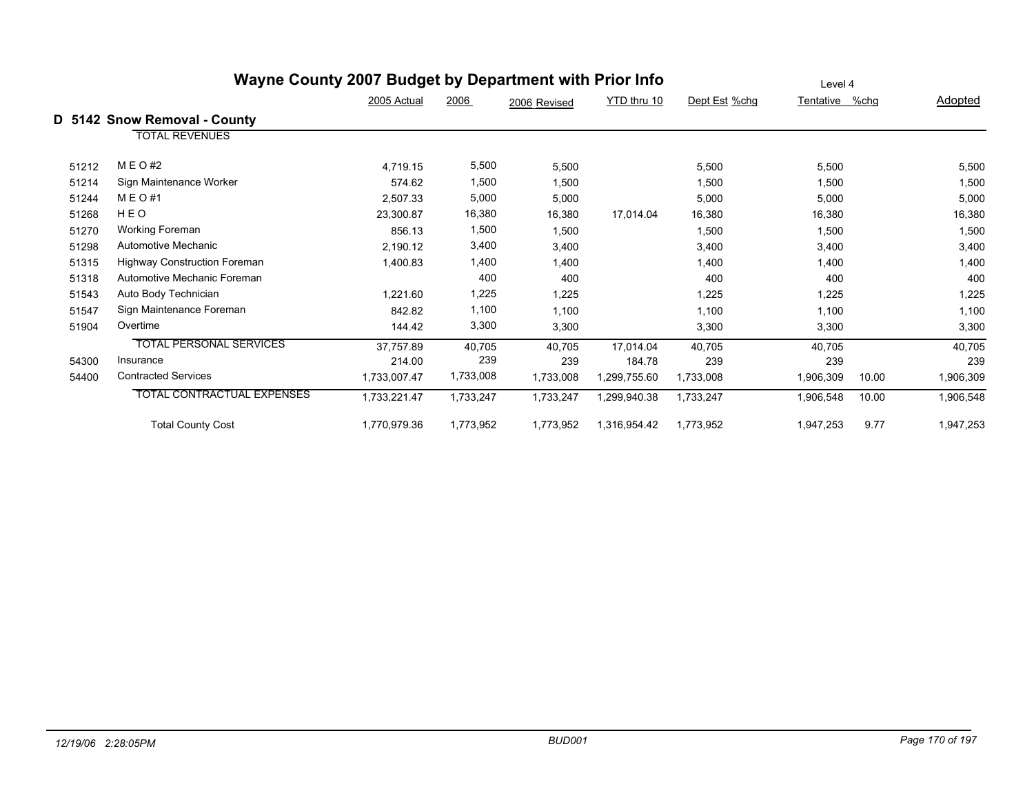|       | Wayne County 2007 Budget by Department with Prior Info | Level 4      |           |              |              |               |           |       |           |
|-------|--------------------------------------------------------|--------------|-----------|--------------|--------------|---------------|-----------|-------|-----------|
|       |                                                        | 2005 Actual  | 2006      | 2006 Revised | YTD thru 10  | Dept Est %chg | Tentative | %chg  | Adopted   |
|       | D 5142 Snow Removal - County                           |              |           |              |              |               |           |       |           |
|       | <b>TOTAL REVENUES</b>                                  |              |           |              |              |               |           |       |           |
| 51212 | M E O #2                                               | 4,719.15     | 5,500     | 5,500        |              | 5,500         | 5,500     |       | 5,500     |
| 51214 | Sign Maintenance Worker                                | 574.62       | 1,500     | 1,500        |              | 1,500         | 1,500     |       | 1,500     |
| 51244 | M E O #1                                               | 2,507.33     | 5,000     | 5,000        |              | 5,000         | 5,000     |       | 5,000     |
| 51268 | HEO                                                    | 23,300.87    | 16,380    | 16,380       | 17,014.04    | 16,380        | 16,380    |       | 16,380    |
| 51270 | <b>Working Foreman</b>                                 | 856.13       | 1,500     | 1,500        |              | 1,500         | 1,500     |       | 1,500     |
| 51298 | Automotive Mechanic                                    | 2,190.12     | 3,400     | 3,400        |              | 3,400         | 3,400     |       | 3,400     |
| 51315 | <b>Highway Construction Foreman</b>                    | 1,400.83     | 1,400     | 1,400        |              | 1,400         | 1,400     |       | 1,400     |
| 51318 | Automotive Mechanic Foreman                            |              | 400       | 400          |              | 400           | 400       |       | 400       |
| 51543 | Auto Body Technician                                   | 1,221.60     | 1,225     | 1,225        |              | 1,225         | 1,225     |       | 1,225     |
| 51547 | Sign Maintenance Foreman                               | 842.82       | 1,100     | 1,100        |              | 1,100         | 1,100     |       | 1,100     |
| 51904 | Overtime                                               | 144.42       | 3,300     | 3,300        |              | 3,300         | 3,300     |       | 3,300     |
|       | <b>TOTAL PERSONAL SERVICES</b>                         | 37.757.89    | 40,705    | 40,705       | 17.014.04    | 40.705        | 40,705    |       | 40,705    |
| 54300 | Insurance                                              | 214.00       | 239       | 239          | 184.78       | 239           | 239       |       | 239       |
| 54400 | <b>Contracted Services</b>                             | 1,733,007.47 | 1,733,008 | 1,733,008    | 1,299,755.60 | 1,733,008     | 1,906,309 | 10.00 | 1,906,309 |
|       | <b>TOTAL CONTRACTUAL EXPENSES</b>                      | 1,733,221.47 | 1,733,247 | 1,733,247    | 1,299,940.38 | 1,733,247     | 1,906,548 | 10.00 | 1,906,548 |
|       | <b>Total County Cost</b>                               | 1,770,979.36 | 1,773,952 | 1,773,952    | 1,316,954.42 | 1,773,952     | 1,947,253 | 9.77  | 1,947,253 |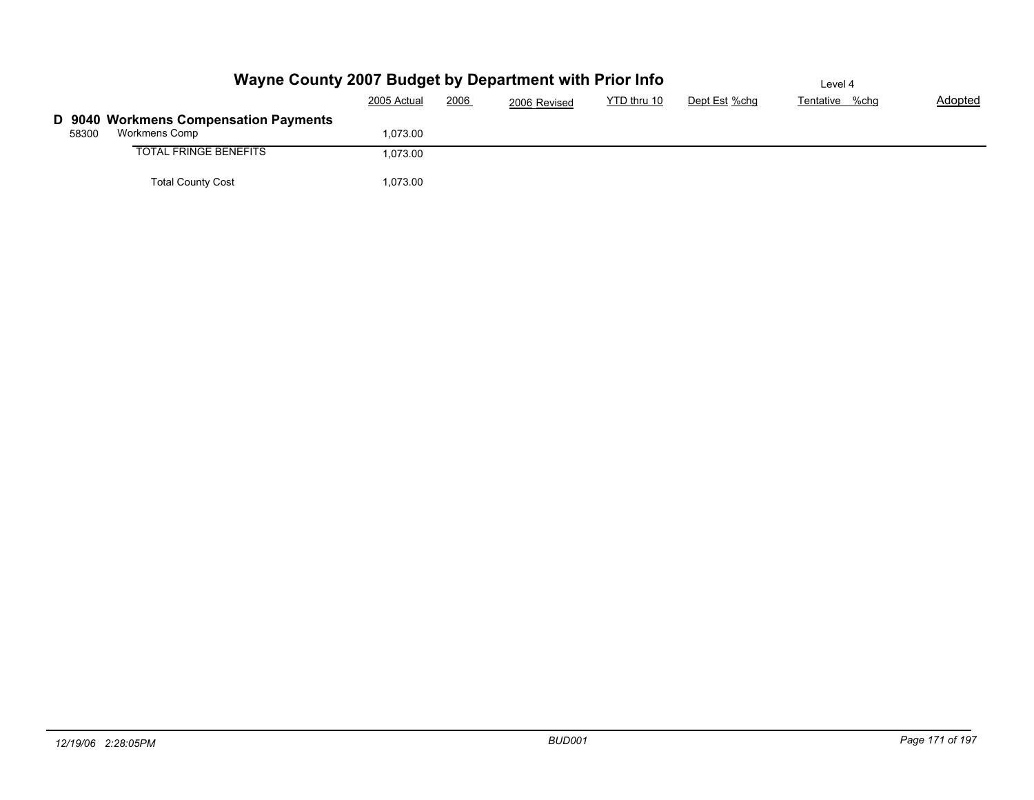|       | Wayne County 2007 Budget by Department with Prior Info | Level 4     |      |              |             |               |                |         |
|-------|--------------------------------------------------------|-------------|------|--------------|-------------|---------------|----------------|---------|
|       |                                                        | 2005 Actual | 2006 | 2006 Revised | YTD thru 10 | Dept Est %chg | Tentative %chg | Adopted |
|       | D 9040 Workmens Compensation Payments                  |             |      |              |             |               |                |         |
| 58300 | Workmens Comp                                          | 1,073.00    |      |              |             |               |                |         |
|       | <b>TOTAL FRINGE BENEFITS</b>                           | 1,073.00    |      |              |             |               |                |         |
|       | <b>Total County Cost</b>                               | 1,073.00    |      |              |             |               |                |         |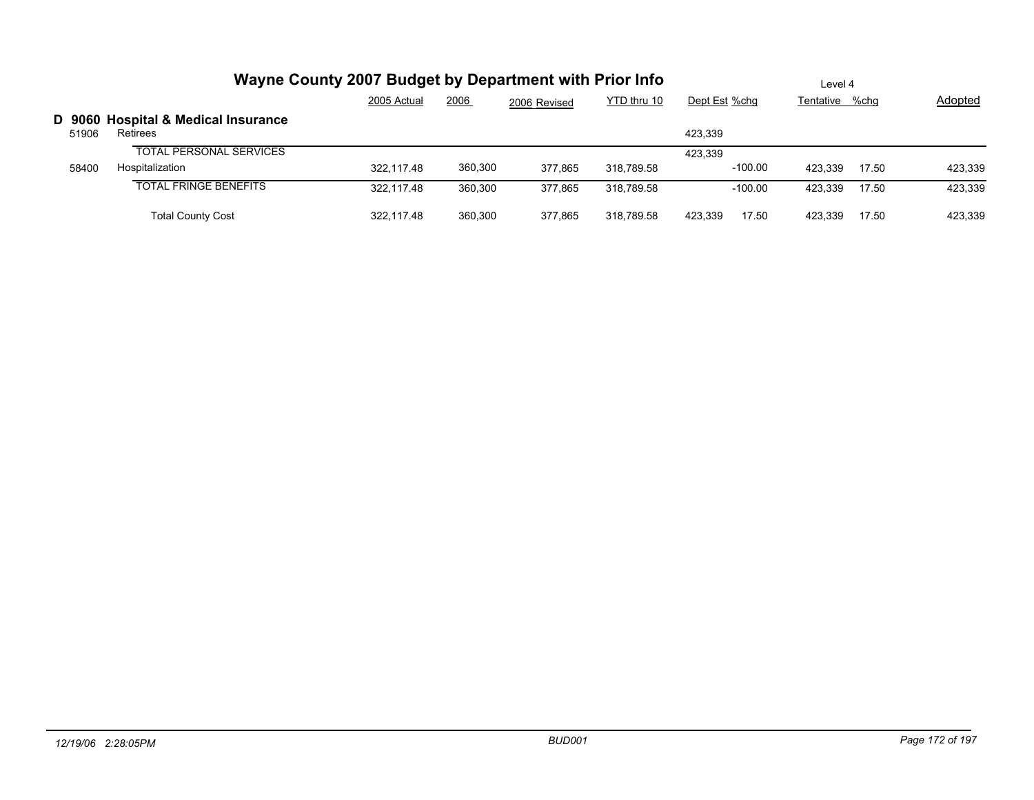|       | Wayne County 2007 Budget by Department with Prior Info | Level 4     |         |              |             |               |           |         |                |         |
|-------|--------------------------------------------------------|-------------|---------|--------------|-------------|---------------|-----------|---------|----------------|---------|
|       |                                                        | 2005 Actual | 2006    | 2006 Revised | YTD thru 10 | Dept Est %chg |           |         | Tentative %chg | Adopted |
| 51906 | D 9060 Hospital & Medical Insurance<br>Retirees        |             |         |              |             | 423.339       |           |         |                |         |
|       | <b>TOTAL PERSONAL SERVICES</b>                         |             |         |              |             | 423.339       |           |         |                |         |
| 58400 | Hospitalization                                        | 322.117.48  | 360,300 | 377.865      | 318.789.58  |               | $-100.00$ | 423.339 | 17.50          | 423,339 |
|       | <b>TOTAL FRINGE BENEFITS</b>                           | 322.117.48  | 360,300 | 377,865      | 318.789.58  |               | $-100.00$ | 423.339 | 17.50          | 423,339 |
|       | <b>Total County Cost</b>                               | 322.117.48  | 360.300 | 377.865      | 318,789.58  | 423.339       | 17.50     | 423.339 | 17.50          | 423,339 |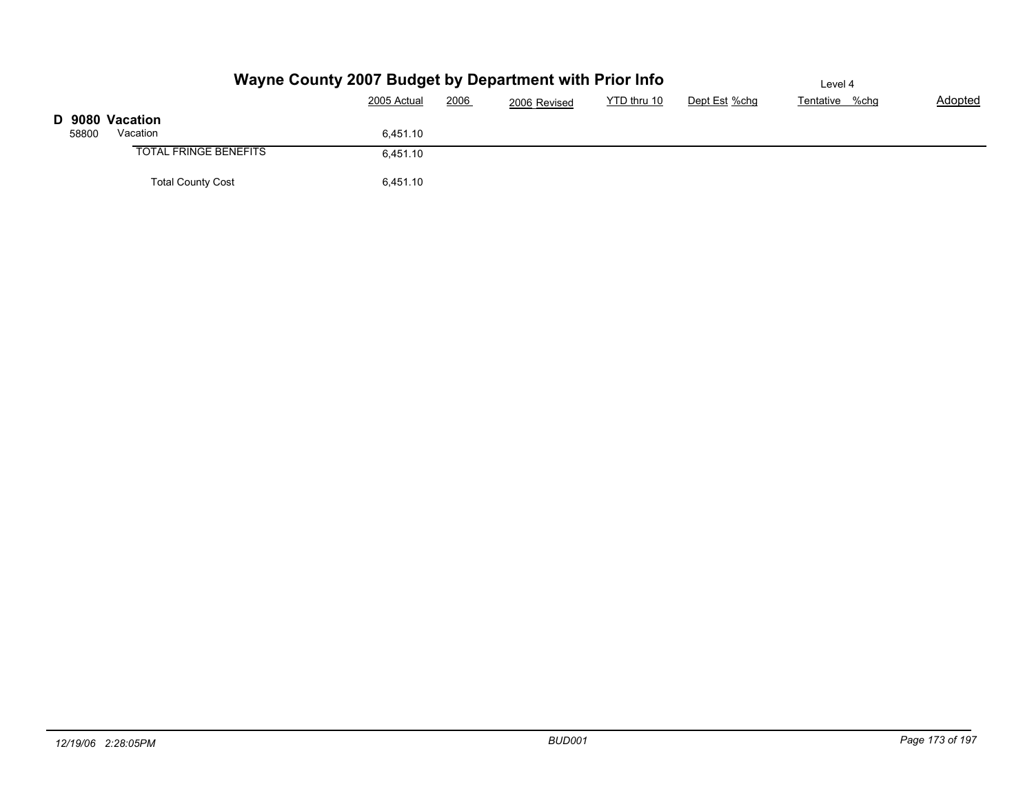|       |                              | Wayne County 2007 Budget by Department with Prior Info |              |             |               | Level 4        |         |
|-------|------------------------------|--------------------------------------------------------|--------------|-------------|---------------|----------------|---------|
|       |                              | 2006<br>2005 Actual                                    | 2006 Revised | YTD thru 10 | Dept Est %chg | Tentative %chg | Adopted |
|       | D 9080 Vacation              |                                                        |              |             |               |                |         |
| 58800 | Vacation                     | 6,451.10                                               |              |             |               |                |         |
|       | <b>TOTAL FRINGE BENEFITS</b> | 6,451.10                                               |              |             |               |                |         |
|       | <b>Total County Cost</b>     | 6,451.10                                               |              |             |               |                |         |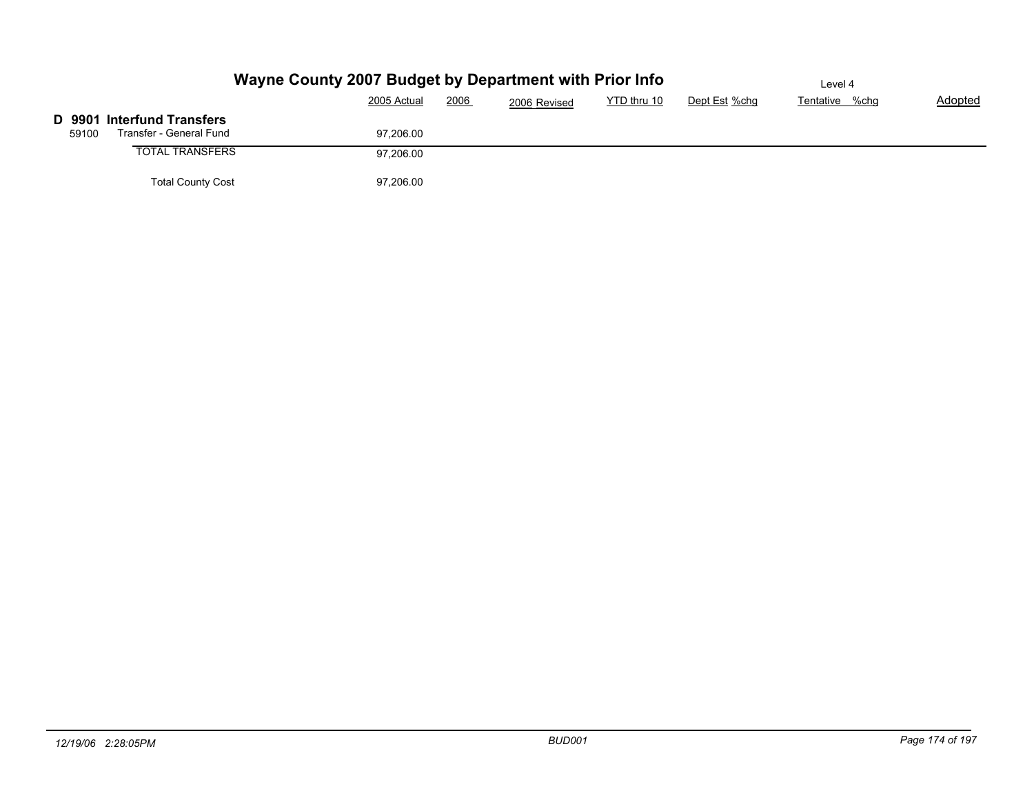|                                   | Wayne County 2007 Budget by Department with Prior Info | Level 4 |              |             |               |                |         |
|-----------------------------------|--------------------------------------------------------|---------|--------------|-------------|---------------|----------------|---------|
|                                   | 2005 Actual                                            | 2006    | 2006 Revised | YTD thru 10 | Dept Est %chg | Tentative %chg | Adopted |
| <b>D</b> 9901 Interfund Transfers |                                                        |         |              |             |               |                |         |
| Transfer - General Fund<br>59100  | 97.206.00                                              |         |              |             |               |                |         |
| <b>TOTAL TRANSFERS</b>            | 97,206.00                                              |         |              |             |               |                |         |
| <b>Total County Cost</b>          | 97,206.00                                              |         |              |             |               |                |         |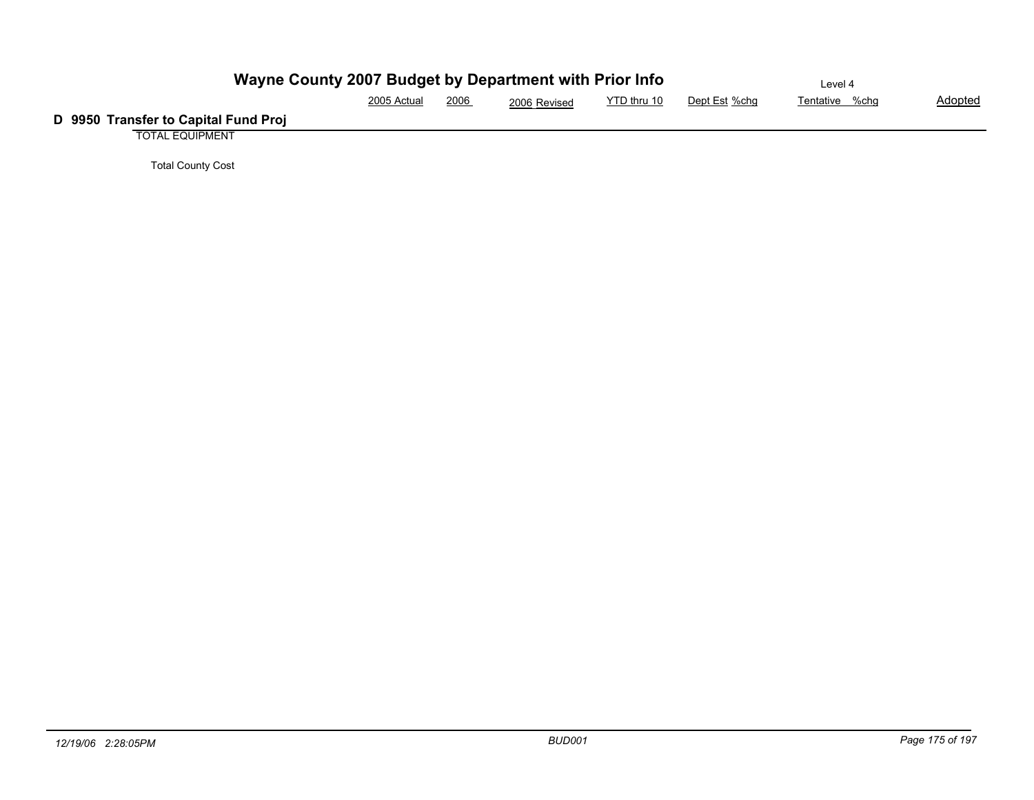| Wayne County 2007 Budget by Department with Prior Info |             |      |              |             |               | Level 4        |                |
|--------------------------------------------------------|-------------|------|--------------|-------------|---------------|----------------|----------------|
|                                                        | 2005 Actual | 2006 | 2006 Revised | YTD thru 10 | Dept Est %chg | Tentative %chg | <b>Adopted</b> |
| D 9950 Transfer to Capital Fund Proj                   |             |      |              |             |               |                |                |
| <b>TOTAL EQUIPMENT</b>                                 |             |      |              |             |               |                |                |

Total County Cost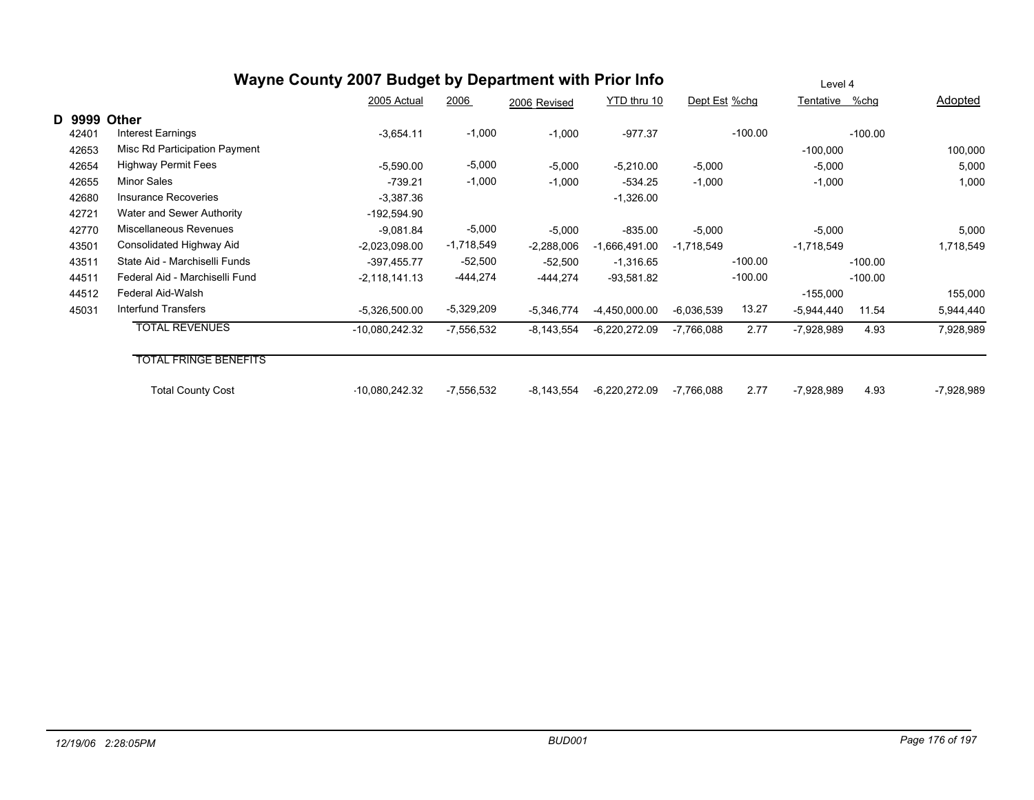| Wayne County 2007 Budget by Department with Prior Info |                                |                 |              |              |                 |               |           | Level 4        |           |              |  |  |  |
|--------------------------------------------------------|--------------------------------|-----------------|--------------|--------------|-----------------|---------------|-----------|----------------|-----------|--------------|--|--|--|
|                                                        |                                | 2005 Actual     | 2006         | 2006 Revised | YTD thru 10     | Dept Est %chg |           | Tentative %chg |           | Adopted      |  |  |  |
| D 9999                                                 | <b>Other</b>                   |                 |              |              |                 |               |           |                |           |              |  |  |  |
| 42401                                                  | Interest Earnings              | $-3,654.11$     | $-1,000$     | $-1,000$     | $-977.37$       |               | $-100.00$ |                | $-100.00$ |              |  |  |  |
| 42653                                                  | Misc Rd Participation Payment  |                 |              |              |                 |               |           | $-100,000$     |           | 100,000      |  |  |  |
| 42654                                                  | <b>Highway Permit Fees</b>     | $-5,590.00$     | $-5,000$     | $-5,000$     | $-5,210.00$     | $-5,000$      |           | $-5,000$       |           | 5,000        |  |  |  |
| 42655                                                  | Minor Sales                    | $-739.21$       | $-1,000$     | $-1,000$     | $-534.25$       | $-1,000$      |           | $-1,000$       |           | 1,000        |  |  |  |
| 42680                                                  | <b>Insurance Recoveries</b>    | $-3,387.36$     |              |              | $-1,326.00$     |               |           |                |           |              |  |  |  |
| 42721                                                  | Water and Sewer Authority      | -192,594.90     |              |              |                 |               |           |                |           |              |  |  |  |
| 42770                                                  | Miscellaneous Revenues         | $-9,081.84$     | $-5,000$     | $-5,000$     | $-835.00$       | $-5,000$      |           | $-5,000$       |           | 5,000        |  |  |  |
| 43501                                                  | Consolidated Highway Aid       | $-2,023,098.00$ | $-1,718,549$ | $-2,288,006$ | $-1,666,491.00$ | $-1,718,549$  |           | -1,718,549     |           | 1,718,549    |  |  |  |
| 43511                                                  | State Aid - Marchiselli Funds  | $-397,455.77$   | $-52,500$    | $-52,500$    | $-1,316.65$     |               | $-100.00$ |                | $-100.00$ |              |  |  |  |
| 44511                                                  | Federal Aid - Marchiselli Fund | $-2,118,141.13$ | $-444,274$   | $-444,274$   | $-93,581.82$    |               | $-100.00$ |                | $-100.00$ |              |  |  |  |
| 44512                                                  | Federal Aid-Walsh              |                 |              |              |                 |               |           | $-155,000$     |           | 155,000      |  |  |  |
| 45031                                                  | Interfund Transfers            | $-5,326,500.00$ | -5,329,209   | $-5,346,774$ | -4,450,000.00   | $-6,036,539$  | 13.27     | $-5,944,440$   | 11.54     | 5,944,440    |  |  |  |
|                                                        | <b>TOTAL REVENUES</b>          | -10,080,242.32  | $-7,556,532$ | $-8,143,554$ | $-6,220,272.09$ | $-7,766,088$  | 2.77      | $-7,928,989$   | 4.93      | 7,928,989    |  |  |  |
|                                                        | <b>TOTAL FRINGE BENEFITS</b>   |                 |              |              |                 |               |           |                |           |              |  |  |  |
|                                                        |                                |                 |              |              |                 |               |           |                |           |              |  |  |  |
|                                                        | <b>Total County Cost</b>       | -10,080,242.32  | $-7,556,532$ | $-8,143,554$ | $-6,220,272.09$ | $-7,766,088$  | 2.77      | -7,928,989     | 4.93      | $-7,928,989$ |  |  |  |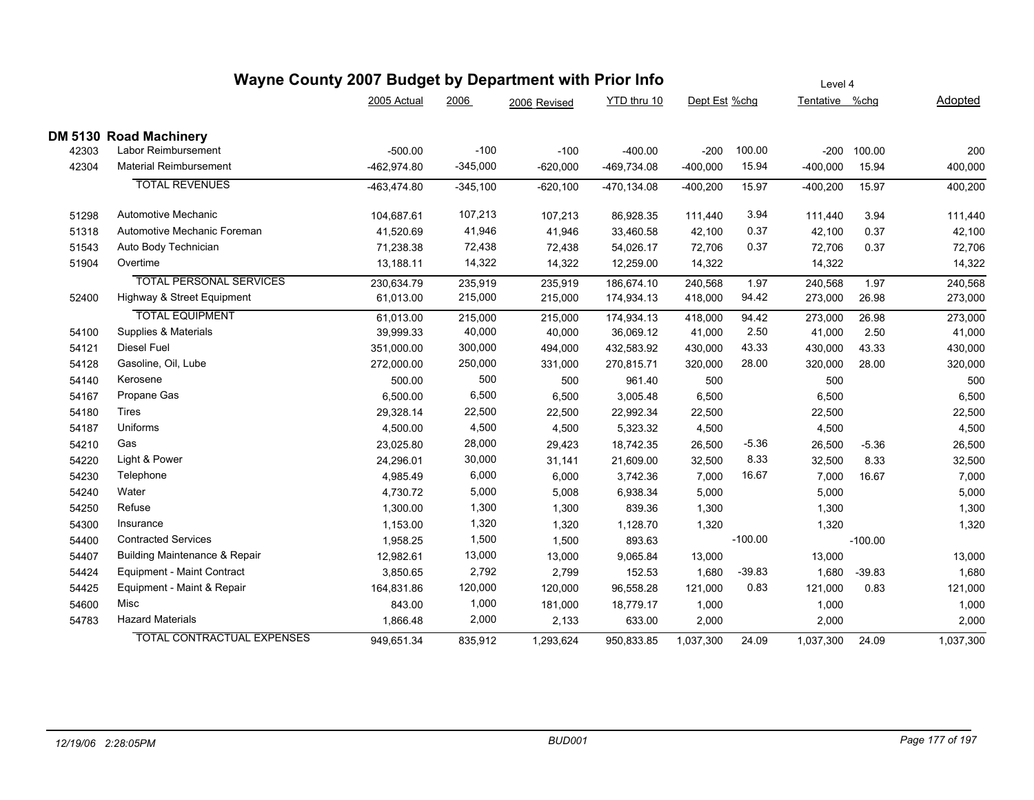| Wayne County 2007 Budget by Department with Prior Info |                        |            |              |                |            |           | Level 4       |           |                                                                                                                                                   |  |  |  |
|--------------------------------------------------------|------------------------|------------|--------------|----------------|------------|-----------|---------------|-----------|---------------------------------------------------------------------------------------------------------------------------------------------------|--|--|--|
|                                                        | 2005 Actual            | 2006       | 2006 Revised | YTD thru 10    |            |           |               |           | Adopted                                                                                                                                           |  |  |  |
|                                                        |                        |            |              |                |            |           |               |           |                                                                                                                                                   |  |  |  |
| Labor Reimbursement                                    | $-500.00$              | $-100$     | $-100$       | $-400.00$      | $-200$     | 100.00    |               | 100.00    | 200                                                                                                                                               |  |  |  |
| <b>Material Reimbursement</b>                          | -462,974.80            | $-345,000$ | $-620,000$   | -469,734.08    | $-400,000$ | 15.94     |               | 15.94     | 400,000                                                                                                                                           |  |  |  |
| <b>TOTAL REVENUES</b>                                  | -463,474.80            | $-345,100$ | $-620,100$   | $-470, 134.08$ | $-400,200$ | 15.97     |               | 15.97     | 400,200                                                                                                                                           |  |  |  |
| Automotive Mechanic                                    | 104,687.61             | 107,213    | 107,213      | 86,928.35      | 111,440    | 3.94      | 111,440       | 3.94      | 111,440                                                                                                                                           |  |  |  |
| Automotive Mechanic Foreman                            | 41,520.69              | 41,946     | 41,946       | 33,460.58      | 42,100     | 0.37      | 42,100        | 0.37      | 42,100                                                                                                                                            |  |  |  |
| Auto Body Technician                                   | 71,238.38              | 72,438     | 72,438       | 54,026.17      | 72,706     | 0.37      | 72,706        | 0.37      | 72,706                                                                                                                                            |  |  |  |
| Overtime                                               | 13,188.11              | 14,322     | 14,322       | 12,259.00      | 14,322     |           |               |           | 14,322                                                                                                                                            |  |  |  |
| <b>TOTAL PERSONAL SERVICES</b>                         | 230,634.79             | 235,919    | 235,919      | 186,674.10     | 240,568    | 1.97      | 240,568       | 1.97      | 240,568                                                                                                                                           |  |  |  |
| Highway & Street Equipment                             | 61,013.00              | 215,000    | 215,000      | 174,934.13     | 418,000    | 94.42     |               | 26.98     | 273,000                                                                                                                                           |  |  |  |
| <b>TOTAL EQUIPMENT</b>                                 | 61,013.00              | 215,000    | 215,000      | 174,934.13     | 418,000    | 94.42     |               | 26.98     | 273,000                                                                                                                                           |  |  |  |
| Supplies & Materials                                   | 39,999.33              | 40,000     | 40,000       | 36,069.12      | 41,000     | 2.50      | 41,000        | 2.50      | 41,000                                                                                                                                            |  |  |  |
| Diesel Fuel                                            | 351,000.00             | 300,000    | 494,000      | 432,583.92     | 430,000    | 43.33     | 430,000       | 43.33     | 430,000                                                                                                                                           |  |  |  |
| Gasoline, Oil, Lube                                    | 272,000.00             | 250,000    | 331,000      | 270,815.71     | 320,000    | 28.00     |               | 28.00     | 320,000                                                                                                                                           |  |  |  |
| Kerosene                                               | 500.00                 | 500        | 500          | 961.40         | 500        |           | 500           |           | 500                                                                                                                                               |  |  |  |
| Propane Gas                                            | 6,500.00               | 6,500      | 6,500        | 3,005.48       | 6,500      |           | 6,500         |           | 6,500                                                                                                                                             |  |  |  |
| Tires                                                  | 29,328.14              | 22,500     | 22,500       | 22,992.34      | 22,500     |           | 22,500        |           | 22,500                                                                                                                                            |  |  |  |
| Uniforms                                               | 4,500.00               | 4,500      | 4,500        | 5,323.32       | 4,500      |           | 4,500         |           | 4,500                                                                                                                                             |  |  |  |
| Gas                                                    | 23,025.80              | 28,000     | 29,423       | 18,742.35      | 26,500     | $-5.36$   |               | $-5.36$   | 26,500                                                                                                                                            |  |  |  |
| Light & Power                                          | 24,296.01              | 30,000     | 31,141       | 21,609.00      | 32,500     | 8.33      | 32,500        | 8.33      | 32,500                                                                                                                                            |  |  |  |
| Telephone                                              | 4,985.49               | 6,000      | 6,000        | 3,742.36       | 7,000      | 16.67     |               | 16.67     | 7,000                                                                                                                                             |  |  |  |
| Water                                                  | 4,730.72               | 5,000      | 5,008        | 6,938.34       | 5,000      |           | 5,000         |           | 5,000                                                                                                                                             |  |  |  |
| Refuse                                                 | 1,300.00               | 1,300      | 1,300        | 839.36         | 1,300      |           | 1,300         |           | 1,300                                                                                                                                             |  |  |  |
| Insurance                                              | 1,153.00               | 1,320      | 1,320        | 1,128.70       | 1,320      |           | 1,320         |           | 1,320                                                                                                                                             |  |  |  |
| <b>Contracted Services</b>                             | 1,958.25               | 1,500      | 1,500        | 893.63         |            | $-100.00$ |               | $-100.00$ |                                                                                                                                                   |  |  |  |
| <b>Building Maintenance &amp; Repair</b>               | 12,982.61              | 13,000     | 13,000       | 9,065.84       | 13,000     |           | 13,000        |           | 13,000                                                                                                                                            |  |  |  |
| Equipment - Maint Contract                             | 3,850.65               | 2,792      | 2,799        | 152.53         | 1,680      | $-39.83$  |               | $-39.83$  | 1,680                                                                                                                                             |  |  |  |
| Equipment - Maint & Repair                             | 164,831.86             | 120,000    | 120,000      | 96,558.28      | 121,000    | 0.83      | 121,000       | 0.83      | 121,000                                                                                                                                           |  |  |  |
| Misc                                                   | 843.00                 | 1,000      | 181,000      | 18,779.17      | 1,000      |           | 1,000         |           | 1,000                                                                                                                                             |  |  |  |
| <b>Hazard Materials</b>                                | 1,866.48               | 2,000      | 2,133        | 633.00         | 2,000      |           |               |           | 2,000                                                                                                                                             |  |  |  |
| <b>TOTAL CONTRACTUAL EXPENSES</b>                      | 949,651.34             | 835,912    | 1,293,624    | 950,833.85     | 1,037,300  | 24.09     |               | 24.09     | 1,037,300                                                                                                                                         |  |  |  |
|                                                        | DM 5130 Road Machinery |            |              |                |            |           | Dept Est %chg |           | Tentative %chg<br>$-200$<br>$-400,000$<br>$-400,200$<br>14,322<br>273,000<br>273,000<br>320,000<br>26,500<br>7,000<br>1,680<br>2,000<br>1,037,300 |  |  |  |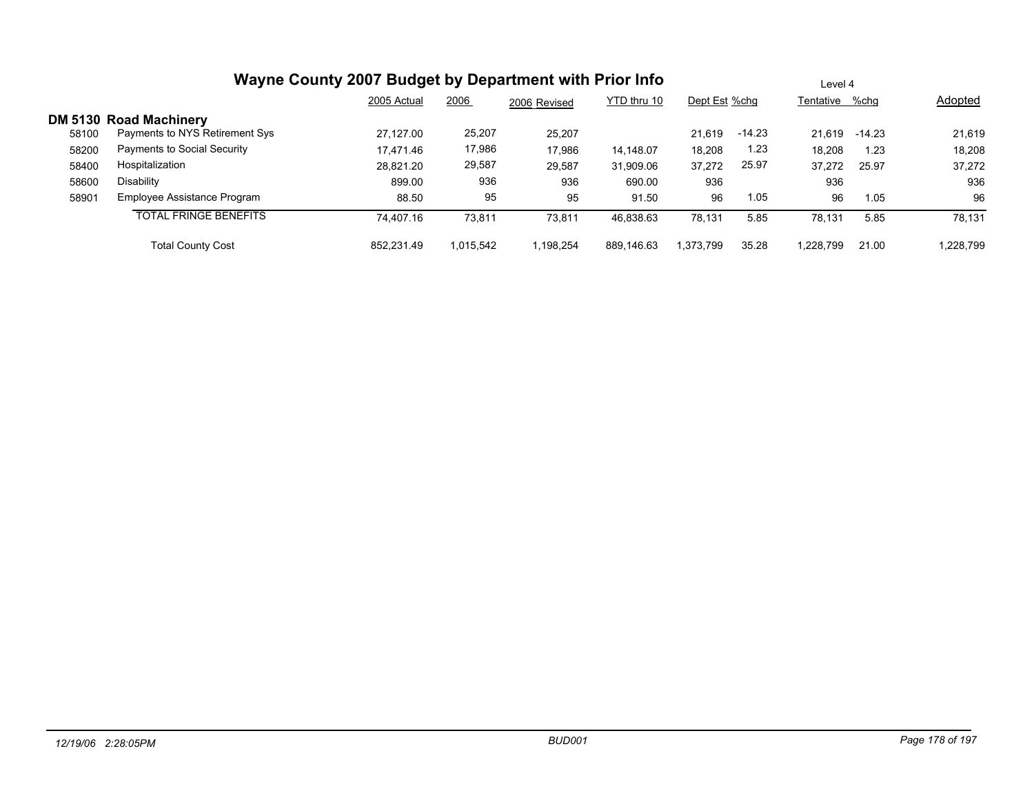# **Wayne County 2007 Budget by Department with Prior Info**

|       |                                                                 | 2005 Actual | 2006      | 2006 Revised | YTD thru 10 | Dept Est %chg |          | Tentative | %chq   | Adopted   |
|-------|-----------------------------------------------------------------|-------------|-----------|--------------|-------------|---------------|----------|-----------|--------|-----------|
| 58100 | <b>DM 5130 Road Machinery</b><br>Payments to NYS Retirement Sys | 27.127.00   | 25,207    | 25,207       |             | 21.619        | $-14.23$ | 21.619    | -14.23 | 21,619    |
| 58200 | Payments to Social Security                                     | 17,471.46   | 17,986    | 17,986       | 14,148.07   | 18,208        | 1.23     | 18,208    | 1.23   | 18,208    |
| 58400 | Hospitalization                                                 | 28,821.20   | 29,587    | 29,587       | 31,909.06   | 37,272        | 25.97    | 37,272    | 25.97  | 37,272    |
| 58600 | Disability                                                      | 899.00      | 936       | 936          | 690.00      | 936           |          | 936       |        | 936       |
| 58901 | Employee Assistance Program                                     | 88.50       | 95        | 95           | 91.50       | 96            | 1.05     | 96        | 1.05   | 96        |
|       | <b>TOTAL FRINGE BENEFITS</b>                                    | 74.407.16   | 73,811    | 73,811       | 46,838.63   | 78,131        | 5.85     | 78.131    | 5.85   | 78,131    |
|       | <b>Total County Cost</b>                                        | 852.231.49  | 1.015.542 | 1,198,254    | 889,146.63  | 1.373.799     | 35.28    | 1.228.799 | 21.00  | 1,228,799 |

Level 4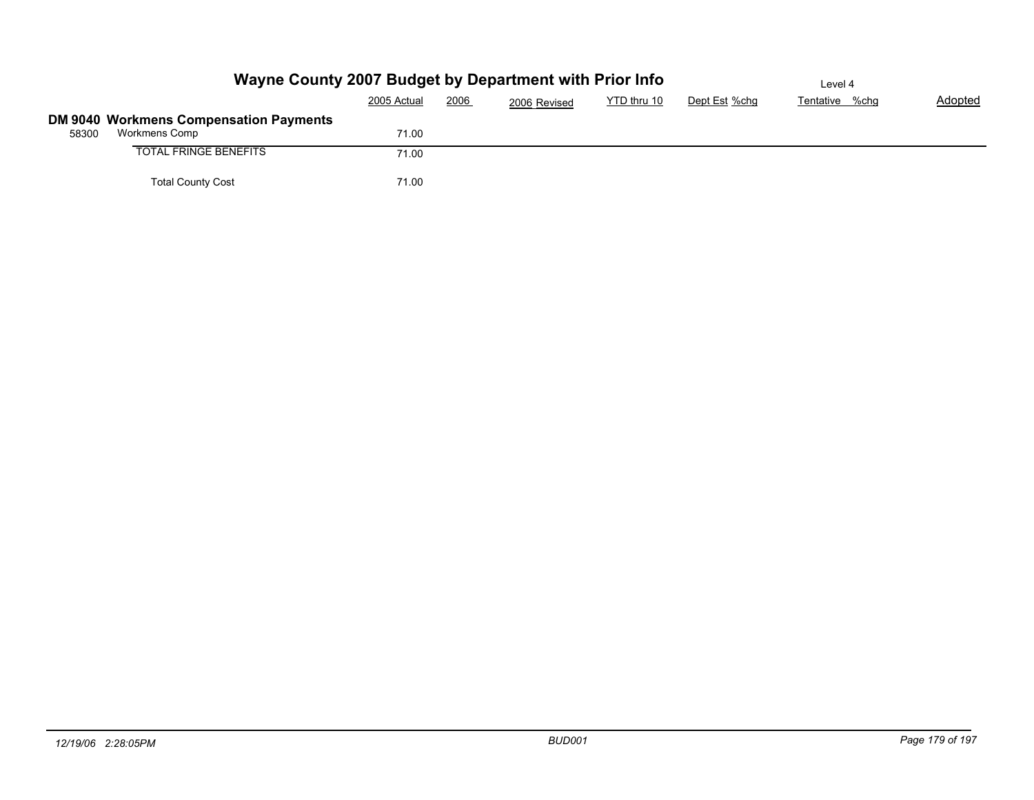|       | Wayne County 2007 Budget by Department with Prior Info | Level 4     |      |              |             |               |                |         |
|-------|--------------------------------------------------------|-------------|------|--------------|-------------|---------------|----------------|---------|
|       |                                                        | 2005 Actual | 2006 | 2006 Revised | YTD thru 10 | Dept Est %chg | Tentative %chg | Adopted |
|       | DM 9040 Workmens Compensation Payments                 |             |      |              |             |               |                |         |
| 58300 | Workmens Comp                                          | 71.00       |      |              |             |               |                |         |
|       | <b>TOTAL FRINGE BENEFITS</b>                           | 71.00       |      |              |             |               |                |         |
|       | <b>Total County Cost</b>                               | 71.00       |      |              |             |               |                |         |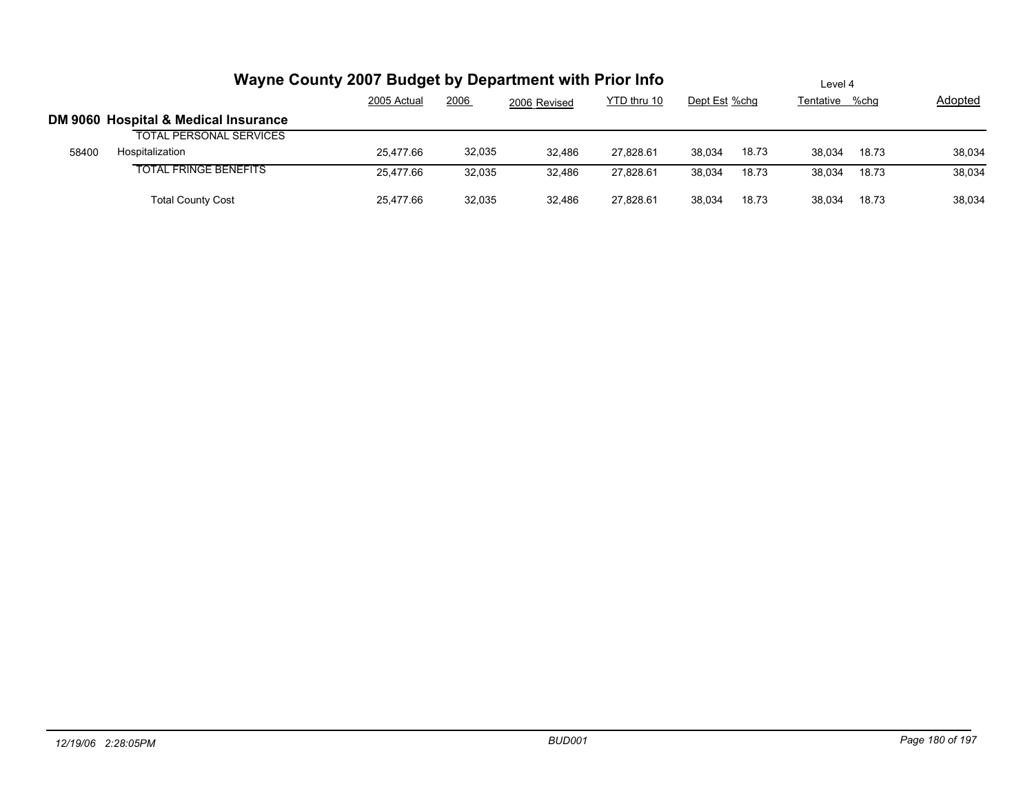|       | Wayne County 2007 Budget by Department with Prior Info | Level 4     |        |              |             |               |       |                |       |         |
|-------|--------------------------------------------------------|-------------|--------|--------------|-------------|---------------|-------|----------------|-------|---------|
|       |                                                        | 2005 Actual | 2006   | 2006 Revised | YTD thru 10 | Dept Est %chg |       | Tentative %chg |       | Adopted |
|       | DM 9060 Hospital & Medical Insurance                   |             |        |              |             |               |       |                |       |         |
|       | <b>TOTAL PERSONAL SERVICES</b>                         |             |        |              |             |               |       |                |       |         |
| 58400 | Hospitalization                                        | 25.477.66   | 32,035 | 32.486       | 27.828.61   | 38,034        | 18.73 | 38.034         | 18.73 | 38,034  |
|       | <b>TOTAL FRINGE BENEFITS</b>                           | 25.477.66   | 32,035 | 32.486       | 27.828.61   | 38.034        | 18.73 | 38.034         | 18.73 | 38,034  |
|       | <b>Total County Cost</b>                               | 25.477.66   | 32,035 | 32.486       | 27.828.61   | 38.034        | 18.73 | 38.034         | 18.73 | 38,034  |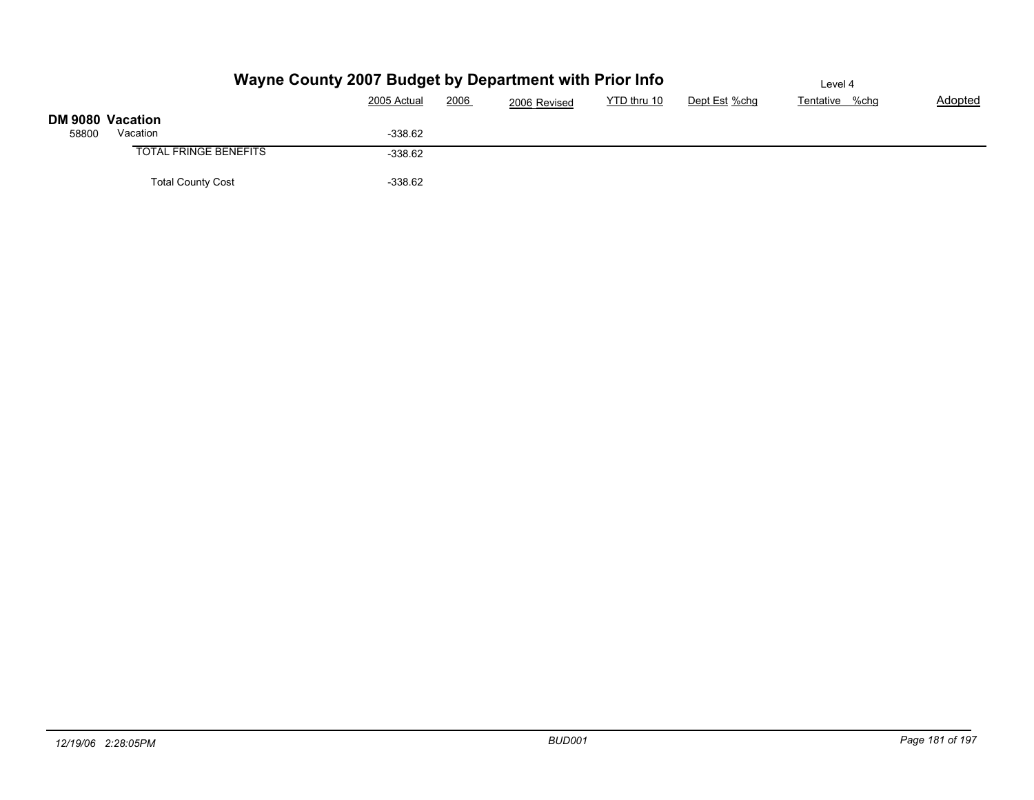|                  |                              | Wayne County 2007 Budget by Department with Prior Info | Level 4 |              |             |               |                |         |
|------------------|------------------------------|--------------------------------------------------------|---------|--------------|-------------|---------------|----------------|---------|
|                  |                              | 2005 Actual                                            | 2006    | 2006 Revised | YTD thru 10 | Dept Est %chg | Tentative %chg | Adopted |
| DM 9080 Vacation |                              |                                                        |         |              |             |               |                |         |
| 58800            | Vacation                     | $-338.62$                                              |         |              |             |               |                |         |
|                  | <b>TOTAL FRINGE BENEFITS</b> | $-338.62$                                              |         |              |             |               |                |         |
|                  | <b>Total County Cost</b>     | $-338.62$                                              |         |              |             |               |                |         |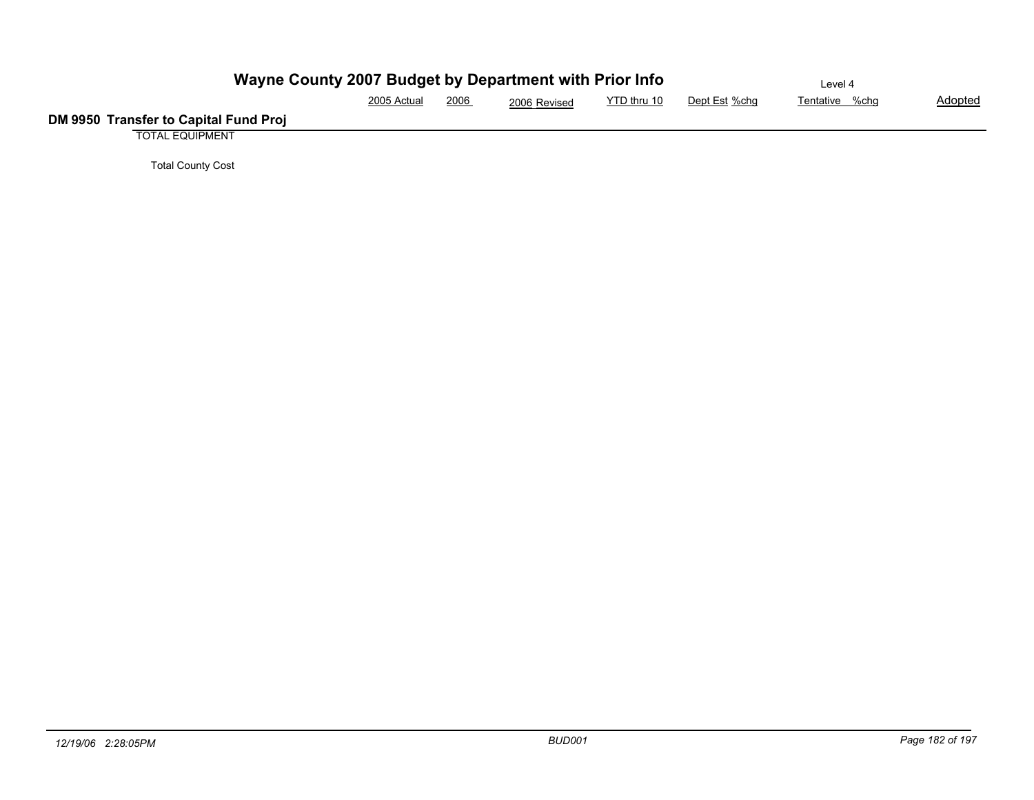| Wayne County 2007 Budget by Department with Prior Info | Level 4     |      |              |             |               |                |                |
|--------------------------------------------------------|-------------|------|--------------|-------------|---------------|----------------|----------------|
|                                                        | 2005 Actual | 2006 | 2006 Revised | YTD thru 10 | Dept Est %chg | Tentative %chg | <b>Adopted</b> |
| DM 9950 Transfer to Capital Fund Proj                  |             |      |              |             |               |                |                |
| <b>TOTAL EQUIPMENT</b>                                 |             |      |              |             |               |                |                |

Total County Cost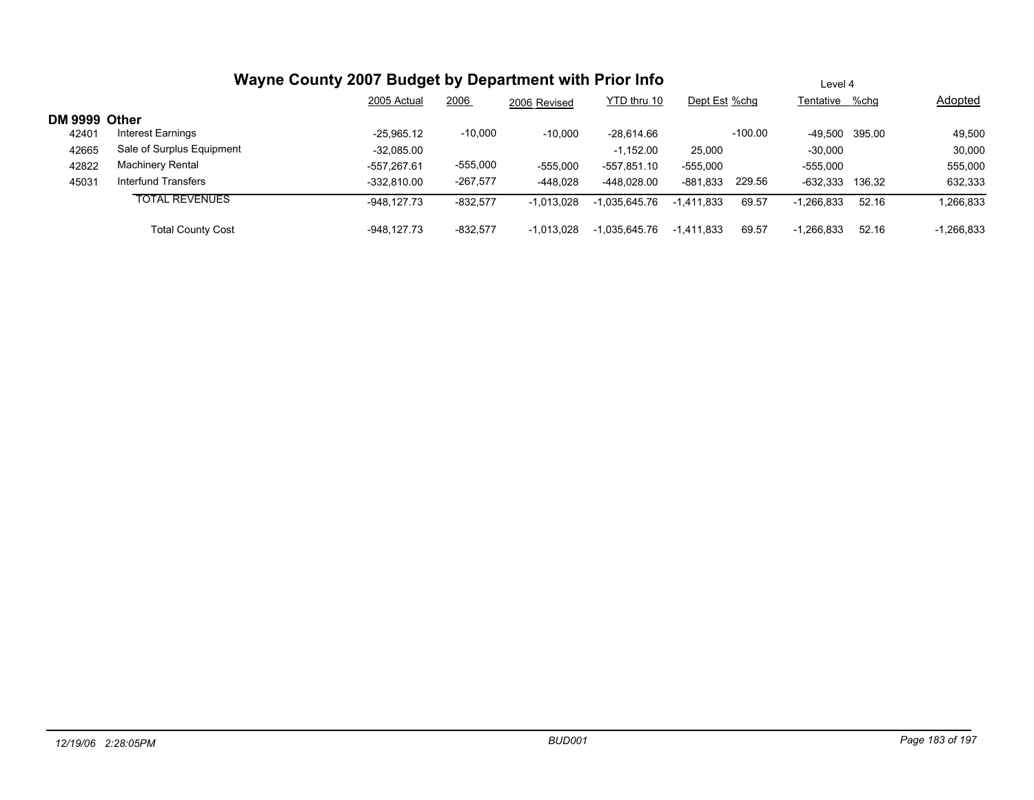|               |                           | Wayne County 2007 Budget by Department with Prior Info |            | Level 4      |               |               |           |                 |       |              |
|---------------|---------------------------|--------------------------------------------------------|------------|--------------|---------------|---------------|-----------|-----------------|-------|--------------|
|               |                           | 2005 Actual                                            | 2006       | 2006 Revised | YTD thru 10   | Dept Est %chg |           | Tentative %chg  |       | Adopted      |
| DM 9999 Other |                           |                                                        |            |              |               |               |           |                 |       |              |
| 42401         | Interest Earnings         | $-25.965.12$                                           | $-10,000$  | $-10,000$    | $-28.614.66$  |               | $-100.00$ | -49.500 395.00  |       | 49,500       |
| 42665         | Sale of Surplus Equipment | $-32,085.00$                                           |            |              | $-1,152.00$   | 25,000        |           | $-30,000$       |       | 30,000       |
| 42822         | <b>Machinery Rental</b>   | -557.267.61                                            | $-555,000$ | $-555.000$   | $-557.851.10$ | $-555.000$    |           | $-555.000$      |       | 555,000      |
| 45031         | Interfund Transfers       | $-332.810.00$                                          | $-267,577$ | -448.028     | -448.028.00   | -881.833      | 229.56    | -632.333 136.32 |       | 632,333      |
|               | <b>TOTAL REVENUES</b>     | -948.127.73                                            | $-832,577$ | $-1,013,028$ | -1.035.645.76 | $-1,411,833$  | 69.57     | $-1,266,833$    | 52.16 | 1,266,833    |
|               | <b>Total County Cost</b>  | -948.127.73                                            | $-832.577$ | $-1,013,028$ | -1.035.645.76 | $-1.411.833$  | 69.57     | $-1,266,833$    | 52.16 | $-1,266,833$ |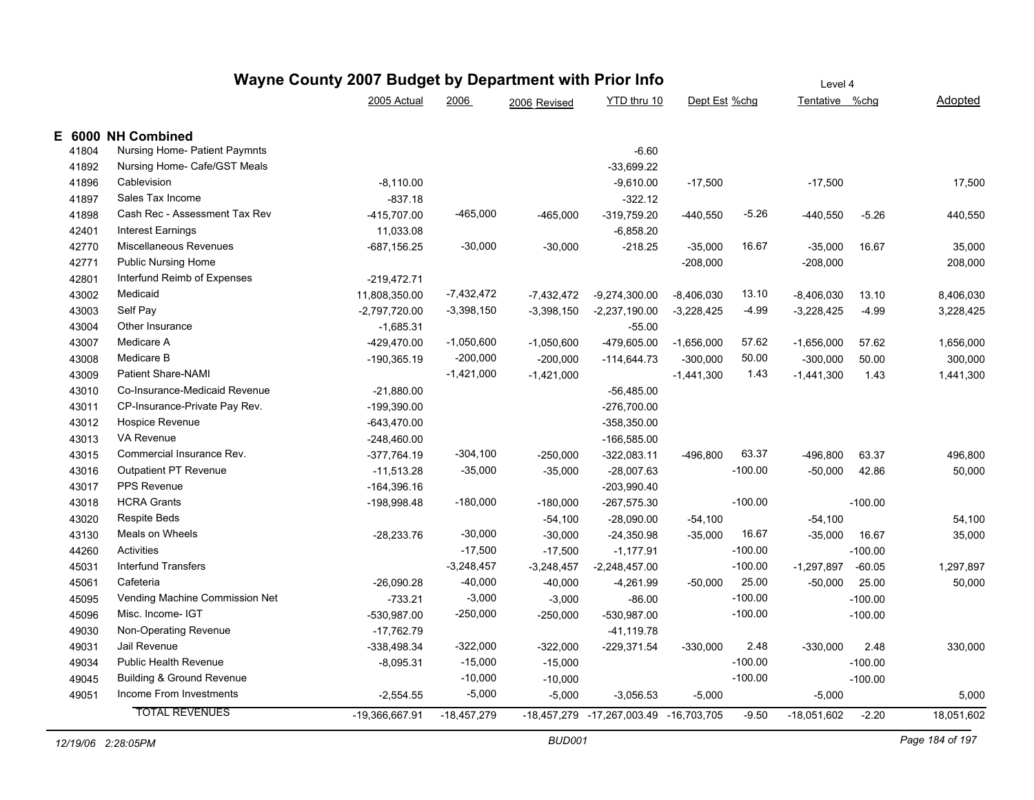|        | Wayne County 2007 Budget by Department with Prior Info |                 | Level 4       |              |                                        |               |           |                |           |            |
|--------|--------------------------------------------------------|-----------------|---------------|--------------|----------------------------------------|---------------|-----------|----------------|-----------|------------|
|        |                                                        | 2005 Actual     | 2006          | 2006 Revised | YTD thru 10                            | Dept Est %chg |           | Tentative %chg |           | Adopted    |
| E 6000 | <b>NH Combined</b>                                     |                 |               |              |                                        |               |           |                |           |            |
| 41804  | Nursing Home- Patient Paymnts                          |                 |               |              | $-6.60$                                |               |           |                |           |            |
| 41892  | Nursing Home- Cafe/GST Meals                           |                 |               |              | $-33,699.22$                           |               |           |                |           |            |
| 41896  | Cablevision                                            | $-8,110.00$     |               |              | $-9,610.00$                            | $-17,500$     |           | $-17,500$      |           | 17,500     |
| 41897  | Sales Tax Income                                       | $-837.18$       |               |              | $-322.12$                              |               |           |                |           |            |
| 41898  | Cash Rec - Assessment Tax Rev                          | -415.707.00     | $-465,000$    | $-465,000$   | $-319,759.20$                          | $-440,550$    | $-5.26$   | -440,550       | $-5.26$   | 440,550    |
| 42401  | <b>Interest Earnings</b>                               | 11,033.08       |               |              | $-6,858.20$                            |               |           |                |           |            |
| 42770  | Miscellaneous Revenues                                 | -687,156.25     | $-30,000$     | $-30,000$    | $-218.25$                              | $-35,000$     | 16.67     | $-35,000$      | 16.67     | 35,000     |
| 42771  | <b>Public Nursing Home</b>                             |                 |               |              |                                        | $-208,000$    |           | $-208,000$     |           | 208,000    |
| 42801  | Interfund Reimb of Expenses                            | $-219,472.71$   |               |              |                                        |               |           |                |           |            |
| 43002  | Medicaid                                               | 11,808,350.00   | $-7,432,472$  | $-7,432,472$ | $-9,274,300.00$                        | $-8,406,030$  | 13.10     | $-8,406,030$   | 13.10     | 8,406,030  |
| 43003  | Self Pay                                               | $-2,797,720.00$ | $-3,398,150$  | $-3,398,150$ | $-2,237,190.00$                        | $-3,228,425$  | $-4.99$   | $-3,228,425$   | $-4.99$   | 3,228,425  |
| 43004  | Other Insurance                                        | $-1,685.31$     |               |              | $-55.00$                               |               |           |                |           |            |
| 43007  | Medicare A                                             | -429,470.00     | $-1,050,600$  | $-1,050,600$ | -479,605.00                            | $-1,656,000$  | 57.62     | $-1,656,000$   | 57.62     | 1,656,000  |
| 43008  | Medicare B                                             | -190,365.19     | $-200,000$    | $-200,000$   | $-114,644.73$                          | $-300,000$    | 50.00     | $-300,000$     | 50.00     | 300,000    |
| 43009  | <b>Patient Share-NAMI</b>                              |                 | $-1,421,000$  | $-1,421,000$ |                                        | $-1,441,300$  | 1.43      | $-1,441,300$   | 1.43      | 1,441,300  |
| 43010  | Co-Insurance-Medicaid Revenue                          | $-21,880.00$    |               |              | $-56,485.00$                           |               |           |                |           |            |
| 43011  | CP-Insurance-Private Pay Rev.                          | $-199,390.00$   |               |              | $-276,700.00$                          |               |           |                |           |            |
| 43012  | Hospice Revenue                                        | $-643,470.00$   |               |              | -358,350.00                            |               |           |                |           |            |
| 43013  | VA Revenue                                             | $-248,460.00$   |               |              | $-166,585.00$                          |               |           |                |           |            |
| 43015  | Commercial Insurance Rev.                              | $-377,764.19$   | $-304,100$    | $-250,000$   | $-322,083.11$                          | $-496,800$    | 63.37     | -496,800       | 63.37     | 496,800    |
| 43016  | Outpatient PT Revenue                                  | $-11,513.28$    | $-35,000$     | $-35,000$    | $-28,007.63$                           |               | $-100.00$ | $-50,000$      | 42.86     | 50,000     |
| 43017  | <b>PPS Revenue</b>                                     | $-164,396.16$   |               |              | $-203,990.40$                          |               |           |                |           |            |
| 43018  | <b>HCRA Grants</b>                                     | -198,998.48     | $-180,000$    | $-180,000$   | $-267,575.30$                          |               | $-100.00$ |                | $-100.00$ |            |
| 43020  | <b>Respite Beds</b>                                    |                 |               | $-54,100$    | $-28,090.00$                           | $-54,100$     |           | $-54,100$      |           | 54,100     |
| 43130  | Meals on Wheels                                        | $-28,233.76$    | $-30,000$     | $-30,000$    | $-24,350.98$                           | $-35,000$     | 16.67     | $-35,000$      | 16.67     | 35,000     |
| 44260  | Activities                                             |                 | $-17,500$     | $-17,500$    | $-1,177.91$                            |               | $-100.00$ |                | $-100.00$ |            |
| 45031  | <b>Interfund Transfers</b>                             |                 | $-3,248,457$  | $-3,248,457$ | $-2,248,457.00$                        |               | $-100.00$ | $-1,297,897$   | $-60.05$  | 1,297,897  |
| 45061  | Cafeteria                                              | $-26,090.28$    | $-40,000$     | $-40,000$    | $-4,261.99$                            | $-50,000$     | 25.00     | $-50,000$      | 25.00     | 50,000     |
| 45095  | Vending Machine Commission Net                         | $-733.21$       | $-3,000$      | $-3,000$     | $-86.00$                               |               | $-100.00$ |                | $-100.00$ |            |
| 45096  | Misc. Income- IGT                                      | -530,987.00     | $-250,000$    | $-250,000$   | $-530,987.00$                          |               | $-100.00$ |                | $-100.00$ |            |
| 49030  | Non-Operating Revenue                                  | $-17,762.79$    |               |              | $-41, 119.78$                          |               |           |                |           |            |
| 49031  | Jail Revenue                                           | -338,498.34     | $-322,000$    | $-322,000$   | $-229,371.54$                          | $-330,000$    | 2.48      | $-330,000$     | 2.48      | 330,000    |
| 49034  | <b>Public Health Revenue</b>                           | $-8,095.31$     | $-15,000$     | $-15,000$    |                                        |               | $-100.00$ |                | $-100.00$ |            |
| 49045  | <b>Building &amp; Ground Revenue</b>                   |                 | $-10,000$     | $-10,000$    |                                        |               | $-100.00$ |                | $-100.00$ |            |
| 49051  | Income From Investments                                | $-2,554.55$     | $-5,000$      | $-5,000$     | $-3,056.53$                            | $-5,000$      |           | $-5,000$       |           | 5,000      |
|        | <b>TOTAL REVENUES</b>                                  | -19,366,667.91  | $-18,457,279$ |              | -18,457,279 -17,267,003.49 -16,703,705 |               | $-9.50$   | $-18,051,602$  | $-2.20$   | 18,051,602 |
|        |                                                        |                 |               |              |                                        |               |           |                |           |            |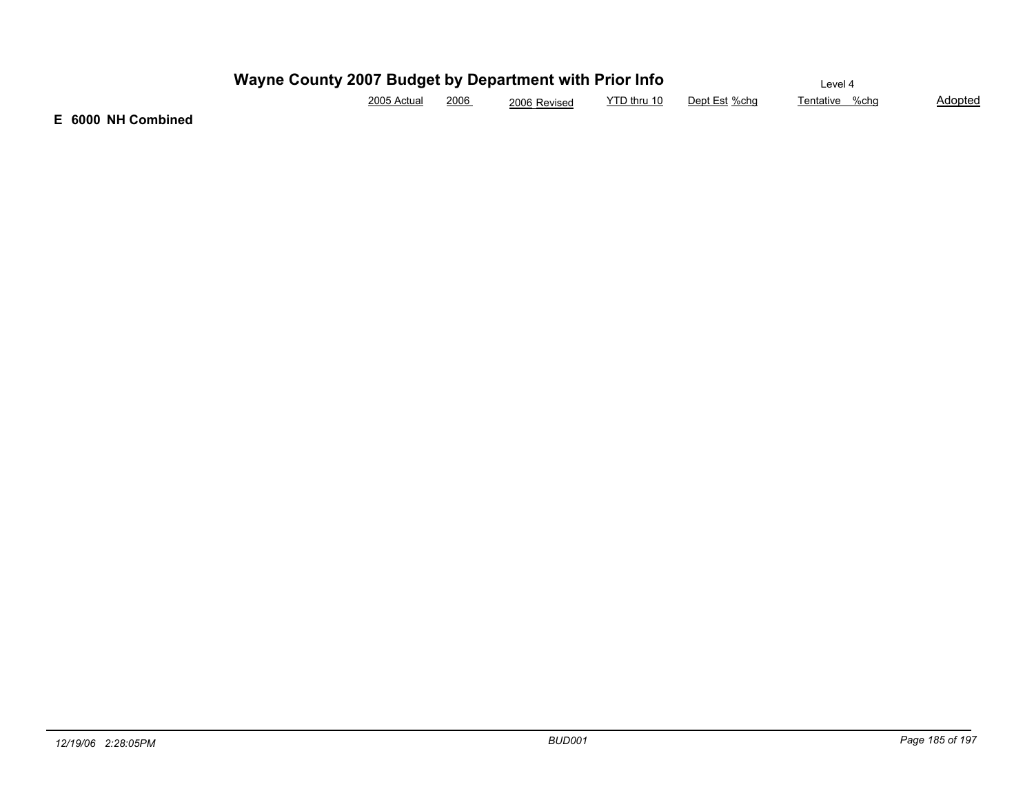| Wayne County 2007 Budget by Department with Prior Info | Level 4     |      |              |             |               |                |                |
|--------------------------------------------------------|-------------|------|--------------|-------------|---------------|----------------|----------------|
|                                                        | 2005 Actual | 2006 | 2006 Revised | YTD thru 10 | Dept Est %cha | Tentative %chɑ | <b>Adopted</b> |

**E 6000 NH Combined**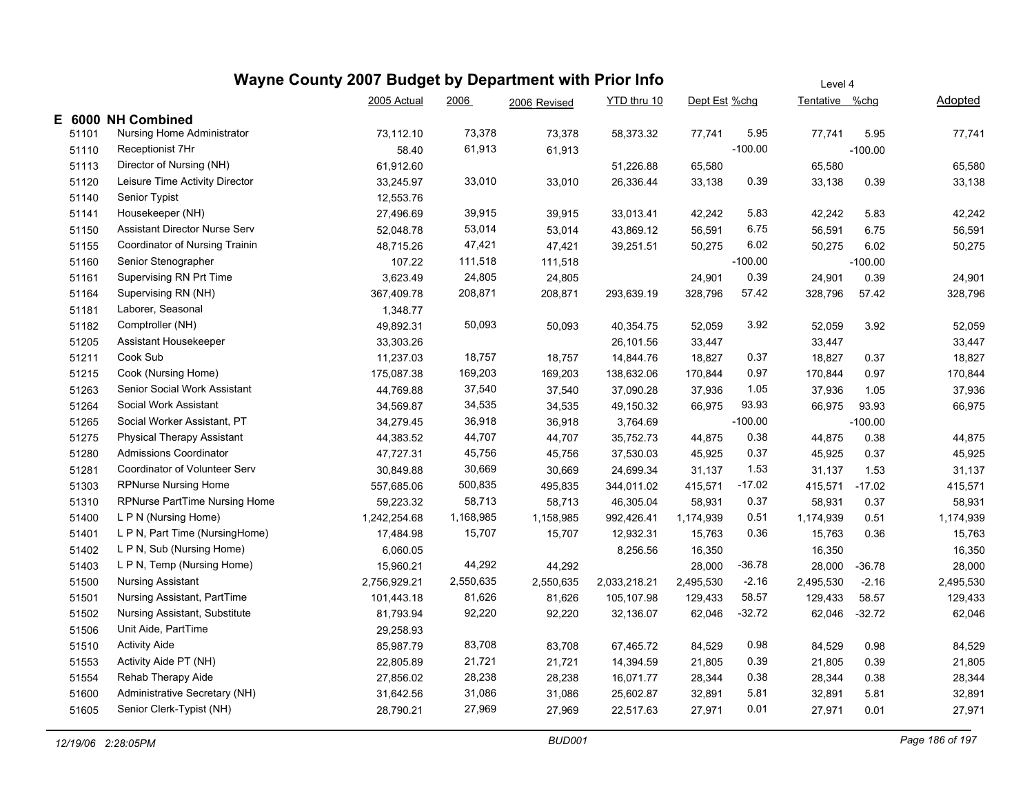|       |                                       | Wayne County 2007 Budget by Department with Prior Info |           |              |              | Level 4       |           |                |           |           |  |
|-------|---------------------------------------|--------------------------------------------------------|-----------|--------------|--------------|---------------|-----------|----------------|-----------|-----------|--|
|       |                                       | 2005 Actual                                            | 2006      | 2006 Revised | YTD thru 10  | Dept Est %chg |           | Tentative %chg |           | Adopted   |  |
|       | E 6000 NH Combined                    |                                                        |           |              |              |               |           |                |           |           |  |
| 51101 | Nursing Home Administrator            | 73,112.10                                              | 73,378    | 73,378       | 58,373.32    | 77,741        | 5.95      | 77,741         | 5.95      | 77,741    |  |
| 51110 | Receptionist 7Hr                      | 58.40                                                  | 61,913    | 61,913       |              |               | $-100.00$ |                | $-100.00$ |           |  |
| 51113 | Director of Nursing (NH)              | 61,912.60                                              |           |              | 51,226.88    | 65,580        |           | 65,580         |           | 65,580    |  |
| 51120 | Leisure Time Activity Director        | 33,245.97                                              | 33,010    | 33,010       | 26,336.44    | 33,138        | 0.39      | 33,138         | 0.39      | 33,138    |  |
| 51140 | Senior Typist                         | 12,553.76                                              |           |              |              |               |           |                |           |           |  |
| 51141 | Housekeeper (NH)                      | 27,496.69                                              | 39,915    | 39,915       | 33,013.41    | 42,242        | 5.83      | 42,242         | 5.83      | 42,242    |  |
| 51150 | Assistant Director Nurse Serv         | 52,048.78                                              | 53,014    | 53,014       | 43,869.12    | 56,591        | 6.75      | 56,591         | 6.75      | 56,591    |  |
| 51155 | <b>Coordinator of Nursing Trainin</b> | 48,715.26                                              | 47,421    | 47,421       | 39,251.51    | 50,275        | 6.02      | 50,275         | 6.02      | 50,275    |  |
| 51160 | Senior Stenographer                   | 107.22                                                 | 111,518   | 111,518      |              |               | $-100.00$ |                | $-100.00$ |           |  |
| 51161 | Supervising RN Prt Time               | 3,623.49                                               | 24,805    | 24,805       |              | 24,901        | 0.39      | 24,901         | 0.39      | 24,901    |  |
| 51164 | Supervising RN (NH)                   | 367,409.78                                             | 208,871   | 208,871      | 293,639.19   | 328,796       | 57.42     | 328,796        | 57.42     | 328,796   |  |
| 51181 | Laborer, Seasonal                     | 1,348.77                                               |           |              |              |               |           |                |           |           |  |
| 51182 | Comptroller (NH)                      | 49,892.31                                              | 50,093    | 50,093       | 40,354.75    | 52,059        | 3.92      | 52,059         | 3.92      | 52,059    |  |
| 51205 | Assistant Housekeeper                 | 33,303.26                                              |           |              | 26,101.56    | 33,447        |           | 33,447         |           | 33,447    |  |
| 51211 | Cook Sub                              | 11,237.03                                              | 18,757    | 18,757       | 14,844.76    | 18,827        | 0.37      | 18,827         | 0.37      | 18,827    |  |
| 51215 | Cook (Nursing Home)                   | 175,087.38                                             | 169,203   | 169,203      | 138,632.06   | 170,844       | 0.97      | 170,844        | 0.97      | 170,844   |  |
| 51263 | Senior Social Work Assistant          | 44,769.88                                              | 37,540    | 37,540       | 37,090.28    | 37,936        | 1.05      | 37,936         | 1.05      | 37,936    |  |
| 51264 | Social Work Assistant                 | 34,569.87                                              | 34,535    | 34,535       | 49,150.32    | 66,975        | 93.93     | 66,975         | 93.93     | 66,975    |  |
| 51265 | Social Worker Assistant, PT           | 34,279.45                                              | 36,918    | 36,918       | 3,764.69     |               | $-100.00$ |                | $-100.00$ |           |  |
| 51275 | <b>Physical Therapy Assistant</b>     | 44,383.52                                              | 44,707    | 44,707       | 35,752.73    | 44,875        | 0.38      | 44,875         | 0.38      | 44,875    |  |
| 51280 | Admissions Coordinator                | 47,727.31                                              | 45,756    | 45,756       | 37,530.03    | 45,925        | 0.37      | 45,925         | 0.37      | 45,925    |  |
| 51281 | Coordinator of Volunteer Serv         | 30,849.88                                              | 30,669    | 30,669       | 24,699.34    | 31,137        | 1.53      | 31,137         | 1.53      | 31,137    |  |
| 51303 | <b>RPNurse Nursing Home</b>           | 557,685.06                                             | 500,835   | 495,835      | 344,011.02   | 415,571       | -17.02    | 415,571        | $-17.02$  | 415,571   |  |
| 51310 | RPNurse PartTime Nursing Home         | 59,223.32                                              | 58,713    | 58,713       | 46,305.04    | 58,931        | 0.37      | 58,931         | 0.37      | 58,931    |  |
| 51400 | L P N (Nursing Home)                  | 1,242,254.68                                           | 1,168,985 | 1,158,985    | 992,426.41   | 1,174,939     | 0.51      | 1,174,939      | 0.51      | 1,174,939 |  |
| 51401 | L P N, Part Time (NursingHome)        | 17,484.98                                              | 15,707    | 15,707       | 12,932.31    | 15,763        | 0.36      | 15,763         | 0.36      | 15,763    |  |
| 51402 | L P N, Sub (Nursing Home)             | 6,060.05                                               |           |              | 8,256.56     | 16,350        |           | 16,350         |           | 16,350    |  |
| 51403 | L P N, Temp (Nursing Home)            | 15,960.21                                              | 44,292    | 44,292       |              | 28,000        | $-36.78$  | 28,000         | $-36.78$  | 28,000    |  |
| 51500 | <b>Nursing Assistant</b>              | 2,756,929.21                                           | 2,550,635 | 2,550,635    | 2,033,218.21 | 2,495,530     | $-2.16$   | 2,495,530      | $-2.16$   | 2,495,530 |  |
| 51501 | Nursing Assistant, PartTime           | 101,443.18                                             | 81,626    | 81,626       | 105,107.98   | 129,433       | 58.57     | 129,433        | 58.57     | 129,433   |  |
| 51502 | Nursing Assistant, Substitute         | 81,793.94                                              | 92,220    | 92,220       | 32,136.07    | 62,046        | $-32.72$  | 62,046         | $-32.72$  | 62,046    |  |
| 51506 | Unit Aide, PartTime                   | 29,258.93                                              |           |              |              |               |           |                |           |           |  |
| 51510 | <b>Activity Aide</b>                  | 85,987.79                                              | 83,708    | 83,708       | 67,465.72    | 84,529        | 0.98      | 84,529         | 0.98      | 84,529    |  |
| 51553 | Activity Aide PT (NH)                 | 22,805.89                                              | 21,721    | 21,721       | 14,394.59    | 21,805        | 0.39      | 21,805         | 0.39      | 21,805    |  |
| 51554 | Rehab Therapy Aide                    | 27,856.02                                              | 28,238    | 28,238       | 16,071.77    | 28,344        | 0.38      | 28,344         | 0.38      | 28,344    |  |
| 51600 | Administrative Secretary (NH)         | 31,642.56                                              | 31,086    | 31,086       | 25,602.87    | 32,891        | 5.81      | 32,891         | 5.81      | 32,891    |  |
| 51605 | Senior Clerk-Typist (NH)              | 28,790.21                                              | 27,969    | 27,969       | 22,517.63    | 27,971        | 0.01      | 27,971         | 0.01      | 27,971    |  |
|       |                                       |                                                        |           |              |              |               |           |                |           |           |  |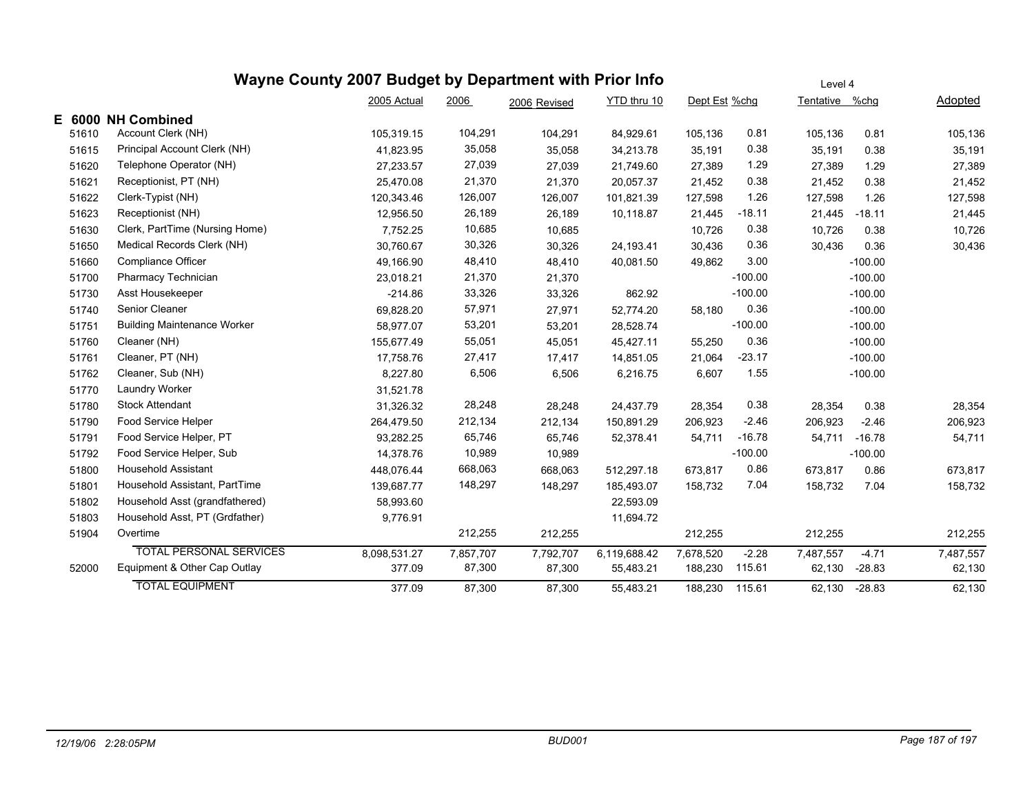|       | Wayne County 2007 Budget by Department with Prior Info |              | Level 4   |              |              |               |           |                |           |           |
|-------|--------------------------------------------------------|--------------|-----------|--------------|--------------|---------------|-----------|----------------|-----------|-----------|
|       |                                                        | 2005 Actual  | 2006      | 2006 Revised | YTD thru 10  | Dept Est %chg |           | Tentative %chg |           | Adopted   |
|       | E 6000 NH Combined                                     |              |           |              |              |               |           |                |           |           |
| 51610 | Account Clerk (NH)                                     | 105,319.15   | 104,291   | 104,291      | 84,929.61    | 105,136       | 0.81      | 105,136        | 0.81      | 105,136   |
| 51615 | Principal Account Clerk (NH)                           | 41,823.95    | 35,058    | 35,058       | 34,213.78    | 35,191        | 0.38      | 35,191         | 0.38      | 35,191    |
| 51620 | Telephone Operator (NH)                                | 27,233.57    | 27,039    | 27,039       | 21,749.60    | 27,389        | 1.29      | 27,389         | 1.29      | 27,389    |
| 51621 | Receptionist, PT (NH)                                  | 25,470.08    | 21,370    | 21,370       | 20,057.37    | 21,452        | 0.38      | 21,452         | 0.38      | 21,452    |
| 51622 | Clerk-Typist (NH)                                      | 120,343.46   | 126,007   | 126,007      | 101,821.39   | 127,598       | 1.26      | 127,598        | 1.26      | 127,598   |
| 51623 | Receptionist (NH)                                      | 12,956.50    | 26,189    | 26,189       | 10,118.87    | 21,445        | $-18.11$  | 21,445         | $-18.11$  | 21,445    |
| 51630 | Clerk, PartTime (Nursing Home)                         | 7,752.25     | 10,685    | 10,685       |              | 10,726        | 0.38      | 10,726         | 0.38      | 10,726    |
| 51650 | Medical Records Clerk (NH)                             | 30,760.67    | 30,326    | 30,326       | 24,193.41    | 30,436        | 0.36      | 30,436         | 0.36      | 30,436    |
| 51660 | Compliance Officer                                     | 49,166.90    | 48,410    | 48,410       | 40,081.50    | 49,862        | 3.00      |                | $-100.00$ |           |
| 51700 | Pharmacy Technician                                    | 23,018.21    | 21,370    | 21,370       |              |               | $-100.00$ |                | $-100.00$ |           |
| 51730 | Asst Housekeeper                                       | $-214.86$    | 33,326    | 33,326       | 862.92       |               | $-100.00$ |                | $-100.00$ |           |
| 51740 | Senior Cleaner                                         | 69,828.20    | 57,971    | 27,971       | 52,774.20    | 58,180        | 0.36      |                | $-100.00$ |           |
| 51751 | <b>Building Maintenance Worker</b>                     | 58,977.07    | 53,201    | 53,201       | 28,528.74    |               | $-100.00$ |                | $-100.00$ |           |
| 51760 | Cleaner (NH)                                           | 155.677.49   | 55,051    | 45,051       | 45,427.11    | 55,250        | 0.36      |                | $-100.00$ |           |
| 51761 | Cleaner, PT (NH)                                       | 17,758.76    | 27,417    | 17,417       | 14,851.05    | 21,064        | $-23.17$  |                | $-100.00$ |           |
| 51762 | Cleaner, Sub (NH)                                      | 8,227.80     | 6,506     | 6,506        | 6,216.75     | 6,607         | 1.55      |                | $-100.00$ |           |
| 51770 | Laundry Worker                                         | 31,521.78    |           |              |              |               |           |                |           |           |
| 51780 | <b>Stock Attendant</b>                                 | 31,326.32    | 28,248    | 28,248       | 24,437.79    | 28,354        | 0.38      | 28,354         | 0.38      | 28,354    |
| 51790 | Food Service Helper                                    | 264,479.50   | 212,134   | 212,134      | 150,891.29   | 206,923       | $-2.46$   | 206,923        | $-2.46$   | 206,923   |
| 51791 | Food Service Helper, PT                                | 93,282.25    | 65,746    | 65,746       | 52,378.41    | 54,711        | $-16.78$  | 54,711         | $-16.78$  | 54,711    |
| 51792 | Food Service Helper, Sub                               | 14,378.76    | 10,989    | 10,989       |              |               | $-100.00$ |                | $-100.00$ |           |
| 51800 | <b>Household Assistant</b>                             | 448,076.44   | 668,063   | 668,063      | 512,297.18   | 673,817       | 0.86      | 673,817        | 0.86      | 673,817   |
| 51801 | Household Assistant, PartTime                          | 139,687.77   | 148,297   | 148,297      | 185,493.07   | 158,732       | 7.04      | 158,732        | 7.04      | 158,732   |
| 51802 | Household Asst (grandfathered)                         | 58,993.60    |           |              | 22,593.09    |               |           |                |           |           |
| 51803 | Household Asst, PT (Grdfather)                         | 9,776.91     |           |              | 11,694.72    |               |           |                |           |           |
| 51904 | Overtime                                               |              | 212,255   | 212,255      |              | 212,255       |           | 212,255        |           | 212,255   |
|       | <b>TOTAL PERSONAL SERVICES</b>                         | 8,098,531.27 | 7,857,707 | 7,792,707    | 6,119,688.42 | 7,678,520     | $-2.28$   | 7,487,557      | $-4.71$   | 7,487,557 |
| 52000 | Equipment & Other Cap Outlay                           | 377.09       | 87,300    | 87,300       | 55,483.21    | 188,230       | 115.61    | 62,130         | $-28.83$  | 62,130    |
|       | <b>TOTAL EQUIPMENT</b>                                 | 377.09       | 87.300    | 87.300       | 55.483.21    | 188.230       | 115.61    | 62.130         | $-28.83$  | 62.130    |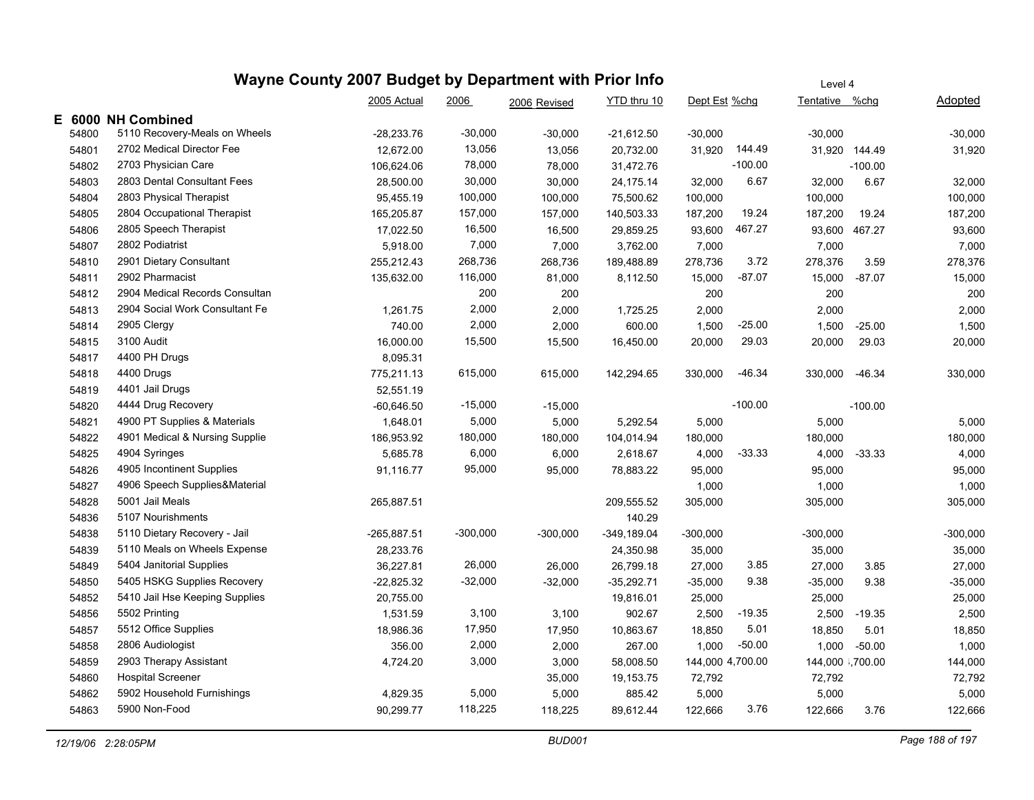|       |                                | 2005 Actual   | 2006       | 2006 Revised | YTD thru 10   | Dept Est %chg    |           | Tentative %chg   |           | Adopted    |
|-------|--------------------------------|---------------|------------|--------------|---------------|------------------|-----------|------------------|-----------|------------|
|       | E 6000 NH Combined             |               |            |              |               |                  |           |                  |           |            |
| 54800 | 5110 Recovery-Meals on Wheels  | $-28,233.76$  | $-30,000$  | $-30,000$    | $-21,612.50$  | $-30,000$        |           | $-30,000$        |           | $-30,000$  |
| 54801 | 2702 Medical Director Fee      | 12,672.00     | 13,056     | 13,056       | 20,732.00     | 31,920           | 144.49    | 31,920 144.49    |           | 31,920     |
| 54802 | 2703 Physician Care            | 106,624.06    | 78,000     | 78,000       | 31,472.76     |                  | $-100.00$ |                  | $-100.00$ |            |
| 54803 | 2803 Dental Consultant Fees    | 28,500.00     | 30,000     | 30,000       | 24,175.14     | 32,000           | 6.67      | 32,000           | 6.67      | 32,000     |
| 54804 | 2803 Physical Therapist        | 95,455.19     | 100,000    | 100,000      | 75,500.62     | 100,000          |           | 100,000          |           | 100,000    |
| 54805 | 2804 Occupational Therapist    | 165,205.87    | 157,000    | 157,000      | 140,503.33    | 187,200          | 19.24     | 187,200          | 19.24     | 187,200    |
| 54806 | 2805 Speech Therapist          | 17,022.50     | 16,500     | 16,500       | 29,859.25     | 93,600           | 467.27    | 93,600           | 467.27    | 93,600     |
| 54807 | 2802 Podiatrist                | 5,918.00      | 7,000      | 7,000        | 3,762.00      | 7,000            |           | 7,000            |           | 7,000      |
| 54810 | 2901 Dietary Consultant        | 255,212.43    | 268,736    | 268,736      | 189,488.89    | 278,736          | 3.72      | 278,376          | 3.59      | 278,376    |
| 54811 | 2902 Pharmacist                | 135,632.00    | 116,000    | 81,000       | 8,112.50      | 15,000           | -87.07    | 15,000           | $-87.07$  | 15,000     |
| 54812 | 2904 Medical Records Consultan |               | 200        | 200          |               | 200              |           | 200              |           | 200        |
| 54813 | 2904 Social Work Consultant Fe | 1,261.75      | 2,000      | 2,000        | 1,725.25      | 2,000            |           | 2,000            |           | 2,000      |
| 54814 | 2905 Clergy                    | 740.00        | 2,000      | 2,000        | 600.00        | 1,500            | $-25.00$  | 1,500            | $-25.00$  | 1,500      |
| 54815 | 3100 Audit                     | 16,000.00     | 15,500     | 15,500       | 16,450.00     | 20,000           | 29.03     | 20,000           | 29.03     | 20,000     |
| 54817 | 4400 PH Drugs                  | 8,095.31      |            |              |               |                  |           |                  |           |            |
| 54818 | 4400 Drugs                     | 775,211.13    | 615,000    | 615,000      | 142,294.65    | 330,000          | $-46.34$  | 330,000          | $-46.34$  | 330,000    |
| 54819 | 4401 Jail Drugs                | 52,551.19     |            |              |               |                  |           |                  |           |            |
| 54820 | 4444 Drug Recovery             | $-60,646.50$  | $-15,000$  | $-15,000$    |               |                  | $-100.00$ |                  | $-100.00$ |            |
| 54821 | 4900 PT Supplies & Materials   | 1,648.01      | 5,000      | 5,000        | 5,292.54      | 5,000            |           | 5,000            |           | 5,000      |
| 54822 | 4901 Medical & Nursing Supplie | 186,953.92    | 180,000    | 180,000      | 104,014.94    | 180,000          |           | 180,000          |           | 180,000    |
| 54825 | 4904 Syringes                  | 5,685.78      | 6,000      | 6,000        | 2,618.67      | 4,000            | $-33.33$  | 4,000            | $-33.33$  | 4,000      |
| 54826 | 4905 Incontinent Supplies      | 91,116.77     | 95,000     | 95,000       | 78,883.22     | 95,000           |           | 95,000           |           | 95,000     |
| 54827 | 4906 Speech Supplies&Material  |               |            |              |               | 1,000            |           | 1,000            |           | 1,000      |
| 54828 | 5001 Jail Meals                | 265,887.51    |            |              | 209,555.52    | 305,000          |           | 305,000          |           | 305,000    |
| 54836 | 5107 Nourishments              |               |            |              | 140.29        |                  |           |                  |           |            |
| 54838 | 5110 Dietary Recovery - Jail   | $-265,887.51$ | $-300,000$ | $-300,000$   | $-349,189.04$ | $-300,000$       |           | $-300,000$       |           | $-300,000$ |
| 54839 | 5110 Meals on Wheels Expense   | 28,233.76     |            |              | 24,350.98     | 35,000           |           | 35,000           |           | 35,000     |
| 54849 | 5404 Janitorial Supplies       | 36,227.81     | 26,000     | 26,000       | 26,799.18     | 27,000           | 3.85      | 27,000           | 3.85      | 27,000     |
| 54850 | 5405 HSKG Supplies Recovery    | $-22,825.32$  | $-32,000$  | $-32,000$    | $-35,292.71$  | $-35,000$        | 9.38      | $-35,000$        | 9.38      | $-35,000$  |
| 54852 | 5410 Jail Hse Keeping Supplies | 20,755.00     |            |              | 19,816.01     | 25,000           |           | 25,000           |           | 25,000     |
| 54856 | 5502 Printing                  | 1,531.59      | 3,100      | 3,100        | 902.67        | 2,500            | -19.35    | 2,500            | $-19.35$  | 2,500      |
| 54857 | 5512 Office Supplies           | 18,986.36     | 17,950     | 17,950       | 10,863.67     | 18,850           | 5.01      | 18,850           | 5.01      | 18,850     |
| 54858 | 2806 Audiologist               | 356.00        | 2,000      | 2,000        | 267.00        | 1,000            | $-50.00$  | 1,000            | $-50.00$  | 1,000      |
| 54859 | 2903 Therapy Assistant         | 4,724.20      | 3,000      | 3,000        | 58,008.50     | 144,000 4,700.00 |           | 144,000 \,700.00 |           | 144,000    |
| 54860 | <b>Hospital Screener</b>       |               |            | 35,000       | 19,153.75     | 72,792           |           | 72,792           |           | 72,792     |
| 54862 | 5902 Household Furnishings     | 4,829.35      | 5,000      | 5,000        | 885.42        | 5,000            |           | 5,000            |           | 5,000      |
| 54863 | 5900 Non-Food                  | 90,299.77     | 118,225    | 118,225      | 89,612.44     | 122,666          | 3.76      | 122,666          | 3.76      | 122,666    |
|       |                                |               |            |              |               |                  |           |                  |           |            |

Level 4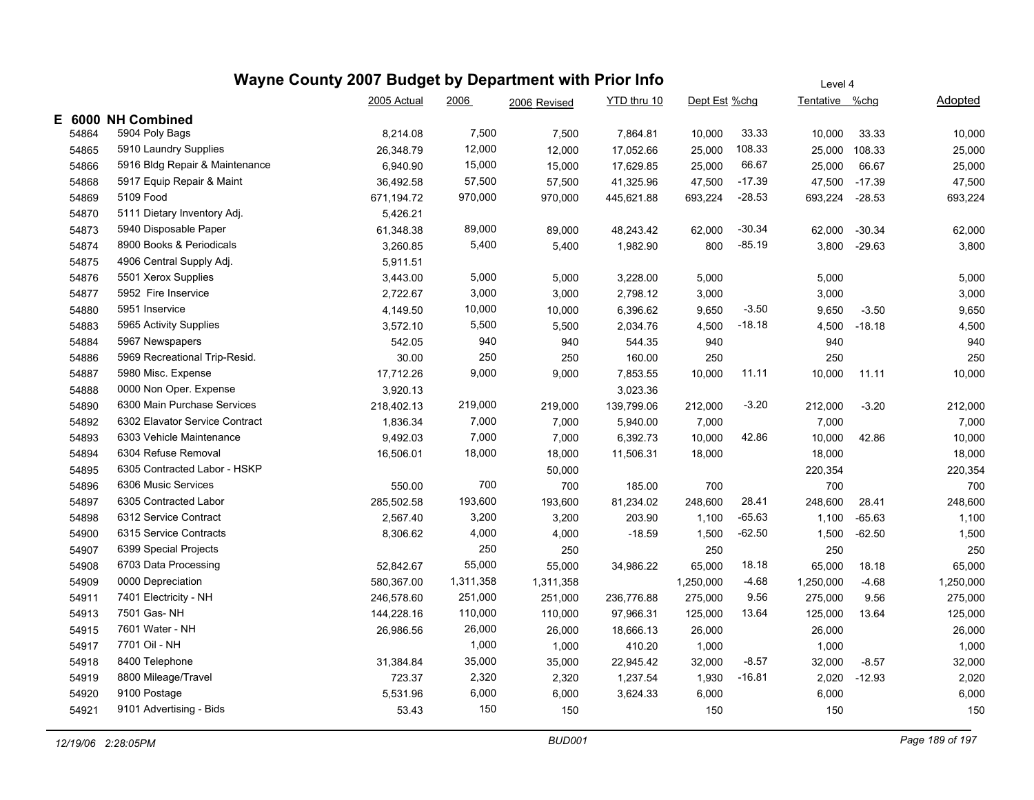|       |                                | 2005 Actual | 2006      | 2006 Revised | YTD thru 10 | Dept Est %chg |          | Tentative %chg |          | Adopted   |
|-------|--------------------------------|-------------|-----------|--------------|-------------|---------------|----------|----------------|----------|-----------|
|       | E 6000 NH Combined             |             |           |              |             |               |          |                |          |           |
| 54864 | 5904 Poly Bags                 | 8,214.08    | 7,500     | 7,500        | 7,864.81    | 10,000        | 33.33    | 10,000         | 33.33    | 10,000    |
| 54865 | 5910 Laundry Supplies          | 26,348.79   | 12,000    | 12,000       | 17,052.66   | 25,000        | 108.33   | 25,000         | 108.33   | 25,000    |
| 54866 | 5916 Bldg Repair & Maintenance | 6,940.90    | 15,000    | 15,000       | 17,629.85   | 25,000        | 66.67    | 25,000         | 66.67    | 25,000    |
| 54868 | 5917 Equip Repair & Maint      | 36,492.58   | 57,500    | 57,500       | 41,325.96   | 47,500        | $-17.39$ | 47,500         | $-17.39$ | 47,500    |
| 54869 | 5109 Food                      | 671,194.72  | 970,000   | 970,000      | 445,621.88  | 693,224       | $-28.53$ | 693,224        | $-28.53$ | 693,224   |
| 54870 | 5111 Dietary Inventory Adj.    | 5,426.21    |           |              |             |               |          |                |          |           |
| 54873 | 5940 Disposable Paper          | 61,348.38   | 89,000    | 89,000       | 48,243.42   | 62,000        | $-30.34$ | 62,000         | $-30.34$ | 62,000    |
| 54874 | 8900 Books & Periodicals       | 3,260.85    | 5,400     | 5,400        | 1,982.90    | 800           | $-85.19$ | 3,800          | $-29.63$ | 3,800     |
| 54875 | 4906 Central Supply Adj.       | 5,911.51    |           |              |             |               |          |                |          |           |
| 54876 | 5501 Xerox Supplies            | 3,443.00    | 5,000     | 5,000        | 3,228.00    | 5,000         |          | 5,000          |          | 5,000     |
| 54877 | 5952 Fire Inservice            | 2,722.67    | 3,000     | 3,000        | 2,798.12    | 3,000         |          | 3,000          |          | 3,000     |
| 54880 | 5951 Inservice                 | 4,149.50    | 10,000    | 10,000       | 6,396.62    | 9,650         | $-3.50$  | 9,650          | $-3.50$  | 9,650     |
| 54883 | 5965 Activity Supplies         | 3,572.10    | 5,500     | 5,500        | 2,034.76    | 4,500         | $-18.18$ | 4,500          | $-18.18$ | 4,500     |
| 54884 | 5967 Newspapers                | 542.05      | 940       | 940          | 544.35      | 940           |          | 940            |          | 940       |
| 54886 | 5969 Recreational Trip-Resid.  | 30.00       | 250       | 250          | 160.00      | 250           |          | 250            |          | 250       |
| 54887 | 5980 Misc. Expense             | 17,712.26   | 9,000     | 9,000        | 7,853.55    | 10,000        | 11.11    | 10,000         | 11.11    | 10,000    |
| 54888 | 0000 Non Oper. Expense         | 3,920.13    |           |              | 3,023.36    |               |          |                |          |           |
| 54890 | 6300 Main Purchase Services    | 218,402.13  | 219,000   | 219,000      | 139,799.06  | 212,000       | $-3.20$  | 212,000        | $-3.20$  | 212,000   |
| 54892 | 6302 Elavator Service Contract | 1,836.34    | 7,000     | 7,000        | 5,940.00    | 7,000         |          | 7,000          |          | 7,000     |
| 54893 | 6303 Vehicle Maintenance       | 9,492.03    | 7,000     | 7,000        | 6,392.73    | 10,000        | 42.86    | 10,000         | 42.86    | 10,000    |
| 54894 | 6304 Refuse Removal            | 16,506.01   | 18,000    | 18,000       | 11,506.31   | 18,000        |          | 18,000         |          | 18,000    |
| 54895 | 6305 Contracted Labor - HSKP   |             |           | 50,000       |             |               |          | 220,354        |          | 220,354   |
| 54896 | 6306 Music Services            | 550.00      | 700       | 700          | 185.00      | 700           |          | 700            |          | 700       |
| 54897 | 6305 Contracted Labor          | 285,502.58  | 193,600   | 193,600      | 81,234.02   | 248,600       | 28.41    | 248,600        | 28.41    | 248,600   |
| 54898 | 6312 Service Contract          | 2,567.40    | 3,200     | 3,200        | 203.90      | 1,100         | $-65.63$ | 1,100          | $-65.63$ | 1,100     |
| 54900 | 6315 Service Contracts         | 8,306.62    | 4,000     | 4,000        | $-18.59$    | 1,500         | $-62.50$ | 1,500          | $-62.50$ | 1,500     |
| 54907 | 6399 Special Projects          |             | 250       | 250          |             | 250           |          | 250            |          | 250       |
| 54908 | 6703 Data Processing           | 52,842.67   | 55,000    | 55,000       | 34,986.22   | 65,000        | 18.18    | 65,000         | 18.18    | 65,000    |
| 54909 | 0000 Depreciation              | 580,367.00  | 1,311,358 | 1,311,358    |             | 1,250,000     | $-4.68$  | 1,250,000      | $-4.68$  | 1,250,000 |
| 54911 | 7401 Electricity - NH          | 246,578.60  | 251,000   | 251,000      | 236,776.88  | 275,000       | 9.56     | 275,000        | 9.56     | 275,000   |
| 54913 | 7501 Gas- NH                   | 144,228.16  | 110,000   | 110,000      | 97,966.31   | 125,000       | 13.64    | 125,000        | 13.64    | 125,000   |
| 54915 | 7601 Water - NH                | 26,986.56   | 26,000    | 26,000       | 18,666.13   | 26,000        |          | 26,000         |          | 26,000    |
| 54917 | 7701 Oil - NH                  |             | 1,000     | 1,000        | 410.20      | 1,000         |          | 1,000          |          | 1,000     |
| 54918 | 8400 Telephone                 | 31,384.84   | 35,000    | 35,000       | 22,945.42   | 32,000        | $-8.57$  | 32,000         | $-8.57$  | 32,000    |
| 54919 | 8800 Mileage/Travel            | 723.37      | 2,320     | 2,320        | 1,237.54    | 1,930         | -16.81   | 2,020          | $-12.93$ | 2,020     |
| 54920 | 9100 Postage                   | 5,531.96    | 6,000     | 6,000        | 3,624.33    | 6,000         |          | 6,000          |          | 6,000     |
| 54921 | 9101 Advertising - Bids        | 53.43       | 150       | 150          |             | 150           |          | 150            |          | 150       |
|       |                                |             |           |              |             |               |          |                |          |           |

Level 4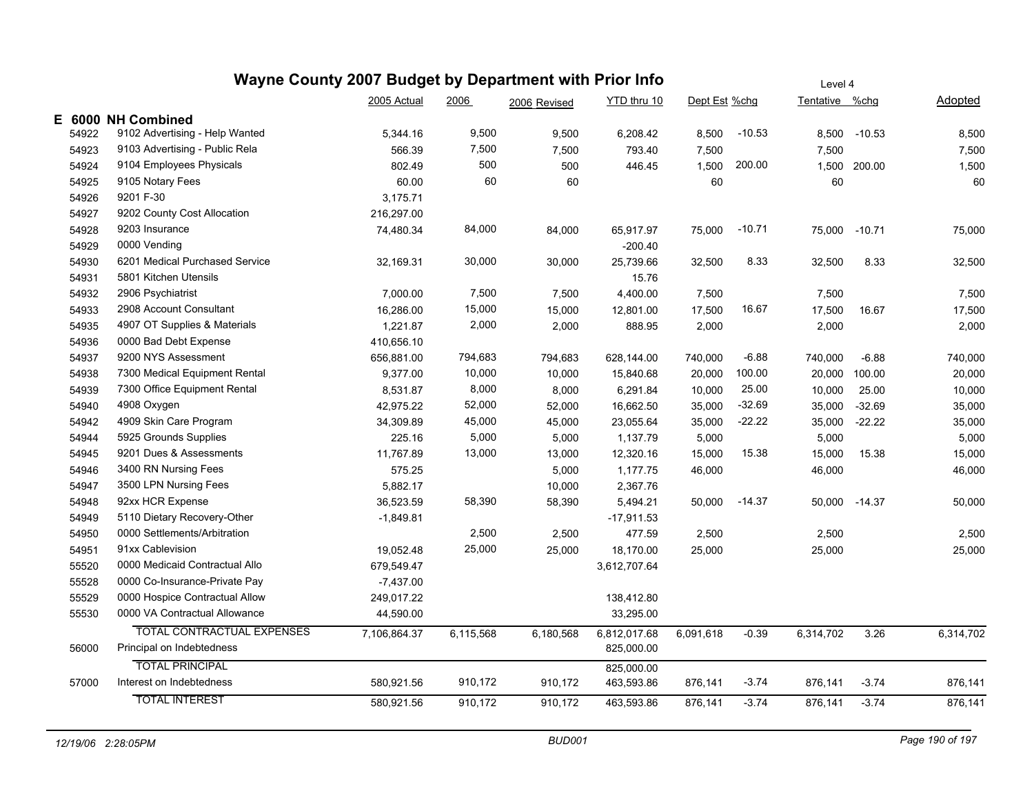| Wayne County 2007 Budget by Department with Prior Info |                                   |                                                    |           |           |              |               | Level 4  |                |               |                |  |
|--------------------------------------------------------|-----------------------------------|----------------------------------------------------|-----------|-----------|--------------|---------------|----------|----------------|---------------|----------------|--|
|                                                        |                                   | 2005 Actual<br>YTD thru 10<br>2006<br>2006 Revised |           |           |              | Dept Est %chg |          | Tentative %chg |               | <b>Adopted</b> |  |
|                                                        | E 6000 NH Combined                |                                                    |           |           |              |               |          |                |               |                |  |
| 54922                                                  | 9102 Advertising - Help Wanted    | 5,344.16                                           | 9,500     | 9,500     | 6,208.42     | 8,500         | $-10.53$ | 8,500          | $-10.53$      | 8,500          |  |
| 54923                                                  | 9103 Advertising - Public Rela    | 566.39                                             | 7,500     | 7,500     | 793.40       | 7,500         |          | 7,500          |               | 7,500          |  |
| 54924                                                  | 9104 Employees Physicals          | 802.49                                             | 500       | 500       | 446.45       | 1,500         | 200.00   |                | 1,500 200.00  | 1,500          |  |
| 54925                                                  | 9105 Notary Fees                  | 60.00                                              | 60        | 60        |              | 60            |          | 60             |               | 60             |  |
| 54926                                                  | 9201 F-30                         | 3,175.71                                           |           |           |              |               |          |                |               |                |  |
| 54927                                                  | 9202 County Cost Allocation       | 216,297.00                                         |           |           |              |               |          |                |               |                |  |
| 54928                                                  | 9203 Insurance                    | 74,480.34                                          | 84,000    | 84,000    | 65,917.97    | 75,000        | $-10.71$ | 75,000         | $-10.71$      | 75,000         |  |
| 54929                                                  | 0000 Vending                      |                                                    |           |           | $-200.40$    |               |          |                |               |                |  |
| 54930                                                  | 6201 Medical Purchased Service    | 32,169.31                                          | 30,000    | 30,000    | 25,739.66    | 32,500        | 8.33     | 32,500         | 8.33          | 32,500         |  |
| 54931                                                  | 5801 Kitchen Utensils             |                                                    |           |           | 15.76        |               |          |                |               |                |  |
| 54932                                                  | 2906 Psychiatrist                 | 7,000.00                                           | 7,500     | 7,500     | 4,400.00     | 7,500         |          | 7,500          |               | 7,500          |  |
| 54933                                                  | 2908 Account Consultant           | 16,286.00                                          | 15,000    | 15,000    | 12,801.00    | 17,500        | 16.67    | 17,500         | 16.67         | 17,500         |  |
| 54935                                                  | 4907 OT Supplies & Materials      | 1,221.87                                           | 2,000     | 2,000     | 888.95       | 2,000         |          | 2,000          |               | 2,000          |  |
| 54936                                                  | 0000 Bad Debt Expense             | 410,656.10                                         |           |           |              |               |          |                |               |                |  |
| 54937                                                  | 9200 NYS Assessment               | 656,881.00                                         | 794,683   | 794,683   | 628,144.00   | 740,000       | $-6.88$  | 740,000        | $-6.88$       | 740,000        |  |
| 54938                                                  | 7300 Medical Equipment Rental     | 9,377.00                                           | 10,000    | 10,000    | 15,840.68    | 20,000        | 100.00   | 20,000         | 100.00        | 20,000         |  |
| 54939                                                  | 7300 Office Equipment Rental      | 8,531.87                                           | 8,000     | 8,000     | 6,291.84     | 10,000        | 25.00    | 10,000         | 25.00         | 10,000         |  |
| 54940                                                  | 4908 Oxygen                       | 42,975.22                                          | 52,000    | 52,000    | 16,662.50    | 35,000        | $-32.69$ | 35,000         | $-32.69$      | 35,000         |  |
| 54942                                                  | 4909 Skin Care Program            | 34,309.89                                          | 45,000    | 45,000    | 23,055.64    | 35,000        | $-22.22$ | 35,000         | $-22.22$      | 35,000         |  |
| 54944                                                  | 5925 Grounds Supplies             | 225.16                                             | 5,000     | 5,000     | 1,137.79     | 5,000         |          | 5,000          |               | 5,000          |  |
| 54945                                                  | 9201 Dues & Assessments           | 11,767.89                                          | 13,000    | 13,000    | 12,320.16    | 15,000        | 15.38    | 15,000         | 15.38         | 15,000         |  |
| 54946                                                  | 3400 RN Nursing Fees              | 575.25                                             |           | 5,000     | 1,177.75     | 46,000        |          | 46,000         |               | 46,000         |  |
| 54947                                                  | 3500 LPN Nursing Fees             | 5,882.17                                           |           | 10,000    | 2,367.76     |               |          |                |               |                |  |
| 54948                                                  | 92xx HCR Expense                  | 36,523.59                                          | 58,390    | 58,390    | 5,494.21     | 50,000        | $-14.37$ |                | 50,000 -14.37 | 50,000         |  |
| 54949                                                  | 5110 Dietary Recovery-Other       | $-1,849.81$                                        |           |           | $-17,911.53$ |               |          |                |               |                |  |
| 54950                                                  | 0000 Settlements/Arbitration      |                                                    | 2,500     | 2,500     | 477.59       | 2,500         |          | 2,500          |               | 2,500          |  |
| 54951                                                  | 91xx Cablevision                  | 19,052.48                                          | 25,000    | 25,000    | 18,170.00    | 25,000        |          | 25,000         |               | 25,000         |  |
| 55520                                                  | 0000 Medicaid Contractual Allo    | 679,549.47                                         |           |           | 3,612,707.64 |               |          |                |               |                |  |
| 55528                                                  | 0000 Co-Insurance-Private Pay     | $-7,437.00$                                        |           |           |              |               |          |                |               |                |  |
| 55529                                                  | 0000 Hospice Contractual Allow    | 249,017.22                                         |           |           | 138,412.80   |               |          |                |               |                |  |
| 55530                                                  | 0000 VA Contractual Allowance     | 44,590.00                                          |           |           | 33,295.00    |               |          |                |               |                |  |
|                                                        | <b>TOTAL CONTRACTUAL EXPENSES</b> | 7,106,864.37                                       | 6,115,568 | 6,180,568 | 6,812,017.68 | 6,091,618     | $-0.39$  | 6,314,702      | 3.26          | 6,314,702      |  |
| 56000                                                  | Principal on Indebtedness         |                                                    |           |           | 825,000.00   |               |          |                |               |                |  |
|                                                        | <b>TOTAL PRINCIPAL</b>            |                                                    |           |           | 825,000.00   |               |          |                |               |                |  |
| 57000                                                  | Interest on Indebtedness          | 580,921.56                                         | 910,172   | 910,172   | 463,593.86   | 876,141       | $-3.74$  | 876,141        | $-3.74$       | 876,141        |  |
|                                                        | <b>TOTAL INTEREST</b>             | 580,921.56                                         | 910,172   | 910,172   | 463,593.86   | 876,141       | $-3.74$  | 876,141        | $-3.74$       | 876,141        |  |
|                                                        |                                   |                                                    |           |           |              |               |          |                |               |                |  |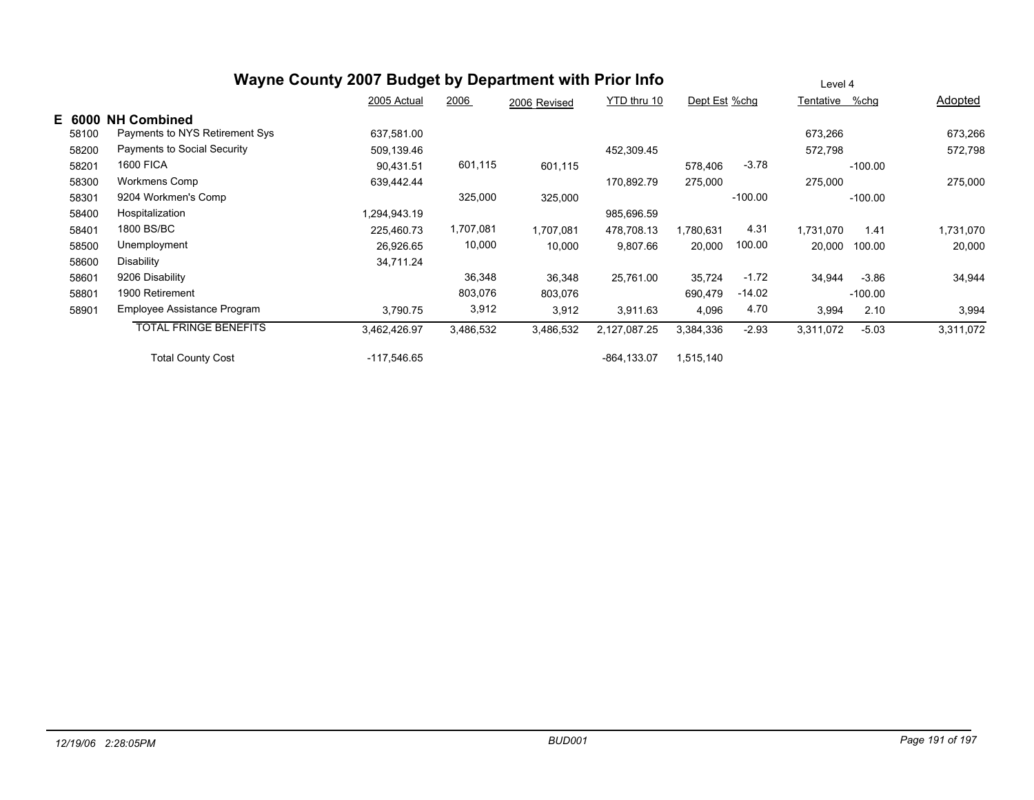|        |                                | Wayne County 2007 Budget by Department with Prior Info |           |              |              |               |           | Level 4        |           |           |
|--------|--------------------------------|--------------------------------------------------------|-----------|--------------|--------------|---------------|-----------|----------------|-----------|-----------|
|        |                                | 2005 Actual                                            | 2006      | 2006 Revised | YTD thru 10  | Dept Est %chg |           | Tentative %chg |           | Adopted   |
| E 6000 | <b>NH Combined</b>             |                                                        |           |              |              |               |           |                |           |           |
| 58100  | Payments to NYS Retirement Sys | 637,581.00                                             |           |              |              |               |           | 673,266        |           | 673,266   |
| 58200  | Payments to Social Security    | 509,139.46                                             |           |              | 452,309.45   |               |           | 572,798        |           | 572,798   |
| 58201  | <b>1600 FICA</b>               | 90,431.51                                              | 601,115   | 601,115      |              | 578,406       | $-3.78$   |                | $-100.00$ |           |
| 58300  | Workmens Comp                  | 639,442.44                                             |           |              | 170,892.79   | 275,000       |           | 275,000        |           | 275,000   |
| 58301  | 9204 Workmen's Comp            |                                                        | 325,000   | 325,000      |              |               | $-100.00$ |                | $-100.00$ |           |
| 58400  | Hospitalization                | 1,294,943.19                                           |           |              | 985,696.59   |               |           |                |           |           |
| 58401  | 1800 BS/BC                     | 225.460.73                                             | 1,707,081 | 1,707,081    | 478,708.13   | 1,780,631     | 4.31      | 1.731.070      | 1.41      | 1,731,070 |
| 58500  | Unemployment                   | 26,926.65                                              | 10,000    | 10,000       | 9,807.66     | 20,000        | 100.00    | 20,000         | 100.00    | 20,000    |
| 58600  | Disability                     | 34,711.24                                              |           |              |              |               |           |                |           |           |
| 58601  | 9206 Disability                |                                                        | 36,348    | 36,348       | 25,761.00    | 35,724        | $-1.72$   | 34,944         | -3.86     | 34,944    |
| 58801  | 1900 Retirement                |                                                        | 803,076   | 803,076      |              | 690,479       | $-14.02$  |                | $-100.00$ |           |
| 58901  | Employee Assistance Program    | 3,790.75                                               | 3,912     | 3,912        | 3,911.63     | 4,096         | 4.70      | 3,994          | 2.10      | 3,994     |
|        | <b>TOTAL FRINGE BENEFITS</b>   | 3,462,426.97                                           | 3,486,532 | 3,486,532    | 2,127,087.25 | 3,384,336     | $-2.93$   | 3,311,072      | $-5.03$   | 3,311,072 |
|        | <b>Total County Cost</b>       | -117,546.65                                            |           |              | -864,133.07  | 1,515,140     |           |                |           |           |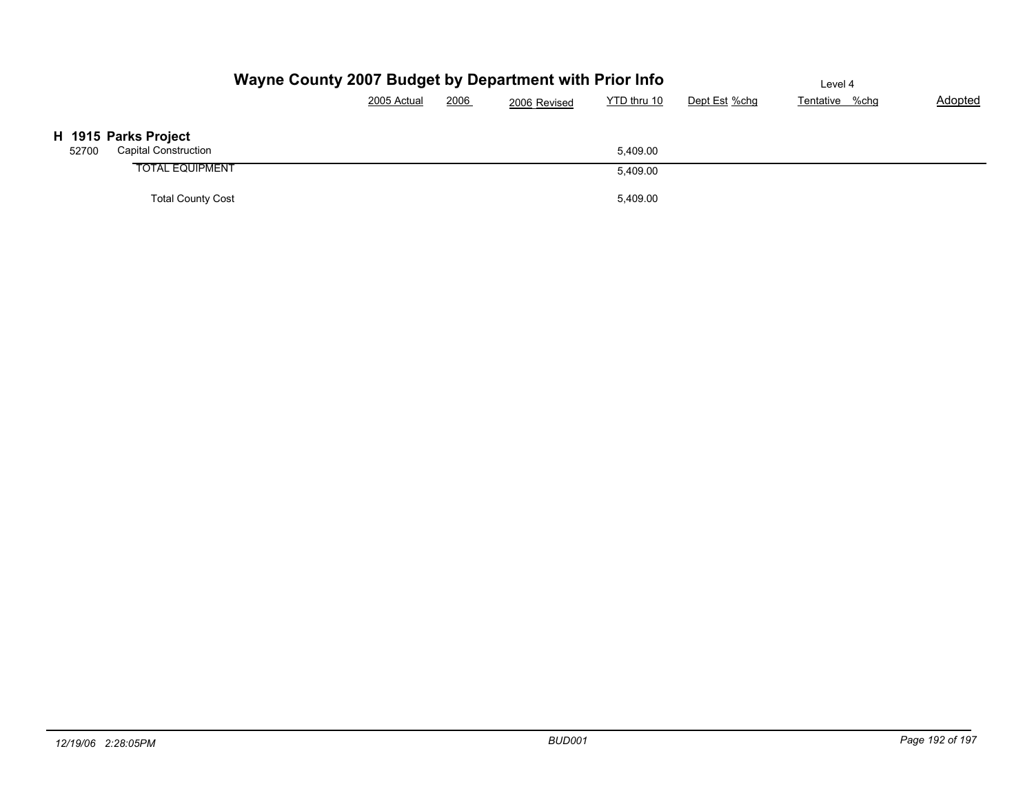|                                      | Wayne County 2007 Budget by Department with Prior Info |      |              | Level 4     |               |                |                |  |  |
|--------------------------------------|--------------------------------------------------------|------|--------------|-------------|---------------|----------------|----------------|--|--|
|                                      | 2005 Actual                                            | 2006 | 2006 Revised | YTD thru 10 | Dept Est %chg | Tentative %chg | <b>Adopted</b> |  |  |
| H 1915 Parks Project                 |                                                        |      |              |             |               |                |                |  |  |
| <b>Capital Construction</b><br>52700 |                                                        |      |              | 5.409.00    |               |                |                |  |  |
| <b>TOTAL EQUIPMENT</b>               |                                                        |      |              | 5,409.00    |               |                |                |  |  |
| <b>Total County Cost</b>             |                                                        |      |              | 5,409.00    |               |                |                |  |  |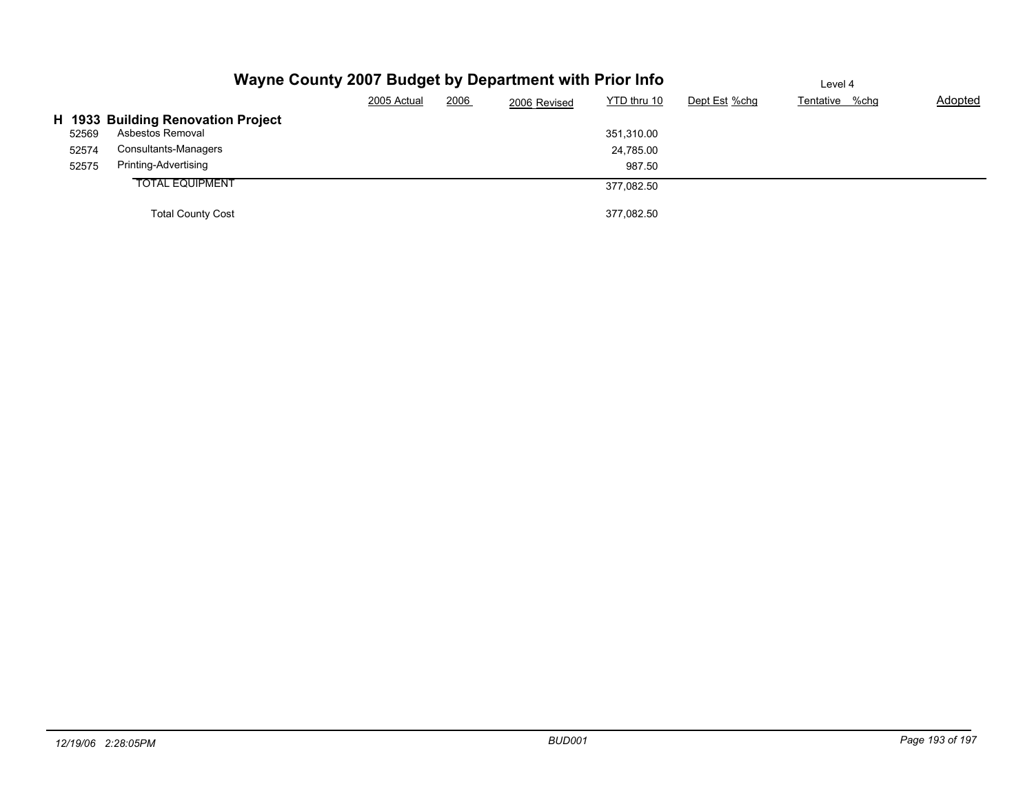|                |                                                        | Wayne County 2007 Budget by Department with Prior Info | Level 4     |      |              |                         |               |                |                |
|----------------|--------------------------------------------------------|--------------------------------------------------------|-------------|------|--------------|-------------------------|---------------|----------------|----------------|
|                |                                                        |                                                        | 2005 Actual | 2006 | 2006 Revised | YTD thru 10             | Dept Est %chg | Tentative %chg | <b>Adopted</b> |
|                | H 1933 Building Renovation Project<br>Asbestos Removal |                                                        |             |      |              |                         |               |                |                |
| 52569<br>52574 | Consultants-Managers                                   |                                                        |             |      |              | 351,310.00<br>24,785.00 |               |                |                |
| 52575          | Printing-Advertising                                   |                                                        |             |      |              | 987.50                  |               |                |                |
|                | <b>TOTAL EQUIPMENT</b>                                 |                                                        |             |      |              | 377,082.50              |               |                |                |
|                | <b>Total County Cost</b>                               |                                                        |             |      |              | 377.082.50              |               |                |                |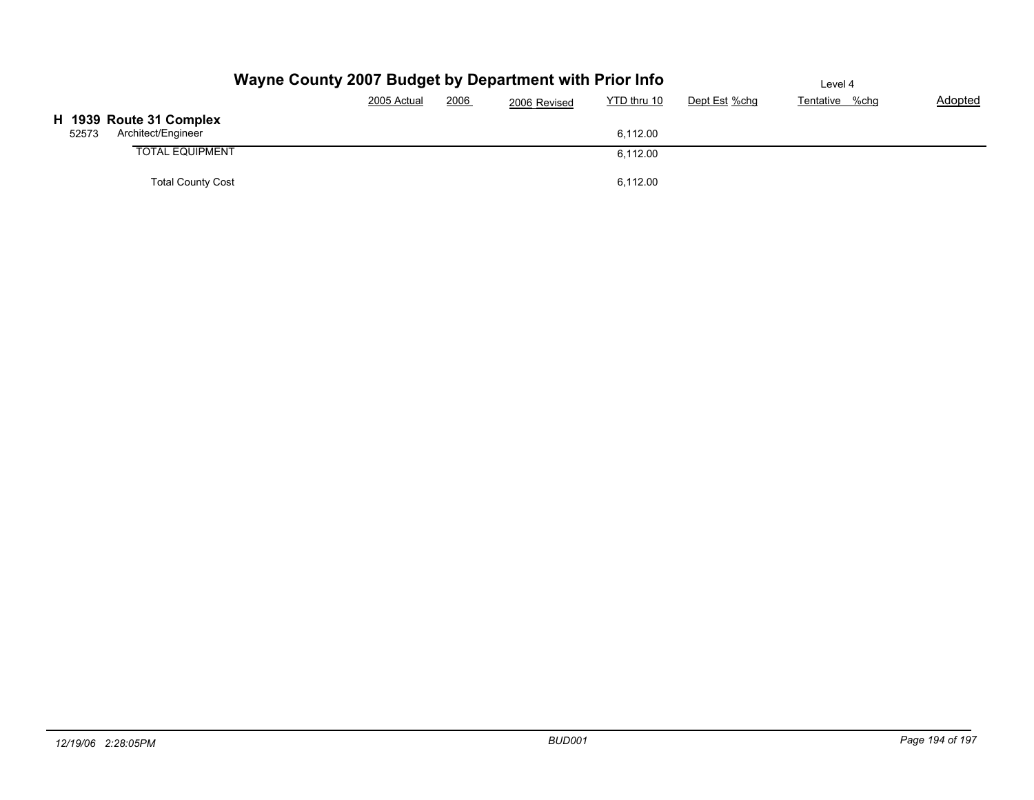|       |                                               | Wayne County 2007 Budget by Department with Prior Info |      |                             | Level 4       |                |         |  |
|-------|-----------------------------------------------|--------------------------------------------------------|------|-----------------------------|---------------|----------------|---------|--|
|       |                                               | 2005 Actual                                            | 2006 | YTD thru 10<br>2006 Revised | Dept Est %chg | Tentative %chg | Adopted |  |
| 52573 | H 1939 Route 31 Complex<br>Architect/Engineer |                                                        |      | 6,112.00                    |               |                |         |  |
|       | <b>TOTAL EQUIPMENT</b>                        |                                                        |      | 6,112.00                    |               |                |         |  |
|       | <b>Total County Cost</b>                      |                                                        |      | 6,112.00                    |               |                |         |  |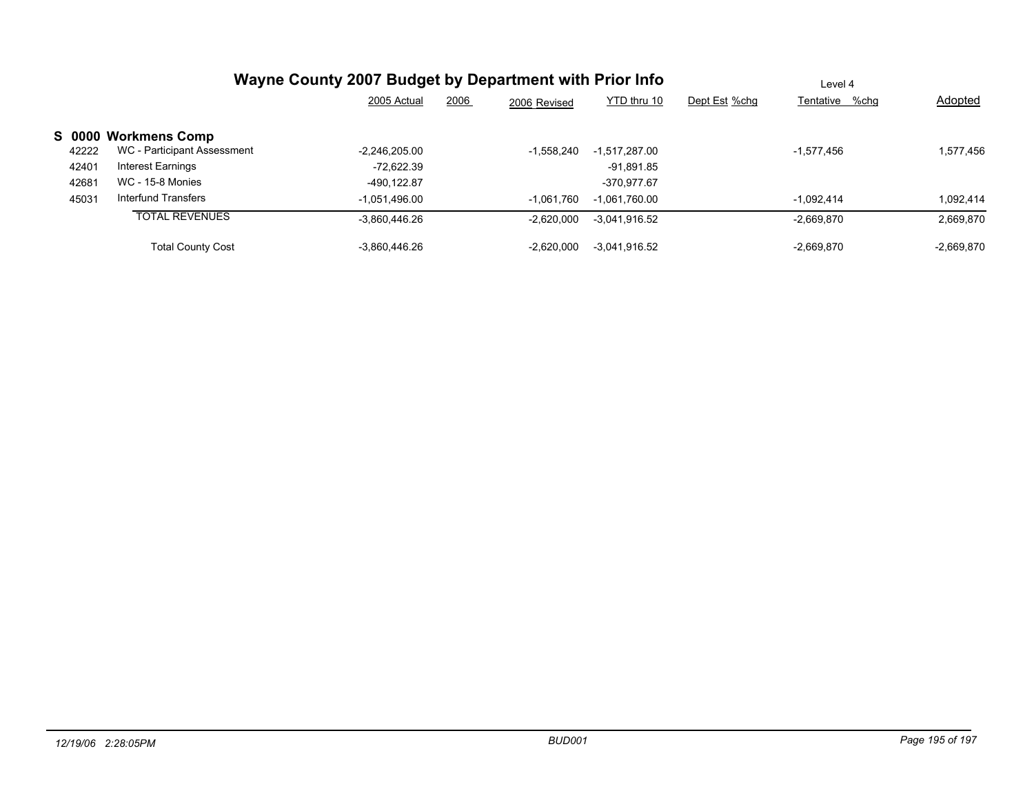|                                      | Wayne County 2007 Budget by Department with Prior Info | Level 4              |                 |               |                |              |
|--------------------------------------|--------------------------------------------------------|----------------------|-----------------|---------------|----------------|--------------|
|                                      | 2005 Actual                                            | 2006<br>2006 Revised | YTD thru 10     | Dept Est %chg | Tentative %chg | Adopted      |
| S 0000 Workmens Comp                 |                                                        |                      |                 |               |                |              |
| WC - Participant Assessment<br>42222 | $-2,246,205.00$                                        | $-1.558.240$         | $-1.517.287.00$ |               | $-1,577,456$   | 1,577,456    |
| Interest Earnings<br>42401           | -72.622.39                                             |                      | -91.891.85      |               |                |              |
| <b>WC - 15-8 Monies</b><br>42681     | -490.122.87                                            |                      | -370.977.67     |               |                |              |
| Interfund Transfers<br>45031         | $-1.051.496.00$                                        | $-1,061,760$         | $-1.061.760.00$ |               | $-1.092.414$   | 1.092.414    |
| <b>TOTAL REVENUES</b>                | $-3,860,446.26$                                        | $-2.620.000$         | $-3.041.916.52$ |               | $-2,669,870$   | 2,669,870    |
| <b>Total County Cost</b>             | -3.860.446.26                                          | $-2.620.000$         | $-3.041.916.52$ |               | $-2.669.870$   | $-2.669.870$ |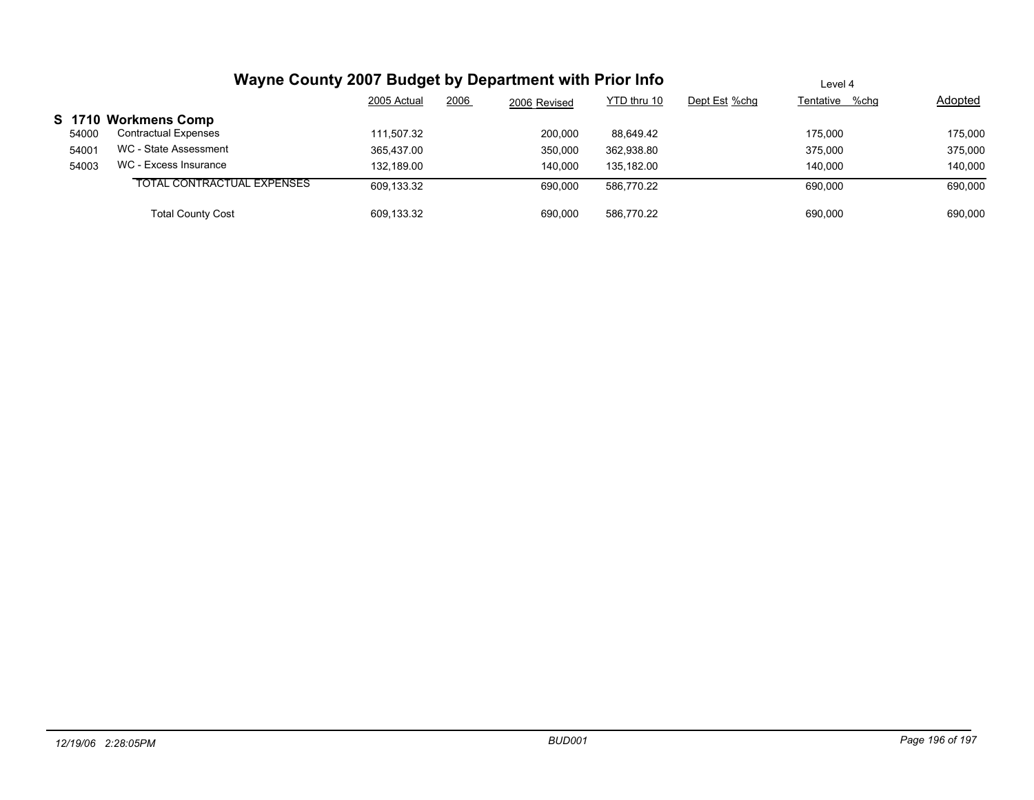|       | Wayne County 2007 Budget by Department with Prior Info |             |      |              |             |               | Level 4        |                |  |  |
|-------|--------------------------------------------------------|-------------|------|--------------|-------------|---------------|----------------|----------------|--|--|
|       |                                                        | 2005 Actual | 2006 | 2006 Revised | YTD thru 10 | Dept Est %chg | Tentative %chg | <b>Adopted</b> |  |  |
|       | S 1710 Workmens Comp                                   |             |      |              |             |               |                |                |  |  |
| 54000 | <b>Contractual Expenses</b>                            | 111.507.32  |      | 200,000      | 88.649.42   |               | 175.000        | 175,000        |  |  |
| 54001 | WC - State Assessment                                  | 365.437.00  |      | 350,000      | 362,938.80  |               | 375,000        | 375,000        |  |  |
| 54003 | WC - Excess Insurance                                  | 132.189.00  |      | 140.000      | 135.182.00  |               | 140.000        | 140.000        |  |  |
|       | TOTAL CONTRACTUAL EXPENSES                             | 609,133.32  |      | 690.000      | 586.770.22  |               | 690.000        | 690,000        |  |  |
|       | <b>Total County Cost</b>                               | 609.133.32  |      | 690,000      | 586.770.22  |               | 690.000        | 690,000        |  |  |